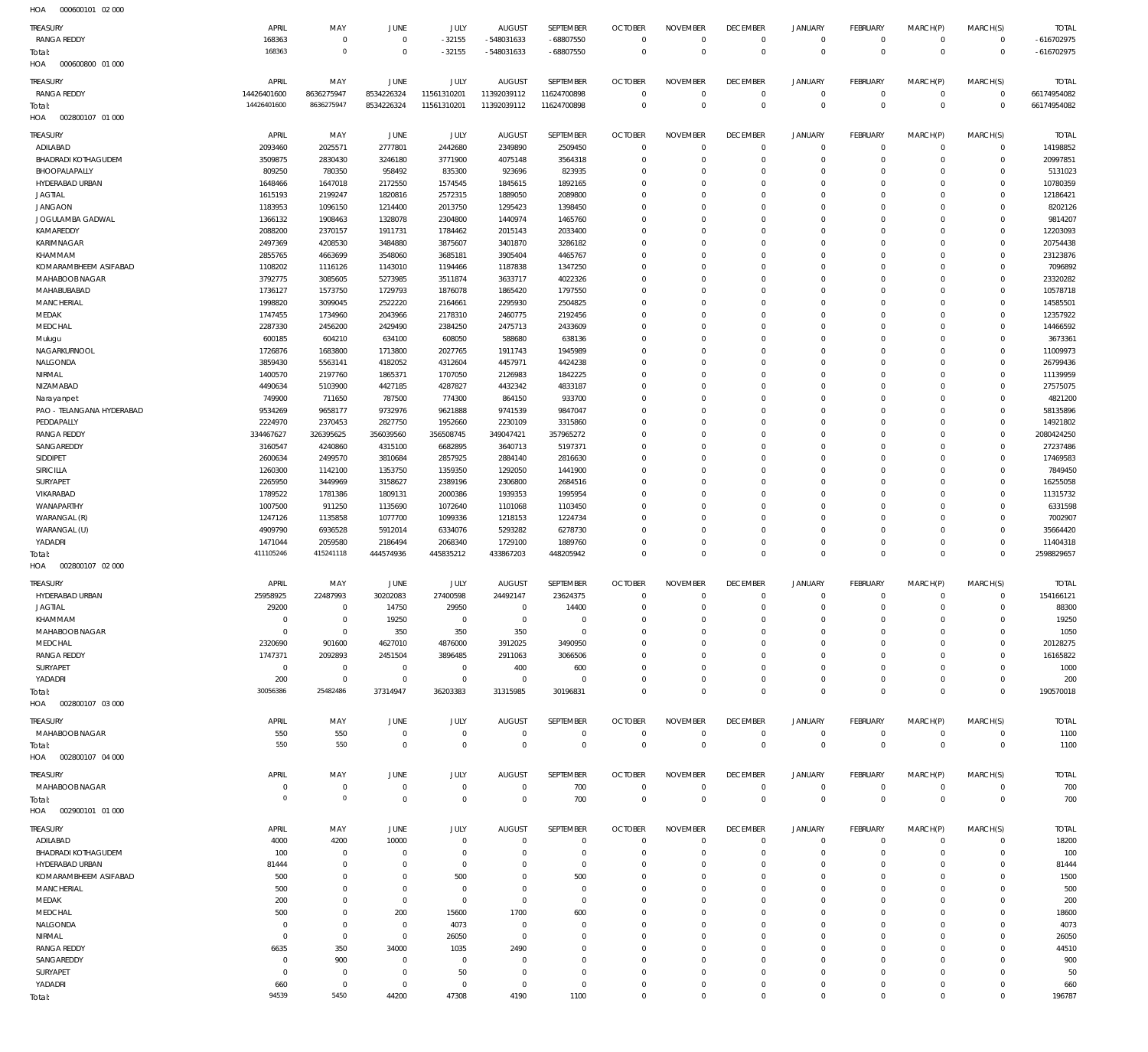000600800 01 000 HOA 002800107 01 000 HOA 002800107 02 000 HOA 002800107 03 000 HOA 002800107 04 000 002900101 01 000 HOA HOA  $\Omega$   $\Omega$  -32155  $\Omega$  -548031633  $\Omega$  -68807550  $\Omega$   $\overline{0}$  $\Omega$  $\Omega$   $\Omega$  $\Omega$   $\overline{0}$  $\Omega$  $\Omega$   $\Omega$   $\boldsymbol{0}$   $\Omega$   $\Omega$  $\Omega$   $\Omega$  $\Omega$  -616702975 RANGA REDDY RANGA REDDY ADILABAD BHADRADI KOTHAGUDEM BHOOPALAPALLY HYDERABAD URBAN JAGTIAL JANGAON JOGULAMBA GADWAL KAMAREDDY KARIMNAGAR KHAMMAM KOMARAMBHEEM ASIFABAD MAHABOOB NAGAR MAHABUBABAD **MANCHERIAL** MEDAK MEDCHAL Mulugu NAGARKURNOOL NALGONDA NIRMAL NIZAMABAD Narayanpet PAO - TELANGANA HYDERABAD **PEDDAPALLY** RANGA REDDY SANGAREDDY SIDDIPET SIRICILLA SURYAPET VIKARABAD WANAPARTHY WARANGAL (R) WARANGAL (U) YADADRI HYDERABAD URBAN JAGTIAL KHAMMAM MAHABOOB NAGAR **MEDCHAL** RANGA REDDY SURYAPET YADADRI MAHABOOB NAGAR MAHABOOB NAGAR ADILABAD BHADRADI KOTHAGUDEM HYDERABAD URBAN KOMARAMBHEEM ASIFABAD **MANCHERIAL** MEDAK MEDCHAL NALGONDA NIRMAL RANGA REDDY SANGAREDDY SURYAPET YADADRI TREASURY TREASURY **TREASURY TREASURY TREASURY** TREASURY TREASURY  $\Omega$  APRIL APRIL APRIL APRIL APRIL APRIL APRIL  $\Omega$   $\Omega$   $\Omega$   $\Omega$ MAY MAY MAY MAY MAY MAY MAY  $\boldsymbol{0}$   $\Omega$   $\Omega$   $\Omega$   $\Omega$ JUNE JUNE JUNE **JUNE** JUNE JUNE JUNE -32155  $\Omega$   $\Omega$   $\Omega$   $\Omega$ JULY JULY JULY JULY JULY JULY JULY -548031633  $\Omega$   $\Omega$   $\Omega$   $\Omega$ AUGUST AUGUST AUGUST **AUGUST** AUGUST AUGUST AUGUST -68807550  $\,$  0  $\,$   $\Omega$   $\sqrt{0}$   $\Omega$   $\Omega$ SEPTEMBER SEPTEMBER SEPTEMBER **SEPTEMBER SEPTEMBER** SEPTEMBER SEPTEMBER  $\Omega$   $\Omega$   $\Omega$   $\Omega$  $\overline{0}$   $\Omega$   $\Omega$   $\Omega$  $\Omega$  $\overline{0}$  $\Omega$   $\Omega$  $\Omega$   $\Omega$   $\Omega$  $\Omega$   $\Omega$   $\Omega$   $\Omega$   $\Omega$   $\Omega$   $\Omega$  $\Omega$   $\Omega$   $\Omega$   $\Omega$ OCTOBER **OCTOBER OCTOBER OCTOBER** OCTOBER OCTOBER **OCTOBER**   $\Omega$   $\Omega$   $\Omega$   $\Omega$   $\Omega$   $\Omega$   $\Omega$   $\Omega$   $\Omega$   $\Omega$   $\Omega$   $\Omega$   $\Omega$   $\Omega$   $\Omega$   $\Omega$  NOVEMBER NOVEMBER NOVEMBER NOVEMBER NOVEMBER NOVEMBER NOVEMBER  $\Omega$   $\Omega$  $\overline{0}$   $\Omega$   $\Omega$  $\overline{0}$   $\Omega$  $\overline{0}$  $\Omega$   $\Omega$   $\Omega$  $\overline{0}$  $\Omega$  $\overline{0}$   $\Omega$   $\Omega$   $\Omega$  $\overline{0}$   $\Omega$   $\Omega$  $\overline{0}$  $\Omega$   $\Omega$   $\overline{0}$ DECEMBER DECEMBER **DECEMBER DECEMBER** DECEMBER DECEMBER DECEMBER  $\Omega$   $\Omega$   $\Omega$   $\Omega$   $\Omega$   $\Omega$   $\Omega$   $\Omega$   $\Omega$   $\Omega$   $\Omega$   $\Omega$   $\Omega$   $\Omega$   $\Omega$  JANUARY JANUARY JANUARY JANUARY JANUARY JANUARY JANUARY  $\Omega$   $\Omega$   $\Omega$   $\Omega$   $\Omega$   $\Omega$   $\Omega$  $\overline{0}$   $\Omega$   $\Omega$  $\overline{0}$   $\Omega$   $\Omega$   $\Omega$   $\Omega$  FEBRUARY FEBRUARY FEBRUARY **FFRRUARY FFBRUARY** FEBRUARY FEBRUARY  $\Omega$   $\Omega$   $\Omega$   $\Omega$  $\Omega$   $\Omega$   $\Omega$   $\Omega$   $\Omega$   $\Omega$   $\Omega$   $\Omega$   $\Omega$   $\Omega$  $\Omega$   $\Omega$   $\Omega$  MARCH(P) MARCH(P) MARCH(P) MARCH(P) MARCH(P) MARCH(P) MARCH(P)  $\Omega$   $\Omega$  $\Omega$   $\Omega$   $\Omega$   $\Omega$  $\Omega$   $\Omega$   $\Omega$   $\Omega$   $\Omega$   $\Omega$   $\Omega$   $\Omega$   $\Omega$   $\Omega$   $\Omega$   $\Omega$   $\Omega$  MARCH(S) MARCH(S) MARCH(S) MARCH(S) MARCH(S) MARCH(S) MARCH(S) -616702975 TOTAL TOTAL TOTAL TOTAL TOTAL TOTAL TOTAL Total: Total: Total: Total: Total: Total:

000600101 02 000 HOA

Total: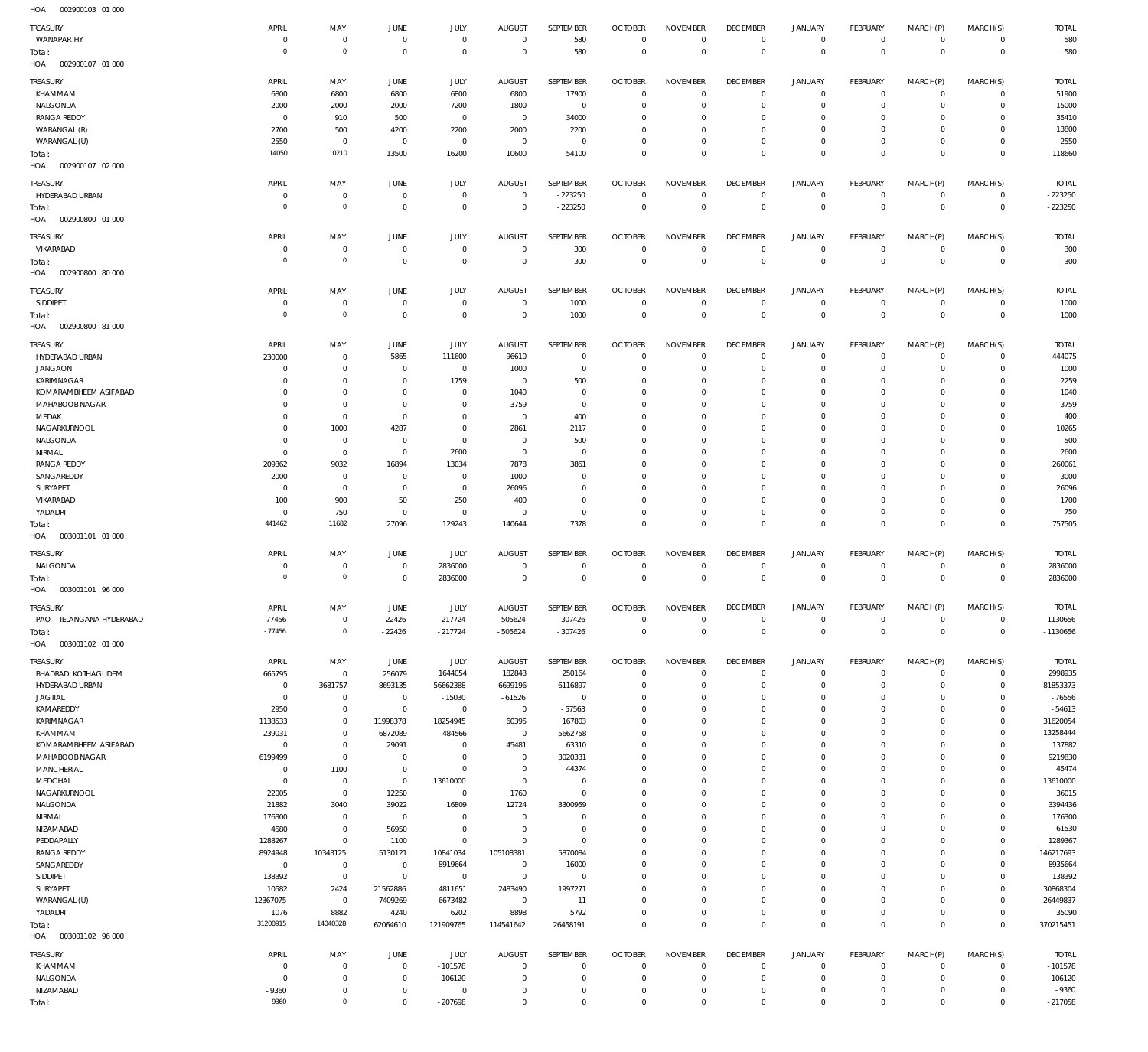| TREASURY                   | APRIL                | MAY                           | JUNE           | JULY         | <b>AUGUST</b>  | SEPTEMBER        | <b>OCTOBER</b> | <b>NOVEMBER</b> | <b>DECEMBER</b> | <b>JANUARY</b> | <b>FEBRUARY</b> | MARCH(P)       | MARCH(S)       | <b>TOTAL</b> |
|----------------------------|----------------------|-------------------------------|----------------|--------------|----------------|------------------|----------------|-----------------|-----------------|----------------|-----------------|----------------|----------------|--------------|
| WANAPARTHY                 | $^{\circ}$           | $\overline{0}$                | $^{\circ}$     | $\mathbf 0$  | $^{\circ}$     | 580              | $\mathbf 0$    | $\mathbf 0$     | $\mathbf 0$     | $\mathbf 0$    | $\mathbf 0$     | $\mathbf 0$    | $\mathbf{0}$   | 580          |
| Total:                     | $\circ$              | $\mathbb O$                   | $^{\circ}$     | $\mathbf 0$  | $\overline{0}$ | 580              | $\mathbf 0$    | $\mathbf 0$     | $\mathbf 0$     | $\mathbf 0$    | $\overline{0}$  | $\overline{0}$ | $\overline{0}$ | 580          |
| HOA<br>002900107 01 000    |                      |                               |                |              |                |                  |                |                 |                 |                |                 |                |                |              |
| TREASURY                   | APRIL                | MAY                           | JUNE           | JULY         | AUGUST         | <b>SEPTEMBER</b> | <b>OCTOBER</b> | <b>NOVEMBER</b> | <b>DECEMBER</b> | <b>JANUARY</b> | <b>FEBRUARY</b> | MARCH(P)       | MARCH(S)       | <b>TOTAL</b> |
| KHAMMAM                    | 6800                 | 6800                          | 6800           | 6800         | 6800           | 17900            | $^{\circ}$     | $\mathbf 0$     | $^{\circ}$      | $\mathbf 0$    | $^{\circ}$      | $\mathbf 0$    | $^{\circ}$     | 51900        |
| NALGONDA                   | 2000                 | 2000                          | 2000           | 7200         | 1800           | $\mathbf{0}$     | $^{\circ}$     | $\mathbf 0$     | $^{\circ}$      | $\mathbf 0$    | $^{\circ}$      | $\mathbf 0$    | $\mathbf{0}$   | 15000        |
|                            | 0                    |                               |                |              | $^{\circ}$     |                  |                | $\mathbf 0$     | $^{\circ}$      | 0              | $^{\circ}$      | $\Omega$       | $^{\circ}$     | 35410        |
| <b>RANGA REDDY</b>         |                      | 910                           | 500            | $\mathbf{0}$ |                | 34000            | 0              |                 |                 |                |                 |                |                |              |
| WARANGAL (R)               | 2700                 | 500                           | 4200           | 2200         | 2000           | 2200             | 0              | $\mathbf 0$     | $^{\circ}$      | 0              | $\mathbf 0$     | $\mathbf 0$    | $^{\circ}$     | 13800        |
| WARANGAL (U)               | 2550                 | $\overline{0}$                | $^{\circ}$     | $\mathbf{0}$ | $^{\circ}$     | $\mathbf{0}$     | $^{\circ}$     | $\mathbf 0$     | $^{\circ}$      | 0              | $\mathbf 0$     | $\mathbf 0$    | $\mathbf 0$    | 2550         |
| Total:                     | 14050                | 10210                         | 13500          | 16200        | 10600          | 54100            | $^{\circ}$     | $\mathbf 0$     | $\mathbf 0$     | $\mathbf 0$    | $\mathbf 0$     | $\mathbf 0$    | $\mathbf 0$    | 118660       |
| HOA<br>002900107 02 000    |                      |                               |                |              |                |                  |                |                 |                 |                |                 |                |                |              |
| TREASURY                   | APRIL                | MAY                           | <b>JUNE</b>    | JULY         | <b>AUGUST</b>  | SEPTEMBER        | <b>OCTOBER</b> | <b>NOVEMBER</b> | <b>DECEMBER</b> | <b>JANUARY</b> | FEBRUARY        | MARCH(P)       | MARCH(S)       | <b>TOTAL</b> |
| HYDERABAD URBAN            | 0                    | $\overline{0}$                | $^{\circ}$     | $\mathbf{0}$ | $^{\circ}$     | $-223250$        | $\mathbf 0$    | $\mathbf 0$     | $\mathbf 0$     | $\mathbf 0$    | $\mathbf 0$     | $\mathbf 0$    | $^{\circ}$     | $-223250$    |
|                            | $\Omega$             | $\mathbb O$                   | $^{\circ}$     | $\mathbf{0}$ | $^{\circ}$     | $-223250$        | $^{\circ}$     | $\mathbf 0$     | $\overline{0}$  | $\mathbf 0$    | $\overline{0}$  | $\mathbf 0$    | $\mathbf 0$    | $-223250$    |
| Total:                     |                      |                               |                |              |                |                  |                |                 |                 |                |                 |                |                |              |
| HOA<br>002900800 01 000    |                      |                               |                |              |                |                  |                |                 |                 |                |                 |                |                |              |
| TREASURY                   | APRIL                | MAY                           | JUNE           | JULY         | <b>AUGUST</b>  | SEPTEMBER        | <b>OCTOBER</b> | <b>NOVEMBER</b> | <b>DECEMBER</b> | <b>JANUARY</b> | <b>FEBRUARY</b> | MARCH(P)       | MARCH(S)       | <b>TOTAL</b> |
| VIKARABAD                  | $\Omega$             | $\overline{0}$                | $^{\circ}$     | $\mathbf{0}$ | $\overline{0}$ | 300              | $\mathbf 0$    | $\mathbf 0$     | $^{\circ}$      | 0              | $\mathbf 0$     | $\mathbf 0$    | $\mathbf{0}$   | 300          |
| Total:                     | $\Omega$             | $\mathbb O$                   | $^{\circ}$     | $\mathbf 0$  | $\overline{0}$ | 300              | $^{\circ}$     | $\mathbf 0$     | $\mathbf 0$     | $\mathbf 0$    | $\overline{0}$  | $\mathbf 0$    | $\overline{0}$ | 300          |
| HOA<br>002900800 80 000    |                      |                               |                |              |                |                  |                |                 |                 |                |                 |                |                |              |
|                            |                      |                               |                |              |                |                  |                |                 |                 |                |                 |                |                |              |
| TREASURY                   | APRIL                | MAY                           | JUNE           | JULY         | <b>AUGUST</b>  | SEPTEMBER        | <b>OCTOBER</b> | <b>NOVEMBER</b> | <b>DECEMBER</b> | <b>JANUARY</b> | <b>FEBRUARY</b> | MARCH(P)       | MARCH(S)       | <b>TOTAL</b> |
| SIDDIPET                   | $\Omega$             | $\overline{0}$                | $^{\circ}$     | $^{\circ}$   | $\overline{0}$ | 1000             | $^{\circ}$     | $^{\circ}$      | $^{\circ}$      | $\mathbf 0$    | $\mathbf 0$     | 0              | $\mathbf 0$    | 1000         |
| Total:                     | $\circ$              | $\mathbb O$                   | $\overline{0}$ | $\mathbf 0$  | $^{\circ}$     | 1000             | $\mathbf 0$    | $\mathbf 0$     | $\mathbf 0$     | $\mathbf 0$    | $\overline{0}$  | $\mathbf 0$    | $\overline{0}$ | 1000         |
| HOA<br>002900800 81 000    |                      |                               |                |              |                |                  |                |                 |                 |                |                 |                |                |              |
|                            |                      |                               |                |              |                |                  |                |                 |                 |                |                 |                |                |              |
| TREASURY                   | APRIL                | MAY                           | JUNE           | JULY         | <b>AUGUST</b>  | SEPTEMBER        | <b>OCTOBER</b> | <b>NOVEMBER</b> | <b>DECEMBER</b> | <b>JANUARY</b> | <b>FEBRUARY</b> | MARCH(P)       | MARCH(S)       | <b>TOTAL</b> |
| HYDERABAD URBAN            | 230000               | $\overline{0}$                | 5865           | 111600       | 96610          | $\mathbf{0}$     | $^{\circ}$     | $^{\circ}$      | $^{\circ}$      | $\mathbf 0$    | $\mathbf 0$     | $\Omega$       | $^{\circ}$     | 444075       |
| <b>JANGAON</b>             | $^{\circ}$           | $\overline{0}$                | $^{\circ}$     | $\mathbf{0}$ | 1000           | $\mathbf{0}$     | $^{\circ}$     | $^{\circ}$      | $^{\circ}$      | $\mathbf 0$    | $\mathbf 0$     | $\mathbf 0$    | $\mathbf 0$    | 1000         |
| KARIMNAGAR                 | -C                   | $\overline{0}$                | $^{\circ}$     | 1759         | $^{\circ}$     | 500              | 0              | $\mathbf 0$     | $^{\circ}$      | 0              | $\mathbf 0$     | $\mathbf 0$    | $\mathbf 0$    | 2259         |
| KOMARAMBHEEM ASIFABAD      | $\Omega$             | $\overline{0}$                | $^{\circ}$     | $\mathbf{0}$ | 1040           | $\mathbf{0}$     | $^{\circ}$     | $\mathbf 0$     | $^{\circ}$      | 0              | $\mathbf 0$     | $\Omega$       | $\mathbf 0$    | 1040         |
| MAHABOOB NAGAR             | $\Omega$             | $\overline{0}$                | $^{\circ}$     | $\mathbf{0}$ | 3759           | $\mathbf{0}$     | 0              | $\mathbf 0$     | $^{\circ}$      | 0              | $\mathbf 0$     | 0              | $\mathbf 0$    | 3759         |
| MEDAK                      | $\Omega$             | $\overline{0}$                | $\overline{0}$ | $^{\circ}$   | $\overline{0}$ | 400              | 0              | $\mathbf 0$     | $^{\circ}$      | 0              | $\mathbf 0$     | $\Omega$       | $\mathbf 0$    | 400          |
| NAGARKURNOOL               | $\Omega$             | 1000                          | 4287           | $\mathbf{0}$ | 2861           | 2117             | 0              | $\mathbf 0$     | $^{\circ}$      | 0              | $\mathbf 0$     | $\Omega$       | $\mathbf 0$    | 10265        |
| NALGONDA                   | -C                   | $\overline{0}$                | $\overline{0}$ | $\mathbf{0}$ | $\overline{0}$ | 500              | 0              | $\mathbf 0$     | $^{\circ}$      | 0              | $\mathbf 0$     | $\Omega$       | $\mathbf 0$    | 500          |
| NIRMAL                     | $\Omega$             | $\overline{0}$                | $^{\circ}$     | 2600         | $^{\circ}$     | $\mathbf{0}$     | 0              | $^{\circ}$      | $^{\circ}$      | 0              | $\mathbf 0$     | $\Omega$       | $\mathbf 0$    | 2600         |
| <b>RANGA REDDY</b>         | 209362               | 9032                          | 16894          | 13034        | 7878           | 3861             | 0              | $^{\circ}$      | $^{\circ}$      | 0              | $\mathbf 0$     | 0              | $\mathbf 0$    | 260061       |
| SANGAREDDY                 |                      | $\overline{0}$                | $\overline{0}$ | $\mathbf{0}$ | 1000           | $^{\circ}$       | 0              | $^{\circ}$      | $^{\circ}$      | 0              | $\mathbf 0$     | $\Omega$       | $\mathbf 0$    | 3000         |
|                            | 2000                 |                               |                |              |                |                  |                |                 |                 |                |                 |                |                |              |
| SURYAPET                   | 0                    | $\overline{0}$                | $^{\circ}$     | $\mathbf{0}$ | 26096          | $\mathbf{0}$     | 0              | $^{\circ}$      | $^{\circ}$      | 0              | $\mathbf 0$     | $\mathbf 0$    | $\mathbf 0$    | 26096        |
| VIKARABAD                  | 100                  | 900                           | 50             | 250          | 400            | $\mathbf{0}$     | 0              | $\mathbf 0$     | $^{\circ}$      | 0              | $\mathbf 0$     | $\Omega$       | $\mathbf 0$    | 1700         |
| YADADRI                    | $^{\circ}$           | 750                           | $^{\circ}$     | $\mathbf{0}$ | $\overline{0}$ | $\mathbf{0}$     | $^{\circ}$     | $\mathbf 0$     | $\mathbf 0$     | 0              | $\mathbf 0$     | $\mathbf 0$    | $\mathbf{0}$   | 750          |
| Total:                     | 441462               | 11682                         | 27096          | 129243       | 140644         | 7378             | $\mathbf 0$    | $\mathbf 0$     | $\mathbf 0$     | $\mathbf 0$    | $\overline{0}$  | $\mathbf 0$    | $\mathbf 0$    | 757505       |
| 003001101 01 000<br>HOA    |                      |                               |                |              |                |                  |                |                 |                 |                |                 |                |                |              |
| TREASURY                   | APRIL                | MAY                           | <b>JUNE</b>    | JULY         | <b>AUGUST</b>  | SEPTEMBER        | <b>OCTOBER</b> | <b>NOVEMBER</b> | <b>DECEMBER</b> | JANUARY        | FEBRUARY        | MARCH(P)       | MARCH(S)       | <b>TOTAL</b> |
|                            | $\Omega$             |                               | $^{\circ}$     |              | $\overline{0}$ | $\mathbf{0}$     | $^{\circ}$     | $^{\circ}$      | $^{\circ}$      | $\mathbf 0$    | $\mathbf 0$     | $\mathbf 0$    | $\mathbf 0$    |              |
| NALGONDA                   |                      | $\overline{0}$<br>$\mathbb O$ |                | 2836000      |                |                  |                |                 |                 |                |                 |                |                | 2836000      |
|                            |                      |                               | $^{\circ}$     | 2836000      | $\overline{0}$ | $\mathbf 0$      | $\mathbf 0$    | $\mathbf 0$     | $\mathbf 0$     | $\mathbf 0$    | $\overline{0}$  | $\mathbf 0$    | $\mathbf 0$    | 2836000      |
| Total:                     | $^{\circ}$           |                               |                |              |                |                  |                |                 |                 |                |                 |                |                |              |
| 003001101 96 000<br>HOA    |                      |                               |                |              |                |                  |                |                 |                 |                |                 |                |                |              |
| <b>TREASURY</b>            | APRIL                | MAY                           | JUNE           | <b>JULY</b>  | <b>AUGUST</b>  | <b>SEPTEMBER</b> | <b>OCTOBER</b> | <b>NOVEMBER</b> | <b>DECEMBER</b> | <b>JANUARY</b> | FFBRUARY        | MARCH(P)       |                | <b>TOTAL</b> |
|                            |                      |                               |                |              |                |                  |                |                 |                 |                |                 |                | MARCH(S)       |              |
| PAO - TELANGANA HYDERABAD  | $-77456$             | $\mathbb O$                   | $-22426$       | $-217724$    | $-505624$      | $-307426$        | $\mathbf 0$    | $\mathbf 0$     | $^{\circ}$      | $\mathbf 0$    | $\mathbf 0$     | $\mathbf 0$    | $^{\circ}$     | $-1130656$   |
| Total:                     | $-77456$             | $\mathbb O$                   | $-22426$       | $-217724$    | $-505624$      | $-307426$        | $\mathbf 0$    | $\mathbf 0$     | $\mathbf 0$     | $\mathbf 0$    | $\overline{0}$  | $\mathbf 0$    | $\overline{0}$ | $-1130656$   |
| 003001102 01 000<br>HOA    |                      |                               |                |              |                |                  |                |                 |                 |                |                 |                |                |              |
| TREASURY                   | APRIL                | MAY                           | JUNE           | JULY         | <b>AUGUST</b>  | SEPTEMBER        | <b>OCTOBER</b> | <b>NOVEMBER</b> | <b>DECEMBER</b> | <b>JANUARY</b> | FEBRUARY        | MARCH(P)       | MARCH(S)       | <b>TOTAL</b> |
| <b>BHADRADI KOTHAGUDEM</b> | 665795               | $\mathbb O$                   | 256079         | 1644054      | 182843         | 250164           | $\mathbf 0$    | $\mathbf 0$     | $\mathbf 0$     | $\mathbf 0$    | $\mathbf 0$     | $\mathbf 0$    | $\mathbf 0$    | 2998935      |
| HYDERABAD URBAN            | $\overline{0}$       | 3681757                       | 8693135        | 56662388     | 6699196        | 6116897          | $^{\circ}$     | $\mathbf 0$     | $^{\circ}$      | $\mathbf 0$    | $\mathbf 0$     | $\mathbf 0$    | $\mathbf 0$    | 81853373     |
| JAGTIAL                    | $^{\circ}$           | $\mathbb O$                   | $\overline{0}$ | $-15030$     | $-61526$       | $\mathbf 0$      | $^{\circ}$     | $\mathbf 0$     | $^{\circ}$      | $\mathbf 0$    | $\mathbf 0$     | $\Omega$       | $\mathbf 0$    | $-76556$     |
| KAMAREDDY                  | 2950                 | $\mathbb O$                   | $\overline{0}$ | $\mathbf{0}$ | $\mathbf 0$    | $-57563$         | $^{\circ}$     | $\mathbf 0$     | $^{\circ}$      | 0              | $\mathbf 0$     | $\Omega$       | $\mathbf 0$    | $-54613$     |
| KARIMNAGAR                 | 1138533              | $\mathbb O$                   | 11998378       | 18254945     | 60395          | 167803           | $^{\circ}$     | $^{\circ}$      | $^{\circ}$      | $\mathbf 0$    | $\mathbf 0$     | $\Omega$       | $\mathbf 0$    | 31620054     |
| KHAMMAM                    |                      | $\mathbb O$                   |                |              | $^{\circ}$     |                  | $^{\circ}$     | $^{\circ}$      | $^{\circ}$      | $\mathbf 0$    | $\Omega$        | $\Omega$       | $\mathbf 0$    |              |
|                            | 239031<br>$^{\circ}$ |                               | 6872089        | 484566       |                | 5662758          | $^{\circ}$     | $^{\circ}$      | $^{\circ}$      | $\mathbf 0$    | $\mathbf 0$     | $\Omega$       | $\circ$        | 13258444     |
| KOMARAMBHEEM ASIFABAD      |                      | $\mathbb O$                   | 29091          | $\mathbf 0$  | 45481          | 63310            |                |                 |                 |                | $\Omega$        | $\Omega$       |                | 137882       |
| MAHABOOB NAGAR             | 6199499              | $\mathbf 0$                   | $\overline{0}$ | $\mathbf 0$  | $^{\circ}$     | 3020331          | $^{\circ}$     | $^{\circ}$      | $^{\circ}$      | $\mathbf 0$    |                 |                | $\circ$        | 9219830      |
| MANCHERIAL                 | $^{\circ}$           | 1100                          | $^{\circ}$     | $\mathbf 0$  | $^{\circ}$     | 44374            | $^{\circ}$     | $^{\circ}$      | $^{\circ}$      | $\mathbf 0$    | $\mathbf 0$     | $\Omega$       | $\circ$        | 45474        |
| MEDCHAL                    | $^{\circ}$           | $\mathbf 0$                   | $^{\circ}$     | 13610000     | $^{\circ}$     | $\mathbf 0$      | $^{\circ}$     | $^{\circ}$      | $^{\circ}$      | $\mathbf 0$    | O               | $\Omega$       | $\mathbf 0$    | 13610000     |
| NAGARKURNOOL               | 22005                | $\mathbf 0$                   | 12250          | $\mathbf 0$  | 1760           | $\mathbf 0$      | $^{\circ}$     | $^{\circ}$      | $^{\circ}$      | $\mathbf 0$    | $\mathbf 0$     | $\Omega$       | $\circ$        | 36015        |
| NALGONDA                   | 21882                | 3040                          | 39022          | 16809        | 12724          | 3300959          | $^{\circ}$     | $^{\circ}$      | $^{\circ}$      | $\mathbf 0$    | $\mathbf 0$     | $\Omega$       | $\mathbf 0$    | 3394436      |
| NIRMAL                     | 176300               | $\mathbf 0$                   | $\mathbf 0$    | $^{\circ}$   | $\overline{0}$ | $^{\circ}$       | $^{\circ}$     | $^{\circ}$      | $^{\circ}$      | 0              | $\Omega$        | $\Omega$       | $\circ$        | 176300       |
| NIZAMABAD                  | 4580                 | $\mathbf 0$                   | 56950          | $\mathbf 0$  | $^{\circ}$     | $\mathbf 0$      | $\mathbf 0$    | $\mathbf 0$     | $\mathbf 0$     | $\mathbf 0$    | $\mathbf 0$     | $\Omega$       | $\mathbf 0$    | 61530        |
| PEDDAPALLY                 | 1288267              | $\mathbb O$                   | 1100           | $\mathbf 0$  | $^{\circ}$     | $\mathbf 0$      | $^{\circ}$     | $\mathbf 0$     | $^{\circ}$      | 0              | O               | $\Omega$       | $\circ$        | 1289367      |
| <b>RANGA REDDY</b>         | 8924948              | 10343125                      | 5130121        | 10841034     | 105108381      | 5870084          | $^{\circ}$     | $\mathbf 0$     | $\mathbf 0$     | 0              | $\mathbf 0$     | $\Omega$       | $\mathbf 0$    | 146217693    |
| SANGAREDDY                 | $\overline{0}$       | $\mathbf 0$                   | $\mathbf{0}$   | 8919664      | $^{\circ}$     | 16000            | $^{\circ}$     | $\mathbf 0$     | $^{\circ}$      | 0              | O               | $\Omega$       | $\mathbf 0$    | 8935664      |
| SIDDIPET                   | 138392               | $\mathbb O$                   | $^{\circ}$     | $\mathbf{0}$ | $^{\circ}$     | $\mathbf 0$      | $^{\circ}$     | $\mathbf 0$     | $^{\circ}$      | $\mathbf 0$    | $\mathbf 0$     | $\Omega$       | $\mathbf 0$    | 138392       |
| SURYAPET                   | 10582                | 2424                          | 21562886       | 4811651      | 2483490        | 1997271          | $\mathbf 0$    | $\mathbf 0$     | $^{\circ}$      | $\mathbf 0$    | $\mathbf 0$     | $\Omega$       | $\circ$        | 30868304     |
| WARANGAL (U)               | 12367075             | $\mathbf 0$                   | 7409269        | 6673482      | $^{\circ}$     | 11               | $^{\circ}$     | $\mathbf 0$     | $\mathbf 0$     | 0              | $\mathbf 0$     | $\Omega$       | $\mathbf 0$    | 26449837     |
| YADADRI                    | 1076                 | 8882                          | 4240           | 6202         | 8898           | 5792             | $\mathbf 0$    | $\mathbf 0$     | $\mathbf 0$     | $\mathbf 0$    | $\mathbf 0$     | $\mathbf 0$    | $\mathbf 0$    | 35090        |
|                            | 31200915             | 14040328                      |                |              |                |                  | $\mathbf 0$    | $\mathbf 0$     | $\mathbf 0$     | $\mathbf 0$    | $\overline{0}$  | $\mathbf 0$    | $\overline{0}$ |              |
| Total:                     |                      |                               | 62064610       | 121909765    | 114541642      | 26458191         |                |                 |                 |                |                 |                |                | 370215451    |
| 003001102 96 000<br>HOA    |                      |                               |                |              |                |                  |                |                 |                 |                |                 |                |                |              |
| TREASURY                   | APRIL                | MAY                           | JUNE           | <b>JULY</b>  | <b>AUGUST</b>  | SEPTEMBER        | <b>OCTOBER</b> | <b>NOVEMBER</b> | <b>DECEMBER</b> | <b>JANUARY</b> | <b>FEBRUARY</b> | MARCH(P)       | MARCH(S)       | <b>TOTAL</b> |
| KHAMMAM                    | 0                    | $\overline{0}$                | $\overline{0}$ | $-101578$    | $^{\circ}$     | $\mathbf{0}$     | $^{\circ}$     | $\mathbf 0$     | $\mathbf 0$     | $\mathbf 0$    | $\mathbf 0$     | $\mathbf 0$    | $\overline{0}$ | $-101578$    |
| NALGONDA                   | $\Omega$             | $\mathbf 0$                   | $^{\circ}$     | $-106120$    | $\overline{0}$ | $\mathbf 0$      | $^{\circ}$     | $\mathbf 0$     | $^{\circ}$      | $\mathbf 0$    | $\overline{0}$  | $\mathbf 0$    | $\mathbf{0}$   | $-106120$    |
| NIZAMABAD                  | $-9360$              | $\mathbf 0$                   | $\overline{0}$ | $\mathbf{0}$ | $\mathbf 0$    | $\mathbf{0}$     | $\mathbf 0$    | $\mathbf 0$     | $\mathbf 0$     | $\mathbf 0$    | $\mathbf 0$     | $\mathbf 0$    | $\mathbf 0$    | $-9360$      |
| Total:                     | $-9360$              | $\mathbb O$                   | $\mathbf 0$    | $-207698$    | $\mathbf{0}$   | $\mathbf 0$      | $\mathbf 0$    | $\mathbf 0$     | $\mathbf 0$     | $\mathbf 0$    | $\mathbf 0$     | $\mathbf 0$    | $\mathbf 0$    | $-217058$    |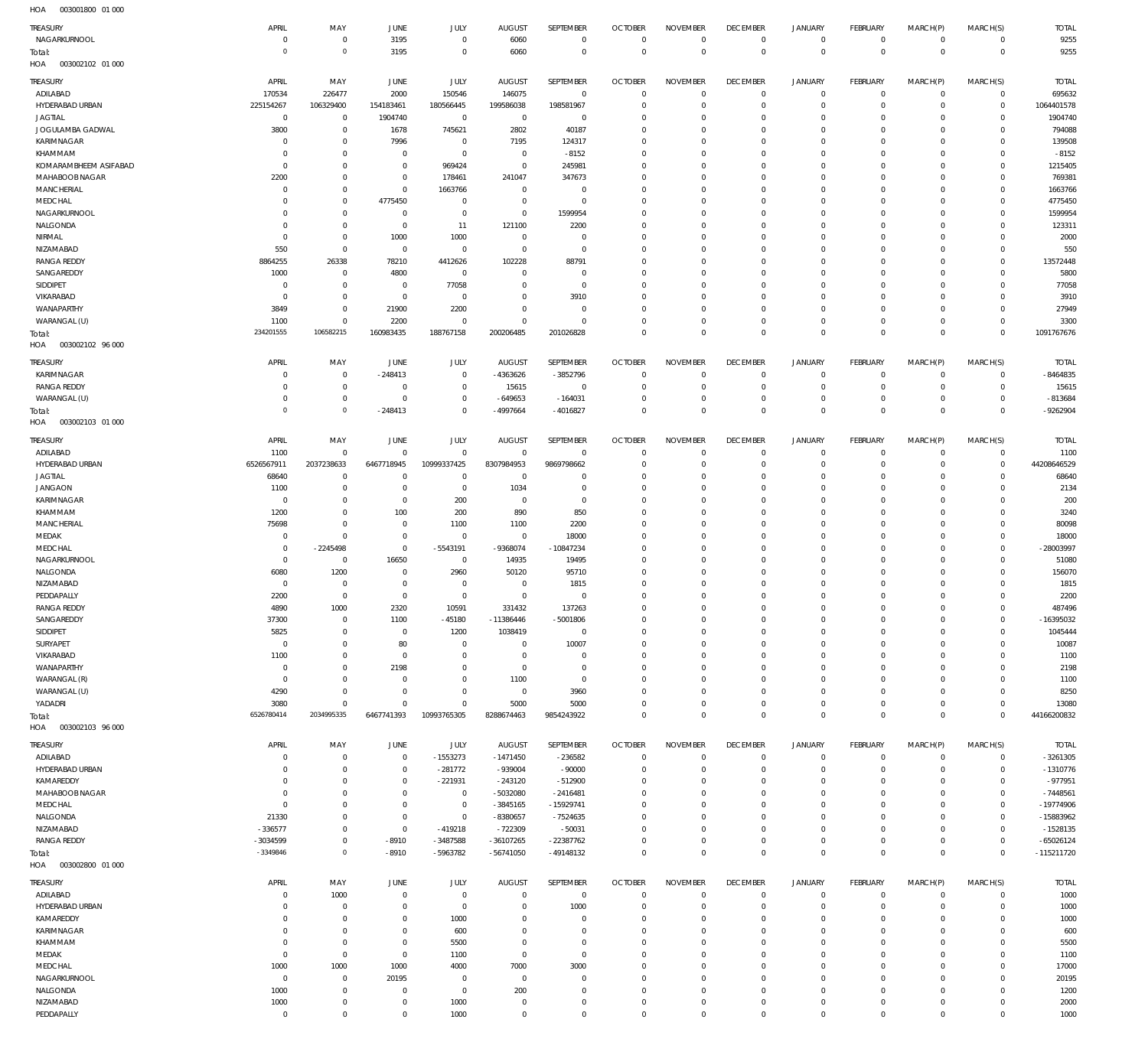| .                                  |                         |                                  |                              |                            |                          |                                |                               |                                |                               |                            |                                |                            |                            |                           |
|------------------------------------|-------------------------|----------------------------------|------------------------------|----------------------------|--------------------------|--------------------------------|-------------------------------|--------------------------------|-------------------------------|----------------------------|--------------------------------|----------------------------|----------------------------|---------------------------|
| TREASURY<br>NAGARKURNOOL           | APRIL<br>$\overline{0}$ | MAY<br>$\overline{0}$            | JUNE<br>3195                 | JULY<br>$\mathbf 0$        | <b>AUGUST</b><br>6060    | SEPTEMBER<br>$\mathbf 0$       | <b>OCTOBER</b><br>$^{\circ}$  | <b>NOVEMBER</b><br>$\mathbf 0$ | <b>DECEMBER</b><br>$^{\circ}$ | JANUARY<br>$\circ$         | <b>FEBRUARY</b><br>$\mathbf 0$ | MARCH(P)<br>$\circ$        | MARCH(S)<br>$\circ$        | <b>TOTAL</b><br>9255      |
| Total:                             | $^{\circ}$              | $\mathbb O$                      | 3195                         | $\mathbf 0$                | 6060                     | $\mathbf 0$                    | $\mathbf 0$                   | $\mathbb O$                    | $\mathbf 0$                   | $\mathbb O$                | $\mathbf 0$                    | $\mathbb O$                | $^{\circ}$                 | 9255                      |
| HOA<br>003002102 01 000            |                         |                                  |                              |                            |                          |                                |                               |                                |                               |                            |                                |                            |                            |                           |
| TREASURY                           | APRIL                   | MAY                              | JUNE                         | JULY                       | <b>AUGUST</b>            | <b>SEPTEMBER</b>               | <b>OCTOBER</b>                | <b>NOVEMBER</b>                | <b>DECEMBER</b>               | <b>JANUARY</b>             | FEBRUARY                       | MARCH(P)                   | MARCH(S)                   | <b>TOTAL</b>              |
| ADILABAD                           | 170534                  | 226477                           | 2000                         | 150546                     | 146075                   | $\overline{0}$                 | C                             | $\mathbf 0$                    | $^{\circ}$                    | $\circ$                    | $^{\circ}$                     | $\mathbf 0$                | $\mathbf 0$                | 695632                    |
| HYDERABAD URBAN                    | 225154267               | 106329400                        | 154183461                    | 180566445                  | 199586038                | 198581967                      | C                             | $\mathbf{0}$                   | $\mathbf 0$                   | $\mathbf 0$                | $^{\circ}$                     | $\mathbf 0$                | $\mathbf 0$                | 1064401578                |
| <b>JAGTIAL</b>                     | $^{\circ}$              | $\overline{0}$                   | 1904740                      | $\overline{0}$             | $\overline{0}$           | $\overline{0}$                 | C                             | $\mathbf 0$                    | 0                             | $\circ$                    | O                              | $\mathbf 0$                | $\mathbf 0$                | 1904740                   |
| JOGULAMBA GADWAL                   | 3800                    | $\mathbb O$                      | 1678                         | 745621                     | 2802                     | 40187                          | 0                             | $\overline{0}$                 | $\mathbf 0$                   | $\circ$                    | O                              | $\mathbf 0$                | 0                          | 794088                    |
| KARIMNAGAR                         | C                       | $\overline{0}$                   | 7996                         | $\overline{0}$             | 7195                     | 124317                         | C                             | $\mathbf 0$                    | $\Omega$                      | $\mathbf 0$                | O                              | $\mathbf 0$                | $\Omega$                   | 139508                    |
| KHAMMAM                            | C                       | $\mathbb O$                      | $^{\circ}$                   | $\mathbb O$                | $^{\circ}$               | $-8152$                        | 0                             | $\overline{0}$                 | 0                             | $\circ$                    | O                              | $\mathbf 0$                | 0                          | $-8152$                   |
| KOMARAMBHEEM ASIFABAD              | C                       | $\mathbb O$                      | $\overline{0}$               | 969424                     | $^{\circ}$               | 245981                         | C                             | $\mathbf 0$                    | $\Omega$                      | $\mathbf 0$                | O                              | $\mathbf 0$                | $\Omega$                   | 1215405                   |
| MAHABOOB NAGAR<br>MANCHERIAL       | 2200<br>C               | $\mathbb O$<br>$\overline{0}$    | $^{\circ}$<br>$\overline{0}$ | 178461<br>1663766          | 241047<br>$\overline{0}$ | 347673<br>$^{\circ}$           | $\mathbf 0$<br>C              | $\overline{0}$<br>$\mathbf 0$  | $\mathbf 0$<br>0              | $\circ$<br>$\mathbf 0$     | O<br>O                         | $\mathbf 0$<br>$\mathbf 0$ | $\Omega$<br>0              | 769381<br>1663766         |
| MEDCHAL                            | C                       | $\mathbb O$                      | 4775450                      | $\overline{0}$             | $^{\circ}$               | $\mathbb O$                    | $\mathbf 0$                   | $\mathbf 0$                    | $\Omega$                      | 0                          | O                              | $\mathbf 0$                | $\Omega$                   | 4775450                   |
| NAGARKURNOOL                       | 0                       | $\overline{0}$                   | $\overline{0}$               | $\overline{0}$             | $\overline{0}$           | 1599954                        | C                             | $\mathbf 0$                    | 0                             | $\circ$                    | O                              | $\mathbf 0$                | 0                          | 1599954                   |
| NALGONDA                           | C                       | $\mathbb O$                      | $^{\circ}$                   | 11                         | 121100                   | 2200                           | C                             | $\mathbf 0$                    | $\Omega$                      | 0                          | O                              | $\mathbf 0$                | $\Omega$                   | 123311                    |
| NIRMAL                             | 0                       | $\mathbb O$                      | 1000                         | 1000                       | $\overline{0}$           | $\overline{0}$                 | $\mathsf{C}$                  | $\mathbf 0$                    | $\Omega$                      | $\mathbf 0$                | O                              | $\mathbf 0$                | 0                          | 2000                      |
| NIZAMABAD                          | 550                     | $\mathbb O$                      | $\overline{0}$               | $\overline{0}$             | $^{\circ}$               | $\mathbb O$                    | C                             | $\mathbf 0$                    | 0                             | 0                          | O                              | $\mathbf 0$                | $\mathbf 0$                | 550                       |
| <b>RANGA REDDY</b>                 | 8864255                 | 26338                            | 78210                        | 4412626                    | 102228                   | 88791                          | C                             | $\mathbf 0$                    | $\Omega$                      | $\mathbf 0$                | O                              | $\mathbf 0$                | $^{\circ}$                 | 13572448                  |
| SANGAREDDY                         | 1000                    | $\overline{0}$                   | 4800                         | $\overline{0}$             | 0                        | $\overline{0}$                 | 0                             | $\overline{0}$                 | 0                             | $\circ$                    | O                              | $\mathbf 0$                | 0                          | 5800                      |
| SIDDIPET                           | C                       | $\overline{0}$                   | $\overline{0}$               | 77058                      | 0                        | $\mathbb O$                    | C                             | $\mathbf 0$                    | $\Omega$                      | $\mathbf 0$                | O                              | $\mathbf 0$                | $\Omega$                   | 77058                     |
| VIKARABAD                          | $\overline{0}$          | $\mathbb O$                      | $^{\circ}$                   | $\overline{0}$             | $\mathbf 0$              | 3910                           | $\mathsf{C}$                  | $\overline{0}$                 | $\mathbf 0$                   | $\circ$                    | O                              | $\mathbf 0$                | $\mathbf 0$                | 3910                      |
| WANAPARTHY<br>WARANGAL (U)         | 3849<br>1100            | $\mathbf 0$<br>$\mathbf 0$       | 21900<br>2200                | 2200<br>$\mathbf 0$        | 0<br>$\Omega$            | $\overline{0}$<br>$\mathbf{0}$ | C<br>C                        | $\mathbf 0$<br>$\overline{0}$  | 0<br>$\mathbf 0$              | $\circ$<br>$\circ$         | O<br>$\mathbf 0$               | $\mathbf 0$<br>$\mathbf 0$ | 0<br>$^{\circ}$            | 27949<br>3300             |
|                                    | 234201555               | 106582215                        | 160983435                    | 188767158                  | 200206485                | 201026828                      | $\Omega$                      | $\mathbf 0$                    | $^{\circ}$                    | $\mathbb O$                | $\Omega$                       | $\mathbf 0$                | $\Omega$                   | 1091767676                |
| Total:<br>HOA<br>003002102 96 000  |                         |                                  |                              |                            |                          |                                |                               |                                |                               |                            |                                |                            |                            |                           |
|                                    |                         |                                  |                              |                            |                          |                                |                               |                                |                               |                            |                                |                            |                            |                           |
| TREASURY                           | APRIL                   | MAY                              | JUNE                         | JULY                       | <b>AUGUST</b>            | SEPTEMBER                      | <b>OCTOBER</b>                | <b>NOVEMBER</b>                | <b>DECEMBER</b>               | <b>JANUARY</b>             | <b>FEBRUARY</b>                | MARCH(P)                   | MARCH(S)                   | <b>TOTAL</b>              |
| KARIMNAGAR                         | C                       | $^{\circ}$                       | $-248413$                    | $^{\circ}$                 | $-4363626$               | -3852796                       | C                             | $\mathbf 0$                    | $^{\circ}$                    | $\mathbf 0$                | $\mathbf 0$                    | $\mathbf 0$                | $\mathbf 0$                | $-8464835$                |
| <b>RANGA REDDY</b><br>WARANGAL (U) | C<br>C                  | $\mathbf 0$<br>$\overline{0}$    | $\overline{0}$<br>C          | $^{\circ}$<br>$^{\circ}$   | 15615<br>$-649653$       | $^{\circ}$<br>$-164031$        | C<br>C                        | $^{\circ}$<br>$^{\circ}$       | $^{\circ}$<br>$\overline{0}$  | $\circ$<br>$\circ$         | $\mathbf 0$<br>0               | $\mathbf 0$<br>$\mathbf 0$ | $\mathbf 0$<br>0           | 15615<br>$-813684$        |
| Total:                             | $^{\circ}$              | $\mathbb O$                      | $-248413$                    | $\mathbf 0$                | $-4997664$               | $-4016827$                     | $\Omega$                      | $\mathbf 0$                    | $\mathbf 0$                   | $\mathbf 0$                | $\Omega$                       | $\Omega$                   | $\mathbf{0}$               | -9262904                  |
| HOA<br>003002103 01 000            |                         |                                  |                              |                            |                          |                                |                               |                                |                               |                            |                                |                            |                            |                           |
|                                    |                         |                                  |                              |                            |                          |                                |                               |                                |                               |                            |                                |                            |                            |                           |
| TREASURY                           | APRIL                   | MAY                              | JUNE                         | JULY                       | <b>AUGUST</b>            | SEPTEMBER                      | <b>OCTOBER</b>                | <b>NOVEMBER</b>                | <b>DECEMBER</b>               | <b>JANUARY</b>             | <b>FEBRUARY</b>                | MARCH(P)                   | MARCH(S)                   | <b>TOTAL</b>              |
| ADILABAD<br>HYDERABAD URBAN        | 1100<br>6526567911      | $\mathbf 0$<br>2037238633        | $\overline{0}$<br>6467718945 | $\mathbf 0$<br>10999337425 | $^{\circ}$<br>8307984953 | $\mathbf 0$<br>9869798662      | C<br>C                        | $\mathbf 0$<br>$\mathbf 0$     | $\overline{0}$<br>$\mathbf 0$ | $\circ$<br>$\mathbf 0$     | $\mathbf 0$<br>$\mathbf 0$     | $\mathbf 0$<br>$\mathbf 0$ | $\circ$<br>$\mathbf 0$     | 1100<br>44208646529       |
| <b>JAGTIAL</b>                     | 68640                   | $^{\circ}$                       | C                            | $^{\circ}$                 | $^{\circ}$               | $^{\circ}$                     | C                             | $\overline{0}$                 | $\mathbf 0$                   | $\circ$                    | O                              | $\mathbf 0$                | $\mathbf 0$                | 68640                     |
| <b>JANGAON</b>                     | 1100                    | $\overline{0}$                   | $\overline{0}$               | $\overline{0}$             | 1034                     | $\overline{0}$                 | C                             | $\mathbf 0$                    | $\mathbf 0$                   | $\circ$                    | O                              | $\mathbf 0$                | $^{\circ}$                 | 2134                      |
| KARIMNAGAR                         | C                       | $\overline{0}$                   | $\overline{0}$               | 200                        | $^{\circ}$               | $\overline{0}$                 | C                             | $\mathbf 0$                    | 0                             | $\circ$                    | O                              | $\mathbf 0$                | $\Omega$                   | 200                       |
| KHAMMAM                            | 1200                    | $\overline{0}$                   | 100                          | 200                        | 890                      | 850                            | 0                             | $\overline{0}$                 | 0                             | $\circ$                    | O                              | $\mathbf 0$                | 0                          | 3240                      |
| MANCHERIAL                         | 75698                   | $\overline{0}$                   | $\overline{0}$               | 1100                       | 1100                     | 2200                           | C                             | $\mathbf 0$                    | $\Omega$                      | $\mathbf 0$                | O                              | $\mathbf 0$                | 0                          | 80098                     |
| MEDAK                              | $\overline{0}$          | $\mathbf 0$                      | $^{\circ}$                   | $^{\circ}$                 | $^{\circ}$               | 18000                          | $\mathbf 0$                   | $\overline{0}$                 | $\mathbf 0$                   | $\circ$                    | O                              | $\mathbf 0$                | $\mathbf 0$                | 18000                     |
| MEDCHAL                            | 0                       | $-2245498$                       | $\overline{0}$               | $-5543191$                 | -9368074                 | $-10847234$                    | C                             | $\mathbf 0$                    | 0                             | $\circ$                    | O                              | $\mathbf 0$                | 0                          | -28003997                 |
| NAGARKURNOOL                       | 0                       | $\overline{0}$                   | 16650                        | $\overline{0}$             | 14935                    | 19495                          | C                             | $\mathbf 0$                    | $\Omega$                      | 0                          | O                              | $\mathbf 0$                | $\Omega$                   | 51080                     |
| NALGONDA                           | 6080                    | 1200                             | $\overline{0}$               | 2960                       | 50120                    | 95710                          | C                             | $\mathbf 0$                    | 0                             | $\circ$                    | O                              | $\mathbf 0$                | 0                          | 156070                    |
| NIZAMABAD                          | C                       | $^{\circ}$                       | $\overline{0}$               | $^{\circ}$                 | $\overline{0}$           | 1815                           | $\mathbf 0$                   | $\mathbf 0$                    | $\Omega$                      | 0                          | O                              | $\mathbf 0$                | $\Omega$                   | 1815                      |
| PEDDAPALLY<br><b>RANGA REDDY</b>   | 2200<br>4890            | $\mathbf 0$<br>1000              | $\Omega$<br>2320             | $\mathbf 0$<br>10591       | $\mathbf 0$<br>331432    | $\mathbf 0$<br>137263          | $\Omega$<br>$\Omega$          | $\mathbf 0$<br>$\mathbf{0}$    | $\Omega$<br>$\Omega$          | $\mathbf 0$<br>$\Omega$    | $\Omega$<br>$\Omega$           | $\mathbf 0$<br>$\Omega$    | $\mathbf 0$<br>$\Omega$    | 2200<br>487496            |
| SANGAREDDY                         | 37300                   | $\overline{0}$                   | 1100                         | $-45180$                   | $-11386446$              | $-5001806$                     | $\mathbf 0$                   | $\mathbf 0$                    | $\Omega$                      | $\circ$                    | $\mathbf 0$                    | $\mathbf 0$                | $\mathbf 0$                | -16395032                 |
| SIDDIPET                           | 5825                    | $\mathbf 0$                      | $\overline{0}$               | 1200                       | 1038419                  | $\overline{0}$                 | $^{\circ}$                    | $\overline{0}$                 | $^{\circ}$                    | $\circ$                    | $\mathbf 0$                    | $\mathbf 0$                | $\mathbf 0$                | 1045444                   |
| SURYAPET                           | $\overline{0}$          | $\overline{0}$                   | 80                           | $\overline{0}$             | $\overline{0}$           | 10007                          | $\mathbf 0$                   | $\mathbf 0$                    | $\mathbf 0$                   | $\circ$                    | O                              | $\mathbf 0$                | 0                          | 10087                     |
| VIKARABAD                          | 1100                    | $\mathbf 0$                      | $\overline{0}$               | $\overline{0}$             | $^{\circ}$               | $\overline{0}$                 | $\mathbf 0$                   | $\overline{0}$                 | $\mathbf 0$                   | $\mathbf 0$                | $\mathbf 0$                    | $\mathbf 0$                | $\mathbf 0$                | 1100                      |
| WANAPARTHY                         | $\overline{0}$          | $\mathbf 0$                      | 2198                         | $\mathbf 0$                | $^{\circ}$               | $\overline{0}$                 | $\mathbf 0$                   | $\mathbf 0$                    | 0                             | $\circ$                    | O                              | $\mathbf 0$                | $\mathbf 0$                | 2198                      |
| WARANGAL (R)                       | $\overline{0}$          | $\mathbf 0$                      | C                            | $\mathbf 0$                | 1100                     | $\overline{0}$                 | $\mathbf 0$                   | $\overline{0}$                 | $\mathbf 0$                   | 0                          | O                              | $\mathbf 0$                | $\mathbf 0$                | 1100                      |
| WARANGAL (U)                       | 4290                    | $\mathbb O$                      | $\overline{0}$               | $\mathbb O$                | $^{\circ}$               | 3960                           | 0                             | $\mathbf 0$                    | $\mathbf 0$                   | $\circ$                    | 0                              | $\mathbf 0$                | $\mathbf 0$                | 8250                      |
| YADADRI                            | 3080                    | $\mathbb O$                      | $\mathbf 0$                  | $\mathbb O$                | 5000                     | 5000                           | $\mathbf 0$                   | $\mathbb O$                    | $\mathbf 0$                   | $\mathbf 0$                | $\mathbf 0$                    | $\mathbf 0$                | $\mathbf 0$                | 13080                     |
| Total:                             | 6526780414              | 2034995335                       | 6467741393                   | 10993765305                | 8288674463               | 9854243922                     | $\Omega$                      | $\mathbb O$                    | $\mathbb O$                   | $\mathbb O$                | $\Omega$                       | $\mathbb O$                | $\overline{0}$             | 44166200832               |
| 003002103 96 000<br>HOA            |                         |                                  |                              |                            |                          |                                |                               |                                |                               |                            |                                |                            |                            |                           |
| TREASURY                           | APRIL                   | MAY                              | JUNE                         | JULY                       | <b>AUGUST</b>            | SEPTEMBER                      | <b>OCTOBER</b>                | <b>NOVEMBER</b>                | <b>DECEMBER</b>               | <b>JANUARY</b>             | FEBRUARY                       | MARCH(P)                   | MARCH(S)                   | <b>TOTAL</b>              |
| ADILABAD                           | C                       | $^{\circ}$                       | $^{\circ}$                   | $-1553273$                 | $-1471450$               | $-236582$                      | $\overline{0}$                | $^{\circ}$                     | $\overline{0}$                | $\circ$                    | $\mathbf 0$                    | $\mathbf 0$                | $\circ$                    | -3261305                  |
| HYDERABAD URBAN                    | C                       | $^{\circ}$                       | $^{\circ}$                   | $-281772$                  | -939004                  | $-90000$                       | $\mathbf 0$                   | $\mathbf 0$                    | $\mathbf 0$                   | $\mathbf 0$                | $\mathbf 0$                    | $^{\circ}$                 | $\mathbf 0$                | $-1310776$                |
| KAMAREDDY                          | C                       | $\overline{0}$                   | $^{\circ}$                   | $-221931$                  | $-243120$                | $-512900$                      | 0                             | $^{\circ}$                     | 0                             | $\mathbf 0$                | 0                              | $\mathbf 0$                | 0                          | $-977951$                 |
| MAHABOOB NAGAR                     | C                       | $\mathbf 0$                      | $\mathbf 0$                  | $\mathbb O$                | $-5032080$               | $-2416481$                     | C                             | $\mathbf 0$                    | $\Omega$                      | 0                          | O                              | $\Omega$                   | $\Omega$                   | $-7448561$                |
| MEDCHAL                            | 0                       | $\overline{0}$                   | $^{\circ}$                   | $\mathbb O$                | $-3845165$               | $-15929741$                    | $\Omega$                      | $\mathbf 0$                    | 0                             | $\mathbf 0$                | $\Omega$                       | $\mathbf 0$                | $\mathbf 0$                | $-19774906$               |
| NALGONDA<br>NIZAMABAD              | 21330<br>$-336577$      | $^{\circ}$<br>$\overline{0}$     | $^{\circ}$<br>$^{\circ}$     | $\mathbb O$<br>$-419218$   | $-8380657$               | $-7524635$<br>$-50031$         | C<br>C                        | $\Omega$<br>$\mathbf 0$        | $\Omega$<br>$\mathbf 0$       | $\mathbf 0$<br>$\mathbf 0$ | O<br>$\Omega$                  | $\Omega$<br>$\mathbf 0$    | $\mathbf 0$<br>$\mathbf 0$ | $-15883962$<br>$-1528135$ |
| <b>RANGA REDDY</b>                 | -3034599                | $\mathbb O$                      | $-8910$                      | $-3487588$                 | $-722309$<br>$-36107265$ | $-22387762$                    | $\mathbf 0$                   | $^{\circ}$                     | $^{\circ}$                    | $\mathbf 0$                | 0                              | $\mathbf 0$                | $\mathbf 0$                | $-65026124$               |
| Total:                             | $-3349846$              | $\mathbb O$                      | $-8910$                      | -5963782                   | $-56741050$              | $-49148132$                    | $\mathbf 0$                   | $\mathbb O$                    | $\mathbb O$                   | $\mathbb O$                | $\Omega$                       | $\mathbf 0$                | $\mathbf{0}$               | $-115211720$              |
| 003002800 01 000<br>HOA            |                         |                                  |                              |                            |                          |                                |                               |                                |                               |                            |                                |                            |                            |                           |
|                                    |                         |                                  |                              |                            |                          |                                |                               |                                |                               |                            |                                |                            |                            |                           |
| TREASURY                           | APRIL                   | MAY                              | JUNE                         | JULY                       | <b>AUGUST</b>            | SEPTEMBER                      | <b>OCTOBER</b>                | <b>NOVEMBER</b>                | <b>DECEMBER</b>               | <b>JANUARY</b>             | FEBRUARY                       | MARCH(P)                   | MARCH(S)                   | <b>TOTAL</b>              |
| ADILABAD                           | C                       | 1000                             | $^{\circ}$                   | $\overline{0}$             | $^{\circ}$               | $\mathbf 0$                    | $^{\circ}$                    | $\overline{0}$<br>$\mathbf 0$  | $^{\circ}$                    | $\circ$                    | $\mathbf 0$                    | $\circ$                    | $\circ$                    | 1000                      |
| HYDERABAD URBAN<br>KAMAREDDY       | C<br>$\Omega$           | $\overline{0}$<br>$\overline{0}$ | $^{\circ}$<br>$^{\circ}$     | $\mathbf 0$<br>1000        | 0<br>0                   | 1000<br>$\overline{0}$         | $\overline{0}$<br>$\mathbf 0$ | $\mathbf 0$                    | $\overline{0}$<br>$\mathbf 0$ | $\circ$<br>$\circ$         | $\mathbf 0$<br>$\mathbf 0$     | $\mathbf 0$<br>$\mathbf 0$ | $\mathbf 0$<br>$\mathbf 0$ | 1000<br>1000              |
| KARIMNAGAR                         | 0                       | $\overline{0}$                   | $^{\circ}$                   | 600                        | 0                        | $\overline{0}$                 | $\mathbf 0$                   | $\overline{0}$                 | $\mathbf 0$                   | $\circ$                    | 0                              | $\mathbf 0$                | $\mathbf 0$                | 600                       |
| KHAMMAM                            | 0                       | $\mathbb O$                      | $^{\circ}$                   | 5500                       | $\mathbf 0$              | $\mathbb O$                    | $\mathbf 0$                   | $\mathbf 0$                    | $\Omega$                      | 0                          | O                              | $\mathbf 0$                | $\mathbf 0$                | 5500                      |
| MEDAK                              | $^{\circ}$              | $\mathbb O$                      | $^{\circ}$                   | 1100                       | $^{\circ}$               | $\mathbb O$                    | $\mathbf 0$                   | $\overline{0}$                 | $\mathbf 0$                   | $\circ$                    | $\Omega$                       | $\mathbf 0$                | $\mathbf 0$                | 1100                      |
| MEDCHAL                            | 1000                    | 1000                             | 1000                         | 4000                       | 7000                     | 3000                           | $\mathbf 0$                   | $\overline{0}$                 | $\mathbf 0$                   | 0                          | 0                              | $\mathbf 0$                | $\mathbf 0$                | 17000                     |
| NAGARKURNOOL                       | $\overline{0}$          | $\mathbb O$                      | 20195                        | $^{\circ}$                 | $^{\circ}$               | $\overline{0}$                 | $\mathbf 0$                   | $\mathbb O$                    | $\Omega$                      | $\mathbf 0$                | O                              | $\mathbf 0$                | $\mathbf 0$                | 20195                     |
| NALGONDA                           | 1000                    | $\mathbb O$                      | $^{\circ}$                   | $\mathbb O$                | 200                      | $\overline{0}$                 | $\mathbf 0$                   | $\overline{0}$                 | $^{\circ}$                    | $\circ$                    | 0                              | $\mathbf 0$                | $\mathbf 0$                | 1200                      |
| NIZAMABAD                          | 1000                    | $\mathbb O$                      | $^{\circ}$                   | 1000                       | $^{\circ}$               | $\overline{0}$                 | $\mathbf 0$                   | $\mathbb O$                    | $^{\circ}$                    | 0                          | 0                              | $\mathbf 0$                | $\mathbf 0$                | 2000                      |
| PEDDAPALLY                         | $^{\circ}$              | $\mathbb O$                      | $\mathbf 0$                  | 1000                       | $\mathbf 0$              | $\mathbb O$                    | $\mathbf 0$                   | $\mathbb O$                    | $\overline{0}$                | $\mathbf 0$                | 0                              | $\mathbf 0$                | $\mathbf 0$                | 1000                      |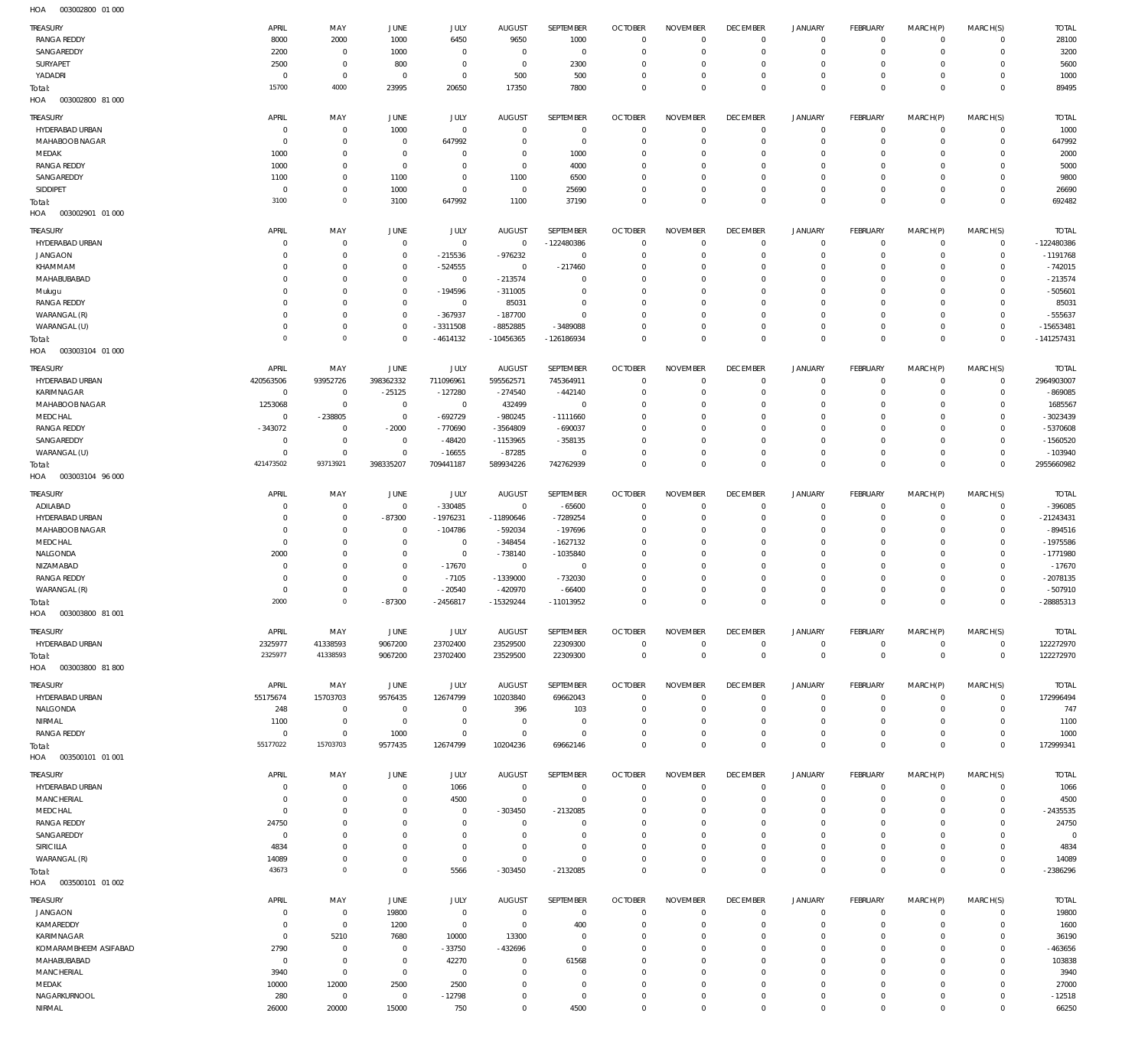| TREASURY                             | APRIL                      | MAY                                | <b>JUNE</b>                      | JULY                    | <b>AUGUST</b>                   | SEPTEMBER                 | <b>OCTOBER</b>                   | <b>NOVEMBER</b>                | <b>DECEMBER</b>                   | <b>JANUARY</b>                | <b>FEBRUARY</b>                | MARCH(P)                | MARCH(S)                       | <b>TOTAL</b>              |
|--------------------------------------|----------------------------|------------------------------------|----------------------------------|-------------------------|---------------------------------|---------------------------|----------------------------------|--------------------------------|-----------------------------------|-------------------------------|--------------------------------|-------------------------|--------------------------------|---------------------------|
| <b>RANGA REDDY</b>                   | 8000                       | 2000                               | 1000                             | 6450                    | 9650                            | 1000                      | $\overline{0}$                   | $\mathbf 0$                    | $\overline{0}$                    | $\circ$                       | $\overline{0}$                 | $\mathbf 0$             | $\overline{0}$                 | 28100                     |
| SANGAREDDY                           | 2200                       | $\bf 0$                            | 1000                             | $\mathbf 0$             | $\overline{0}$                  | $\overline{0}$            | $\overline{0}$                   | $\mathbf 0$                    | $\mathbf 0$                       | $\mathbf 0$                   | $\mathbf{0}$                   | $\mathbf 0$             | $\mathbf{0}$                   | 3200                      |
| SURYAPET                             | 2500                       | $\bf 0$                            | 800                              | $\mathbf 0$             | $\overline{0}$                  | 2300                      | $\overline{0}$                   | $\Omega$                       | $\overline{0}$                    | $\mathbf 0$                   | $\mathbf{0}$                   | $\Omega$                | $\mathbf{0}$                   | 5600                      |
| YADADRI                              | $\mathbf 0$<br>15700       | $\bf 0$<br>4000                    | $\overline{0}$                   | $\mathbf 0$             | 500                             | 500                       | $\overline{0}$<br>$\overline{0}$ | $\mathbf 0$<br>$\Omega$        | $\overline{0}$<br>$\overline{0}$  | $\mathbf 0$<br>$\mathbf 0$    | $\mathbf{0}$<br>$\overline{0}$ | $\mathbf 0$<br>$\Omega$ | $\mathbf{0}$<br>$\overline{0}$ | 1000<br>89495             |
| Total:<br>003002800 81 000<br>HOA    |                            |                                    | 23995                            | 20650                   | 17350                           | 7800                      |                                  |                                |                                   |                               |                                |                         |                                |                           |
| TREASURY                             | <b>APRIL</b>               | MAY                                | <b>JUNE</b>                      | JULY                    | <b>AUGUST</b>                   | SEPTEMBER                 | <b>OCTOBER</b>                   | <b>NOVEMBER</b>                | <b>DECEMBER</b>                   | <b>JANUARY</b>                | <b>FEBRUARY</b>                | MARCH(P)                | MARCH(S)                       | <b>TOTAL</b>              |
| HYDERABAD URBAN                      | $\mathbf 0$                | $\mathbf 0$                        | 1000                             | $\mathbf 0$             | $\mathbf 0$                     | $\mathbf 0$               | $\overline{0}$                   | $\Omega$                       | $\overline{0}$                    | 0                             | $\overline{0}$                 | $\mathbf 0$             | $\circ$                        | 1000                      |
| MAHABOOB NAGAR                       | $\mathbf 0$                | $\mathbf 0$                        | $\overline{0}$                   | 647992                  | $\mathbf 0$                     | $\mathbf 0$               | $\mathbf 0$                      | $\Omega$                       | $\mathbf 0$                       | $\mathbf 0$                   | $\mathbf{0}$                   | $\Omega$                | $\mathbf 0$                    | 647992                    |
| MEDAK                                | 1000                       | $\mathbf 0$                        | $\overline{0}$                   | $\Omega$                | $\mathbf 0$                     | 1000                      | $\mathbf 0$                      | $\Omega$                       | $\Omega$                          | $\mathbf 0$                   | $\Omega$                       | $\Omega$                | $\Omega$                       | 2000                      |
| <b>RANGA REDDY</b>                   | 1000                       | $\mathbf 0$                        | $\overline{0}$                   | $\mathbf 0$             | $\mathbf 0$                     | 4000                      | $\mathbf 0$                      | $\Omega$                       | $\mathbf 0$                       | $\mathbf 0$                   | $\mathbf 0$                    | $\Omega$                | $\mathbf 0$                    | 5000                      |
| SANGAREDDY                           | 1100                       | $\mathbf 0$                        | 1100                             | $\Omega$                | 1100                            | 6500                      | $\Omega$                         | $\Omega$                       | $\Omega$                          | $\mathbf 0$                   | $\Omega$                       | $\Omega$                | $\Omega$                       | 9800                      |
| SIDDIPET                             | $\mathbf 0$                | $\mathbf 0$<br>$\mathsf{O}\xspace$ | 1000                             | $\mathbf 0$             | $^{\circ}$                      | 25690                     | $\Omega$                         | $\Omega$                       | $\mathbf 0$                       | $\mathbf 0$                   | $\mathbf{0}$                   | $\Omega$                | $\mathbf 0$                    | 26690                     |
| Total:<br>003002901 01 000<br>HOA    | 3100                       |                                    | 3100                             | 647992                  | 1100                            | 37190                     | $\Omega$                         | $\Omega$                       | $\mathbf 0$                       | $\mathbf 0$                   | $\Omega$                       | $\Omega$                | $\mathbf 0$                    | 692482                    |
| TREASURY                             | APRIL                      | MAY                                | JUNE                             | JULY                    | <b>AUGUST</b>                   | SEPTEMBER                 | <b>OCTOBER</b>                   | <b>NOVEMBER</b>                | <b>DECEMBER</b>                   | <b>JANUARY</b>                | FEBRUARY                       | MARCH(P)                | MARCH(S)                       | <b>TOTAL</b>              |
| HYDERABAD URBAN                      | $\mathbf 0$                | $\mathbf 0$                        | $\overline{0}$                   | $\bf 0$                 | $\overline{0}$                  | -122480386                | $\overline{0}$                   | $\mathbf 0$                    | $\overline{0}$                    | $\mathbf 0$                   | $\overline{0}$                 | $\mathbf 0$             | $\overline{0}$                 | -122480386                |
| <b>JANGAON</b>                       | $\Omega$                   | $\mathbf 0$                        | $\overline{0}$                   | $-215536$               | $-976232$                       | $\overline{0}$            | $\overline{0}$                   | $\Omega$                       | $\mathbf 0$                       | $\mathbf 0$                   | $\overline{0}$                 | $\mathbf 0$             | $\circ$                        | $-1191768$                |
| KHAMMAM                              | $\Omega$                   | $\mathbf 0$                        | $\mathbf 0$                      | $-524555$               | $\overline{0}$                  | $-217460$                 | $\mathbf 0$                      | $\Omega$                       | $\mathbf 0$                       | $\mathbf 0$                   | $\mathbf 0$                    | $\Omega$                | $\Omega$                       | $-742015$                 |
| MAHABUBABAD                          | $\Omega$                   | $\mathbf 0$                        | $\mathbf 0$                      | $\mathsf{O}\xspace$     | $-213574$                       | $\mathbf 0$               | $\overline{0}$                   | $\Omega$                       | $\overline{0}$                    | $\mathbf 0$                   | $\mathbf{0}$                   | $\Omega$                | $\mathbf{0}$                   | $-213574$                 |
| Mulugu                               | $\mathbf 0$                | $\mathbf 0$                        | $\mathbf 0$                      | $-194596$               | $-311005$                       | $\mathbf 0$               | $\mathbf 0$                      | $\mathbf 0$                    | $\mathbf 0$                       | $\circ$                       | $\mathbf 0$                    | $\Omega$                | $\Omega$                       | $-505601$                 |
| <b>RANGA REDDY</b>                   | $\Omega$                   | $\mathbf 0$                        | $\mathbf 0$                      | $\mathbf{0}$            | 85031                           | $\mathbf 0$               | $\Omega$                         | $\Omega$                       | $\Omega$                          | $\Omega$                      | $\mathbf{0}$                   | $\Omega$                | $\mathbf{0}$                   | 85031                     |
| WARANGAL (R)                         | $\mathbf 0$<br>$\mathbf 0$ | $\mathbf 0$<br>$\bf 0$             | $\mathbf 0$<br>$\mathbf 0$       | $-367937$<br>$-3311508$ | $-187700$                       | $\mathbf 0$<br>-3489088   | $\mathbf 0$<br>$\mathbf 0$       | $\Omega$<br>$\Omega$           | $\overline{0}$<br>$\overline{0}$  | $\mathbf 0$<br>$\mathbf 0$    | $\mathbf{0}$<br>$\mathbf{0}$   | $\Omega$<br>$\Omega$    | $\mathbf{0}$<br>$\circ$        | $-555637$<br>$-15653481$  |
| WARANGAL (U)<br>Total:               | $\mathbf 0$                | $\mathbf 0$                        | $\mathbf 0$                      | $-4614132$              | -8852885<br>$-10456365$         | -126186934                | $\overline{0}$                   | $\mathbf 0$                    | $\overline{0}$                    | $\mathbf 0$                   | $\overline{0}$                 | $\mathbf 0$             | $\overline{0}$                 | $-141257431$              |
| HOA<br>003003104 01 000              |                            |                                    |                                  |                         |                                 |                           |                                  |                                |                                   |                               |                                |                         |                                |                           |
| TREASURY                             | APRIL                      | MAY                                | JUNE                             | JULY                    | <b>AUGUST</b>                   | SEPTEMBER                 | <b>OCTOBER</b>                   | <b>NOVEMBER</b>                | <b>DECEMBER</b>                   | <b>JANUARY</b>                | FEBRUARY                       | MARCH(P)                | MARCH(S)                       | <b>TOTAL</b>              |
| HYDERABAD URBAN                      | 420563506                  | 93952726                           | 398362332                        | 711096961               | 595562571                       | 745364911                 | $\mathbf 0$                      | $\Omega$                       | $\mathbf 0$                       | $\circ$                       | $\mathbf 0$                    | $\circ$                 | $\circ$                        | 2964903007                |
| KARIMNAGAR                           | $\mathbb O$                | $\mathbf 0$                        | $-25125$                         | $-127280$               | $-274540$                       | $-442140$                 | $\overline{0}$                   | $\Omega$                       | $\mathbf 0$                       | $\mathbf 0$                   | $\mathbf{0}$                   | $\Omega$                | $\mathbf{0}$                   | $-869085$                 |
| MAHABOOB NAGAR                       | 1253068                    | $\bf 0$                            | $\overline{0}$                   | $\mathbf 0$             | 432499                          | $\overline{0}$            | $\mathbf 0$                      | $\Omega$                       | $\mathbf 0$                       | $\circ$                       | $\mathbf 0$                    | $\Omega$                | $\mathbf 0$                    | 1685567                   |
| MEDCHAL                              | $\mathbf 0$                | -238805                            | $\overline{0}$                   | $-692729$               | $-980245$                       | $-1111660$                | $\Omega$                         | $\Omega$                       | $\Omega$                          | $\Omega$                      | $\Omega$                       | $\Omega$                | $\mathbf 0$                    | -3023439                  |
| <b>RANGA REDDY</b>                   | $-343072$                  | $\Omega$                           | $-2000$                          | $-770690$               | $-3564809$                      | $-690037$                 | $\Omega$                         | $\Omega$                       | $\Omega$                          | $\Omega$                      | $\mathbf 0$                    | $\Omega$                | $\mathbf 0$                    | $-5370608$                |
| SANGAREDDY                           | $\mathbf 0$                | $\mathbf 0$                        | $\overline{0}$                   | $-48420$                | -1153965                        | $-358135$                 | $\Omega$                         | $\Omega$                       | $\mathbf 0$                       | $\mathbf 0$                   | $\mathbf 0$                    | $\Omega$                | $\mathbf 0$                    | $-1560520$                |
| WARANGAL (U)                         | $\mathbf 0$<br>421473502   | $\mathbf 0$<br>93713921            | $\overline{0}$                   | $-16655$                | $-87285$                        | $\mathbf 0$               | $\Omega$<br>$\Omega$             | $\Omega$<br>$\Omega$           | $\mathbf 0$<br>$\mathbf 0$        | $\mathbf 0$<br>$\mathbf 0$    | $\mathbf{0}$<br>$\overline{0}$ | $\Omega$<br>$\mathbf 0$ | $\mathbf 0$<br>$\overline{0}$  | $-103940$                 |
| Total:<br>HOA<br>003003104 96 000    |                            |                                    | 398335207                        | 709441187               | 589934226                       | 742762939                 |                                  |                                |                                   |                               |                                |                         |                                | 2955660982                |
|                                      |                            |                                    |                                  |                         |                                 |                           |                                  |                                |                                   |                               |                                |                         |                                |                           |
| TREASURY<br>ADILABAD                 | APRIL<br>$\Omega$          | MAY<br>$\bf 0$                     | JUNE<br>$\overline{0}$           | JULY<br>$-330485$       | <b>AUGUST</b><br>$\overline{0}$ | SEPTEMBER<br>$-65600$     | <b>OCTOBER</b><br>$\overline{0}$ | <b>NOVEMBER</b><br>$\mathbf 0$ | <b>DECEMBER</b><br>$\overline{0}$ | <b>JANUARY</b><br>$\mathbf 0$ | FEBRUARY<br>$\mathbf{0}$       | MARCH(P)<br>$\mathbf 0$ | MARCH(S)<br>$\overline{0}$     | <b>TOTAL</b><br>$-396085$ |
| HYDERABAD URBAN                      | $\Omega$                   | $\mathbf 0$                        | $-87300$                         | -1976231                | $-11890646$                     | $-7289254$                | $\overline{0}$                   | $\mathbf 0$                    | $\overline{0}$                    | $\mathbf 0$                   | $\overline{0}$                 | $\mathbf 0$             | $\circ$                        | $-21243431$               |
| MAHABOOB NAGAR                       | $\mathbf 0$                | $\bf 0$                            | $\overline{0}$                   | $-104786$               | $-592034$                       | $-197696$                 | $\mathbf 0$                      | $\mathbf 0$                    | $\overline{0}$                    | $\mathbf 0$                   | $\mathbf{0}$                   | $\Omega$                | $\mathbf{0}$                   | $-894516$                 |
| MEDCHAL                              | $\mathbf 0$                | $\mathbf 0$                        | $\overline{0}$                   | $\mathbf 0$             | $-348454$                       | $-1627132$                | $\overline{0}$                   | $\Omega$                       | $\overline{0}$                    | $\mathbf 0$                   | $\mathbf{0}$                   | $\Omega$                | $\mathbf{0}$                   | $-1975586$                |
| NALGONDA                             | 2000                       | $\mathbf 0$                        | $\overline{0}$                   | $\mathbf 0$             | $-738140$                       | $-1035840$                | $\mathbf 0$                      | $\Omega$                       | $\overline{0}$                    | $\mathbf 0$                   | $\mathbf{0}$                   | $\Omega$                | $\mathbf{0}$                   | $-1771980$                |
| NIZAMABAD                            | $\mathbf 0$                | $\bf 0$                            | $\mathbf 0$                      | $-17670$                | $\overline{0}$                  | $\overline{0}$            | $\mathbf 0$                      | $\Omega$                       | $\mathbf 0$                       | $\mathbf 0$                   | $\mathbf{0}$                   | $\Omega$                | $\mathbf{0}$                   | $-17670$                  |
| <b>RANGA REDDY</b>                   | $\Omega$                   | $\mathbf 0$                        | $\overline{0}$                   | $-7105$                 | $-1339000$                      | $-732030$                 | $\overline{0}$                   | $\Omega$                       | $\Omega$                          | $\Omega$                      | $\mathbf{0}$                   | $\Omega$                | $\mathbf{0}$                   | $-2078135$                |
| WARANGAL (R)                         | $\mathbf 0$                | $\mathbf 0$<br>$\mathbf 0$         | $\mathbf 0$                      | $-20540$                | $-420970$                       | $-66400$                  | $\overline{0}$                   | $\Omega$                       | $\mathbf 0$                       | $\mathbf 0$                   | $\mathbf{0}$                   | $\Omega$                | $\mathbf{0}$                   | $-507910$                 |
| Total:<br>HOA<br>003003800 81 001    | 2000                       |                                    | $-87300$                         | $-2456817$              | $-15329244$                     | $-11013952$               | $\Omega$                         | $\mathbf 0$                    | $\Omega$                          | $\Omega$                      | $\mathbf 0$                    | $\Omega$                | $\overline{0}$                 | $-28885313$               |
| TREASURY                             | APRIL                      | MAY                                | JUNE                             | JULY                    |                                 | SEPTEMBER                 | <b>OCTOBER</b>                   | <b>NOVEMBER</b>                | <b>DECEMBER</b>                   | <b>JANUARY</b>                | FEBRUARY                       | MARCH(P)                |                                | <b>TOTAL</b>              |
| HYDERABAD URBAN                      | 2325977                    | 41338593                           | 9067200                          | 23702400                | AUGUST<br>23529500              | 22309300                  | $\overline{0}$                   | $\mathbf 0$                    | $\overline{0}$                    | $\mathbf 0$                   | $\overline{0}$                 | $\mathbf{0}$            | MARCH(S)<br>$\overline{0}$     | 122272970                 |
| Total:                               | 2325977                    | 41338593                           | 9067200                          | 23702400                | 23529500                        | 22309300                  | $\overline{0}$                   | $\mathbf 0$                    | $\overline{0}$                    | $\mathbf{0}$                  | $\overline{0}$                 | $\mathbf 0$             | $\overline{0}$                 | 122272970                 |
| 003003800 81800<br>HOA               |                            |                                    |                                  |                         |                                 |                           |                                  |                                |                                   |                               |                                |                         |                                |                           |
| <b>TREASURY</b>                      | APRIL                      | MAY                                | JUNE                             | JULY                    | <b>AUGUST</b>                   | SEPTEMBER                 | <b>OCTOBER</b>                   | <b>NOVEMBER</b>                | <b>DECEMBER</b>                   | <b>JANUARY</b>                | FEBRUARY                       | MARCH(P)                | MARCH(S)                       | <b>TOTAL</b>              |
| HYDERABAD URBAN                      | 55175674                   | 15703703                           | 9576435                          | 12674799                | 10203840                        | 69662043                  | $\overline{0}$                   | $\mathbf 0$                    | $\overline{0}$                    | 0                             | $\overline{0}$                 | $\mathbf 0$             | $\overline{0}$                 | 172996494                 |
| NALGONDA                             | 248                        | $\mathbf 0$                        | $\overline{0}$                   | $\mathbf 0$             | 396                             | 103                       | $\overline{0}$                   | $\mathbf 0$                    | $\mathbf 0$                       | $\mathbf 0$                   | $\mathbf{0}$                   | $\mathbf 0$             | $\overline{0}$                 | 747                       |
| NIRMAL                               | 1100                       | $\mathbf 0$                        | $\overline{\mathbf{0}}$          | $\mathbf 0$             | $\overline{0}$                  | $\mathbf{0}$              | $\overline{0}$                   | $\Omega$                       | $\overline{0}$                    | $\mathbf 0$                   | $\mathbf{0}$                   | $\mathbf 0$             | $\mathbf{0}$                   | 1100                      |
| <b>RANGA REDDY</b>                   | $\mathbf 0$                | $\mathsf{O}\xspace$                | 1000                             | $\mathbf 0$             | $\overline{0}$                  | $\mathbf 0$               | $\overline{0}$                   | $\mathbf 0$                    | $\overline{0}$                    | $\mathbf 0$                   | $\circ$                        | $\circ$                 | $\overline{0}$                 | 1000                      |
| Total:                               | 55177022                   | 15703703                           | 9577435                          | 12674799                | 10204236                        | 69662146                  | $\mathbf 0$                      | $\mathbf 0$                    | $\overline{0}$                    | $\mathbf 0$                   | $\overline{0}$                 | $\mathbf 0$             | $\overline{0}$                 | 172999341                 |
| 003500101 01 001<br>HOA              |                            |                                    |                                  |                         |                                 |                           |                                  |                                |                                   |                               |                                |                         |                                |                           |
| TREASURY                             | APRIL                      | MAY                                | <b>JUNE</b>                      | JULY                    | <b>AUGUST</b>                   | SEPTEMBER                 | <b>OCTOBER</b>                   | <b>NOVEMBER</b>                | <b>DECEMBER</b>                   | <b>JANUARY</b>                | FEBRUARY                       | MARCH(P)                | MARCH(S)                       | <b>TOTAL</b>              |
| HYDERABAD URBAN                      | $\Omega$                   | $\mathbf 0$                        | $\overline{0}$                   | 1066                    | $\overline{0}$                  | $\overline{0}$            | $\overline{0}$                   | $\Omega$                       | $\overline{0}$                    | $\mathbf 0$                   | $\mathbf{0}$                   | $\mathbf 0$             | $^{\circ}$                     | 1066                      |
| MANCHERIAL<br>MEDCHAL                | $\mathbf 0$<br>$\mathbf 0$ | $\mathbf 0$<br>$\mathbf 0$         | $\mathbf 0$<br>$\mathbf 0$       | 4500<br>$\mathbf 0$     | 0<br>$-303450$                  | $\mathbf 0$<br>$-2132085$ | $\mathbf 0$<br>$\mathbf 0$       | $\Omega$<br>$\Omega$           | $\mathbf 0$<br>$\Omega$           | $\mathbf 0$<br>$\circ$        | $\mathbf 0$<br>$\mathbf 0$     | $\circ$<br>$\Omega$     | $\mathbf{0}$<br>$\mathbf 0$    | 4500<br>$-2435535$        |
| <b>RANGA REDDY</b>                   | 24750                      | $\mathbf 0$                        | $\mathbf 0$                      | $\mathbf 0$             | $^{\circ}$                      | $\mathbf 0$               | $\mathbf 0$                      | $\Omega$                       | $\mathbf 0$                       | $\circ$                       | $\mathbf 0$                    | $\Omega$                | $\mathbf 0$                    | 24750                     |
| SANGAREDDY                           | $\mathbf 0$                | $\Omega$                           | $\mathbf 0$                      | $\Omega$                | $\Omega$                        | $\Omega$                  | $\Omega$                         | $\Omega$                       | $\Omega$                          | $\Omega$                      | $\Omega$                       | $\Omega$                | $\Omega$                       | $\Omega$                  |
| SIRICILLA                            | 4834                       | $\mathbf 0$                        | $\mathbf 0$                      | $\mathbf 0$             | $\mathbf 0$                     | $\Omega$                  | $\Omega$                         | $\Omega$                       | $\Omega$                          | $\circ$                       | $\mathbf 0$                    | $\Omega$                | $\Omega$                       | 4834                      |
| WARANGAL (R)                         | 14089                      | $\mathbf 0$                        | $\mathbf 0$                      | $\mathbf 0$             | $\mathbf 0$                     | $\mathbf 0$               | $\mathbf 0$                      | $\Omega$                       | $\mathbf 0$                       | $\mathbf 0$                   | $\mathbf 0$                    | $\circ$                 | $\mathbf 0$                    | 14089                     |
| Total:                               | 43673                      | $\mathsf{O}\xspace$                | $\mathbf 0$                      | 5566                    | $-303450$                       | $-2132085$                | $\Omega$                         | $\Omega$                       | $\Omega$                          | $\mathbf 0$                   | $\Omega$                       | $\Omega$                | $\mathbf 0$                    | $-2386296$                |
| 003500101 01 002<br>HOA              |                            |                                    |                                  |                         |                                 |                           |                                  |                                |                                   |                               |                                |                         |                                |                           |
| TREASURY                             | APRIL                      | MAY                                | JUNE                             | JULY                    | <b>AUGUST</b>                   | SEPTEMBER                 | <b>OCTOBER</b>                   | <b>NOVEMBER</b>                | <b>DECEMBER</b>                   | <b>JANUARY</b>                | FEBRUARY                       | MARCH(P)                | MARCH(S)                       | <b>TOTAL</b>              |
| <b>JANGAON</b>                       | $\mathbf 0$                | $\mathsf{O}\xspace$                | 19800                            | $\mathsf{O}\xspace$     | $\overline{0}$                  | $\mathbf 0$               | $\overline{0}$                   | $\mathbf 0$                    | $\overline{0}$                    | 0                             | $\overline{0}$                 | $\mathbf 0$             | $\overline{0}$                 | 19800                     |
| KAMAREDDY                            | $\mathbf 0$                | $\mathsf{O}\xspace$                | 1200                             | $\bf 0$                 | $\overline{0}$                  | 400                       | $\overline{0}$                   | $\mathbf 0$                    | $\mathbf 0$                       | $\circ$                       | $\mathbf{0}$                   | $\circ$                 | $\mathbf{0}$                   | 1600                      |
| KARIMNAGAR                           | $\overline{0}$             | 5210                               | 7680                             | 10000                   | 13300                           | $\mathbf 0$               | $\overline{0}$                   | $\mathbf 0$                    | $\overline{0}$                    | $\circ$                       | $^{\circ}$                     | $\circ$                 | $^{\circ}$                     | 36190                     |
| KOMARAMBHEEM ASIFABAD<br>MAHABUBABAD | 2790<br>$\overline{0}$     | 0<br>$\mathbf 0$                   | $\overline{0}$<br>$\overline{0}$ | $-33750$<br>42270       | -432696<br>$\overline{0}$       | $\mathbf 0$<br>61568      | $\overline{0}$<br>$\mathbf 0$    | $\Omega$<br>$\Omega$           | $\mathbf 0$<br>$\Omega$           | $\circ$<br>$\Omega$           | $\mathbf{0}$<br>$\mathbf 0$    | $\Omega$<br>$\Omega$    | $\mathbf{0}$<br>$\Omega$       | $-463656$<br>103838       |
| MANCHERIAL                           | 3940                       | $\mathsf{O}\xspace$                | $\overline{0}$                   | $\bf 0$                 | $\overline{0}$                  | $\mathbf 0$               | $\overline{0}$                   | $\Omega$                       | $\overline{0}$                    | $\circ$                       | $^{\circ}$                     | $\Omega$                | $\mathbf{0}$                   | 3940                      |
| MEDAK                                | 10000                      | 12000                              | 2500                             | 2500                    | $\mathbf 0$                     | $\mathbf 0$               | $\mathbf 0$                      | $\mathbf 0$                    | $\overline{0}$                    | $\mathbf 0$                   | $\mathbf{0}$                   | $\Omega$                | $\mathbf{0}$                   | 27000                     |
| NAGARKURNOOL                         | 280                        | $\,0\,$                            | $\overline{0}$                   | $-12798$                | $\mathbf 0$                     | $\mathbf 0$               | $\overline{0}$                   | $\mathbf 0$                    | $\overline{0}$                    | $\mathbf 0$                   | $\overline{0}$                 | $\mathbf 0$             | $\circ$                        | $-12518$                  |
| NIRMAL                               | 26000                      | 20000                              | 15000                            | 750                     | $\mathbf 0$                     | 4500                      | $\mathbf 0$                      | $\mathbf 0$                    | $\mathbf 0$                       | $\mathbf 0$                   | $\circ$                        | $\mathbf 0$             | $\mathbf{0}$                   | 66250                     |
|                                      |                            |                                    |                                  |                         |                                 |                           |                                  |                                |                                   |                               |                                |                         |                                |                           |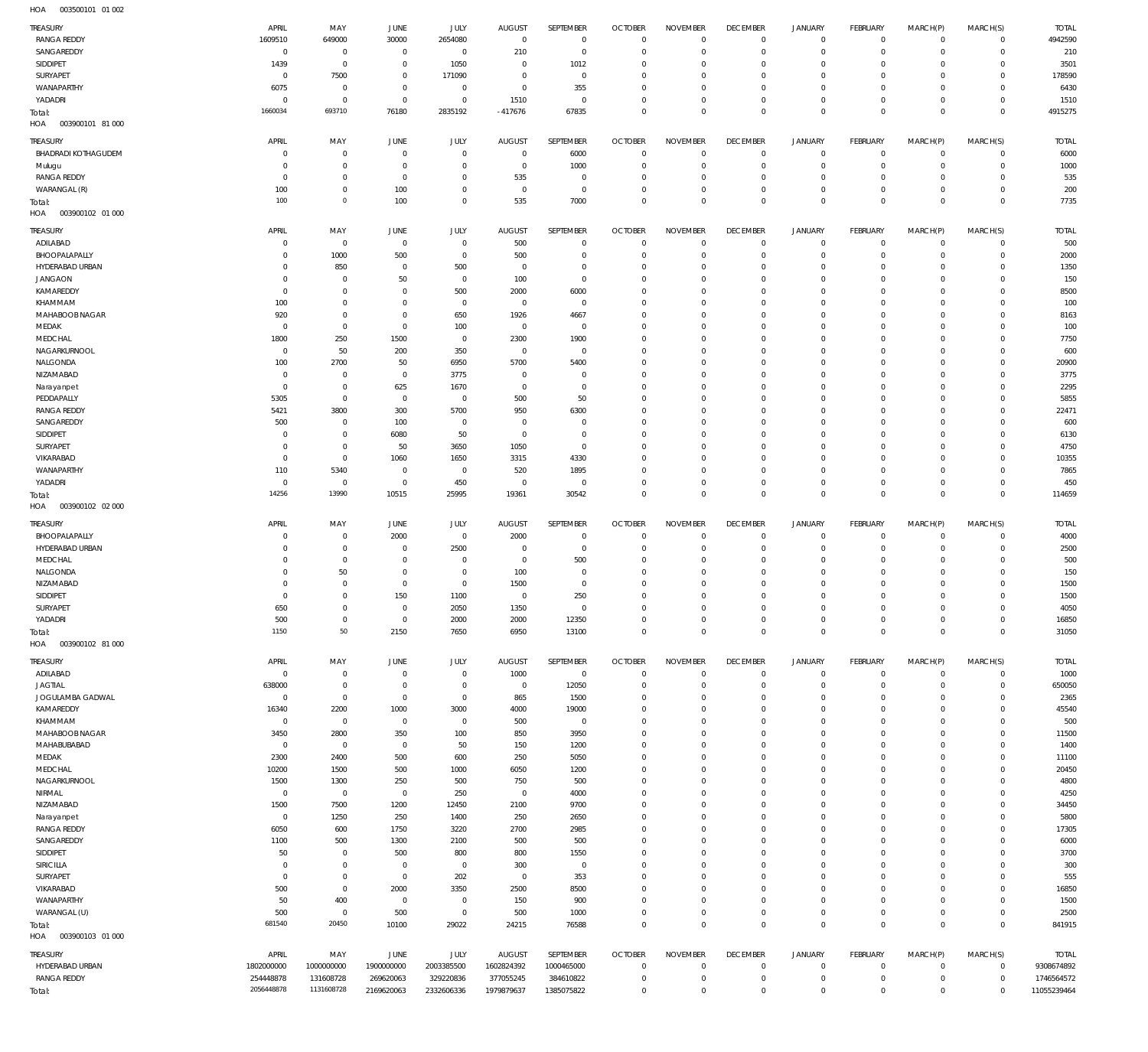003500101 01 002 HOA

| <b>TREASURY</b>                      | APRIL                      | MAY                              | JUNE                     | JULY                      | <b>AUGUST</b>                    | SEPTEMBER                        | <b>OCTOBER</b>             | <b>NOVEMBER</b>                  | <b>DECEMBER</b>                | <b>JANUARY</b>             | FEBRUARY                | MARCH(P)                   | MARCH(S)                   | <b>TOTAL</b>               |
|--------------------------------------|----------------------------|----------------------------------|--------------------------|---------------------------|----------------------------------|----------------------------------|----------------------------|----------------------------------|--------------------------------|----------------------------|-------------------------|----------------------------|----------------------------|----------------------------|
| <b>RANGA REDDY</b><br>SANGAREDDY     | 1609510<br>$\mathbf 0$     | 649000<br>$\overline{0}$         | 30000<br>$\mathbf{0}$    | 2654080<br>$\overline{0}$ | $\overline{0}$<br>210            | $\overline{0}$<br>$\overline{0}$ | $\Omega$<br>$\Omega$       | $\overline{0}$<br>$\Omega$       | $^{\circ}$<br>$\Omega$         | 0<br>$\mathbf 0$           | $\circ$<br>$\circ$      | $\mathbf 0$<br>$\mathbf 0$ | $\mathbf 0$<br>$\mathbf 0$ | 4942590<br>210             |
| SIDDIPET                             | 1439                       | $\overline{0}$                   | $^{\circ}$               | 1050                      | $\mathbf 0$                      | 1012                             | $\Omega$                   | $\overline{0}$                   | $\Omega$                       | $\mathbf 0$                | $\Omega$                | $\Omega$                   | $^{\circ}$                 | 3501                       |
| SURYAPET                             | $\mathbf 0$                | 7500                             | $\mathbf{0}$             | 171090                    | $\Omega$                         | $\overline{0}$                   | $\Omega$                   | $\Omega$                         | $\Omega$                       | $\mathbf 0$                | $\Omega$                | $\mathbf 0$                | $^{\circ}$                 | 178590                     |
| WANAPARTHY                           | 6075                       | $\overline{0}$                   | $\Omega$                 | $\mathbf 0$               | $\mathbf 0$                      | 355                              | $\Omega$                   | $\overline{0}$                   | $\Omega$                       | $\mathbf 0$                | $\Omega$                | $\Omega$                   | $\Omega$                   | 6430                       |
| YADADRI                              | $\mathbf{0}$               | $\overline{0}$                   | $\mathbf{0}$             | $\mathbf 0$               | 1510                             | $\overline{0}$                   | $\Omega$                   | $\Omega$                         | $^{\circ}$                     | $\mathbf 0$                | $\circ$                 | $\mathbf 0$                | $^{\circ}$                 | 1510                       |
| Total:                               | 1660034                    | 693710                           | 76180                    | 2835192                   | $-417676$                        | 67835                            | $\Omega$                   | $\overline{0}$                   | $\Omega$                       | $\mathbb O$                | $\Omega$                | $\mathbf 0$                | $\mathbf 0$                | 4915275                    |
| 003900101 81 000<br>HOA              |                            |                                  |                          |                           |                                  |                                  |                            |                                  |                                |                            |                         |                            |                            |                            |
| TREASURY                             | APRIL                      | MAY                              | <b>JUNE</b>              | JULY                      | <b>AUGUST</b>                    | SEPTEMBER                        | <b>OCTOBER</b>             | <b>NOVEMBER</b>                  | <b>DECEMBER</b>                | <b>JANUARY</b>             | FEBRUARY                | MARCH(P)                   | MARCH(S)                   | <b>TOTAL</b>               |
| <b>BHADRADI KOTHAGUDEM</b><br>Mulugu | $\mathbf 0$<br>$\Omega$    | $\overline{0}$<br>$\overline{0}$ | $^{\circ}$<br>$\Omega$   | $\mathbf 0$<br>$^{\circ}$ | $\mathbf 0$<br>$\mathbf 0$       | 6000<br>1000                     | $\Omega$<br>$\Omega$       | $\overline{0}$<br>$\Omega$       | $\mathbf 0$<br>$\Omega$        | $\mathbf 0$<br>$\mathbf 0$ | $^{\circ}$<br>$\Omega$  | $^{\circ}$<br>$\Omega$     | $\mathbf 0$<br>$\mathbf 0$ | 6000<br>1000               |
| <b>RANGA REDDY</b>                   | $\mathbf{0}$               | $\overline{0}$                   | $\Omega$                 | $^{\circ}$                | 535                              | $\overline{0}$                   | $\Omega$                   | $\overline{0}$                   | $\Omega$                       | $\circ$                    | $\Omega$                | $\Omega$                   | $\mathbf 0$                | 535                        |
| WARANGAL (R)                         | 100                        | $\mathbf{0}$                     | 100                      | $\Omega$                  | $^{\circ}$                       | $\overline{0}$                   | $\Omega$                   | $\Omega$                         | $\Omega$                       | $\mathbf 0$                | $\Omega$                | $\Omega$                   | $^{\circ}$                 | 200                        |
| Total:                               | 100                        | $\circ$                          | 100                      | $\overline{0}$            | 535                              | 7000                             | $\Omega$                   | $\overline{0}$                   | $\overline{0}$                 | $\mathbf 0$                | $\Omega$                | $\Omega$                   | $\Omega$                   | 7735                       |
| HOA<br>003900102 01 000              |                            |                                  |                          |                           |                                  |                                  |                            |                                  |                                |                            |                         |                            |                            |                            |
| TREASURY                             | APRIL                      | MAY                              | JUNE                     | JULY                      | <b>AUGUST</b>                    | SEPTEMBER                        | <b>OCTOBER</b>             | <b>NOVEMBER</b>                  | <b>DECEMBER</b>                | <b>JANUARY</b>             | FEBRUARY                | MARCH(P)                   | MARCH(S)                   | <b>TOTAL</b>               |
| ADILABAD                             | $\mathbf{0}$               | $\overline{0}$                   | $\overline{0}$           | $\mathbf 0$               | 500                              | $\overline{0}$                   | $\Omega$                   | $\overline{0}$                   | $\overline{0}$                 | 0                          | $\circ$                 | $\mathbf 0$                | $\mathbf 0$                | 500                        |
| BHOOPALAPALLY                        | $\Omega$                   | 1000                             | 500                      | $\mathbf 0$               | 500                              | $\mathbf 0$                      | $\Omega$                   | $\Omega$                         | $\Omega$                       | $\mathbf 0$                | $\circ$                 | $\mathbf 0$                | $^{\circ}$                 | 2000                       |
| HYDERABAD URBAN<br><b>JANGAON</b>    | $\mathbf 0$<br>$\mathbf 0$ | 850<br>$\overline{0}$            | $^{\circ}$<br>50         | 500<br>$\mathbf 0$        | $\overline{0}$<br>100            | $\mathbf 0$<br>$\overline{0}$    | $\Omega$<br>$\Omega$       | $\Omega$<br>$\overline{0}$       | $\Omega$<br>$\Omega$           | $\mathbf 0$<br>$\mathbf 0$ | $\Omega$<br>$\Omega$    | $\mathbf 0$<br>$\Omega$    | $^{\circ}$<br>$\Omega$     | 1350<br>150                |
| KAMAREDDY                            | $\mathbf{0}$               | $\overline{0}$                   | $^{\circ}$               | 500                       | 2000                             | 6000                             | $\Omega$                   | $\Omega$                         | $\Omega$                       | $\mathbf 0$                | $\Omega$                | $\mathbf 0$                | $^{\circ}$                 | 8500                       |
| KHAMMAM                              | 100                        | $\overline{0}$                   | $\Omega$                 | $\overline{0}$            | $\overline{0}$                   | $\overline{0}$                   | $\Omega$                   | $\overline{0}$                   | $\Omega$                       | $\mathbf 0$                | $\Omega$                | $\Omega$                   | $\Omega$                   | 100                        |
| MAHABOOB NAGAR                       | 920                        | $\overline{0}$                   | $^{\circ}$               | 650                       | 1926                             | 4667                             | $\Omega$                   | $\overline{0}$                   | $\Omega$                       | $\mathbf 0$                | $\Omega$                | $\mathbf 0$                | $^{\circ}$                 | 8163                       |
| MEDAK                                | $\overline{0}$             | $\overline{0}$                   | $\Omega$                 | 100                       | $\overline{0}$                   | $\overline{0}$                   | $\Omega$                   | $\overline{0}$                   | $\Omega$                       | $\mathbf 0$                | $\Omega$                | $\Omega$                   | $\Omega$                   | 100                        |
| MEDCHAL<br>NAGARKURNOOL              | 1800<br>$\mathbf 0$        | 250<br>50                        | 1500<br>200              | $\overline{0}$<br>350     | 2300<br>$\overline{0}$           | 1900<br>$\overline{0}$           | $\Omega$<br>$\Omega$       | $\overline{0}$<br>$\Omega$       | $\Omega$<br>$\Omega$           | $\circ$<br>$\mathbf 0$     | $\Omega$<br>$\Omega$    | $\mathbf 0$<br>$\Omega$    | $\Omega$<br>$^{\circ}$     | 7750<br>600                |
| NALGONDA                             | 100                        | 2700                             | 50                       | 6950                      | 5700                             | 5400                             | $\Omega$                   | $\overline{0}$                   | $\Omega$                       | $\mathbf 0$                | $\Omega$                | $\Omega$                   | $\Omega$                   | 20900                      |
| NIZAMABAD                            | $\mathbf 0$                | $\overline{0}$                   | $\overline{0}$           | 3775                      | $\overline{0}$                   | $\overline{0}$                   | $\Omega$                   | $\Omega$                         | $\Omega$                       | $\circ$                    | $\Omega$                | $\Omega$                   | $^{\circ}$                 | 3775                       |
| Narayanpet                           | $^{\circ}$                 | $\overline{0}$                   | 625                      | 1670                      | $^{\circ}$                       | $\overline{0}$                   | $\Omega$                   | $\overline{0}$                   | $\Omega$                       | $\mathbf 0$                | $\Omega$                | $\Omega$                   | $\Omega$                   | 2295                       |
| PEDDAPALLY                           | 5305                       | $\overline{0}$                   | $\overline{0}$           | $\mathbf 0$               | 500                              | 50                               | $\Omega$                   | $\overline{0}$                   | $\Omega$                       | $\circ$                    | $\Omega$                | $\mathbf 0$                | $^{\circ}$                 | 5855                       |
| <b>RANGA REDDY</b>                   | 5421                       | 3800                             | 300                      | 5700                      | 950                              | 6300                             | $\Omega$                   | $\overline{0}$                   | $\Omega$<br>$\Omega$           | $\circ$                    | $\Omega$<br>$\Omega$    | $\Omega$<br>$\Omega$       | $\Omega$<br>$\Omega$       | 22471                      |
| SANGAREDDY<br>SIDDIPET               | 500<br>$\mathbf{0}$        | $\overline{0}$<br>$\overline{0}$ | 100<br>6080              | $\overline{0}$<br>50      | $\overline{0}$<br>$\overline{0}$ | $\overline{0}$<br>$\overline{0}$ | $\Omega$<br>$\Omega$       | $\overline{0}$<br>$\Omega$       | $\Omega$                       | $\circ$<br>$\mathbf 0$     | $\Omega$                | $\mathbf 0$                | $\Omega$                   | 600<br>6130                |
| SURYAPET                             | $\mathbf{0}$               | $\overline{0}$                   | 50                       | 3650                      | 1050                             | $\overline{0}$                   | $\Omega$                   | $\overline{0}$                   | $\Omega$                       | $\mathbf 0$                | $\Omega$                | $\Omega$                   | $\Omega$                   | 4750                       |
| VIKARABAD                            | $\mathbf{0}$               | $\mathbb O$                      | 1060                     | 1650                      | 3315                             | 4330                             | $\Omega$                   | $\Omega$                         | $\Omega$                       | $\mathbf 0$                | $\Omega$                | $\Omega$                   | $\Omega$                   | 10355                      |
| WANAPARTHY                           | 110                        | 5340                             | $^{\circ}$               | $\overline{0}$            | 520                              | 1895                             | $\Omega$                   | $\overline{0}$                   | $\Omega$                       | $\mathbf 0$                | $\Omega$                | $\Omega$                   | $^{\circ}$                 | 7865                       |
| YADADRI                              | $\mathbf 0$<br>14256       | $\overline{0}$<br>13990          | $\overline{0}$           | 450                       | $\overline{0}$                   | $\overline{0}$                   | $\Omega$                   | $\overline{0}$                   | $^{\circ}$                     | $\mathsf{O}\xspace$        | $\circ$                 | $\mathbf 0$                | $^{\circ}$                 | 450                        |
| Total:<br>003900102 02 000<br>HOA    |                            |                                  | 10515                    | 25995                     | 19361                            | 30542                            | $\Omega$                   | $\overline{0}$                   | $\mathbf 0$                    | $\mathbb O$                | $\Omega$                | $\mathbf 0$                | $\mathbf 0$                | 114659                     |
|                                      |                            |                                  |                          |                           |                                  |                                  |                            |                                  |                                |                            |                         |                            |                            |                            |
|                                      |                            |                                  |                          |                           |                                  |                                  |                            |                                  |                                |                            |                         |                            |                            |                            |
| <b>TREASURY</b>                      | <b>APRIL</b>               | MAY                              | <b>JUNE</b>              | <b>JULY</b>               | <b>AUGUST</b>                    | SEPTEMBER                        | <b>OCTOBER</b>             | <b>NOVEMBER</b>                  | <b>DECEMBER</b>                | <b>JANUARY</b>             | FEBRUARY                | MARCH(P)                   | MARCH(S)                   | <b>TOTAL</b>               |
| BHOOPALAPALLY                        | $\mathbf 0$<br>$\Omega$    | $\overline{0}$                   | 2000<br>$\Omega$         | $\overline{0}$            | 2000<br>$^{\circ}$               | $^{\circ}$                       | $\Omega$<br>$\Omega$       | $\Omega$<br>$\overline{0}$       | $^{\circ}$<br>$\Omega$         | $\mathbf 0$                | $\circ$<br>$\Omega$     | $^{\circ}$<br>$\Omega$     | $\mathbf 0$<br>$^{\circ}$  | 4000                       |
| HYDERABAD URBAN<br>MEDCHAL           | $\Omega$                   | $\overline{0}$<br>$\overline{0}$ | $\Omega$                 | 2500<br>$^{\circ}$        | $\overline{0}$                   | $\overline{0}$<br>500            | $\Omega$                   | $\overline{0}$                   | $\Omega$                       | $\mathbf 0$<br>$\mathbf 0$ | $\Omega$                | $\Omega$                   | $^{\circ}$                 | 2500<br>500                |
| NALGONDA                             | $\Omega$                   | 50                               | $\Omega$                 | $^{\circ}$                | 100                              | $\mathbf{0}$                     | $\Omega$                   | $\Omega$                         | $\Omega$                       | $\Omega$                   | $\Omega$                | $\Omega$                   | $\Omega$                   | 150                        |
| NIZAMABAD                            | $\Omega$                   | $\mathbf{0}$                     | $\Omega$                 | $^{\circ}$                | 1500                             | $\overline{0}$                   | $\Omega$                   | $\overline{0}$                   | $\Omega$                       | $\Omega$                   | $\Omega$                | $\Omega$                   | $\Omega$                   | 1500                       |
| SIDDIPET                             | $\Omega$                   | $\mathbf{0}$                     | 150                      | 1100                      | $\overline{0}$                   | 250                              | $\Omega$                   | $\Omega$                         | $\Omega$                       | $\Omega$                   | $\Omega$                | $\Omega$                   | $\Omega$                   | 1500                       |
| SURYAPET                             | 650                        | $\Omega$                         | $\Omega$<br>$\mathbf{0}$ | 2050                      | 1350                             | $\Omega$                         | $\Omega$<br>$\Omega$       | $\Omega$<br>$\Omega$             | $\Omega$<br>$\Omega$           | $\Omega$<br>$\circ$        | $\Omega$<br>$\mathbf 0$ | $\Omega$<br>$\mathbf 0$    | $\Omega$<br>$\mathbf 0$    | 4050                       |
| YADADRI<br>Total:                    | 500<br>1150                | $\overline{0}$<br>50             | 2150                     | 2000<br>7650              | 2000<br>6950                     | 12350<br>13100                   | $\Omega$                   | $\overline{0}$                   | $\mathbf 0$                    | $\mathbf 0$                | $\mathbf 0$             | $\mathbf 0$                | $\mathbf 0$                | 16850<br>31050             |
| 003900102 81 000<br>HOA              |                            |                                  |                          |                           |                                  |                                  |                            |                                  |                                |                            |                         |                            |                            |                            |
| <b>TREASURY</b>                      | APRIL                      | MAY                              | <b>JUNE</b>              | JULY                      | <b>AUGUST</b>                    | SEPTEMBER                        | <b>OCTOBER</b>             | <b>NOVEMBER</b>                  | <b>DECEMBER</b>                | <b>JANUARY</b>             | FEBRUARY                | MARCH(P)                   | MARCH(S)                   | <b>TOTAL</b>               |
| ADILABAD                             | $\mathbf 0$                | $\overline{0}$                   | $\mathbf 0$              | $\mathbf 0$               | 1000                             | $\overline{0}$                   | $\overline{0}$             | $\overline{0}$                   | $\overline{0}$                 | $\mathsf{O}\xspace$        | $\mathbf 0$             | $\mathbf 0$                | $\mathbf 0$                | 1000                       |
| <b>JAGTIAL</b>                       | 638000                     | $\overline{0}$                   | $^{\circ}$               | $\mathbf 0$               | $\overline{0}$                   | 12050                            | $\Omega$                   | $\overline{0}$                   | $\Omega$                       | $\mathsf{O}\xspace$        | $\circ$                 | $\mathbf 0$                | $\mathbf 0$                | 650050                     |
| JOGULAMBA GADWAL                     | $\mathbf 0$                | $\overline{0}$                   | $\overline{0}$           | $\overline{0}$            | 865                              | 1500                             | $\Omega$                   | $\overline{0}$                   | $^{\circ}$                     | $\circ$                    | $\circ$                 | $\mathbf 0$                | $^{\circ}$                 | 2365                       |
| KAMAREDDY<br>KHAMMAM                 | 16340<br>$\mathbf 0$       | 2200<br>$\overline{0}$           | 1000<br>$\overline{0}$   | 3000<br>$\mathbf 0$       | 4000<br>500                      | 19000<br>$\overline{0}$          | $\Omega$<br>$\Omega$       | $\overline{0}$<br>$\overline{0}$ | $\Omega$<br>$\Omega$           | $\circ$<br>$\mathbf 0$     | $\Omega$<br>$\Omega$    | $\Omega$<br>$\mathbf 0$    | $^{\circ}$<br>$\mathbf 0$  | 45540<br>500               |
| MAHABOOB NAGAR                       | 3450                       | 2800                             | 350                      | 100                       | 850                              | 3950                             | $\Omega$                   | $\overline{0}$                   | $\Omega$                       | $\circ$                    | $\Omega$                | $\mathbf 0$                | $\mathbf 0$                | 11500                      |
| MAHABUBABAD                          | $\mathbf 0$                | $\overline{0}$                   | $\overline{0}$           | 50                        | 150                              | 1200                             | $\Omega$                   | $\overline{0}$                   | $^{\circ}$                     | $\circ$                    | $\Omega$                | $\mathbf 0$                | $\mathbf 0$                | 1400                       |
| MEDAK                                | 2300                       | 2400                             | 500                      | 600                       | 250                              | 5050                             | $\Omega$                   | $\overline{0}$                   | $\Omega$                       | $\circ$                    | $\Omega$                | $\mathbf 0$                | $^{\circ}$                 | 11100                      |
| MEDCHAL                              | 10200                      | 1500                             | 500                      | 1000                      | 6050                             | 1200                             | $\Omega$                   | $\overline{0}$                   | $\Omega$                       | $\mathbf 0$                | $\Omega$                | $\mathbf 0$                | $\mathbf 0$                | 20450                      |
| NAGARKURNOOL                         | 1500<br>$\mathbf 0$        | 1300                             | 250                      | 500                       | 750<br>$\overline{0}$            | 500                              | $\Omega$<br>$\Omega$       | $\overline{0}$<br>$\overline{0}$ | $\Omega$<br>$^{\circ}$         | $\circ$<br>$\circ$         | $\Omega$<br>$\Omega$    | $\mathbf 0$<br>$\mathbf 0$ | $^{\circ}$<br>$^{\circ}$   | 4800                       |
| NIRMAL<br>NIZAMABAD                  | 1500                       | $\overline{0}$<br>7500           | $\,0\,$<br>1200          | 250<br>12450              | 2100                             | 4000<br>9700                     | $\Omega$                   | $\overline{0}$                   | $\Omega$                       | $\circ$                    | $\Omega$                | $\mathbf 0$                | $^{\circ}$                 | 4250<br>34450              |
| Narayanpet                           | $\mathbf 0$                | 1250                             | 250                      | 1400                      | 250                              | 2650                             | $\Omega$                   | $\overline{0}$                   | $\Omega$                       | $\mathbf 0$                | $\Omega$                | $\mathbf 0$                | $\mathbf 0$                | 5800                       |
| <b>RANGA REDDY</b>                   | 6050                       | 600                              | 1750                     | 3220                      | 2700                             | 2985                             | $\Omega$                   | $\overline{0}$                   | $\Omega$                       | $\circ$                    | $\Omega$                | $\mathbf 0$                | $\mathbf 0$                | 17305                      |
| SANGAREDDY                           | 1100                       | 500                              | 1300                     | 2100                      | 500                              | 500                              | $\Omega$                   | $\overline{0}$                   | $\Omega$                       | $\mathbf 0$                | $\Omega$                | $\mathbf 0$                | $^{\circ}$                 | 6000                       |
| SIDDIPET<br>SIRICILLA                | 50<br>$\mathbf 0$          | $\overline{0}$<br>$\overline{0}$ | 500<br>$\overline{0}$    | 800<br>$\overline{0}$     | 800<br>300                       | 1550<br>$\overline{0}$           | $\Omega$<br>$\Omega$       | $\overline{0}$<br>$\overline{0}$ | $\Omega$<br>$\Omega$           | $\circ$<br>$\mathbf 0$     | $\Omega$<br>$\Omega$    | $\Omega$<br>$\mathbf 0$    | $^{\circ}$<br>$^{\circ}$   | 3700                       |
| SURYAPET                             | $\mathbf{0}$               | $\overline{0}$                   | $\mathbf 0$              | 202                       | $\overline{0}$                   | 353                              | $\Omega$                   | $\overline{0}$                   | $^{\circ}$                     | $\circ$                    | $\Omega$                | $\Omega$                   | $^{\circ}$                 | 300<br>555                 |
| VIKARABAD                            | 500                        | $\overline{0}$                   | 2000                     | 3350                      | 2500                             | 8500                             | $\Omega$                   | $\overline{0}$                   | $\Omega$                       | $\circ$                    | $\Omega$                | $\mathbf 0$                | $^{\circ}$                 | 16850                      |
| WANAPARTHY                           | 50                         | 400                              | $\overline{0}$           | $\mathbf 0$               | 150                              | 900                              | $\Omega$                   | $\overline{0}$                   | $^{\circ}$                     | $\circ$                    | $\Omega$                | $\Omega$                   | $\mathbf 0$                | 1500                       |
| WARANGAL (U)                         | 500                        | $\overline{0}$                   | 500                      | $\overline{0}$            | 500                              | 1000                             | $\Omega$                   | $\overline{0}$                   | $\mathbf 0$                    | $\mathsf{O}\xspace$        | $^{\circ}$              | $\mathbf 0$                | $\mathbf 0$                | 2500                       |
| Total:                               | 681540                     | 20450                            | 10100                    | 29022                     | 24215                            | 76588                            | $\Omega$                   | $\overline{0}$                   | $\mathbf 0$                    | $\mathbf 0$                | $\Omega$                | $\mathbf 0$                | $\mathbf 0$                | 841915                     |
| 003900103 01 000<br>HOA              |                            |                                  |                          |                           |                                  |                                  |                            |                                  |                                |                            |                         |                            |                            |                            |
| <b>TREASURY</b><br>HYDERABAD URBAN   | APRIL<br>1802000000        | MAY<br>1000000000                | JUNE<br>1900000000       | JULY                      | <b>AUGUST</b><br>1602824392      | SEPTEMBER<br>1000465000          | <b>OCTOBER</b><br>$\Omega$ | <b>NOVEMBER</b><br>$\Omega$      | <b>DECEMBER</b><br>$\mathbf 0$ | <b>JANUARY</b><br>$\circ$  | FEBRUARY<br>$^{\circ}$  | MARCH(P)<br>$^{\circ}$     | MARCH(S)<br>$\mathbf 0$    | <b>TOTAL</b><br>9308674892 |
| <b>RANGA REDDY</b>                   | 254448878                  | 131608728                        | 269620063                | 2003385500<br>329220836   | 377055245                        | 384610822                        | $\Omega$                   | $\overline{0}$                   | $\Omega$                       | $\circ$                    | $^{\circ}$              | $\mathbf 0$                | $\mathbf 0$                | 1746564572                 |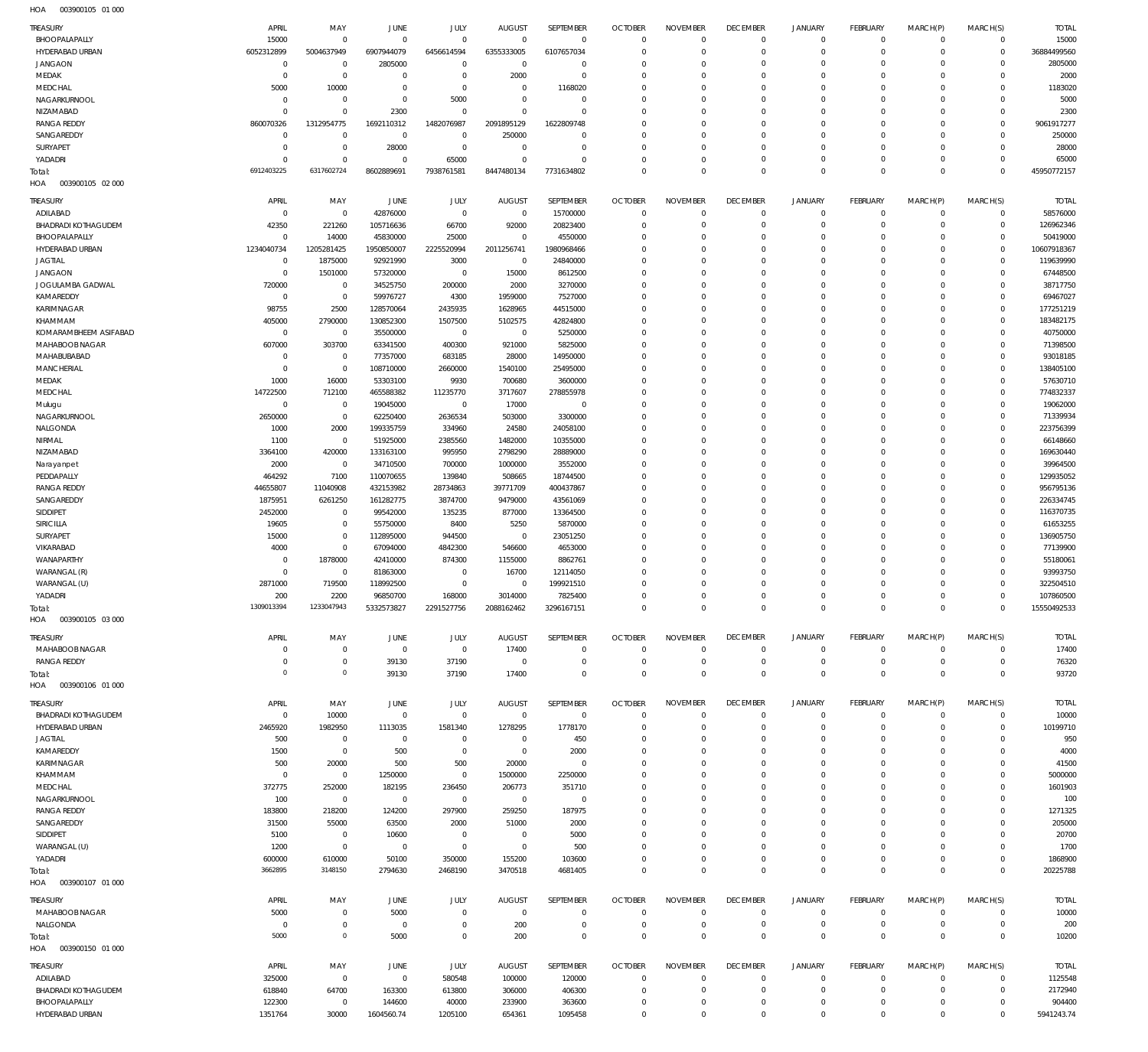| <b>TREASURY</b><br>BHOOPALAPALLY   | APRIL<br>15000           | MAY<br>$^{\circ}$    | JUNE<br>$^{\circ}$    | JULY<br>$^{\circ}$    | <b>AUGUST</b><br>$\mathbf 0$ | SEPTEMBER<br>$\overline{0}$ | <b>OCTOBER</b><br>$\overline{0}$ | <b>NOVEMBER</b><br>$\mathbf 0$ | <b>DECEMBER</b><br>$\mathbf{0}$ | <b>JANUARY</b><br>$\overline{0}$ | <b>FEBRUARY</b><br>$\mathbf{0}$ | MARCH(P)<br>$^{\circ}$ | MARCH(S)<br>$\mathbf 0$ | <b>TOTAL</b><br>15000 |
|------------------------------------|--------------------------|----------------------|-----------------------|-----------------------|------------------------------|-----------------------------|----------------------------------|--------------------------------|---------------------------------|----------------------------------|---------------------------------|------------------------|-------------------------|-----------------------|
| HYDERABAD URBAN                    | 6052312899               | 5004637949           | 6907944079            | 6456614594            | 6355333005                   | 6107657034                  | $\circ$                          | $\mathbf 0$                    | $\overline{0}$                  | $\mathbf 0$                      | $\mathbf{0}$                    | $\Omega$               | $\Omega$                | 36884499560           |
| <b>JANGAON</b>                     | $\overline{0}$           | $\overline{0}$       | 2805000               | $^{\circ}$            | $\mathbf 0$                  | $\mathbf 0$                 | 0                                | 0                              | $\mathbf 0$                     | $\mathbf 0$                      | $^{\circ}$                      | $\Omega$               | $\Omega$                | 2805000               |
| MEDAK                              | $\mathbf 0$              | $\mathbf{0}$         | $^{\circ}$            | $\mathbf 0$           | 2000                         | $\mathbf 0$                 | $\Omega$                         | $\Omega$                       | $\mathbf 0$                     | $\Omega$                         | $\Omega$                        |                        | $\Omega$                | 2000                  |
| MEDCHAL                            | 5000                     | 10000                | $^{\circ}$            | $^{\circ}$            | $\mathbf 0$                  | 1168020                     | 0                                | $\Omega$                       | $\mathbf 0$                     | 0                                | $^{\circ}$                      | $\Omega$               | $\Omega$                | 1183020               |
| NAGARKURNOOL                       | C                        | $\overline{0}$       | $^{\circ}$            | 5000                  | $\mathbf 0$                  | $\mathbf 0$                 | $\Omega$                         | $\Omega$                       | 0                               | $\Omega$                         | $\Omega$                        |                        | $\Omega$                | 5000                  |
| NIZAMABAD                          | C                        | $\mathbf{0}$         | 2300                  | $^{\circ}$            | $\mathbf 0$                  | $\mathbf 0$                 | 0                                | $\Omega$                       | $\mathbf 0$                     | $\mathbf 0$                      | $^{\circ}$                      | $\Omega$               | $\Omega$                | 2300                  |
| <b>RANGA REDDY</b>                 | 860070326                | 1312954775           | 1692110312            | 1482076987            | 2091895129                   | 1622809748                  | $\Omega$                         | 0                              | 0                               | $\Omega$                         | $\Omega$                        |                        | $\Omega$                | 9061917277            |
| SANGAREDDY                         | $\mathbf 0$              | $^{\circ}$           | 0                     | $\mathbf 0$           | 250000                       | $\mathbf 0$                 | 0                                | $\Omega$                       | $\mathbf 0$                     | 0                                | $\mathbf{0}$                    | $\Omega$               | $\Omega$                | 250000                |
| SURYAPET                           | $\mathbf 0$              | $\mathbf{0}$         | 28000                 | $\mathbf 0$           | $\mathbf 0$                  | $\mathbf 0$                 | $\Omega$                         | $\Omega$                       | 0                               | $\Omega$                         | $\mathbf{0}$                    |                        | $\Omega$                | 28000                 |
| YADADRI                            | C                        | $\mathbf 0$          | $^{\circ}$            | 65000                 | $\Omega$                     | $\Omega$                    | 0                                | $\Omega$                       | $\mathbf 0$                     | 0                                | $\mathbf{0}$                    | $\Omega$               | $\Omega$                | 65000                 |
| Total:                             | 6912403225               | 6317602724           | 8602889691            | 7938761581            | 8447480134                   | 7731634802                  | $\mathbf 0$                      | $\Omega$                       | $\mathbf 0$                     | 0                                | $\overline{0}$                  | $\Omega$               | $\Omega$                | 45950772157           |
| HOA<br>003900105 02 000            |                          |                      |                       |                       |                              |                             |                                  |                                |                                 |                                  |                                 |                        |                         |                       |
| <b>TREASURY</b>                    | APRIL                    | MAY                  | JUNE                  | JULY                  | <b>AUGUST</b>                | <b>SEPTEMBER</b>            | <b>OCTOBER</b>                   | <b>NOVEMBER</b>                | <b>DECEMBER</b>                 | <b>JANUARY</b>                   | <b>FEBRUARY</b>                 | MARCH(P)               | MARCH(S)                | <b>TOTAL</b>          |
| ADILABAD                           | $\overline{0}$           | $^{\circ}$           | 42876000              | $\mathbf 0$           | $\mathbf 0$                  | 15700000                    | $\overline{0}$                   | $\mathbf 0$                    | $\mathbf 0$                     | $\circ$                          | $\mathbf{0}$                    | $\Omega$               | $\mathbf 0$             | 58576000              |
| <b>BHADRADI KOTHAGUDEM</b>         | 42350                    | 221260               | 105716636             | 66700                 | 92000                        | 20823400                    | $\circ$                          | 0                              | $\overline{0}$                  | $\mathbf 0$                      | $\mathbf{0}$                    | $\Omega$               | $\mathbf 0$             | 126962346             |
| BHOOPALAPALLY                      | $\mathbf 0$              | 14000                | 45830000              | 25000                 | $\mathbf 0$                  | 4550000                     | $\circ$                          | $\Omega$                       | $\mathbf 0$                     | $^{\circ}$                       | $\mathbf{0}$                    | $\Omega$               | $\Omega$                | 50419000              |
| HYDERABAD URBAN                    | 1234040734               | 1205281425           | 1950850007            | 2225520994            | 2011256741                   | 1980968466                  | $\circ$                          | 0                              | $\mathbf 0$                     | $\mathbf 0$                      | $\mathbf{0}$                    | $\Omega$               | $\mathbf 0$             | 10607918367           |
| <b>JAGTIAL</b>                     | $\mathbf 0$              | 1875000              | 92921990              | 3000                  | $\mathbf 0$                  | 24840000                    | $\circ$                          | $\Omega$                       | $\mathbf 0$                     | $\mathbf 0$                      | $\mathbf{0}$                    |                        | $\mathbf 0$             | 119639990             |
| <b>JANGAON</b>                     | $\overline{0}$           | 1501000              | 57320000              | $^{\circ}$            | 15000                        | 8612500                     | $^{\circ}$                       | 0                              | $\mathbf 0$                     | $\mathbf 0$                      | $\mathbf{0}$                    | $\Omega$               | $\Omega$                | 67448500              |
| JOGULAMBA GADWAL                   | 720000                   | $^{\circ}$           | 34525750              | 200000                | 2000                         | 3270000                     | $\circ$                          | $\Omega$                       | $\mathbf 0$                     | $\mathbf 0$                      | $\mathbf{0}$                    |                        | $\Omega$                | 38717750              |
| KAMAREDDY                          | $^{\circ}$               | $\mathbf 0$          | 59976727              | 4300                  | 1959000                      | 7527000                     | $\mathbf 0$                      | $\Omega$                       | $\mathbf 0$                     | $\Omega$                         | $\Omega$                        | $\Omega$               | $\Omega$                | 69467027              |
| KARIMNAGAR                         | 98755                    | 2500                 | 128570064             | 2435935               | 1628965                      | 44515000                    | $\circ$                          | $\Omega$                       | $\mathbf 0$                     | $\mathbf 0$                      | $\mathbf{0}$                    |                        | $\mathbf 0$             | 177251219             |
| KHAMMAM                            | 405000                   | 2790000              | 130852300             | 1507500               | 5102575                      | 42824800                    | $^{\circ}$                       | $\Omega$                       | $\mathbf 0$                     | $\Omega$                         | $\Omega$                        | $\Omega$               | $\Omega$                | 183482175             |
| KOMARAMBHEEM ASIFABAD              | $^{\circ}$               | $^{\circ}$           | 35500000              | $\mathbf 0$           | $\mathbf 0$                  | 5250000                     | $\circ$                          | $\Omega$                       | $\mathbf 0$                     | $\mathbf 0$                      | $\mathbf{0}$                    | $\Omega$               | $\mathbf 0$             | 40750000              |
| MAHABOOB NAGAR                     | 607000                   | 303700               | 63341500              | 400300                | 921000                       | 5825000                     | $\circ$                          | $\Omega$                       | $\mathbf 0$                     | $\Omega$                         | $\Omega$                        | $\Omega$               | $\Omega$                | 71398500              |
| MAHABUBABAD                        | $\overline{0}$           | $^{\circ}$           | 77357000              | 683185                | 28000                        | 14950000                    | $\circ$                          | $\Omega$                       | $\mathbf 0$                     | $\mathbf 0$                      | $\mathbf{0}$                    |                        | $\mathbf 0$             | 93018185              |
| <b>MANCHERIAL</b>                  | C                        | $\overline{0}$       | 108710000             | 2660000               | 1540100                      | 25495000                    | $^{\circ}$                       | $\Omega$                       | $\mathbf 0$                     | $\Omega$                         | $\mathbf{0}$                    | $\Omega$               | $\Omega$                | 138405100             |
| MEDAK                              | 1000                     | 16000                | 53303100              | 9930                  | 700680                       | 3600000                     | $\circ$                          | $\Omega$                       | $\mathbf 0$                     | $\mathbf 0$                      | $\mathbf{0}$                    | $\Omega$               | $\mathbf 0$             | 57630710              |
| MEDCHAL                            | 14722500                 | 712100               | 465588382             | 11235770              | 3717607                      | 278855978                   | $^{\circ}$                       | $\Omega$                       | $\mathbf 0$                     | $\Omega$                         | $\Omega$                        | $\Omega$               | $\mathbf 0$             | 774832337             |
| Mulugu                             | $^{\circ}$               | $^{\circ}$           | 19045000              | $\mathbf 0$           | 17000                        | $\overline{0}$              | $\circ$                          | $\Omega$                       | $\mathbf 0$                     | $\mathbf 0$                      | $\mathbf{0}$                    |                        | $\mathbf 0$             | 19062000              |
| NAGARKURNOOL                       | 2650000                  | $\mathbf{0}$         | 62250400              | 2636534               | 503000                       | 3300000                     | $^{\circ}$                       | 0                              | $\mathbf 0$                     | $\mathbf 0$                      | $\mathbf{0}$                    | $\Omega$               | $\Omega$                | 71339934              |
| NALGONDA                           | 1000                     | 2000                 | 199335759             | 334960                | 24580                        | 24058100                    | $\circ$                          | $\Omega$                       | $\mathbf 0$                     | $\mathbf 0$                      | $\Omega$                        |                        | $\mathbf 0$<br>$\Omega$ | 223756399             |
| NIRMAL<br>NIZAMABAD                | 1100<br>3364100          | $^{\circ}$           | 51925000              | 2385560               | 1482000                      | 10355000                    | $\circ$<br>$\circ$               | 0<br>$\Omega$                  | $\mathbf 0$<br>$\mathbf 0$      | $\mathbf 0$<br>$\mathbf 0$       | $\mathbf{0}$<br>$\mathbf{0}$    | $\Omega$               | $\Omega$                | 66148660              |
|                                    | 2000                     | 420000<br>$^{\circ}$ | 133163100<br>34710500 | 995950<br>700000      | 2798290<br>1000000           | 28889000<br>3552000         | $^{\circ}$                       | 0                              | $\mathbf 0$                     | $\mathbf 0$                      | $\mathbf{0}$                    | $\Omega$               | $\Omega$                | 169630440<br>39964500 |
| Narayanpet<br>PEDDAPALLY           | 464292                   | 7100                 | 110070655             | 139840                | 508665                       | 18744500                    | $\circ$                          | $\Omega$                       | $\mathbf 0$                     | $\mathbf 0$                      | $\mathbf{0}$                    |                        | $\mathbf 0$             | 129935052             |
| <b>RANGA REDDY</b>                 | 44655807                 | 11040908             | 432153982             | 28734863              | 39771709                     | 400437867                   | $\mathbf 0$                      | $\Omega$                       | $\mathbf 0$                     | $\Omega$                         | $\Omega$                        | $\Omega$               | $\Omega$                | 956795136             |
| SANGAREDDY                         | 1875951                  | 6261250              | 161282775             | 3874700               | 9479000                      | 43561069                    | $\circ$                          | $\Omega$                       | $\mathbf 0$                     | $\mathbf 0$                      | $\mathbf{0}$                    |                        | $\mathbf 0$             | 226334745             |
| <b>SIDDIPET</b>                    | 2452000                  | $^{\circ}$           | 99542000              | 135235                | 877000                       | 13364500                    | $^{\circ}$                       | $\Omega$                       | $\mathbf 0$                     | $\Omega$                         | $\Omega$                        | $\Omega$               | $\Omega$                | 116370735             |
| SIRICILLA                          | 19605                    | $\mathbf{0}$         | 55750000              | 8400                  | 5250                         | 5870000                     | $\circ$                          | $\Omega$                       | $\mathbf 0$                     | $\mathbf 0$                      | $\mathbf{0}$                    | $\Omega$               | $\mathbf 0$             | 61653255              |
| SURYAPET                           | 15000                    | $\mathbf{0}$         | 112895000             | 944500                | $\overline{0}$               | 23051250                    | $\circ$                          | $\Omega$                       | $\mathbf 0$                     | $\Omega$                         | $\Omega$                        | $\Omega$               | $\Omega$                | 136905750             |
| VIKARABAD                          | 4000                     | $\mathbf{0}$         | 67094000              | 4842300               | 546600                       | 4653000                     | $\circ$                          | $\Omega$                       | $\mathbf 0$                     | 0                                | $\mathbf{0}$                    |                        | $\mathbf 0$             | 77139900              |
| WANAPARTHY                         | C                        | 1878000              | 42410000              | 874300                | 1155000                      | 8862761                     | $^{\circ}$                       | $\Omega$                       | $\mathbf 0$                     | $\Omega$                         | $\Omega$                        | $\Omega$               | $\Omega$                | 55180061              |
| WARANGAL (R)                       | $\mathbf 0$              | $^{\circ}$           | 81863000              | $^{\circ}$            | 16700                        | 12114050                    | $\circ$                          | $\Omega$                       | $\mathbf 0$                     | 0                                | $\mathbf{0}$                    | $\Omega$               | $\Omega$                | 93993750              |
| WARANGAL (U)                       | 2871000                  | 719500               | 118992500             | $\mathbf 0$           | $\mathbf 0$                  | 199921510                   | $^{\circ}$                       | 0                              | $\mathbf 0$                     | $\Omega$                         | $\Omega$                        | $\Omega$               | $\Omega$                | 322504510             |
| YADADRI                            | 200                      | 2200                 | 96850700              | 168000                | 3014000                      | 7825400                     | $\Omega$                         | $\Omega$                       | $\Omega$                        | $\Omega$                         | $\Omega$                        | $\Omega$               | $\mathbf 0$             | 107860500             |
| Total:                             | 1309013394               | 1233047943           | 5332573827            | 2291527756            | 2088162462                   | 3296167151                  | $\Omega$                         | $\Omega$                       | $\Omega$                        | $\Omega$                         | $\Omega$                        | $\Omega$               | $\overline{0}$          | 15550492533           |
| HOA<br>003900105 03 000            |                          |                      |                       |                       |                              |                             |                                  |                                |                                 |                                  |                                 |                        |                         |                       |
| TREASURY                           | APRIL                    | MAY                  | <b>JUNE</b>           | JULY                  | <b>AUGUST</b>                | SEPTEMBER                   | <b>OCTOBER</b>                   | <b>NOVEMBER</b>                | <b>DECEMBER</b>                 | <b>JANUARY</b>                   | <b>FEBRUARY</b>                 | MARCH(P)               | MARCH(S)                | <b>TOTAL</b>          |
| MAHABOOB NAGAR                     | 0                        | $^{\circ}$           | $^{\circ}$            | $\mathbf 0$           | 17400                        | $\mathbf 0$                 | $\overline{0}$                   | $\mathbf 0$                    | $^{\circ}$                      | $\circ$                          | $^{\circ}$                      | $^{\circ}$             | $\mathbf 0$             | 17400                 |
| <b>RANGA REDDY</b>                 | 0                        | $\mathbf 0$          | 39130                 | 37190                 | $^{\circ}$                   | $\mathbf 0$                 | $\overline{0}$                   | $\mathbf 0$                    | $\mathbf 0$                     | $\mathbf 0$                      | $\mathbf 0$                     | $^{\circ}$             | $\mathbf 0$             | 76320                 |
| Total:                             | $^{\circ}$               | $\mathbf 0$          | 39130                 | 37190                 | 17400                        | $\mathbf 0$                 | $\overline{0}$                   | $\mathbf 0$                    | $\mathbf 0$                     | $\mathbf 0$                      | $\overline{0}$                  | $^{\circ}$             | $\mathbf 0$             | 93720                 |
| HOA<br>003900106 01 000            |                          |                      |                       |                       |                              |                             |                                  |                                |                                 |                                  |                                 |                        |                         |                       |
|                                    |                          |                      |                       |                       |                              |                             |                                  |                                |                                 |                                  |                                 |                        |                         |                       |
| <b>TREASURY</b>                    | APRIL                    | MAY                  | <b>JUNE</b>           | JULY                  | <b>AUGUST</b>                | SEPTEMBER                   | <b>OCTOBER</b>                   | <b>NOVEMBER</b>                | <b>DECEMBER</b>                 | <b>JANUARY</b>                   | <b>FEBRUARY</b>                 | MARCH(P)               | MARCH(S)                | <b>TOTAL</b>          |
| BHADRADI KOTHAGUDEM                | $\overline{0}$           | 10000                | $\overline{0}$        | $\mathbf 0$           | $\overline{0}$               | $\mathbf 0$                 | $\overline{0}$                   | $\mathbf 0$                    | $\mathbf 0$                     | $\circ$                          | $^{\circ}$                      | $^{\circ}$             | $\mathbf 0$             | 10000                 |
| HYDERABAD URBAN                    | 2465920                  | 1982950              | 1113035               | 1581340               | 1278295                      | 1778170                     | $\circ$                          | 0                              | $\overline{0}$                  | $\mathbf 0$                      | $\mathbf{0}$                    | $\Omega$               | $\mathbf 0$             | 10199710              |
| <b>JAGTIAL</b>                     | 500                      | $^{\circ}$           | $\mathbf 0$           | $\mathbf 0$           | $\overline{0}$               | 450                         | $\mathbf 0$                      | 0                              | $\mathbf 0$                     | $\mathbf 0$                      | $^{\circ}$                      | $\Omega$               | $\mathbf 0$             | 950                   |
| KAMAREDDY                          | 1500                     | $\mathbf 0$          | 500                   | $\mathbf 0$           | $\mathbf{0}$                 | 2000                        | $^{\circ}$                       | 0                              | $\mathbf 0$                     | 0                                | $^{\circ}$                      | $\Omega$               | $\Omega$                | 4000                  |
| <b>KARIMNAGAR</b>                  | 500                      | 20000                | 500                   | 500                   | 20000                        | $\overline{0}$              | $^{\circ}$                       | 0                              | $\mathbf 0$                     | 0                                | $^{\circ}$                      | $\Omega$               | $\mathbf 0$             | 41500                 |
| KHAMMAM                            | $\overline{0}$<br>372775 | $\mathbf 0$          | 1250000               | $\mathbf 0$<br>236450 | 1500000                      | 2250000<br>351710           | $^{\circ}$<br>$^{\circ}$         | 0<br>0                         | $\mathbf 0$<br>$\mathbf 0$      | $\mathbf 0$<br>0                 | $^{\circ}$<br>$^{\circ}$        |                        | $\Omega$<br>$\Omega$    | 5000000<br>1601903    |
| MEDCHAL                            |                          | 252000               | 182195                |                       | 206773                       |                             |                                  |                                |                                 |                                  |                                 |                        |                         |                       |
| NAGARKURNOOL<br><b>RANGA REDDY</b> | 100<br>183800            | $^{\circ}$<br>218200 | $^{\circ}$<br>124200  | $\mathbf 0$<br>297900 | $\overline{0}$<br>259250     | $\overline{0}$<br>187975    | $\mathbf 0$<br>$^{\circ}$        | 0<br>0                         | $\mathbf 0$<br>$\mathbf 0$      | 0<br>0                           | $^{\circ}$<br>$^{\circ}$        | $\Omega$               | $\Omega$<br>$\Omega$    | 100<br>1271325        |
| SANGAREDDY                         | 31500                    | 55000                | 63500                 | 2000                  | 51000                        | 2000                        | $\mathbf 0$                      | $\mathbf 0$                    | $\mathbf 0$                     | 0                                | $^{\circ}$                      | $\Omega$               | $\Omega$                | 205000                |
| SIDDIPET                           | 5100                     | $^{\circ}$           | 10600                 | $\mathbf 0$           | $\overline{0}$               | 5000                        | $^{\circ}$                       | $\Omega$                       | $\mathbf 0$                     | 0                                | $^{\circ}$                      |                        | $\Omega$                | 20700                 |
| WARANGAL (U)                       | 1200                     | $\mathbf 0$          | $^{\circ}$            | $\mathbf 0$           | $\overline{0}$               | 500                         | $\mathbf 0$                      | $\mathbf 0$                    | $\mathbf 0$                     | 0                                | $^{\circ}$                      | $\Omega$               | $\mathbf 0$             | 1700                  |
| YADADRI                            | 600000                   | 610000               | 50100                 | 350000                | 155200                       | 103600                      | $\mathbf 0$                      | $\mathbf 0$                    | $\mathbf 0$                     | $\mathbf 0$                      | $\mathbf{0}$                    | $\Omega$               | $\mathbf 0$             | 1868900               |
| Total:                             | 3662895                  | 3148150              | 2794630               | 2468190               | 3470518                      | 4681405                     | $\overline{0}$                   | $\mathbf 0$                    | $\overline{0}$                  | $\overline{0}$                   | $\,0\,$                         | $^{\circ}$             | $\mathbf 0$             | 20225788              |
| HOA<br>003900107 01 000            |                          |                      |                       |                       |                              |                             |                                  |                                |                                 |                                  |                                 |                        |                         |                       |
|                                    |                          |                      |                       |                       |                              |                             |                                  |                                |                                 |                                  |                                 |                        |                         |                       |
| TREASURY                           | APRIL                    | MAY                  | JUNE                  | JULY                  | <b>AUGUST</b>                | SEPTEMBER                   | <b>OCTOBER</b>                   | <b>NOVEMBER</b>                | <b>DECEMBER</b>                 | <b>JANUARY</b>                   | <b>FEBRUARY</b>                 | MARCH(P)               | MARCH(S)                | <b>TOTAL</b>          |
| MAHABOOB NAGAR                     | 5000                     | $\mathbf 0$          | 5000                  | $\mathbf 0$           | $\overline{0}$               | $\mathbf 0$                 | $\circ$                          | $^{\circ}$                     | $\mathbf 0$                     | $\circ$                          | $^{\circ}$                      | $^{\circ}$             | $\mathbf 0$             | 10000                 |
| NALGONDA                           | $^{\circ}$               | $\mathbf 0$          | $\overline{0}$        | $\mathbf 0$           | 200                          | $\mathbf 0$                 | $\overline{0}$                   | $\mathbf 0$                    | $\mathbf 0$                     | $\mathbf 0$                      | $\mathbf{0}$                    | $^{\circ}$             | $\mathbf 0$             | 200                   |
| Total:                             | 5000                     | $\mathbf 0$          | 5000                  | $^{\circ}$            | 200                          | $\mathbf 0$                 | $\overline{0}$                   | $\mathbf 0$                    | $\mathbf 0$                     | $\mathbf 0$                      | $\overline{0}$                  | $^{\circ}$             | $\mathbf 0$             | 10200                 |
| HOA<br>003900150 01 000            |                          |                      |                       |                       |                              |                             |                                  |                                |                                 |                                  |                                 |                        |                         |                       |
| TREASURY                           | APRIL                    | MAY                  | <b>JUNE</b>           | JULY                  | <b>AUGUST</b>                | SEPTEMBER                   | <b>OCTOBER</b>                   | <b>NOVEMBER</b>                | <b>DECEMBER</b>                 | <b>JANUARY</b>                   | FEBRUARY                        | MARCH(P)               | MARCH(S)                | <b>TOTAL</b>          |
| ADILABAD                           | 325000                   | $\mathbf 0$          | $\mathbf 0$           | 580548                | 100000                       | 120000                      | 0                                | 0                              | $\overline{0}$                  | $\mathbf 0$                      | $^{\circ}$                      | $\Omega$               | $\mathbf 0$             | 1125548               |
| <b>BHADRADI KOTHAGUDEM</b>         | 618840                   | 64700                | 163300                | 613800                | 306000                       | 406300                      | $\overline{0}$                   | $^{\circ}$                     | $\mathbf 0$                     | $\mathbf 0$                      | $^{\circ}$                      | $^{\circ}$             | $\mathbf 0$             | 2172940               |
| BHOOPALAPALLY                      | 122300                   | $\mathbf{0}$         | 144600                | 40000                 | 233900                       | 363600                      | $^{\circ}$                       | $\mathbf 0$                    | $\mathbf 0$                     | $\mathbf 0$                      | $^{\circ}$                      | $\Omega$               | $\mathbf 0$             | 904400                |
| HYDERABAD URBAN                    | 1351764                  | 30000                | 1604560.74            | 1205100               | 654361                       | 1095458                     | $^{\circ}$                       | $\mathbf 0$                    | $\mathbf 0$                     | $\mathbf 0$                      | $\mathbf{0}$                    | $\mathbf 0$            | $\mathbf 0$             | 5941243.74            |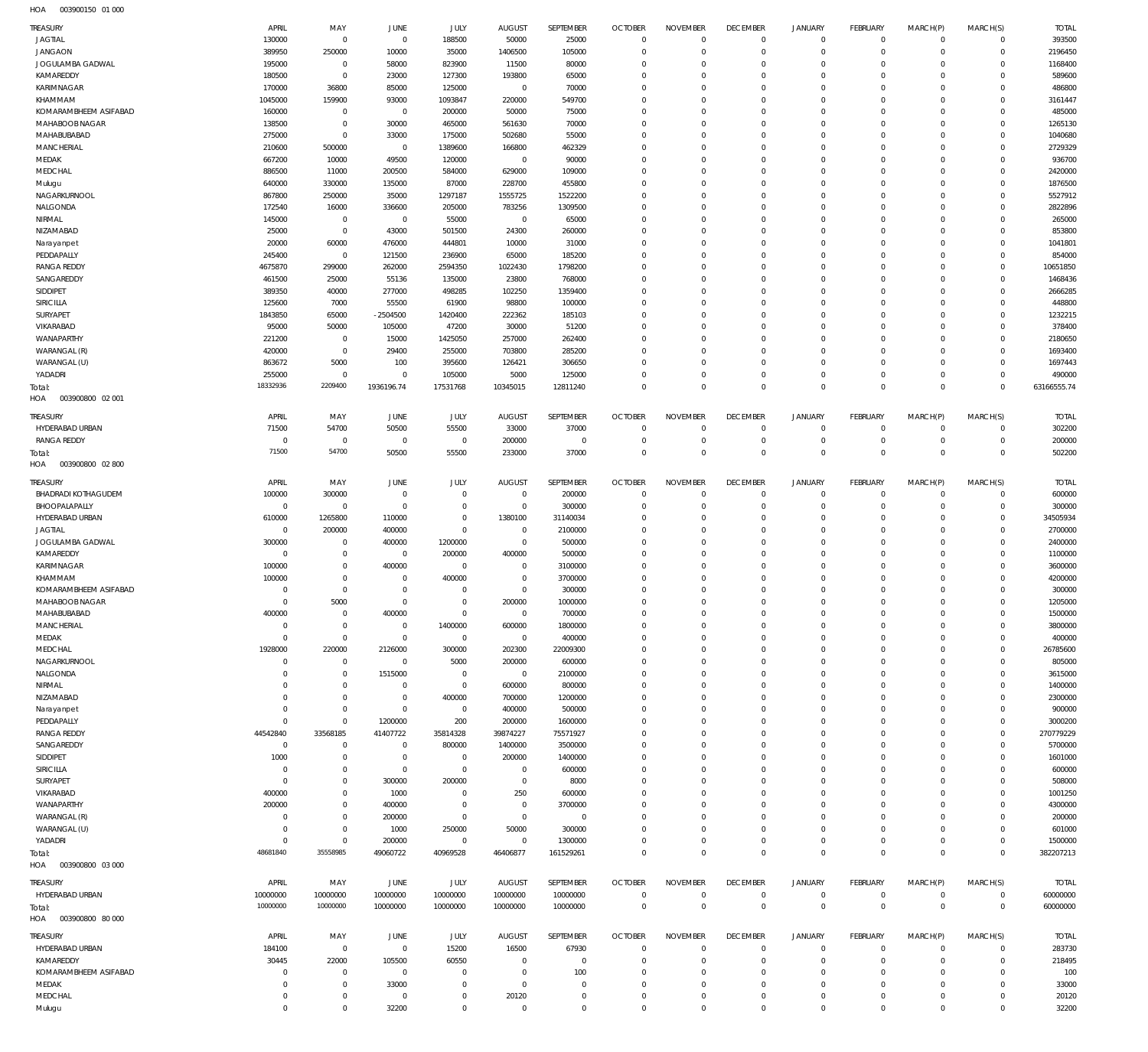| <b>JAGTIAL</b>                          | APRIL<br>130000            | MAY<br>$\overline{0}$      | <b>JUNE</b><br>$\overline{0}$ | JULY<br>188500             | <b>AUGUST</b><br>50000      | SEPTEMBER<br>25000   | <b>OCTOBER</b><br>$\overline{0}$ | <b>NOVEMBER</b><br>$\Omega$   | <b>DECEMBER</b><br>$\overline{0}$ | <b>JANUARY</b><br>$\mathbf 0$ | <b>FEBRUARY</b><br>$\mathbf 0$ | MARCH(P)<br>$\Omega$    | MARCH(S)<br>$\mathbf 0$    | <b>TOTAL</b><br>393500 |
|-----------------------------------------|----------------------------|----------------------------|-------------------------------|----------------------------|-----------------------------|----------------------|----------------------------------|-------------------------------|-----------------------------------|-------------------------------|--------------------------------|-------------------------|----------------------------|------------------------|
| <b>JANGAON</b>                          | 389950                     | 250000                     | 10000                         | 35000                      | 1406500                     | 105000               | $\overline{0}$                   | $\overline{0}$                | $\overline{0}$                    | $\mathbf 0$                   | $\mathbf 0$                    | $\mathbf 0$             | $\mathbf 0$                | 2196450                |
| JOGULAMBA GADWAL                        | 195000                     | $\overline{0}$             | 58000                         | 823900                     | 11500                       | 80000                | $\overline{0}$                   | $\Omega$                      | $\overline{0}$                    | $\mathbf 0$                   | $\mathbf 0$                    | $\Omega$                | $\mathbf 0$                | 1168400                |
| KAMAREDDY                               | 180500                     | $\mathbf{0}$               | 23000                         | 127300                     | 193800                      | 65000                | $\overline{0}$                   | $\Omega$                      | $\overline{0}$                    | $\Omega$                      | $\mathbf 0$                    | $\Omega$                | $\mathbf 0$                | 589600                 |
| KARIMNAGAR                              | 170000                     | 36800                      | 85000                         | 125000                     | $\mathbf 0$                 | 70000                | $\overline{0}$                   | $\Omega$                      | $\overline{0}$                    | $\Omega$                      | $\mathbf 0$                    | $\Omega$                | $\mathbf 0$                | 486800                 |
| KHAMMAM                                 | 1045000                    | 159900                     | 93000                         | 1093847                    | 220000                      | 549700               | $\overline{0}$                   | $\Omega$                      | $\overline{0}$                    | $\Omega$                      | $\Omega$                       | $\Omega$                | $\mathbf 0$                | 3161447                |
| KOMARAMBHEEM ASIFABAD<br>MAHABOOB NAGAR | 160000<br>138500           | $\mathbf 0$<br>$\mathbf 0$ | $\overline{0}$<br>30000       | 200000<br>465000           | 50000<br>561630             | 75000<br>70000       | $\overline{0}$<br>$\overline{0}$ | $\Omega$<br>$\Omega$          | $\overline{0}$<br>$\Omega$        | $\Omega$<br>$\Omega$          | $\mathbf 0$<br>$\Omega$        | $\Omega$<br>$\Omega$    | $\mathbf 0$<br>$\mathbf 0$ | 485000<br>1265130      |
| MAHABUBABAD                             | 275000                     | $\mathbf 0$                | 33000                         | 175000                     | 502680                      | 55000                | $\overline{0}$                   | $\Omega$                      | $\overline{0}$                    | $\Omega$                      | $\mathbf 0$                    | $\Omega$                | $\mathbf 0$                | 1040680                |
| <b>MANCHERIAL</b>                       | 210600                     | 500000                     | $\overline{0}$                | 1389600                    | 166800                      | 462329               | $\overline{0}$                   | $\Omega$                      | $\overline{0}$                    | $\Omega$                      | $\Omega$                       | $\Omega$                | $\mathbf 0$                | 2729329                |
| MEDAK                                   | 667200                     | 10000                      | 49500                         | 120000                     | $\overline{0}$              | 90000                | $\overline{0}$                   | $\Omega$                      | $\overline{0}$                    | $\Omega$                      | $\mathbf 0$                    | $\Omega$                | $\mathbf 0$                | 936700                 |
| MEDCHAL                                 | 886500                     | 11000                      | 200500                        | 584000                     | 629000                      | 109000               | $\overline{0}$                   | $\Omega$                      | $\overline{0}$                    | $\Omega$                      | $\Omega$                       | $\Omega$                | $\mathbf 0$                | 2420000                |
| Mulugu                                  | 640000                     | 330000                     | 135000                        | 87000                      | 228700                      | 455800               | $\overline{0}$                   | $\Omega$                      | $\overline{0}$                    | $\Omega$                      | $\mathbf 0$                    | $\Omega$                | $\mathbf 0$                | 1876500                |
| NAGARKURNOOL                            | 867800                     | 250000                     | 35000                         | 1297187                    | 1555725                     | 1522200              | $\overline{0}$                   | $\mathbf 0$                   | $\overline{0}$                    | $\Omega$                      | $\Omega$                       | $\Omega$                | $\mathbf 0$                | 5527912                |
| NALGONDA<br>NIRMAL                      | 172540<br>145000           | 16000<br>$\overline{0}$    | 336600<br>$\overline{0}$      | 205000<br>55000            | 783256<br>$\mathbf 0$       | 1309500<br>65000     | $\overline{0}$<br>$\overline{0}$ | $\Omega$<br>$\mathbf 0$       | $\overline{0}$<br>$\overline{0}$  | $\Omega$<br>$\Omega$          | $\mathbf 0$<br>$\mathbf 0$     | $\Omega$<br>$\Omega$    | $\mathbf 0$<br>$\mathbf 0$ | 2822896<br>265000      |
| NIZAMABAD                               | 25000                      | $\mathbf{0}$               | 43000                         | 501500                     | 24300                       | 260000               | $\overline{0}$                   | $\Omega$                      | $\overline{0}$                    | $\Omega$                      | $\mathbf 0$                    | $\Omega$                | $\mathbf 0$                | 853800                 |
| Narayanpet                              | 20000                      | 60000                      | 476000                        | 444801                     | 10000                       | 31000                | $\overline{0}$                   | $^{\circ}$                    | $\overline{0}$                    | $\Omega$                      | $\mathbf 0$                    | $\Omega$                | $\mathbf 0$                | 1041801                |
| PEDDAPALLY                              | 245400                     | $\overline{0}$             | 121500                        | 236900                     | 65000                       | 185200               | $\overline{0}$                   | $\Omega$                      | $\overline{0}$                    | $\Omega$                      | $\mathbf 0$                    | $\Omega$                | $\mathbf 0$                | 854000                 |
| <b>RANGA REDDY</b>                      | 4675870                    | 299000                     | 262000                        | 2594350                    | 1022430                     | 1798200              | $\overline{0}$                   | $\Omega$                      | $\overline{0}$                    | $\Omega$                      | $\mathbf 0$                    | $\Omega$                | $\mathbf 0$                | 10651850               |
| SANGAREDDY                              | 461500                     | 25000                      | 55136                         | 135000                     | 23800                       | 768000               | $\overline{0}$                   | $\Omega$                      | $\overline{0}$                    | $\Omega$                      | $\mathbf 0$                    | $\Omega$                | $\mathbf 0$                | 1468436                |
| SIDDIPET                                | 389350                     | 40000                      | 277000                        | 498285                     | 102250                      | 1359400              | $\overline{0}$                   | $\mathbf 0$                   | $\overline{0}$                    | $\Omega$                      | $\Omega$                       | $\Omega$                | $\mathbf 0$                | 2666285                |
| SIRICILLA<br>SURYAPET                   | 125600<br>1843850          | 7000                       | 55500                         | 61900                      | 98800                       | 100000               | $\overline{0}$<br>$\overline{0}$ | $\Omega$<br>$\Omega$          | $\overline{0}$<br>$\Omega$        | $\Omega$<br>$\Omega$          | $\mathbf 0$<br>$\Omega$        | $\Omega$<br>$\Omega$    | $\mathbf 0$<br>$\mathbf 0$ | 448800<br>1232215      |
| VIKARABAD                               | 95000                      | 65000<br>50000             | $-2504500$<br>105000          | 1420400<br>47200           | 222362<br>30000             | 185103<br>51200      | $\overline{0}$                   | $\Omega$                      | $\overline{0}$                    | $\Omega$                      | $\mathbf 0$                    | $\Omega$                | $\mathbf 0$                | 378400                 |
| WANAPARTHY                              | 221200                     | $\overline{0}$             | 15000                         | 1425050                    | 257000                      | 262400               | $\overline{0}$                   | $\Omega$                      | $\overline{0}$                    | $\Omega$                      | $\Omega$                       | $\Omega$                | $\mathbf 0$                | 2180650                |
| WARANGAL (R)                            | 420000                     | $\mathbf{0}$               | 29400                         | 255000                     | 703800                      | 285200               | $\overline{0}$                   | $\Omega$                      | $\overline{0}$                    | $\Omega$                      | $\mathbf 0$                    | $\Omega$                | $\mathbf 0$                | 1693400                |
| WARANGAL (U)                            | 863672                     | 5000                       | 100                           | 395600                     | 126421                      | 306650               | $\overline{0}$                   | $\mathbf 0$                   | $\overline{0}$                    | $\Omega$                      | $\Omega$                       | $\Omega$                | $\mathbf 0$                | 1697443                |
| YADADRI                                 | 255000                     | $\overline{0}$             | $\overline{0}$                | 105000                     | 5000                        | 125000               | $\overline{0}$                   | $\mathbf 0$                   | $\overline{0}$                    | $\mathbf 0$                   | $\mathbf 0$                    | $\Omega$                | $\mathbf 0$                | 490000                 |
| Total:                                  | 18332936                   | 2209400                    | 1936196.74                    | 17531768                   | 10345015                    | 12811240             | $\overline{0}$                   | $\mathbf 0$                   | $\overline{0}$                    | $\Omega$                      | $\overline{0}$                 | $\Omega$                | $\mathbf 0$                | 63166555.74            |
| 003900800 02 001<br>HOA                 |                            |                            |                               |                            |                             |                      |                                  |                               |                                   |                               |                                |                         |                            |                        |
| TREASURY                                | APRIL                      | MAY                        | <b>JUNE</b>                   | JULY                       | <b>AUGUST</b>               | SEPTEMBER            | <b>OCTOBER</b>                   | <b>NOVEMBER</b>               | <b>DECEMBER</b>                   | <b>JANUARY</b>                | <b>FEBRUARY</b>                | MARCH(P)                | MARCH(S)                   | <b>TOTAL</b>           |
| HYDERABAD URBAN<br><b>RANGA REDDY</b>   | 71500<br>$\mathbf 0$       | 54700<br>$\mathbf 0$       | 50500<br>$\overline{0}$       | 55500<br>$\overline{0}$    | 33000<br>200000             | 37000<br>$\mathbf 0$ | $\overline{0}$<br>$\overline{0}$ | $\overline{0}$<br>$\mathbf 0$ | $\overline{0}$<br>$\overline{0}$  | $\mathbf 0$<br>$\mathbf 0$    | $\mathbf 0$<br>$\mathbf 0$     | $\mathbf 0$<br>$\Omega$ | $\mathbf 0$<br>$\mathbf 0$ | 302200<br>200000       |
| Total:                                  | 71500                      | 54700                      | 50500                         | 55500                      | 233000                      | 37000                | $\overline{0}$                   | $\mathbf 0$                   | $\overline{0}$                    | $\mathbf 0$                   | $\mathbf 0$                    | $\Omega$                | $\mathbf 0$                | 502200                 |
| HOA<br>003900800 02 800                 |                            |                            |                               |                            |                             |                      |                                  |                               |                                   |                               |                                |                         |                            |                        |
| <b>TREASURY</b>                         | APRIL                      | MAY                        | <b>JUNE</b>                   | JULY                       | <b>AUGUST</b>               | SEPTEMBER            | <b>OCTOBER</b>                   | <b>NOVEMBER</b>               | <b>DECEMBER</b>                   | <b>JANUARY</b>                | <b>FEBRUARY</b>                | MARCH(P)                | MARCH(S)                   | <b>TOTAL</b>           |
| BHADRADI KOTHAGUDEM                     | 100000                     | 300000                     | $\overline{0}$                | $\mathbf 0$                | $\mathbf 0$                 | 200000               | $\overline{0}$                   | $\mathbf 0$                   | $^{\circ}$                        | $\mathbf 0$                   | $\mathbf 0$                    | $\Omega$                | $\mathbf 0$                | 600000                 |
| BHOOPALAPALLY                           | $\overline{0}$             | $\overline{0}$             | $\overline{0}$                | $\mathbf 0$                | $\overline{0}$              | 300000               | $\overline{0}$                   | $\mathbf 0$                   | $\overline{0}$                    | $\Omega$                      | $\mathbf 0$                    | $\mathbf 0$             | $\mathbf 0$                | 300000                 |
| HYDERABAD URBAN                         | 610000                     | 1265800                    | 110000                        | $\mathbf 0$                | 1380100                     | 31140034             | $\overline{0}$                   | $\Omega$                      | $\overline{0}$                    | $\mathbf 0$                   | $\mathbf 0$                    | $\Omega$                | $\mathbf 0$                | 34505934               |
| <b>JAGTIAL</b>                          | $\overline{0}$             | 200000                     | 400000                        | $\mathbf 0$                | $\overline{0}$              | 2100000              | $\overline{0}$                   | $\Omega$                      | $\overline{0}$                    | $\Omega$                      | $\Omega$                       | $\Omega$                | $\mathbf 0$                | 2700000                |
| JOGULAMBA GADWAL<br>KAMAREDDY           | 300000<br>$\mathbf 0$      | $\mathbf 0$<br>$\mathbf 0$ | 400000<br>$\overline{0}$      | 1200000<br>200000          | $\mathbf 0$<br>400000       | 500000<br>500000     | $\overline{0}$<br>$\overline{0}$ | $\Omega$<br>$\Omega$          | $\overline{0}$<br>$\overline{0}$  | $\Omega$<br>$\Omega$          | $\mathbf 0$<br>$\Omega$        | $\Omega$<br>$\Omega$    | $\mathbf 0$<br>$\mathbf 0$ | 2400000<br>1100000     |
| KARIMNAGAR                              | 100000                     | $\mathbf 0$                | 400000                        | $\overline{0}$             | $\overline{0}$              | 3100000              | $\overline{0}$                   | $\Omega$                      | $\overline{0}$                    | $\Omega$                      | $\mathbf 0$                    | $\Omega$                | $\mathbf 0$                | 3600000                |
| KHAMMAM                                 | 100000                     | $\mathbf 0$                | $\overline{0}$                | 400000                     | $\overline{0}$              | 3700000              | $\overline{0}$                   | $\Omega$                      | $\overline{0}$                    | $\Omega$                      | $\Omega$                       | $\Omega$                | $\mathbf 0$                | 4200000                |
| KOMARAMBHEEM ASIFABAD                   | $\mathbf 0$                | $\mathbf 0$                | $\overline{0}$                |                            |                             |                      |                                  | $\Omega$                      | $\overline{0}$                    | $\Omega$                      |                                |                         |                            |                        |
| MAHABOOB NAGAR                          | $\mathbf 0$                |                            |                               | $\mathbf 0$                | $\overline{0}$              | 300000               | $\overline{0}$                   |                               |                                   |                               | $\mathbf 0$                    | $\Omega$                | $\mathbf 0$                | 300000                 |
| MAHABUBABAD                             |                            | 5000                       | $\overline{0}$                | $\mathbf 0$                | 200000                      | 1000000              | $\overline{0}$                   | $\Omega$                      | $\Omega$                          | $\Omega$                      | $\Omega$                       | $\Omega$                | $\Omega$                   | 1205000                |
| MANCHERIAL                              | 400000                     | 0                          | 400000                        | 0                          | $\circ$                     | 700000               | 0                                |                               |                                   |                               |                                |                         | $\Omega$                   | 1500000                |
|                                         | $\mathbf 0$                | $\mathbf 0$                | $\overline{0}$                | 1400000                    | 600000                      | 1800000              | $\overline{0}$                   | $\mathbf 0$                   | $\overline{0}$                    | $\mathbf 0$                   | $\mathbf 0$                    | $\Omega$                | $\mathbf 0$                | 3800000                |
| MEDAK                                   | $\mathbf 0$                | $\overline{0}$             | $\overline{0}$                | $\overline{0}$             | $\overline{0}$              | 400000               | $\overline{0}$                   | $\mathbf 0$                   | $\overline{0}$                    | $\mathbf 0$                   | $\mathbf 0$                    | $\Omega$                | $\mathbf 0$                | 400000                 |
| MEDCHAL                                 | 1928000<br>$\mathbf 0$     | 220000<br>$\mathbf 0$      | 2126000                       | 300000                     | 202300                      | 22009300             | $\overline{0}$<br>$\overline{0}$ | $\mathbf 0$<br>$\Omega$       | $\overline{0}$<br>$\overline{0}$  | $\Omega$<br>$\Omega$          | $\mathbf 0$<br>$\mathbf 0$     | $\Omega$<br>$\Omega$    | $\mathbf 0$<br>$\mathbf 0$ | 26785600               |
| NAGARKURNOOL<br>NALGONDA                | $\mathbf 0$                | $\mathbf 0$                | $\overline{0}$<br>1515000     | 5000<br>$\overline{0}$     | 200000<br>$\overline{0}$    | 600000<br>2100000    | $\overline{0}$                   | $\mathbf 0$                   | $\overline{0}$                    | $\Omega$                      | $\Omega$                       | $\Omega$                | $\mathbf 0$                | 805000<br>3615000      |
| NIRMAL                                  | $\mathbf 0$                | $\mathbf 0$                | $\overline{0}$                | $\mathbf 0$                | 600000                      | 800000               | $\overline{0}$                   | $\Omega$                      | $\overline{0}$                    | $\Omega$                      | $\mathbf 0$                    |                         | $\mathbf 0$                | 1400000                |
| NIZAMABAD                               | $\mathbf 0$                | $\mathbf 0$                | $\overline{0}$                | 400000                     | 700000                      | 1200000              | $\overline{0}$                   | $\mathbf 0$                   | $\overline{0}$                    | $\Omega$                      | $\Omega$                       | $\Omega$                | $\mathbf 0$                | 2300000                |
| Narayanpet                              | $\mathbf 0$                | $\mathbf 0$                | $\overline{0}$                | $\overline{0}$             | 400000                      | 500000               | $\overline{0}$                   | $\Omega$                      | $\overline{0}$                    | $\Omega$                      | $\mathbf 0$                    | $\Omega$                | $\mathbf 0$                | 900000                 |
| PEDDAPALLY                              | $\mathbf 0$                | $\mathbf 0$                | 1200000                       | 200                        | 200000                      | 1600000              | $\overline{0}$                   | $\Omega$                      | $\overline{0}$                    | $\Omega$                      | $\Omega$                       | $\Omega$                | $\mathbf 0$                | 3000200                |
| RANGA REDDY                             | 44542840<br>$\mathbf 0$    | 33568185<br>$\mathbf 0$    | 41407722<br>$\overline{0}$    | 35814328                   | 39874227                    | 75571927             | $\overline{0}$<br>$\overline{0}$ | $\Omega$<br>$\mathbf 0$       | $\overline{0}$<br>$\overline{0}$  | $\circ$<br>$\Omega$           | $\mathbf 0$<br>$\Omega$        | $\Omega$<br>$\Omega$    | $\mathbf 0$<br>$\mathbf 0$ | 270779229              |
| SANGAREDDY                              | 1000                       | $\mathbf 0$                | $\overline{0}$                | 800000<br>$^{\circ}$       | 1400000                     | 3500000              | $\overline{0}$                   | $\Omega$                      | $\overline{0}$                    | $\Omega$                      | $\mathbf 0$                    | $\Omega$                | $\mathbf 0$                | 5700000                |
| SIDDIPET<br>SIRICILLA                   | $\mathbf 0$                | $\mathbf 0$                | $\overline{0}$                | $\mathbf 0$                | 200000<br>$\overline{0}$    | 1400000<br>600000    | $\overline{0}$                   | $\Omega$                      | $\overline{0}$                    | $\Omega$                      | $\Omega$                       | $\Omega$                | $\mathbf 0$                | 1601000<br>600000      |
| SURYAPET                                | $\mathbf 0$                | $\mathbf 0$                | 300000                        | 200000                     | $\overline{0}$              | 8000                 | $\overline{0}$                   | $\Omega$                      | $\overline{0}$                    | $\Omega$                      | $\mathbf 0$                    | $\Omega$                | $\mathbf 0$                | 508000                 |
| VIKARABAD                               | 400000                     | $\mathbf 0$                | 1000                          | $\mathbf 0$                | 250                         | 600000               | $\overline{0}$                   | $\mathbf 0$                   | $\overline{0}$                    | $\Omega$                      | $\Omega$                       | $\Omega$                | $^{\circ}$                 | 1001250                |
| WANAPARTHY                              | 200000                     | $\mathbf 0$                | 400000                        | $\mathbf 0$                | $\overline{0}$              | 3700000              | $\overline{0}$                   | $\Omega$                      | $\overline{0}$                    | $\Omega$                      | $\Omega$                       | $\Omega$                | $\mathbf 0$                | 4300000                |
| WARANGAL (R)                            | $\mathbf 0$                | $\mathbf 0$                | 200000                        | $\mathbf 0$                | $\overline{0}$              | $^{\circ}$           | $\overline{0}$                   | $\mathbf 0$                   | $\overline{0}$                    | $\Omega$                      | $\Omega$                       | $\Omega$                | $\mathbf 0$                | 200000                 |
| WARANGAL (U)                            | $\mathbf 0$                | $\mathbf 0$                | 1000                          | 250000                     | 50000                       | 300000               | $\overline{0}$                   | $\Omega$                      | $\overline{0}$                    | $\mathbf 0$                   | $\mathbf 0$                    | $\Omega$<br>$\Omega$    | $\mathbf 0$                | 601000                 |
| YADADRI<br>Total:                       | $\mathbf 0$<br>48681840    | $\mathbf 0$<br>35558985    | 200000<br>49060722            | $\mathbf 0$<br>40969528    | $\mathbf{0}$<br>46406877    | 1300000<br>161529261 | $\overline{0}$<br>$\overline{0}$ | $\mathbf 0$<br>$\mathbf 0$    | $\overline{0}$<br>$\mathbb O$     | $\mathbf 0$<br>$\mathbf 0$    | $\mathbf 0$<br>$\Omega$        | $\Omega$                | $\mathbf 0$<br>$\mathbf 0$ | 1500000<br>382207213   |
| HOA<br>003900800 03 000                 |                            |                            |                               |                            |                             |                      |                                  |                               |                                   |                               |                                |                         |                            |                        |
| TREASURY                                | APRIL                      | MAY                        | <b>JUNE</b>                   | JULY                       | <b>AUGUST</b>               | SEPTEMBER            | <b>OCTOBER</b>                   | <b>NOVEMBER</b>               | <b>DECEMBER</b>                   | <b>JANUARY</b>                | <b>FEBRUARY</b>                | MARCH(P)                | MARCH(S)                   | <b>TOTAL</b>           |
| HYDERABAD URBAN                         | 10000000                   | 10000000                   | 10000000                      | 10000000                   | 10000000                    | 10000000             | $\overline{0}$                   | $\mathbf 0$                   | $\overline{0}$                    | $\mathbf 0$                   | $\mathbf 0$                    | $\mathbf 0$             | $\mathbf 0$                | 60000000               |
| Total:                                  | 10000000                   | 10000000                   | 10000000                      | 10000000                   | 10000000                    | 10000000             | $\overline{0}$                   | $\overline{0}$                | $\overline{0}$                    | $\mathbf 0$                   | $\mathbf 0$                    | $\Omega$                | $\mathbf 0$                | 60000000               |
| HOA<br>003900800 80 000                 |                            |                            |                               |                            |                             |                      |                                  |                               |                                   |                               |                                |                         |                            |                        |
| <b>TREASURY</b>                         | APRIL                      | MAY                        | JUNE                          | JULY                       | <b>AUGUST</b>               | SEPTEMBER            | <b>OCTOBER</b>                   | <b>NOVEMBER</b>               | <b>DECEMBER</b>                   | <b>JANUARY</b>                | <b>FEBRUARY</b>                | MARCH(P)                | MARCH(S)                   | <b>TOTAL</b>           |
| HYDERABAD URBAN                         | 184100                     | $\overline{0}$             | $\overline{0}$                | 15200                      | 16500                       | 67930                | $\overline{0}$                   | $\mathbf 0$                   | $^{\circ}$                        | $\mathbf 0$                   | $\mathbf 0$                    | $\mathbf 0$             | $\mathbf 0$                | 283730                 |
| KAMAREDDY                               | 30445                      | 22000                      | 105500                        | 60550                      | $\mathbf 0$                 | $\mathbf 0$          | $\overline{0}$                   | $\mathbf 0$                   | $\overline{0}$                    | $\mathbf 0$                   | $\mathbf 0$                    | $\Omega$                | $\mathbf 0$                | 218495                 |
| KOMARAMBHEEM ASIFABAD                   | $\mathbf 0$<br>$\mathbf 0$ | $\mathbf 0$<br>$\mathbf 0$ | $\overline{0}$                | $\mathbf 0$<br>$\mathbf 0$ | $\mathbf 0$<br>$\mathbf{0}$ | 100<br>0             | $^{\circ}$<br>$\overline{0}$     | $\mathbf 0$<br>$\mathbf 0$    | $\overline{0}$<br>$\overline{0}$  | $\mathbf 0$<br>$\Omega$       | $\mathbf 0$<br>$\Omega$        | $\Omega$<br>$\Omega$    | $\mathbf 0$<br>$\mathbf 0$ | 100                    |
| MEDAK<br>MEDCHAL                        | $\mathbf 0$                | $\mathbf 0$                | 33000<br>$\overline{0}$       | $\mathbf 0$                | 20120                       | 0                    | $^{\circ}$                       | $\mathbf 0$                   | $\overline{0}$                    | $\mathbf 0$                   | $\mathbf 0$                    | $\Omega$                | $\mathbf 0$                | 33000<br>20120         |
| Mulugu                                  | $\mathbf 0$                | $\mathbf 0$                | 32200                         | $\mathbf 0$                | $\overline{0}$              | 0                    | $\overline{0}$                   | $\mathbf 0$                   | $\mathbb O$                       | $\mathbf 0$                   | $\mathbf 0$                    | $\Omega$                | $\mathbf 0$                | 32200                  |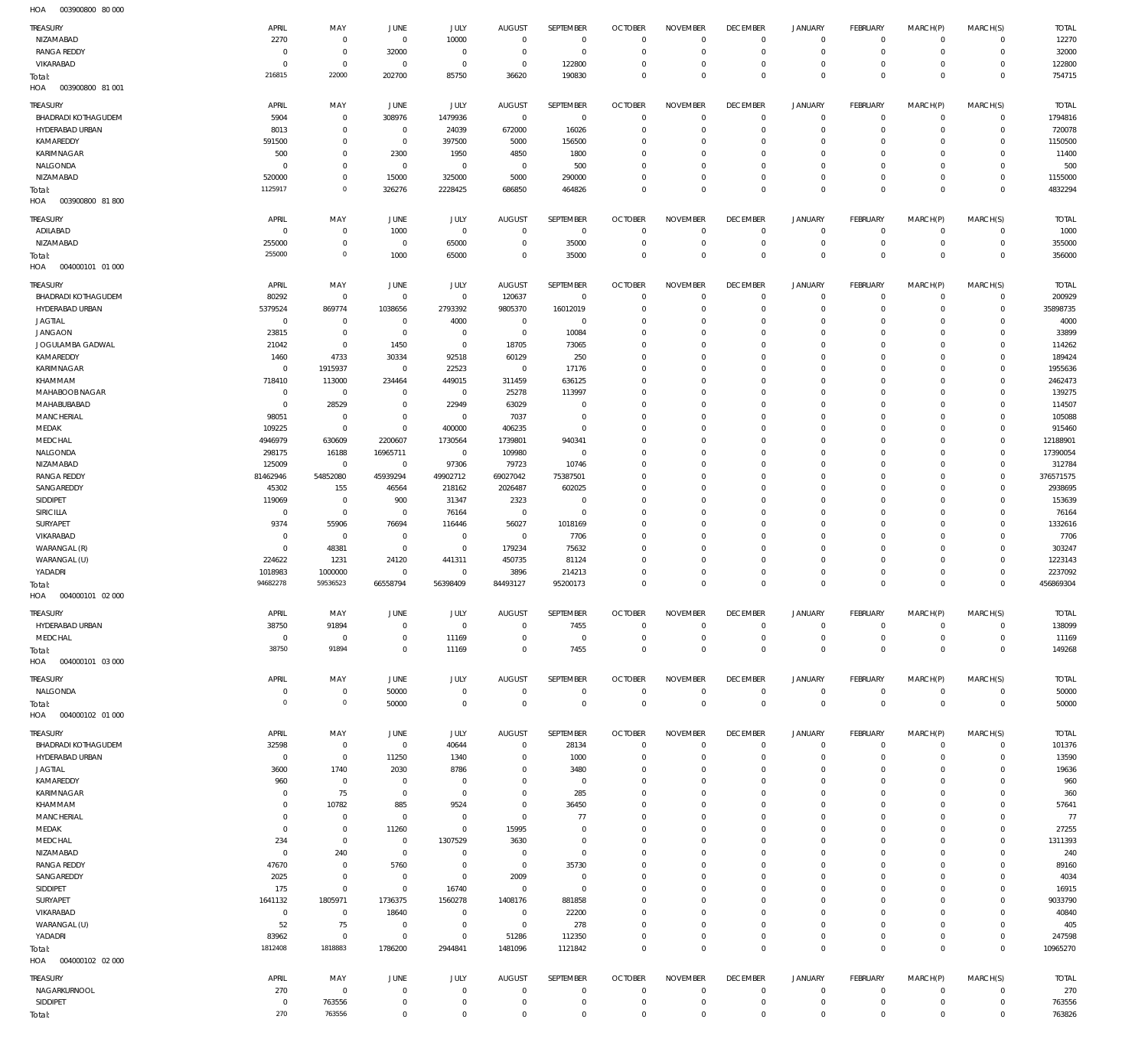003900800 80 000 HOA

| <b>TREASURY</b><br>NIZAMABAD                  | APRIL<br>2270            | MAY<br>$\mathbf 0$         | JUNE<br>$\mathbf{0}$             | JULY<br>10000              | <b>AUGUST</b><br>$\overline{0}$ | SEPTEMBER<br>$\mathbf{0}$   | <b>OCTOBER</b><br>$\overline{0}$ | <b>NOVEMBER</b><br>$\mathbf 0$ | <b>DECEMBER</b><br>$\overline{0}$ | <b>JANUARY</b><br>$^{\circ}$   | <b>FEBRUARY</b><br>$\mathbf 0$ | MARCH(P)<br>$\mathbf 0$    | MARCH(S)<br>$\mathbf 0$    | <b>TOTAL</b><br>12270   |
|-----------------------------------------------|--------------------------|----------------------------|----------------------------------|----------------------------|---------------------------------|-----------------------------|----------------------------------|--------------------------------|-----------------------------------|--------------------------------|--------------------------------|----------------------------|----------------------------|-------------------------|
| <b>RANGA REDDY</b>                            | $^{\circ}$               | $\mathbf 0$                | 32000                            | $\mathbf 0$                | $\overline{0}$                  | $\mathbf 0$                 | $\overline{0}$                   | $\mathbf 0$                    | $\overline{0}$                    | $\mathbf 0$                    | $\mathbf 0$                    | $\mathbf 0$                | $\mathbf 0$                | 32000                   |
| VIKARABAD                                     | $^{\circ}$               | $\mathbf 0$                | $^{\circ}$                       | $\mathbf 0$                | $\overline{0}$                  | 122800                      | $\overline{0}$                   | $\mathbf 0$                    | $\mathbf 0$                       | $\mathbf 0$                    | $\mathbf{0}$                   | $\mathbf 0$                | $\mathbf 0$                | 122800                  |
| Total:<br>HOA<br>003900800 81 001             | 216815                   | 22000                      | 202700                           | 85750                      | 36620                           | 190830                      | $\overline{0}$                   | $\mathbf 0$                    | $\overline{0}$                    | $\mathbf 0$                    | $\overline{0}$                 | $\mathbf 0$                | $\overline{0}$             | 754715                  |
|                                               |                          |                            |                                  |                            |                                 |                             |                                  |                                |                                   |                                |                                |                            |                            |                         |
| TREASURY<br><b>BHADRADI KOTHAGUDEM</b>        | APRIL<br>5904            | MAY<br>$\mathbf 0$         | JUNE<br>308976                   | JULY<br>1479936            | <b>AUGUST</b><br>$\overline{0}$ | SEPTEMBER<br>$\overline{0}$ | <b>OCTOBER</b><br>$\overline{0}$ | <b>NOVEMBER</b><br>$\mathbf 0$ | <b>DECEMBER</b><br>$\overline{0}$ | <b>JANUARY</b><br>$\mathbf{0}$ | FEBRUARY<br>$\mathbf{0}$       | MARCH(P)<br>$\mathbf 0$    | MARCH(S)<br>$\mathbf 0$    | <b>TOTAL</b><br>1794816 |
| HYDERABAD URBAN                               | 8013                     | $\mathbf 0$                | $\overline{0}$                   | 24039                      | 672000                          | 16026                       | $\overline{0}$                   | $\Omega$                       | $\mathbf 0$                       | $\mathbf 0$                    | $\mathbf{0}$                   | 0                          | $\mathbf 0$                | 720078                  |
| KAMAREDDY                                     | 591500                   | $\mathbf 0$                | $\mathbf{0}$                     | 397500                     | 5000                            | 156500                      | $\mathbf 0$                      | $\Omega$                       | $\mathbf 0$                       | 0                              | $\mathbf{0}$                   | 0                          | $\mathbf 0$                | 1150500                 |
| KARIMNAGAR                                    | 500                      | $\mathbf 0$                | 2300                             | 1950                       | 4850                            | 1800                        | $\mathbf 0$                      | $\Omega$                       | $\mathbf 0$                       | 0                              | $\mathbf 0$                    | $\Omega$                   | $\mathbf 0$                | 11400                   |
| NALGONDA                                      | $^{\circ}$               | $\mathbf 0$<br>$\mathbf 0$ | $^{\circ}$                       | $\mathbf 0$                | $^{\circ}$                      | 500                         | $\mathbf 0$<br>$\mathbf 0$       | $\Omega$<br>$\mathbf 0$        | $\mathbf 0$<br>$\mathbf 0$        | 0<br>$\mathbf 0$               | $\mathbf{0}$<br>$\mathbf{0}$   | $\Omega$<br>0              | $\mathbf 0$<br>$\mathbf 0$ | 500<br>1155000          |
| NIZAMABAD<br>Total:                           | 520000<br>1125917        | $\mathbb O$                | 15000<br>326276                  | 325000<br>2228425          | 5000<br>686850                  | 290000<br>464826            | $\overline{0}$                   | $\mathbf 0$                    | $\mathbf 0$                       | $\mathbf 0$                    | $\overline{0}$                 | $\mathbf 0$                | $\overline{0}$             | 4832294                 |
| HOA<br>003900800 81800                        |                          |                            |                                  |                            |                                 |                             |                                  |                                |                                   |                                |                                |                            |                            |                         |
| TREASURY                                      | APRIL                    | MAY                        | <b>JUNE</b>                      | JULY                       | <b>AUGUST</b>                   | SEPTEMBER                   | <b>OCTOBER</b>                   | <b>NOVEMBER</b>                | <b>DECEMBER</b>                   | <b>JANUARY</b>                 | <b>FEBRUARY</b>                | MARCH(P)                   | MARCH(S)                   | <b>TOTAL</b>            |
| ADILABAD                                      | $^{\circ}$               | $\mathbf 0$                | 1000                             | $\mathbf 0$                | $\mathbf 0$                     | $\overline{0}$              | $\overline{0}$                   | $\mathbf 0$                    | $\overline{0}$                    | $^{\circ}$                     | $\mathbf 0$                    | $\mathbf 0$                | $\mathbf 0$                | 1000                    |
| NIZAMABAD                                     | 255000                   | $\mathbf 0$                | $\mathbf 0$                      | 65000                      | $\mathbf 0$                     | 35000                       | $\overline{0}$                   | $\mathbf 0$                    | $\overline{0}$                    | $\mathbf 0$                    | $\overline{0}$                 | $\mathbf 0$                | $\mathbf 0$                | 355000                  |
| Total:                                        | 255000                   | $\mathbb O$                | 1000                             | 65000                      | $\mathbf 0$                     | 35000                       | $\overline{0}$                   | $\overline{0}$                 | $\overline{0}$                    | $\overline{0}$                 | $\overline{0}$                 | $\mathbf 0$                | $\overline{0}$             | 356000                  |
| HOA<br>004000101 01 000                       |                          |                            |                                  |                            |                                 |                             |                                  |                                |                                   |                                |                                |                            |                            |                         |
| TREASURY                                      | APRIL                    | MAY                        | <b>JUNE</b>                      | JULY                       | <b>AUGUST</b>                   | SEPTEMBER                   | <b>OCTOBER</b>                   | <b>NOVEMBER</b>                | <b>DECEMBER</b>                   | <b>JANUARY</b>                 | <b>FEBRUARY</b>                | MARCH(P)                   | MARCH(S)                   | <b>TOTAL</b>            |
| <b>BHADRADI KOTHAGUDEM</b><br>HYDERABAD URBAN | 80292<br>5379524         | $\mathbf 0$<br>869774      | $\overline{0}$                   | $\mathbf 0$                | 120637<br>9805370               | $\overline{0}$              | $\overline{0}$<br>$\overline{0}$ | $\mathbf 0$<br>$\mathbf 0$     | $\mathbf 0$<br>$\mathbf 0$        | $^{\circ}$<br>$\mathbf 0$      | $\mathbf{0}$<br>$\mathbf{0}$   | 0<br>0                     | $\mathbf 0$<br>$\mathbf 0$ | 200929<br>35898735      |
| <b>JAGTIAL</b>                                | $\mathbf 0$              | $^{\circ}$                 | 1038656<br>$^{\circ}$            | 2793392<br>4000            | $^{\circ}$                      | 16012019<br>$\mathbf 0$     | $\mathbf 0$                      | $\Omega$                       | $\mathbf 0$                       | 0                              | $\overline{0}$                 | $\Omega$                   | $\mathbf 0$                | 4000                    |
| <b>JANGAON</b>                                | 23815                    | $\mathbf 0$                | $\overline{0}$                   | $\mathbf 0$                | $\overline{0}$                  | 10084                       | $\mathbf 0$                      | $\Omega$                       | $\mathbf 0$                       | 0                              | $\mathbf 0$                    | $\Omega$                   | $\mathbf 0$                | 33899                   |
| JOGULAMBA GADWAL                              | 21042                    | $\mathbf 0$                | 1450                             | $\mathbf 0$                | 18705                           | 73065                       | $\mathbf 0$                      | $\Omega$                       | $\mathbf 0$                       | 0                              | $\mathbf{0}$                   | $\Omega$                   | $\mathbf 0$                | 114262                  |
| KAMAREDDY                                     | 1460                     | 4733                       | 30334                            | 92518                      | 60129                           | 250                         | $\mathbf 0$                      | $\Omega$                       | $\mathbf 0$                       | 0                              | $\mathbf 0$                    | $\Omega$                   | $\mathbf 0$                | 189424                  |
| KARIMNAGAR                                    | $^{\circ}$               | 1915937                    | $^{\circ}$                       | 22523                      | $\overline{0}$                  | 17176                       | $\mathbf 0$                      | $\Omega$                       | $\mathbf 0$                       | 0                              | $\mathbf{0}$                   | $\Omega$                   | $\mathbf 0$<br>$\Omega$    | 1955636                 |
| KHAMMAM<br>MAHABOOB NAGAR                     | 718410<br>$\mathbf 0$    | 113000<br>$^{\circ}$       | 234464<br>$^{\circ}$             | 449015<br>$\mathbf 0$      | 311459<br>25278                 | 636125<br>113997            | $\mathbf 0$<br>$\mathbf 0$       | $\Omega$<br>$\mathbf 0$        | $\mathbf 0$<br>$\mathbf 0$        | 0<br>0                         | $\mathbf 0$<br>$\mathbf{0}$    | $\Omega$<br>$\Omega$       | $\mathbf 0$                | 2462473<br>139275       |
| MAHABUBABAD                                   | $\mathbf 0$              | 28529                      | $\overline{0}$                   | 22949                      | 63029                           | $\mathbf 0$                 | $\mathbf 0$                      | $\Omega$                       | $\mathbf 0$                       | 0                              | $\mathbf 0$                    | 0                          | $\mathbf 0$                | 114507                  |
| <b>MANCHERIAL</b>                             | 98051                    | $\mathbf 0$                | $^{\circ}$                       | $\mathbf 0$                | 7037                            | $\mathbf 0$                 | $\mathbf 0$                      | $\Omega$                       | $\mathbf 0$                       | 0                              | $\mathbf{0}$                   | $\Omega$                   | $\mathbf 0$                | 105088                  |
| MEDAK                                         | 109225                   | $\mathbf 0$                | $\mathbf 0$                      | 400000                     | 406235                          | $\mathbf 0$                 | $\mathbf 0$                      | $\Omega$                       | $\mathbf 0$                       | 0                              | $\mathbf 0$                    | $\Omega$                   | $\mathbf 0$                | 915460                  |
| MEDCHAL                                       | 4946979                  | 630609                     | 2200607                          | 1730564                    | 1739801                         | 940341                      | $\mathbf 0$                      | $\Omega$                       | $\mathbf 0$                       | 0                              | $\mathbf{0}$                   | $\Omega$                   | $\mathbf 0$                | 12188901                |
| NALGONDA<br>NIZAMABAD                         | 298175<br>125009         | 16188<br>$\mathbf 0$       | 16965711<br>$\overline{0}$       | $\mathbf 0$<br>97306       | 109980<br>79723                 | $\mathbf 0$<br>10746        | $\mathbf 0$<br>$\mathbf 0$       | $\Omega$<br>$\Omega$           | $\mathbf 0$<br>$\mathbf 0$        | 0<br>0                         | $\mathbf{0}$<br>$\mathbf 0$    | $\Omega$<br>$\Omega$       | $\mathbf 0$<br>$\mathbf 0$ | 17390054<br>312784      |
| <b>RANGA REDDY</b>                            | 81462946                 | 54852080                   | 45939294                         | 49902712                   | 69027042                        | 75387501                    | $\mathbf 0$                      | $\Omega$                       | $\mathbf 0$                       | 0                              | $\mathbf 0$                    | $\Omega$                   | $\mathbf 0$                | 376571575               |
| SANGAREDDY                                    | 45302                    | 155                        | 46564                            | 218162                     | 2026487                         | 602025                      | $\mathbf 0$                      | $\Omega$                       | $\mathbf 0$                       | 0                              | $\mathbf{0}$                   | $\Omega$                   | $\mathbf 0$                | 2938695                 |
| SIDDIPET                                      | 119069                   | $\mathbf 0$                | 900                              | 31347                      | 2323                            | $\mathbf 0$                 | $\mathbf 0$                      | $\Omega$                       | $\mathbf 0$                       | 0                              | $\mathbf 0$                    | $\Omega$                   | $\mathbf 0$                | 153639                  |
| SIRICILLA                                     | $\mathbf 0$<br>9374      | $\mathbf 0$<br>55906       | $\overline{0}$<br>76694          | 76164                      | $\overline{0}$                  | $\mathbf 0$                 | $\mathbf 0$<br>$\mathbf 0$       | $\Omega$<br>$\Omega$           | $\mathbf 0$                       | 0                              | $\mathbf{0}$<br>$\mathbf 0$    | $\Omega$<br>$\Omega$       | $\mathbf 0$<br>$\Omega$    | 76164                   |
| <b>SURYAPET</b><br>VIKARABAD                  | $\mathbf 0$              | $\mathbf 0$                | $\overline{0}$                   | 116446<br>$\mathbf 0$      | 56027<br>$^{\circ}$             | 1018169<br>7706             | $\mathbf 0$                      | $\mathbf 0$                    | $\mathbf 0$<br>$\mathbf 0$        | 0<br>0                         | $\mathbf{0}$                   | $\Omega$                   | $\mathbf 0$                | 1332616<br>7706         |
| WARANGAL (R)                                  | $\mathbf 0$              | 48381                      | $\overline{0}$                   | $\mathbf 0$                | 179234                          | 75632                       | $\mathbf 0$                      | $\Omega$                       | $\mathbf 0$                       | 0                              | $\mathbf 0$                    | $\Omega$                   | $\mathbf 0$                | 303247                  |
| WARANGAL (U)                                  | 224622                   | 1231                       | 24120                            | 441311                     | 450735                          | 81124                       | $\mathbf 0$                      | $\mathbf 0$                    | $\mathbf 0$                       | 0                              | $^{\circ}$                     | $\Omega$                   | $\mathbf 0$                | 1223143                 |
| YADADRI                                       | 1018983                  | 1000000                    | $\overline{0}$                   | $\mathbf 0$                | 3896                            | 214213                      | 0                                | 0                              | $\mathbf 0$                       | $\mathbf 0$                    | $\mathbf{0}$                   | 0                          | $\mathbf 0$                | 2237092                 |
| Total:<br>HOA<br>004000101 02 000             | 94682278                 | 59536523                   | 66558794                         | 56398409                   | 84493127                        | 95200173                    | $\overline{0}$                   | $\Omega$                       | $\overline{0}$                    | $\mathbf 0$                    | $\overline{0}$                 | $\Omega$                   | $\Omega$                   | 456869304               |
|                                               |                          |                            |                                  |                            |                                 |                             |                                  |                                |                                   |                                |                                |                            |                            |                         |
| <b>TREASURY</b>                               | APRIL                    | MAY                        | JUNE<br>$\mathbf{0}$             | JULY<br>$\mathbf 0$        | AUGUST<br>$\mathbf 0$           | SEPTEMBER<br>7455           | OCTOBER<br>$\overline{0}$        | NOVEMBER<br>$\mathbf 0$        | <b>DECEMBER</b><br>$\mathbf 0$    | JANUAR\<br>$\mathbf 0$         | FEBRUARY<br>$^{\circ}$         | MARCH(P)<br>$\mathbf 0$    | MARCH(S)<br>$\mathbf 0$    | TOTAL                   |
| HYDERABAD URBAN<br>MEDCHAL                    | 38750<br>$^{\circ}$      | 91894<br>$\mathbf 0$       | $\mathbf 0$                      | 11169                      | $\mathbf 0$                     | $\mathbf{0}$                | $\overline{0}$                   | $\mathbf 0$                    | $\overline{0}$                    | $\mathbf 0$                    | $\overline{0}$                 | $\mathbf 0$                | $\mathsf 0$                | 138099<br>11169         |
| Total:                                        | 38750                    | 91894                      | $\mathbf 0$                      | 11169                      | $\mathbf 0$                     | 7455                        | $\overline{0}$                   | $\mathbf 0$                    | $\overline{0}$                    | $\overline{0}$                 | $\overline{0}$                 | $\mathbf 0$                | $\overline{0}$             | 149268                  |
| 004000101 03 000<br>HOA                       |                          |                            |                                  |                            |                                 |                             |                                  |                                |                                   |                                |                                |                            |                            |                         |
| TREASURY                                      | APRIL                    | MAY                        | JUNE                             | JULY                       | <b>AUGUST</b>                   | SEPTEMBER                   | <b>OCTOBER</b>                   | <b>NOVEMBER</b>                | <b>DECEMBER</b>                   | <b>JANUARY</b>                 | FEBRUARY                       | MARCH(P)                   | MARCH(S)                   | <b>TOTAL</b>            |
| NALGONDA                                      | $^{\circ}$               | $\mathbf 0$                | 50000                            | $\mathbf 0$                | $\mathbf 0$                     | $\mathbf 0$                 | $\overline{0}$                   | $\mathbf 0$                    | $\overline{0}$                    | $\mathbf{0}$                   | $\circ$                        | $\mathbf 0$                | $\mathbf 0$                | 50000                   |
| Total:                                        | $\mathbf 0$              | $\mathbb O$                | 50000                            | $\mathbf 0$                | $\mathbf 0$                     | $\mathbf 0$                 | $\overline{0}$                   | $\mathbf 0$                    | $\overline{0}$                    | $\overline{0}$                 | $\overline{0}$                 | $\mathbf 0$                | $\overline{0}$             | 50000                   |
| 004000102 01 000<br>HOA                       |                          |                            |                                  |                            |                                 |                             |                                  |                                |                                   |                                |                                |                            |                            |                         |
| <b>TREASURY</b>                               | APRIL                    | MAY                        | <b>JUNE</b>                      | JULY                       | <b>AUGUST</b>                   | <b>SEPTEMBER</b>            | <b>OCTOBER</b>                   | <b>NOVEMBER</b>                | <b>DECEMBER</b>                   | <b>JANUARY</b>                 | FEBRUARY                       | MARCH(P)                   | MARCH(S)                   | <b>TOTAL</b>            |
| BHADRADI KOTHAGUDEM                           | 32598                    | $\mathbb O$                | $\mathbf 0$                      | 40644                      | $\mathbf 0$                     | 28134                       | $\overline{0}$                   | $\mathbf 0$                    | $\overline{0}$                    | 0                              | $\circ$                        | $\mathbf 0$                | $\mathbf 0$                | 101376                  |
| HYDERABAD URBAN<br><b>JAGTIAL</b>             | $^{\circ}$<br>3600       | $\mathbf 0$<br>1740        | 11250<br>2030                    | 1340<br>8786               | $\mathbf 0$<br>$\mathbf 0$      | 1000<br>3480                | $\overline{0}$<br>$\overline{0}$ | $\mathbf 0$<br>$\mathbf 0$     | $\mathbf 0$<br>$\mathbf 0$        | $\mathbf 0$<br>0               | $\mathbf{0}$<br>$^{\circ}$     | 0<br>0                     | $\mathbf 0$<br>$\mathbf 0$ | 13590<br>19636          |
| KAMAREDDY                                     | 960                      | $\mathbb O$                | $\overline{0}$                   | $\mathbf 0$                | $\mathbf 0$                     | $\mathbf{0}$                | $\overline{0}$                   | $\mathbf 0$                    | $\mathbf 0$                       | 0                              | $\mathbf{0}$                   | 0                          | $\mathbf 0$                | 960                     |
| KARIMNAGAR                                    | $^{\circ}$               | 75                         | $\overline{0}$                   | $\mathbf 0$                | $\mathbf 0$                     | 285                         | $\overline{0}$                   | $\mathbf 0$                    | $\mathbf 0$                       | 0                              | $\mathbf 0$                    | 0                          | $\mathbf 0$                | 360                     |
| KHAMMAM                                       | $^{\circ}$               | 10782                      | 885                              | 9524                       | $\mathbf 0$                     | 36450                       | $\overline{0}$                   | $\mathbf 0$                    | $\mathbf 0$                       | 0                              | $\mathbf 0$                    | $\Omega$                   | $\mathbf 0$                | 57641                   |
| MANCHERIAL<br>MEDAK                           | $^{\circ}$<br>$^{\circ}$ | $\mathbf 0$<br>$\mathbf 0$ | $\overline{0}$<br>11260          | $\mathbf 0$<br>$\mathbf 0$ | $\mathbf{0}$<br>15995           | 77<br>$\mathbf 0$           | $\overline{0}$<br>$\overline{0}$ | $\mathbf 0$<br>$\mathbf 0$     | $\mathbf 0$<br>$\mathbf 0$        | 0<br>0                         | $\mathbf{0}$<br>$^{\circ}$     | 0<br>0                     | $\mathbf 0$<br>$\mathbf 0$ | 77<br>27255             |
| MEDCHAL                                       | 234                      | $\mathbf 0$                | $^{\circ}$                       | 1307529                    | 3630                            | $\mathbf 0$                 | $\overline{0}$                   | $\mathbf 0$                    | $\mathbf 0$                       | 0                              | $\mathbf 0$                    | 0                          | $\mathbf 0$                | 1311393                 |
| NIZAMABAD                                     | $\circ$                  | 240                        | $\overline{0}$                   | $\mathbf 0$                | $\overline{0}$                  | $\mathbf 0$                 | $\overline{0}$                   | $\mathbf 0$                    | $\mathbf 0$                       | 0                              | $\mathbf{0}$                   | 0                          | $\mathbf 0$                | 240                     |
| RANGA REDDY                                   | 47670                    | $\mathbf 0$                | 5760                             | $\mathbf 0$                | $\mathbf 0$                     | 35730                       | $\overline{0}$                   | $\mathbf 0$                    | $\mathbf 0$                       | 0                              | $\mathbf 0$                    | 0                          | $\mathbf 0$                | 89160                   |
| SANGAREDDY                                    | 2025                     | $\mathbf 0$                | $\overline{0}$                   | $\mathbf 0$                | 2009                            | $\overline{0}$              | $\overline{0}$                   | $\mathbf 0$                    | $\mathbf 0$                       | 0                              | $^{\circ}$                     | $\Omega$                   | $\mathbf 0$                | 4034                    |
| SIDDIPET<br>SURYAPET                          | 175<br>1641132           | $\mathbf 0$<br>1805971     | $\overline{0}$<br>1736375        | 16740<br>1560278           | $\mathbf 0$<br>1408176          | $\mathbf 0$<br>881858       | $\overline{0}$<br>$\overline{0}$ | $\mathbf 0$<br>$\Omega$        | $\mathbf 0$<br>$\mathbf 0$        | 0<br>0                         | $^{\circ}$<br>$^{\circ}$       | 0<br>$\Omega$              | $\mathbf 0$<br>$\mathbf 0$ | 16915<br>9033790        |
| VIKARABAD                                     | $^{\circ}$               | $\mathbf 0$                | 18640                            | $\mathbf 0$                | $\overline{0}$                  | 22200                       | $\overline{0}$                   | $\mathbf 0$                    | $\mathbf 0$                       | 0                              | $^{\circ}$                     | 0                          | $\mathbf 0$                | 40840                   |
| WARANGAL (U)                                  | 52                       | 75                         | $\overline{0}$                   | $\mathbf 0$                | $\mathbf{0}$                    | 278                         | $\mathbf 0$                      | $\mathbf 0$                    | $\mathbf 0$                       | 0                              | $^{\circ}$                     | 0                          | $\mathbf 0$                | 405                     |
| YADADRI                                       | 83962                    | $\mathbf 0$                | $\overline{0}$                   | $\mathbf 0$                | 51286                           | 112350                      | $\overline{0}$                   | $\mathbf 0$                    | $\overline{0}$                    | $\mathbf 0$                    | $\mathbf{0}$                   | $\mathbf 0$                | $\mathbf 0$                | 247598                  |
| Total:                                        | 1812408                  | 1818883                    | 1786200                          | 2944841                    | 1481096                         | 1121842                     | $\overline{0}$                   | $\mathbf 0$                    | $\overline{0}$                    | $\overline{0}$                 | $\overline{0}$                 | $\mathbf 0$                | $\overline{0}$             | 10965270                |
| 004000102 02 000<br>HOA                       |                          |                            |                                  |                            |                                 |                             |                                  |                                |                                   |                                |                                |                            |                            |                         |
| TREASURY                                      | APRIL                    | MAY                        | <b>JUNE</b>                      | JULY                       | <b>AUGUST</b>                   | SEPTEMBER                   | <b>OCTOBER</b>                   | <b>NOVEMBER</b>                | <b>DECEMBER</b>                   | <b>JANUARY</b>                 | <b>FEBRUARY</b>                | MARCH(P)                   | MARCH(S)                   | <b>TOTAL</b>            |
| NAGARKURNOOL<br>SIDDIPET                      | 270<br>$^{\circ}$        | $^{\circ}$<br>763556       | $\overline{0}$<br>$\overline{0}$ | $\mathbf 0$<br>$\mathbf 0$ | $\mathbf 0$<br>$\mathbf 0$      | $\mathbf 0$<br>$\mathbf 0$  | $\overline{0}$<br>$\overline{0}$ | $\mathbf 0$<br>$\mathbf 0$     | $\overline{0}$<br>$\mathbf 0$     | $^{\circ}$<br>$\mathbf 0$      | $^{\circ}$<br>$\circ$          | $\mathbf 0$<br>$\mathbf 0$ | $\mathbf 0$<br>$\mathbf 0$ | 270<br>763556           |
| Total:                                        | 270                      | 763556                     | $\mathbf 0$                      | $\mathbf 0$                | $\mathbf 0$                     | $\mathbf 0$                 | $\overline{0}$                   | $\mathbf 0$                    | $\overline{0}$                    | $\mathbf 0$                    | $\overline{0}$                 | $\mathbf 0$                | $\mathbf{0}$               | 763826                  |
|                                               |                          |                            |                                  |                            |                                 |                             |                                  |                                |                                   |                                |                                |                            |                            |                         |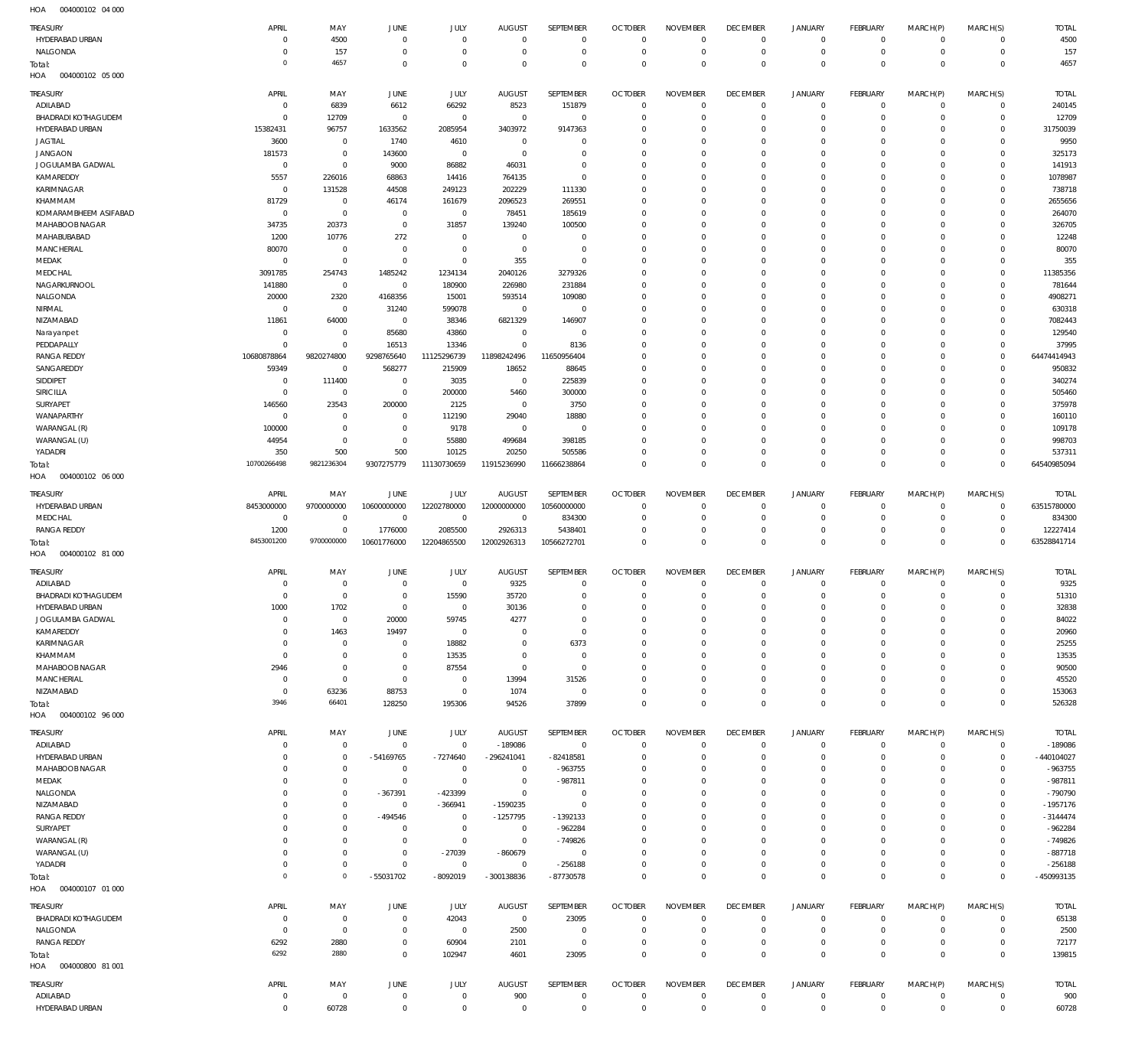004000102 04 000 HOA

| <b>TREASURY</b>                   | APRIL<br>$\Omega$     | MAY                           | JUNE<br>$\overline{0}$    | JULY<br>$^{\circ}$         | <b>AUGUST</b><br>$\mathbf 0$ | SEPTEMBER<br>$\mathbf{0}$   | <b>OCTOBER</b><br>$^{\circ}$ | <b>NOVEMBER</b><br>$\mathbf 0$ | <b>DECEMBER</b><br>$^{\circ}$ | JANUARY<br>$\mathbf 0$  | <b>FEBRUARY</b><br>$\mathbf 0$   | MARCH(P)<br>$\mathbf 0$    | MARCH(S)<br>$\mathbf{0}$   | <b>TOTAL</b><br>4500     |
|-----------------------------------|-----------------------|-------------------------------|---------------------------|----------------------------|------------------------------|-----------------------------|------------------------------|--------------------------------|-------------------------------|-------------------------|----------------------------------|----------------------------|----------------------------|--------------------------|
| HYDERABAD URBAN<br>NALGONDA       | $\Omega$              | 4500<br>157                   | $\overline{0}$            | $\mathbf{0}$               | $\overline{0}$               | $\mathbf{0}$                | $^{\circ}$                   | $^{\circ}$                     | $^{\circ}$                    | $\mathbf 0$             | $\overline{0}$                   | $\mathbf 0$                | $\mathbf{0}$               | 157                      |
| Total:<br>HOA<br>004000102 05 000 | $\Omega$              | 4657                          | $\overline{0}$            | $\mathbf 0$                | $\Omega$                     | $\mathbf 0$                 | $^{\circ}$                   | $\mathbf 0$                    | $\overline{0}$                | $\mathbf 0$             | $\overline{0}$                   | $\mathbf 0$                | $\mathbf 0$                | 4657                     |
| TREASURY                          | APRIL                 | MAY                           | JUNE                      | JULY                       | <b>AUGUST</b>                | SEPTEMBER                   | <b>OCTOBER</b>               | <b>NOVEMBER</b>                | <b>DECEMBER</b>               | <b>JANUARY</b>          | <b>FEBRUARY</b>                  | MARCH(P)                   | MARCH(S)                   | <b>TOTAL</b>             |
| ADILABAD                          | 0                     | 6839                          | 6612                      | 66292                      | 8523                         | 151879                      | $^{\circ}$                   | $^{\circ}$                     | $^{\circ}$                    | $\mathbf 0$             | $^{\circ}$                       | $\mathbf 0$                | $\mathbf 0$                | 240145                   |
| <b>BHADRADI KOTHAGUDEM</b>        | -C                    | 12709                         | $\overline{0}$            | $^{\circ}$                 | $^{\circ}$                   | $\mathbf 0$                 | $^{\circ}$                   | $^{\circ}$                     | $^{\circ}$                    | $\mathbf 0$             | $\mathbf 0$                      | $\Omega$                   | $\mathbf 0$                | 12709                    |
| HYDERABAD URBAN                   | 15382431              | 96757                         | 1633562                   | 2085954                    | 3403972                      | 9147363                     | 0                            | $^{\circ}$                     | $^{\circ}$                    | $\mathbf 0$             | O                                | 0                          | $\mathbf 0$                | 31750039                 |
| <b>JAGTIAL</b>                    | 3600                  | $\overline{0}$                | 1740                      | 4610                       | $^{\circ}$                   | $^{\circ}$                  | 0                            | $^{\circ}$                     | 0                             | $\mathbf 0$             | $\mathbf 0$                      | 0                          | $\mathbf 0$                | 9950                     |
| <b>JANGAON</b>                    | 181573                | $\overline{0}$                | 143600                    | $^{\circ}$                 | $\overline{0}$               | $^{\circ}$                  | 0                            | $^{\circ}$                     | $^{\circ}$                    | $\mathbf 0$             | $\Omega$                         | 0                          | $\mathbf 0$                | 325173                   |
| JOGULAMBA GADWAL                  | 0                     | $\mathbf 0$                   | 9000                      | 86882                      | 46031                        | $^{\circ}$                  | 0                            | $^{\circ}$                     | 0                             | $\mathbf 0$             | $\mathbf 0$                      | 0                          | $\mathbf 0$                | 141913                   |
| KAMAREDDY                         | 5557                  | 226016                        | 68863                     | 14416                      | 764135                       | $^{\circ}$                  | 0                            | $^{\circ}$                     | 0                             | $\mathbf 0$             | $\Omega$                         | 0                          | $\mathbf 0$                | 1078987                  |
| KARIMNAGAR                        | 0                     | 131528                        | 44508                     | 249123                     | 202229                       | 111330                      | $^{\circ}$                   | $^{\circ}$                     | 0                             | $\mathbf 0$             | O                                | 0                          | $\mathbf 0$                | 738718                   |
| KHAMMAM<br>KOMARAMBHEEM ASIFABAD  | 81729<br>0            | $\overline{0}$<br>$\mathbf 0$ | 46174<br>$^{\circ}$       | 161679                     | 2096523                      | 269551                      | 0                            | $^{\circ}$<br>$^{\circ}$       | 0                             | $\mathbf 0$<br>0        | O<br>$\Omega$                    | 0                          | $\mathbf 0$<br>$\Omega$    | 2655656                  |
| MAHABOOB NAGAR                    | 34735                 | 20373                         | $^{\circ}$                | $\mathbf{0}$<br>31857      | 78451<br>139240              | 185619<br>100500            | 0<br>0                       | $^{\circ}$                     | 0<br>0                        | $\mathbf 0$             | $\mathbf 0$                      | 0                          | $\mathbf 0$                | 264070<br>326705         |
| MAHABUBABAD                       | 1200                  | 10776                         | 272                       | $\overline{0}$             | $\overline{0}$               | $^{\circ}$                  | 0                            | 0                              | 0                             | 0                       | $\Omega$                         |                            | $\Omega$                   | 12248                    |
| <b>MANCHERIAL</b>                 | 80070                 | $\overline{0}$                | $\overline{0}$            | $^{\circ}$                 | $^{\circ}$                   | $^{\circ}$                  | 0                            | $^{\circ}$                     | 0                             | $\mathbf 0$             | O                                | 0                          | $\mathbf 0$                | 80070                    |
| MEDAK                             | $\Omega$              | $\mathbf 0$                   | $\overline{0}$            | $\mathbf 0$                | 355                          | $^{\circ}$                  | 0                            | $^{\circ}$                     | 0                             | 0                       | O                                |                            | $\mathbf 0$                | 355                      |
| MEDCHAL                           | 3091785               | 254743                        | 1485242                   | 1234134                    | 2040126                      | 3279326                     | 0                            | $^{\circ}$                     | $^{\circ}$                    | $\mathbf 0$             | O                                | 0                          | $\mathbf 0$                | 11385356                 |
| NAGARKURNOOL                      | 141880                | $\overline{0}$                | $\overline{0}$            | 180900                     | 226980                       | 231884                      | 0                            | $^{\circ}$                     | 0                             | $\mathbf 0$             | O                                | 0                          | $\mathbf 0$                | 781644                   |
| NALGONDA                          | 20000                 | 2320                          | 4168356                   | 15001                      | 593514                       | 109080                      | 0                            | $^{\circ}$                     | $^{\circ}$                    | $\mathbf 0$             | $\Omega$                         | 0                          | $\Omega$                   | 4908271                  |
| NIRMAL                            | $^{\circ}$            | $\overline{0}$                | 31240                     | 599078                     | $^{\circ}$                   | $^{\circ}$                  | 0                            | $^{\circ}$                     | 0                             | $\mathbf 0$             | $\mathbf 0$                      | 0                          | $\mathbf 0$                | 630318                   |
| NIZAMABAD                         | 11861                 | 64000                         | $\overline{0}$            | 38346                      | 6821329                      | 146907                      | 0                            | $^{\circ}$                     | 0                             | $\mathbf 0$             | $\Omega$                         |                            | $\mathbf 0$                | 7082443                  |
| Narayanpet                        | $\Omega$              | $\overline{0}$                | 85680                     | 43860                      | $\overline{0}$               | $^{\circ}$                  | 0                            | $^{\circ}$                     | 0                             | $\mathbf 0$             | $\Omega$                         | 0                          | $\mathbf 0$                | 129540                   |
| PEDDAPALLY                        | $\Omega$              | $\mathbf 0$                   | 16513                     | 13346                      | $\mathbf 0$                  | 8136                        | 0                            | $^{\circ}$                     | 0                             | $\mathbf 0$             | $\Omega$                         | 0                          | $\mathbf 0$                | 37995                    |
| <b>RANGA REDDY</b>                | 10680878864           | 9820274800                    | 9298765640                | 11125296739                | 11898242496                  | 11650956404                 | 0                            | $^{\circ}$                     | 0                             | 0                       | $\Omega$                         |                            | $\mathbf 0$                | 64474414943              |
| SANGAREDDY<br>SIDDIPET            | 59349<br>$\mathsf{C}$ | $\overline{0}$<br>111400      | 568277<br>$\overline{0}$  | 215909<br>3035             | 18652<br>$\overline{0}$      | 88645<br>225839             | 0<br>0                       | $^{\circ}$<br>0                | 0<br>0                        | $\mathbf 0$<br>$\Omega$ | O<br>$\Omega$                    | 0                          | $\mathbf 0$<br>$\Omega$    | 950832<br>340274         |
| SIRICILLA                         | $^{\circ}$            | $\overline{0}$                | $^{\circ}$                | 200000                     | 5460                         | 300000                      | 0                            | $^{\circ}$                     | 0                             | $\mathbf 0$             | O                                | 0                          | $\mathbf 0$                | 505460                   |
| <b>SURYAPET</b>                   | 146560                | 23543                         | 200000                    | 2125                       | $\overline{0}$               | 3750                        | 0                            | $^{\circ}$                     | 0                             | 0                       | $\Omega$                         |                            | $\Omega$                   | 375978                   |
| WANAPARTHY                        | $\Omega$              | $\overline{0}$                | $^{\circ}$                | 112190                     | 29040                        | 18880                       | 0                            | $^{\circ}$                     | $^{\circ}$                    | $\mathbf 0$             | O                                | 0                          | $\mathbf 0$                | 160110                   |
| WARANGAL (R)                      | 100000                | $\overline{0}$                | $\overline{0}$            | 9178                       | $\overline{0}$               | $^{\circ}$                  | 0                            | $^{\circ}$                     | 0                             | $\mathbf 0$             | O                                | 0                          | $\mathbf 0$                | 109178                   |
| WARANGAL (U)                      | 44954                 | $\mathbf 0$                   | $\overline{0}$            | 55880                      | 499684                       | 398185                      | 0                            | $^{\circ}$                     | $^{\circ}$                    | $\mathbf 0$             | O                                | $\Omega$                   | $\mathbf 0$                | 998703                   |
| YADADRI                           | 350                   | 500                           | 500                       | 10125                      | 20250                        | 505586                      | $^{\circ}$                   | $^{\circ}$                     | $^{\circ}$                    | 0                       | $\mathbf 0$                      | $\mathbf 0$                | $\mathbf 0$                | 537311                   |
| Total:                            | 10700266498           | 9821236304                    | 9307275779                | 11130730659                | 11915236990                  | 11666238864                 | $^{\circ}$                   | $\mathbf 0$                    | $\mathbf 0$                   | $\mathbf 0$             | $\mathbf 0$                      | $\Omega$                   | $\Omega$                   | 64540985094              |
| <b>HOA</b><br>004000102 06 000    |                       |                               |                           |                            |                              |                             |                              |                                |                               |                         |                                  |                            |                            |                          |
| <b>TREASURY</b>                   | APRIL                 | MAY                           | JUNE                      | JULY                       | <b>AUGUST</b>                | SEPTEMBER                   | <b>OCTOBER</b>               | <b>NOVEMBER</b>                | <b>DECEMBER</b>               | <b>JANUARY</b>          | <b>FEBRUARY</b>                  | MARCH(P)                   | MARCH(S)                   | <b>TOTAL</b>             |
| HYDERABAD URBAN                   | 8453000000            | 9700000000                    | 10600000000               | 12202780000                | 12000000000                  | 10560000000                 | $^{\circ}$                   | $\mathbf 0$                    | $^{\circ}$                    | $\mathbf 0$             | $\mathbf 0$                      | $\mathbf 0$                | $^{\circ}$                 | 63515780000              |
| MEDCHAL                           | $^{\circ}$            | $\overline{0}$                | $\overline{0}$            | $\mathbf 0$                | $^{\circ}$                   | 834300                      | 0                            | $^{\circ}$                     | $^{\circ}$                    | 0                       | $\mathbf 0$                      | $\mathbf 0$                | $\mathbf{0}$               | 834300                   |
| <b>RANGA REDDY</b>                | 1200                  | $\mathbf 0$                   | 1776000                   | 2085500                    | 2926313                      | 5438401                     | $^{\circ}$                   | $\mathbf 0$                    | $^{\circ}$                    | 0                       | $\mathbf 0$                      | $\mathbf 0$                | $\mathbf{0}$               | 12227414                 |
| Total:                            | 8453001200            | 9700000000                    | 10601776000               | 12204865500                | 12002926313                  | 10566272701                 | $\mathbf 0$                  | $\mathbf 0$                    | $\mathbf 0$                   | $\mathbf 0$             | $\overline{0}$                   | $\mathbf 0$                | $\mathbf 0$                | 63528841714              |
| HOA<br>004000102 81 000           |                       |                               |                           |                            |                              |                             |                              |                                |                               |                         |                                  |                            |                            |                          |
| TREASURY                          | APRIL                 | MAY                           | JUNE                      | JULY                       | <b>AUGUST</b>                | SEPTEMBER                   | <b>OCTOBER</b>               | <b>NOVEMBER</b>                | <b>DECEMBER</b>               | <b>JANUARY</b>          | FEBRUARY                         | MARCH(P)                   | MARCH(S)                   | <b>TOTAL</b>             |
| ADILABAD                          | -C                    | $\overline{0}$                | $\mathbf 0$               | $^{\circ}$                 | 9325                         | $\mathbf 0$                 | $^{\circ}$                   | $^{\circ}$                     | $^{\circ}$                    | $\mathbf 0$             | $\mathbf 0$                      | 0                          | $\mathbf 0$                | 9325                     |
| <b>BHADRADI KOTHAGUDEM</b>        | $\Omega$              | $\overline{0}$                | $\mathbf 0$               | 15590                      | 35720                        | $\mathbf{0}$                | $\mathbf 0$                  | $\mathbf 0$                    | $\mathbf 0$                   | $\mathbf 0$             | $\mathbf 0$                      | $\mathbf 0$                | $\mathbf 0$                | 51310                    |
| HYDERABAD URBAN                   | 1000                  | 1702                          | $\Omega$                  | $\Omega$                   | 30136                        | $\Omega$                    | $\Omega$                     | $\Omega$                       | $\Omega$                      | $\Omega$                | $\Omega$                         | $\Omega$                   | $\Omega$                   | 32838                    |
| JOGULAMBA GADWAL                  | $\Omega$              | $\mathbf 0$                   | 20000                     | 59745                      | 4277                         | $\mathbf{0}$                | $^{\circ}$                   | $^{\circ}$                     | $^{\circ}$                    | 0                       | $\mathbf 0$                      | $\Omega$                   | $\mathbf 0$                | 84022                    |
| KAMAREDDY                         | $\Omega$              | 1463                          | 19497                     | $^{\circ}$                 | 0                            | $\mathbf 0$                 | $^{\circ}$                   | $^{\circ}$                     | $^{\circ}$                    | $\mathbf 0$             | $\mathbf 0$                      | $\Omega$                   | $\circ$                    | 20960                    |
| KARIMNAGAR                        | $\Omega$              | $\overline{0}$                | $\overline{0}$            | 18882                      | 0                            | 6373                        | $^{\circ}$                   | $^{\circ}$                     | $^{\circ}$                    | $\mathbf 0$             | $\mathbf 0$                      | $\Omega$                   | $\circ$                    | 25255                    |
| KHAMMAM                           | $^{\circ}$            | $\overline{0}$                | $^{\circ}$                | 13535                      | 0                            | $\mathbf{0}$                | 0                            | $^{\circ}$                     | $^{\circ}$                    | $\mathbf 0$             | $\mathbf 0$                      | 0                          | $\circ$                    | 13535                    |
| MAHABOOB NAGAR                    | 2946                  | $\mathbf 0$                   | $^{\circ}$                | 87554                      | $\overline{0}$               | $\mathbf{0}$                | $^{\circ}$                   | $^{\circ}$                     | $^{\circ}$                    | $\mathbf 0$             | O                                | $\Omega$                   | $\circ$                    | 90500                    |
| <b>MANCHERIAL</b>                 | $^{\circ}$            | $\mathbf 0$                   | $^{\circ}$                | $\mathbf{0}$               | 13994                        | 31526                       | 0                            | $^{\circ}$                     | $^{\circ}$                    | $\mathbf 0$             | $\mathbf 0$                      | $\Omega$                   | $\circ$                    | 45520                    |
| NIZAMABAD                         | $^{\circ}$            | 63236                         | 88753                     | $\mathbf 0$                | 1074                         | $^{\circ}$                  | $^{\circ}$                   | $^{\circ}$                     | $^{\circ}$                    | $\mathbf 0$             | $\mathbf 0$                      | $\Omega$                   | $\circ$                    | 153063                   |
| Total:                            | 3946                  | 66401                         | 128250                    | 195306                     | 94526                        | 37899                       | $^{\circ}$                   | $\mathbf 0$                    | $\mathbf 0$                   | $\mathbf 0$             | $\overline{0}$                   | $\mathbf 0$                | $\mathbf 0$                | 526328                   |
| 004000102 96 000<br>HOA           |                       |                               |                           |                            |                              |                             |                              |                                |                               |                         |                                  |                            |                            |                          |
| TREASURY                          | APRIL                 | MAY                           | JUNE                      | JULY                       | AUGUST                       | SEPTEMBER                   | <b>OCTOBER</b>               | <b>NOVEMBER</b>                | <b>DECEMBER</b>               | <b>JANUARY</b>          | <b>FEBRUARY</b>                  | MARCH(P)                   | MARCH(S)                   | <b>TOTAL</b>             |
| ADILABAD                          | $^{\circ}$            | $\mathbf 0$                   | $^{\circ}$                | $\mathbf 0$                | $-189086$                    | $\mathbf{0}$                | $^{\circ}$                   | $\mathbf 0$                    | $^{\circ}$                    | $\mathbf 0$             | $\mathbf 0$                      | $\mathbf 0$                | $\mathbf{0}$               | $-189086$                |
| HYDERABAD URBAN                   | $\Omega$              | $\mathbf 0$                   | $-54169765$               | $-7274640$                 | $-296241041$                 | $-82418581$                 | $^{\circ}$                   | $^{\circ}$                     | $^{\circ}$                    | $\mathbf 0$             | $\mathbf 0$                      | $\mathbf 0$                | $\mathbf{0}$               | -440104027               |
| MAHABOOB NAGAR                    | $\Omega$              | $\mathbf 0$                   | $^{\circ}$                | $\mathbf{0}$               | $^{\circ}$                   | $-963755$                   | $^{\circ}$                   | $\mathbf 0$                    | $^{\circ}$                    | 0                       | $\mathbf 0$                      | $\mathbf 0$                | $\mathbf 0$                | $-963755$                |
| MEDAK                             | $\Omega$              | $\mathbf 0$                   | $^{\circ}$                | $\mathbf 0$                | $\overline{0}$               | $-987811$                   | $^{\circ}$                   | $\mathbf 0$                    | $^{\circ}$                    | 0                       | $\mathbf 0$                      | $\Omega$                   | $\circ$                    | $-987811$                |
| NALGONDA                          | $\Omega$              | $\mathbf 0$                   | $-367391$                 | $-423399$                  | $^{\circ}$                   | $\mathbf{0}$<br>$\mathbf 0$ | $^{\circ}$                   | $\mathbf 0$                    | $^{\circ}$                    | 0                       | $\mathbf 0$                      | $\mathbf 0$<br>$\Omega$    | $\mathbf 0$                | $-790790$                |
| NIZAMABAD<br><b>RANGA REDDY</b>   | $\Omega$<br>$\Omega$  | $\overline{0}$<br>$\mathbf 0$ | $^{\circ}$<br>$-494546$   | $-366941$<br>$\mathbf{0}$  | $-1590235$<br>$-1257795$     | $-1392133$                  | $^{\circ}$<br>$^{\circ}$     | $\mathbf 0$<br>$\mathbf 0$     | $^{\circ}$<br>$^{\circ}$      | 0<br>0                  | $\mathbf 0$<br>$\mathbf 0$       | $\Omega$                   | $\mathbf 0$<br>$\mathbf 0$ | $-1957176$<br>$-3144474$ |
| SURYAPET                          | $\Omega$              | $\mathbf 0$                   | $^{\circ}$                | $\mathbf 0$                | $^{\circ}$                   | $-962284$                   | $^{\circ}$                   | $^{\circ}$                     | $^{\circ}$                    | 0                       | $\mathbf 0$                      | $\Omega$                   | $\mathbf 0$                | $-962284$                |
| WARANGAL (R)                      | $\Omega$              | $\mathbf 0$                   | $^{\circ}$                | $\mathbf 0$                | $^{\circ}$                   | $-749826$                   | $^{\circ}$                   | $^{\circ}$                     | $^{\circ}$                    | 0                       | $\mathbf 0$                      | $\Omega$                   | $\mathbf 0$                | $-749826$                |
| WARANGAL (U)                      | $\Omega$              | $\mathbf 0$                   | $^{\circ}$                | $-27039$                   | $-860679$                    | $\mathbf{0}$                | $^{\circ}$                   | $^{\circ}$                     | $^{\circ}$                    | 0                       | $\mathbf 0$                      | $\Omega$                   | $\mathbf 0$                | $-887718$                |
| YADADRI                           | $\Omega$              | $\mathbf 0$                   | $^{\circ}$                | $\mathbf 0$                | $^{\circ}$                   | $-256188$                   | $^{\circ}$                   | $\mathbf 0$                    | $^{\circ}$                    | $\mathbf 0$             | $\mathbf 0$                      | $\mathbf 0$                | $\mathbf{0}$               | $-256188$                |
| Total:                            | $^{\circ}$            | $\mathbb O$                   | $-55031702$               | $-8092019$                 | -300138836                   | $-87730578$                 | $\mathbf 0$                  | $\mathbf 0$                    | $\mathbf 0$                   | $\mathbf 0$             | $\overline{0}$                   | $\mathbf 0$                | $\overline{0}$             | -450993135               |
| 004000107 01 000<br>HOA           |                       |                               |                           |                            |                              |                             |                              |                                |                               |                         |                                  |                            |                            |                          |
| TREASURY                          | APRIL                 | MAY                           | JUNE                      | JULY                       | AUGUST                       | SEPTEMBER                   | <b>OCTOBER</b>               | <b>NOVEMBER</b>                | <b>DECEMBER</b>               | <b>JANUARY</b>          | <b>FEBRUARY</b>                  | MARCH(P)                   | MARCH(S)                   | <b>TOTAL</b>             |
| <b>BHADRADI KOTHAGUDEM</b>        | C                     | $\overline{0}$                | $^{\circ}$                | 42043                      | $^{\circ}$                   | 23095                       | $^{\circ}$                   | $^{\circ}$                     | $\mathbf 0$                   | $\mathbf 0$             | $\mathbf 0$                      | 0                          | $\mathbf 0$                | 65138                    |
| NALGONDA                          | $^{\circ}$            | $\overline{0}$                | $^{\circ}$                | $\mathbf{0}$               | 2500                         | $\mathbf{0}$                | $^{\circ}$                   | $\mathbf 0$                    | $\mathbf 0$                   | $\mathbf 0$             | $\mathbf 0$                      | $\mathbf 0$                | $\mathbf 0$                | 2500                     |
| <b>RANGA REDDY</b>                | 6292                  | 2880                          | $^{\circ}$                | 60904                      | 2101                         | $\mathbf 0$                 | $^{\circ}$                   | $\mathbf 0$                    | $^{\circ}$                    | $\mathbf 0$             | $\mathbf 0$                      | $\mathbf 0$                | $\mathbf 0$                | 72177                    |
| Total:                            | 6292                  | 2880                          | $^{\circ}$                | 102947                     | 4601                         | 23095                       | $\mathbf 0$                  | $\mathbf 0$                    | $\mathbf 0$                   | $\mathbf 0$             | $\mathbf 0$                      | $\mathbf 0$                | $\mathbf 0$                | 139815                   |
| HOA<br>004000800 81 001           |                       |                               |                           |                            |                              |                             |                              |                                |                               |                         |                                  |                            |                            |                          |
|                                   |                       |                               |                           |                            |                              |                             |                              |                                |                               |                         |                                  |                            |                            |                          |
|                                   |                       |                               |                           |                            |                              |                             |                              |                                |                               |                         |                                  |                            |                            |                          |
| TREASURY                          | APRIL                 | MAY                           | JUNE                      | JULY                       | <b>AUGUST</b>                | SEPTEMBER                   | <b>OCTOBER</b>               | <b>NOVEMBER</b>                | <b>DECEMBER</b>               | <b>JANUARY</b>          | <b>FEBRUARY</b>                  | MARCH(P)                   | MARCH(S)                   | <b>TOTAL</b>             |
| ADILABAD<br>HYDERABAD URBAN       | 0<br>$\mathbf 0$      | $\mathbf 0$<br>60728          | $^{\circ}$<br>$\mathbf 0$ | $\mathbf 0$<br>$\mathbb O$ | 900<br>$^{\circ}$            | $\mathbf{0}$<br>$\mathsf 0$ | $^{\circ}$<br>$\mathbf 0$    | $\mathbf 0$<br>$\mathbf 0$     | $^{\circ}$<br>$\mathbf 0$     | 0<br>$\mathbf 0$        | $\overline{0}$<br>$\overline{0}$ | $\mathbf 0$<br>$\mathbf 0$ | $\mathbf 0$<br>$\circ$     | 900<br>60728             |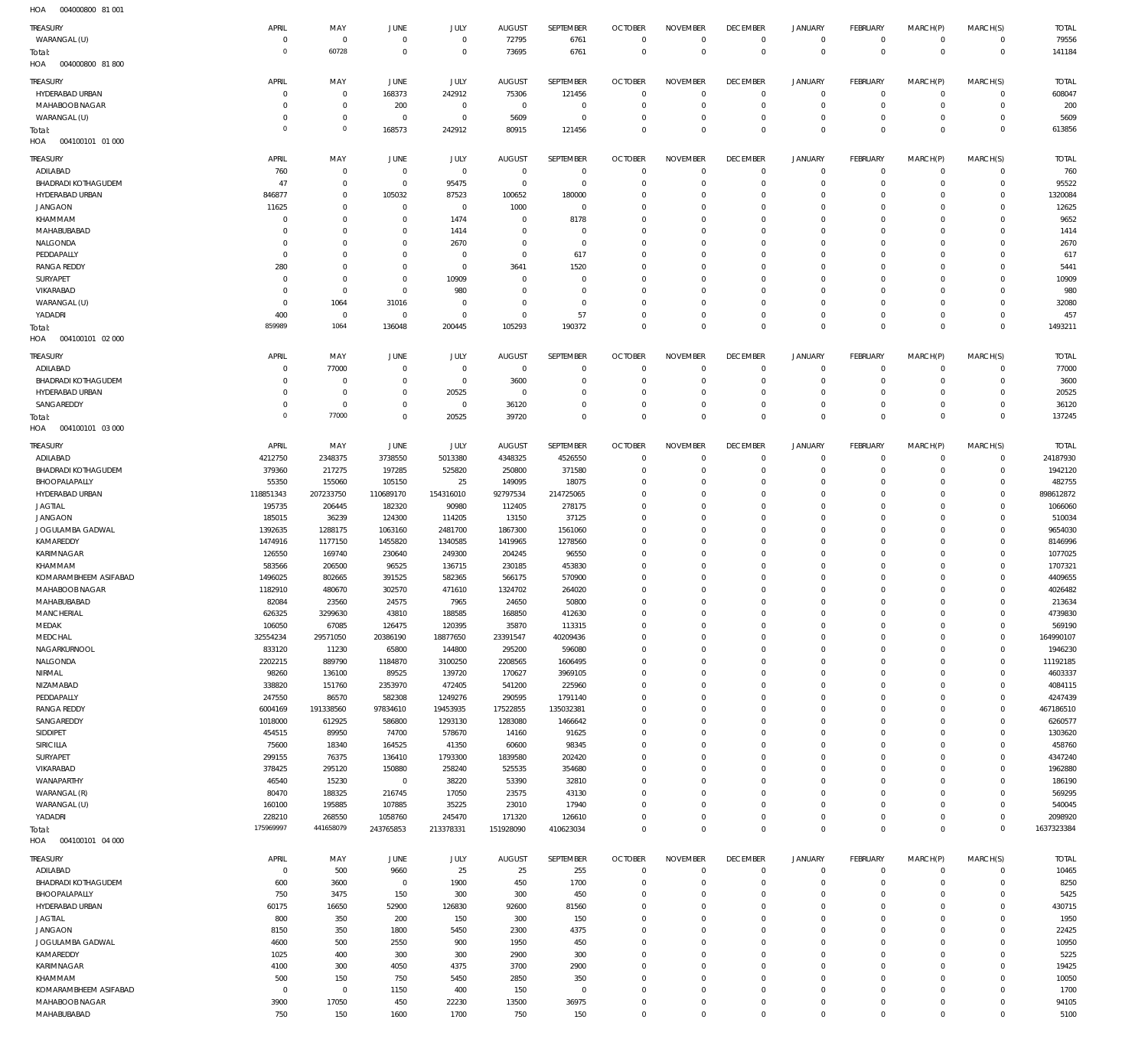004000800 81 001 004000800 81 800 HOA 004100101 01 000 HOA 004100101 02 000 004100101 03 000 HOA 004100101 04 000 HOA HOA HOA  $\Omega$   $\Omega$   $\Omega$   $\Omega$  $\Omega$   $\Omega$   $\overline{0}$  $\Omega$   $\Omega$   $\overline{0}$   $\Omega$   $\Omega$  WARANGAL (U) HYDERABAD URBAN MAHABOOB NAGAR WARANGAL (U) ADILABAD BHADRADI KOTHAGUDEM HYDERABAD URBAN JANGAON KHAMMAM MAHABUBABAD NALGONDA PEDDAPALLY RANGA REDDY SURYAPET VIKARABAD WARANGAL (U) YADADRI ADILABAD BHADRADI KOTHAGUDEM HYDERABAD URBAN SANGAREDDY ADILABAD BHADRADI KOTHAGUDEM BHOOPALAPALLY HYDERABAD URBAN JAGTIAL JANGAON JOGULAMBA GADWAL KAMAREDDY KARIMNAGAR KHAMMAM KOMARAMBHEEM ASIFABAD MAHABOOB NAGAR MAHABUBABAD MANCHERIAL MEDAK MEDCHAL NAGARKURNOOL NALGONDA NIRMAL NIZAMABAD PEDDAPALLY RANGA REDDY SANGAREDDY SIDDIPET **SIRICILLA** SURYAPET VIKARABAD WANAPARTHY WARANGAL (R) WARANGAL (U) YADADRI ADILABAD BHADRADI KOTHAGUDEM BHOOPALAPALLY HYDERABAD URBAN JAGTIAL JANGAON JOGULAMBA GADWAL KAMAREDDY KARIMNAGAR KHAMMAM KOMARAMBHEEM ASIFABAD MAHABOOB NAGAR **TREASURY** TREASURY **TREASURY** TREASURY TREASURY TREASURY  $\overline{0}$   $\Omega$   $\Omega$  $\overline{0}$   $\Omega$   $\Omega$  $\overline{0}$   $\Omega$  $\overline{0}$  APRIL APRIL APRIL APRIL APRIL APRIL  $\Omega$   $\Omega$   $\Omega$  MAY MAY MAY MAY MAY MAY  $\sqrt{0}$   $\Omega$   $\Omega$   $\Omega$   $\Omega$  JUNE JUNE **JUNE** JUNE JUNE JUNE  $\Omega$   $\Omega$  JULY JULY JULY JULY JULY JULY  $\Omega$   $\Omega$   $\Omega$   $\overline{0}$  AUGUST AUGUST **AUGUST** AUGUST AUGUST AUGUST  $\Omega$   $\Omega$  $\overline{0}$   $\Omega$  SEPTEMBER SEPTEMBER **SEPTEMBER** SEPTEMBER SEPTEMBER SEPTEMBER  $\Omega$   $\Omega$   $\Omega$  $\overline{0}$   $\Omega$   $\Omega$   $\Omega$  $\overline{0}$   $\Omega$   $\Omega$   $\Omega$  $\overline{0}$   $\Omega$  $\Omega$  $\Omega$   $\Omega$  $\overline{0}$  $\Omega$  $\Omega$   $\Omega$   $\Omega$  $\Omega$   $\Omega$  $\overline{0}$  $\Omega$  $\Omega$   $\Omega$   $\Omega$  $\overline{0}$   $\Omega$  OCTOBER **OCTOBER OCTOBER** OCTOBER **OCTOBER** OCTOBER  $\Omega$   $\Omega$   $\Omega$   $\Omega$   $\Omega$   $\Omega$   $\Omega$   $\Omega$   $\Omega$   $\Omega$   $\Omega$   $\Omega$   $\Omega$   $\Omega$   $\Omega$   $\Omega$   $\Omega$   $\Omega$  NOVEMBER NOVEMBER NOVEMBER NOVEMBER NOVEMBER NOVEMBER  $\overline{0}$   $\Omega$  $\overline{0}$   $\Omega$   $\Omega$  $\overline{0}$   $\Omega$   $\Omega$   $\Omega$  $\overline{0}$   $\Omega$  $\overline{0}$   $\overline{0}$  $\Omega$   $\Omega$  $\overline{0}$  $\Omega$   $\Omega$   $\Omega$  $\overline{0}$   $\Omega$  $\overline{0}$   $\Omega$  $\overline{0}$   $\overline{0}$  DECEMBER DECEMBER **DECEMBER** DECEMBER DECEMBER DECEMBER  $\Omega$   $\Omega$   $\Omega$   $\Omega$   $\Omega$   $\Omega$   $\Omega$   $\Omega$   $\Omega$   $\Omega$   $\Omega$   $\Omega$   $\Omega$  JANUARY JANUARY JANUARY JANUARY JANUARY JANUARY  $\Omega$   $\overline{0}$   $\Omega$   $\Omega$   $\Omega$  $\overline{0}$   $\Omega$   $\Omega$   $\Omega$   $\Omega$   $\Omega$  FEBRUARY FEBRUARY **FFRRUARY FFBRUARY** FEBRUARY FEBRUARY  $\Omega$   $\Omega$  $\overline{0}$   $\Omega$   $\Omega$   $\Omega$   $\Omega$   $\Omega$   $\Omega$   $\Omega$   $\Omega$   $\Omega$   $\Omega$  MARCH(P) MARCH(P) MARCH(P) MARCH(P) MARCH(P) MARCH(P)  $\Omega$  $\mathbf 0$   $\Omega$   $\Omega$   $\Omega$   $\Omega$   $\Omega$   $\Omega$   $\Omega$   $\Omega$   $\Omega$   $\Omega$   $\Omega$   $\Omega$   $\Omega$   $\Omega$  $\Omega$  MARCH(S) MARCH(S) MARCH(S) MARCH(S) MARCH(S) MARCH(S) TOTAL TOTAL TOTAL TOTAL TOTAL TOTAL Total: Total: Total: Total: Total:

MAHABUBABAD

 $\Omega$ 

 $\Omega$ 

 $\Omega$ 

 $\Omega$ 

 $\Omega$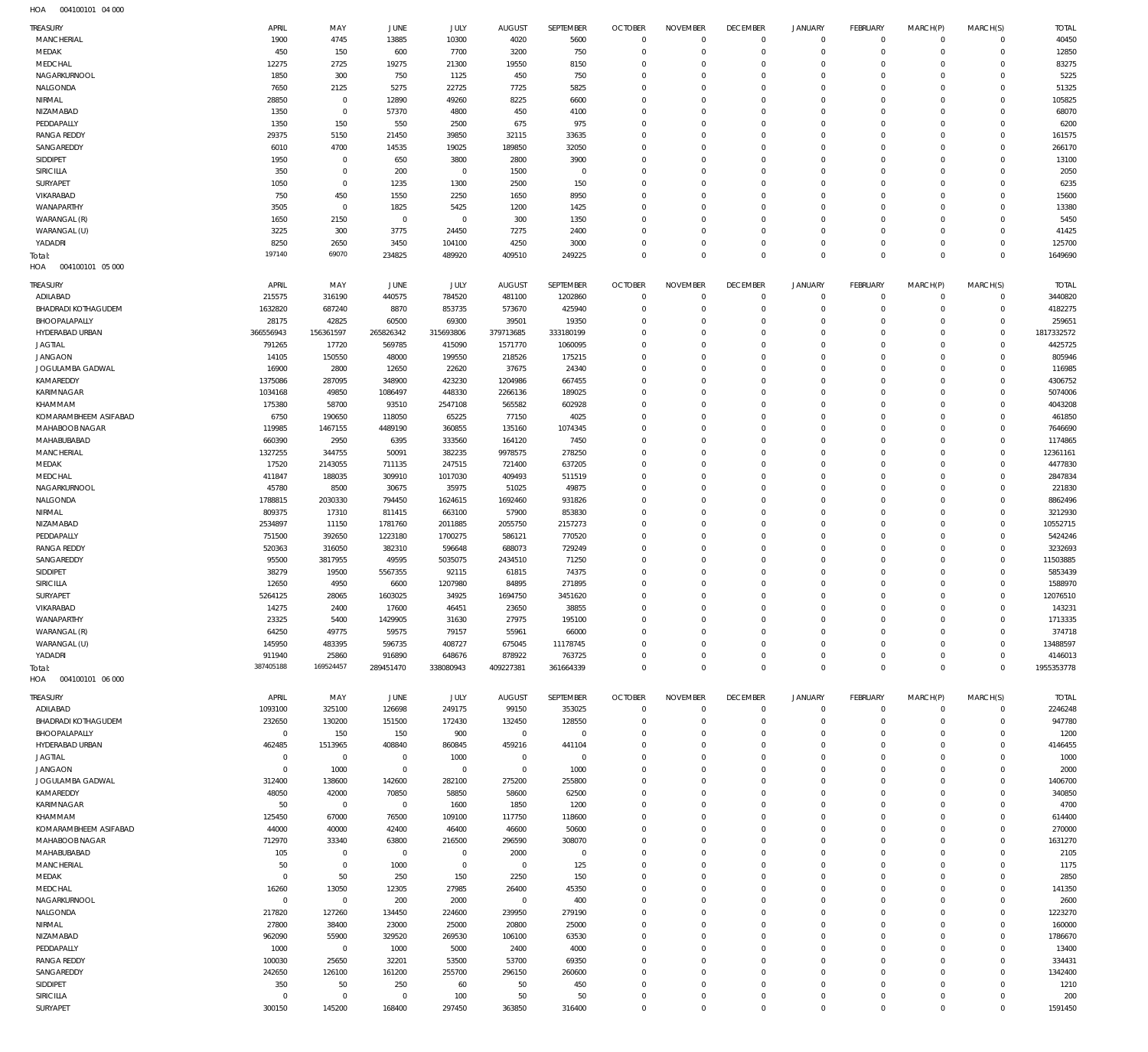004100101 04 000 HOA

| TREASURY                           | APRIL                            | MAY                     | <b>JUNE</b>                   | JULY                   | <b>AUGUST</b>                 | SEPTEMBER              | <b>OCTOBER</b>                   | <b>NOVEMBER</b>            | <b>DECEMBER</b>                  | <b>JANUARY</b>                | <b>FEBRUARY</b>              | MARCH(P)             | MARCH(S)                | <b>TOTAL</b>        |
|------------------------------------|----------------------------------|-------------------------|-------------------------------|------------------------|-------------------------------|------------------------|----------------------------------|----------------------------|----------------------------------|-------------------------------|------------------------------|----------------------|-------------------------|---------------------|
| MANCHERIAL                         | 1900                             | 4745                    | 13885                         | 10300                  | 4020                          | 5600                   | $\overline{0}$                   | $\mathbf 0$                | $\mathbf 0$                      | $\mathbf 0$                   | $\mathbf{0}$                 | $\Omega$             | $\mathbf 0$             | 40450               |
| MEDAK                              | 450                              | 150                     | 600                           | 7700                   | 3200                          | 750                    | $\overline{0}$                   | $\overline{0}$             | $\overline{0}$                   | $\mathbf 0$                   | $\mathbf{0}$                 | $\Omega$             | $\mathbf 0$             | 12850               |
| MEDCHAL<br>NAGARKURNOOL            | 12275<br>1850                    | 2725<br>300             | 19275<br>750                  | 21300                  | 19550                         | 8150                   | $\overline{0}$<br>$\overline{0}$ | $\Omega$<br>$\Omega$       | $\overline{0}$<br>$\overline{0}$ | $^{\circ}$<br>$\overline{0}$  | $\mathbf 0$<br>$\mathbf 0$   | $\Omega$<br>$\Omega$ | $\Omega$<br>$\Omega$    | 83275<br>5225       |
| NALGONDA                           | 7650                             | 2125                    | 5275                          | 1125<br>22725          | 450<br>7725                   | 750<br>5825            | $\overline{0}$                   | $\Omega$                   | $\overline{0}$                   | $^{\circ}$                    | $\mathbf 0$                  | $\Omega$             | $\Omega$                | 51325               |
| NIRMAL                             | 28850                            | $\mathbf 0$             | 12890                         | 49260                  | 8225                          | 6600                   | $\overline{0}$                   | $\mathbf 0$                | $\overline{0}$                   | $^{\circ}$                    | $\mathbf 0$                  | $\Omega$             | $\Omega$                | 105825              |
| NIZAMABAD                          | 1350                             | $\mathbf 0$             | 57370                         | 4800                   | 450                           | 4100                   | $\overline{0}$                   | $\Omega$                   | $\overline{0}$                   | $^{\circ}$                    | $\mathbf 0$                  | $\Omega$             | $\Omega$                | 68070               |
| PEDDAPALLY                         | 1350                             | 150                     | 550                           | 2500                   | 675                           | 975                    | $\overline{0}$                   | $\mathbf 0$                | $\overline{0}$                   | $^{\circ}$                    | $\mathbf 0$                  | $\Omega$             | $\Omega$                | 6200                |
| <b>RANGA REDDY</b>                 | 29375                            | 5150                    | 21450                         | 39850                  | 32115                         | 33635                  | $\overline{0}$                   | $\Omega$                   | $\overline{0}$                   | $^{\circ}$                    | $\mathbf 0$                  |                      | $\Omega$                | 161575              |
| SANGAREDDY<br>SIDDIPET             | 6010<br>1950                     | 4700<br>$\mathbf{0}$    | 14535<br>650                  | 19025<br>3800          | 189850<br>2800                | 32050<br>3900          | $\overline{0}$<br>$\overline{0}$ | $\mathbf 0$<br>$\Omega$    | $\overline{0}$<br>$\overline{0}$ | $^{\circ}$<br>$\mathbf 0$     | $\mathbf{0}$<br>$\mathbf{0}$ | $\Omega$             | $\Omega$<br>$\Omega$    | 266170<br>13100     |
| SIRICILLA                          | 350                              | $\mathbf{0}$            | 200                           | $\mathbf{0}$           | 1500                          | $\mathbf 0$            | $\overline{0}$                   | $\Omega$                   | $\overline{0}$                   | $\overline{0}$                | $\Omega$                     | $\Omega$             | $\Omega$                | 2050                |
| SURYAPET                           | 1050                             | $\mathbf{0}$            | 1235                          | 1300                   | 2500                          | 150                    | $\overline{0}$                   | $\Omega$                   | $\overline{0}$                   | $^{\circ}$                    | $\mathbf{0}$                 | $\Omega$             | $\Omega$                | 6235                |
| VIKARABAD                          | 750                              | 450                     | 1550                          | 2250                   | 1650                          | 8950                   | $\overline{0}$                   | $\Omega$                   | $\overline{0}$                   | $\overline{0}$                | $\Omega$                     | $\Omega$             | $\Omega$                | 15600               |
| WANAPARTHY                         | 3505                             | $\mathbf{0}$            | 1825                          | 5425                   | 1200                          | 1425                   | $\overline{0}$                   | $\Omega$                   | $\overline{0}$                   | $^{\circ}$                    | $\mathbf{0}$                 | $\Omega$             | $\Omega$                | 13380               |
| WARANGAL (R)                       | 1650                             | 2150                    | $\mathbb O$                   | $\mathbf{0}$           | 300                           | 1350                   | $\overline{0}$                   | $\Omega$                   | $\overline{0}$                   | $^{\circ}$                    | $\mathbf{0}$                 | $\Omega$             | $\Omega$                | 5450                |
| WARANGAL (U)<br>YADADRI            | 3225<br>8250                     | 300<br>2650             | 3775<br>3450                  | 24450<br>104100        | 7275<br>4250                  | 2400<br>3000           | $\overline{0}$<br>$\overline{0}$ | $\Omega$<br>$^{\circ}$     | $\overline{0}$<br>$\overline{0}$ | $\mathbf 0$<br>$\overline{0}$ | $\mathbf{0}$<br>$\mathbf{0}$ | $\Omega$<br>$\Omega$ | $\Omega$<br>$\mathbf 0$ | 41425<br>125700     |
| Total:                             | 197140                           | 69070                   | 234825                        | 489920                 | 409510                        | 249225                 | $\overline{0}$                   | $\overline{0}$             | $\mathbb O$                      | $\mathbb O$                   | $\Omega$                     | $\Omega$             | $\mathbf{0}$            | 1649690             |
| HOA<br>004100101 05 000            |                                  |                         |                               |                        |                               |                        |                                  |                            |                                  |                               |                              |                      |                         |                     |
| TREASURY                           | APRIL                            | MAY                     | JUNE                          | JULY                   | <b>AUGUST</b>                 | <b>SEPTEMBER</b>       | <b>OCTOBER</b>                   | <b>NOVEMBER</b>            | <b>DECEMBER</b>                  | <b>JANUARY</b>                | <b>FEBRUARY</b>              | MARCH(P)             | MARCH(S)                | <b>TOTAL</b>        |
| ADILABAD                           | 215575                           | 316190                  | 440575                        | 784520                 | 481100                        | 1202860                | $\overline{0}$                   | $^{\circ}$                 | $\overline{0}$                   | $^{\circ}$                    | $^{\circ}$                   | $\circ$              | $\mathbf 0$             | 3440820             |
| <b>BHADRADI KOTHAGUDEM</b>         | 1632820                          | 687240                  | 8870                          | 853735                 | 573670                        | 425940                 | $\overline{0}$                   | $\overline{0}$             | $\overline{0}$                   | $^{\circ}$                    | $\mathbf 0$                  | $\Omega$             | $\Omega$                | 4182275             |
| BHOOPALAPALLY                      | 28175                            | 42825                   | 60500                         | 69300                  | 39501                         | 19350                  | $\overline{0}$                   | $^{\circ}$                 | $\overline{0}$                   | $^{\circ}$                    | $\mathbf 0$                  |                      | $\Omega$                | 259651              |
| HYDERABAD URBAN                    | 366556943                        | 156361597               | 265826342                     | 315693806              | 379713685                     | 333180199              | $\overline{0}$                   | $\Omega$                   | $\overline{0}$                   | $^{\circ}$                    | $\mathbf 0$                  |                      | $\Omega$                | 1817332572          |
| <b>JAGTIAL</b>                     | 791265                           | 17720                   | 569785                        | 415090                 | 1571770                       | 1060095                | $\overline{0}$                   | $^{\circ}$                 | $\overline{0}$                   | $^{\circ}$                    | $\mathbf 0$                  |                      | $\Omega$                | 4425725             |
| <b>JANGAON</b><br>JOGULAMBA GADWAL | 14105<br>16900                   | 150550<br>2800          | 48000<br>12650                | 199550<br>22620        | 218526<br>37675               | 175215<br>24340        | $\overline{0}$<br>$\overline{0}$ | $^{\circ}$<br>$\Omega$     | $\overline{0}$<br>$\overline{0}$ | $^{\circ}$<br>$^{\circ}$      | $\mathbf 0$<br>$\mathbf 0$   |                      | $\Omega$<br>$\Omega$    | 805946<br>116985    |
| KAMAREDDY                          | 1375086                          | 287095                  | 348900                        | 423230                 | 1204986                       | 667455                 | $\overline{0}$                   | $^{\circ}$                 | $\overline{0}$                   | $\mathbf 0$                   | $\mathbf 0$                  |                      | $\Omega$                | 4306752             |
| KARIMNAGAR                         | 1034168                          | 49850                   | 1086497                       | 448330                 | 2266136                       | 189025                 | $\overline{0}$                   | $\Omega$                   | $\overline{0}$                   | $\mathbf 0$                   | $\mathbf 0$                  |                      | $\Omega$                | 5074006             |
| KHAMMAM                            | 175380                           | 58700                   | 93510                         | 2547108                | 565582                        | 602928                 | $\overline{0}$                   | $\mathbf 0$                | $\overline{0}$                   | $\mathbf 0$                   | $\mathbf 0$                  |                      | $\Omega$                | 4043208             |
| KOMARAMBHEEM ASIFABAD              | 6750                             | 190650                  | 118050                        | 65225                  | 77150                         | 4025                   | $\overline{0}$                   | $\Omega$                   | $\overline{0}$                   | $\mathbf 0$                   | $\mathbf{0}$                 |                      | $\Omega$                | 461850              |
| MAHABOOB NAGAR                     | 119985                           | 1467155                 | 4489190                       | 360855                 | 135160                        | 1074345                | $\overline{0}$                   | $\Omega$                   | $\overline{0}$                   | $\Omega$                      | $\Omega$                     |                      | $\Omega$                | 7646690             |
| MAHABUBABAD                        | 660390                           | 2950                    | 6395                          | 333560                 | 164120                        | 7450                   | $\overline{0}$                   | $\mathbf 0$                | $\overline{0}$                   | $\mathbf 0$                   | $\mathbf{0}$                 |                      | $\Omega$                | 1174865             |
| MANCHERIAL<br>MEDAK                | 1327255<br>17520                 | 344755<br>2143055       | 50091<br>711135               | 382235<br>247515       | 9978575<br>721400             | 278250<br>637205       | $\overline{0}$<br>$\overline{0}$ | $\Omega$<br>$\Omega$       | $\overline{0}$<br>$\overline{0}$ | $\mathbf 0$<br>$\mathbf 0$    | $\Omega$<br>$\mathbf{0}$     |                      | $\Omega$<br>$\Omega$    | 12361161<br>4477830 |
| MEDCHAL                            | 411847                           | 188035                  | 309910                        | 1017030                | 409493                        | 511519                 | $\overline{0}$                   | $\Omega$                   | $\Omega$                         | $\Omega$                      | $\Omega$                     |                      | $\Omega$                | 2847834             |
| NAGARKURNOOL                       | 45780                            | 8500                    | 30675                         | 35975                  | 51025                         | 49875                  | $\overline{0}$                   | $\mathbf 0$                | $\overline{0}$                   | $^{\circ}$                    | $\mathbf{0}$                 |                      | $\Omega$                | 221830              |
| NALGONDA                           | 1788815                          | 2030330                 | 794450                        | 1624615                | 1692460                       | 931826                 | $\overline{0}$                   | $\mathbf 0$                | $\overline{0}$                   | $\mathbf 0$                   | $\mathbf 0$                  |                      | $\Omega$                | 8862496             |
| NIRMAL                             | 809375                           | 17310                   | 811415                        | 663100                 | 57900                         | 853830                 | $\overline{0}$                   | $\Omega$                   | $\overline{0}$                   | $^{\circ}$                    | $\mathbf 0$                  |                      | $\Omega$                | 3212930             |
| NIZAMABAD                          | 2534897                          | 11150                   | 1781760                       | 2011885                | 2055750                       | 2157273                | $\overline{0}$                   | $\mathbf 0$                | $\overline{0}$                   | $\mathbf 0$                   | $\mathbf 0$                  |                      | $\Omega$                | 10552715            |
| PEDDAPALLY<br><b>RANGA REDDY</b>   | 751500<br>520363                 | 392650<br>316050        | 1223180<br>382310             | 1700275<br>596648      | 586121<br>688073              | 770520<br>729249       | $\overline{0}$<br>$\overline{0}$ | $\Omega$<br>$\mathbf 0$    | $\overline{0}$<br>$\overline{0}$ | $\mathbf 0$<br>$\mathbf 0$    | $\mathbf 0$<br>$\mathbf 0$   |                      | $\Omega$<br>$\Omega$    | 5424246<br>3232693  |
| SANGAREDDY                         | 95500                            | 3817955                 | 49595                         | 5035075                | 2434510                       | 71250                  | $\overline{0}$                   | $\Omega$                   | $\overline{0}$                   | $\mathbf 0$                   | $\mathbf 0$                  |                      | $\Omega$                | 11503885            |
| SIDDIPET                           | 38279                            | 19500                   | 5567355                       | 92115                  | 61815                         | 74375                  | $\overline{0}$                   | $\mathbf 0$                | $\overline{0}$                   | $\mathbf 0$                   | $\Omega$                     | $\Omega$             | $\Omega$                | 5853439             |
| SIRICILLA                          | 12650                            | 4950                    | 6600                          | 1207980                | 84895                         | 271895                 | $\overline{0}$                   | $\mathbf 0$                | $\overline{0}$                   | $\mathbf 0$                   | $^{\circ}$                   |                      | $\Omega$                | 1588970             |
| SURYAPET                           | 5264125                          | 28065                   | 1603025                       | 34925                  | 1694750                       | 3451620                | $\overline{0}$                   | $\Omega$                   | $\overline{0}$                   | $\Omega$                      | $\Omega$                     | $\Omega$             | $\Omega$                | 12076510            |
| VIKARABAD                          | 14275                            | 2400                    | 17600                         | 46451                  | 23650                         | 38855                  | $\Omega$                         | $\Omega$                   | $\Omega$                         | $\Omega$                      | $\Omega$                     | $\Omega$             | $\mathbf 0$             | 143231              |
| WANAPARTHY<br>WARANGAL (R)         | 23325<br>64250                   | 5400<br>49775           | 1429905<br>59575              | 31630<br>79157         | 27975<br>55961                | 195100<br>66000        | $\overline{0}$<br>$\overline{0}$ | $\mathbf 0$<br>$\mathbf 0$ | $\overline{0}$<br>$\overline{0}$ | $^{\circ}$<br>$^{\circ}$      | $^{\circ}$<br>$\mathbf 0$    | $\Omega$             | $\Omega$<br>$\Omega$    | 1713335<br>374718   |
| WARANGAL (U)                       | 145950                           | 483395                  | 596735                        | 408727                 | 675045                        | 11178745               | $\overline{0}$                   | $\mathbf 0$                | $\overline{0}$                   | $^{\circ}$                    | $\mathbf 0$                  |                      | $\Omega$                | 13488597            |
| YADADRI                            | 911940                           | 25860                   | 916890                        | 648676                 | 878922                        | 763725                 | $\overline{0}$                   | $\mathbf 0$                | $\mathbf 0$                      | $\mathbf 0$                   | $\mathbf 0$                  | $\Omega$             | $\Omega$                | 4146013             |
| Total:                             | 387405188                        | 169524457               | 289451470                     | 338080943              | 409227381                     | 361664339              | $\overline{0}$                   | $\mathbf 0$                | $\overline{0}$                   | $\mathbf 0$                   | $\mathbf 0$                  | $\Omega$             | $\mathbf 0$             | 1955353778          |
| 004100101 06 000<br>HOA            |                                  |                         |                               |                        |                               |                        |                                  |                            |                                  |                               |                              |                      |                         |                     |
| TREASURY                           | APRIL                            | MAY                     | JUNE                          | JULY                   | <b>AUGUST</b>                 | SEPTEMBER              | <b>OCTOBER</b>                   | <b>NOVEMBER</b>            | <b>DECEMBER</b>                  | <b>JANUARY</b>                | FEBRUARY                     | MARCH(P)             | MARCH(S)                | <b>TOTAL</b>        |
| ADILABAD                           | 1093100                          | 325100                  | 126698                        | 249175                 | 99150                         | 353025                 | $\overline{0}$                   | $\overline{0}$             | $\overline{0}$                   | $^{\circ}$                    | $\mathbf 0$                  | $\Omega$             | $\mathbf 0$             | 2246248             |
| <b>BHADRADI KOTHAGUDEM</b>         | 232650                           | 130200                  | 151500                        | 172430                 | 132450                        | 128550                 | $\overline{0}$                   | $^{\circ}$                 | $\overline{0}$                   | $^{\circ}$                    | $\mathbf 0$                  | $\mathbf 0$          | $\mathbf 0$             | 947780              |
| BHOOPALAPALLY                      | $\overline{0}$                   | 150                     | 150                           | 900                    | $\,0\,$                       | $\mathbf 0$            | $^{\circ}$                       | $\Omega$                   | $\overline{0}$                   | $^{\circ}$                    | $\mathbf 0$                  | $\Omega$             | $\mathbf 0$             | 1200                |
| HYDERABAD URBAN                    | 462485                           | 1513965                 | 408840                        | 860845                 | 459216                        | 441104                 | $\overline{0}$                   | $\mathbf 0$                | $\overline{0}$                   | $^{\circ}$                    | $^{\circ}$                   | $\Omega$             | $\Omega$                | 4146455             |
| <b>JAGTIAL</b><br><b>JANGAON</b>   | $\overline{0}$<br>$\overline{0}$ | $\overline{0}$<br>1000  | $\overline{0}$<br>$\mathbb O$ | 1000<br>$\mathbf{0}$   | $\overline{0}$<br>$\mathbb O$ | $\overline{0}$<br>1000 | $\overline{0}$<br>$\overline{0}$ | $\Omega$<br>$\Omega$       | $\overline{0}$<br>$\overline{0}$ | $^{\circ}$<br>$^{\circ}$      | $\mathbf{0}$<br>$\mathbf{0}$ | $\Omega$             | $\Omega$<br>$\Omega$    | 1000<br>2000        |
| JOGULAMBA GADWAL                   | 312400                           | 138600                  | 142600                        | 282100                 | 275200                        | 255800                 | $\overline{0}$                   | $\Omega$                   | $\overline{0}$                   | $^{\circ}$                    | $\mathbf{0}$                 | $\Omega$             | $\Omega$                | 1406700             |
| KAMAREDDY                          | 48050                            | 42000                   | 70850                         | 58850                  | 58600                         | 62500                  | $\overline{0}$                   | $\Omega$                   | $\overline{0}$                   | $^{\circ}$                    | $\mathbf{0}$                 | $\Omega$             | $\Omega$                | 340850              |
| KARIMNAGAR                         | 50                               | $\overline{0}$          | $\overline{0}$                | 1600                   | 1850                          | 1200                   | $\overline{0}$                   | $\Omega$                   | $\overline{0}$                   | $^{\circ}$                    | $\mathbf{0}$                 | $\Omega$             | $\Omega$                | 4700                |
| KHAMMAM                            | 125450                           | 67000                   | 76500                         | 109100                 | 117750                        | 118600                 | $\overline{0}$                   | $\Omega$                   | $\overline{0}$                   | $^{\circ}$                    | $\mathbf{0}$                 | $\Omega$             | $\Omega$                | 614400              |
| KOMARAMBHEEM ASIFABAD              | 44000                            | 40000                   | 42400                         | 46400                  | 46600                         | 50600                  | $\overline{0}$                   | $\Omega$                   | $\overline{0}$                   | $^{\circ}$                    | $\mathbf{0}$                 | $\Omega$             | $\Omega$                | 270000              |
| MAHABOOB NAGAR                     | 712970                           | 33340<br>$\mathbf{0}$   | 63800                         | 216500<br>$\mathbf{0}$ | 296590                        | 308070                 | $\overline{0}$<br>$\overline{0}$ | $^{\circ}$<br>$\Omega$     | $\overline{0}$<br>$\overline{0}$ | $^{\circ}$                    | $\mathbf{0}$<br>$\mathbf{0}$ | $\Omega$<br>$\Omega$ | $\Omega$<br>$\Omega$    | 1631270             |
| MAHABUBABAD<br>MANCHERIAL          | 105<br>50                        | $\mathbf 0$             | $\overline{0}$<br>1000        | $\overline{0}$         | 2000<br>$\mathbf 0$           | $\overline{0}$<br>125  | $\overline{0}$                   | $^{\circ}$                 | $\overline{0}$                   | $^{\circ}$<br>$^{\circ}$      | $\mathbf 0$                  | $\Omega$             | $\Omega$                | 2105<br>1175        |
| MEDAK                              | $\overline{0}$                   | 50                      | 250                           | 150                    | 2250                          | 150                    | $\overline{0}$                   | $\Omega$                   | $\overline{0}$                   | $^{\circ}$                    | $\mathbf 0$                  |                      | $\Omega$                | 2850                |
| MEDCHAL                            | 16260                            | 13050                   | 12305                         | 27985                  | 26400                         | 45350                  | $\overline{0}$                   | $^{\circ}$                 | $\overline{0}$                   | $^{\circ}$                    | $\mathbf 0$                  | $\Omega$             | $\Omega$                | 141350              |
| NAGARKURNOOL                       | $\overline{0}$                   | $\overline{0}$          | 200                           | 2000                   | $\mathbf 0$                   | 400                    | $\overline{0}$                   | $\Omega$                   | $\overline{0}$                   | $^{\circ}$                    | $\mathbf 0$                  |                      | $\Omega$                | 2600                |
| NALGONDA                           | 217820                           | 127260                  | 134450                        | 224600                 | 239950                        | 279190                 | $\overline{0}$                   | $\Omega$                   | $\overline{0}$                   | $^{\circ}$                    | $\mathbf{0}$                 | $\Omega$             | $\Omega$                | 1223270             |
| NIRMAL                             | 27800                            | 38400                   | 23000                         | 25000                  | 20800                         | 25000                  | $\overline{0}$                   | $\Omega$                   | $\overline{0}$                   | $^{\circ}$                    | $^{\circ}$                   |                      | $\Omega$                | 160000              |
| NIZAMABAD<br>PEDDAPALLY            | 962090<br>1000                   | 55900<br>$\overline{0}$ | 329520<br>1000                | 269530<br>5000         | 106100<br>2400                | 63530<br>4000          | $\overline{0}$<br>$\overline{0}$ | $\Omega$<br>$\Omega$       | $\overline{0}$<br>$\overline{0}$ | $^{\circ}$<br>$^{\circ}$      | $\mathbf 0$<br>$\mathbf 0$   | $\Omega$<br>$\Omega$ | $\Omega$<br>$\mathbf 0$ | 1786670<br>13400    |
| <b>RANGA REDDY</b>                 | 100030                           | 25650                   | 32201                         | 53500                  | 53700                         | 69350                  | $\overline{0}$                   | $\Omega$                   | $\overline{0}$                   | $^{\circ}$                    | $\mathbf 0$                  | $\Omega$             | $\Omega$                | 334431              |
| SANGAREDDY                         | 242650                           | 126100                  | 161200                        | 255700                 | 296150                        | 260600                 | $\overline{0}$                   | $\Omega$                   | $\overline{0}$                   | $\overline{0}$                | $\mathbf 0$                  | $\Omega$             | $\Omega$                | 1342400             |
| SIDDIPET                           | 350                              | 50                      | 250                           | 60                     | 50                            | 450                    | $\overline{0}$                   | $\mathbf 0$                | $\overline{0}$                   | $^{\circ}$                    | $^{\circ}$                   | $\Omega$             | $\Omega$                | 1210                |
| SIRICILLA                          | $\overline{0}$                   | $\mathbf{0}$            | $\overline{0}$                | 100                    | 50                            | 50                     | $\overline{0}$                   | $\mathbf 0$                | $\mathbf 0$                      | $\overline{0}$                | $\mathbf{0}$                 | $\Omega$             | $\mathbf 0$             | 200                 |
| SURYAPET                           | 300150                           | 145200                  | 168400                        | 297450                 | 363850                        | 316400                 | $\mathbb O$                      | $\mathbf 0$                | $\mathbb O$                      | $\mathbf 0$                   | $\overline{0}$               | $\Omega$             | $\mathsf{O}\xspace$     | 1591450             |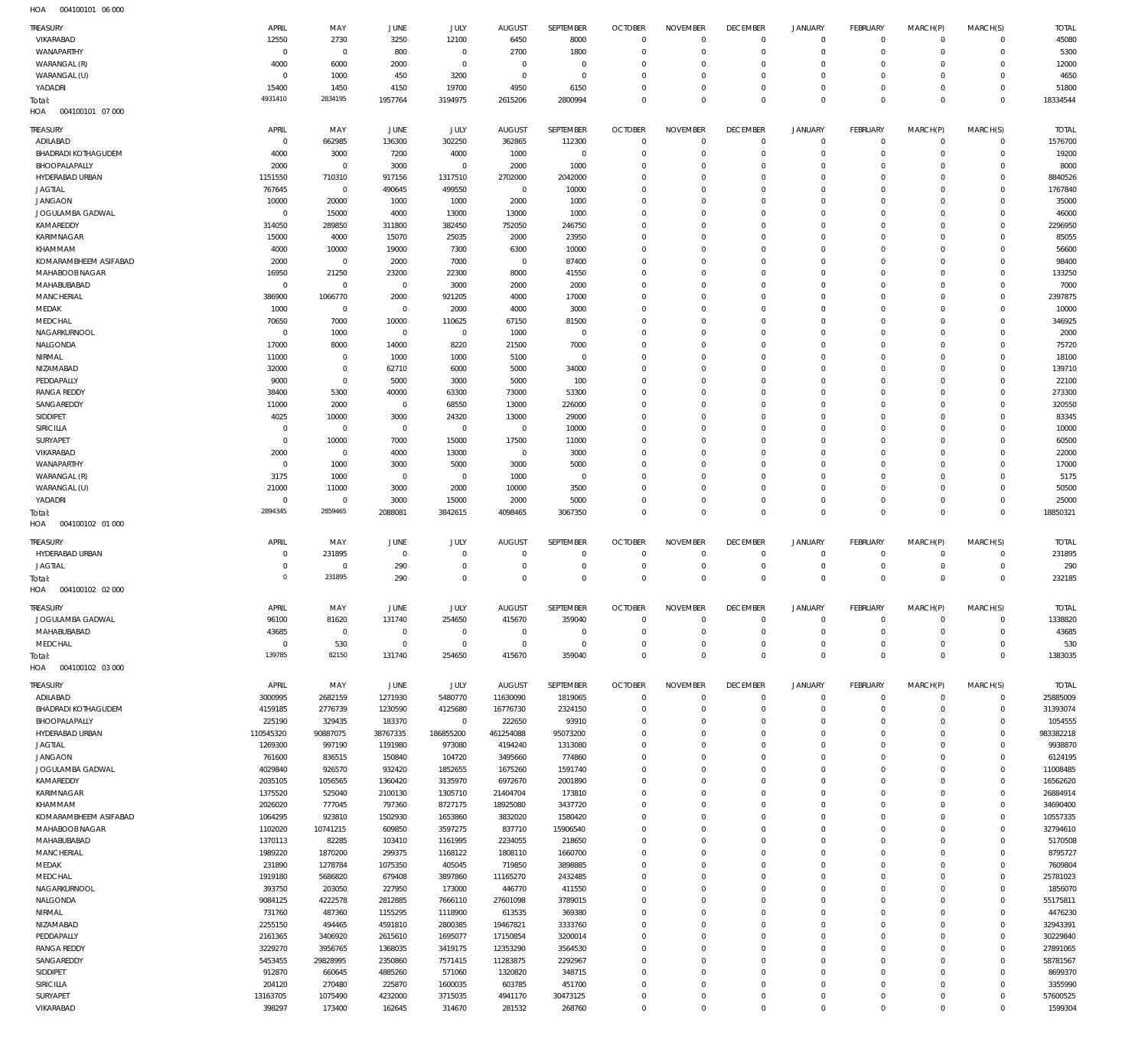004100101 06 000 HOA

| TREASURY                                | APRIL                 | MAY                      | <b>JUNE</b>        | JULY                   | <b>AUGUST</b>           | SEPTEMBER          | <b>OCTOBER</b>             | <b>NOVEMBER</b>               | <b>DECEMBER</b>             | <b>JANUARY</b>                             | FEBRUARY                   | MARCH(P)                   | MARCH(S)                   | <b>TOTAL</b>         |
|-----------------------------------------|-----------------------|--------------------------|--------------------|------------------------|-------------------------|--------------------|----------------------------|-------------------------------|-----------------------------|--------------------------------------------|----------------------------|----------------------------|----------------------------|----------------------|
| VIKARABAD                               | 12550                 | 2730                     | 3250               | 12100                  | 6450                    | 8000               | $\Omega$                   | $\mathbf 0$                   | $^{\circ}$                  | $\mathsf{O}\xspace$                        | $\mathbf 0$                | $\mathbf 0$                | $\mathbf 0$                | 45080                |
| WANAPARTHY                              | $^{\circ}$            | $\overline{0}$           | 800                | $\mathbf 0$            | 2700                    | 1800               | $\Omega$                   | $\mathbf 0$                   | $\mathbf{0}$                | $\mathbf 0$                                | $\mathbf 0$                | $\mathbf 0$                | $\mathbf 0$                | 5300                 |
| WARANGAL (R)                            | 4000                  | 6000                     | 2000               | $^{\circ}$             | $\mathbf{0}$            | $\,0\,$            | $\Omega$                   | $\mathbf 0$                   | $^{\circ}$                  | $\mathsf{O}\xspace$                        | O                          | 0                          | $\mathbf 0$                | 12000                |
| WARANGAL (U)                            | $\circ$               | 1000                     | 450                | 3200                   | $\mathbf 0$             | $\mathbf 0$        | $\Omega$                   | $\mathbf 0$                   | $\Omega$                    | $\mathbf 0$                                | $\Omega$                   | $\mathbf 0$                | $\mathbf 0$                | 4650                 |
| YADADRI                                 | 15400                 | 1450                     | 4150               | 19700                  | 4950                    | 6150               | $\Omega$                   | $\mathbf 0$                   | $\mathbf{0}$                | $\mathsf{O}\xspace$                        | $\Omega$                   | $\mathbf 0$                | $\mathbf 0$                | 51800                |
| Total:                                  | 4931410               | 2834195                  | 1957764            | 3194975                | 2615206                 | 2800994            | $\Omega$                   | $\Omega$                      | $\Omega$                    | $\mathbf 0$                                | $\Omega$                   | $\mathbf 0$                | $\Omega$                   | 18334544             |
| HOA<br>004100101 07 000                 |                       |                          |                    |                        |                         |                    |                            |                               |                             |                                            |                            |                            |                            |                      |
| <b>TREASURY</b>                         | APRIL                 | MAY                      | JUNE               | JULY                   | <b>AUGUST</b>           | SEPTEMBER          | <b>OCTOBER</b>             | <b>NOVEMBER</b>               | <b>DECEMBER</b>             | <b>JANUARY</b>                             | FEBRUARY                   | MARCH(P)                   | MARCH(S)                   | <b>TOTAL</b>         |
| ADILABAD                                | $^{\circ}$            | 662985                   | 136300             | 302250                 | 362865                  | 112300             | $\Omega$                   | $\Omega$                      | $\overline{0}$              | 0                                          | $\mathbf 0$                | $\mathbf 0$                | $\mathbf 0$                | 1576700              |
| <b>BHADRADI KOTHAGUDEM</b>              | 4000                  | 3000                     | 7200               | 4000                   | 1000                    | $\overline{0}$     | $\Omega$                   | $\Omega$                      | $\mathbf{0}$                | $\mathbf 0$                                | 0                          | 0                          | $\mathbf 0$                | 19200                |
| BHOOPALAPALLY<br>HYDERABAD URBAN        | 2000<br>1151550       | $\overline{0}$<br>710310 | 3000<br>917156     | $^{\circ}$<br>1317510  | 2000<br>2702000         | 1000<br>2042000    | $\Omega$<br>$\Omega$       | $\Omega$<br>$\Omega$          | $\Omega$<br>$\Omega$        | $\mathbf 0$<br>$\mathbf 0$                 | $\Omega$<br>$\Omega$       | $\Omega$<br>$\Omega$       | $\Omega$<br>0              | 8000<br>8840526      |
| <b>JAGTIAL</b>                          | 767645                | $\overline{0}$           | 490645             | 499550                 | $\overline{0}$          | 10000              | $\Omega$                   | $\Omega$                      | $\Omega$                    | 0                                          | O                          | $\Omega$                   | $\Omega$                   | 1767840              |
| <b>JANGAON</b>                          | 10000                 | 20000                    | 1000               | 1000                   | 2000                    | 1000               | $\Omega$                   | $\Omega$                      | $\Omega$                    | $\circ$                                    | $\Omega$                   | $\Omega$                   | $\Omega$                   | 35000                |
| JOGULAMBA GADWAL                        | $\Omega$              | 15000                    | 4000               | 13000                  | 13000                   | 1000               | $\Omega$                   | $\Omega$                      | $\Omega$                    | 0                                          | O                          | $\Omega$                   | $\Omega$                   | 46000                |
| KAMAREDDY                               | 314050                | 289850                   | 311800             | 382450                 | 752050                  | 246750             | $\Omega$                   | $\Omega$                      | $\Omega$                    | $\circ$                                    | $\Omega$                   | $\Omega$                   | $\Omega$                   | 2296950              |
| KARIMNAGAR                              | 15000                 | 4000                     | 15070              | 25035                  | 2000                    | 23950              | $\Omega$                   | $\Omega$                      | $\Omega$                    | 0                                          | O                          | $\Omega$                   | $\Omega$                   | 85055                |
| KHAMMAM                                 | 4000                  | 10000                    | 19000              | 7300                   | 6300                    | 10000              | $\Omega$                   | $\Omega$                      | $\Omega$                    | $\mathbf 0$                                | $\Omega$                   | $\Omega$                   | $\Omega$                   | 56600                |
| KOMARAMBHEEM ASIFABAD                   | 2000                  | $\overline{0}$           | 2000               | 7000                   | $\mathbf{0}$            | 87400              | $\Omega$                   | $\Omega$                      | $\Omega$                    | 0                                          | O                          | $\Omega$                   | $\Omega$                   | 98400                |
| MAHABOOB NAGAR                          | 16950                 | 21250                    | 23200              | 22300                  | 8000                    | 41550              | $\Omega$                   | $\Omega$                      | $\Omega$                    | $\mathbf 0$                                | $\Omega$                   | $\Omega$                   | $\Omega$                   | 133250               |
| MAHABUBABAD<br><b>MANCHERIAL</b>        | $\circ$<br>386900     | $^{\circ}$<br>1066770    | $^{\circ}$<br>2000 | 3000                   | 2000<br>4000            | 2000<br>17000      | $\Omega$<br>$\Omega$       | $\Omega$<br>$\Omega$          | $\Omega$<br>$\Omega$        | 0<br>$\mathbf 0$                           | O<br>$\Omega$              | $\Omega$<br>$\Omega$       | $\Omega$<br>$\Omega$       | 7000<br>2397875      |
| MEDAK                                   | 1000                  | $\overline{0}$           | $^{\circ}$         | 921205<br>2000         | 4000                    | 3000               | $\Omega$                   | $\Omega$                      | $\Omega$                    | $\mathbf 0$                                | $\Omega$                   | $\Omega$                   | $\Omega$                   | 10000                |
| MEDCHAL                                 | 70650                 | 7000                     | 10000              | 110625                 | 67150                   | 81500              | $\Omega$                   | $\Omega$                      | $\Omega$                    | $\mathbf 0$                                | $\Omega$                   | $\Omega$                   | $\Omega$                   | 346925               |
| NAGARKURNOOL                            | $\Omega$              | 1000                     | $\Omega$           | $^{\circ}$             | 1000                    | $\overline{0}$     | $\Omega$                   | $\Omega$                      | $\Omega$                    | 0                                          | O                          | $\Omega$                   | $\Omega$                   | 2000                 |
| NALGONDA                                | 17000                 | 8000                     | 14000              | 8220                   | 21500                   | 7000               | $\Omega$                   | $\Omega$                      | $\Omega$                    | $\mathbf 0$                                | $\Omega$                   | $\Omega$                   | $\Omega$                   | 75720                |
| NIRMAL                                  | 11000                 | $^{\circ}$               | 1000               | 1000                   | 5100                    | $\overline{0}$     | $\Omega$                   | $\Omega$                      | $\Omega$                    | 0                                          | O                          | $\Omega$                   | $\Omega$                   | 18100                |
| NIZAMABAD                               | 32000                 | $\overline{0}$           | 62710              | 6000                   | 5000                    | 34000              | $\Omega$                   | $\Omega$                      | $\Omega$                    | $\circ$                                    | $\Omega$                   | $\Omega$                   | $\Omega$                   | 139710               |
| PEDDAPALLY                              | 9000                  | $\mathbf 0$              | 5000               | 3000                   | 5000                    | 100                | $\Omega$                   | $\Omega$                      | $\Omega$                    | 0                                          | O                          | $\Omega$                   | $\Omega$                   | 22100                |
| <b>RANGA REDDY</b>                      | 38400                 | 5300                     | 40000              | 63300                  | 73000                   | 53300              | $\Omega$                   | $\Omega$                      | $\Omega$                    | $\mathbf 0$                                | $\Omega$                   | $\Omega$                   | $\Omega$                   | 273300               |
| SANGAREDDY                              | 11000                 | 2000                     | $^{\circ}$         | 68550                  | 13000                   | 226000             | $\Omega$                   | $\Omega$<br>$\Omega$          | $\Omega$                    | 0                                          | O                          | $\Omega$<br>$\Omega$       | 0                          | 320550               |
| SIDDIPET<br>SIRICILLA                   | 4025<br>$\Omega$      | 10000<br>$\overline{0}$  | 3000<br>$^{\circ}$ | 24320<br>$^{\circ}$    | 13000<br>$\overline{0}$ | 29000<br>10000     | $\Omega$<br>$\Omega$       | $\Omega$                      | $\Omega$<br>$\Omega$        | $\mathbf 0$<br>0                           | $\Omega$<br>O              | $\Omega$                   | $\Omega$<br>$\Omega$       | 83345<br>10000       |
| SURYAPET                                | $\Omega$              | 10000                    | 7000               | 15000                  | 17500                   | 11000              | $\Omega$                   | $\Omega$                      | $\Omega$                    | $\mathbf 0$                                | $\Omega$                   | $\Omega$                   | $\Omega$                   | 60500                |
| VIKARABAD                               | 2000                  | $\overline{0}$           | 4000               | 13000                  | $\mathbf{0}$            | 3000               | $\Omega$                   | $\Omega$                      | $\Omega$                    | 0                                          | $\Omega$                   | $\Omega$                   | $\Omega$                   | 22000                |
| WANAPARTHY                              | $\circ$               | 1000                     | 3000               | 5000                   | 3000                    | 5000               | $\Omega$                   | $\Omega$                      | $\Omega$                    | 0                                          | $\Omega$                   | $\Omega$                   | $\Omega$                   | 17000                |
| WARANGAL (R)                            | 3175                  | 1000                     | $\Omega$           | $^{\circ}$             | 1000                    | $\overline{0}$     | $\Omega$                   | $\Omega$                      | $\Omega$                    | 0                                          | O                          | $\Omega$                   | $\Omega$                   | 5175                 |
| WARANGAL (U)                            | 21000                 | 11000                    | 3000               | 2000                   | 10000                   | 3500               | $\Omega$                   | $\mathbf 0$                   | $\mathbf{0}$                | $\mathbf 0$                                | $\Omega$                   | 0                          | $\mathbf 0$                | 50500                |
| YADADRI                                 | $^{\circ}$            | $\overline{0}$           | 3000               | 15000                  | 2000                    | 5000               | $\Omega$                   | $\mathbf 0$                   | $\mathbf 0$                 | $\mathbf 0$                                | 0                          | 0                          | 0                          | 25000                |
| Total:                                  | 2894345               | 2859465                  | 2088081            | 3842615                | 4098465                 | 3067350            | $\Omega$                   | $\Omega$                      | $\Omega$                    | $\mathbb O$                                | $\Omega$                   | $\mathbf 0$                | $\Omega$                   | 18850321             |
|                                         |                       |                          |                    |                        |                         |                    |                            |                               |                             |                                            |                            |                            |                            |                      |
| HOA<br>004100102 01 000                 |                       |                          |                    |                        |                         |                    |                            |                               |                             |                                            |                            |                            |                            |                      |
| <b>TREASURY</b>                         | APRIL                 | MAY                      | JUNE               | JULY                   | <b>AUGUST</b>           | SEPTEMBER          | <b>OCTOBER</b>             | <b>NOVEMBER</b>               | <b>DECEMBER</b>             | <b>JANUARY</b>                             | <b>FEBRUARY</b>            | MARCH(P)                   | MARCH(S)                   | <b>TOTAL</b>         |
| HYDERABAD URBAN                         | $\circ$               | 231895                   | $\Omega$           | $\Omega$               | $\Omega$                | $\mathbf 0$        | $\Omega$                   | $\mathbf 0$                   | $\mathbf{0}$                | 0                                          | $^{\circ}$                 | $^{\circ}$                 | $\mathbf 0$                | 231895               |
| <b>JAGTIAL</b>                          | $\circ$               | $\mathbf 0$              | 290                | $\Omega$               | $\Omega$                | $\mathbf 0$        | $\mathbf 0$                | $\mathbf 0$                   | $\mathbf{0}$                | $\mathsf{O}\xspace$                        | $^{\circ}$                 | $\mathbf 0$                | $^{\circ}$                 | 290                  |
| Total:                                  | $\Omega$              | 231895                   | 290                | $\Omega$               | $\Omega$                | $\mathbf 0$        | $\Omega$                   | $\mathbf 0$                   | $\mathbf{0}$                | $\mathbf 0$                                | $\Omega$                   | $\mathbf 0$                | $\mathbf 0$                | 232185               |
| 004100102 02 000<br>HOA                 |                       |                          |                    |                        |                         |                    |                            |                               |                             |                                            |                            |                            |                            |                      |
| TREASURY                                | <b>APRII</b>          | MAY                      | JUNE               | JULY.                  | <b>AUGUST</b>           | SEPTEMBER          | <b>OCTOBER</b>             | <b>NOVEMBER</b>               | <b>DECEMBER</b>             | <b>JANUARY</b>                             | <b>FEBRUARY</b>            | MARCH(P)                   | MARCH(S)                   | <b>TOTAL</b>         |
| JOGULAMBA GADWAL                        | 96100                 | 81620                    | 131740             | 254650                 | 415670                  | 359040             | $\Omega$                   | $\Omega$                      | $\Omega$                    | $\mathbf 0$                                | $\Omega$                   | $\Omega$                   | $\mathbf 0$                | 1338820              |
| MAHABUBABAD                             | 43685                 | $\overline{0}$           | $\overline{0}$     | $\overline{0}$         | $\mathbf 0$             | $\overline{0}$     | $\mathbf 0$                | $\mathbf 0$                   | $\overline{0}$              | $\mathsf{O}\xspace$                        | $\Omega$                   | $\mathbf 0$                | $\mathbf 0$                | 43685                |
| MEDCHAL                                 | $\mathbb O$<br>139785 | 530                      | $\mathbf 0$        | $\mathbf 0$            | $\mathbf 0$             | $\mathbf 0$        | $\Omega$<br>$\Omega$       | $\mathbf 0$                   | $\overline{0}$              | $\mathsf{O}\xspace$                        | $\mathbf 0$                | $\mathbf 0$                | $\mathbf 0$                | 530                  |
| Total:<br>HOA<br>004100102 03 000       |                       | 82150                    | 131740             | 254650                 | 415670                  | 359040             |                            | $\mathbf 0$                   | $\mathbb O$                 | $\mathbb O$                                | $\overline{0}$             | $\mathbf 0$                | $\mathbf 0$                | 1383035              |
|                                         |                       |                          |                    |                        |                         |                    |                            |                               |                             |                                            |                            |                            |                            |                      |
| <b>TREASURY</b>                         | APRIL                 | MAY                      | JUNE               | JULY                   | AUGUST                  | SEPTEMBER          | <b>OCTOBER</b>             | <b>NOVEMBER</b>               | <b>DECEMBER</b>             | JANUARY                                    | FEBRUARY                   | MARCH(P)                   | MARCH(S)                   | <b>TOTAL</b>         |
| ADILABAD                                | 3000995               | 2682159                  | 1271930            | 5480770                | 11630090                | 1819065            | $\overline{0}$             | $\overline{0}$                | $\,0\,$                     | $\mathsf{O}\xspace$                        | $\mathbf 0$                | $\mathbf 0$                | $\mathbf 0$                | 25885009             |
| <b>BHADRADI KOTHAGUDEM</b>              | 4159185               | 2776739                  | 1230590            | 4125680<br>$\mathbf 0$ | 16776730                | 2324150            | $\mathbf 0$<br>$\mathbf 0$ | $\mathbf 0$<br>$\mathbf 0$    | $\mathbf 0$<br>$\mathbf{0}$ | $\mathsf{O}\xspace$<br>$\mathbf 0$         | $\mathbf 0$<br>$\mathbf 0$ | $\mathbf 0$<br>$\mathbf 0$ | $\mathbf 0$<br>$\mathbf 0$ | 31393074             |
| BHOOPALAPALLY<br>HYDERABAD URBAN        | 225190<br>110545320   | 329435<br>90887075       | 183370<br>38767335 | 186855200              | 222650<br>461254088     | 93910<br>95073200  | $\mathbf 0$                | $\mathbf 0$                   | $\mathbf 0$                 | $\mathsf{O}\xspace$                        | $\Omega$                   | $\mathbf 0$                | $\mathbf 0$                | 1054555<br>983382218 |
| <b>JAGTIAL</b>                          | 1269300               | 997190                   | 1191980            | 973080                 | 4194240                 | 1313080            | $\mathbf 0$                | $\mathbf 0$                   | $\mathbf{0}$                | $\mathbf 0$                                | $\Omega$                   | $\mathbf 0$                | $^{\circ}$                 | 9938870              |
| <b>JANGAON</b>                          | 761600                | 836515                   | 150840             | 104720                 | 3495660                 | 774860             | $\Omega$                   | $\mathbf 0$                   | $\Omega$                    | $\mathbf 0$                                | $\Omega$                   | $\mathbf 0$                | $\mathbf 0$                | 6124195              |
| JOGULAMBA GADWAL                        | 4029840               | 926570                   | 932420             | 1852655                | 1675260                 | 1591740            | $\Omega$                   | $\mathbf 0$                   | $\mathbf{0}$                | $\mathbf 0$                                | $\Omega$                   | $\mathbf 0$                | $\mathbf 0$                | 11008485             |
| KAMAREDDY                               | 2035105               | 1056565                  | 1360420            | 3135970                | 6972670                 | 2001890            | $\Omega$                   | $\mathbf 0$                   | $\mathbf{0}$                | $\mathbf 0$                                | $\Omega$                   | $\mathbf 0$                | $\mathbf 0$                | 16562620             |
| KARIMNAGAR                              | 1375520               | 525040                   | 2100130            | 1305710                | 21404704                | 173810             | $\mathbf 0$                | $\mathbf 0$                   | $\mathbf 0$                 | $\mathbf 0$                                | $\Omega$                   | $\mathbf 0$                | $\mathbf 0$                | 26884914             |
| KHAMMAM                                 | 2026020               | 777045                   | 797360             | 8727175                | 18925080                | 3437720            | $\Omega$                   | $\mathbf 0$                   | $\mathbf{0}$                | $\mathbf 0$                                | $\Omega$                   | $\mathbf 0$                | $\mathbf 0$                | 34690400             |
| KOMARAMBHEEM ASIFABAD<br>MAHABOOB NAGAR | 1064295               | 923810                   | 1502930            | 1653860                | 3832020                 | 1580420            | $\Omega$<br>$\mathbf 0$    | $\mathbf 0$<br>$\mathbf 0$    | $\Omega$<br>$\mathbf 0$     | $\mathbf 0$                                | $\Omega$<br>$\Omega$       | $\mathbf 0$<br>$\mathbf 0$ | $\mathbf 0$<br>$\mathbf 0$ | 10557335             |
| MAHABUBABAD                             | 1102020<br>1370113    | 10741215<br>82285        | 609850<br>103410   | 3597275<br>1161995     | 837710<br>2234055       | 15906540<br>218650 | $\Omega$                   | $\mathbf 0$                   | $\Omega$                    | $\mathsf{O}\xspace$<br>$\mathbf 0$         | $\Omega$                   | $\mathbf 0$                | $\Omega$                   | 32794610<br>5170508  |
| <b>MANCHERIAL</b>                       | 1989220               | 1870200                  | 299375             | 1168122                | 1808110                 | 1660700            | $\Omega$                   | $\mathbf 0$                   | $\mathbf 0$                 | $\mathbf 0$                                | $\Omega$                   | $\mathbf 0$                | $\mathbf 0$                | 8795727              |
| MEDAK                                   | 231890                | 1278784                  | 1075350            | 405045                 | 719850                  | 3898885            | $\Omega$                   | $\mathbf 0$                   | $\Omega$                    | $\mathbf 0$                                | $\Omega$                   | $\mathbf 0$                | $^{\circ}$                 | 7609804              |
| MEDCHAL                                 | 1919180               | 5686820                  | 679408             | 3897860                | 11165270                | 2432485            | $\Omega$                   | $\mathbf 0$                   | $\mathbf 0$                 | $\mathbf 0$                                | $\Omega$                   | $\mathbf 0$                | $\mathbf 0$                | 25781023             |
| NAGARKURNOOL                            | 393750                | 203050                   | 227950             | 173000                 | 446770                  | 411550             | $\Omega$                   | $\mathbf 0$                   | $\mathbf{0}$                | $\mathbf 0$                                | $\Omega$                   | $\mathbf 0$                | $^{\circ}$                 | 1856070              |
| NALGONDA                                | 9084125               | 4222578                  | 2812885            | 7666110                | 27601098                | 3789015            | $\Omega$                   | $\mathbf 0$                   | $\mathbf{0}$                | $\mathbf 0$                                | $\Omega$                   | $\mathbf 0$                | $\mathbf 0$                | 55175811             |
| NIRMAL                                  | 731760                | 487360                   | 1155295            | 1118900                | 613535                  | 369380             | $\Omega$                   | $\mathbf 0$                   | $\mathbf{0}$                | $\mathbf 0$                                | $\Omega$                   | $\mathbf 0$                | $\mathbf 0$                | 4476230              |
| NIZAMABAD                               | 2255150               | 494465                   | 4591810            | 2800385                | 19467821                | 3333760            | $\Omega$<br>$\mathbf 0$    | $\mathbf 0$<br>$\mathbf 0$    | $\mathbf{0}$<br>$\mathbf 0$ | $\mathbf 0$<br>$\mathbf 0$                 | $\Omega$<br>$\Omega$       | $\mathbf 0$<br>$\mathbf 0$ | $\mathbf 0$<br>$\mathbf 0$ | 32943391             |
| PEDDAPALLY<br><b>RANGA REDDY</b>        | 2161365<br>3229270    | 3406920<br>3956765       | 2615610<br>1368035 | 1695077<br>3419175     | 17150854<br>12353290    | 3200014<br>3564530 | $\Omega$                   | $\mathbf 0$                   | $\mathbf{0}$                | $\mathbf 0$                                | $\Omega$                   | $\mathbf 0$                | $\mathbf 0$                | 30229840<br>27891065 |
| SANGAREDDY                              | 5453455               | 29828995                 | 2350860            | 7571415                | 11283875                | 2292967            | $\Omega$                   | $\mathbf 0$                   | $\Omega$                    | $\mathbf 0$                                | $\Omega$                   | $\mathbf 0$                | $\mathbf 0$                | 58781567             |
| SIDDIPET                                | 912870                | 660645                   | 4885260            | 571060                 | 1320820                 | 348715             | $\Omega$                   | $\mathbf 0$                   | $\mathbf 0$                 | $\mathbf 0$                                | $\Omega$                   | $\mathbf 0$                | $\mathbf 0$                | 8699370              |
| SIRICILLA                               | 204120                | 270480                   | 225870             | 1600035                | 603785                  | 451700             | $\Omega$                   | $\mathbf 0$                   | $\Omega$                    | $\mathbf 0$                                | $\Omega$                   | $\mathbf 0$                | $^{\circ}$                 | 3355990              |
| SURYAPET<br>VIKARABAD                   | 13163705<br>398297    | 1075490<br>173400        | 4232000<br>162645  | 3715035<br>314670      | 4941170<br>281532       | 30473125<br>268760 | $\mathbf 0$<br>$\mathbf 0$ | $\overline{0}$<br>$\mathbb O$ | $\mathbf 0$<br>$\mathbf 0$  | $\mathsf{O}\xspace$<br>$\mathsf{O}\xspace$ | 0<br>$\mathbf 0$           | $\mathbf 0$<br>$\mathbf 0$ | $\mathbf 0$<br>$\mathbf 0$ | 57600525<br>1599304  |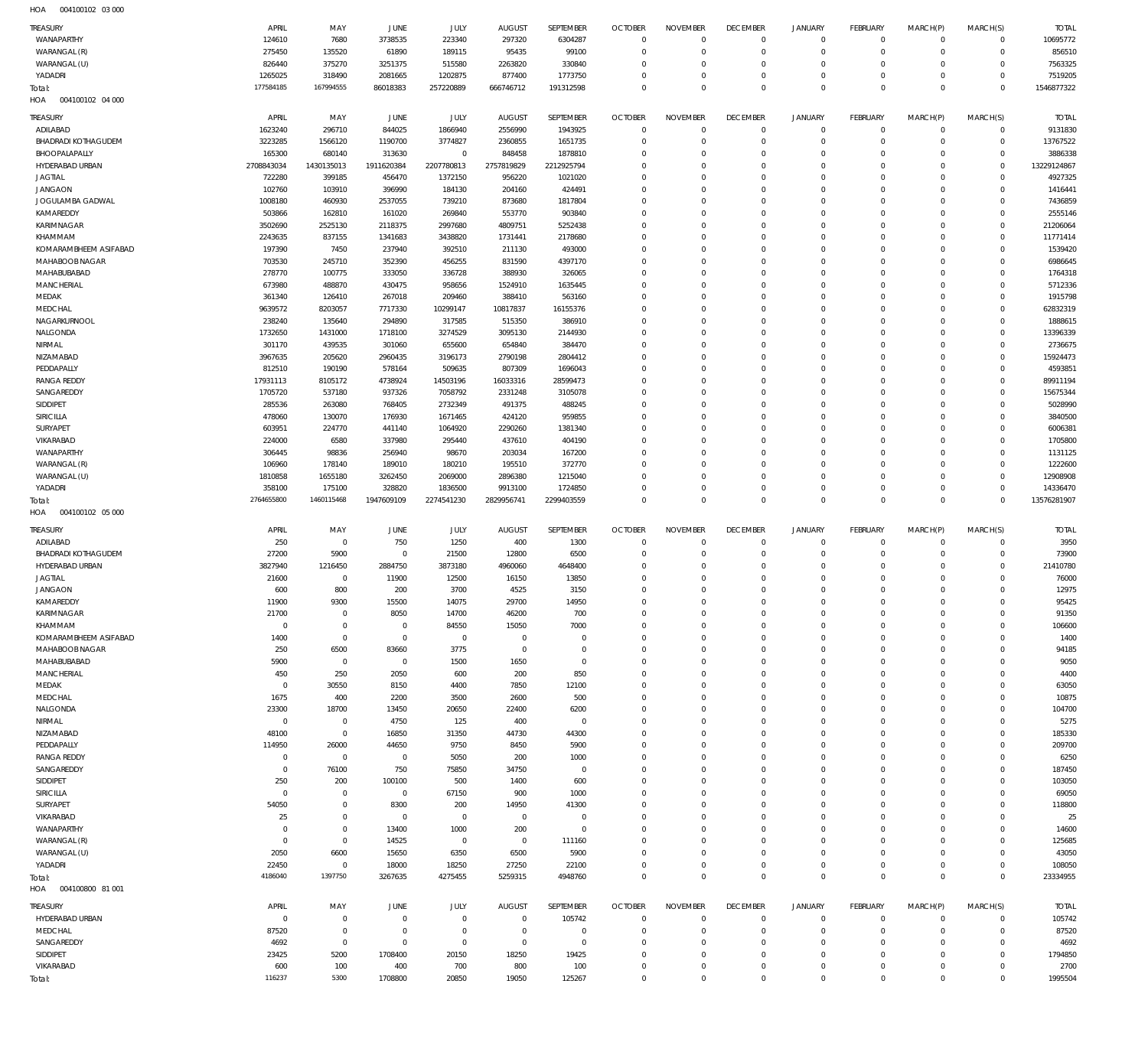004100102 03 000 HOA

| TREASURY                          | APRIL                | MAY                        | JUNE                       | JULY                       | <b>AUGUST</b>              | SEPTEMBER                  | <b>OCTOBER</b>               | <b>NOVEMBER</b>         | <b>DECEMBER</b>            | <b>JANUARY</b>             | <b>FEBRUARY</b>               | MARCH(P)                | MARCH(S)                     | <b>TOTAL</b>        |
|-----------------------------------|----------------------|----------------------------|----------------------------|----------------------------|----------------------------|----------------------------|------------------------------|-------------------------|----------------------------|----------------------------|-------------------------------|-------------------------|------------------------------|---------------------|
| WANAPARTHY                        | 124610               | 7680                       | 3738535                    | 223340                     | 297320                     | 6304287                    | $\overline{0}$               | $\mathbf 0$             | $\mathbf 0$                | $\mathbf 0$                | $\overline{0}$                | $\mathbf 0$             | $\overline{0}$               | 10695772            |
| WARANGAL (R)                      | 275450               | 135520                     | 61890                      | 189115                     | 95435                      | 99100                      | $\mathbf 0$                  | $\mathbf 0$             | $\mathbf 0$                | $\mathbf 0$                | $\overline{0}$                | $\mathbf 0$             | $\circ$                      | 856510              |
| WARANGAL (U)<br>YADADRI           | 826440<br>1265025    | 375270<br>318490           | 3251375<br>2081665         | 515580<br>1202875          | 2263820<br>877400          | 330840<br>1773750          | $\Omega$<br>$\mathbf 0$      | $\Omega$<br>$\mathbf 0$ | $\Omega$<br>$\mathbf 0$    | $\mathbf 0$<br>$\mathbf 0$ | $\Omega$<br>$\mathbf 0$       | $\Omega$<br>$\Omega$    | $\mathbf{0}$<br>$\mathbf{0}$ | 7563325<br>7519205  |
| Total:                            | 177584185            | 167994555                  | 86018383                   | 257220889                  | 666746712                  | 191312598                  | $\Omega$                     | $\Omega$                | $\Omega$                   | $\mathbf 0$                | $\Omega$                      | $\Omega$                | $\Omega$                     | 1546877322          |
| 004100102 04 000<br>HOA           |                      |                            |                            |                            |                            |                            |                              |                         |                            |                            |                               |                         |                              |                     |
| <b>TREASURY</b>                   | APRIL                | MAY                        | JUNE                       | JULY                       | <b>AUGUST</b>              | SEPTEMBER                  | <b>OCTOBER</b>               | <b>NOVEMBER</b>         | <b>DECEMBER</b>            | <b>JANUARY</b>             | <b>FEBRUARY</b>               | MARCH(P)                | MARCH(S)                     | <b>TOTAL</b>        |
| ADILABAD                          | 1623240              | 296710                     | 844025                     | 1866940                    | 2556990                    | 1943925                    | $\mathbf 0$                  | $\mathbf 0$             | $\mathbf 0$                | $\mathbf 0$                | $\overline{0}$                | $\circ$                 | $\mathbf 0$                  | 9131830             |
| BHADRADI KOTHAGUDEM               | 3223285              | 1566120                    | 1190700                    | 3774827                    | 2360855                    | 1651735                    | $\mathbf 0$                  | $\Omega$                | $\Omega$                   | $\mathbf 0$                | $\mathbf 0$                   | $\Omega$                | $\mathbf 0$                  | 13767522            |
| BHOOPALAPALLY                     | 165300               | 680140                     | 313630                     | $\mathbf 0$                | 848458                     | 1878810                    | $\Omega$                     | $\Omega$                | $\Omega$                   | $\mathbf 0$                | $\Omega$                      | $\Omega$                | $\mathbf{0}$                 | 3886338             |
| HYDERABAD URBAN                   | 2708843034           | 1430135013                 | 1911620384                 | 2207780813                 | 2757819829                 | 2212925794                 | $\Omega$                     | $\Omega$                | $\Omega$                   | $\Omega$                   | $\Omega$                      | $\Omega$                | $\mathbf 0$                  | 13229124867         |
| <b>JAGTIAL</b><br><b>JANGAON</b>  | 722280<br>102760     | 399185<br>103910           | 456470<br>396990           | 1372150<br>184130          | 956220<br>204160           | 1021020<br>424491          | $\Omega$<br>$\Omega$         | $\Omega$<br>$\Omega$    | $\Omega$<br>$\Omega$       | $\Omega$<br>$\Omega$       | $\Omega$<br>$\Omega$          | $\Omega$<br>$\Omega$    | $\Omega$<br>$\Omega$         | 4927325<br>1416441  |
| JOGULAMBA GADWAL                  | 1008180              | 460930                     | 2537055                    | 739210                     | 873680                     | 1817804                    | $\Omega$                     | $\Omega$                | $\Omega$                   | $\Omega$                   | $\Omega$                      | $\Omega$                | $\Omega$                     | 7436859             |
| KAMAREDDY                         | 503866               | 162810                     | 161020                     | 269840                     | 553770                     | 903840                     | $\Omega$                     | $\Omega$                | $\Omega$                   | $\Omega$                   | $\Omega$                      | $\Omega$                | $\Omega$                     | 2555146             |
| KARIMNAGAR                        | 3502690              | 2525130                    | 2118375                    | 2997680                    | 4809751                    | 5252438                    | $\Omega$                     | $\Omega$                | $\Omega$                   | $\Omega$                   | $\Omega$                      | $\Omega$                | $\Omega$                     | 21206064            |
| KHAMMAM                           | 2243635              | 837155                     | 1341683                    | 3438820                    | 1731441                    | 2178680                    | $\Omega$                     | $\Omega$                | $\Omega$                   | $\Omega$                   | $\Omega$                      | $\Omega$                | $\Omega$                     | 11771414            |
| KOMARAMBHEEM ASIFABAD             | 197390               | 7450                       | 237940                     | 392510                     | 211130                     | 493000                     | $\Omega$                     | $\Omega$                | $\Omega$                   | $\Omega$                   | $\Omega$                      | $\Omega$                | $\Omega$                     | 1539420             |
| MAHABOOB NAGAR                    | 703530               | 245710                     | 352390                     | 456255                     | 831590                     | 4397170                    | $\Omega$<br>$\Omega$         | $\Omega$<br>$\Omega$    | $\Omega$<br>$\Omega$       | $\Omega$<br>$\Omega$       | $\Omega$<br>$\Omega$          | $\Omega$<br>$\Omega$    | $\Omega$<br>$\Omega$         | 6986645             |
| MAHABUBABAD<br><b>MANCHERIAL</b>  | 278770<br>673980     | 100775<br>488870           | 333050<br>430475           | 336728<br>958656           | 388930<br>1524910          | 326065<br>1635445          | $\Omega$                     | $\Omega$                | $\Omega$                   | $\Omega$                   | $\Omega$                      | $\Omega$                | $\Omega$                     | 1764318<br>5712336  |
| MEDAK                             | 361340               | 126410                     | 267018                     | 209460                     | 388410                     | 563160                     | $\Omega$                     | $\Omega$                | $\Omega$                   | $\Omega$                   | $\Omega$                      | $\Omega$                | $\Omega$                     | 1915798             |
| MEDCHAL                           | 9639572              | 8203057                    | 7717330                    | 10299147                   | 10817837                   | 16155376                   | $\Omega$                     | $\Omega$                | $\Omega$                   | $\Omega$                   | $\Omega$                      | $\Omega$                | $\Omega$                     | 62832319            |
| NAGARKURNOOL                      | 238240               | 135640                     | 294890                     | 317585                     | 515350                     | 386910                     | $\Omega$                     | $\Omega$                | $\Omega$                   | $\Omega$                   | $\Omega$                      | $\Omega$                | $\Omega$                     | 1888615             |
| NALGONDA                          | 1732650              | 1431000                    | 1718100                    | 3274529                    | 3095130                    | 2144930                    | $\Omega$                     | $\Omega$                | $\Omega$                   | $\Omega$                   | $\Omega$                      | $\Omega$                | $\Omega$                     | 13396339            |
| NIRMAL                            | 301170               | 439535                     | 301060                     | 655600                     | 654840                     | 384470                     | $\Omega$                     | $\Omega$                | $\Omega$                   | $\Omega$                   | $\Omega$                      | $\Omega$                | $\Omega$                     | 2736675             |
| NIZAMABAD<br>PEDDAPALLY           | 3967635<br>812510    | 205620<br>190190           | 2960435<br>578164          | 3196173<br>509635          | 2790198<br>807309          | 2804412<br>1696043         | $\Omega$<br>$\Omega$         | $\Omega$<br>$\Omega$    | $\Omega$<br>$\Omega$       | $\Omega$<br>$\Omega$       | $\Omega$<br>$\Omega$          | $\Omega$<br>$\Omega$    | $\Omega$<br>$\Omega$         | 15924473<br>4593851 |
| <b>RANGA REDDY</b>                | 17931113             | 8105172                    | 4738924                    | 14503196                   | 16033316                   | 28599473                   | $\Omega$                     | $\Omega$                | $\Omega$                   | $\Omega$                   | $\Omega$                      | $\Omega$                | $\Omega$                     | 89911194            |
| SANGAREDDY                        | 1705720              | 537180                     | 937326                     | 7058792                    | 2331248                    | 3105078                    | $\Omega$                     | $\Omega$                | $\Omega$                   | $\Omega$                   | $\Omega$                      | $\Omega$                | $\Omega$                     | 15675344            |
| SIDDIPET                          | 285536               | 263080                     | 768405                     | 2732349                    | 491375                     | 488245                     | $\Omega$                     | $\Omega$                | $\Omega$                   | $\Omega$                   | $\Omega$                      | $\Omega$                | $\Omega$                     | 5028990             |
| SIRICILLA                         | 478060               | 130070                     | 176930                     | 1671465                    | 424120                     | 959855                     | $\Omega$                     | $\Omega$                | $\Omega$                   | $\Omega$                   | $\Omega$                      | $\Omega$                | $\Omega$                     | 3840500             |
| SURYAPET                          | 603951               | 224770                     | 441140                     | 1064920                    | 2290260                    | 1381340                    | $\Omega$                     | $\Omega$                | $\Omega$                   | $\Omega$                   | $\Omega$                      | $\Omega$                | $\Omega$                     | 6006381             |
| VIKARABAD<br>WANAPARTHY           | 224000<br>306445     | 6580<br>98836              | 337980<br>256940           | 295440<br>98670            | 437610<br>203034           | 404190<br>167200           | $\Omega$<br>$\Omega$         | $\Omega$<br>$\Omega$    | $\Omega$<br>$\Omega$       | $\Omega$<br>$\Omega$       | $\Omega$<br>$\Omega$          | $\Omega$<br>$\Omega$    | $\Omega$<br>$\Omega$         | 1705800<br>1131125  |
| WARANGAL (R)                      | 106960               | 178140                     | 189010                     | 180210                     | 195510                     | 372770                     | $\Omega$                     | $\Omega$                | $\Omega$                   | $\Omega$                   | $\Omega$                      | $\Omega$                | $\Omega$                     | 1222600             |
| WARANGAL (U)                      | 1810858              | 1655180                    | 3262450                    | 2069000                    | 2896380                    | 1215040                    | $\Omega$                     | $\Omega$                | $\Omega$                   | $\Omega$                   | $\Omega$                      | $\Omega$                | $\Omega$                     | 12908908            |
| YADADRI                           | 358100               | 175100                     | 328820                     | 1836500                    | 9913100                    | 1724850                    | $\Omega$                     | $\Omega$                | $\mathbf 0$                | $\mathbf 0$                | $\Omega$                      | $\Omega$                | $\Omega$                     | 14336470            |
|                                   |                      |                            |                            |                            |                            |                            |                              |                         |                            |                            |                               | $\Omega$                | $\Omega$                     |                     |
| Total:                            | 2764655800           | 1460115468                 | 1947609109                 | 2274541230                 | 2829956741                 | 2299403559                 | $\Omega$                     | $\Omega$                | $\mathbf 0$                | $\mathbf 0$                | $\overline{0}$                |                         |                              | 13576281907         |
| 004100102 05 000<br>HOA           |                      |                            |                            |                            |                            |                            |                              |                         |                            |                            |                               |                         |                              |                     |
| TREASURY                          | APRIL                | MAY                        | JUNE                       | JULY                       | <b>AUGUST</b>              | SEPTEMBER                  | <b>OCTOBER</b>               | <b>NOVEMBER</b>         | <b>DECEMBER</b>            | <b>JANUARY</b>             | <b>FEBRUARY</b>               | MARCH(P)                | MARCH(S)                     | <b>TOTAL</b>        |
| ADILABAD                          | 250                  | $\mathbf 0$                | 750                        | 1250                       | 400                        | 1300                       | $\mathbf 0$                  | $^{\circ}$              | $\mathbf 0$                | $\mathbf 0$                | $\overline{0}$                | $\Omega$                | $\mathbf{0}$                 | 3950                |
| BHADRADI KOTHAGUDEM               | 27200                | 5900                       | $\circ$                    | 21500                      | 12800                      | 6500                       | $\mathbf 0$                  | $\mathbf 0$             | $\mathbf 0$                | $\mathbf 0$                | $\overline{0}$                | $\mathbf 0$<br>$\Omega$ | $\overline{0}$               | 73900               |
| HYDERABAD URBAN<br><b>JAGTIAL</b> | 3827940<br>21600     | 1216450<br>$\mathbf 0$     | 2884750<br>11900           | 3873180<br>12500           | 4960060<br>16150           | 4648400<br>13850           | $\mathbf 0$<br>$^{\circ}$    | $\mathbf 0$<br>$\Omega$ | $\mathbf 0$<br>$\Omega$    | $\mathbf 0$<br>$\Omega$    | $\overline{0}$<br>$\Omega$    | $\Omega$                | $\circ$<br>$\Omega$          | 21410780<br>76000   |
| <b>JANGAON</b>                    | 600                  | 800                        | 200                        | 3700                       | 4525                       | 3150                       | $^{\circ}$                   | $\mathbf 0$             | $\mathbf 0$                | $\mathbf 0$                | $\Omega$                      | $\Omega$                | $\mathbf{0}$                 | 12975               |
| KAMAREDDY                         | 11900                | 9300                       | 15500                      | 14075                      | 29700                      | 14950                      | $\Omega$                     | $\Omega$                | $\Omega$                   | $\Omega$                   | $\Omega$                      | $\Omega$                | $\Omega$                     | 95425               |
| KARIMNAGAR                        | 21700                | $\mathbf 0$                | 8050                       | 14700                      | 46200                      | 700                        | $\Omega$                     | 0                       | -0                         | $\Omega$                   | $\Omega$                      | 0                       | $\Omega$                     | 91350               |
| KHAMMAM                           | $\mathbf 0$          | $\mathbf 0$                | $\mathbf 0$                | 84550                      | 15050                      | 7000                       | $\mathbf 0$                  | $^{\circ}$              | $\mathbf 0$                | $\mathbf 0$                | $\mathbf 0$                   | $\Omega$                | $\mathbf{0}$                 | 106600              |
| KOMARAMBHEEM ASIFABAD             | 1400                 | $\mathbf 0$                | $\mathbf 0$                | $\mathsf{O}$               | $^{\circ}$                 | $\mathbf 0$                | $\mathbf 0$                  | $\Omega$                | $\mathbf 0$                | $\mathbf 0$                | $\overline{0}$                | $\Omega$<br>$\Omega$    | $\mathbf{0}$                 | 1400                |
| MAHABOOB NAGAR<br>MAHABUBABAD     | 250<br>5900          | 6500<br>$\mathbf 0$        | 83660<br>$\circ$           | 3775<br>1500               | $^{\circ}$<br>1650         | $\mathbf 0$<br>$\mathbf 0$ | $\mathbf 0$<br>$\Omega$      | $\mathbf 0$<br>$\Omega$ | $\mathbf 0$<br>$\Omega$    | $\mathbf 0$<br>$\Omega$    | $\mathbf 0$<br>$\Omega$       | $\Omega$                | $\mathbf 0$<br>$\mathbf{0}$  | 94185<br>9050       |
| MANCHERIAL                        | 450                  | 250                        | 2050                       | 600                        | 200                        | 850                        | $^{\circ}$                   | $\Omega$                | $\mathbf 0$                | $\mathbf 0$                | $\mathbf 0$                   | $\Omega$                | $\mathbf 0$                  | 4400                |
| MEDAK                             | $^{\circ}$           | 30550                      | 8150                       | 4400                       | 7850                       | 12100                      | $^{\circ}$                   | $\Omega$                | $\Omega$                   | $\Omega$                   | $\Omega$                      | $\Omega$                | $\mathbf 0$                  | 63050               |
| MEDCHAL                           | 1675                 | 400                        | 2200                       | 3500                       | 2600                       | 500                        | $^{\circ}$                   | $\Omega$                | $\mathbf 0$                | $\mathbf 0$                | $\mathbf 0$                   | $\Omega$                | $\mathbf 0$                  | 10875               |
| NALGONDA                          | 23300                | 18700                      | 13450                      | 20650                      | 22400                      | 6200                       | $^{\circ}$                   | $\Omega$                | $\mathbf 0$                | $\mathbf 0$                | $\mathbf 0$                   | $\Omega$                | $\mathbf 0$                  | 104700              |
| NIRMAL                            | $\mathbf 0$<br>48100 | $\mathbf 0$                | 4750                       | 125                        | 400                        | $\mathbf 0$                | $^{\circ}$<br>$^{\circ}$     | $\Omega$<br>$\Omega$    | $\Omega$<br>$\mathbf 0$    | $\Omega$<br>$\mathbf 0$    | $\Omega$<br>$\mathbf 0$       | $\Omega$<br>$\Omega$    | $\Omega$<br>$\mathbf 0$      | 5275                |
| NIZAMABAD<br>PEDDAPALLY           | 114950               | $\mathbf 0$<br>26000       | 16850<br>44650             | 31350<br>9750              | 44730<br>8450              | 44300<br>5900              | $^{\circ}$                   | $\Omega$                | $\Omega$                   | $\Omega$                   | $\Omega$                      | $\Omega$                | $\Omega$                     | 185330<br>209700    |
| <b>RANGA REDDY</b>                | O                    | $\mathbf 0$                | $\mathbf 0$                | 5050                       | 200                        | 1000                       | $^{\circ}$                   | $\Omega$                | $\mathbf 0$                | $\mathbf 0$                | $\mathbf 0$                   | $\Omega$                | $\mathbf 0$                  | 6250                |
| SANGAREDDY                        | $^{\circ}$           | 76100                      | 750                        | 75850                      | 34750                      | $\mathbf 0$                | $\mathbf 0$                  | $\Omega$                | $\Omega$                   | $\Omega$                   | $\Omega$                      | $\Omega$                | $\Omega$                     | 187450              |
| SIDDIPET                          | 250                  | 200                        | 100100                     | 500                        | 1400                       | 600                        | $^{\circ}$                   | $\Omega$                | $\mathbf 0$                | $\mathbf 0$                | $\mathbf 0$                   | $\Omega$                | $\mathbf{0}$                 | 103050              |
| SIRICILLA                         | $^{\circ}$           | $\mathbf 0$                | $\mathbf 0$                | 67150                      | 900                        | 1000                       | $^{\circ}$                   | $^{\circ}$              | $\mathbf 0$                | $\mathbf 0$                | $\mathbf 0$                   | $\Omega$                | $\mathbf 0$                  | 69050               |
| SURYAPET<br>VIKARABAD             | 54050<br>25          | $\mathbf 0$<br>$\mathbf 0$ | 8300<br>$\overline{0}$     | 200<br>$\mathsf{O}$        | 14950<br>$\mathbf{0}$      | 41300<br>$\mathbf 0$       | $^{\circ}$<br>$^{\circ}$     | $\Omega$<br>$\Omega$    | $\Omega$<br>$\mathbf 0$    | $\Omega$<br>$\mathbf 0$    | $\Omega$<br>$\mathbf 0$       | $\Omega$<br>$\Omega$    | $\mathbf{0}$<br>$\mathbf 0$  | 118800<br>25        |
| WANAPARTHY                        | O                    | $\mathbf 0$                | 13400                      | 1000                       | 200                        | $\mathbf 0$                | $^{\circ}$                   | $\Omega$                | $\Omega$                   | $\Omega$                   | $\Omega$                      | $\Omega$                | $\Omega$                     | 14600               |
| WARANGAL (R)                      | $^{\circ}$           | $\mathbf 0$                | 14525                      | $\mathsf{O}$               | $^{\circ}$                 | 111160                     | $^{\circ}$                   | $^{\circ}$              | $\mathbf 0$                | $\mathbf 0$                | $^{\circ}$                    | $\Omega$                | $\mathbf{0}$                 | 125685              |
| WARANGAL (U)                      | 2050                 | 6600                       | 15650                      | 6350                       | 6500                       | 5900                       | $^{\circ}$                   | $\Omega$                | $\mathbf 0$                | $\mathbf 0$                | $\Omega$                      | $\Omega$                | $\mathbf{0}$                 | 43050               |
| YADADRI                           | 22450                | $\mathbf 0$                | 18000                      | 18250                      | 27250                      | 22100                      | $\mathbf 0$                  | $\mathbf 0$             | $\mathbf 0$                | $\mathbf 0$                | $\overline{0}$                | $\mathbf 0$             | $\mathbf{0}$                 | 108050              |
| Total:                            | 4186040              | 1397750                    | 3267635                    | 4275455                    | 5259315                    | 4948760                    | $\Omega$                     | $\mathbf 0$             | $\mathbf 0$                | $\mathbf 0$                | $\Omega$                      | $\Omega$                | $\Omega$                     | 23334955            |
| 004100800 81 001<br>HOA           |                      |                            |                            |                            |                            |                            |                              |                         |                            |                            |                               |                         |                              |                     |
| TREASURY                          | APRIL                | MAY                        | JUNE                       | JULY                       | <b>AUGUST</b>              | SEPTEMBER                  | <b>OCTOBER</b>               | <b>NOVEMBER</b>         | <b>DECEMBER</b>            | <b>JANUARY</b>             | FEBRUARY                      | MARCH(P)                | MARCH(S)                     | <b>TOTAL</b>        |
| HYDERABAD URBAN<br>MEDCHAL        | $^{\circ}$<br>87520  | $\mathbf 0$<br>$\mathbf 0$ | $\mathbf 0$<br>$\mathbf 0$ | $\mathbf 0$<br>$\mathbf 0$ | $\mathbf 0$<br>$\mathbf 0$ | 105742<br>$\mathbf 0$      | $\overline{0}$<br>$^{\circ}$ | $\Omega$<br>$\Omega$    | $\mathbf 0$<br>$\Omega$    | $\mathbf 0$<br>$\mathbf 0$ | $\overline{0}$<br>$\mathbf 0$ | $\Omega$<br>$\Omega$    | $^{\circ}$<br>$\mathbf 0$    | 105742<br>87520     |
| SANGAREDDY                        | 4692                 | $\mathbf 0$                | $\Omega$                   | $\mathbf 0$                | $\Omega$                   | $\mathbf 0$                | $\Omega$                     | $\Omega$                | $\Omega$                   | $\Omega$                   | $\Omega$                      | $\Omega$                | $\Omega$                     | 4692                |
| SIDDIPET                          | 23425                | 5200                       | 1708400                    | 20150                      | 18250                      | 19425                      | $^{\circ}$                   | $\Omega$                | $\mathbf 0$                | $\mathbf 0$                | $^{\circ}$                    | $\Omega$                | $\mathbf 0$                  | 1794850             |
| VIKARABAD<br>Total:               | 600<br>116237        | 100<br>5300                | 400<br>1708800             | 700<br>20850               | 800<br>19050               | 100<br>125267              | $^{\circ}$<br>$\Omega$       | $^{\circ}$<br>$\Omega$  | $\mathbf 0$<br>$\mathbf 0$ | $\mathbf 0$<br>$\mathbf 0$ | $\Omega$<br>$\Omega$          | $\Omega$<br>$\Omega$    | $\mathbf 0$<br>$\Omega$      | 2700<br>1995504     |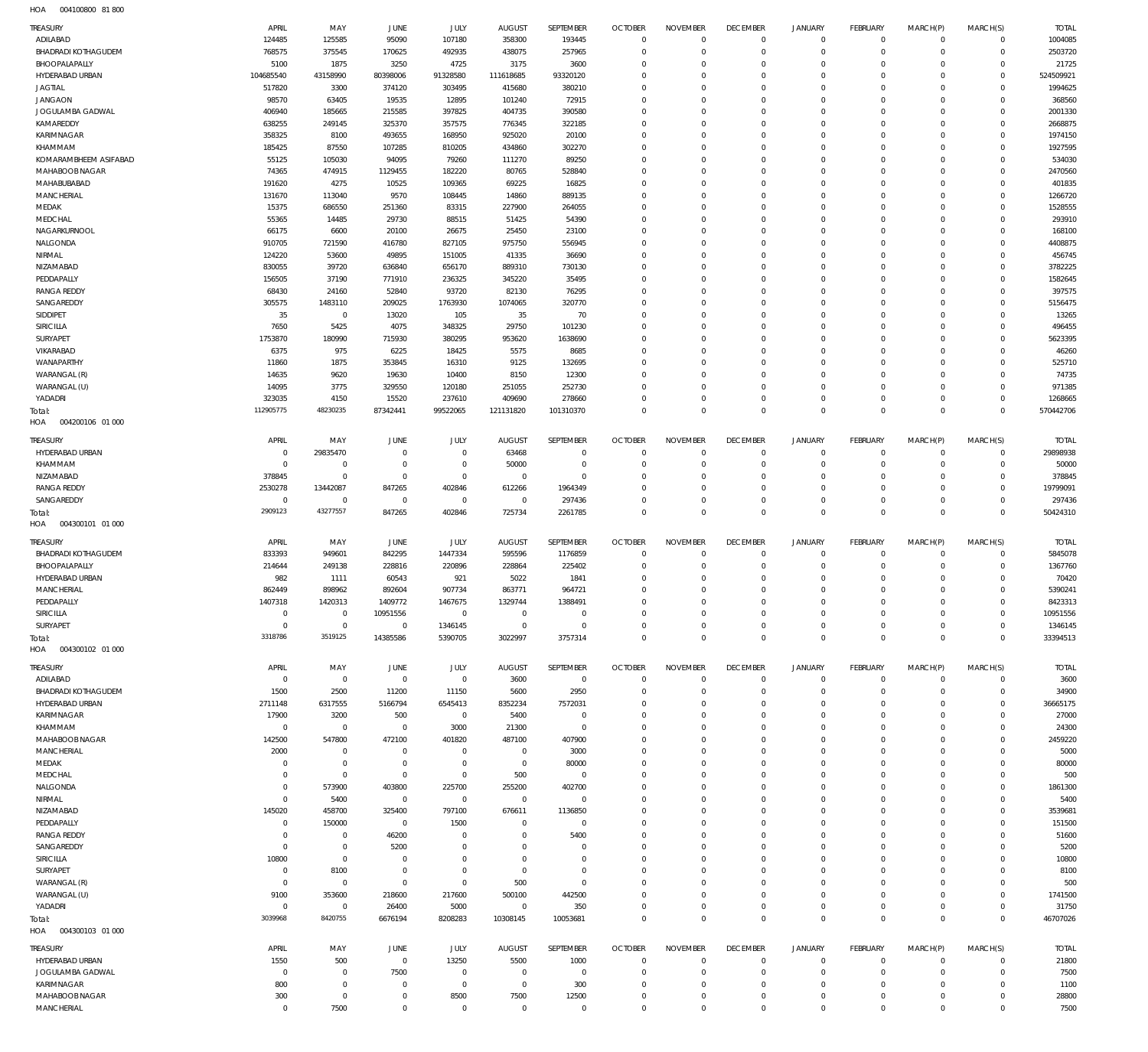004100800 81 800 HOA

|                                               | APRIL                 | MAY                          | JUNE                       | JULY                       | <b>AUGUST</b>            | SEPTEMBER                   | <b>OCTOBER</b>                | <b>NOVEMBER</b>                | <b>DECEMBER</b>                | <b>JANUARY</b>                | FEBRUARY                      | MARCH(P)                   | MARCH(S)                       | <b>TOTAL</b>             |
|-----------------------------------------------|-----------------------|------------------------------|----------------------------|----------------------------|--------------------------|-----------------------------|-------------------------------|--------------------------------|--------------------------------|-------------------------------|-------------------------------|----------------------------|--------------------------------|--------------------------|
| ADILABAD                                      | 124485                | 125585                       | 95090                      | 107180                     | 358300                   | 193445                      | $\overline{0}$                | $\mathbf 0$                    | $\overline{0}$                 | $\mathbf 0$                   | $\mathbf{0}$                  | $\mathbf 0$                | $\mathbf{0}$                   | 1004085                  |
| <b>BHADRADI KOTHAGUDEM</b><br>BHOOPALAPALLY   | 768575<br>5100        | 375545<br>1875               | 170625<br>3250             | 492935<br>4725             | 438075<br>3175           | 257965<br>3600              | $\mathbf 0$<br>$\mathbf 0$    | $\mathbf 0$<br>$\mathbf 0$     | $\mathbf 0$<br>$\mathbf 0$     | $\mathbf 0$<br>$\mathbf 0$    | $\mathbf{0}$<br>$\mathbf{0}$  | $\mathbf 0$<br>$\Omega$    | $\overline{0}$<br>$\mathbf{0}$ | 2503720<br>21725         |
| HYDERABAD URBAN                               | 104685540             | 43158990                     | 80398006                   | 91328580                   | 111618685                | 93320120                    | $\mathbf 0$                   | $\mathbf 0$                    | $\mathbf 0$                    | $\mathbf 0$                   | $\mathbf 0$                   | $\Omega$                   | $\circ$                        | 524509921                |
| <b>JAGTIAL</b>                                | 517820                | 3300                         | 374120                     | 303495                     | 415680                   | 380210                      | $\mathbf 0$                   | 0                              | $\mathbf 0$                    | $\mathbf 0$                   | $\mathbf 0$                   | $\Omega$                   | $\mathbf{0}$                   | 1994625                  |
| <b>JANGAON</b>                                | 98570                 | 63405                        | 19535                      | 12895                      | 101240                   | 72915                       | $\mathbf 0$                   | $\mathbf 0$                    | $\mathbf 0$                    | $\mathbf 0$                   | $\mathbf 0$                   | $\Omega$                   | $\mathbf 0$                    | 368560                   |
| JOGULAMBA GADWAL                              | 406940                | 185665                       | 215585                     | 397825                     | 404735                   | 390580                      | $\mathbf 0$                   | 0                              | $\mathbf 0$                    | $\mathbf 0$                   | $\mathbf{0}$                  | $\Omega$                   | $\mathbf 0$                    | 2001330                  |
| KAMAREDDY<br>KARIMNAGAR                       | 638255<br>358325      | 249145<br>8100               | 325370<br>493655           | 357575<br>168950           | 776345<br>925020         | 322185<br>20100             | $\mathbf 0$<br>$\mathbf 0$    | $\mathbf 0$<br>$\Omega$        | $\mathbf 0$<br>$\mathbf 0$     | $\mathbf 0$<br>$\mathbf 0$    | $\mathbf 0$<br>$\mathbf 0$    | $\Omega$<br>$\Omega$       | $\mathbf 0$<br>$\mathbf 0$     | 2668875<br>1974150       |
| KHAMMAM                                       | 185425                | 87550                        | 107285                     | 810205                     | 434860                   | 302270                      | $\mathbf 0$                   | $\mathbf 0$                    | $\mathbf 0$                    | $\mathbf 0$                   | $\mathbf 0$                   | $\Omega$                   | $\mathbf 0$                    | 1927595                  |
| KOMARAMBHEEM ASIFABAD                         | 55125                 | 105030                       | 94095                      | 79260                      | 111270                   | 89250                       | $\mathbf 0$                   | $\Omega$                       | $\mathbf 0$                    | $\mathbf 0$                   | $\mathbf{0}$                  | $\Omega$                   | $\mathbf 0$                    | 534030                   |
| MAHABOOB NAGAR                                | 74365                 | 474915                       | 1129455                    | 182220                     | 80765                    | 528840                      | $\mathbf 0$                   | $\mathbf 0$                    | $\mathbf 0$                    | $\mathbf 0$                   | $\mathbf 0$                   | $\Omega$                   | $\mathbf 0$                    | 2470560                  |
| MAHABUBABAD                                   | 191620                | 4275                         | 10525                      | 109365                     | 69225                    | 16825                       | $\mathbf 0$                   | $\Omega$                       | $\mathbf 0$                    | $\mathbf 0$                   | $\mathbf 0$                   | $\Omega$                   | $\mathbf 0$                    | 401835                   |
| <b>MANCHERIAL</b><br>MEDAK                    | 131670<br>15375       | 113040<br>686550             | 9570<br>251360             | 108445<br>83315            | 14860<br>227900          | 889135<br>264055            | $\mathbf 0$<br>$\mathbf 0$    | $\mathbf 0$<br>$\Omega$        | $\mathbf 0$<br>$\mathbf 0$     | $\mathbf 0$<br>$\mathbf 0$    | $\mathbf 0$<br>$\mathbf 0$    | $\Omega$<br>$\Omega$       | $\mathbf 0$<br>$\mathbf 0$     | 1266720<br>1528555       |
| MEDCHAL                                       | 55365                 | 14485                        | 29730                      | 88515                      | 51425                    | 54390                       | $\mathbf 0$                   | $\mathbf 0$                    | $\mathbf 0$                    | $\mathbf 0$                   | $\mathbf 0$                   | $\Omega$                   | $\mathbf 0$                    | 293910                   |
| NAGARKURNOOL                                  | 66175                 | 6600                         | 20100                      | 26675                      | 25450                    | 23100                       | $\mathbf 0$                   | 0                              | $\mathbf 0$                    | $\mathbf 0$                   | $\mathbf 0$                   | $\Omega$                   | $\mathbf 0$                    | 168100                   |
| NALGONDA                                      | 910705                | 721590                       | 416780                     | 827105                     | 975750                   | 556945                      | $\mathbf 0$                   | $\mathbf 0$                    | $\mathbf 0$                    | $\mathbf 0$                   | $\mathbf 0$                   | $\Omega$                   | $\mathbf 0$                    | 4408875                  |
| NIRMAL                                        | 124220                | 53600                        | 49895                      | 151005                     | 41335                    | 36690                       | $\mathbf 0$                   | 0                              | $\mathbf 0$                    | $\mathbf 0$                   | $\mathbf 0$                   | $\Omega$                   | $\mathbf 0$                    | 456745                   |
| NIZAMABAD<br>PEDDAPALLY                       | 830055<br>156505      | 39720<br>37190               | 636840<br>771910           | 656170<br>236325           | 889310<br>345220         | 730130<br>35495             | $\mathbf 0$<br>$\mathbf 0$    | $\mathbf 0$<br>$\Omega$        | $\mathbf 0$<br>$\mathbf 0$     | $\mathbf 0$<br>$\mathbf 0$    | $\mathbf 0$<br>$\mathbf 0$    | $\Omega$<br>$\Omega$       | $\mathbf 0$<br>$\mathbf 0$     | 3782225<br>1582645       |
| <b>RANGA REDDY</b>                            | 68430                 | 24160                        | 52840                      | 93720                      | 82130                    | 76295                       | $\mathbf 0$                   | $\mathbf 0$                    | $\mathbf 0$                    | $\mathbf 0$                   | $\mathbf 0$                   | $\Omega$                   | $\mathbf 0$                    | 397575                   |
| SANGAREDDY                                    | 305575                | 1483110                      | 209025                     | 1763930                    | 1074065                  | 320770                      | $\mathbf 0$                   | $\Omega$                       | $\mathbf 0$                    | $\mathbf 0$                   | $\mathbf{0}$                  | $\Omega$                   | $\mathbf 0$                    | 5156475                  |
| SIDDIPET                                      | 35                    | $\overline{0}$               | 13020                      | 105                        | 35                       | 70                          | $\mathbf 0$                   | $\mathbf 0$                    | $\mathbf 0$                    | $\mathbf 0$                   | $\mathbf 0$                   | $\Omega$                   | $\mathbf 0$                    | 13265                    |
| <b>SIRICILLA</b>                              | 7650                  | 5425                         | 4075                       | 348325                     | 29750                    | 101230                      | $\mathbf 0$                   | $\Omega$                       | $\mathbf 0$                    | $\mathbf 0$                   | $\mathbf 0$                   | $\Omega$                   | $\mathbf 0$                    | 496455                   |
| SURYAPET<br>VIKARABAD                         | 1753870<br>6375       | 180990                       | 715930                     | 380295                     | 953620                   | 1638690<br>8685             | $\mathbf 0$<br>$\mathbf 0$    | $\mathbf 0$<br>$\Omega$        | $\mathbf 0$<br>$\mathbf 0$     | $\mathbf 0$<br>$\mathbf 0$    | $\mathbf 0$<br>$\mathbf 0$    | $\Omega$<br>$\Omega$       | $\mathbf 0$<br>$\mathbf 0$     | 5623395<br>46260         |
| WANAPARTHY                                    | 11860                 | 975<br>1875                  | 6225<br>353845             | 18425<br>16310             | 5575<br>9125             | 132695                      | $\mathbf 0$                   | $\mathbf 0$                    | $\mathbf 0$                    | $\mathbf 0$                   | $\mathbf 0$                   | $\Omega$                   | $\mathbf{0}$                   | 525710                   |
| WARANGAL (R)                                  | 14635                 | 9620                         | 19630                      | 10400                      | 8150                     | 12300                       | $\mathbf 0$                   | 0                              | $\mathbf 0$                    | $\mathbf 0$                   | $\circ$                       | $\Omega$                   | $\mathbf 0$                    | 74735                    |
| WARANGAL (U)                                  | 14095                 | 3775                         | 329550                     | 120180                     | 251055                   | 252730                      | $\mathbf 0$                   | $\mathbf 0$                    | $\mathbf 0$                    | $\mathbf 0$                   | $\mathbf 0$                   | $\Omega$                   | $\mathbf{0}$                   | 971385                   |
| YADADRI                                       | 323035                | 4150                         | 15520                      | 237610                     | 409690                   | 278660                      | $\mathbf 0$                   | $\mathbf 0$                    | $\mathbf 0$                    | $\mathbf 0$                   | $\mathbf{0}$                  | $\mathbf 0$                | $\mathbf{0}$                   | 1268665                  |
| Total:                                        | 112905775             | 48230235                     | 87342441                   | 99522065                   | 121131820                | 101310370                   | $\mathbf 0$                   | $\mathbf 0$                    | $\overline{0}$                 | $\mathbf 0$                   | $\overline{0}$                | $\mathbf 0$                | $\overline{0}$                 | 570442706                |
| 004200106 01 000<br>HOA                       |                       |                              |                            |                            |                          |                             |                               |                                |                                |                               |                               |                            |                                |                          |
| TREASURY<br>HYDERABAD URBAN                   | APRIL<br>$\mathbf 0$  | MAY<br>29835470              | <b>JUNE</b><br>$\mathbf 0$ | <b>JULY</b><br>$\mathbf 0$ | <b>AUGUST</b><br>63468   | SEPTEMBER<br>$\mathbf 0$    | <b>OCTOBER</b><br>$\mathbf 0$ | <b>NOVEMBER</b><br>$\mathbf 0$ | <b>DECEMBER</b><br>$\mathbf 0$ | <b>JANUARY</b><br>$\mathbf 0$ | FEBRUARY<br>$\mathbf{0}$      | MARCH(P)<br>$\mathbf 0$    | MARCH(S)<br>$\mathbf{0}$       | <b>TOTAL</b><br>29898938 |
| KHAMMAM                                       | $^{\circ}$            | $^{\circ}$                   | $^{\circ}$                 | $\mathbf 0$                | 50000                    | $\mathbf 0$                 | $\mathbf 0$                   | 0                              | $\mathbf 0$                    | $\mathbf 0$                   | $\circ$                       | $\mathbf 0$                | $\mathbf{0}$                   | 50000                    |
| NIZAMABAD                                     | 378845                | $\mathbf 0$                  | $\mathbf 0$                | $\mathbf 0$                | $\mathbf{0}$             | $\mathbf 0$                 | $\mathbf 0$                   | $\Omega$                       | $\mathbf 0$                    | $\mathbf 0$                   | $\mathbf 0$                   | $\Omega$                   | $\mathbf 0$                    | 378845                   |
| <b>RANGA REDDY</b>                            | 2530278               | 13442087                     | 847265                     | 402846                     | 612266                   | 1964349                     | $\mathbf 0$                   | $\mathbf 0$                    | $\mathbf 0$                    | $\mathbf 0$                   | $\mathbf 0$                   | $\Omega$                   | $\mathbf 0$                    | 19799091                 |
| SANGAREDDY                                    | $\mathbf 0$           | $\mathbf 0$                  | $\mathbf 0$                | $\mathbf 0$                | $\overline{0}$           | 297436                      | $\mathbf 0$                   | $\mathbf 0$                    | $\mathbf 0$                    | $\mathbf 0$                   | $\mathbf 0$                   | $\mathbf 0$                | $\mathbf 0$                    | 297436                   |
| Total:<br>004300101 01 000<br>HOA             | 2909123               | 43277557                     | 847265                     | 402846                     | 725734                   | 2261785                     | $\mathbf 0$                   | $\mathbf 0$                    | $\mathbf 0$                    | $\mathbf 0$                   | $\overline{0}$                | $\Omega$                   | $\overline{0}$                 | 50424310                 |
|                                               |                       |                              |                            |                            |                          |                             |                               |                                |                                |                               |                               |                            |                                |                          |
| <b>TREASURY</b><br><b>BHADRADI KOTHAGUDEM</b> | APRIL<br>833393       | MAY<br>949601                | JUNE<br>842295             | JULY<br>1447334            | <b>AUGUST</b><br>595596  | <b>SEPTEMBER</b><br>1176859 | <b>OCTOBER</b><br>$\mathbf 0$ | <b>NOVEMBER</b><br>$\mathbf 0$ | <b>DECEMBER</b><br>$\mathbf 0$ | <b>JANUARY</b><br>$\mathbf 0$ | FEBRUARY<br>$\mathbf{0}$      | MARCH(P)<br>$\mathbf 0$    | MARCH(S)<br>$\mathbf{0}$       | <b>TOTAL</b><br>5845078  |
| BHOOPALAPALLY                                 | 214644                | 249138                       | 228816                     | 220896                     | 228864                   | 225402                      | $\mathbf 0$                   | $\mathbf 0$                    | $\mathbf 0$                    | $\mathbf 0$                   | $\mathbf{0}$                  | $\mathbf 0$                | $\mathbf{0}$                   | 1367760                  |
| HYDERABAD URBAN                               |                       |                              |                            |                            |                          |                             |                               |                                |                                |                               |                               |                            |                                |                          |
|                                               | 982                   | 1111                         | 60543                      | 921                        | 5022                     | 1841                        | $\mathbf 0$                   | $\mathbf 0$                    | $\mathbf 0$                    | $\mathbf 0$                   | $\mathbf 0$                   | $\Omega$                   | $\mathbf 0$                    | 70420                    |
| <b>MANCHERIAL</b>                             | 862449                | 898962                       | 892604                     | 907734                     | 863771                   | 964721                      | $\mathbf 0$                   | $\Omega$                       | $\mathbf 0$                    | $\mathbf 0$                   | $\mathbf{0}$                  | $\Omega$                   | $\mathbf 0$                    | 5390241                  |
| PEDDAPALLY                                    | 1407318               | 1420313                      | 1409772                    | 1467675                    | 1329744                  | 1388491                     | $\mathbf 0$                   | $\mathbf 0$                    | $\mathbf 0$                    | $\mathbf 0$                   | $\Omega$                      | $\Omega$                   | $\circ$                        | 8423313                  |
| SIRICILLA                                     | $\Omega$              | 0                            | 10951556                   | $\Omega$                   | $\Omega$                 | $\Omega$                    |                               |                                |                                |                               |                               |                            | 0                              | 10951556                 |
| SURYAPET<br>Total:                            | $^{\circ}$<br>3318786 | $\mathbf 0$<br>3519125       | 0<br>14385586              | 1346145<br>5390705         | $^{\circ}$<br>3022997    | $\mathbf 0$<br>3757314      | $\mathbf 0$<br>$\mathbf 0$    | $\mathbf 0$<br>$\mathbf 0$     | $\mathbf 0$<br>$\mathbf 0$     | 0<br>$\mathbf 0$              | $\mathbf 0$<br>$\overline{0}$ | $\mathbf 0$<br>$\mathbf 0$ | $\mathbf{0}$<br>$\mathbf 0$    | 1346145<br>33394513      |
| HOA<br>004300102 01 000                       |                       |                              |                            |                            |                          |                             |                               |                                |                                |                               |                               |                            |                                |                          |
| TREASURY                                      | APRIL                 | MAY                          | <b>JUNE</b>                | JULY                       | <b>AUGUST</b>            | <b>SEPTEMBER</b>            | <b>OCTOBER</b>                | <b>NOVEMBER</b>                | <b>DECEMBER</b>                | <b>JANUARY</b>                | FEBRUARY                      | MARCH(P)                   | MARCH(S)                       | <b>TOTAL</b>             |
| ADILABAD                                      | $\mathbf 0$           | $^{\circ}$                   | $^{\circ}$                 | $\mathbf 0$                | 3600                     | $^{\circ}$                  | $\mathbf 0$                   | $\mathbf 0$                    | $\mathbf 0$                    | $\mathbf 0$                   | $^{\circ}$                    | $\mathbf 0$                | $^{\circ}$                     | 3600                     |
| <b>BHADRADI KOTHAGUDEM</b>                    | 1500                  | 2500                         | 11200                      | 11150                      | 5600                     | 2950                        | $\mathbf 0$                   | 0                              | $\mathbf 0$                    | $\mathbf 0$                   | $\mathbf 0$                   | $\mathbf 0$                | $^{\circ}$                     | 34900                    |
| HYDERABAD URBAN                               | 2711148               | 6317555                      | 5166794                    | 6545413                    | 8352234                  | 7572031                     | 0                             | 0                              | $\mathbf 0$                    | $\mathbf 0$                   | $\mathbf 0$                   | $\Omega$                   | $^{\circ}$                     | 36665175                 |
| KARIMNAGAR<br>KHAMMAM                         | 17900<br>$^{\circ}$   | 3200<br>$\mathbf 0$          | 500<br>$^{\circ}$          | $\mathbf 0$<br>3000        | 5400<br>21300            | $\mathbf 0$<br>$\mathbf 0$  | $\mathbf 0$<br>$\mathbf 0$    | 0<br>$\Omega$                  | $\mathbf 0$<br>$\mathbf 0$     | $\mathbf 0$<br>$\mathbf 0$    | $\mathbf 0$<br>$\mathbf 0$    | 0<br>0                     | $^{\circ}$<br>$^{\circ}$       | 27000<br>24300           |
| MAHABOOB NAGAR                                | 142500                | 547800                       | 472100                     | 401820                     | 487100                   | 407900                      | $\mathbf 0$                   | $\Omega$                       | $\mathbf 0$                    | $\mathbf 0$                   | $\mathbf 0$                   | 0                          | $\mathbf 0$                    | 2459220                  |
| MANCHERIAL                                    | 2000                  | $\mathbf 0$                  | $^{\circ}$                 | $\mathbf 0$                | $\mathbf{0}$             | 3000                        | $\mathbf 0$                   | $\Omega$                       | $\mathbf 0$                    | $\mathbf 0$                   | $\mathbf 0$                   | 0                          | $\mathbf 0$                    | 5000                     |
| MEDAK                                         | $^{\circ}$            | $\mathbf 0$                  | $\mathbf 0$                | $\mathbf 0$                | $\mathbf{0}$             | 80000                       | $\mathbf 0$                   | 0                              | $\mathbf 0$                    | $\mathbf 0$                   | $\mathbf 0$                   | 0                          | $\mathbf 0$                    | 80000                    |
| MEDCHAL                                       | 0                     | $\mathbf 0$                  | $^{\circ}$                 | $\mathbf 0$                | 500                      | $\mathbf 0$                 | $\mathbf 0$                   | 0<br>$\Omega$                  | $\mathbf 0$                    | $\mathbf 0$                   | $\mathbf 0$                   | 0<br>0                     | $\mathbf 0$                    | 500                      |
| NALGONDA<br>NIRMAL                            | 0<br>$^{\circ}$       | 573900<br>5400               | 403800<br>$^{\circ}$       | 225700<br>$\mathbf 0$      | 255200<br>$\mathbf 0$    | 402700<br>$\mathbf 0$       | $\mathbf 0$<br>$\mathbf 0$    | 0                              | $\mathbf 0$<br>$\mathbf 0$     | $\mathbf 0$<br>$\mathbf 0$    | $\mathbf 0$<br>$\mathbf 0$    | 0                          | $\mathbf 0$<br>$\mathbf 0$     | 1861300<br>5400          |
| NIZAMABAD                                     | 145020                | 458700                       | 325400                     | 797100                     | 676611                   | 1136850                     | $\mathbf 0$                   | $\Omega$                       | $\mathbf 0$                    | 0                             | $\mathbf 0$                   |                            | $\Omega$                       | 3539681                  |
| PEDDAPALLY                                    | $\mathbf 0$           | 150000                       | $\mathbf 0$                | 1500                       | $\mathbf{0}$             | $\mathbf 0$                 | $\mathbf 0$                   | 0                              | $\mathbf 0$                    | $\mathbf 0$                   | $\mathbf 0$                   | 0                          | $\mathbf 0$                    | 151500                   |
| <b>RANGA REDDY</b>                            | 0                     | $\mathbf 0$                  | 46200                      | $^{\circ}$                 | $^{\circ}$               | 5400                        | $\mathbf 0$                   | $\Omega$                       | $\mathbf 0$                    | 0                             | $\mathbf 0$                   |                            | $\Omega$                       | 51600                    |
| SANGAREDDY                                    | 0                     | $\mathbf 0$                  | 5200                       | $^{\circ}$                 | $^{\circ}$               | $\mathbf 0$                 | $\mathbf 0$                   | 0                              | $\mathbf 0$                    | $\mathbf 0$                   | $\mathbf 0$                   | 0                          | $\mathbf 0$                    | 5200                     |
| SIRICILLA<br>SURYAPET                         | 10800<br>$^{\circ}$   | $\mathbf 0$<br>8100          | $^{\circ}$<br>$^{\circ}$   | 0<br>$\mathbf 0$           | $^{\circ}$<br>$^{\circ}$ | $\mathbf 0$<br>$\mathbf 0$  | $\mathbf 0$<br>$\mathbf 0$    | 0<br>0                         | $\mathbf 0$<br>$\mathbf 0$     | 0<br>$\mathbf 0$              | $\mathbf 0$<br>$\mathbf 0$    | 0                          | $\mathbf 0$<br>$\mathbf 0$     | 10800<br>8100            |
| WARANGAL (R)                                  | 0                     | $\mathbf 0$                  | $\mathbf 0$                | $\mathbf 0$                | 500                      | $\mathbf 0$                 | $\mathbf 0$                   | $\Omega$                       | $\mathbf 0$                    | $\mathbf 0$                   | $\mathbf 0$                   | 0                          | $\mathbf 0$                    | 500                      |
| WARANGAL (U)                                  | 9100                  | 353600                       | 218600                     | 217600                     | 500100                   | 442500                      | 0                             | 0                              | $\mathbf 0$                    | $\mathbf 0$                   | $\mathbf 0$                   | 0                          | $^{\circ}$                     | 1741500                  |
| YADADRI                                       | $\mathbf 0$           | $\mathbf 0$                  | 26400                      | 5000                       | $\mathbf 0$              | 350                         | $\mathbf 0$                   | $\mathbf 0$                    | $\mathbf 0$                    | $\mathbf 0$                   | $\mathbf 0$                   | $\mathbf 0$                | $^{\circ}$                     | 31750                    |
| Total:<br>HOA<br>004300103 01 000             | 3039968               | 8420755                      | 6676194                    | 8208283                    | 10308145                 | 10053681                    | $\mathbf 0$                   | $\mathbf 0$                    | $\mathbf 0$                    | $\mathbf 0$                   | $\overline{0}$                | $\mathbf 0$                | $\mathbf 0$                    | 46707026                 |
| <b>TREASURY</b>                               | APRIL                 | MAY                          | <b>JUNE</b>                | JULY                       | <b>AUGUST</b>            | SEPTEMBER                   | <b>OCTOBER</b>                | <b>NOVEMBER</b>                | <b>DECEMBER</b>                | <b>JANUARY</b>                | FEBRUARY                      | MARCH(P)                   | MARCH(S)                       | <b>TOTAL</b>             |
| HYDERABAD URBAN                               | 1550                  | 500                          | $\mathbf 0$                | 13250                      | 5500                     | 1000                        | $\mathbf 0$                   | $\mathbf 0$                    | $\mathbf 0$                    | $\mathbf 0$                   | $^{\circ}$                    | $\mathbf 0$                | $\mathbf{0}$                   | 21800                    |
| JOGULAMBA GADWAL                              | $^{\circ}$            | $\mathbf 0$                  | 7500                       | $\mathbf 0$                | $\overline{0}$           | $^{\circ}$                  | $\mathbf 0$                   | $\mathbf 0$                    | $\mathbf 0$                    | $\mathbf 0$                   | $^{\circ}$                    | $\mathbf 0$                | $\mathbf 0$                    | 7500                     |
| KARIMNAGAR<br>MAHABOOB NAGAR                  | 800<br>300            | $\mathbf{0}$<br>$\mathbf{0}$ | $^{\circ}$<br>$^{\circ}$   | $\mathbf 0$<br>8500        | $\overline{0}$<br>7500   | 300<br>12500                | $\mathbf 0$<br>$\mathbf 0$    | $\mathbf 0$<br>$\mathbf 0$     | $\mathbf 0$<br>$\mathbf 0$     | $\mathbf 0$<br>$\mathbf 0$    | $^{\circ}$<br>$^{\circ}$      | $\mathbf 0$<br>0           | $^{\circ}$<br>$^{\circ}$       | 1100<br>28800            |
| MANCHERIAL                                    | $\mathbf 0$           | 7500                         | $\mathbf 0$                | $\mathbf 0$                | $\mathbf 0$              | $\mathbf 0$                 | $\mathbf 0$                   | $\mathbf 0$                    | $\mathbf 0$                    | $\mathbf 0$                   | $\mathbf 0$                   | $\mathbf 0$                | $\circ$                        | 7500                     |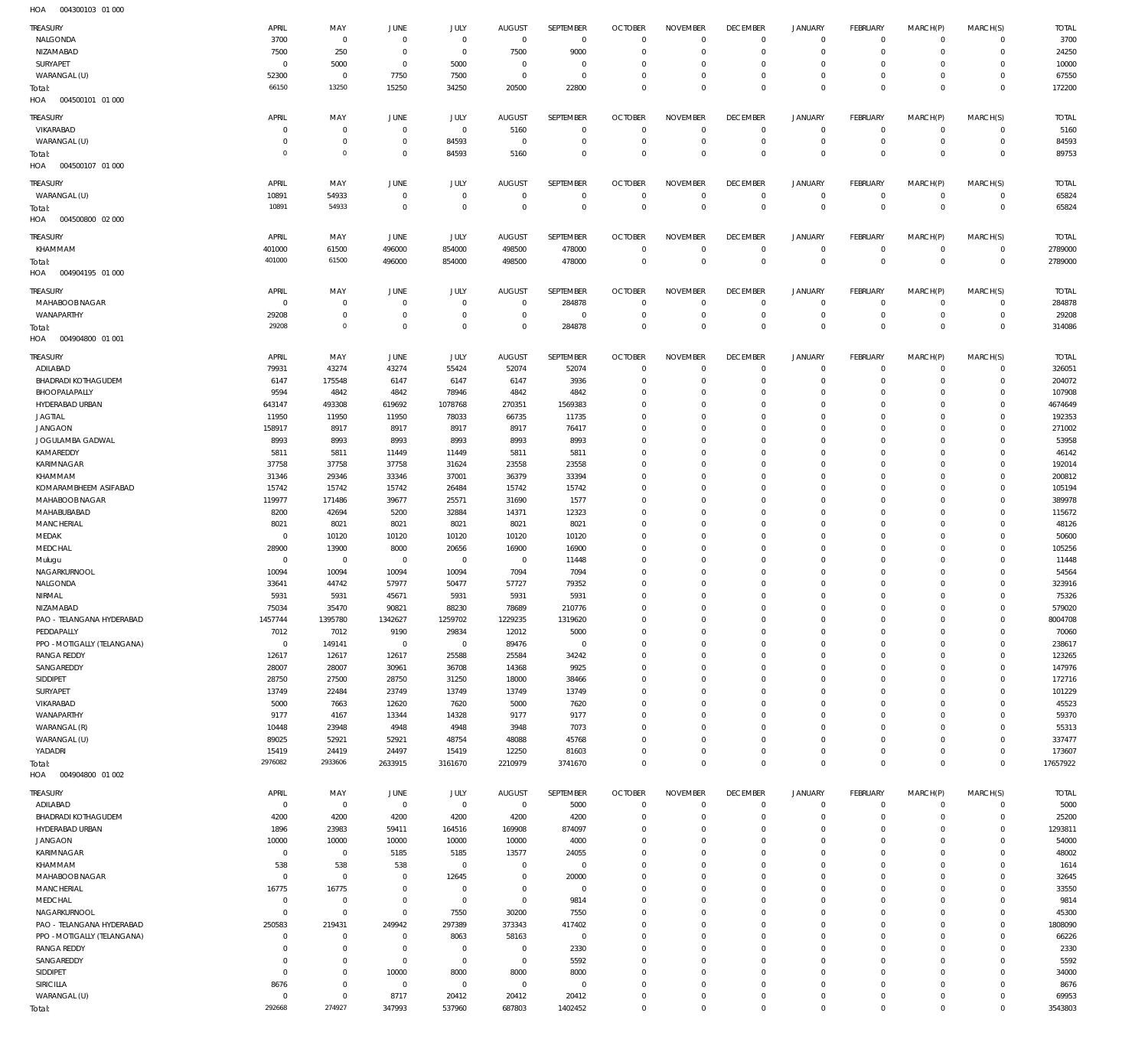| TREASURY                    | APRIL                | MAY                 | JUNE                | JULY                | <b>AUGUST</b>  | SEPTEMBER        | <b>OCTOBER</b>                   | <b>NOVEMBER</b>                | <b>DECEMBER</b>                | <b>JANUARY</b> | <b>FEBRUARY</b>               | MARCH(P)       | MARCH(S)                | <b>TOTAL</b>         |
|-----------------------------|----------------------|---------------------|---------------------|---------------------|----------------|------------------|----------------------------------|--------------------------------|--------------------------------|----------------|-------------------------------|----------------|-------------------------|----------------------|
| NALGONDA                    | 3700                 | $\mathbf 0$         | $\mathbf 0$         | $\mathbf 0$         | $\overline{0}$ | $\overline{0}$   | $\overline{0}$                   | $\mathbf 0$                    | $\mathbf{0}$                   | $\mathbf 0$    | $^{\circ}$                    | $^{\circ}$     | $\Omega$                | 3700                 |
| NIZAMABAD                   | 7500                 | 250                 | $^{\circ}$          | $\mathbf 0$         | 7500           | 9000             | $\overline{0}$                   | 0                              | $\overline{0}$                 | $\mathbf 0$    | $\mathbf{0}$                  | $\Omega$       | $\mathbf 0$             | 24250                |
| SURYAPET                    | $^{\circ}$           | 5000                | $^{\circ}$          | 5000                | $\overline{0}$ | $\mathbf 0$      | $\mathbf 0$                      | 0                              | $^{\circ}$                     | $\mathbf 0$    | $^{\circ}$                    | $\Omega$       | $\Omega$                | 10000                |
| WARANGAL (U)                | 52300                | $\mathbf 0$         | 7750                | 7500                | $\overline{0}$ | $\mathbf 0$      | $\overline{0}$                   | 0                              | $\overline{0}$                 | $\mathbf 0$    | $\mathbf{0}$                  | $\Omega$       | $\Omega$                | 67550                |
| Total:                      | 66150                | 13250               | 15250               | 34250               | 20500          | 22800            | $\overline{0}$                   | $\Omega$                       | $\overline{0}$                 | $\overline{0}$ | $\overline{0}$                | $\Omega$       | $\mathbf{0}$            | 172200               |
| HOA<br>004500101 01 000     |                      |                     |                     |                     |                |                  |                                  |                                |                                |                |                               |                |                         |                      |
|                             |                      |                     |                     |                     |                |                  |                                  |                                |                                |                |                               |                |                         |                      |
| TREASURY                    | APRIL                | MAY                 | <b>JUNE</b>         | JULY                | <b>AUGUST</b>  | SEPTEMBER        | <b>OCTOBER</b>                   | <b>NOVEMBER</b>                | <b>DECEMBER</b>                | <b>JANUARY</b> | <b>FEBRUARY</b>               | MARCH(P)       | MARCH(S)                | <b>TOTAL</b>         |
| VIKARABAD                   | $^{\circ}$           | $\mathbf 0$         | $\mathbf{0}$        | $\mathbf 0$         | 5160           | $\mathbf 0$      | $\overline{0}$                   | $\mathbf 0$                    | $\mathbf 0$                    | $\circ$        | $^{\circ}$                    | $^{\circ}$     | $\mathbf 0$             | 5160                 |
| WARANGAL (U)                | 0                    | $\mathbf 0$         | $^{\circ}$          | 84593               | $\overline{0}$ | $\mathbf 0$      | $\overline{0}$                   | $\mathbf 0$                    | $\overline{0}$                 | $\mathbf 0$    | $\mathbf{0}$                  | $^{\circ}$     | $\mathbf 0$             | 84593                |
| Total:                      | $\circ$              | $\mathbf 0$         | $\mathbf 0$         | 84593               | 5160           | $\mathbf 0$      | $\overline{0}$                   | $\mathbf 0$                    | $\overline{0}$                 | $\overline{0}$ | $\overline{0}$                | $\Omega$       | $\overline{0}$          | 89753                |
| 004500107 01 000<br>HOA     |                      |                     |                     |                     |                |                  |                                  |                                |                                |                |                               |                |                         |                      |
| TREASURY                    | APRIL                | MAY                 | JUNE                | JULY                | <b>AUGUST</b>  | SEPTEMBER        | <b>OCTOBER</b>                   | <b>NOVEMBER</b>                | <b>DECEMBER</b>                | <b>JANUARY</b> | <b>FEBRUARY</b>               | MARCH(P)       | MARCH(S)                | <b>TOTAL</b>         |
| WARANGAL (U)                | 10891                | 54933               | $\mathbf{0}$        | $\mathbf 0$         | $\overline{0}$ | $\mathbf 0$      | $\overline{0}$                   | $\mathbf{0}$                   | $\overline{0}$                 | $\circ$        | $\mathbf{0}$                  | $^{\circ}$     | $\mathbf 0$             | 65824                |
| Total:                      | 10891                | 54933               | $\mathbf{0}$        | $\mathbf 0$         | $\overline{0}$ | $\mathbf 0$      | $\overline{0}$                   | $\mathbf 0$                    | $\mathbb O$                    | $\overline{0}$ | $\overline{0}$                | $\Omega$       | $\mathbf 0$             | 65824                |
| 004500800 02 000<br>HOA     |                      |                     |                     |                     |                |                  |                                  |                                |                                |                |                               |                |                         |                      |
|                             |                      |                     |                     |                     |                |                  |                                  |                                |                                |                |                               |                |                         |                      |
| TREASURY                    | APRIL                | MAY                 | JUNE                | JULY                | <b>AUGUST</b>  | SEPTEMBER        | <b>OCTOBER</b>                   | <b>NOVEMBER</b>                | <b>DECEMBER</b>                | <b>JANUARY</b> | <b>FEBRUARY</b>               | MARCH(P)       | MARCH(S)                | <b>TOTAL</b>         |
| KHAMMAM                     | 401000               | 61500               | 496000              | 854000              | 498500         | 478000           | $\overline{0}$                   | $^{\circ}$                     | $\overline{0}$                 | $\circ$        | $^{\circ}$                    | $^{\circ}$     | $\mathbf 0$             | 2789000              |
| Total:                      | 401000               | 61500               | 496000              | 854000              | 498500         | 478000           | $\overline{0}$                   | $\overline{0}$                 | $\mathbb O$                    | $\,0\,$        | $\overline{0}$                | $\overline{0}$ | $\mathbb O$             | 2789000              |
| 004904195 01 000<br>HOA     |                      |                     |                     |                     |                |                  |                                  |                                |                                |                |                               |                |                         |                      |
| TREASURY                    | APRIL                | MAY                 | <b>JUNE</b>         | JULY                | <b>AUGUST</b>  | SEPTEMBER        | <b>OCTOBER</b>                   | <b>NOVEMBER</b>                | <b>DECEMBER</b>                | <b>JANUARY</b> | <b>FEBRUARY</b>               | MARCH(P)       | MARCH(S)                | <b>TOTAL</b>         |
| MAHABOOB NAGAR              | $^{\circ}$           | $^{\circ}$          | $\overline{0}$      | $\mathbf 0$         | $\overline{0}$ | 284878           | $\overline{0}$                   | $\mathbf 0$                    | $\mathbf 0$                    | $\circ$        | $^{\circ}$                    | $\circ$        | $\mathbf 0$             | 284878               |
| WANAPARTHY                  | 29208                | $\mathbf 0$         | $\overline{0}$      | $\mathbf 0$         | $\mathbf 0$    | $\overline{0}$   | $\overline{0}$                   | $\mathbf 0$                    | $\overline{0}$                 | $\mathbf 0$    | $\mathbf{0}$                  | $^{\circ}$     | $\mathbf 0$             | 29208                |
| Total:                      | 29208                | $\mathsf{O}\xspace$ | $\mathbf{0}$        | $\mathbf 0$         | $\overline{0}$ | 284878           | $\overline{0}$                   | $\mathbf 0$                    | $\mathbb O$                    | $\overline{0}$ | $\mathbb O$                   | $\Omega$       | $\overline{0}$          | 314086               |
| HOA<br>004904800 01 001     |                      |                     |                     |                     |                |                  |                                  |                                |                                |                |                               |                |                         |                      |
|                             |                      |                     |                     |                     |                |                  |                                  |                                |                                |                |                               |                |                         |                      |
| TREASURY                    | APRIL                | MAY                 | <b>JUNE</b>         | JULY                | <b>AUGUST</b>  | <b>SEPTEMBER</b> | <b>OCTOBER</b>                   | <b>NOVEMBER</b>                | <b>DECEMBER</b>                | <b>JANUARY</b> | <b>FEBRUARY</b>               | MARCH(P)       | MARCH(S)                | <b>TOTAL</b>         |
| ADILABAD                    | 79931                | 43274               | 43274               | 55424               | 52074          | 52074            | $\overline{0}$                   | $\mathbf 0$                    | $\mathbf 0$                    | $\circ$        | $^{\circ}$                    | $^{\circ}$     | $\mathbf 0$             | 326051               |
| <b>BHADRADI KOTHAGUDEM</b>  | 6147                 | 175548              | 6147                | 6147                | 6147           | 3936             | $\overline{0}$                   | 0                              | $\overline{0}$                 | $\circ$        | $\mathbf{0}$                  | $\Omega$       | $\mathbf 0$             | 204072               |
| BHOOPALAPALLY               | 9594                 | 4842                | 4842                | 78946               | 4842           | 4842             | $\overline{0}$                   | 0                              | $\overline{0}$                 | $\mathbf 0$    | $\mathbf{0}$                  | $\Omega$       | $\mathbf 0$             | 107908               |
| HYDERABAD URBAN             | 643147               | 493308              | 619692              | 1078768             | 270351         | 1569383          | $\overline{0}$                   | 0                              | $\overline{0}$                 | $\mathbf 0$    | $\mathbf{0}$                  | $\Omega$       | $\Omega$                | 4674649              |
| <b>JAGTIAL</b>              | 11950                | 11950               | 11950               | 78033               | 66735          | 11735            | $\overline{0}$                   | 0                              | $\mathbf 0$                    | $\mathbf 0$    | $^{\circ}$                    | $\Omega$       | $\Omega$                | 192353               |
| <b>JANGAON</b>              | 158917               | 8917                | 8917                | 8917                | 8917           | 76417            | $\overline{0}$                   | $\Omega$                       | $\mathbf 0$                    | $\mathbf 0$    | $\mathbf{0}$                  | $\Omega$       | $\Omega$                | 271002               |
| JOGULAMBA GADWAL            | 8993                 | 8993                | 8993                | 8993                | 8993           | 8993             | $\overline{0}$                   | 0                              | $\mathbf 0$                    | $\mathbf 0$    | $\mathbf{0}$                  | $\Omega$       | $\Omega$                | 53958                |
| KAMAREDDY                   | 5811                 | 5811                | 11449               | 11449               | 5811           | 5811             | $\overline{0}$                   | 0                              | $\mathbf 0$                    | $\mathbf 0$    | $\mathbf{0}$                  |                | $\Omega$                | 46142                |
| KARIMNAGAR                  | 37758                | 37758               | 37758               | 31624               | 23558          | 23558            | $\overline{0}$                   | $\mathbf 0$                    | $\overline{0}$                 | $\mathbf 0$    | $\mathbf{0}$                  | $\Omega$       | $\Omega$                | 192014               |
| KHAMMAM                     | 31346                | 29346               | 33346               | 37001               | 36379          | 33394            | $\overline{0}$                   | 0                              | $\mathbf 0$                    | $\mathbf 0$    | $\mathbf{0}$                  | $\Omega$       | $\Omega$                | 200812               |
| KOMARAMBHEEM ASIFABAD       | 15742                | 15742               | 15742               | 26484               | 15742          | 15742            | $\overline{0}$                   | 0                              | $\overline{0}$                 | $\mathbf 0$    | $\mathbf{0}$                  | $\Omega$       | $\Omega$                | 105194               |
| MAHABOOB NAGAR              | 119977               | 171486              | 39677               | 25571               | 31690          | 1577             | $\overline{0}$                   | 0                              | $\mathbf 0$                    | $\mathbf 0$    | $\mathbf{0}$                  | $\Omega$       | $\mathbf 0$             | 389978               |
| MAHABUBABAD                 | 8200                 | 42694               | 5200                | 32884               | 14371          | 12323            | $\overline{0}$                   | 0                              | $\overline{0}$                 | $\mathbf 0$    | $\mathbf{0}$                  | $\Omega$       | $\Omega$                | 115672               |
| MANCHERIAL                  | 8021                 | 8021                | 8021                | 8021                | 8021           | 8021             | $\overline{0}$                   | 0                              | $\mathbf 0$                    | $\mathbf 0$    | $\mathbf{0}$                  | $\Omega$       | $\mathbf 0$             | 48126                |
| MEDAK                       | $\mathbf 0$          | 10120               | 10120               | 10120               | 10120          | 10120            | $\overline{0}$                   | 0                              | $\overline{0}$                 | $\mathbf 0$    | $\mathbf{0}$                  | $\Omega$       | $\Omega$                | 50600                |
| MEDCHAL                     | 28900                | 13900               | 8000                | 20656               | 16900          | 16900            | $\overline{0}$                   | 0                              | $\mathbb O$                    | $\mathbf 0$    | $\mathbf{0}$                  | $\Omega$       | $\mathbf 0$             | 105256               |
| Mulugu                      | $^{\circ}$           | $\mathbf 0$         | $\overline{0}$      | $\mathbf 0$         | $\overline{0}$ | 11448            | $\mathbf 0$                      | 0                              | $\mathbf 0$                    | $\mathbf 0$    | $\mathbf{0}$                  | $\Omega$       | $\Omega$                | 11448                |
| NAGARKURNOOL                | 10094                | 10094               | 10094               | 10094               | 7094           | 7094             | $\overline{0}$                   | 0                              | $\overline{0}$                 | $\mathbf 0$    | $\mathbf{0}$                  | $\Omega$       | $\mathbf 0$             | 54564                |
| NALGONDA                    | 33641                | 44742               | 57977               | 50477               | 57727          | 79352            | $\overline{0}$                   | 0                              | $\overline{0}$                 | $\mathbf 0$    | $\mathbf{0}$                  | $\Omega$       | $\Omega$                | 323916               |
| NIRMAL                      | 5931                 | 5931                | 45671               | 5931                | 5931           | 5931             | $\overline{0}$                   | $\Omega$                       | $\overline{0}$                 | $\mathbf 0$    | $\mathbf 0$                   | $\Omega$       | $\mathbf 0$             | 75326                |
| NIZAMABAD                   | 75034                | 35470               | 90821               | 88230               | 78689          | 210776           | $\Omega$                         | $\Omega$                       | $\Omega$                       | $\Omega$       | $\circ$                       | $\mathbf{0}$   | $\circ$                 | 579020               |
| PAO - TELANGANA HYDERABAD   | 1457744              | 1395780             | 1342627             | 1259702             | 1229235        | 1319620          | $\overline{0}$                   | 0                              | $\overline{0}$                 | $\mathbf 0$    | $\mathbf{0}$                  | $\Omega$       | $\Omega$                | 8004708              |
| PEDDAPALLY                  | 7012                 | 7012                | 9190                | 29834               | 12012          | 5000             | $\overline{0}$                   | $\mathbf 0$                    | $\mathbf{0}$                   | $\mathbf 0$    | $\mathbf{0}$                  | $^{\circ}$     | $\mathbf 0$             | 70060                |
| PPO - MOTIGALLY (TELANGANA) | $\mathbf 0$          | 149141              | $\overline{0}$      | $\mathbf 0$         | 89476          | $\overline{0}$   | $\overline{0}$                   | $\mathbf 0$                    | $\overline{0}$                 | $\mathbf 0$    | $\mathbf{0}$                  | $\Omega$       | $\Omega$                | 238617               |
| <b>RANGA REDDY</b>          | 12617                | 12617               | 12617               | 25588               | 25584          | 34242            | $\overline{0}$                   | $\mathbf 0$                    | $\overline{0}$                 | $\mathbf 0$    | $\mathbf{0}$                  | $\Omega$       | $\Omega$                | 123265               |
| SANGAREDDY                  | 28007                | 28007               | 30961               | 36708               | 14368          | 9925             | $\overline{0}$                   | $\mathbf 0$                    | $\overline{0}$                 | $\mathbf 0$    | $\mathbf{0}$                  | $\Omega$       | $\Omega$                | 147976               |
| SIDDIPET                    | 28750                | 27500               | 28750               | 31250               | 18000          | 38466            | $\overline{0}$                   | $\mathbf 0$                    | $\overline{0}$                 | $\mathbf 0$    | $\mathbf{0}$                  | $\Omega$       | $\Omega$                | 172716               |
| SURYAPET                    | 13749                | 22484               | 23749               | 13749               | 13749          | 13749            | $\overline{0}$                   | $\mathbf 0$                    | $\mathbf 0$                    | $\mathbf 0$    | $\mathbf{0}$                  |                | $\mathbf 0$             | 101229               |
| VIKARABAD                   | 5000                 | 7663                | 12620               | 7620                | 5000           | 7620             | $\overline{0}$                   | $\mathbf 0$                    | $\overline{0}$                 | $\mathbf 0$    | $\mathbf{0}$                  | $\Omega$       | $\Omega$                | 45523                |
| WANAPARTHY                  | 9177                 | 4167                | 13344               | 14328               | 9177           | 9177             | $\overline{0}$                   | 0                              | $\overline{0}$                 | $\mathbf 0$    | $\mathbf{0}$                  | $\Omega$       | $\mathbf 0$             | 59370                |
| WARANGAL (R)                | 10448                | 23948               | 4948                | 4948                | 3948           | 7073             | $\overline{0}$                   | $\mathbf 0$                    | $\overline{0}$                 | $\mathbf 0$    | $\mathbf{0}$                  | $\Omega$       | $\Omega$                | 55313                |
| WARANGAL (U)                | 89025                | 52921               | 52921               | 48754               | 48088          | 45768            | $\overline{0}$                   | 0                              | $\mathbf 0$                    | $\mathbf 0$    | $\mathbf{0}$                  | $\Omega$       | $\mathbf 0$             | 337477               |
| YADADRI                     | 15419                | 24419               | 24497               | 15419               | 12250          | 81603            | $\overline{0}$                   | $\mathbf 0$                    | $\overline{0}$                 | $\mathbf 0$    | $\circ$                       | $\Omega$       | $\mathbf 0$             | 173607               |
| Total:                      | 2976082              | 2933606             | 2633915             | 3161670             | 2210979        | 3741670          | $\overline{0}$                   | $\Omega$                       | $\mathbb O$                    | $\mathbb O$    | $\mathbb O$                   | $\overline{0}$ | $\mathbb O$             | 17657922             |
| 004904800 01 002<br>HOA     |                      |                     |                     |                     |                |                  |                                  |                                |                                |                |                               |                |                         |                      |
|                             |                      |                     |                     |                     |                |                  |                                  |                                |                                |                |                               |                |                         |                      |
| TREASURY                    | APRIL<br>$\mathbf 0$ | MAY<br>$\mathbf 0$  | JUNE<br>$\mathbf 0$ | JULY<br>$\mathbf 0$ | <b>AUGUST</b>  | SEPTEMBER        | <b>OCTOBER</b><br>$\overline{0}$ | <b>NOVEMBER</b><br>$\mathbf 0$ | <b>DECEMBER</b><br>$\mathbf 0$ | <b>JANUARY</b> | <b>FEBRUARY</b><br>$^{\circ}$ | MARCH(P)       | MARCH(S)<br>$\mathbf 0$ | <b>TOTAL</b><br>5000 |
| ADILABAD                    |                      |                     |                     |                     | $\,0\,$        | 5000             |                                  |                                |                                | $\mathbb O$    |                               | $\circ$        |                         |                      |
| BHADRADI KOTHAGUDEM         | 4200                 | 4200                | 4200                | 4200                | 4200           | 4200             | $\overline{0}$                   | $\mathbf 0$                    | $\mathbf{0}$                   | $\mathbf 0$    | $\mathbf{0}$                  | $\Omega$       | $\mathbf 0$             | 25200                |
| HYDERABAD URBAN             | 1896                 | 23983               | 59411               | 164516              | 169908         | 874097           | $\mathbf 0$                      | 0                              | $\overline{0}$                 | $\mathbf 0$    | $\mathbf{0}$                  | $\Omega$       | $\Omega$                | 1293811              |
| JANGAON                     | 10000                | 10000               | 10000               | 10000               | 10000          | 4000             | $\mathbf 0$                      | 0                              | $\mathbf{0}$                   | $\mathbf 0$    | $\mathbf{0}$                  | $\Omega$       | $\Omega$                | 54000                |
| KARIMNAGAR                  | $\mathbf 0$          | $\mathbf 0$         | 5185                | 5185                | 13577          | 24055            | $\mathbf 0$                      | 0                              | $\mathbf 0$                    | $\mathbf 0$    | $\mathbf{0}$                  | $\Omega$       | $\Omega$                | 48002                |
| KHAMMAM                     | 538                  | 538                 | 538                 | $\mathbf 0$         | $\mathbf 0$    | $\overline{0}$   | $\mathbf 0$                      | $\Omega$                       | $\mathbf 0$                    | $\mathbf 0$    | $\mathbf{0}$                  |                | $\Omega$                | 1614                 |
| MAHABOOB NAGAR              | $\mathbf 0$          | $\mathbf 0$         | $\overline{0}$      | 12645               | $\overline{0}$ | 20000            | $\overline{0}$                   | 0                              | $\mathbf{0}$                   | $\mathbf 0$    | $\mathbf{0}$                  | $\Omega$       | $\Omega$                | 32645                |
| MANCHERIAL                  | 16775                | 16775               | $\mathbf 0$         | $\mathbf 0$         | $\mathbf 0$    | $\mathbf 0$      | $\mathbf 0$                      | $\Omega$                       | $\mathbf 0$                    | $\mathbf 0$    | $\mathbf{0}$                  |                | $\Omega$                | 33550                |
| MEDCHAL                     | $\mathbf 0$          | $\mathbf 0$         | $\mathbf 0$         | $\mathbf 0$         | $\overline{0}$ | 9814             | $\overline{0}$                   | 0                              | $\mathbf{0}$                   | $\mathbf 0$    | $\mathbf{0}$                  | $\Omega$       | $\Omega$                | 9814                 |
| NAGARKURNOOL                | $\mathbf 0$          | $\mathbf 0$         | $\mathbf 0$         | 7550                | 30200          | 7550             | $\overline{0}$                   | $\Omega$                       | $\mathbf 0$                    | $\mathbf 0$    | $\mathbf{0}$                  |                | $\Omega$                | 45300                |
| PAO - TELANGANA HYDERABAD   | 250583               | 219431              | 249942              | 297389              | 373343         | 417402           | $\overline{0}$                   | $\mathbf 0$                    | $\mathbf{0}$                   | $\mathbf 0$    | $\mathbf{0}$                  | $\Omega$       | $\Omega$                | 1808090              |
| PPO - MOTIGALLY (TELANGANA) | $^{\circ}$           | $\mathbf 0$         | $\mathbf 0$         | 8063                | 58163          | $\overline{0}$   | $\mathbf 0$                      | 0                              | $\mathbf 0$                    | $\mathbf 0$    | $\mathbf{0}$                  |                | $\Omega$                | 66226                |
| <b>RANGA REDDY</b>          | $^{\circ}$           | $\mathbf 0$         | $\mathbf 0$         | $\mathbf 0$         | $\overline{0}$ | 2330             | $\overline{0}$                   | $\Omega$                       | $\mathbf{0}$                   | $\mathbf 0$    | $\mathbf{0}$                  | $\Omega$       | $\Omega$                | 2330                 |
| SANGAREDDY                  | $^{\circ}$           | $\mathbf 0$         | $\overline{0}$      | $\mathbf 0$         | $\overline{0}$ | 5592             | $\mathbf 0$                      | $\Omega$                       | $\mathbf 0$                    | $\mathbf 0$    | $\mathbf{0}$                  |                | $\Omega$                | 5592                 |
| SIDDIPET                    | $\mathbf 0$          | $\mathbf 0$         | 10000               | 8000                | 8000           | 8000             | $\overline{0}$                   | $\mathbf 0$                    | $\mathbf{0}$                   | $\mathbf 0$    | $\mathbf{0}$                  | $\Omega$       | $\Omega$                | 34000                |
| <b>SIRICILLA</b>            | 8676                 | $\mathbf 0$         | $\overline{0}$      | $\mathbf 0$         | $\overline{0}$ | $^{\circ}$       | $\overline{0}$                   | $\mathbf 0$                    | $\mathbf{0}$                   | $\mathbf 0$    | $\mathbf{0}$                  | $\Omega$       | $\Omega$                | 8676                 |
| WARANGAL (U)                | $\mathbf 0$          | $\mathbf 0$         | 8717                | 20412               | 20412          | 20412            | $\mathbf 0$                      | $\mathbf 0$                    | $\mathbf{0}$                   | $\mathbf 0$    | $\mathbf{0}$                  | $\Omega$       | $\mathbf 0$             | 69953                |
| Total:                      | 292668               | 274927              | 347993              | 537960              | 687803         | 1402452          | $\overline{0}$                   | $\mathbf 0$                    | $\overline{0}$                 | $\mathbf 0$    | $\mathbb O$                   | $\mathbf 0$    | $\mathbb O$             | 3543803              |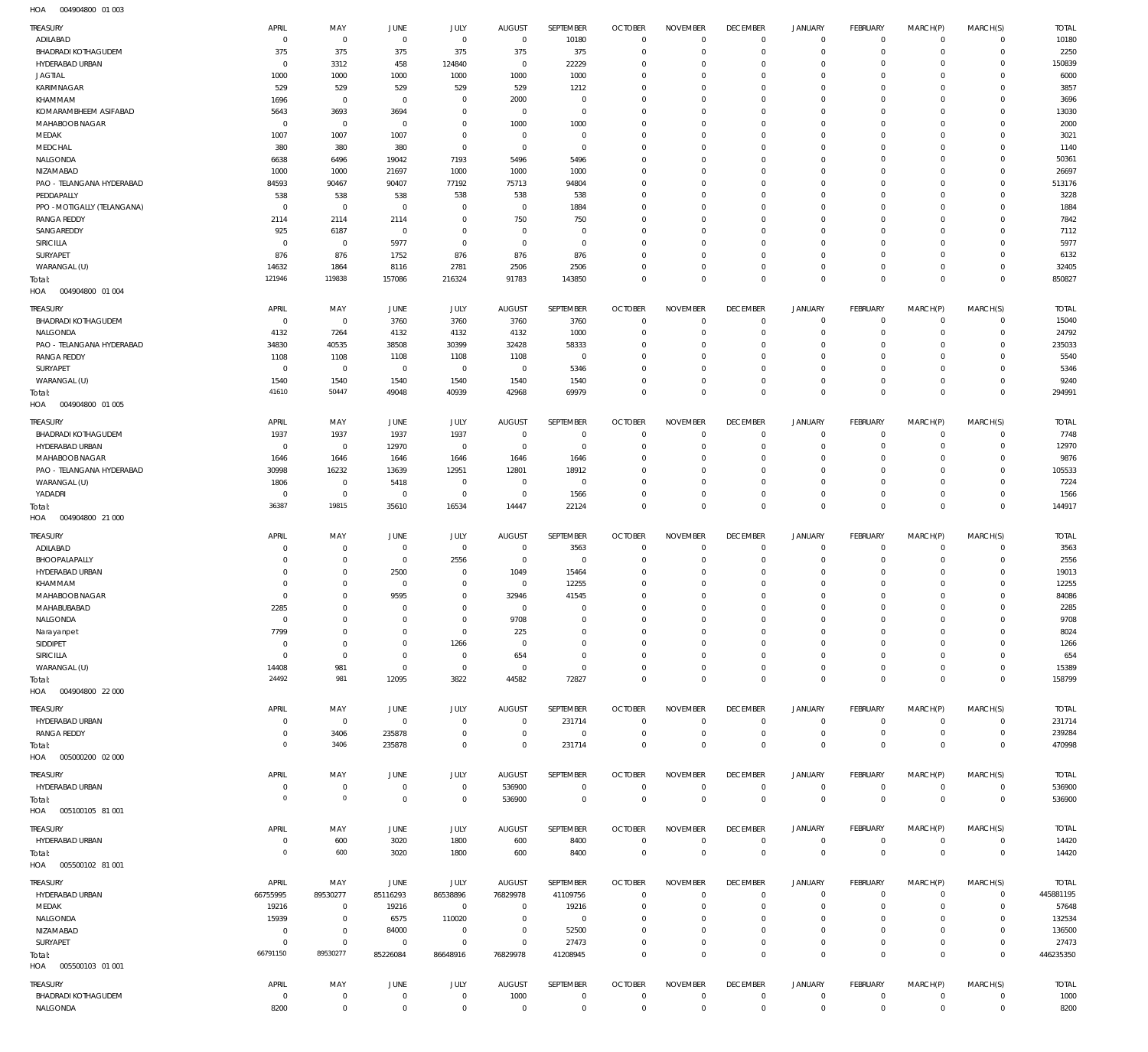004904800 01 003 HOA

| TREASURY                                      | APRIL                            | MAY                     | JUNE                             | JULY                          | <b>AUGUST</b>                    | SEPTEMBER                   | <b>OCTOBER</b>                   | <b>NOVEMBER</b>                   | <b>DECEMBER</b>                   | <b>JANUARY</b>                     | <b>FEBRUARY</b>                   | MARCH(P)                | MARCH(S)                         | <b>TOTAL</b>              |
|-----------------------------------------------|----------------------------------|-------------------------|----------------------------------|-------------------------------|----------------------------------|-----------------------------|----------------------------------|-----------------------------------|-----------------------------------|------------------------------------|-----------------------------------|-------------------------|----------------------------------|---------------------------|
| ADILABAD                                      | $\overline{0}$                   | $\overline{0}$          | $\overline{0}$                   | $\overline{0}$                | $\overline{0}$                   | 10180                       | $\overline{0}$                   | $\overline{0}$                    | $\overline{0}$                    | $\overline{0}$                     | $\overline{0}$                    | $\mathbf 0$             | $\overline{0}$                   | 10180                     |
| <b>BHADRADI KOTHAGUDEM</b><br>HYDERABAD URBAN | 375<br>$\overline{0}$            | 375<br>3312             | 375<br>458                       | 375<br>124840                 | 375<br>$\overline{0}$            | 375<br>22229                | $\overline{0}$<br>$\overline{0}$ | $\mathbf 0$<br>$\Omega$           | $\mathbf{0}$<br>$\mathbf{0}$      | $\mathsf{O}\xspace$<br>$\mathbf 0$ | $\overline{0}$<br>$\mathbf 0$     | $\mathbf 0$<br>$\Omega$ | $\overline{0}$<br>$\overline{0}$ | 2250<br>150839            |
| <b>JAGTIAL</b>                                | 1000                             | 1000                    | 1000                             | 1000                          | 1000                             | 1000                        | $\overline{0}$                   | $\mathbf 0$                       | $\mathbf{0}$                      | 0                                  | $\mathbf 0$                       | $\Omega$                | $\overline{0}$                   | 6000                      |
| KARIMNAGAR                                    | 529                              | 529                     | 529                              | 529                           | 529                              | 1212                        | $\overline{0}$                   | $\Omega$                          | $\mathbf 0$                       | 0                                  | $\mathbf 0$                       | $\Omega$                | $\Omega$                         | 3857                      |
| KHAMMAM                                       | 1696                             | $\overline{0}$          | $\overline{0}$                   | $^{\circ}$                    | 2000                             | $^{\circ}$                  | $\overline{0}$                   | $\Omega$                          | $\mathbf{0}$                      | 0                                  | $\mathbf 0$                       | $\Omega$                | $\mathbf 0$                      | 3696                      |
| KOMARAMBHEEM ASIFABAD<br>MAHABOOB NAGAR       | 5643<br>$\overline{0}$           | 3693<br>$\overline{0}$  | 3694<br>$\overline{0}$           | $\mathbf 0$<br>$\mathbf 0$    | $\overline{0}$<br>1000           | $\mathbf 0$<br>1000         | $\overline{0}$<br>$\overline{0}$ | $\Omega$<br>$\Omega$              | $\mathbf 0$<br>$\mathbf 0$        | 0<br>0                             | $\mathbf 0$<br>$\mathbf 0$        | $\Omega$<br>$\Omega$    | $\Omega$<br>$\mathbf 0$          | 13030<br>2000             |
| MEDAK                                         | 1007                             | 1007                    | 1007                             | $^{\circ}$                    | $\overline{0}$                   | $\overline{0}$              | $\overline{0}$                   | $\mathbf 0$                       | $\mathbf 0$                       | 0                                  | $\mathbf 0$                       | 0                       | $\mathbf 0$                      | 3021                      |
| MEDCHAL                                       | 380                              | 380                     | 380                              | $\mathbf 0$                   | $\overline{0}$                   | $\mathbf 0$                 | $\overline{0}$                   | $\Omega$                          | $\mathbf 0$                       | 0                                  | $\mathbf 0$                       | $\Omega$                | $\mathbf 0$                      | 1140                      |
| NALGONDA                                      | 6638                             | 6496                    | 19042                            | 7193                          | 5496                             | 5496                        | $\overline{0}$                   | $\Omega$                          | $\mathbf 0$                       | 0                                  | $\mathbf 0$                       | $\Omega$                | $\Omega$                         | 50361                     |
| NIZAMABAD                                     | 1000                             | 1000                    | 21697                            | 1000                          | 1000                             | 1000                        | $\overline{0}$                   | $\Omega$                          | $\mathbf 0$                       | 0                                  | $\mathbf 0$                       | $\Omega$                | $\mathbf 0$                      | 26697                     |
| PAO - TELANGANA HYDERABAD                     | 84593                            | 90467                   | 90407                            | 77192                         | 75713                            | 94804                       | $\overline{0}$                   | $\Omega$                          | $\mathbf 0$                       | 0                                  | $\mathbf 0$                       | $\Omega$                | $\Omega$                         | 513176                    |
| PEDDAPALLY<br>PPO - MOTIGALLY (TELANGANA)     | 538<br>$\overline{0}$            | 538<br>$\overline{0}$   | 538<br>$\overline{0}$            | 538<br>$^{\circ}$             | 538<br>$\overline{0}$            | 538<br>1884                 | $\overline{0}$<br>$\overline{0}$ | $\mathbf 0$<br>$\Omega$           | $\mathbf 0$<br>$\mathbf 0$        | 0<br>0                             | $\mathbf 0$<br>$\mathbf 0$        | $\Omega$<br>$\Omega$    | $\mathbf 0$<br>$\Omega$          | 3228<br>1884              |
| <b>RANGA REDDY</b>                            | 2114                             | 2114                    | 2114                             | $\mathbf 0$                   | 750                              | 750                         | $\overline{0}$                   | $\mathbf 0$                       | $\mathbf 0$                       | 0                                  | $\mathbf 0$                       | $\Omega$                | $\mathbf 0$                      | 7842                      |
| SANGAREDDY                                    | 925                              | 6187                    | $\overline{0}$                   | $\mathbf 0$                   | $\overline{0}$                   | $^{\circ}$                  | $\overline{0}$                   | $\mathbf 0$                       | $\mathbf 0$                       | 0                                  | $\mathbf 0$                       | $\Omega$                | $\Omega$                         | 7112                      |
| <b>SIRICILLA</b>                              | $\overline{0}$                   | $\overline{0}$          | 5977                             | $^{\circ}$                    | $\overline{0}$                   | $\mathbf 0$                 | $\overline{0}$                   | $\Omega$                          | $\mathbf 0$                       | 0                                  | $\mathbf 0$                       | $\Omega$                | $\mathbf 0$                      | 5977                      |
| SURYAPET                                      | 876                              | 876                     | 1752                             | 876                           | 876                              | 876                         | $\overline{0}$                   | $\mathbf 0$                       | $\mathbf 0$                       | $\mathbf 0$                        | $\mathbf 0$                       | 0                       | $\overline{0}$                   | 6132                      |
| WARANGAL (U)                                  | 14632<br>121946                  | 1864<br>119838          | 8116                             | 2781                          | 2506                             | 2506                        | $\overline{0}$<br>$\overline{0}$ | $\mathbf 0$<br>$\mathbf 0$        | $\mathbf 0$<br>$\mathbf 0$        | 0<br>$\mathbf 0$                   | $\mathbf 0$<br>$\overline{0}$     | 0<br>$\mathbf 0$        | $\overline{0}$<br>$\mathbf 0$    | 32405                     |
| Total:<br>HOA<br>004904800 01 004             |                                  |                         | 157086                           | 216324                        | 91783                            | 143850                      |                                  |                                   |                                   |                                    |                                   |                         |                                  | 850827                    |
|                                               |                                  |                         |                                  |                               |                                  |                             |                                  |                                   |                                   |                                    |                                   |                         |                                  |                           |
| TREASURY<br><b>BHADRADI KOTHAGUDEM</b>        | APRIL<br>$\overline{0}$          | MAY<br>$\mathbf 0$      | <b>JUNE</b><br>3760              | JULY<br>3760                  | <b>AUGUST</b><br>3760            | SEPTEMBER<br>3760           | <b>OCTOBER</b><br>$\overline{0}$ | <b>NOVEMBER</b><br>$\Omega$       | <b>DECEMBER</b><br>$\mathbf{0}$   | <b>JANUARY</b><br>$\mathbf 0$      | FEBRUARY<br>$\mathbf 0$           | MARCH(P)<br>0           | MARCH(S)<br>$\circ$              | <b>TOTAL</b><br>15040     |
| NALGONDA                                      | 4132                             | 7264                    | 4132                             | 4132                          | 4132                             | 1000                        | $\overline{0}$                   | $\Omega$                          | $\mathbf{0}$                      | $\mathbf 0$                        | $\mathbf 0$                       | $\mathbf 0$             | $\overline{0}$                   | 24792                     |
| PAO - TELANGANA HYDERABAD                     | 34830                            | 40535                   | 38508                            | 30399                         | 32428                            | 58333                       | $\mathbf 0$                      | $\Omega$                          | $\mathbf{0}$                      | 0                                  | $\mathbf 0$                       | $\Omega$                | $\mathbf 0$                      | 235033                    |
| <b>RANGA REDDY</b>                            | 1108                             | 1108                    | 1108                             | 1108                          | 1108                             | $^{\circ}$                  | $\mathbf 0$                      | $\Omega$                          | $\mathbf 0$                       | $\mathbf 0$                        | $\mathbf 0$                       | $\Omega$                | $\Omega$                         | 5540                      |
| SURYAPET                                      | $\overline{0}$                   | $\overline{0}$          | $\overline{0}$                   | $\overline{0}$                | $\overline{0}$                   | 5346                        | $\mathbf 0$                      | $\Omega$                          | $\mathbf 0$                       | $\mathbf 0$                        | $\mathbf 0$                       | $\Omega$                | $\mathbf 0$                      | 5346                      |
| WARANGAL (U)                                  | 1540                             | 1540                    | 1540                             | 1540                          | 1540                             | 1540                        | $\mathbf 0$                      | $\Omega$                          | $\mathbf{0}$                      | $\mathbf 0$                        | $\mathbf 0$                       | $\Omega$                | $\overline{0}$                   | 9240                      |
| Total:<br>HOA<br>004904800 01 005             | 41610                            | 50447                   | 49048                            | 40939                         | 42968                            | 69979                       | $\Omega$                         | $\Omega$                          | $\mathbf{0}$                      | $\mathbf 0$                        | $\overline{0}$                    | $\Omega$                | $\mathbf{0}$                     | 294991                    |
| TREASURY                                      | APRIL                            | MAY                     | <b>JUNE</b>                      | JULY                          | <b>AUGUST</b>                    | SEPTEMBER                   | <b>OCTOBER</b>                   | <b>NOVEMBER</b>                   | <b>DECEMBER</b>                   | <b>JANUARY</b>                     | FEBRUARY                          | MARCH(P)                | MARCH(S)                         | <b>TOTAL</b>              |
| <b>BHADRADI KOTHAGUDEM</b>                    | 1937                             | 1937                    | 1937                             | 1937                          | $\overline{0}$                   | $\overline{0}$              | $\overline{0}$                   | 0                                 | $\mathbf 0$                       | $\mathbf 0$                        | $\overline{0}$                    | $\mathbf 0$             | $\overline{0}$                   | 7748                      |
| HYDERABAD URBAN                               | $\overline{0}$                   | $\overline{0}$          | 12970                            | $\overline{0}$                | $\overline{0}$                   | $\overline{0}$              | $\overline{0}$                   | $\mathbf 0$                       | $\mathbf{0}$                      | $\mathbf 0$                        | $\mathbf 0$                       | 0                       | $\overline{0}$                   | 12970                     |
| MAHABOOB NAGAR                                | 1646                             | 1646                    | 1646                             | 1646                          | 1646                             | 1646                        | $\overline{0}$                   | $\mathbf 0$                       | $\mathbf{0}$                      | 0                                  | $\mathbf 0$                       | 0                       | $\overline{0}$                   | 9876                      |
| PAO - TELANGANA HYDERABAD                     | 30998                            | 16232                   | 13639                            | 12951                         | 12801                            | 18912                       | $\overline{0}$                   | $\mathbf 0$                       | $\mathbf{0}$                      | 0                                  | $\mathbf 0$                       | 0                       | $\overline{0}$                   | 105533                    |
| WARANGAL (U)                                  | 1806                             | $\mathbf 0$             | 5418                             | $^{\circ}$                    | $\overline{0}$                   | $\overline{0}$              | $\overline{0}$                   | $\Omega$                          | $\mathbf{0}$                      | 0                                  | $\mathbf 0$                       | $\Omega$                | $\overline{0}$                   | 7224                      |
| YADADRI<br>Total:                             | $\overline{0}$<br>36387          | $\mathbf 0$<br>19815    | $\overline{0}$<br>35610          | $\overline{0}$<br>16534       | $\overline{0}$<br>14447          | 1566<br>22124               | $\overline{0}$<br>$\overline{0}$ | $\mathbf 0$<br>$\Omega$           | $\mathbf{0}$<br>$\overline{0}$    | $\mathsf{O}\xspace$<br>$\mathbf 0$ | $\overline{0}$<br>$\overline{0}$  | 0<br>$\Omega$           | $\overline{0}$<br>$\overline{0}$ | 1566<br>144917            |
| HOA<br>004904800 21 000                       |                                  |                         |                                  |                               |                                  |                             |                                  |                                   |                                   |                                    |                                   |                         |                                  |                           |
| TREASURY                                      | APRIL                            | MAY                     | JUNE                             | JULY                          | <b>AUGUST</b>                    | SEPTEMBER                   | <b>OCTOBER</b>                   | <b>NOVEMBER</b>                   | <b>DECEMBER</b>                   | <b>JANUARY</b>                     | <b>FEBRUARY</b>                   | MARCH(P)                | MARCH(S)                         | <b>TOTAL</b>              |
| ADILABAD                                      | $\mathbf 0$                      | 0                       | $\overline{0}$                   | $\overline{0}$                | $\overline{0}$                   | 3563                        | $\overline{0}$                   | $\mathbf 0$                       | $\mathbf 0$                       | $\mathbf 0$                        | $\mathbf 0$                       | $\mathbf 0$             | $\overline{0}$                   | 3563                      |
|                                               |                                  |                         |                                  |                               |                                  |                             |                                  |                                   |                                   |                                    |                                   |                         |                                  |                           |
| BHOOPALAPALLY                                 | $\Omega$                         | $\mathbf 0$             | $\overline{0}$                   | 2556                          | $\overline{0}$                   | $\overline{0}$              | $\overline{0}$                   | $\Omega$                          | $\mathbf 0$                       | $\mathbf 0$                        | $\mathbf 0$                       | $\Omega$                | $\overline{0}$                   | 2556                      |
| HYDERABAD URBAN                               | $\mathbf 0$                      | $\mathbf 0$             | 2500                             | $\mathbf 0$                   | 1049                             | 15464                       | $\overline{0}$                   | $\Omega$                          | $\mathbf 0$                       | $\mathbf 0$                        | $\circ$                           | $\Omega$                | $\overline{0}$                   | 19013                     |
| KHAMMAM                                       | $^{\circ}$                       | $\mathbf 0$             | $\overline{0}$                   | $\mathbf 0$                   | $\overline{0}$                   | 12255                       | $\mathbf 0$                      | $\Omega$                          | $\mathbf 0$                       | 0                                  | $\mathbf 0$                       | $\Omega$                | $\mathbf 0$                      | 12255                     |
| MAHABOOB NAGAR                                | $\Omega$                         | $\mathbf 0$             | 9595                             | $\Omega$                      | 32946                            | 41545                       | $\mathbf 0$                      | $\Omega$                          | $\Omega$                          | $\Omega$                           | $\Omega$                          | $\Omega$                | $\Omega$                         | 84086                     |
| MAHABUBABAD                                   | 2285<br>$\overline{0}$           | $\Omega$<br>$\mathbf 0$ | $\overline{0}$<br>$\overline{0}$ | $\Omega$<br>$\mathbf 0$       | $\overline{0}$                   | $\Omega$<br>$\mathbf 0$     | $\Omega$<br>$\overline{0}$       | $\Omega$<br>$\mathbf 0$           | $\Omega$<br>$\mathbf 0$           | $\Omega$<br>$\mathsf{O}\xspace$    | $\overline{0}$                    | $\Omega$<br>0           | $\circ$<br>$\mathbf 0$           | 2285                      |
| NALGONDA<br>Narayanpet                        | 7799                             | $\mathbf 0$             | $\overline{0}$                   | $\mathbf 0$                   | 9708<br>225                      | $\mathbf 0$                 | $\overline{0}$                   | $\mathbf 0$                       | $\mathbf{0}$                      | $\mathsf{O}\xspace$                | $\overline{0}$<br>$\overline{0}$  | 0                       | $\mathbf 0$                      | 9708<br>8024              |
| SIDDIPET                                      | $\overline{0}$                   | $\mathbf 0$             | $\overline{0}$                   | 1266                          | $\overline{0}$                   | $\mathbf 0$                 | $\overline{0}$                   | $\mathbf 0$                       | $\mathbf 0$                       | $\mathsf{O}\xspace$                | $\mathbf 0$                       | 0                       | $\mathbf 0$                      | 1266                      |
| SIRICILLA                                     | $\overline{0}$                   | $\mathbf 0$             | $\overline{0}$                   | $\overline{0}$                | 654                              | $\mathbf 0$                 | $\mathbf 0$                      | $\mathbf 0$                       | $\mathbf 0$                       | $\mathbf 0$                        | $\mathbf 0$                       | $\Omega$                | $\mathbf 0$                      | 654                       |
| WARANGAL (U)                                  | 14408                            | 981                     | $\overline{0}$                   | $\overline{0}$                | $\overline{0}$                   | $\mathbf 0$                 | $\overline{0}$                   | $\mathbf 0$                       | $\mathbf 0$                       | $\mathsf{O}\xspace$                | $\overline{0}$                    | 0                       | $\overline{0}$                   | 15389                     |
| Total:                                        | 24492                            | 981                     | 12095                            | 3822                          | 44582                            | 72827                       | $\overline{0}$                   | $\mathbf 0$                       | $\overline{0}$                    | $\mathbf 0$                        | $\overline{0}$                    | $\mathbf 0$             | $\mathbf{0}$                     | 158799                    |
| HOA   004904800   22 000                      |                                  |                         |                                  |                               |                                  |                             |                                  |                                   |                                   |                                    |                                   |                         |                                  |                           |
| TREASURY                                      | APRIL                            | MAY                     | JUNE                             | JULY                          | <b>AUGUST</b>                    | SEPTEMBER                   | <b>OCTOBER</b>                   | <b>NOVEMBER</b><br>$\mathbf 0$    | <b>DECEMBER</b>                   | <b>JANUARY</b>                     | FEBRUARY                          | MARCH(P)<br>$\mathbf 0$ | MARCH(S)                         | <b>TOTAL</b>              |
| HYDERABAD URBAN<br>RANGA REDDY                | $\overline{0}$<br>$\overline{0}$ | $\overline{0}$<br>3406  | $\overline{0}$<br>235878         | $\overline{0}$<br>$\mathbf 0$ | $\overline{0}$<br>$\overline{0}$ | 231714<br>$\overline{0}$    | $\overline{0}$<br>$\mathbf 0$    | $\overline{0}$                    | $\mathbf 0$<br>$\mathbf 0$        | $\mathbf 0$<br>$\mathbf 0$         | $\overline{0}$<br>$\mathsf 0$     | $\mathbf 0$             | $\overline{0}$<br>$\mathsf 0$    | 231714<br>239284          |
| Total:                                        | $\mathbf 0$                      | 3406                    | 235878                           | $\mathbf 0$                   | $\overline{0}$                   | 231714                      | $\mathbf 0$                      | $\overline{0}$                    | $\mathbf 0$                       | $\bf 0$                            | $\overline{0}$                    | $\mathbf 0$             | $\mathbf 0$                      | 470998                    |
| HOA<br>005000200 02 000                       |                                  |                         |                                  |                               |                                  |                             |                                  |                                   |                                   |                                    |                                   |                         |                                  |                           |
| TREASURY                                      | APRIL                            | MAY                     | <b>JUNE</b>                      | JULY                          | <b>AUGUST</b>                    | SEPTEMBER                   | <b>OCTOBER</b>                   | <b>NOVEMBER</b>                   | <b>DECEMBER</b>                   | <b>JANUARY</b>                     | <b>FEBRUARY</b>                   | MARCH(P)                | MARCH(S)                         | <b>TOTAL</b>              |
| HYDERABAD URBAN                               | $\overline{0}$                   | $\overline{0}$          | $\overline{0}$                   | $\overline{0}$                | 536900                           | $\overline{0}$              | $\overline{0}$                   | $\overline{0}$                    | $\overline{0}$                    | $\overline{0}$                     | $\overline{0}$                    | $\mathbf 0$             | $\mathsf 0$                      | 536900                    |
| Total:                                        | $\mathbf 0$                      | $\mathbf 0$             | $\overline{0}$                   | $\overline{0}$                | 536900                           | $\overline{0}$              | $\mathbf 0$                      | $\overline{0}$                    | $\mathbf 0$                       | $\mathbf 0$                        | $\mathbf 0$                       | $\overline{0}$          | $\mathbf 0$                      | 536900                    |
| HOA   005100105   81   001                    |                                  |                         |                                  |                               |                                  |                             |                                  |                                   |                                   |                                    |                                   |                         |                                  |                           |
| TREASURY                                      | APRIL                            | MAY                     | <b>JUNE</b>                      | JULY                          | <b>AUGUST</b>                    | SEPTEMBER                   | <b>OCTOBER</b>                   | <b>NOVEMBER</b>                   | <b>DECEMBER</b>                   | <b>JANUARY</b>                     | FEBRUARY                          | MARCH(P)                | MARCH(S)                         | <b>TOTAL</b>              |
| HYDERABAD URBAN                               | $\overline{0}$                   | 600                     | 3020                             | 1800                          | 600                              | 8400                        | $\overline{0}$                   | $\mathbf 0$                       | $\overline{0}$                    | $\mathbf 0$                        | $\overline{0}$                    | $\mathbf 0$             | $\mathsf 0$                      | 14420                     |
| Total:<br>HOA<br>005500102 81 001             | $\overline{0}$                   | 600                     | 3020                             | 1800                          | 600                              | 8400                        | $\mathbf 0$                      | $\mathbf 0$                       | $\mathbf 0$                       | $\mathbf 0$                        | $\mathbf 0$                       | $\overline{0}$          | $\mathbf 0$                      | 14420                     |
|                                               |                                  |                         |                                  |                               |                                  |                             |                                  |                                   |                                   |                                    |                                   |                         |                                  |                           |
| TREASURY<br>HYDERABAD URBAN                   | APRIL<br>66755995                | MAY<br>89530277         | JUNE<br>85116293                 | JULY<br>86538896              | AUGUST<br>76829978               | SEPTEMBER<br>41109756       | <b>OCTOBER</b><br>$\overline{0}$ | <b>NOVEMBER</b><br>$\mathbf 0$    | <b>DECEMBER</b><br>$\mathbf 0$    | <b>JANUARY</b><br>$\mathbf 0$      | <b>FEBRUARY</b><br>$\overline{0}$ | MARCH(P)<br>$\mathbf 0$ | MARCH(S)<br>$\mathsf 0$          | <b>TOTAL</b><br>445881195 |
| MEDAK                                         | 19216                            | $\overline{0}$          | 19216                            | $\overline{0}$                | $\overline{0}$                   | 19216                       | $\overline{0}$                   | $\mathbf 0$                       | $\mathbf 0$                       | $\mathsf{O}\xspace$                | $\overline{0}$                    | 0                       | $\mathsf 0$                      | 57648                     |
| NALGONDA                                      | 15939                            | $\mathbf 0$             | 6575                             | 110020                        | $\overline{0}$                   | $\overline{0}$              | $\mathbf 0$                      | $\mathbf 0$                       | $\mathbf 0$                       | $\mathsf{O}\xspace$                | $\mathbf 0$                       | 0                       | $\mathbf 0$                      | 132534                    |
| NIZAMABAD                                     | $\overline{0}$                   | $\mathbf 0$             | 84000                            | $\overline{0}$                | $\overline{0}$                   | 52500                       | $\overline{0}$                   | $\mathbf 0$                       | $\mathbf 0$                       | $\mathsf{O}\xspace$                | $\mathbf 0$                       | 0                       | $\overline{0}$                   | 136500                    |
| SURYAPET                                      | $\overline{0}$                   | $\overline{0}$          | $\overline{0}$                   | $\overline{0}$                | $\overline{0}$                   | 27473                       | $\overline{0}$                   | $\mathbf 0$                       | $\mathbf 0$                       | $\mathsf{O}\xspace$                | $\overline{0}$                    | $\mathbf 0$             | $\mathsf 0$                      | 27473                     |
| Total:<br>HOA<br>005500103 01 001             | 66791150                         | 89530277                | 85226084                         | 86648916                      | 76829978                         | 41208945                    | $\overline{0}$                   | $\mathbf 0$                       | $\overline{0}$                    | $\mathbf 0$                        | $\overline{0}$                    | $\mathbf 0$             | $\mathbf 0$                      | 446235350                 |
|                                               |                                  |                         |                                  |                               |                                  |                             |                                  |                                   |                                   |                                    |                                   |                         |                                  |                           |
| TREASURY<br><b>BHADRADI KOTHAGUDEM</b>        | APRIL<br>$\overline{0}$          | MAY<br>$\overline{0}$   | JUNE<br>$\overline{0}$           | JULY<br>$\overline{0}$        | AUGUST<br>1000                   | SEPTEMBER<br>$\overline{0}$ | <b>OCTOBER</b><br>$\overline{0}$ | <b>NOVEMBER</b><br>$\overline{0}$ | <b>DECEMBER</b><br>$\overline{0}$ | <b>JANUARY</b><br>$\overline{0}$   | FEBRUARY<br>$\overline{0}$        | MARCH(P)<br>$\mathsf 0$ | MARCH(S)<br>$\mathsf 0$          | <b>TOTAL</b><br>1000      |
| NALGONDA                                      | 8200                             | $\,0\,$                 | $\overline{0}$                   | $\overline{0}$                | $\mathbf 0$                      | $\overline{0}$              | $\mathbf 0$                      | $\mathbf 0$                       | $\mathbf 0$                       | $\mathbf 0$                        | $\mathsf 0$                       | $\mathbf 0$             | $\mathsf 0$                      | 8200                      |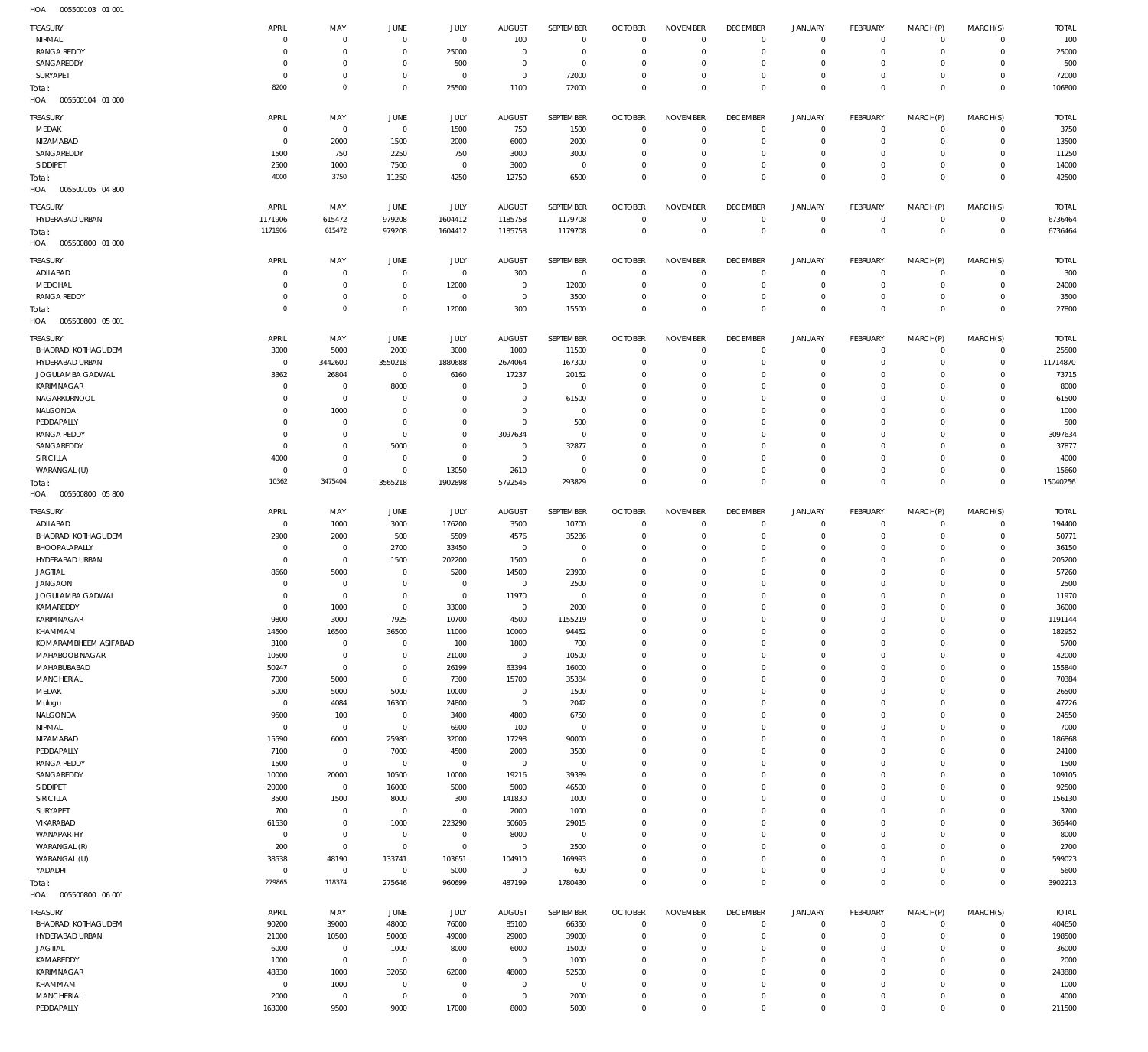005500103 01 001 HOA

| <b>TREASURY</b>            | APRIL      | MAY            | JUNE           | JULY           | <b>AUGUST</b>  | SEPTEMBER      | <b>OCTOBER</b> | <b>NOVEMBER</b> | <b>DECEMBER</b> | <b>JANUARY</b>      | FEBRUARY     | MARCH(P)     | MARCH(S)     | <b>TOTAL</b> |
|----------------------------|------------|----------------|----------------|----------------|----------------|----------------|----------------|-----------------|-----------------|---------------------|--------------|--------------|--------------|--------------|
| NIRMAL                     | $\circ$    | $^{\circ}$     | $^{\circ}$     | $\mathbf 0$    | 100            | $\overline{0}$ | $^{\circ}$     | $\mathbf 0$     | $\overline{0}$  | $\circ$             | $\mathbf 0$  | $\mathbf 0$  | $\mathbf 0$  | 100          |
| <b>RANGA REDDY</b>         | $\Omega$   | $^{\circ}$     | $^{\circ}$     | 25000          | $\Omega$       | $\mathbf 0$    | $\Omega$       | $\Omega$        | $\mathbf{0}$    | $\mathbf 0$         | 0            | $\mathbf 0$  | $\mathbf 0$  | 25000        |
|                            |            |                |                |                |                |                |                |                 |                 |                     |              |              |              |              |
| SANGAREDDY                 | $\circ$    | $^{\circ}$     | $\circ$        | 500            | $\mathbf{0}$   | $\overline{0}$ | $\Omega$       | $\mathbf 0$     | $^{\circ}$      | $\mathbf 0$         | 0            | $\mathbf 0$  | $\mathbf 0$  | 500          |
| SURYAPET                   | $\Omega$   | $^{\circ}$     | $\Omega$       | $^{\circ}$     | $\mathbf 0$    | 72000          | $\Omega$       | $\mathbf 0$     | $\mathbf{0}$    | $\mathbf 0$         | O            | $\mathbf 0$  | $\mathbf 0$  | 72000        |
| Total:                     | 8200       | $\,0\,$        | $\Omega$       | 25500          | 1100           | 72000          | $\Omega$       | $\mathbf 0$     | $^{\circ}$      | $\mathbb O$         | $\Omega$     | $\mathbf 0$  | $\mathbf 0$  | 106800       |
| 005500104 01 000<br>HOA    |            |                |                |                |                |                |                |                 |                 |                     |              |              |              |              |
|                            |            |                |                |                |                |                |                |                 |                 |                     |              |              |              |              |
| TREASURY                   | APRIL      | MAY            | JUNE           | JULY           | <b>AUGUST</b>  | SEPTEMBER      | <b>OCTOBER</b> | <b>NOVEMBER</b> | <b>DECEMBER</b> | <b>JANUARY</b>      | FEBRUARY     | MARCH(P)     | MARCH(S)     | <b>TOTAL</b> |
| MEDAK                      | $\circ$    | $\overline{0}$ | $\overline{0}$ | 1500           | 750            | 1500           | $^{\circ}$     | $\mathbf 0$     | $^{\circ}$      | $\circ$             | $\mathbf 0$  | $\mathbf 0$  | $\mathbf 0$  | 3750         |
| NIZAMABAD                  | $\Omega$   | 2000           | 1500           | 2000           | 6000           | 2000           | $\Omega$       | $\mathbf 0$     | $^{\circ}$      | $\circ$             | O            | $\mathbf 0$  | $\mathbf 0$  | 13500        |
|                            |            |                |                |                |                |                |                |                 |                 |                     |              |              |              |              |
| SANGAREDDY                 | 1500       | 750            | 2250           | 750            | 3000           | 3000           | $\Omega$       | $\mathbf 0$     | $\mathbf{0}$    | $\circ$             | C            | $\mathbf 0$  | $\mathbf 0$  | 11250        |
| SIDDIPET                   | 2500       | 1000           | 7500           | $^{\circ}$     | 3000           | $\overline{0}$ | $\Omega$       | $\mathbf 0$     | $\mathbf{0}$    | $\mathbf 0$         | $\mathbf 0$  | $\mathbf 0$  | $\mathbf 0$  | 14000        |
| Total:                     | 4000       | 3750           | 11250          | 4250           | 12750          | 6500           | $\Omega$       | $\mathbf 0$     | $\mathbf 0$     | $\mathbb O$         | $\mathbf 0$  | $\mathbf 0$  | $\mathbf 0$  | 42500        |
| HOA<br>005500105 04 800    |            |                |                |                |                |                |                |                 |                 |                     |              |              |              |              |
|                            |            |                |                |                |                |                |                |                 |                 |                     |              |              |              |              |
| TREASURY                   | APRIL      | MAY            | JUNE           | JULY           | <b>AUGUST</b>  | SEPTEMBER      | <b>OCTOBER</b> | <b>NOVEMBER</b> | <b>DECEMBER</b> | <b>JANUARY</b>      | FEBRUARY     | MARCH(P)     | MARCH(S)     | <b>TOTAL</b> |
| HYDERABAD URBAN            | 1171906    | 615472         | 979208         | 1604412        | 1185758        | 1179708        | $^{\circ}$     | $\mathbf 0$     | $^{\circ}$      | $\mathbf 0$         | $\mathbf 0$  | $\mathbf 0$  | $\mathbf 0$  | 6736464      |
| Total:                     | 1171906    | 615472         | 979208         | 1604412        | 1185758        | 1179708        | $\mathbf 0$    | $\mathbf 0$     | $\mathbf 0$     | $\mathbb O$         | $^{\circ}$   | $\mathbf 0$  | $\mathbf{0}$ | 6736464      |
| 005500800 01 000           |            |                |                |                |                |                |                |                 |                 |                     |              |              |              |              |
| HOA                        |            |                |                |                |                |                |                |                 |                 |                     |              |              |              |              |
| TREASURY                   | APRIL      | MAY            | JUNE           | JULY           | <b>AUGUST</b>  | SEPTEMBER      | <b>OCTOBER</b> | <b>NOVEMBER</b> | <b>DECEMBER</b> | <b>JANUARY</b>      | FEBRUARY     | MARCH(P)     | MARCH(S)     | <b>TOTAL</b> |
|                            | $\Omega$   | $^{\circ}$     | $^{\circ}$     |                |                |                | 0              | $\mathbf 0$     | $^{\circ}$      |                     | $\mathbf 0$  | $\mathbf 0$  | $\mathbf 0$  | 300          |
| ADILABAD                   |            |                |                | $\overline{0}$ | 300            | $\overline{0}$ |                |                 |                 | $\circ$             |              |              |              |              |
| MEDCHAL                    | $\Omega$   | $^{\circ}$     | $\Omega$       | 12000          | $\overline{0}$ | 12000          | $\Omega$       | $\mathbf 0$     | $\mathbf{0}$    | $\circ$             | O            | $\mathbf 0$  | $\mathbf 0$  | 24000        |
| <b>RANGA REDDY</b>         | $\circ$    | $\mathbf{0}$   | $^{\circ}$     | $^{\circ}$     | $\overline{0}$ | 3500           | $^{\circ}$     | $\mathbf 0$     | $\mathbf{0}$    | $\mathbf 0$         | $\mathbf 0$  | $\mathbf 0$  | $\mathbf 0$  | 3500         |
| Total:                     | $\Omega$   | $\circ$        | $\Omega$       | 12000          | 300            | 15500          | $\Omega$       | $\mathbf 0$     | $\mathbb O$     | $\mathbb O$         | $\Omega$     | $\mathbf 0$  | $\mathbf{0}$ | 27800        |
| HOA<br>005500800 05 001    |            |                |                |                |                |                |                |                 |                 |                     |              |              |              |              |
|                            |            |                |                |                |                |                |                |                 |                 |                     |              |              |              |              |
| <b>TREASURY</b>            | APRIL      | MAY            | JUNE           | JULY           | <b>AUGUST</b>  | SEPTEMBER      | <b>OCTOBER</b> | <b>NOVEMBER</b> | <b>DECEMBER</b> | <b>JANUARY</b>      | FEBRUARY     | MARCH(P)     | MARCH(S)     | <b>TOTAL</b> |
| <b>BHADRADI KOTHAGUDEM</b> | 3000       | 5000           | 2000           | 3000           | 1000           | 11500          | 0              | $\mathbf 0$     | $^{\circ}$      | $\mathbf 0$         | 0            | 0            | $\mathbf 0$  | 25500        |
|                            |            |                |                |                |                |                |                |                 |                 |                     |              |              |              |              |
| HYDERABAD URBAN            | $\Omega$   | 3442600        | 3550218        | 1880688        | 2674064        | 167300         | $\Omega$       | $\Omega$        | $\Omega$        | $\mathbf 0$         | O            | $\mathbf 0$  | $\mathbf 0$  | 11714870     |
| JOGULAMBA GADWAL           | 3362       | 26804          | $^{\circ}$     | 6160           | 17237          | 20152          | $\Omega$       | $\mathbf 0$     | $^{\circ}$      | $\mathbf 0$         | O            | $\mathbf 0$  | $\mathbf 0$  | 73715        |
| KARIMNAGAR                 | $\circ$    | $^{\circ}$     | 8000           | $\Omega$       | $\mathbf{0}$   | $\overline{0}$ | $\Omega$       | $\Omega$        | $\Omega$        | $\mathbf 0$         | O            | $\Omega$     | 0            | 8000         |
| NAGARKURNOOL               | $\Omega$   | $\mathbf{0}$   | $\Omega$       | $^{\circ}$     | $\mathbf{0}$   | 61500          | $\Omega$       | $\mathbf 0$     | $\Omega$        | $\mathbf 0$         | O            | $\mathbf 0$  | 0            | 61500        |
| NALGONDA                   | $\Omega$   | 1000           | $\Omega$       | $\Omega$       | $\Omega$       | $\overline{0}$ | $\Omega$       | $\Omega$        | $\Omega$        | $\mathbf 0$         | O            | $\Omega$     | 0            | 1000         |
|                            |            |                |                |                |                |                |                |                 |                 |                     |              |              |              |              |
| PEDDAPALLY                 | $\Omega$   | $^{\circ}$     | $\Omega$       | $\Omega$       | $\mathbf 0$    | 500            | $\Omega$       | $\Omega$        | $\Omega$        | $\mathbf 0$         | O            | $\mathbf 0$  | 0            | 500          |
| <b>RANGA REDDY</b>         | $\Omega$   | $^{\circ}$     | $\circ$        | $^{\circ}$     | 3097634        | $\overline{0}$ | $\Omega$       | $\Omega$        | $\Omega$        | 0                   | O            | $\mathbf 0$  | 0            | 3097634      |
| SANGAREDDY                 | $\Omega$   | $\mathbf{0}$   | 5000           | $\mathbf{0}$   | $\mathbf 0$    | 32877          | $\Omega$       | $\Omega$        | $\Omega$        | 0                   | O            | $\mathbf 0$  | 0            | 37877        |
| SIRICILLA                  | 4000       | $^{\circ}$     | $\Omega$       | $\mathbf{0}$   | $\overline{0}$ | $\overline{0}$ | $\Omega$       | $\Omega$        | $\Omega$        | 0                   | O            | $\mathbf 0$  | 0            | 4000         |
| WARANGAL (U)               | $^{\circ}$ | $^{\circ}$     | $^{\circ}$     | 13050          | 2610           | $\mathbf 0$    | $\Omega$       | $\mathbf 0$     | $\mathbf{0}$    | $\mathbf 0$         | 0            | 0            | $\mathbf 0$  | 15660        |
|                            |            |                |                |                |                |                |                |                 |                 |                     |              |              |              |              |
| Total:                     | 10362      | 3475404        | 3565218        | 1902898        | 5792545        | 293829         | $\Omega$       | $\Omega$        | $\mathbf{0}$    | $\mathbb O$         | $\mathbf 0$  | $\mathbf 0$  | $\mathbf 0$  | 15040256     |
| HOA   005500800   05 800   |            |                |                |                |                |                |                |                 |                 |                     |              |              |              |              |
|                            |            |                |                |                |                |                |                |                 |                 |                     |              |              |              |              |
| <b>TREASURY</b>            | APRIL      | MAY            | JUNE           | JULY           | <b>AUGUST</b>  | SEPTEMBER      | <b>OCTOBER</b> | <b>NOVEMBER</b> | <b>DECEMBER</b> | <b>JANUARY</b>      | FEBRUARY     | MARCH(P)     | MARCH(S)     | <b>TOTAL</b> |
| ADILABAD                   | $^{\circ}$ | 1000           | 3000           | 176200         | 3500           | 10700          | $\mathsf{C}$   | $^{\circ}$      | $\overline{0}$  | $\mathbf 0$         | O            | $^{\circ}$   | $^{\circ}$   | 194400       |
| <b>BHADRADI KOTHAGUDEM</b> | 2900       | 2000           | 500            | 5509           | 4576           | 35286          | $^{\circ}$     | $\mathbf 0$     | $^{\circ}$      | $\mathbf 0$         | $^{\circ}$   | $\mathbf 0$  | $^{\circ}$   | 50771        |
| BHOOPALAPALLY              | $\circ$    | $\overline{0}$ | 2700           | 33450          | $\overline{0}$ | $\overline{0}$ | 0              | $\mathbf 0$     | $\mathbf{0}$    | $\circ$             | O            | $\mathbf 0$  | $^{\circ}$   | 36150        |
| HYDERABAD URBAN            | $\Omega$   | $\overline{0}$ | 1500           | 202200         | 1500           | $\overline{0}$ | $\Omega$       | $\mathbf 0$     | $\Omega$        | 0                   | O            | $\mathbf 0$  | $\circ$      | 205200       |
|                            |            |                |                |                |                |                |                |                 |                 |                     |              |              |              |              |
| <b>JAGTIAL</b>             | 8660       | 5000           | $\circ$        | 5200           | 14500          | 23900          | $\Omega$       | $\mathbf 0$     | $\Omega$        | $\circ$             | O            | $\mathbf 0$  | $^{\circ}$   | 57260        |
| <b>JANGAON</b>             | $\Omega$   | $^{\circ}$     | $\Omega$       | $^{\circ}$     | $\mathbf 0$    | 2500           | $\Omega$       | $\mathbf 0$     | $\Omega$        | 0                   | O            | 0            | $\circ$      | 2500         |
| JOGULAMBA GADWAL           | $\Omega$   | $\mathbf{0}$   | $\Omega$       | $\mathbf{0}$   | 11970          | $\overline{0}$ | $\Omega$       | $\overline{0}$  | $\Omega$        | $\mathbf 0$         | $\Omega$     | $\circ$      | $\mathbf 0$  | 11970        |
| KAMAREDDY                  | $\Omega$   | 1000           | $\Omega$       | 33000          | $\Omega$       | 2000           | $\Omega$       | $\overline{0}$  | $\Omega$        | $\Omega$            | $\Omega$     | $\mathbf{0}$ | $\Omega$     | 36000        |
| <b>KARIMNAGAR</b>          | 9800       | 3000           | 7925           | 10700          | 4500           | 1155219        | $\Omega$       | $^{\circ}$      | $\Omega$        | $\circ$             | $\mathbf 0$  | $\mathbf 0$  | $^{\circ}$   | 1191144      |
|                            |            |                |                |                |                |                |                |                 |                 |                     |              |              |              |              |
| KHAMMAM                    | 14500      | 16500          | 36500          | 11000          | 10000          | 94452          | $^{\circ}$     | $\mathbf 0$     | $\mathbf{0}$    | $\circ$             | $^{\circ}$   | $\mathbf 0$  | $^{\circ}$   | 182952       |
| KOMARAMBHEEM ASIFABAD      | 3100       | $^{\circ}$     | $\Omega$       | 100            | 1800           | 700            | $\Omega$       | $\mathbf 0$     | $\mathbf{0}$    | $\circ$             | O            | 0            | $^{\circ}$   | 5700         |
| MAHABOOB NAGAR             | 10500      | $\overline{0}$ | $^{\circ}$     | 21000          | $\overline{0}$ | 10500          | $\mathbf 0$    | $\mathbf 0$     | $\mathbf{0}$    | $\circ$             | $\mathbf 0$  | $\mathbf 0$  | $\mathbf 0$  | 42000        |
| MAHABUBABAD                | 50247      | $\overline{0}$ | $^{\circ}$     | 26199          | 63394          | 16000          | $\mathbf 0$    | $\mathbf 0$     | $\mathbf{0}$    | $\circ$             | O            | 0            | $^{\circ}$   | 155840       |
| <b>MANCHERIAL</b>          | 7000       | 5000           | $^{\circ}$     | 7300           | 15700          | 35384          | $\mathbf 0$    | $\mathbf 0$     | $\mathbf{0}$    | $\mathbf 0$         | $\mathbf 0$  | 0            | $^{\circ}$   | 70384        |
|                            |            |                |                |                |                |                |                |                 |                 |                     |              |              |              |              |
| MEDAK                      | 5000       | 5000           | 5000           | 10000          | $\overline{0}$ | 1500           | $\mathbf 0$    | $\mathbf 0$     | $\mathbf{0}$    | $\circ$             | O            | 0            | $^{\circ}$   | 26500        |
| Mulugu                     | $^{\circ}$ | 4084           | 16300          | 24800          | $\overline{0}$ | 2042           | $\mathbf 0$    | $\mathbf 0$     | $\mathbf{0}$    | $\mathbf 0$         | $\mathbf 0$  | 0            | $^{\circ}$   | 47226        |
| NALGONDA                   | 9500       | 100            | $^{\circ}$     | 3400           | 4800           | 6750           | $\mathbf 0$    | $\mathbf 0$     | $\mathbf{0}$    | $\circ$             | O            | 0            | $\mathbf 0$  | 24550        |
| NIRMAL                     | $^{\circ}$ | $\overline{0}$ | $^{\circ}$     | 6900           | 100            | $\mathbf 0$    | $\mathbf 0$    | $\mathbf 0$     | $\mathbf{0}$    | $\mathbf 0$         | O            | 0            | $^{\circ}$   | 7000         |
| NIZAMABAD                  | 15590      | 6000           | 25980          | 32000          | 17298          | 90000          | $\mathbf 0$    | $\mathbf 0$     | $\mathbf{0}$    | $\circ$             | O            | 0            | $\mathbf 0$  | 186868       |
| PEDDAPALLY                 | 7100       | $\overline{0}$ | 7000           | 4500           | 2000           | 3500           | $\mathbf 0$    | $\mathbf 0$     | $\mathbf{0}$    | $\mathbf 0$         | O            | 0            | $\mathbf 0$  | 24100        |
|                            |            |                |                |                |                |                |                |                 |                 |                     |              |              |              |              |
| <b>RANGA REDDY</b>         | 1500       | $\overline{0}$ | $^{\circ}$     | $\overline{0}$ | $\overline{0}$ | $\mathbf 0$    | $\Omega$       | $\mathbf 0$     | $\mathbf{0}$    | $\circ$             | O            | 0            | $\mathbf 0$  | 1500         |
| SANGAREDDY                 | 10000      | 20000          | 10500          | 10000          | 19216          | 39389          | $\mathbf 0$    | $\mathbf 0$     | $\mathbf{0}$    | $\mathbf 0$         | $\mathbf 0$  | 0            | $\mathbf 0$  | 109105       |
| SIDDIPET                   | 20000      | $\overline{0}$ | 16000          | 5000           | 5000           | 46500          | $\Omega$       | $\mathbf 0$     | $\mathbf{0}$    | $\mathbf 0$         | O            | 0            | $\mathbf 0$  | 92500        |
| <b>SIRICILLA</b>           | 3500       | 1500           | 8000           | 300            | 141830         | 1000           | $\mathbf 0$    | $\mathbf 0$     | $\mathbf{0}$    | $\mathbf 0$         | $\mathbf 0$  | $\mathbf 0$  | $\mathbf 0$  | 156130       |
| SURYAPET                   | 700        | $\overline{0}$ | $^{\circ}$     | $\overline{0}$ | 2000           | 1000           | $\mathbf 0$    | $\mathbf 0$     | $\mathbf{0}$    | $\circ$             | O            | 0            | $^{\circ}$   | 3700         |
| VIKARABAD                  | 61530      | $\mathbf 0$    | 1000           | 223290         | 50605          | 29015          | $^{\circ}$     | $\mathbf 0$     | $\mathbf{0}$    | $\mathbf 0$         | $\mathbf 0$  | 0            | $^{\circ}$   | 365440       |
|                            |            |                |                |                |                |                |                |                 |                 |                     |              |              |              |              |
| WANAPARTHY                 | $^{\circ}$ | $\overline{0}$ | $^{\circ}$     | $\overline{0}$ | 8000           | $\mathbf 0$    | $^{\circ}$     | $\mathbf 0$     | $\mathbf{0}$    | $\circ$             | O            | 0            | $^{\circ}$   | 8000         |
| WARANGAL (R)               | 200        | $\overline{0}$ | $^{\circ}$     | $\mathbf 0$    | $\mathbf 0$    | 2500           | $^{\circ}$     | $\mathbf 0$     | $\mathbf{0}$    | $\mathbf 0$         | O            | 0            | $^{\circ}$   | 2700         |
| WARANGAL (U)               | 38538      | 48190          | 133741         | 103651         | 104910         | 169993         | $^{\circ}$     | $\mathbf 0$     | $\mathbf{0}$    | $\circ$             | O            | 0            | $^{\circ}$   | 599023       |
| YADADRI                    | $^{\circ}$ | $\mathbf{0}$   | $^{\circ}$     | 5000           | $\overline{0}$ | 600            | $^{\circ}$     | $\mathbf 0$     | $^{\circ}$      | $\mathbf 0$         | $\mathbf 0$  | $\mathbf 0$  | $^{\circ}$   | 5600         |
|                            | 279865     | 118374         | 275646         |                |                | 1780430        | $\mathbf 0$    | $\mathbb O$     | $\mathbf 0$     | $\mathbb O$         | $\mathbf{0}$ | $\mathbf 0$  | $\mathbf 0$  | 3902213      |
| Total:                     |            |                |                | 960699         | 487199         |                |                |                 |                 |                     |              |              |              |              |
| 005500800 06 001<br>HOA    |            |                |                |                |                |                |                |                 |                 |                     |              |              |              |              |
| <b>TREASURY</b>            | APRIL      | MAY            |                | <b>JULY</b>    | <b>AUGUST</b>  | SEPTEMBER      | <b>OCTOBER</b> |                 |                 | <b>JANUARY</b>      | FEBRUARY     |              |              | <b>TOTAL</b> |
|                            |            |                | JUNE           |                |                |                |                | <b>NOVEMBER</b> | <b>DECEMBER</b> |                     |              | MARCH(P)     | MARCH(S)     |              |
| <b>BHADRADI KOTHAGUDEM</b> | 90200      | 39000          | 48000          | 76000          | 85100          | 66350          | $^{\circ}$     | $^{\circ}$      | $^{\circ}$      | $\mathbf 0$         | $^{\circ}$   | $^{\circ}$   | $\mathbf 0$  | 404650       |
| HYDERABAD URBAN            | 21000      | 10500          | 50000          | 49000          | 29000          | 39000          | $^{\circ}$     | $\overline{0}$  | $\mathbf{0}$    | $\mathbf 0$         | $^{\circ}$   | $^{\circ}$   | $\mathbf 0$  | 198500       |
| <b>JAGTIAL</b>             | 6000       | $\overline{0}$ | 1000           | 8000           | 6000           | 15000          | $\mathbf 0$    | $\mathbf 0$     | $\mathbf{0}$    | $\mathbf 0$         | O            | $\mathbf 0$  | $\mathbf 0$  | 36000        |
| KAMAREDDY                  | 1000       | $\overline{0}$ | $^{\circ}$     | $^{\circ}$     | $\overline{0}$ | 1000           | $\Omega$       | $\Omega$        | $\Omega$        | 0                   | O            | $\Omega$     | $\mathbf 0$  | 2000         |
|                            | 48330      |                | 32050          |                |                | 52500          | $\mathbf 0$    | $\mathbf 0$     | $\mathbf{0}$    |                     | $\Omega$     | 0            | $\mathbf 0$  | 243880       |
| KARIMNAGAR                 |            | 1000           |                | 62000          | 48000          |                |                |                 |                 | $\circ$             |              |              |              |              |
| KHAMMAM                    | $^{\circ}$ | 1000           | $^{\circ}$     | $^{\circ}$     | $\mathbf 0$    | $\overline{0}$ | $\Omega$       | $\mathbf 0$     | $\Omega$        | 0                   | O            | $\mathbf 0$  | $\mathbf 0$  | 1000         |
| <b>MANCHERIAL</b>          | 2000       | $\overline{0}$ | $^{\circ}$     | $\overline{0}$ | $\overline{0}$ | 2000           | $\mathbf 0$    | $\overline{0}$  | $\overline{0}$  | $\circ$             | 0            | 0            | $\mathbf 0$  | 4000         |
|                            |            | 9500           | 9000           | 17000          | 8000           | 5000           | $\mathbf 0$    | $\mathbb O$     | $\mathbb O$     | $\mathsf{O}\xspace$ | 0            | $\mathbf 0$  | $\mathbf 0$  | 211500       |
| PEDDAPALLY                 | 163000     |                |                |                |                |                |                |                 |                 |                     |              |              |              |              |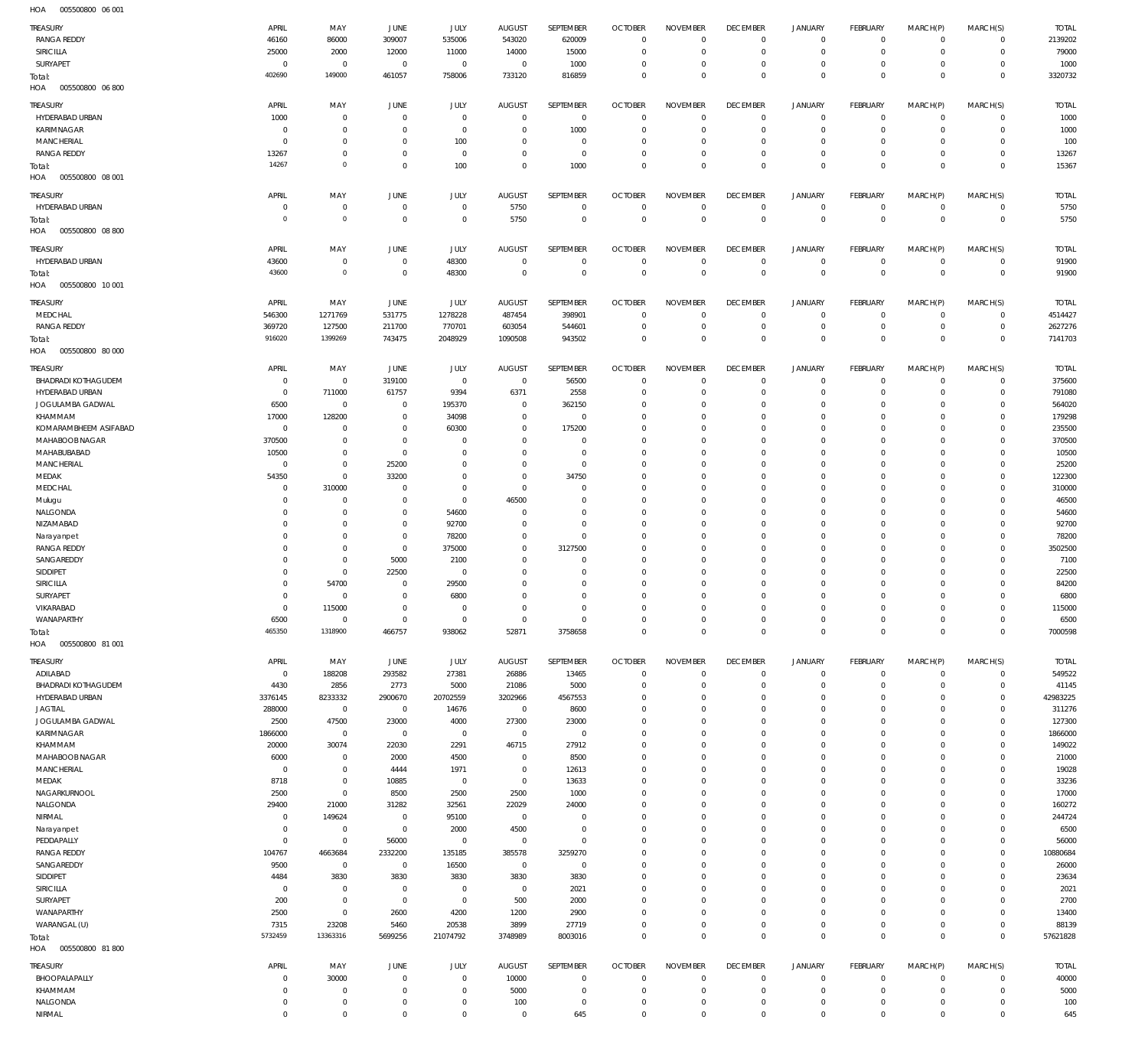005500800 06 001 HOA

| <b>TREASURY</b><br><b>RANGA REDDY</b><br>SIRICILLA<br>SURYAPET | APRIL<br>46160<br>25000<br>$\overline{0}$ | MAY<br>86000<br>2000<br>$\overline{0}$ | JUNE<br>309007<br>12000<br>$\overline{0}$ | JULY<br>535006<br>11000<br>$\overline{0}$ | <b>AUGUST</b><br>543020<br>14000<br>$\overline{0}$ | <b>SEPTEMBER</b><br>620009<br>15000<br>1000 | <b>OCTOBER</b><br>$\overline{0}$<br>$\overline{0}$<br>$\overline{0}$ | <b>NOVEMBER</b><br>$\overline{0}$<br>$\mathbf 0$<br>$\Omega$ | <b>DECEMBER</b><br>$\mathbf 0$<br>$\overline{0}$<br>$\overline{0}$ | JANUARY<br>$\mathbf 0$<br>$^{\circ}$<br>$\mathbf{0}$ | <b>FEBRUARY</b><br>$\circ$<br>$\mathbf 0$<br>$\mathbf 0$ | MARCH(P)<br>$\Omega$<br>$\Omega$<br>$\Omega$ | MARCH(S)<br>$\Omega$<br>$\circ$<br>$\Omega$ | <b>TOTAL</b><br>2139202<br>79000<br>1000 |
|----------------------------------------------------------------|-------------------------------------------|----------------------------------------|-------------------------------------------|-------------------------------------------|----------------------------------------------------|---------------------------------------------|----------------------------------------------------------------------|--------------------------------------------------------------|--------------------------------------------------------------------|------------------------------------------------------|----------------------------------------------------------|----------------------------------------------|---------------------------------------------|------------------------------------------|
| Total:<br>005500800 06 800<br>HOA                              | 402690                                    | 149000                                 | 461057                                    | 758006                                    | 733120                                             | 816859                                      | $\overline{0}$                                                       | $\mathbf 0$                                                  | $\mathbb O$                                                        | $\mathbf 0$                                          | $\mathbf 0$                                              | $\Omega$                                     | $\mathbf 0$                                 | 3320732                                  |
| TREASURY                                                       | APRIL                                     | MAY                                    | JUNE                                      | JULY                                      | <b>AUGUST</b>                                      | SEPTEMBER                                   | <b>OCTOBER</b>                                                       | <b>NOVEMBER</b>                                              | <b>DECEMBER</b>                                                    | <b>JANUARY</b>                                       | FEBRUARY                                                 | MARCH(P)                                     | MARCH(S)                                    | <b>TOTAL</b>                             |
| HYDERABAD URBAN<br>KARIMNAGAR                                  | 1000<br>$^{\circ}$                        | $\mathbf 0$<br>$\mathbf 0$             | $\overline{0}$<br>$\overline{0}$          | $\Omega$<br>$\overline{0}$                | $\mathbf{0}$<br>$^{\circ}$                         | $\overline{0}$<br>1000                      | $\overline{0}$<br>$\overline{0}$                                     | $\Omega$<br>$\Omega$                                         | $\mathbf 0$<br>$\mathbf 0$                                         | $\mathbf 0$<br>$\mathbf{0}$                          | $\Omega$<br>$^{\circ}$                                   | $\Omega$<br>$\Omega$                         | $\Omega$<br>$\Omega$                        | 1000<br>1000                             |
| MANCHERIAL                                                     | $\Omega$                                  | $\mathbf 0$                            | $\overline{0}$                            | 100                                       | $\mathbf 0$                                        | $\mathbf 0$                                 | $\overline{0}$                                                       | $\Omega$                                                     | $\Omega$                                                           | $\Omega$                                             | $\Omega$                                                 | $\Omega$                                     | $\Omega$                                    | 100                                      |
| <b>RANGA REDDY</b>                                             | 13267                                     | $\mathbf 0$                            | $\overline{0}$                            | $\overline{0}$                            | $\mathbf{0}$                                       | $\mathbf{0}$                                | $\mathbf{0}$                                                         | $\Omega$                                                     | $\mathbf 0$                                                        | $\mathbf{0}$                                         | $\mathbf 0$                                              | $\Omega$                                     | $\Omega$                                    | 13267                                    |
| Total:<br>005500800 08 001<br>HOA                              | 14267                                     | $\mathbf 0$                            | $\overline{0}$                            | 100                                       | $\Omega$                                           | 1000                                        | $\Omega$                                                             | $\Omega$                                                     | $\overline{0}$                                                     | $\overline{0}$                                       | $\Omega$                                                 | $\Omega$                                     | $\Omega$                                    | 15367                                    |
| TREASURY                                                       | APRIL                                     | MAY                                    | JUNE                                      | JULY                                      | <b>AUGUST</b>                                      | SEPTEMBER                                   | <b>OCTOBER</b>                                                       | <b>NOVEMBER</b>                                              | <b>DECEMBER</b>                                                    | <b>JANUARY</b>                                       | FEBRUARY                                                 | MARCH(P)                                     | MARCH(S)                                    | <b>TOTAL</b>                             |
| HYDERABAD URBAN<br>Total:<br>005500800 08 800<br>HOA           | $\overline{0}$<br>$\overline{0}$          | $\mathbf 0$<br>$\mathbf 0$             | $\overline{0}$<br>$\mathbf 0$             | $\overline{0}$<br>$\overline{0}$          | 5750<br>5750                                       | $\mathbf 0$<br>$\mathbf 0$                  | $\overline{0}$<br>$\mathbb O$                                        | $^{\circ}$<br>$\mathbf 0$                                    | $\overline{0}$<br>$\,0\,$                                          | $^{\circ}$<br>$\mathbf 0$                            | $\circ$<br>$\mathbb O$                                   | $\Omega$<br>$\mathbf{0}$                     | $\Omega$<br>$\mathbf 0$                     | 5750<br>5750                             |
| <b>TREASURY</b>                                                | APRIL                                     | MAY                                    | JUNE                                      | JULY                                      | <b>AUGUST</b>                                      | SEPTEMBER                                   | <b>OCTOBER</b>                                                       | <b>NOVEMBER</b>                                              | <b>DECEMBER</b>                                                    | <b>JANUARY</b>                                       | FEBRUARY                                                 | MARCH(P)                                     | MARCH(S)                                    | <b>TOTAL</b>                             |
| HYDERABAD URBAN                                                | 43600                                     | $^{\circ}$                             | $\overline{0}$                            | 48300                                     | $\mathbf{0}$                                       | $\mathbf{0}$                                | $\overline{0}$                                                       | $\mathbf 0$                                                  | $\mathbf 0$                                                        | $\mathbf 0$                                          | $\mathbf 0$                                              | $\circ$                                      | $\mathbf 0$                                 | 91900                                    |
| Total:<br>HOA<br>005500800 10 001                              | 43600                                     | $\mathbf 0$                            | $\overline{0}$                            | 48300                                     | $\mathbf{0}$                                       | $\mathbf 0$                                 | $\mathbb O$                                                          | $\mathbf 0$                                                  | $\mathbb O$                                                        | $\mathbf 0$                                          | $\mathbb O$                                              | $\Omega$                                     | $\mathbf{0}$                                | 91900                                    |
| TREASURY                                                       | APRIL                                     | MAY                                    | JUNE                                      | JULY                                      | <b>AUGUST</b>                                      | SEPTEMBER                                   | <b>OCTOBER</b>                                                       | <b>NOVEMBER</b>                                              | <b>DECEMBER</b>                                                    | <b>JANUARY</b>                                       | <b>FEBRUARY</b>                                          | MARCH(P)                                     | MARCH(S)                                    | <b>TOTAL</b>                             |
| MEDCHAL                                                        | 546300                                    | 1271769                                | 531775                                    | 1278228                                   | 487454                                             | 398901                                      | $\overline{0}$                                                       | $\overline{0}$                                               | $\mathbf 0$                                                        | $\mathbf 0$                                          | $\mathbf 0$                                              | $\Omega$                                     | $\Omega$                                    | 4514427                                  |
| <b>RANGA REDDY</b><br>Total:                                   | 369720<br>916020                          | 127500<br>1399269                      | 211700<br>743475                          | 770701<br>2048929                         | 603054<br>1090508                                  | 544601<br>943502                            | $\overline{0}$<br>$\overline{0}$                                     | $^{\circ}$<br>$\mathbf 0$                                    | $\overline{0}$<br>$\overline{0}$                                   | $^{\circ}$<br>$\overline{0}$                         | $\circ$<br>$\overline{0}$                                | $\Omega$<br>$\Omega$                         | $\mathbf 0$<br>$\overline{0}$               | 2627276<br>7141703                       |
| 005500800 80 000<br>HOA                                        |                                           |                                        |                                           |                                           |                                                    |                                             |                                                                      |                                                              |                                                                    |                                                      |                                                          |                                              |                                             |                                          |
| TREASURY                                                       | APRIL                                     | MAY                                    | JUNE                                      | <b>JULY</b>                               | <b>AUGUST</b>                                      | SEPTEMBER                                   | <b>OCTOBER</b>                                                       | <b>NOVEMBER</b>                                              | <b>DECEMBER</b>                                                    | <b>JANUARY</b>                                       | <b>FEBRUARY</b>                                          | MARCH(P)                                     | MARCH(S)                                    | <b>TOTAL</b>                             |
| <b>BHADRADI KOTHAGUDEM</b><br>HYDERABAD URBAN                  | $\overline{0}$<br>$\overline{0}$          | $^{\circ}$<br>711000                   | 319100<br>61757                           | $\overline{0}$<br>9394                    | $\overline{0}$<br>6371                             | 56500<br>2558                               | $\overline{0}$<br>$\overline{0}$                                     | $\Omega$<br>$\Omega$                                         | $\mathbf 0$<br>$\mathbf 0$                                         | $\mathbf 0$<br>$\mathbf 0$                           | $^{\circ}$<br>$\mathbf{0}$                               | $\Omega$<br>$\Omega$                         | $\Omega$<br>$\Omega$                        | 375600<br>791080                         |
| JOGULAMBA GADWAL                                               | 6500                                      | $\overline{0}$                         | $\overline{0}$                            | 195370                                    | $\mathbf 0$                                        | 362150                                      | $^{\circ}$                                                           | $\Omega$                                                     | $\overline{0}$                                                     | $\Omega$                                             | $\Omega$                                                 | $\Omega$                                     | $\Omega$                                    | 564020                                   |
| KHAMMAM                                                        | 17000                                     | 128200                                 | $\overline{0}$                            | 34098                                     | $\mathbf 0$                                        | $^{\circ}$                                  | $^{\circ}$                                                           | $\Omega$                                                     | $\overline{0}$                                                     | $\mathbf{0}$                                         | $\Omega$                                                 | $\Omega$                                     | $\Omega$                                    | 179298                                   |
| KOMARAMBHEEM ASIFABAD<br>MAHABOOB NAGAR                        | $\mathbf 0$                               | $\mathbf 0$<br>$\mathbf 0$             | $\mathbf 0$<br>$\overline{0}$             | 60300<br>$\Omega$                         | $\mathbf 0$<br>$\mathbf 0$                         | 175200<br>$\Omega$                          | $\Omega$<br>$^{\circ}$                                               | $\Omega$<br>$\Omega$                                         | $\Omega$<br>$\overline{0}$                                         | $\Omega$<br>$\mathbf{0}$                             | $\Omega$<br>$\Omega$                                     | $\Omega$<br>$\Omega$                         | $\Omega$<br>$\Omega$                        | 235500                                   |
| MAHABUBABAD                                                    | 370500<br>10500                           | $\mathbf 0$                            | $\overline{0}$                            | $\Omega$                                  | $\Omega$                                           | $\Omega$                                    | $\Omega$                                                             | $\Omega$                                                     | $\Omega$                                                           | $\Omega$                                             | $\Omega$                                                 | $\Omega$                                     | $\Omega$                                    | 370500<br>10500                          |
| MANCHERIAL                                                     | $\mathbf 0$                               | $\mathbf 0$                            | 25200                                     | $\Omega$                                  | $\Omega$                                           | $\Omega$                                    | $\mathbf{0}$                                                         | $\Omega$                                                     | $\overline{0}$                                                     | $\mathbf{0}$                                         | $\Omega$                                                 | $\Omega$                                     | $\Omega$                                    | 25200                                    |
| MEDAK                                                          | 54350                                     | $\mathbf 0$                            | 33200                                     | $\Omega$                                  | $\mathbf{0}$                                       | 34750                                       | $\Omega$                                                             | $\Omega$                                                     | $\Omega$                                                           | $\Omega$                                             | $\Omega$                                                 | $\Omega$                                     | $\Omega$                                    | 122300                                   |
| MEDCHAL<br>Mulugu                                              | $\mathbf 0$<br>$\mathbf 0$                | 310000<br>$\mathbf 0$                  | $\overline{0}$<br>$\overline{0}$          | $\Omega$<br>$\overline{0}$                | $\overline{0}$<br>46500                            | $\Omega$<br>$\Omega$                        | $\Omega$<br>$\overline{0}$                                           | $\Omega$<br>$\Omega$                                         | $\overline{0}$<br>$\Omega$                                         | $\mathbf{0}$<br>$\Omega$                             | $\Omega$<br>$\Omega$                                     | $\Omega$<br>$\Omega$                         | $\Omega$<br>$\Omega$                        | 310000<br>46500                          |
| NALGONDA                                                       | $\Omega$                                  | $\Omega$                               | $\overline{0}$                            | 54600                                     | $\Omega$                                           | $\Omega$                                    | $\Omega$                                                             | $\Omega$                                                     | $\overline{0}$                                                     | $\Omega$                                             | $\Omega$                                                 | $\Omega$                                     | $\Omega$                                    | 54600                                    |
| NIZAMABAD                                                      | $\Omega$                                  | $\mathbf 0$                            | $\overline{0}$                            | 92700                                     | $\mathbf{0}$                                       | $\Omega$                                    | $\Omega$                                                             | $\Omega$                                                     | $\Omega$                                                           | $\Omega$                                             | $\Omega$                                                 | $\Omega$                                     | $\Omega$                                    | 92700                                    |
| Narayanpet                                                     | $\Omega$<br>$\Omega$                      | $\mathbf 0$<br>$\Omega$                | $\overline{0}$<br>$\overline{0}$          | 78200                                     | $\mathbf 0$<br>$\mathbf 0$                         | $\Omega$                                    | $^{\circ}$<br>$\mathbf 0$                                            | $\Omega$<br>$\Omega$                                         | $\overline{0}$<br>$\overline{0}$                                   | $\mathbf{0}$<br>$\Omega$                             | $\Omega$<br>$\Omega$                                     | $\Omega$                                     | $\Omega$<br>$\Omega$                        | 78200                                    |
| <b>RANGA REDDY</b><br>SANGAREDDY                               | $\Omega$                                  | $\mathbf 0$                            | 5000                                      | 375000<br>2100                            | $\mathbf 0$                                        | 3127500<br>$\mathbf 0$                      | $^{\circ}$                                                           | $\Omega$                                                     | $\overline{0}$                                                     | $\Omega$                                             | $\Omega$                                                 | $\Omega$<br>$\Omega$                         | $\Omega$                                    | 3502500<br>7100                          |
| SIDDIPET                                                       | $\Omega$                                  | $\mathbf 0$                            | 22500                                     | $^{\circ}$                                | $\Omega$                                           | $\Omega$                                    | $\Omega$                                                             | $\Omega$                                                     | $\Omega$                                                           | $\Omega$                                             | $\Omega$                                                 | $\Omega$                                     | $\Omega$                                    | 22500                                    |
| <b>SIRICILLA</b>                                               | $\Omega$                                  | 54700                                  | $^{\circ}$                                | 29500                                     | $\Omega$                                           | 0                                           | $^{\circ}$                                                           | $\Omega$                                                     | $\overline{0}$                                                     | $\Omega$                                             | $\Omega$                                                 | $\Omega$                                     | $\Omega$                                    | 84200                                    |
| SURYAPET<br>VIKARABAD                                          | $\Omega$<br>$\Omega$                      | $\mathbf 0$<br>115000                  | $\overline{0}$<br>$\Omega$                | 6800<br>$\Omega$                          | $\Omega$<br>$\Omega$                               | $\Omega$<br>$\Omega$                        | $\Omega$<br>$\Omega$                                                 | $\Omega$<br>$\Omega$                                         | $\overline{0}$<br>$\overline{0}$                                   | $\Omega$<br>$\mathbf{0}$                             | $\Omega$<br>$\Omega$                                     | $\Omega$<br>$\circ$                          | $\Omega$<br>$\circ$                         | 6800<br>115000                           |
| WANAPARTHY                                                     | 6500                                      | $\mathbf 0$                            | $\overline{0}$                            | $\overline{0}$                            | $\mathbf 0$                                        | $\mathbf{0}$                                | $\mathbf 0$                                                          | $\mathbf 0$                                                  | $^{\circ}$                                                         | $\mathbf 0$                                          | $\mathbf 0$                                              | $\mathbf 0$                                  | $\mathbf 0$                                 | 6500                                     |
| Total:                                                         | 465350                                    | 1318900                                | 466757                                    | 938062                                    | 52871                                              | 3758658                                     | $\overline{0}$                                                       | $\mathbf 0$                                                  | $\mathbf 0$                                                        | $\mathbf 0$                                          | $\mathbf 0$                                              | $\overline{0}$                               | $\overline{0}$                              | 7000598                                  |
| 005500800 81 001<br>HOA                                        |                                           |                                        |                                           |                                           |                                                    |                                             |                                                                      |                                                              |                                                                    |                                                      |                                                          |                                              |                                             |                                          |
| TREASURY                                                       | APRIL                                     | MAY                                    | JUNE                                      | JULY                                      | <b>AUGUST</b>                                      | SEPTEMBER                                   | <b>OCTOBER</b>                                                       | <b>NOVEMBER</b><br>$\mathbf 0$                               | <b>DECEMBER</b>                                                    | <b>JANUARY</b>                                       | <b>FEBRUARY</b>                                          | MARCH(P)                                     | MARCH(S)                                    | <b>TOTAL</b>                             |
| ADILABAD<br>BHADRADI KOTHAGUDEM                                | $\overline{0}$<br>4430                    | 188208<br>2856                         | 293582<br>2773                            | 27381<br>5000                             | 26886<br>21086                                     | 13465<br>5000                               | $\overline{0}$<br>$\overline{0}$                                     | $\Omega$                                                     | $\mathbf 0$<br>$\mathbf 0$                                         | 0<br>$^{\circ}$                                      | $\mathbf 0$<br>$\mathbf 0$                               | $\mathbf 0$<br>$\Omega$                      | $\mathbf 0$<br>$\circ$                      | 549522<br>41145                          |
| HYDERABAD URBAN                                                | 3376145                                   | 8233332                                | 2900670                                   | 20702559                                  | 3202966                                            | 4567553                                     | $^{\circ}$                                                           | $^{\circ}$                                                   | $\overline{0}$                                                     | $^{\circ}$                                           | $^{\circ}$                                               | $\Omega$                                     | $\Omega$                                    | 42983225                                 |
| <b>JAGTIAL</b>                                                 | 288000                                    | $\overline{0}$                         | $\overline{0}$                            | 14676                                     | $\overline{0}$                                     | 8600                                        | $\mathbf{0}$                                                         | $\Omega$                                                     | $\mathbf 0$                                                        | $\mathbf 0$                                          | $\mathbf{0}$                                             | $\Omega$                                     | $\Omega$                                    | 311276                                   |
| JOGULAMBA GADWAL<br>KARIMNAGAR                                 | 2500<br>1866000                           | 47500<br>$\overline{0}$                | 23000<br>$\overline{0}$                   | 4000<br>$\overline{0}$                    | 27300<br>$\overline{0}$                            | 23000<br>$\overline{0}$                     | $\mathbf{0}$<br>$\mathbf{0}$                                         | $\Omega$<br>$\Omega$                                         | $\mathbf 0$<br>$\mathbf 0$                                         | $\Omega$<br>$^{\circ}$                               | $\Omega$<br>$^{\circ}$                                   | $\Omega$<br>$\Omega$                         | $\Omega$<br>$\Omega$                        | 127300<br>1866000                        |
| KHAMMAM                                                        | 20000                                     | 30074                                  | 22030                                     | 2291                                      | 46715                                              | 27912                                       | $\mathbf{0}$                                                         | $\Omega$                                                     | $\mathbf 0$                                                        | $\Omega$                                             | $\Omega$                                                 | $\Omega$                                     | $\Omega$                                    | 149022                                   |
| MAHABOOB NAGAR                                                 | 6000                                      | $\overline{0}$                         | 2000                                      | 4500                                      | $\overline{0}$                                     | 8500                                        | $\mathbf{0}$                                                         | $\Omega$                                                     | $\mathbf 0$                                                        | $^{\circ}$                                           | $^{\circ}$                                               | $\Omega$                                     | $\Omega$                                    | 21000                                    |
| MANCHERIAL<br>MEDAK                                            | $\overline{0}$<br>8718                    | $\mathbf 0$<br>$\mathbf 0$             | 4444<br>10885                             | 1971<br>$\overline{0}$                    | $\overline{0}$<br>$\overline{0}$                   | 12613<br>13633                              | $\mathbf{0}$<br>$\mathbf{0}$                                         | $\Omega$<br>$\Omega$                                         | $\overline{0}$<br>$\mathbf 0$                                      | $\Omega$<br>$\mathbf 0$                              | $\Omega$<br>$^{\circ}$                                   | $\Omega$<br>$\Omega$                         | $\Omega$<br>$\Omega$                        | 19028<br>33236                           |
| NAGARKURNOOL                                                   | 2500                                      | $\mathbf 0$                            | 8500                                      | 2500                                      | 2500                                               | 1000                                        | $\mathbf{0}$                                                         | $\mathbf 0$                                                  | $\overline{0}$                                                     | $\Omega$                                             | $\mathbf{0}$                                             | $\Omega$                                     | $\Omega$                                    | 17000                                    |
| NALGONDA                                                       | 29400                                     | 21000                                  | 31282                                     | 32561                                     | 22029                                              | 24000                                       | $\mathbf{0}$                                                         | $\Omega$                                                     | $\mathbf 0$                                                        | $\mathbf{0}$                                         | $\Omega$                                                 | $\Omega$                                     | $\Omega$                                    | 160272                                   |
| NIRMAL                                                         | $\overline{0}$                            | 149624                                 | $\overline{0}$                            | 95100                                     | $\overline{0}$                                     | $\mathbf 0$                                 | $\mathbf 0$                                                          | $\mathbf 0$                                                  | $\overline{0}$                                                     | $\Omega$                                             | $\mathbf{0}$                                             | $\Omega$                                     | $\Omega$                                    | 244724                                   |
| Narayanpet<br>PEDDAPALLY                                       | $\overline{0}$<br>$\overline{0}$          | $\overline{0}$<br>$\overline{0}$       | $\overline{0}$<br>56000                   | 2000<br>$\overline{0}$                    | 4500<br>$\overline{0}$                             | $\mathbf 0$<br>0                            | $\mathbf 0$<br>$\mathbf 0$                                           | $\Omega$<br>$\mathbf 0$                                      | $\mathbf 0$<br>$\mathbf 0$                                         | $\mathbf{0}$<br>$\Omega$                             | $\Omega$<br>$^{\circ}$                                   | $\Omega$<br>$\Omega$                         | $\Omega$<br>$\Omega$                        | 6500<br>56000                            |
| <b>RANGA REDDY</b>                                             | 104767                                    | 4663684                                | 2332200                                   | 135185                                    | 385578                                             | 3259270                                     | $\mathbf 0$                                                          | $\Omega$                                                     | $\mathbf 0$                                                        | $\Omega$                                             | $\mathbf{0}$                                             | $\Omega$                                     | $\Omega$                                    | 10880684                                 |
| SANGAREDDY                                                     | 9500                                      | $\overline{0}$                         | $\overline{0}$                            | 16500                                     | $\overline{0}$                                     | $\mathbf 0$                                 | $\mathbf 0$                                                          | $\Omega$                                                     | $\mathbf 0$                                                        | $\Omega$                                             | $\Omega$                                                 | $\Omega$                                     | $\Omega$                                    | 26000                                    |
| SIDDIPET<br>SIRICILLA                                          | 4484<br>$\overline{0}$                    | 3830<br>$\mathbf 0$                    | 3830<br>$\overline{0}$                    | 3830<br>$\overline{0}$                    | 3830<br>$\overline{0}$                             | 3830<br>2021                                | $\mathbf 0$<br>$\mathbf 0$                                           | $\Omega$<br>$\Omega$                                         | $\mathbf 0$<br>$\mathbf 0$                                         | $^{\circ}$<br>$\Omega$                               | $^{\circ}$<br>$\Omega$                                   | $\Omega$<br>$\Omega$                         | $\Omega$<br>$\Omega$                        | 23634<br>2021                            |
| SURYAPET                                                       | 200                                       | $\mathbf 0$                            | $\overline{0}$                            | $\overline{0}$                            | 500                                                | 2000                                        | $\mathbf 0$                                                          | $\Omega$                                                     | $\mathbf 0$                                                        | $^{\circ}$                                           | $^{\circ}$                                               | $\Omega$                                     | $\Omega$                                    | 2700                                     |
| WANAPARTHY                                                     | 2500                                      | $\mathbf 0$                            | 2600                                      | 4200                                      | 1200                                               | 2900                                        | $\mathbf 0$                                                          | $\mathbf 0$                                                  | $\mathbf 0$                                                        | $\mathbf{0}$                                         | $\mathbf 0$                                              | $\Omega$                                     | $\Omega$                                    | 13400                                    |
| WARANGAL (U)                                                   | 7315                                      | 23208                                  | 5460                                      | 20538                                     | 3899                                               | 27719                                       | $\mathbf 0$                                                          | $\mathbf 0$                                                  | $\mathbf 0$                                                        | $\mathbf 0$                                          | $\mathbf 0$                                              | $\Omega$                                     | $\circ$                                     | 88139                                    |
| Total:<br>005500800 81800<br>HOA                               | 5732459                                   | 13363316                               | 5699256                                   | 21074792                                  | 3748989                                            | 8003016                                     | $\mathbf 0$                                                          | $\mathbf 0$                                                  | $\mathbb O$                                                        | $\mathbf 0$                                          | $\mathbf 0$                                              | $\Omega$                                     | $\mathbb O$                                 | 57621828                                 |
| TREASURY                                                       | APRIL                                     | MAY                                    | JUNE                                      | <b>JULY</b>                               | <b>AUGUST</b>                                      | SEPTEMBER                                   | <b>OCTOBER</b>                                                       | <b>NOVEMBER</b>                                              | <b>DECEMBER</b>                                                    | <b>JANUARY</b>                                       | FEBRUARY                                                 | MARCH(P)                                     | MARCH(S)                                    | <b>TOTAL</b>                             |
| BHOOPALAPALLY                                                  | $\Omega$                                  | 30000                                  | $\overline{0}$                            | $\overline{0}$                            | 10000                                              | $^{\circ}$                                  | $\overline{0}$                                                       | $\Omega$                                                     | $\overline{0}$                                                     | $\mathbf 0$                                          | $^{\circ}$                                               | $\Omega$                                     | $\mathbf 0$                                 | 40000                                    |
| KHAMMAM<br>NALGONDA                                            | $\mathbf 0$<br>$\mathbf 0$                | $\mathbf 0$<br>$\mathbf 0$             | $\overline{0}$<br>$\overline{0}$          | $\mathbf 0$<br>$\mathbf 0$                | 5000<br>100                                        | $\mathbf 0$<br>$\mathbf 0$                  | $^{\circ}$<br>$^{\circ}$                                             | $\mathbf{0}$<br>$\mathbf{0}$                                 | $\mathbf 0$<br>$\mathbf 0$                                         | $\mathbf 0$<br>$\mathbf 0$                           | $\mathbf 0$<br>$\mathbf 0$                               | $\Omega$<br>$\Omega$                         | $\Omega$<br>$\Omega$                        | 5000<br>100                              |
| NIRMAL                                                         | $\mathbf 0$                               | $\mathbf 0$                            | $\mathbf 0$                               | $\mathbf 0$                               | $\mathbf 0$                                        | 645                                         | $\mathbf 0$                                                          | $\mathbf 0$                                                  | $\mathbf 0$                                                        | $\mathbf 0$                                          | $\mathbf 0$                                              | $\Omega$                                     | $\mathbf 0$                                 | 645                                      |
|                                                                |                                           |                                        |                                           |                                           |                                                    |                                             |                                                                      |                                                              |                                                                    |                                                      |                                                          |                                              |                                             |                                          |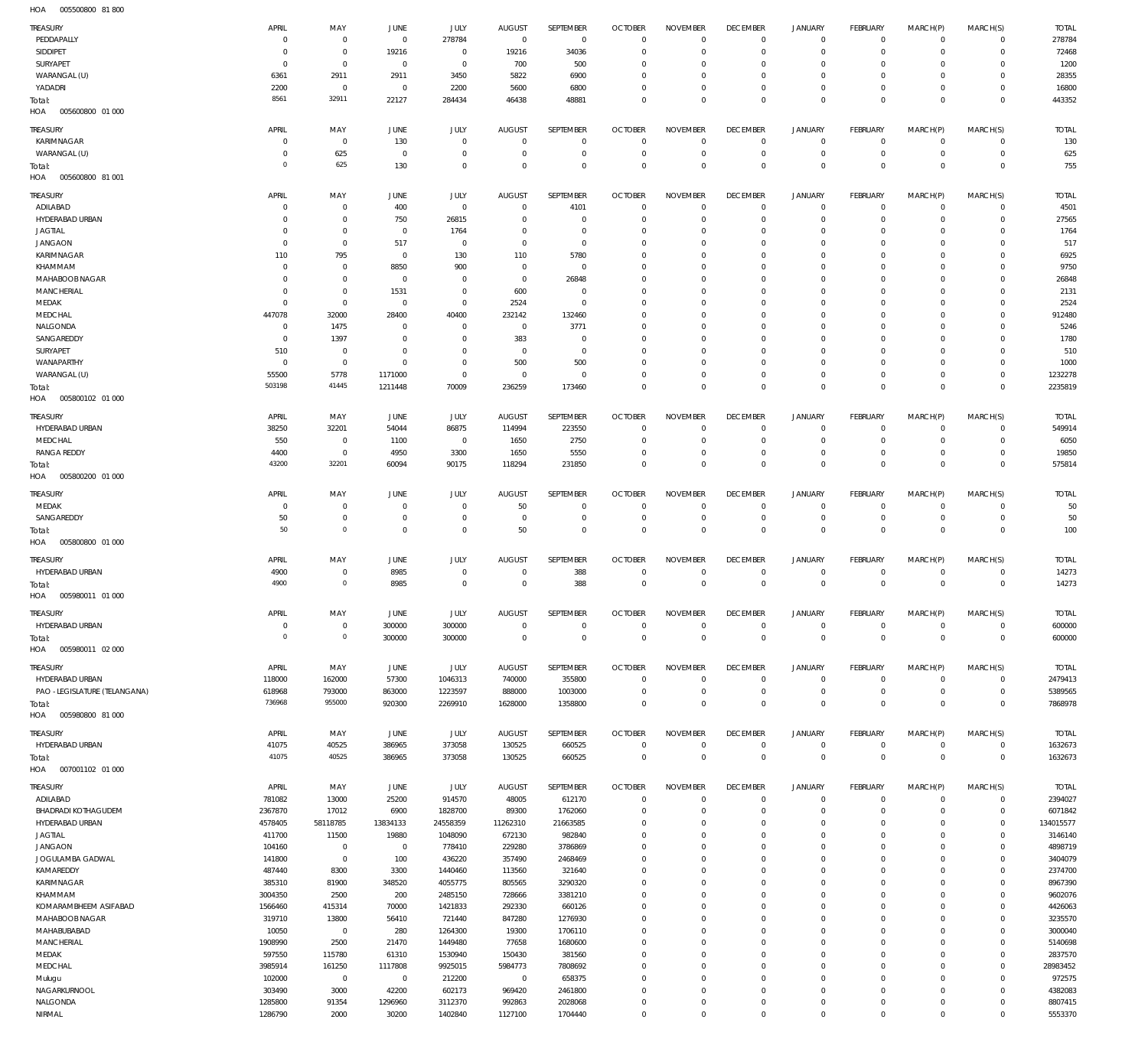005500800 81 800 HOA

| TREASURY<br>PEDDAPALLY            | APRIL<br>- 0        | MAY<br>$\mathbf 0$         | JUNE<br>$\mathbf 0$       | JULY<br>278784             | <b>AUGUST</b><br>$\overline{0}$ | SEPTEMBER<br>$\mathbf 0$ | <b>OCTOBER</b><br>$\overline{0}$ | <b>NOVEMBER</b><br>$\mathbf 0$ | <b>DECEMBER</b><br>$\mathbf 0$ | <b>JANUARY</b><br>$\circ$  | FEBRUARY<br>$\overline{0}$     | MARCH(P)<br>$\mathbf 0$ | MARCH(S)<br>$\mathbf 0$    | <b>TOTAL</b><br>278784 |
|-----------------------------------|---------------------|----------------------------|---------------------------|----------------------------|---------------------------------|--------------------------|----------------------------------|--------------------------------|--------------------------------|----------------------------|--------------------------------|-------------------------|----------------------------|------------------------|
| SIDDIPET                          | - 0                 | $\mathbf 0$                | 19216                     | $\mathbb O$                | 19216                           | 34036                    | $\mathbf 0$                      | $\mathbf 0$                    | $\mathbf 0$                    | $\mathbf 0$                | $\overline{0}$                 | $\mathbf 0$             | $\mathbf 0$                | 72468                  |
| <b>SURYAPET</b>                   | 0                   | $\mathbf 0$                | $\overline{0}$            | $\mathbf 0$                | 700                             | 500                      | $\mathbf 0$                      | $\mathbf 0$                    | $\mathbf 0$                    | 0                          | $\mathbf{0}$                   | 0                       | $\mathbf 0$                | 1200                   |
| WARANGAL (U)                      | 6361                | 2911                       | 2911                      | 3450                       | 5822                            | 6900                     | $\mathbf 0$                      | $\mathbf 0$                    | $\mathbf 0$                    | 0                          | $\mathbf{0}$                   | 0                       | $\mathbf 0$                | 28355                  |
| YADADRI                           | 2200                | $\mathbf 0$                | $\overline{0}$            | 2200                       | 5600                            | 6800                     | $\mathbf 0$                      | $\mathbf 0$                    | $\mathbf 0$                    | 0                          | $\circ$                        | $\mathbf 0$             | $\mathbf 0$                | 16800                  |
| Total:                            | 8561                | 32911                      | 22127                     | 284434                     | 46438                           | 48881                    | $\mathbf 0$                      | $\mathbf 0$                    | $\mathbf 0$                    | $\mathbf 0$                | $\overline{0}$                 | $\mathbf 0$             | $\mathbf 0$                | 443352                 |
| HOA<br>005600800 01 000           |                     |                            |                           |                            |                                 |                          |                                  |                                |                                |                            |                                |                         |                            |                        |
| TREASURY                          | APRIL               | MAY                        | JUNE                      | JULY                       | <b>AUGUST</b>                   | SEPTEMBER                | <b>OCTOBER</b>                   | <b>NOVEMBER</b>                | <b>DECEMBER</b>                | <b>JANUARY</b>             | FEBRUARY                       | MARCH(P)                | MARCH(S)                   | <b>TOTAL</b>           |
| KARIMNAGAR                        | 0                   | $\mathbf{0}$               | 130                       | $^{\circ}$                 | $^{\circ}$                      | $\mathbf 0$              | $\overline{0}$                   | $\Omega$                       | $\mathbf 0$                    | $\mathbf{0}$               | $\overline{0}$                 | $\mathbf 0$             | $\overline{0}$             | 130                    |
| WARANGAL (U)                      | 0                   | 625                        | $\overline{0}$            | $^{\circ}$                 | $^{\circ}$                      | $\mathbf 0$              | $\mathbf 0$                      | $\Omega$                       | $\mathbf 0$                    | $\mathbf 0$                | $\overline{0}$                 | $\mathbf 0$             | $\overline{0}$             | 625                    |
| Total:<br>HOA<br>005600800 81 001 | $^{\circ}$          | 625                        | 130                       | $\mathbf 0$                | $^{\circ}$                      | $\mathbf 0$              | $\mathbf 0$                      | $\Omega$                       | $\mathbf 0$                    | $\mathbf 0$                | $\overline{0}$                 | $\Omega$                | $\mathbf 0$                | 755                    |
|                                   |                     |                            |                           |                            |                                 |                          |                                  |                                |                                |                            |                                |                         |                            |                        |
| TREASURY                          | APRIL               | MAY                        | JUNE                      | <b>JULY</b>                | <b>AUGUST</b>                   | SEPTEMBER                | <b>OCTOBER</b>                   | <b>NOVEMBER</b>                | <b>DECEMBER</b>                | <b>JANUARY</b>             | FEBRUARY                       | MARCH(P)                | MARCH(S)                   | <b>TOTAL</b>           |
| ADILABAD                          | 0                   | $\mathbf 0$                | 400                       | $\mathbb O$                | $\overline{0}$                  | 4101                     | $\mathbf 0$                      | $\mathbf 0$                    | $\mathbf 0$                    | 0                          | $\overline{0}$                 | $^{\circ}$              | $\mathbf 0$                | 4501                   |
| HYDERABAD URBAN<br><b>JAGTIAL</b> | $\Omega$<br>0       | $\mathbf 0$<br>$\mathbf 0$ | 750<br>$\overline{0}$     | 26815<br>1764              | $^{\circ}$<br>0                 | $\mathbf 0$<br>0         | $\mathbf 0$<br>$\mathbf 0$       | $\mathbf 0$<br>$\mathbf 0$     | $\mathbf 0$<br>$\mathbf 0$     | $\mathbf 0$<br>0           | $\overline{0}$<br>$\mathbf{0}$ | $\mathbf 0$<br>0        | $\mathbf 0$<br>$\mathbf 0$ | 27565<br>1764          |
| <b>JANGAON</b>                    | 0                   | $\mathbf 0$                | 517                       | $\mathbf 0$                | $^{\circ}$                      | 0                        | $\mathbf 0$                      | $\mathbf 0$                    | $\mathbf 0$                    | 0                          | $\mathbf{0}$                   | $\Omega$                | $\mathbf 0$                | 517                    |
| KARIMNAGAR                        | 110                 | 795                        | $\circ$                   | 130                        | 110                             | 5780                     | $\mathbf 0$                      | $\mathbf 0$                    | $\mathbf 0$                    | 0                          | $\mathbf{0}$                   | 0                       | $\mathbf 0$                | 6925                   |
| KHAMMAM                           | $\overline{0}$      | $\mathbf 0$                | 8850                      | 900                        | $^{\circ}$                      | 0                        | $\mathbf 0$                      | $\Omega$                       | $\mathbf 0$                    | 0                          | $\mathbf{0}$                   | $\Omega$                | $\Omega$                   | 9750                   |
| MAHABOOB NAGAR                    | 0                   | $\mathbf 0$                | $\overline{0}$            | $^{\circ}$                 | $\overline{0}$                  | 26848                    | $\mathbf 0$                      | $\Omega$                       | $\mathbf 0$                    | 0                          | $\mathbf{0}$                   | $\Omega$                | $\mathbf 0$                | 26848                  |
| MANCHERIAL                        | 0                   | $\mathbf 0$                | 1531                      | $\mathbb O$                | 600                             | $\bf 0$                  | $\mathbf 0$                      | $\mathbf 0$                    | $\mathbf 0$                    | 0                          | $\mathbf{0}$                   | 0                       | $\mathbf 0$                | 2131                   |
| MEDAK                             | $\overline{0}$      | $\mathbf 0$                | 0                         | $\mathbb O$                | 2524                            | $\mathbf 0$              | $\mathbf 0$                      | $\Omega$                       | $\mathbf 0$                    | 0                          | $\mathbf{0}$                   | $\Omega$                | $\mathbf 0$                | 2524                   |
| MEDCHAL                           | 447078              | 32000                      | 28400                     | 40400                      | 232142                          | 132460                   | $\mathbf 0$                      | $\Omega$                       | $\mathbf 0$                    | 0                          | $\mathbf{0}$                   | 0                       | $\mathbf 0$                | 912480                 |
| NALGONDA<br>SANGAREDDY            | 0<br>$\overline{0}$ | 1475<br>1397               | $^{\circ}$<br>$\mathbf 0$ | $\mathbf 0$<br>$\mathbf 0$ | $\overline{0}$<br>383           | 3771<br>0                | $\mathbf 0$<br>$\mathbf 0$       | $\Omega$<br>$\mathbf 0$        | $\mathbf 0$<br>$\mathbf 0$     | 0<br>0                     | $\mathbf{0}$<br>$\mathbf{0}$   | $\Omega$<br>0           | $\mathbf 0$<br>$\mathbf 0$ | 5246<br>1780           |
| SURYAPET                          | 510                 | $\mathbf 0$                | $^{\circ}$                | $\mathbf 0$                | $\overline{0}$                  | $\bf 0$                  | $\mathbf 0$                      | $\Omega$                       | $\mathbf 0$                    | 0                          | $\mathbf{0}$                   | $\Omega$                | $\mathbf 0$                | 510                    |
| WANAPARTHY                        | $\overline{0}$      | $\mathbf 0$                | $^{\circ}$                | $\mathbf 0$                | 500                             | 500                      | $\mathbf 0$                      | $\Omega$                       | $\mathbf 0$                    | $\mathbf 0$                | $\mathbf{0}$                   | 0                       | $\mathbf 0$                | 1000                   |
| WARANGAL (U)                      | 55500               | 5778                       | 1171000                   | $\mathbb O$                | $\overline{0}$                  | $\mathbf 0$              | $\mathbf 0$                      | $\mathbf 0$                    | $\mathbf 0$                    | 0                          | $\circ$                        | 0                       | $\mathbf 0$                | 1232278                |
| Total:                            | 503198              | 41445                      | 1211448                   | 70009                      | 236259                          | 173460                   | $\mathbf 0$                      | $\mathbf 0$                    | $\mathbf 0$                    | $\mathbf 0$                | $\overline{0}$                 | $\mathbf 0$             | $\mathbf{0}$               | 2235819                |
| HOA<br>005800102 01 000           |                     |                            |                           |                            |                                 |                          |                                  |                                |                                |                            |                                |                         |                            |                        |
| TREASURY                          | APRIL               | MAY                        | JUNE                      | JULY                       | <b>AUGUST</b>                   | SEPTEMBER                | <b>OCTOBER</b>                   | <b>NOVEMBER</b>                | <b>DECEMBER</b>                | <b>JANUARY</b>             | FEBRUARY                       | MARCH(P)                | MARCH(S)                   | <b>TOTAL</b>           |
| HYDERABAD URBAN                   | 38250               | 32201                      | 54044                     | 86875                      | 114994                          | 223550                   | $\mathbf 0$                      | $\Omega$                       | $\mathbf 0$                    | $\mathbf 0$                | $^{\circ}$                     | $\mathbf 0$             | $\mathbf 0$                | 549914                 |
| MEDCHAL                           | 550                 | $\mathbf 0$                | 1100                      | $\mathbf 0$                | 1650                            | 2750                     | $\mathbf 0$                      | $\Omega$                       | $\mathbf 0$                    | $\mathbf 0$                | $\mathbf{0}$                   | $\mathbf 0$             | $\mathbf 0$                | 6050                   |
| <b>RANGA REDDY</b>                | 4400                | $\mathbf 0$                | 4950                      | 3300                       | 1650                            | 5550                     | $\mathbf 0$                      | $\mathbf 0$                    | $\mathbf 0$                    | $\mathbf 0$                | $\overline{0}$                 | $\mathbf 0$             | $\mathbf 0$                | 19850                  |
| Total:                            | 43200               | 32201                      | 60094                     | 90175                      | 118294                          | 231850                   | $\mathbf 0$                      | $\Omega$                       | $\mathbf 0$                    | $\mathbf 0$                | $\overline{0}$                 | $\Omega$                | $\mathbf{0}$               | 575814                 |
| HOA<br>005800200 01 000           |                     |                            |                           |                            |                                 |                          |                                  |                                |                                |                            |                                |                         |                            |                        |
| TREASURY                          | APRIL               | MAY                        | JUNE                      | JULY                       | <b>AUGUST</b>                   | SEPTEMBER                | <b>OCTOBER</b>                   | <b>NOVEMBER</b>                | <b>DECEMBER</b>                | <b>JANUARY</b>             | FEBRUARY                       | MARCH(P)                | MARCH(S)                   | <b>TOTAL</b>           |
| MEDAK                             | 0                   | $\mathbf 0$                | $\mathbf 0$               | $\mathbf 0$                | 50                              | 0                        | $\overline{0}$                   | $\mathbf 0$                    | $\overline{0}$                 | $\circ$                    | $\overline{0}$                 | 0                       | $\overline{0}$             | 50                     |
| SANGAREDDY                        | 50                  | $\mathbf 0$                | 0                         | $\mathbf 0$                | $\mathbf 0$                     | $\bf 0$                  | $\mathbf 0$                      | $\mathbf 0$                    | $\mathbf 0$                    | $\mathbf 0$                | $\overline{0}$                 | $\mathbf 0$             | $\overline{0}$             | 50                     |
| Total:                            | 50                  | $\circ$                    | $\mathbf 0$               | $\mathbb O$                | 50                              | $\mathbf 0$              | $\overline{0}$                   | $\mathbf 0$                    | $\overline{0}$                 | $\mathbf 0$                | $\overline{0}$                 | $\mathbf 0$             | $\mathbf{0}$               | 100                    |
| HOA<br>005800800 01 000           |                     |                            |                           |                            |                                 |                          |                                  |                                |                                |                            |                                |                         |                            |                        |
| TREASURY                          | APRIL               | MAY                        | JUNE                      | JULY                       | <b>AUGUST</b>                   | SEPTEMBER                | <b>OCTOBER</b>                   | <b>NOVEMBER</b>                | <b>DECEMBER</b>                | <b>JANUARY</b>             | FEBRUARY                       | MARCH(P)                | MARCH(S)                   | <b>TOTAL</b>           |
| HYDERABAD URBAN                   | 4900                | $\mathbf 0$                | 8985                      | $^{\circ}$                 | 0                               | 388                      | $\overline{0}$                   | $\mathbf 0$                    | $^{\circ}$                     | 0                          | $\circ$                        | $\mathbf 0$             | $\mathbf 0$                | 14273                  |
| Total:                            | 4900                | $\mathbf 0$                | 8985                      | $\mathbf 0$                | $^{\circ}$                      | 388                      | $\overline{0}$                   | $\mathbf 0$                    | $\mathbf 0$                    | $\mathbf 0$                | $\overline{0}$                 | $\mathbf 0$             | $\mathbf 0$                | 14273                  |
| HOA<br>005980011 01 000           |                     |                            |                           |                            |                                 |                          |                                  |                                |                                |                            |                                |                         |                            |                        |
| TREASURY                          | APRIL               | MAY                        | JUNE                      | <b>JULY</b>                | <b>AUGUST</b>                   | SEPTEMBER                | <b>OCTOBER</b>                   | <b>NOVEMBER</b>                | <b>DECEMBER</b>                | <b>JANUARY</b>             | FEBRUARY                       | MARCH(P)                | MARCH(S)                   | <b>TOTAL</b>           |
| HYDERABAD URBAN                   | $\mathbf 0$         | $\mathbf 0$                | 300000                    | 300000                     | $\overline{0}$                  | $\mathbb O$              | $\overline{0}$                   | $\mathbf 0$                    | $\overline{0}$                 | $\circ$                    | $\overline{0}$                 | $\circ$                 | $\overline{0}$             | 600000                 |
| Total:                            | $\overline{0}$      | $\mathsf{O}\xspace$        | 300000                    | 300000                     | $\overline{0}$                  | $\mathbb O$              | $\overline{0}$                   | $\bf 0$                        | $\overline{0}$                 | $\mathbf 0$                | $\overline{0}$                 | $\overline{0}$          | $\mathbf 0$                | 600000                 |
| HOA<br>005980011 02 000           |                     |                            |                           |                            |                                 |                          |                                  |                                |                                |                            |                                |                         |                            |                        |
| TREASURY                          | APRIL               | MAY                        | JUNE                      | JULY                       | AUGUST                          | SEPTEMBER                | <b>OCTOBER</b>                   | <b>NOVEMBER</b>                | <b>DECEMBER</b>                | <b>JANUARY</b>             | FEBRUARY                       | MARCH(P)                | MARCH(S)                   | <b>TOTAL</b>           |
| HYDERABAD URBAN                   | 118000              | 162000                     | 57300                     | 1046313                    | 740000                          | 355800                   | $\overline{0}$                   | $\mathbf 0$                    | $\,0\,$                        | $\overline{0}$             | $\overline{0}$                 | $\mathbf{0}$            | $\overline{0}$             | 2479413                |
| PAO -LEGISLATURE (TELANGANA)      | 618968              | 793000                     | 863000                    | 1223597                    | 888000                          | 1003000                  | $\mathbf 0$                      | $\mathbf 0$                    | $\mathbf 0$                    | $\mathbf 0$                | $\overline{0}$                 | $\mathbf 0$             | $\overline{0}$             | 5389565                |
| Total:                            | 736968              | 955000                     | 920300                    | 2269910                    | 1628000                         | 1358800                  | $\mathbf 0$                      | $\mathbf 0$                    | $\overline{0}$                 | $\overline{0}$             | $\overline{0}$                 | $\mathbf 0$             | $\overline{0}$             | 7868978                |
| HOA<br>005980800 81 000           |                     |                            |                           |                            |                                 |                          |                                  |                                |                                |                            |                                |                         |                            |                        |
| TREASURY                          | APRIL               | MAY                        | JUNE                      | JULY                       | <b>AUGUST</b>                   | SEPTEMBER                | <b>OCTOBER</b>                   | <b>NOVEMBER</b>                | <b>DECEMBER</b>                | <b>JANUARY</b>             | FEBRUARY                       | MARCH(P)                | MARCH(S)                   | <b>TOTAL</b>           |
| HYDERABAD URBAN                   | 41075               | 40525                      | 386965                    | 373058                     | 130525                          | 660525                   | $\overline{0}$                   | $\mathbf 0$                    | $\overline{0}$                 | $\overline{0}$             | $\overline{0}$                 | $\circ$                 | $\overline{0}$             | 1632673                |
| Total:                            | 41075               | 40525                      | 386965                    | 373058                     | 130525                          | 660525                   | $\overline{0}$                   | $\mathbf 0$                    | $\overline{0}$                 | $\mathbf 0$                | $\overline{0}$                 | $\overline{0}$          | $\mathbf 0$                | 1632673                |
| HOA<br>007001102 01 000           |                     |                            |                           |                            |                                 |                          |                                  |                                |                                |                            |                                |                         |                            |                        |
| TREASURY                          | APRIL               | MAY                        | <b>JUNE</b>               | JULY                       | <b>AUGUST</b>                   | SEPTEMBER                | <b>OCTOBER</b>                   | <b>NOVEMBER</b>                | <b>DECEMBER</b>                | <b>JANUARY</b>             | FEBRUARY                       | MARCH(P)                | MARCH(S)                   | <b>TOTAL</b>           |
| ADILABAD                          | 781082              | 13000                      | 25200                     | 914570                     | 48005                           | 612170                   | $\overline{0}$                   | $\mathbf 0$                    | $\overline{0}$                 | $\circ$                    | $\overline{0}$                 | $\mathbf{0}$            | $\overline{0}$             | 2394027                |
| BHADRADI KOTHAGUDEM               | 2367870             | 17012                      | 6900                      | 1828700                    | 89300                           | 1762060                  | $\mathbf 0$                      | $\Omega$                       | $\mathbf 0$                    | $\mathbf 0$                | $\circ$                        | $\mathbf 0$<br>$\Omega$ | $\mathbf 0$                | 6071842                |
| HYDERABAD URBAN<br><b>JAGTIAL</b> | 4578405<br>411700   | 58118785<br>11500          | 13834133<br>19880         | 24558359<br>1048090        | 11262310<br>672130              | 21663585<br>982840       | $\mathbf 0$<br>$\mathbf 0$       | $\mathbf 0$<br>$\Omega$        | $\mathbf 0$<br>$\mathbf 0$     | $\mathbf 0$<br>$\mathbf 0$ | $\mathbf{0}$<br>$\mathbf{0}$   | $\Omega$                | $\mathbf 0$<br>$\mathbf 0$ | 134015577<br>3146140   |
| <b>JANGAON</b>                    | 104160              | $\mathbf 0$                | $\overline{0}$            | 778410                     | 229280                          | 3786869                  | $\mathbf 0$                      | $\Omega$                       | $\mathbf 0$                    | $\mathbf 0$                | $\mathbf{0}$                   | $\Omega$                | $\mathbf 0$                | 4898719                |
| JOGULAMBA GADWAL                  | 141800              | $\mathbf 0$                | 100                       | 436220                     | 357490                          | 2468469                  | $\mathbf 0$                      | $\Omega$                       | $\mathbf 0$                    | $\mathbf 0$                | $\mathbf 0$                    | $\Omega$                | $\mathbf 0$                | 3404079                |
| KAMAREDDY                         | 487440              | 8300                       | 3300                      | 1440460                    | 113560                          | 321640                   | $\mathbf 0$                      | $\Omega$                       | $\mathbf 0$                    | $\mathbf 0$                | $\mathbf{0}$                   | $\Omega$                | $\mathbf 0$                | 2374700                |
| KARIMNAGAR                        | 385310              | 81900                      | 348520                    | 4055775                    | 805565                          | 3290320                  | $\mathbf 0$                      | $\Omega$                       | $\mathbf 0$                    | $\mathbf 0$                | $\mathbf{0}$                   | $\Omega$                | $\mathbf 0$                | 8967390                |
| KHAMMAM                           | 3004350             | 2500                       | 200                       | 2485150                    | 728666                          | 3381210                  | $\mathbf 0$                      | $\Omega$                       | $\mathbf 0$                    | $\mathbf 0$                | $\mathbf{0}$                   | $\Omega$                | $\mathbf 0$                | 9602076                |
| KOMARAMBHEEM ASIFABAD             | 1566460             | 415314                     | 70000                     | 1421833                    | 292330                          | 660126                   | $\mathbf 0$                      | $\Omega$                       | $\mathbf 0$                    | $\mathbf 0$                | $\mathbf{0}$                   | $\Omega$                | $\mathbf 0$                | 4426063                |
| MAHABOOB NAGAR                    | 319710              | 13800                      | 56410                     | 721440                     | 847280                          | 1276930                  | $\mathbf 0$                      | $\Omega$                       | $\mathbf 0$                    | $\mathbf 0$                | $\mathbf{0}$                   | $\Omega$                | $\mathbf 0$                | 3235570                |
| MAHABUBABAD<br>MANCHERIAL         | 10050<br>1908990    | $\mathbf 0$<br>2500        | 280<br>21470              | 1264300<br>1449480         | 19300<br>77658                  | 1706110<br>1680600       | $\mathbf 0$<br>$\mathbf 0$       | $\Omega$<br>$\Omega$           | $\mathbf 0$<br>$\mathbf 0$     | $\mathbf 0$<br>$\mathbf 0$ | $\mathbf 0$<br>$\mathbf{0}$    | $\Omega$<br>$\Omega$    | $\mathbf 0$<br>$\mathbf 0$ | 3000040<br>5140698     |
| MEDAK                             | 597550              | 115780                     | 61310                     | 1530940                    | 150430                          | 381560                   | $\mathbf 0$                      | $\Omega$                       | $\mathbf 0$                    | $\mathbf 0$                | $\mathbf 0$                    | $\Omega$                | $\mathbf 0$                | 2837570                |
| MEDCHAL                           | 3985914             | 161250                     | 1117808                   | 9925015                    | 5984773                         | 7808692                  | $\mathbf 0$                      | $\Omega$                       | $\mathbf 0$                    | $\mathbf 0$                | $\mathbf{0}$                   | $\Omega$                | $\mathbf 0$                | 28983452               |
| Mulugu                            | 102000              | $\mathbf 0$                | $\,0\,$                   | 212200                     | $\overline{0}$                  | 658375                   | $\mathbf 0$                      | $\Omega$                       | $\mathbf 0$                    | $\mathbf 0$                | $\mathbf 0$                    | $\Omega$                | $\mathbf 0$                | 972575                 |
| NAGARKURNOOL                      | 303490              | 3000                       | 42200                     | 602173                     | 969420                          | 2461800                  | $\mathbf 0$                      | $\mathbf 0$                    | $\mathbf 0$                    | $\mathbf 0$                | $\mathbf{0}$                   | $\Omega$                | $\mathbf 0$                | 4382083                |
| NALGONDA                          | 1285800             | 91354                      | 1296960                   | 3112370                    | 992863                          | 2028068                  | 0                                | $\mathbf 0$                    | $\mathbf 0$                    | $\mathbf 0$                | $\circ$                        | $\mathbf 0$             | $\mathbf 0$                | 8807415                |
| NIRMAL                            | 1286790             | 2000                       | 30200                     | 1402840                    | 1127100                         | 1704440                  | $\mathbf 0$                      | $\mathbf 0$                    | $\mathbf 0$                    | $\mathbf 0$                | $\mathbf 0$                    | $\mathbf 0$             | $\mathbf 0$                | 5553370                |
|                                   |                     |                            |                           |                            |                                 |                          |                                  |                                |                                |                            |                                |                         |                            |                        |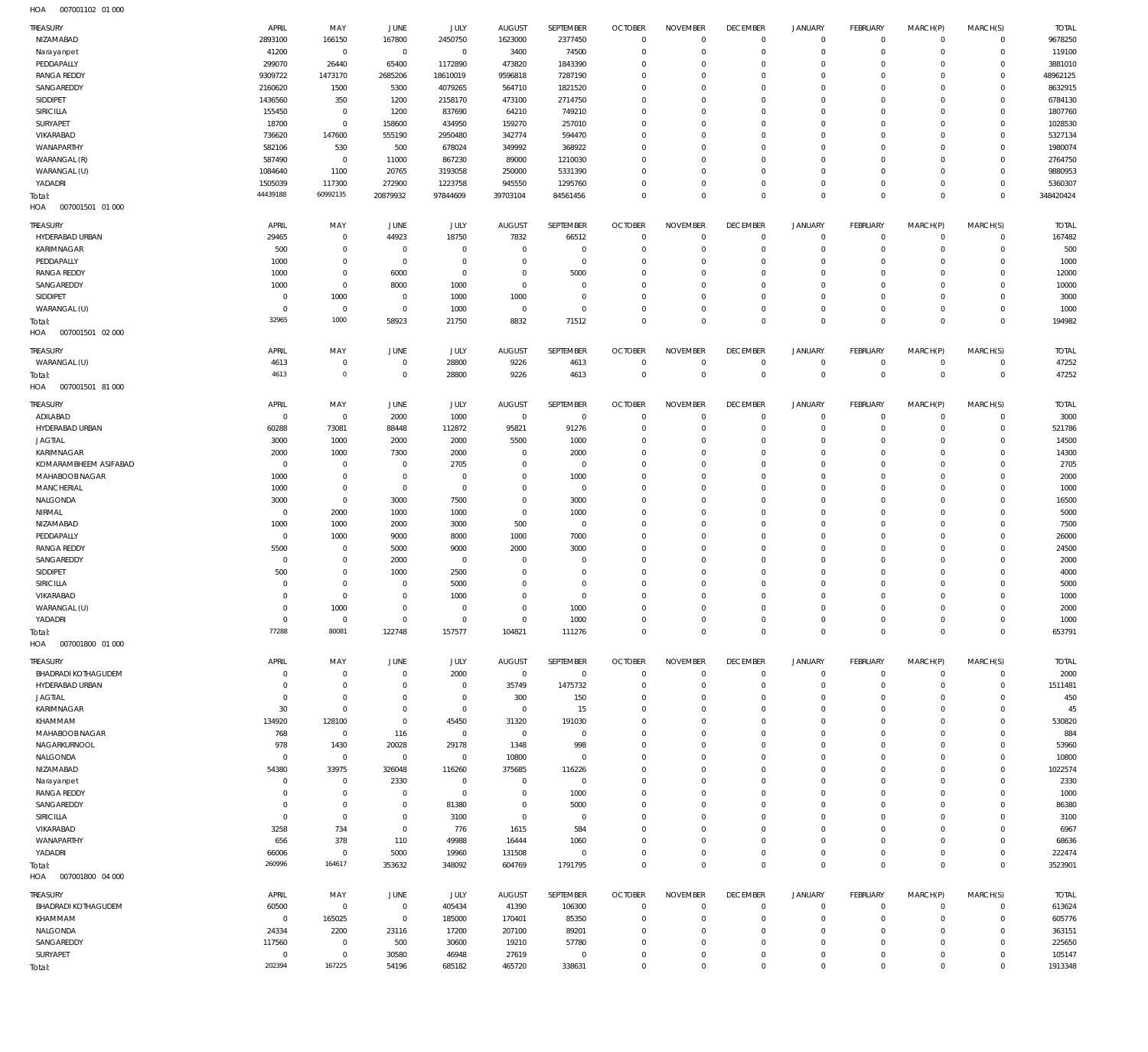| <b>TREASURY</b>             | APRIL               |                |                |                 | <b>AUGUST</b>           | SEPTEMBER        | <b>OCTOBER</b>                   | <b>NOVEMBER</b>            | <b>DECEMBER</b>                  | JANUARY                  | <b>FEBRUARY</b>            |                          |                         | <b>TOTAL</b>   |
|-----------------------------|---------------------|----------------|----------------|-----------------|-------------------------|------------------|----------------------------------|----------------------------|----------------------------------|--------------------------|----------------------------|--------------------------|-------------------------|----------------|
| NIZAMABAD                   | 2893100             | MAY<br>166150  | JUNE<br>167800 | JULY<br>2450750 | 1623000                 | 2377450          | $\overline{0}$                   | $\mathbf 0$                | $\mathbf 0$                      | $\mathbf 0$              | $\circ$                    | MARCH(P)<br>$^{\circ}$   | MARCH(S)<br>$\mathbf 0$ | 9678250        |
| Narayanpet                  | 41200               | $\mathbf 0$    | $\mathbf 0$    | $\mathbf 0$     | 3400                    | 74500            | $\overline{0}$                   | $\mathbf 0$                | $\overline{0}$                   | $^{\circ}$               | $\mathbf 0$                | $\mathbf 0$              | $\mathbf 0$             | 119100         |
| PEDDAPALLY                  | 299070              | 26440          | 65400          | 1172890         | 473820                  | 1843390          | $\mathbf 0$                      | 0                          | $\overline{0}$                   | $^{\circ}$               | $\mathbf 0$                | $\Omega$                 | $\mathbf 0$             | 3881010        |
| <b>RANGA REDDY</b>          | 9309722             | 1473170        | 2685206        | 18610019        | 9596818                 | 7287190          | $\mathbf 0$                      | $\Omega$                   | $\overline{0}$                   | $\Omega$                 | $\Omega$                   | $\Omega$                 | $\mathbf 0$             | 48962125       |
| SANGAREDDY                  | 2160620             | 1500           | 5300           | 4079265         | 564710                  | 1821520          | $\mathbf 0$                      | 0                          | $\overline{0}$                   | $\mathbf 0$              | $\mathbf 0$                | $\Omega$                 | $\mathbf 0$             | 8632915        |
| SIDDIPET                    | 1436560             | 350            | 1200           | 2158170         | 473100                  | 2714750          | $\mathbf 0$                      | 0                          | $^{\circ}$                       | $\Omega$                 | $\Omega$                   | $\Omega$                 | $\mathbf 0$             | 6784130        |
| SIRICILLA                   | 155450              | $\mathbf 0$    | 1200           | 837690          | 64210                   | 749210           | $\mathbf 0$                      | 0                          | $\mathbf 0$                      | $\mathbf 0$              | $\mathbf 0$                | $\Omega$                 | $\mathbf 0$             | 1807760        |
| SURYAPET                    | 18700               | $\mathbf 0$    | 158600         | 434950          | 159270                  | 257010           | $\mathbf 0$                      | $\Omega$                   | $\Omega$                         | $\Omega$                 | $\Omega$                   | $\Omega$                 | $\mathbf 0$             | 1028530        |
| VIKARABAD                   | 736620              | 147600         | 555190         | 2950480         | 342774                  | 594470           | $\mathbf 0$                      | 0                          | $\mathbf 0$                      | $\mathbf 0$              | $\mathbf 0$                | $\Omega$                 | $\mathbf 0$             | 5327134        |
| WANAPARTHY                  | 582106              | 530            | 500            | 678024          | 349992                  | 368922           | $\mathbf 0$                      | 0                          | $^{\circ}$                       | $\Omega$                 | $\Omega$                   | $\Omega$                 | $\mathbf 0$             | 1980074        |
| WARANGAL (R)                | 587490              | $\mathbf 0$    | 11000          | 867230          | 89000                   | 1210030          | $\mathbf 0$                      | 0                          | $\mathbf 0$                      | $\mathbf 0$              | $\mathbf 0$                | $\Omega$                 | $\mathbf 0$             | 2764750        |
| WARANGAL (U)                | 1084640             | 1100           | 20765          | 3193058         | 250000                  | 5331390          | $\mathbf 0$                      | $\Omega$                   | $\Omega$                         | $\Omega$                 | $\Omega$                   | $\Omega$                 | $\mathbf 0$             | 9880953        |
| YADADRI                     | 1505039             | 117300         | 272900         | 1223758         | 945550                  | 1295760          | $\mathbf 0$                      | 0                          | $\mathbf 0$                      | $^{\circ}$               | $\mathbf 0$                | $\Omega$                 | $\mathbf 0$             | 5360307        |
| Total:                      | 44439188            | 60992135       | 20879932       | 97844609        | 39703104                | 84561456         | $\mathbf 0$                      | $\Omega$                   | $\,0\,$                          | $\mathbf 0$              | $\Omega$                   | $\Omega$                 | $\mathbb O$             | 348420424      |
| HOA<br>007001501 01 000     |                     |                |                |                 |                         |                  |                                  |                            |                                  |                          |                            |                          |                         |                |
| <b>TREASURY</b>             | APRIL               | MAY            | JUNE           | JULY            | <b>AUGUST</b>           | SEPTEMBER        | <b>OCTOBER</b>                   | <b>NOVEMBER</b>            | <b>DECEMBER</b>                  | <b>JANUARY</b>           | <b>FEBRUARY</b>            | MARCH(P)                 | MARCH(S)                | <b>TOTAL</b>   |
| HYDERABAD URBAN             | 29465               | $\mathbb O$    | 44923          | 18750           | 7832                    | 66512            | $\overline{0}$                   | $\mathbf 0$                | $\overline{0}$                   | $^{\circ}$               | $\mathbf 0$                | $\mathbf 0$              | $\mathbf 0$             | 167482         |
| KARIMNAGAR                  | 500                 | $\mathbb O$    | $^{\circ}$     | $\mathbf 0$     | $\mathbf 0$             | $\mathbf 0$      | $\overline{0}$                   | $\mathbf 0$                | $\overline{0}$                   | $^{\circ}$               | $\mathbf 0$                | $^{\circ}$               | $\mathbf 0$             | 500            |
| PEDDAPALLY                  | 1000                | $\mathbb O$    | $\overline{0}$ | $\mathbf 0$     | $\mathbf 0$             | $\mathbf 0$      | $\overline{0}$                   | 0                          | $\overline{0}$                   | $^{\circ}$               | $\mathbf 0$                | $\Omega$                 | $\mathbf 0$             | 1000           |
| <b>RANGA REDDY</b>          | 1000                | $\mathbb O$    | 6000           | $\mathbf 0$     | $\mathbf 0$             | 5000             | $\mathbf 0$                      | 0                          | $\overline{0}$                   | $\Omega$                 | $\mathbf 0$                | $\Omega$                 | $\mathbf 0$             | 12000          |
| SANGAREDDY                  | 1000                | $\mathbb O$    | 8000           | 1000            | $\mathbf 0$             | $\mathbf 0$      | $\overline{0}$                   | 0                          | $\mathbf 0$                      | $^{\circ}$               | $\mathbf 0$                | $\Omega$                 | $\mathbf 0$             | 10000          |
| SIDDIPET                    | $^{\circ}$          | 1000           | $\overline{0}$ | 1000            | 1000                    | $\mathbf 0$      | $\mathbf 0$                      | 0                          | $\overline{0}$                   | $\Omega$                 | $\mathbf 0$                | $\Omega$                 | $\mathbf 0$             | 3000           |
| WARANGAL (U)                | $^{\circ}$          | $\mathbb O$    | $\overline{0}$ | 1000            | $\mathbf{0}$            | $\mathbf 0$      | $\overline{0}$                   | 0                          | $\overline{0}$                   | $^{\circ}$               | $\mathbf 0$                | $\mathbf 0$              | $\mathbf 0$             | 1000           |
| Total:                      | 32965               | 1000           | 58923          | 21750           | 8832                    | 71512            | $\overline{0}$                   | 0                          | $\mathbb O$                      | $\mathbf{0}$             | $\Omega$                   | $\Omega$                 | $\mathbf 0$             | 194982         |
| 007001501 02 000<br>HOA     |                     |                |                |                 |                         |                  |                                  |                            |                                  |                          |                            |                          |                         |                |
| TREASURY                    | APRIL               | MAY            | <b>JUNE</b>    | <b>JULY</b>     | <b>AUGUST</b>           | <b>SEPTEMBER</b> | <b>OCTOBER</b>                   | <b>NOVEMBER</b>            | <b>DECEMBER</b>                  | <b>JANUARY</b>           | <b>FEBRUARY</b>            | MARCH(P)                 | MARCH(S)                | <b>TOTAL</b>   |
| WARANGAL (U)                | 4613                | $\mathbb O$    | $\overline{0}$ | 28800           | 9226                    | 4613             | $\overline{0}$                   | $\mathbf 0$                | $\overline{0}$                   | $^{\circ}$               | $\mathbf 0$                | $^{\circ}$               | $\mathbf 0$             | 47252          |
| Total:                      | 4613                | $\mathbb O$    | $^{\circ}$     | 28800           | 9226                    | 4613             | $\overline{0}$                   | $\mathbf{0}$               | $\mathbb O$                      | $\mathbf 0$              | $\mathbb O$                | $\mathbf 0$              | $\mathbb O$             | 47252          |
| 007001501 81 000<br>HOA     |                     |                |                |                 |                         |                  |                                  |                            |                                  |                          |                            |                          |                         |                |
|                             |                     |                |                |                 |                         |                  |                                  |                            |                                  |                          |                            |                          |                         |                |
| TREASURY                    | APRIL               | MAY            | JUNE           | JULY            | <b>AUGUST</b>           | SEPTEMBER        | <b>OCTOBER</b>                   | <b>NOVEMBER</b>            | <b>DECEMBER</b>                  | JANUARY                  | <b>FEBRUARY</b>            | MARCH(P)                 | MARCH(S)                | <b>TOTAL</b>   |
| ADILABAD<br>HYDERABAD URBAN | $^{\circ}$<br>60288 | $\overline{0}$ | 2000<br>88448  | 1000            | $\overline{0}$<br>95821 | $\overline{0}$   | $\overline{0}$<br>$\overline{0}$ | $\mathbf 0$<br>$\mathbf 0$ | $\overline{0}$<br>$\overline{0}$ | $^{\circ}$<br>$^{\circ}$ | $\mathbf 0$<br>$\mathbf 0$ | $^{\circ}$<br>$^{\circ}$ | $\circ$<br>$\mathbf 0$  | 3000<br>521786 |
| <b>JAGTIAL</b>              | 3000                | 73081<br>1000  | 2000           | 112872<br>2000  | 5500                    | 91276<br>1000    | $\overline{0}$                   | $\mathbf 0$                | $\overline{0}$                   | $\Omega$                 | $\mathbf 0$                | $\Omega$                 | $\mathbf 0$             | 14500          |
| KARIMNAGAR                  | 2000                | 1000           | 7300           | 2000            | $\mathbf 0$             | 2000             | $\overline{0}$                   | 0                          | $\overline{0}$                   | $^{\circ}$               | $\mathbf 0$                | $\Omega$                 | $\mathbf 0$             | 14300          |
| KOMARAMBHEEM ASIFABAD       | $^{\circ}$          | $\mathbb O$    | $\overline{0}$ | 2705            | $\mathbf 0$             | $\overline{0}$   | $\mathbf 0$                      | 0                          | $\mathbf 0$                      | $\Omega$                 | $\mathbf 0$                | $\Omega$                 | $\mathbf 0$             | 2705           |
| MAHABOOB NAGAR              | 1000                | $\mathbb O$    | $\overline{0}$ | $^{\circ}$      | $\mathbf 0$             | 1000             | $\overline{0}$                   | 0                          | $\overline{0}$                   | $\mathbf 0$              | $\mathbf 0$                | $\Omega$                 | $\mathbf 0$             | 2000           |
| MANCHERIAL                  | 1000                | $\mathbb O$    | $\overline{0}$ | $\mathbf 0$     | $\mathbf 0$             | $\overline{0}$   | $\overline{0}$                   | 0                          | $\mathbf 0$                      | $\Omega$                 | $\mathbf 0$                | $\Omega$                 | $\mathbf 0$             | 1000           |
| NALGONDA                    | 3000                | $\mathbb O$    | 3000           | 7500            | $\mathbf 0$             | 3000             | $\overline{0}$                   | 0                          | $\overline{0}$                   | $^{\circ}$               | $\mathbf 0$                | $\Omega$                 | $\mathbf 0$             | 16500          |
| NIRMAL                      | $^{\circ}$          | 2000           | 1000           | 1000            | $\mathbf 0$             | 1000             | $\overline{0}$                   | $\mathbf 0$                | $\mathbf 0$                      | $\Omega$                 | $\mathbf 0$                | $\Omega$                 | $\mathbf 0$             | 5000           |
| NIZAMABAD                   | 1000                | 1000           | 2000           | 3000            | 500                     | $\overline{0}$   | $\overline{0}$                   | $\mathbf 0$                | $\overline{0}$                   | $\Omega$                 | $\mathbf 0$                | $\Omega$                 | $\mathbf 0$             | 7500           |
| PEDDAPALLY                  | $^{\circ}$          | 1000           | 9000           | 8000            | 1000                    | 7000             | $\overline{0}$                   | 0                          | $\overline{0}$                   | $\Omega$                 | $\mathbf 0$                | $\Omega$                 | $\mathbf 0$             | 26000          |
| <b>RANGA REDDY</b>          | 5500                | $\overline{0}$ | 5000           | 9000            | 2000                    | 3000             | $\overline{0}$                   | 0                          | $\overline{0}$                   | $\mathbf 0$              | $\mathbf 0$                | $\Omega$                 | $\mathbf 0$             | 24500          |
| SANGAREDDY                  | $^{\circ}$          | $\mathbb O$    | 2000           | $\mathbf 0$     | $\mathbf 0$             | $\mathbf 0$      | $\overline{0}$                   | 0                          | $\overline{0}$                   | $\Omega$                 | $\mathbf 0$                | $\Omega$                 | $\mathbf 0$             | 2000           |
| SIDDIPET                    | 500                 | $\overline{0}$ | 1000           | 2500            | $\mathbf 0$             | $\mathbf 0$      | $\overline{0}$                   | 0                          | $\overline{0}$                   | $\Omega$                 | $\mathbf 0$                | $\Omega$                 | $\mathbf 0$             | 4000           |
| <b>SIRICILLA</b>            | $\Omega$            | $\mathbf 0$    | $\overline{0}$ | 5000            | $\mathbf 0$             | $\mathbf 0$      | $\mathbf 0$                      | 0                          | $\overline{0}$                   | $\Omega$                 | $\mathbf 0$                | $\Omega$                 | $\mathbf 0$             | 5000           |
| VIKARABAD                   | $\Omega$            | $\mathbf 0$    | $^{\circ}$     | 1000            | $\mathbf 0$             | $\mathbf 0$      | $\overline{0}$                   | $\mathbf 0$                | $\,0\,$                          | $\circ$                  | $\Omega$                   | $\Omega$                 | $\mathbf 0$             | 1000           |
| WARANGAL (U)                | $\overline{0}$      | 1000           | $\mathbf{0}$   | $\mathbf{0}$    | $\Omega$                | 1000             | $\Omega$                         | $\Omega$                   | $\mathbf{0}$                     | $\circ$                  | $\Omega$                   | $\Omega$                 | $\mathbf{0}$            | 2000           |
| YADADRI                     | $\overline{0}$      | $\mathbf 0$    | $\mathbf{0}$   | $\mathbf 0$     | $\mathbf 0$             | 1000             | $\overline{0}$                   | $\mathbf 0$                | $^{\circ}$                       | $^{\circ}$               | $\mathbf 0$                | $\mathbf 0$              | $\mathbf 0$             | 1000           |
| Total:                      | 77288               | 80081          | 122748         | 157577          | 104821                  | 111276           | $\overline{0}$                   | $\mathbf 0$                | $\,0\,$                          | $\mathbf 0$              | $\overline{0}$             | $\mathbf 0$              | $\mathbf 0$             | 653791         |
| HOA  007001800  01  000     |                     |                |                |                 |                         |                  |                                  |                            |                                  |                          |                            |                          |                         |                |
| TREASURY                    | APRIL               | MAY            | JUNE           | JULY            | AUGUST                  | SEPTEMBER        | <b>OCTOBER</b>                   | <b>NOVEMBER</b>            | <b>DECEMBER</b>                  | <b>JANUARY</b>           | <b>FEBRUARY</b>            | MARCH(P)                 | MARCH(S)                | <b>TOTAL</b>   |
| <b>BHADRADI KOTHAGUDEM</b>  | $\mathbf 0$         | $\overline{0}$ | $^{\circ}$     | 2000            | $\mathbf 0$             | $\mathbf 0$      | $\overline{0}$                   | $\mathbf{0}$               | $\mathbf 0$                      | $\mathbf 0$              | $\mathbf 0$                | $\mathbf 0$              | $\mathbf 0$             | 2000           |
| HYDERABAD URBAN             | $\Omega$            | $\mathbb O$    | 0              | $\mathbf 0$     | 35749                   | 1475732          | $\overline{0}$                   | 0                          | $\overline{0}$                   | $^{\circ}$               | $\mathbf 0$                | $\mathbf 0$              | $\mathbf 0$             | 1511481        |
| <b>JAGTIAL</b>              | $\mathbf 0$         | $\mathbb O$    | $^{\circ}$     | $\mathbf 0$     | 300                     | 150              | $\mathbf 0$                      | 0                          | $^{\circ}$                       | $^{\circ}$               | $\mathbf 0$                | $\Omega$                 | $\mathbf 0$             | 450            |
| KARIMNAGAR                  | 30                  | $\mathbb O$    | 0              | $\mathbf 0$     | $\mathbf{0}$            | 15               | $\mathbf 0$                      | 0                          | $\mathbf 0$                      | $\mathbf 0$              | $\mathbf 0$                | $\Omega$                 | $\mathbf 0$             | 45             |
| KHAMMAM                     | 134920              | 128100         | $^{\circ}$     | 45450           | 31320                   | 191030           | $\mathbf 0$                      | 0                          | $\mathbf 0$                      | $\Omega$                 | $\Omega$                   | $\Omega$                 | $\mathbf 0$             | 530820         |
| MAHABOOB NAGAR              | 768                 | $\mathbb O$    | 116            | $\mathbf 0$     | $\mathbf{0}$            | $\mathbf 0$      | $\mathbf 0$                      | 0                          | $\mathbf 0$                      | $\mathbf 0$              | $\mathbf 0$                | $\Omega$                 | $\mathbf 0$             | 884            |
| NAGARKURNOOL                | 978                 | 1430           | 20028          | 29178           | 1348                    | 998              | $\mathbf 0$                      | 0                          | $\mathbf 0$                      | $\Omega$                 | $\Omega$                   | $\Omega$                 | $\mathbf 0$             | 53960          |
| NALGONDA                    | $\mathbf 0$         | $\mathbb O$    | $^{\circ}$     | $\mathbf 0$     | 10800                   | $\mathbf 0$      | $\mathbf 0$                      | 0                          | $\mathbf 0$                      | $\mathbf 0$              | $\mathbf 0$                | $\Omega$                 | $\mathbf 0$             | 10800          |
| NIZAMABAD                   | 54380               | 33975          | 326048         | 116260          | 375685                  | 116226           | $\mathbf 0$                      | 0                          | $\mathbf 0$                      | $\Omega$                 | $\Omega$                   | $\Omega$                 | $\mathbf 0$             | 1022574        |
| Narayanpet                  | $\mathbf 0$         | $\overline{0}$ | 2330           | $\mathbf 0$     | $\mathbf 0$             | $\mathbf 0$      | $\mathbf 0$                      | 0                          | $\mathbf 0$                      | $^{\circ}$               | $\mathbf 0$                | $\Omega$                 | $\mathbf 0$             | 2330           |
| <b>RANGA REDDY</b>          | $\Omega$            | $\overline{0}$ | $\overline{0}$ | $\mathbf 0$     | $\mathbf 0$             | 1000             | $\mathbf 0$                      | 0                          | $\mathbf 0$                      | $\Omega$                 | $\Omega$                   | $\Omega$                 | $\mathbf 0$             | 1000           |
| SANGAREDDY                  | $\mathbf{0}$        | $\overline{0}$ | $^{\circ}$     | 81380           | $\mathbf 0$             | 5000             | $\mathbf 0$                      | 0                          | $\mathbf 0$                      | $^{\circ}$               | $\mathbf 0$                | $\Omega$                 | $\mathbf 0$             | 86380          |
| SIRICILLA                   | $\Omega$            | $\mathbb O$    | $^{\circ}$     | 3100            | $\mathbf 0$             | $\overline{0}$   | $\mathbf 0$                      | 0                          | $\mathbf 0$                      | $\Omega$                 | $\Omega$                   | $\epsilon$               | $\mathbf 0$             | 3100           |
| VIKARABAD                   | 3258                | 734            | $^{\circ}$     | 776             | 1615                    | 584              | $\mathbf 0$                      | 0                          | $\overline{0}$                   | $^{\circ}$               | $\mathbf 0$                | $\Omega$                 | $\mathbf 0$             | 6967           |
| WANAPARTHY                  | 656                 | 378            | 110            | 49988           | 16444                   | 1060             | $\mathbf 0$                      | 0                          | $\mathbf 0$                      | $\Omega$                 | $\Omega$                   | $\Omega$                 | $\mathbf 0$             | 68636          |
| YADADRI                     | 66006               | $\mathbb O$    | 5000           | 19960           | 131508                  | $\mathbf 0$      | $\mathbf 0$                      | 0                          | $\mathbf 0$                      | $\mathbf 0$              | $\mathbf 0$                | $^{\circ}$               | $\mathbf 0$             | 222474         |
| Total:                      | 260996              | 164617         | 353632         | 348092          | 604769                  | 1791795          | $\overline{0}$                   | 0                          | $\mathbb O$                      | $\mathbf 0$              | $\overline{0}$             | $\Omega$                 | $\mathbb O$             | 3523901        |
| HOA   007001800   04   000  |                     |                |                |                 |                         |                  |                                  |                            |                                  |                          |                            |                          |                         |                |
| <b>TREASURY</b>             | APRIL               | MAY            | JUNE           | JULY            | <b>AUGUST</b>           | SEPTEMBER        | <b>OCTOBER</b>                   | <b>NOVEMBER</b>            | <b>DECEMBER</b>                  | <b>JANUARY</b>           | <b>FEBRUARY</b>            | MARCH(P)                 | MARCH(S)                | <b>TOTAL</b>   |
| <b>BHADRADI KOTHAGUDEM</b>  | 60500               | $\mathbb O$    | $\mathbf{0}$   | 405434          | 41390                   | 106300           | $\overline{0}$                   | $\mathbf 0$                | $\overline{0}$                   | $^{\circ}$               | $\mathbf 0$                | $^{\circ}$               | $\mathbf 0$             | 613624         |
| KHAMMAM                     | $^{\circ}$          | 165025         | $^{\circ}$     | 185000          | 170401                  | 85350            | $\overline{0}$                   | $\mathbf 0$                | $\overline{0}$                   | $^{\circ}$               | $\mathbf 0$                | $^{\circ}$               | $\mathbf 0$             | 605776         |
| NALGONDA                    | 24334               | 2200           | 23116          | 17200           | 207100                  | 89201            | $\overline{0}$                   | 0                          | $\overline{0}$                   | $\mathbf 0$              | $\mathbf 0$                | $\Omega$                 | $\mathbf 0$             | 363151         |
| SANGAREDDY                  | 117560              | $\mathbb O$    | 500            | 30600           | 19210                   | 57780            | $\overline{0}$                   | 0                          | $\overline{0}$                   | $\Omega$                 | $\Omega$                   | $\Omega$                 | $\mathbf 0$             | 225650         |
| SURYAPET                    | $\overline{0}$      | $\mathbb O$    | 30580          | 46948           | 27619                   | $\overline{0}$   | $\overline{0}$                   | 0                          | $\mathbf 0$                      | $\mathbf 0$              | $\mathbf 0$                | $^{\circ}$               | $\mathbf 0$             | 105147         |
| Total:                      | 202394              | 167225         | 54196          | 685182          | 465720                  | 338631           | $\mathbf 0$                      | 0                          | $\mathbb O$                      | $\mathbf 0$              | $\mathbf{0}$               | $\Omega$                 | $\mathbf 0$             | 1913348        |
|                             |                     |                |                |                 |                         |                  |                                  |                            |                                  |                          |                            |                          |                         |                |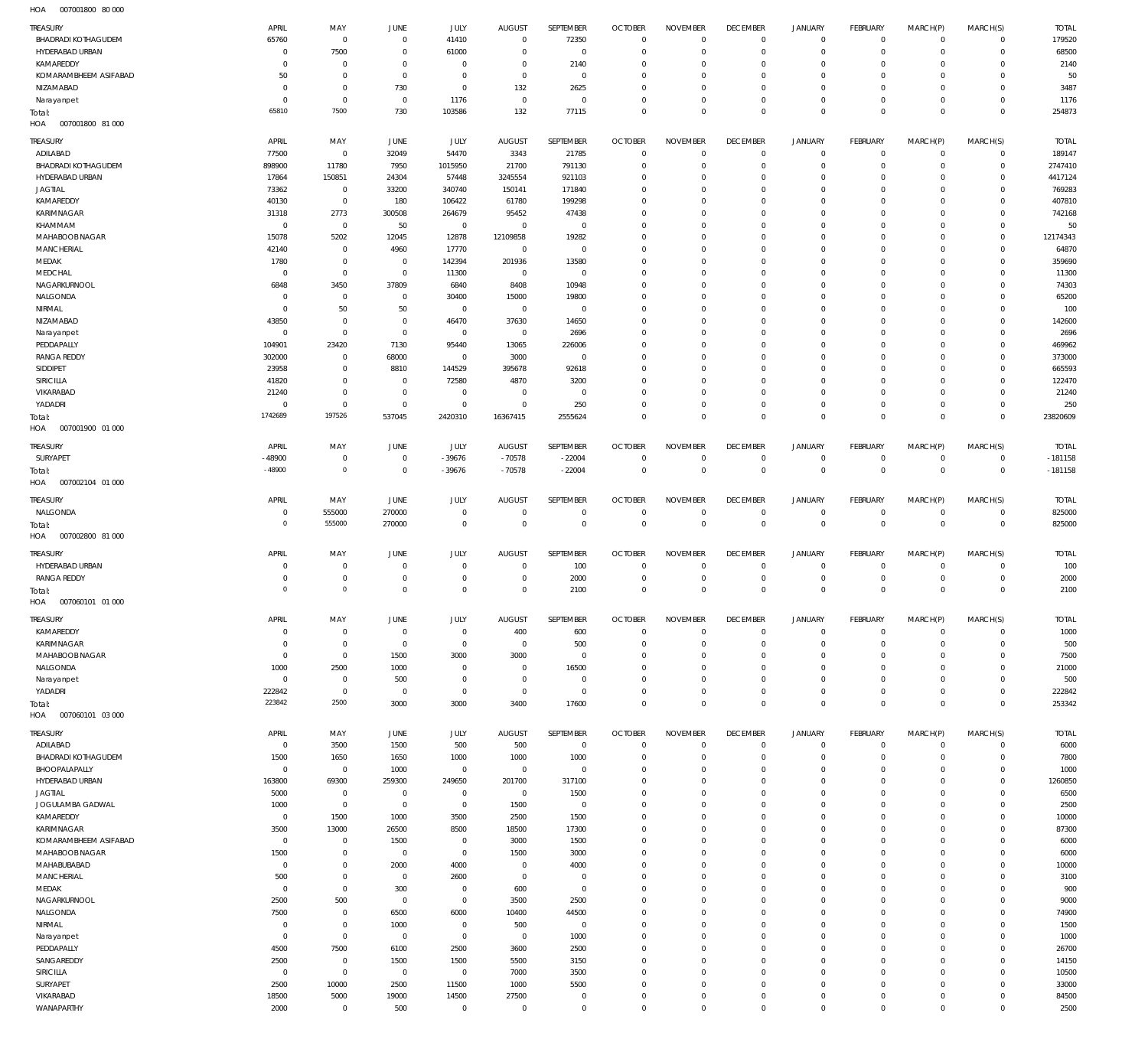007001800 80 000 HOA

| <b>TREASURY</b>                  | APRIL             | MAY                 | JUNE                 | JULY                          | <b>AUGUST</b>           | SEPTEMBER                     | <b>OCTOBER</b>            | <b>NOVEMBER</b>                  | <b>DECEMBER</b>            | <b>JANUARY</b>                             | FEBRUARY                | MARCH(P)                    | MARCH(S)                    | <b>TOTAL</b>     |
|----------------------------------|-------------------|---------------------|----------------------|-------------------------------|-------------------------|-------------------------------|---------------------------|----------------------------------|----------------------------|--------------------------------------------|-------------------------|-----------------------------|-----------------------------|------------------|
| <b>BHADRADI KOTHAGUDEM</b>       | 65760             | $\mathbf 0$         | $^{\circ}$           | 41410                         | $\overline{0}$          | 72350                         | $\Omega$                  | $\overline{0}$                   | $^{\circ}$                 | $\mathbf 0$                                | $^{\circ}$              | $\mathbf 0$                 | $\mathbf 0$                 | 179520           |
| HYDERABAD URBAN                  | $\Omega$          | 7500                | $\overline{0}$       | 61000                         | $\Omega$                | $\mathbf 0$                   | $\Omega$                  | $\overline{0}$                   | $^{\circ}$                 | $\mathsf{O}\xspace$                        | $^{\circ}$              | $\mathbf 0$                 | $\mathbf 0$                 | 68500            |
| KAMAREDDY                        | $\Omega$          | $\overline{0}$      | $\Omega$             | $\overline{0}$                | $\Omega$                | 2140                          | $\Omega$                  | $\Omega$                         | $\Omega$                   | $\mathbf 0$                                | $\Omega$                | $\Omega$                    | 0                           | 2140             |
| KOMARAMBHEEM ASIFABAD            | 50                | $\mathbf 0$         | $\overline{0}$       | $\mathbf 0$                   | $^{\circ}$              | $\mathbf 0$                   | $\Omega$                  | $\mathbf 0$                      | $\overline{0}$             | $\mathbf 0$                                | $\Omega$                | $\mathbf 0$                 | $\mathbf 0$                 | 50               |
| NIZAMABAD                        | $\Omega$          | $\mathbf 0$         | 730                  | $\mathbf 0$                   | 132                     | 2625                          | $\Omega$                  | $\mathbf 0$                      | $^{\circ}$                 | $\mathbf 0$                                | $\Omega$                | $\Omega$                    | $\mathbf 0$                 | 3487             |
| Narayanpet                       | $\Omega$          | $\mathbf 0$         | $\mathbf 0$          | 1176                          | $\overline{0}$          | $\mathbf 0$                   | $\Omega$                  | $\mathbf 0$                      | $\overline{0}$             | $\mathbf 0$                                | $\Omega$                | $\mathbf 0$                 | $\mathbf 0$                 | 1176             |
| Total:                           | 65810             | 7500                | 730                  | 103586                        | 132                     | 77115                         | $\Omega$                  | $\mathbf 0$                      | $\mathbf 0$                | $\mathbb O$                                | $\Omega$                | $\mathbf 0$                 | $^{\circ}$                  | 254873           |
| HOA<br>007001800 81 000          |                   |                     |                      |                               |                         |                               |                           |                                  |                            |                                            |                         |                             |                             |                  |
| TREASURY                         | APRIL             | MAY                 | JUNE                 | JULY                          | <b>AUGUST</b>           | SEPTEMBER                     | <b>OCTOBER</b>            | <b>NOVEMBER</b>                  | <b>DECEMBER</b>            | <b>JANUARY</b>                             | FEBRUARY                | MARCH(P)                    | MARCH(S)                    | <b>TOTAL</b>     |
| ADILABAD                         | 77500             | $\,0\,$             | 32049                | 54470                         | 3343                    | 21785                         | $\overline{0}$            | $\mathbf 0$                      | $^{\circ}$                 | $\mathsf{O}\xspace$                        | $\mathbf 0$             | $\mathbf 0$                 | $\mathbf 0$                 | 189147           |
| <b>BHADRADI KOTHAGUDEM</b>       | 898900            | 11780               | 7950                 | 1015950                       | 21700                   | 791130                        | $\overline{0}$            | $\mathbf 0$                      | $^{\circ}$                 | $\mathsf{O}\xspace$                        | $\mathbf 0$             | $\mathbf 0$                 | $\mathbf 0$                 | 2747410          |
| HYDERABAD URBAN                  | 17864             | 150851              | 24304                | 57448                         | 3245554                 | 921103                        | $\Omega$                  | $\mathbf 0$                      | $^{\circ}$                 | $\mathsf{O}\xspace$                        | $\circ$                 | $\mathbf 0$                 | $\mathbf 0$                 | 4417124          |
| <b>JAGTIAL</b><br>KAMAREDDY      | 73362<br>40130    | $\,0\,$<br>$\,0\,$  | 33200<br>180         | 340740<br>106422              | 150141<br>61780         | 171840<br>199298              | $\Omega$<br>$\Omega$      | $\mathbf 0$<br>$\mathbf 0$       | $\Omega$<br>0              | $\mathbf 0$<br>$\mathsf{O}\xspace$         | $\mathbf 0$<br>$\Omega$ | $\mathbf 0$<br>$\mathbf 0$  | $\mathbf 0$<br>$\mathbf 0$  | 769283<br>407810 |
| KARIMNAGAR                       | 31318             | 2773                | 300508               | 264679                        | 95452                   | 47438                         | $\Omega$                  | $\mathbf 0$                      | $\Omega$                   | $\mathbf 0$                                | $\mathbf 0$             | $\mathbf 0$                 | $\mathbf 0$                 | 742168           |
| KHAMMAM                          | $^{\circ}$        | $\,0\,$             | 50                   | $\overline{0}$                | $\overline{0}$          | $\,0\,$                       | $\Omega$                  | $\mathbf 0$                      | 0                          | $\mathsf{O}\xspace$                        | $\circ$                 | $\mathbf 0$                 | $\mathbf 0$                 | 50               |
| MAHABOOB NAGAR                   | 15078             | 5202                | 12045                | 12878                         | 12109858                | 19282                         | $\Omega$                  | $\mathbf 0$                      | $\Omega$                   | $\mathbf 0$                                | $\Omega$                | $\mathbf 0$                 | $\mathbf 0$                 | 12174343         |
| <b>MANCHERIAL</b>                | 42140             | $\,0\,$             | 4960                 | 17770                         | $\overline{0}$          | $\,0\,$                       | $\Omega$                  | $\mathbf 0$                      | $\circ$                    | $\mathbf 0$                                | $\Omega$                | $\mathbf 0$                 | $\mathbf 0$                 | 64870            |
| MEDAK                            | 1780              | $\mathbf 0$         | $\mathbf 0$          | 142394                        | 201936                  | 13580                         | $\Omega$                  | $\mathbf 0$                      | $\Omega$                   | $\mathbf 0$                                | $\Omega$                | $\mathbf 0$                 | $\mathbf 0$                 | 359690           |
| MEDCHAL                          | $\Omega$          | $\overline{0}$      | $\mathbf 0$          | 11300                         | $\mathbf 0$             | $\,0\,$                       | $\Omega$                  | $\mathbf 0$                      | $\Omega$                   | $\mathbf 0$                                | $\Omega$                | $\mathbf 0$                 | $\mathbf 0$                 | 11300            |
| NAGARKURNOOL                     | 6848              | 3450                | 37809                | 6840                          | 8408                    | 10948                         | $\Omega$                  | $\mathbf 0$                      | $\Omega$                   | $\mathbf 0$                                | $\Omega$                | $\mathbf 0$                 | $\mathbf 0$                 | 74303            |
| NALGONDA                         | - 0               | $\,0\,$             | $\mathbf 0$          | 30400                         | 15000                   | 19800                         | $\Omega$                  | $\mathbb O$                      | $\Omega$                   | $\mathbf 0$                                | $\Omega$                | $\mathbf 0$                 | $\mathbf 0$                 | 65200            |
| NIRMAL<br>NIZAMABAD              | $\Omega$<br>43850 | 50<br>$\,0\,$       | 50<br>$\overline{0}$ | $\overline{0}$<br>46470       | $\overline{0}$<br>37630 | $\mathbb O$<br>14650          | $^{\circ}$<br>$\Omega$    | $\mathbb O$<br>$\mathbb O$       | $\Omega$<br>$\Omega$       | $\mathbf 0$<br>$\mathbf 0$                 | $^{\circ}$<br>$\Omega$  | $\mathbf 0$<br>$\mathbf 0$  | $\mathbf 0$<br>$\mathbf 0$  | 100<br>142600    |
| Narayanpet                       | $\overline{0}$    | $\,0\,$             | $\mathbf 0$          | $\overline{0}$                | $\overline{0}$          | 2696                          | $\Omega$                  | $\mathbb O$                      | $\Omega$                   | $\mathbf 0$                                | $\circ$                 | $\mathbf 0$                 | $\mathbf 0$                 | 2696             |
| PEDDAPALLY                       | 104901            | 23420               | 7130                 | 95440                         | 13065                   | 226006                        | $\Omega$                  | $\mathbb O$                      | $\Omega$                   | $\mathbf 0$                                | $\Omega$                | $\mathbf 0$                 | $\mathbf 0$                 | 469962           |
| <b>RANGA REDDY</b>               | 302000            | $\,0\,$             | 68000                | $\overline{0}$                | 3000                    | $\mathbb O$                   | $\Omega$                  | $\mathbb O$                      | $\Omega$                   | $\mathbf 0$                                | $^{\circ}$              | $\mathbf 0$                 | $\mathbf 0$                 | 373000           |
| SIDDIPET                         | 23958             | $\,0\,$             | 8810                 | 144529                        | 395678                  | 92618                         | $\Omega$                  | $\mathbb O$                      | 0                          | $\mathsf{O}\xspace$                        | $\Omega$                | $\mathbf 0$                 | $\mathbf 0$                 | 665593           |
| SIRICILLA                        | 41820             | $\mathbf 0$         | $^{\circ}$           | 72580                         | 4870                    | 3200                          | $\Omega$                  | $\mathbb O$                      | $\Omega$                   | $\mathbf 0$                                | $\Omega$                | $\mathbf 0$                 | $\mathbf 0$                 | 122470           |
| VIKARABAD                        | 21240             | $\,0\,$             | $\overline{0}$       | $\overline{0}$                | $\overline{0}$          | $\,0\,$                       | $\Omega$                  | $\mathbf 0$                      | $^{\circ}$                 | $\mathsf{O}\xspace$                        | $\circ$                 | $\mathbf 0$                 | $\mathbf 0$                 | 21240            |
| YADADRI                          | $\Omega$          | $\mathbf 0$         | $\overline{0}$       | $\mathbf 0$                   | $\mathbf 0$             | 250                           | $\mathbf{0}$              | $\mathbf 0$                      | $^{\circ}$                 | $\mathsf{O}\xspace$                        | $^{\circ}$              | $\mathbf 0$                 | $\mathbf 0$                 | 250              |
| Total:                           | 1742689           | 197526              | 537045               | 2420310                       | 16367415                | 2555624                       | $\Omega$                  | $\mathbf 0$                      | $\mathbf 0$                | $\mathbb O$                                | $\Omega$                | $\mathbf 0$                 | $\mathbf 0$                 | 23820609         |
| HOA<br>007001900 01 000          |                   |                     |                      |                               |                         |                               |                           |                                  |                            |                                            |                         |                             |                             |                  |
| TREASURY                         | APRIL             | MAY                 | JUNE                 | JULY                          | <b>AUGUST</b>           | SEPTEMBER                     | <b>OCTOBER</b>            | <b>NOVEMBER</b>                  | <b>DECEMBER</b>            | <b>JANUARY</b>                             | FEBRUARY                | MARCH(P)                    | MARCH(S)                    | <b>TOTAL</b>     |
| SURYAPET                         | -48900            | $\overline{0}$      | $^{\circ}$           | $-39676$                      | $-70578$                | $-22004$                      | $^{\circ}$                | $\mathbf 0$                      | $^{\circ}$                 | $\mathbf 0$                                | $^{\circ}$              | $^{\circ}$                  | $\mathbf 0$                 | $-181158$        |
| Total:                           | $-48900$          | $\circ$             | $\mathbf 0$          | $-39676$                      | $-70578$                | $-22004$                      | $\mathbf 0$               | $\mathbb O$                      | $\mathbf 0$                | $\mathbb O$                                | $\mathbf 0$             | $\mathbf 0$                 | $\mathbf 0$                 | $-181158$        |
| HOA<br>007002104 01 000          |                   |                     |                      |                               |                         |                               |                           |                                  |                            |                                            |                         |                             |                             |                  |
| TREASURY                         | APRIL             | MAY                 | JUNE                 | <b>JULY</b>                   | <b>AUGUST</b>           | SEPTEMBER                     | <b>OCTOBER</b>            | <b>NOVEMBER</b>                  | <b>DECEMBER</b>            | <b>JANUARY</b>                             | FEBRUARY                | MARCH(P)                    | MARCH(S)                    | <b>TOTAL</b>     |
| NALGONDA                         | $\Omega$          | 555000              | 270000               | $\mathbf 0$                   | $^{\circ}$              | $\,0\,$                       | $\overline{0}$            | $\mathbf 0$                      | $\mathbf 0$                | $\mathbf 0$                                | $\mathbf 0$             | $\mathbf 0$                 | $\mathbf 0$                 | 825000           |
| Total:                           | $\Omega$          | 555000              | 270000               | $\mathbf 0$                   | $\overline{0}$          | $\mathbb O$                   | $\mathbf 0$               | $\mathbb O$                      | $\mathbf 0$                | $\,0\,$                                    | $\mathbf 0$             | $\mathbf 0$                 | $\mathbf 0$                 | 825000           |
| HOA<br>007002800 81 000          |                   |                     |                      |                               |                         |                               |                           |                                  |                            |                                            |                         |                             |                             |                  |
| TREASURY                         | APRIL             | MAY                 | JUNE                 | JULY                          | <b>AUGUST</b>           | SEPTEMBER                     | <b>OCTOBER</b>            | <b>NOVEMBER</b>                  | <b>DECEMBER</b>            | <b>JANUARY</b>                             | FEBRUARY                | MARCH(P)                    | MARCH(S)                    | <b>TOTAL</b>     |
| HYDERABAD URBAN                  | $\Omega$          | $\overline{0}$      | $^{\circ}$           | $\overline{0}$                | $^{\circ}$              | 100                           | $\overline{0}$            | $^{\circ}$                       | $^{\circ}$                 | $\mathbf 0$                                | $^{\circ}$              | $^{\circ}$                  | $\mathbf 0$                 | 100              |
|                                  |                   |                     |                      |                               |                         |                               |                           |                                  |                            |                                            |                         |                             |                             |                  |
| <b>RANGA REDDY</b>               | $\Omega$          | $\mathbf 0$         | $\Omega$             | $\overline{0}$                | $\Omega$                | 2000                          | $\overline{0}$            | $^{\circ}$                       | $^{\circ}$                 | $\mathsf{O}\xspace$                        | 0                       | $^{\circ}$                  | $\mathbf 0$                 | 2000             |
| Total:                           | $\Omega$          | $\mathbf 0$         | $\Omega$             | $\overline{0}$                | $\Omega$                | 2100                          | $^{\circ}$                | $\mathbf 0$                      | $\overline{0}$             | $\mathbf 0$                                | $^{\circ}$              | $\mathbf 0$                 | $^{\circ}$                  | 2100             |
| HOA<br>007060101 01 000          |                   |                     |                      |                               |                         |                               |                           |                                  |                            |                                            |                         |                             |                             |                  |
| TREASURY                         | APRIL             | MAY                 | JUNE                 | JULY                          | <b>AUGUST</b>           | SEPTEMBER                     | <b>OCTOBER</b>            | <b>NOVEMBER</b>                  | <b>DECEMBER</b>            | <b>JANUARY</b>                             | FEBRUARY                | MARCH(P)                    | MARCH(S)                    | <b>TOTAL</b>     |
| KAMAREDDY                        | $\Omega$          | $\,0\,$             | $\overline{0}$       | $\overline{0}$                | 400                     | 600                           | $\mathbf{0}$              | $\,0\,$                          | $\mathbf 0$                | $\mathsf{O}\xspace$                        | $\mathbf 0$             | $\mathbf 0$                 | $\mathbf 0$                 | 1000             |
| KARIMNAGAR                       | $\Omega$          | $\overline{0}$      | $\overline{0}$       | $\overline{0}$                | $\mathbf 0$             | 500                           | $\mathbf{0}$              | $\mathbf 0$                      | $\overline{0}$             | $\mathsf{O}\xspace$                        | $\mathbf 0$             | $\mathbf 0$                 | $\mathbf 0$                 | 500              |
| MAHABOOB NAGAR                   | $\overline{0}$    | $\,0\,$             | 1500                 | 3000                          | 3000                    | $\,0\,$                       | $\Omega$                  | $\mathbf 0$                      | $\circ$                    | $\mathsf{O}\xspace$                        | $\circ$                 | $\mathbf 0$                 | $\mathbf 0$                 | 7500             |
| NALGONDA                         | 1000              | 2500                | 1000                 | $\mathbf 0$                   | $\overline{0}$          | 16500                         | $^{\circ}$                | $\mathbf 0$                      | $^{\circ}$                 | $\mathbf 0$                                | $\mathbf 0$             | $\mathbf 0$                 | $\mathbf 0$                 | 21000            |
| Narayanpet                       | $\mathbf 0$       | $\,0\,$             | 500                  | $\mathbf 0$                   | $^{\circ}$              | $\,0\,$                       | $^{\circ}$                | $\mathbf 0$                      | $^{\circ}$                 | $\mathsf{O}\xspace$                        | $\mathbf 0$             | $\mathbf 0$                 | $\mathbf 0$                 | 500              |
| YADADRI                          | 222842            | $\,0\,$             | $\overline{0}$       | $\mathbf 0$                   | $\mathbf 0$             | $\,0\,$                       | $\Omega$                  | $\mathbf 0$                      | $^{\circ}$                 | $\mathsf{O}\xspace$                        | $\mathbf 0$             | $\mathbf 0$                 | $\mathbf 0$                 | 222842           |
| Total:                           | 223842            | 2500                | 3000                 | 3000                          | 3400                    | 17600                         | $\Omega$                  | $\mathbb O$                      | $\mathbb O$                | $\mathbb O$                                | $\Omega$                | $\mathbf 0$                 | $\mathbf 0$                 | 253342           |
| HOA<br>007060101 03 000          |                   |                     |                      |                               |                         |                               |                           |                                  |                            |                                            |                         |                             |                             |                  |
| TREASURY                         | APRIL             | MAY                 | JUNE                 | JULY                          | <b>AUGUST</b>           | SEPTEMBER                     | <b>OCTOBER</b>            | <b>NOVEMBER</b>                  | <b>DECEMBER</b>            | JANUARY                                    | FEBRUARY                | MARCH(P)                    | MARCH(S)                    | <b>TOTAL</b>     |
| ADILABAD                         | $\mathbf 0$       | 3500                | 1500                 | 500                           | 500                     | $\,0\,$                       | $\mathbf{0}$              | $\mathbb O$                      | $\,0\,$                    | 0                                          | $\mathbf 0$             | $\mathbf 0$                 | $\mathbf 0$                 | 6000             |
| <b>BHADRADI KOTHAGUDEM</b>       | 1500<br>$\Omega$  | 1650                | 1650                 | 1000                          | 1000                    | 1000                          | $\mathbf{0}$<br>$\Omega$  | $\overline{0}$                   | $\overline{0}$             | $\mathsf{O}\xspace$                        | $\mathbf 0$             | $\mathbf 0$                 | $\mathbf 0$                 | 7800             |
| BHOOPALAPALLY<br>HYDERABAD URBAN | 163800            | $\,0\,$<br>69300    | 1000<br>259300       | $\mathbf 0$<br>249650         | $\mathbf 0$<br>201700   | $\mathbb O$<br>317100         | $\Omega$                  | $\overline{0}$<br>$\overline{0}$ | $\circ$<br>$\overline{0}$  | $\mathbf 0$<br>$\mathbf 0$                 | $\mathbf 0$<br>$\Omega$ | $\mathbf 0$<br>$\Omega$     | $\mathbf 0$<br>$\mathbf 0$  | 1000<br>1260850  |
| <b>JAGTIAL</b>                   | 5000              | $\,0\,$             | $\overline{0}$       | $\overline{0}$                | $\mathbf 0$             | 1500                          | $^{\circ}$                | $\mathbf 0$                      | $\overline{0}$             | $\mathbf 0$                                | $\Omega$                | $\mathbf 0$                 | $\mathbf 0$                 | 6500             |
| JOGULAMBA GADWAL                 | 1000              | $\,0\,$             | $\mathbf 0$          | $\overline{0}$                | 1500                    | $\mathbf 0$                   | $\Omega$                  | $\overline{0}$                   | $\Omega$                   | $\mathbf 0$                                | $\Omega$                | $\Omega$                    | $\mathbf 0$                 | 2500             |
| KAMAREDDY                        | $\overline{0}$    | 1500                | 1000                 | 3500                          | 2500                    | 1500                          | $\Omega$                  | $\mathbf 0$                      | $\overline{0}$             | $\mathbf 0$                                | $\Omega$                | $\mathbf 0$                 | $\mathbf 0$                 | 10000            |
| KARIMNAGAR                       | 3500              | 13000               | 26500                | 8500                          | 18500                   | 17300                         | $\Omega$                  | $\overline{0}$                   | $\Omega$                   | $\mathbf 0$                                | $\Omega$                | $\Omega$                    | $\mathbf 0$                 | 87300            |
| KOMARAMBHEEM ASIFABAD            | $\overline{0}$    | $\,0\,$             | 1500                 | $\overline{0}$                | 3000                    | 1500                          | $\Omega$                  | $\overline{0}$                   | $\mathbf{0}$               | $\mathbf 0$                                | $\Omega$                | $\Omega$                    | $\mathbf 0$                 | 6000             |
| MAHABOOB NAGAR                   | 1500              | $\,0\,$             | $\mathbf 0$          | $\mathbf 0$                   | 1500                    | 3000                          | $\Omega$                  | $\overline{0}$                   | $\Omega$                   | $\mathbf 0$                                | $\Omega$                | $\Omega$                    | $\mathbf 0$                 | 6000             |
| MAHABUBABAD                      | $\overline{0}$    | $\mathbf 0$         | 2000                 | 4000                          | $\overline{0}$          | 4000                          | $\Omega$                  | $\overline{0}$                   | $\mathbf{0}$               | $\mathbf 0$                                | $\Omega$                | $\Omega$                    | $\Omega$                    | 10000            |
| MANCHERIAL                       | 500<br>$\Omega$   | $\,0\,$             | $\mathbf 0$          | 2600                          | $\overline{0}$          | $\mathbb O$                   | $\Omega$<br>$\Omega$      | $\mathbb O$<br>$\overline{0}$    | $^{\circ}$<br>$\mathbf{0}$ | $\mathbf 0$                                | $\Omega$<br>$\Omega$    | $\Omega$<br>$\Omega$        | $\mathbf 0$<br>$\Omega$     | 3100             |
| MEDAK<br>NAGARKURNOOL            | 2500              | $\mathbf 0$<br>500  | 300<br>$\mathbf 0$   | $\overline{0}$<br>$\mathbf 0$ | 600<br>3500             | $\mathbb O$<br>2500           | $\Omega$                  | $\overline{0}$                   | $\Omega$                   | $\mathbf 0$<br>$\mathbf 0$                 | $\Omega$                | $\Omega$                    | $\mathbf 0$                 | 900<br>9000      |
| NALGONDA                         | 7500              | $\mathbf 0$         | 6500                 | 6000                          | 10400                   | 44500                         | $\Omega$                  | $\overline{0}$                   | $\mathbf{0}$               | $\mathbf 0$                                | $\Omega$                | $\Omega$                    | $\mathbf 0$                 | 74900            |
| NIRMAL                           | $\overline{0}$    | $\mathbf 0$         | 1000                 | $\mathbf 0$                   | 500                     | $\mathbb O$                   | $\Omega$                  | $\overline{0}$                   | $\mathbf{0}$               | $\mathbf 0$                                | $\Omega$                | $\Omega$                    | $\mathbf 0$                 | 1500             |
| Narayanpet                       | $\Omega$          | $\mathbf 0$         | $\overline{0}$       | $\mathbf 0$                   | $\overline{0}$          | 1000                          | $^{\circ}$                | $\mathbb O$                      | $\overline{0}$             | $\mathbf 0$                                | $\Omega$                | $\mathbf 0$                 | $\mathbf 0$                 | 1000             |
| PEDDAPALLY                       | 4500              | 7500                | 6100                 | 2500                          | 3600                    | 2500                          | $\Omega$                  | $\overline{0}$                   | $\Omega$                   | $\mathbf 0$                                | $\Omega$                | $\Omega$                    | $\circ$                     | 26700            |
| SANGAREDDY                       | 2500              | $\,0\,$             | 1500                 | 1500                          | 5500                    | 3150                          | $^{\circ}$                | $\mathbb O$                      | $\overline{0}$             | $\mathbf 0$                                | $\Omega$                | $\mathbf 0$                 | $\mathbf 0$                 | 14150            |
| SIRICILLA                        | $\overline{0}$    | $\mathbf 0$         | $\mathbf 0$          | $\overline{0}$                | 7000                    | 3500                          | $\Omega$                  | $\overline{0}$                   | $\Omega$                   | $\mathbf 0$                                | $\Omega$                | $\Omega$                    | $\mathbf 0$                 | 10500            |
| SURYAPET                         | 2500              | 10000               | 2500                 | 11500                         | 1000                    | 5500                          | $\mathbf{0}$              | $\mathbb O$                      | $\overline{0}$             | $\mathbf 0$                                | $\Omega$                | $\mathbf 0$                 | $\mathbf 0$                 | 33000            |
| VIKARABAD<br>WANAPARTHY          | 18500<br>2000     | 5000<br>$\mathbf 0$ | 19000<br>500         | 14500<br>$\mathbf 0$          | 27500<br>$\mathbf 0$    | $\overline{0}$<br>$\mathbb O$ | $^{\circ}$<br>$\mathbb O$ | $\mathbb O$<br>$\mathbb O$       | $^{\circ}$<br>$\mathbb O$  | $\mathsf{O}\xspace$<br>$\mathsf{O}\xspace$ | 0<br>$\mathsf{O}$       | $\mathbf 0$<br>$\mathsf{O}$ | $\mathbf 0$<br>$\mathsf{O}$ | 84500<br>2500    |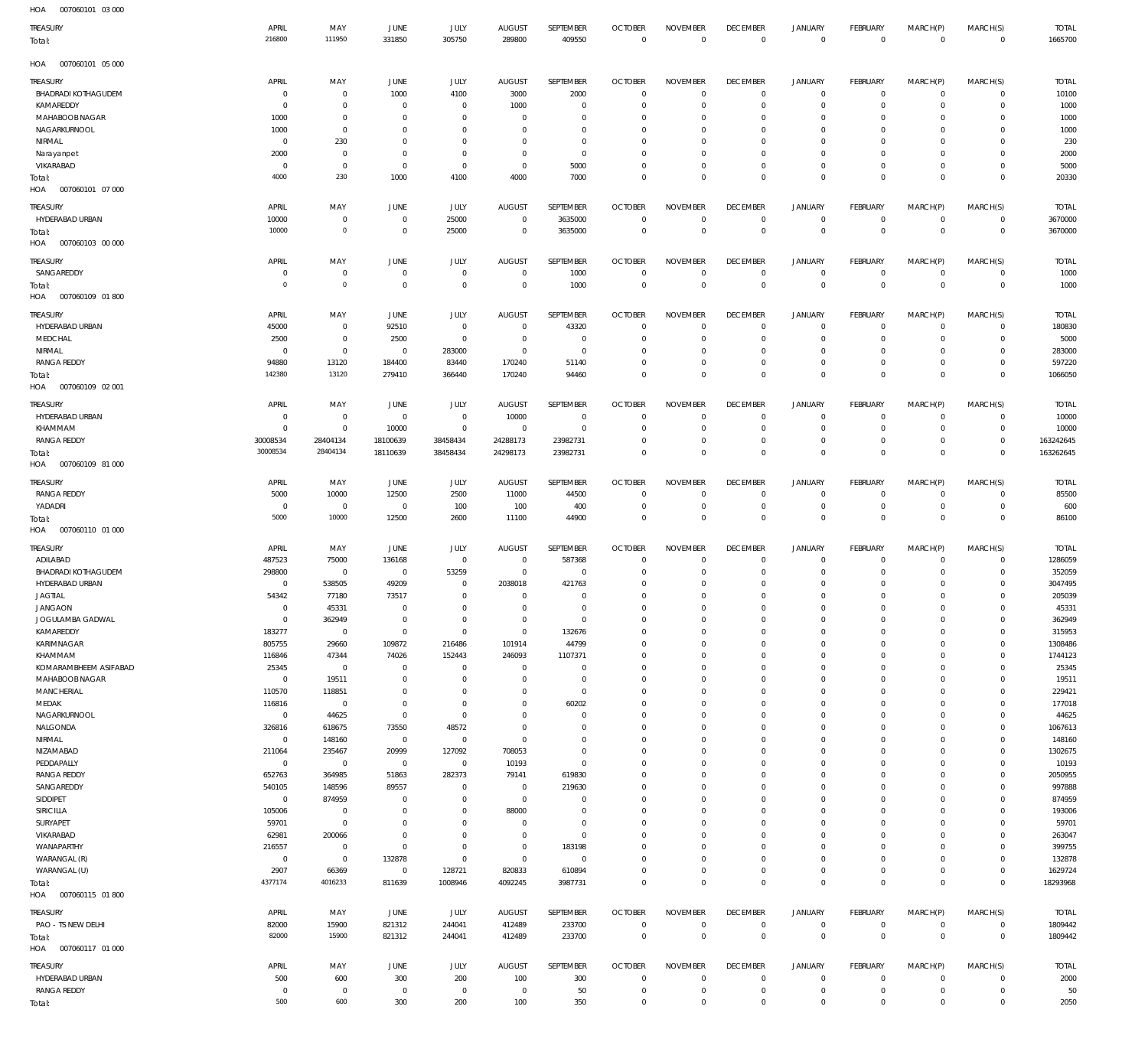| HOA<br>007060101 03 000    |                |                |                |                |                           |                       |                |                 |                 |                  |                |                |                |              |
|----------------------------|----------------|----------------|----------------|----------------|---------------------------|-----------------------|----------------|-----------------|-----------------|------------------|----------------|----------------|----------------|--------------|
| TREASURY                   | APRIL          | MAY            | <b>JUNE</b>    | JULY           | <b>AUGUST</b>             | SEPTEMBER             | <b>OCTOBER</b> | <b>NOVEMBER</b> | <b>DECEMBER</b> | <b>JANUARY</b>   | FEBRUARY       | MARCH(P)       | MARCH(S)       | <b>TOTAL</b> |
| Total:                     | 216800         | 111950         | 331850         | 305750         | 289800                    | 409550                | $\overline{0}$ | $\,0\,$         | $\overline{0}$  | $\,0\,$          | $\overline{0}$ | $\,0\,$        | $\overline{0}$ | 1665700      |
|                            |                |                |                |                |                           |                       |                |                 |                 |                  |                |                |                |              |
| HOA<br>007060101 05 000    |                |                |                |                |                           |                       |                |                 |                 |                  |                |                |                |              |
| TREASURY                   | APRIL          | MAY            | <b>JUNE</b>    | JULY           | <b>AUGUST</b>             | SEPTEMBER             | <b>OCTOBER</b> | <b>NOVEMBER</b> | <b>DECEMBER</b> | <b>JANUARY</b>   | FEBRUARY       | MARCH(P)       | MARCH(S)       | <b>TOTAL</b> |
| <b>BHADRADI KOTHAGUDEM</b> | $\mathbf 0$    | $\mathbf 0$    | 1000           | 4100           | 3000                      | 2000                  | $\overline{0}$ | $\mathbf 0$     | $\overline{0}$  | $\circ$          | $\overline{0}$ | $\mathbf 0$    | $\overline{0}$ | 10100        |
| KAMAREDDY                  | $\overline{0}$ | $\mathbf 0$    | $\overline{0}$ | $\mathbf 0$    | 1000                      | $\mathbf 0$           | $\overline{0}$ | $\mathbf 0$     | $\mathbf 0$     | 0                | $\overline{0}$ | 0              | $\circ$        | 1000         |
| MAHABOOB NAGAR             | 1000           | $\mathbf 0$    | $\overline{0}$ | $\mathbf 0$    | $\overline{0}$            | $\mathbf 0$           | $\mathbf 0$    | $\mathbf 0$     | $\mathbf 0$     | 0                | $\mathbf{0}$   | 0              | $\mathbf{0}$   | 1000         |
| NAGARKURNOOL               | 1000           | $\mathbf 0$    | $\overline{0}$ | $\mathbf 0$    | $\mathbf 0$               | $\mathbf 0$           | $\mathbf 0$    | $\mathbf 0$     | $\mathbf 0$     | 0                | $\mathbf{0}$   | $\Omega$       | $\mathbf{0}$   | 1000         |
| NIRMAL                     | $\overline{0}$ | 230            | $\overline{0}$ | $\mathbf 0$    | $^{\circ}$                | $\mathbf 0$           | $\mathbf 0$    | $\mathbf 0$     | $\mathbf 0$     | 0                | $^{\circ}$     | 0              | $\mathbf{0}$   | 230          |
| Narayanpet                 | 2000           | $\overline{0}$ | $\overline{0}$ | $\mathbf 0$    | $\overline{0}$            | $\mathbf 0$           | $\mathbf 0$    | $\mathbf 0$     | $\mathbf 0$     | 0                | $\mathbf{0}$   | 0              | $\mathbf{0}$   | 2000         |
| VIKARABAD                  | $\overline{0}$ | $\mathbf 0$    | $\overline{0}$ | $\mathbf 0$    | $\overline{0}$            | 5000                  | $\overline{0}$ | $\mathbf 0$     | $\overline{0}$  | $\mathbf 0$      | $\mathbf{0}$   | $\mathbf 0$    | $\mathbf{0}$   | 5000         |
| Total:                     | 4000           | 230            | 1000           | 4100           | 4000                      | 7000                  | $\overline{0}$ | $\mathbf 0$     | $\overline{0}$  | $\mathbf 0$      | $\overline{0}$ | $\mathbf 0$    | $\overline{0}$ | 20330        |
| HOA<br>007060101 07 000    |                |                |                |                |                           |                       |                |                 |                 |                  |                |                |                |              |
|                            |                |                |                |                |                           |                       |                |                 |                 |                  |                |                |                |              |
| TREASURY                   | APRIL          | MAY            | JUNE           | JULY           | <b>AUGUST</b>             | SEPTEMBER             | <b>OCTOBER</b> | <b>NOVEMBER</b> | <b>DECEMBER</b> | <b>JANUARY</b>   | FEBRUARY       | MARCH(P)       | MARCH(S)       | <b>TOTAL</b> |
| HYDERABAD URBAN            | 10000          | $\mathbf 0$    | $\overline{0}$ | 25000          | $\mathbf 0$               | 3635000               | $\mathbf 0$    | $\mathbf 0$     | $\overline{0}$  | $\mathbf 0$      | $\circ$        | $\mathbf 0$    | $\overline{0}$ | 3670000      |
| Total:                     | 10000          | $\mathbf 0$    | $\overline{0}$ | 25000          | $\overline{0}$            | 3635000               | $\overline{0}$ | $\mathbf 0$     | $\overline{0}$  | $\overline{0}$   | $\overline{0}$ | $\overline{0}$ | $\overline{0}$ | 3670000      |
| HOA<br>007060103 00 000    |                |                |                |                |                           |                       |                |                 |                 |                  |                |                |                |              |
| TREASURY                   | APRIL          | MAY            | <b>JUNE</b>    | JULY           | <b>AUGUST</b>             | SEPTEMBER             | <b>OCTOBER</b> | <b>NOVEMBER</b> | <b>DECEMBER</b> | <b>JANUARY</b>   | FEBRUARY       | MARCH(P)       | MARCH(S)       | <b>TOTAL</b> |
| SANGAREDDY                 | $\overline{0}$ | $\mathbf 0$    | $\overline{0}$ | $\mathbf 0$    | $\overline{0}$            | 1000                  | $\overline{0}$ | $\mathbf 0$     | $\overline{0}$  | $\circ$          | $\overline{0}$ | $\mathbf 0$    | $\overline{0}$ | 1000         |
| Total:                     | $\mathbf 0$    | $\mathbf 0$    | $\overline{0}$ | $\mathbf 0$    | $\overline{0}$            | 1000                  | $\overline{0}$ | $\mathbf 0$     | $\overline{0}$  | $\mathbf 0$      | $\overline{0}$ | $\mathbf 0$    | $\overline{0}$ | 1000         |
| HOA<br>007060109 01 800    |                |                |                |                |                           |                       |                |                 |                 |                  |                |                |                |              |
|                            |                |                |                |                |                           |                       |                |                 |                 |                  |                |                |                |              |
| TREASURY                   | APRIL          | MAY            | <b>JUNE</b>    | JULY           | <b>AUGUST</b>             | SEPTEMBER             | <b>OCTOBER</b> | <b>NOVEMBER</b> | <b>DECEMBER</b> | <b>JANUARY</b>   | FEBRUARY       | MARCH(P)       | MARCH(S)       | <b>TOTAL</b> |
| HYDERABAD URBAN            | 45000          | $\mathbf 0$    | 92510          | $\mathbf 0$    | $\overline{0}$            | 43320                 | $\overline{0}$ | $\mathbf 0$     | $\mathbf 0$     | 0                | $\mathbf{0}$   | $\mathbf 0$    | $\circ$        | 180830       |
| MEDCHAL                    | 2500           | $\mathbf 0$    | 2500           | $\mathbf 0$    | $\overline{0}$            | $\mathbf 0$           | $\mathbf 0$    | $\mathbf 0$     | $\mathbf 0$     | $\mathbf 0$      | $\mathbf{0}$   | $\mathbf 0$    | $\mathbf{0}$   | 5000         |
| NIRMAL                     | $^{\circ}$     | $\mathbf 0$    | $\overline{0}$ | 283000         | $\overline{0}$            | $\overline{0}$        | $\mathbf 0$    | $\mathbf 0$     | $\mathbf 0$     | 0                | $\mathbf 0$    | 0              | $\mathbf 0$    | 283000       |
| <b>RANGA REDDY</b>         | 94880          | 13120          | 184400         | 83440          | 170240                    | 51140                 | $^{\circ}$     | $\mathbf 0$     | $\mathbf 0$     | $\mathbf 0$      | $\mathbf{0}$   | 0              | $\circ$        | 597220       |
| Total:                     | 142380         | 13120          | 279410         | 366440         | 170240                    | 94460                 | $\overline{0}$ | $\mathbf 0$     | $\overline{0}$  | $\mathbf 0$      | $\overline{0}$ | $\mathbf 0$    | $\overline{0}$ | 1066050      |
| HOA<br>007060109 02 001    |                |                |                |                |                           |                       |                |                 |                 |                  |                |                |                |              |
| TREASURY                   | APRIL          | MAY            | <b>JUNE</b>    | JULY           | <b>AUGUST</b>             | SEPTEMBER             | <b>OCTOBER</b> | <b>NOVEMBER</b> | <b>DECEMBER</b> | <b>JANUARY</b>   | FEBRUARY       | MARCH(P)       | MARCH(S)       | <b>TOTAL</b> |
| HYDERABAD URBAN            | $\overline{0}$ | $\overline{0}$ | $\overline{0}$ | $\overline{0}$ | 10000                     | $\overline{0}$        | $\overline{0}$ | $\mathbf 0$     | $\mathbf 0$     | $\mathbf 0$      | $\overline{0}$ | $\mathbf 0$    | $\overline{0}$ | 10000        |
| KHAMMAM                    | $\overline{0}$ | $\mathbf 0$    | 10000          | $\mathbf 0$    | $\overline{0}$            | $\mathbf 0$           | $\overline{0}$ | $\mathbf 0$     | $\overline{0}$  | $\mathbf 0$      | $\overline{0}$ | $\mathbf 0$    | $\overline{0}$ | 10000        |
| <b>RANGA REDDY</b>         | 30008534       | 28404134       | 18100639       | 38458434       | 24288173                  | 23982731              | $\overline{0}$ | $\mathbf 0$     | $\overline{0}$  | $\mathbf 0$      | $\overline{0}$ | $\mathbf 0$    | $\overline{0}$ | 163242645    |
| Total:                     | 30008534       | 28404134       | 18110639       | 38458434       | 24298173                  | 23982731              | $\overline{0}$ | $\mathbf 0$     | $\overline{0}$  | $\mathbf 0$      | $\overline{0}$ | $\mathbf 0$    | $\overline{0}$ | 163262645    |
| HOA<br>007060109 81 000    |                |                |                |                |                           |                       |                |                 |                 |                  |                |                |                |              |
|                            |                |                |                |                |                           |                       |                |                 |                 |                  |                |                |                |              |
| TREASURY                   | APRIL          | MAY            | <b>JUNE</b>    | JULY           | <b>AUGUST</b>             | SEPTEMBER             | <b>OCTOBER</b> | <b>NOVEMBER</b> | <b>DECEMBER</b> | <b>JANUARY</b>   | FEBRUARY       | MARCH(P)       | MARCH(S)       | <b>TOTAL</b> |
| <b>RANGA REDDY</b>         | 5000           | 10000          | 12500          | 2500           | 11000                     | 44500                 | $\overline{0}$ | $\mathbf 0$     | $\overline{0}$  | $\circ$          | $\overline{0}$ | $\mathbf 0$    | $\circ$        | 85500        |
| YADADRI                    | $\overline{0}$ | $\mathbf 0$    | $\overline{0}$ | 100            | 100                       | 400                   | $\overline{0}$ | $\mathbf 0$     | $\mathbf 0$     | $\mathbf 0$      | $\overline{0}$ | $\mathbf 0$    | $\overline{0}$ | 600          |
| Total:                     | 5000           | 10000          | 12500          | 2600           | 11100                     | 44900                 | $\overline{0}$ | $\mathbf 0$     | $\overline{0}$  | $\mathbf 0$      | $\overline{0}$ | $\mathbf 0$    | $\overline{0}$ | 86100        |
| HOA   007060110   01   000 |                |                |                |                |                           |                       |                |                 |                 |                  |                |                |                |              |
| TREASURY                   | APRIL          | MAY            | <b>JUNE</b>    | JULY           | <b>AUGUST</b>             | SEPTEMBER             | <b>OCTOBER</b> | <b>NOVEMBER</b> | <b>DECEMBER</b> | <b>JANUARY</b>   | FEBRUARY       | MARCH(P)       | MARCH(S)       | <b>TOTAL</b> |
| ADILABAD                   | 487523         | 75000          | 136168         | $\overline{0}$ | $\overline{0}$            | 587368                | $\overline{0}$ | $\mathbf 0$     | $\overline{0}$  | $\mathbf 0$      | $\overline{0}$ | $\mathbf 0$    | $\circ$        | 1286059      |
| <b>BHADRADI KOTHAGUDEM</b> | 298800         | $\overline{0}$ | $\overline{0}$ | 53259          | $\overline{0}$            | $\overline{0}$        | $\overline{0}$ | $\mathbf 0$     | $\overline{0}$  | 0                | $\overline{0}$ | $\mathbf 0$    | $\circ$        |              |
|                            |                |                |                | $^{\circ}$     |                           |                       | $\overline{0}$ | $\mathbf 0$     | $\overline{0}$  |                  | $^{\circ}$     |                | $\mathbf{0}$   | 352059       |
| HYDERABAD URBAN            | $\overline{0}$ | 538505         | 49209          | $\mathbf 0$    | 2038018<br>$\overline{0}$ | 421763<br>$\mathbf 0$ | $\mathbf 0$    | $\mathbf 0$     | $\overline{0}$  | 0<br>$\mathbf 0$ | $\mathbf{0}$   | 0<br>$\Omega$  | $\mathbf{0}$   | 3047495      |
| <b>JAGTIAL</b>             | 54342          | 77180          | 73517          |                |                           | $\mathbf 0$           |                |                 |                 |                  | $\mathbf 0$    |                | $\mathbf 0$    | 205039       |
| <b>JANGAON</b>             | $\mathbf 0$    | 45331          | $\overline{0}$ | 0              | 0                         |                       | 0              | 0               | 0               | 0                |                | 0              |                | 45331        |
| JOGULAMBA GADWAL           | $\overline{0}$ | 362949         | $\overline{0}$ | $\mathbf 0$    | $\overline{0}$            | $\mathbb O$           | $\overline{0}$ | $\mathbf 0$     | $\overline{0}$  | 0                | $\circ$        | 0              | $\mathbf{0}$   | 362949       |
| KAMAREDDY                  | 183277         | $\overline{0}$ | $\overline{0}$ | $\mathbf 0$    | $\overline{0}$            | 132676                | $\overline{0}$ | $\mathbf 0$     | $\mathbf 0$     | 0                | $\circ$        | 0              | $\circ$        | 315953       |
| KARIMNAGAR                 | 805755         | 29660          | 109872         | 216486         | 101914                    | 44799                 | $\overline{0}$ | $\mathbf 0$     | $\mathbf 0$     | $\mathbf 0$      | $\mathbf{0}$   | $\Omega$       | $\mathbf{0}$   | 1308486      |
| KHAMMAM                    | 116846         | 47344          | 74026          | 152443         | 246093                    | 1107371               | $\mathbf 0$    | $\mathbf 0$     | $\mathbf 0$     | 0                | $\mathbf{0}$   | 0              | $\mathbf{0}$   | 1744123      |
| KOMARAMBHEEM ASIFABAD      | 25345          | $\overline{0}$ | $\overline{0}$ | $\mathbf 0$    | $\overline{0}$            | $\mathbf 0$           | $\mathbf 0$    | $\mathbf 0$     | $\mathbf 0$     | $\mathbf 0$      | $\mathbf{0}$   | $\Omega$       | $\mathbf{0}$   | 25345        |
| MAHABOOB NAGAR             | $\overline{0}$ | 19511          | $\overline{0}$ | $\mathbf 0$    | $\overline{0}$            | $\mathbf 0$           | $\overline{0}$ | $\mathbf 0$     | $\mathbf 0$     | 0                | $\mathbf{0}$   | 0              | $\mathbf{0}$   | 19511        |
| MANCHERIAL                 | 110570         | 118851         | $\overline{0}$ | $\mathbf 0$    | $\mathbf 0$               | $\mathbf 0$           | $\mathbf 0$    | $\mathbf 0$     | $\mathbf 0$     | $\mathbf 0$      | $\mathbf 0$    | $\Omega$       | $\mathbf 0$    | 229421       |
| MEDAK                      | 116816         | $\overline{0}$ | $\overline{0}$ | $\mathbf 0$    | $\mathbf 0$               | 60202                 | $\overline{0}$ | $\mathbf 0$     | $\mathbf 0$     | 0                | $\mathbf{0}$   | $\Omega$       | $\mathbf{0}$   | 177018       |
| NAGARKURNOOL               | $\overline{0}$ | 44625          | $\overline{0}$ | $\mathbf 0$    | $\mathbf 0$               | $\mathbf 0$           | $\mathbf 0$    | $\mathbf 0$     | $\mathbf 0$     | 0                | $\mathbf{0}$   | 0              | $\mathbf{0}$   | 44625        |
| NALGONDA                   | 326816         | 618675         | 73550          | 48572          | $\overline{0}$            | $\mathbf 0$           | $\mathbf 0$    | $\mathbf 0$     | $\mathbf 0$     | 0                | $\mathbf{0}$   | $\Omega$       | $\mathbf{0}$   | 1067613      |
| NIRMAL                     | $\overline{0}$ | 148160         | $\overline{0}$ | $\mathbf 0$    | $\overline{0}$            | $\mathbf 0$           | $\mathbf 0$    | $\mathbf 0$     | $\mathbf 0$     | 0                | $\mathbf{0}$   | 0              | $\mathbf{0}$   | 148160       |
| NIZAMABAD                  | 211064         | 235467         | 20999          | 127092         | 708053                    | $\mathbf 0$           | $\mathbf 0$    | $\mathbf 0$     | $\mathbf 0$     | 0                | $\mathbf{0}$   | $\Omega$       | $\mathbf{0}$   | 1302675      |
| PEDDAPALLY                 | $\overline{0}$ | $\overline{0}$ | $\overline{0}$ | $\mathbf 0$    | 10193                     | $\mathbf 0$           | $\overline{0}$ | $\mathbf 0$     | $\mathbf 0$     | $\mathbf 0$      | $\mathbf{0}$   | $\Omega$       | $\mathbf{0}$   | 10193        |
| <b>RANGA REDDY</b>         | 652763         | 364985         | 51863          | 282373         | 79141                     | 619830                | $\mathbf 0$    | $\mathbf 0$     | $\mathbf 0$     | 0                | $\mathbf{0}$   | 0              | $\mathbf 0$    | 2050955      |
| SANGAREDDY                 | 540105         | 148596         | 89557          | $\mathbf 0$    | $\overline{0}$            | 219630                | $\mathbf 0$    | $\mathbf 0$     | $\mathbf 0$     | $\mathbf 0$      | $\mathbf 0$    | $\Omega$       | $\mathbf 0$    | 997888       |
| SIDDIPET                   | $\overline{0}$ | 874959         | $\overline{0}$ | $\mathbf 0$    | $\overline{0}$            | $\mathbf 0$           | $\overline{0}$ | $\mathbf 0$     | $\mathbf 0$     | 0                | $\mathbf{0}$   | 0              | $\mathbf{0}$   | 874959       |
| SIRICILLA                  | 105006         | $\mathbf 0$    | $\overline{0}$ | $\mathbf 0$    | 88000                     | $\mathbf 0$           | $\mathbf 0$    | $\mathbf 0$     | $\mathbf 0$     | $\mathbf 0$      | $\mathbf 0$    | $\Omega$       | $\mathbf 0$    | 193006       |
| SURYAPET                   | 59701          | $\overline{0}$ | $\overline{0}$ | $\mathbf 0$    | $\overline{0}$            | $\mathbf 0$           | $\overline{0}$ | $\mathbf 0$     | $\mathbf 0$     | 0                | $\mathbf{0}$   | $\Omega$       | $\mathbf{0}$   | 59701        |
| VIKARABAD                  |                |                |                | $\mathbf 0$    | $\overline{0}$            | $\mathbf 0$           | $\mathbf 0$    | $\mathbf 0$     | $\mathbf 0$     | 0                | $\mathbf{0}$   | 0              | $\mathbf 0$    | 263047       |
|                            | 62981          | 200066         | $\overline{0}$ |                |                           |                       | $\mathbf 0$    | $\mathbf 0$     | $\mathbf 0$     | 0                | $\mathbf{0}$   | $\Omega$       | $\mathbf{0}$   | 399755       |
| WANAPARTHY                 | 216557         | $\overline{0}$ | $\overline{0}$ | $\mathbf 0$    | $\overline{0}$            | 183198                |                |                 |                 |                  |                |                |                |              |
| WARANGAL (R)               | $\overline{0}$ | $\overline{0}$ | 132878         | $\mathbf 0$    | $\overline{0}$            | $\overline{0}$        | $\overline{0}$ | $\mathbf 0$     | $\overline{0}$  | 0                | $\mathbf{0}$   | 0              | $\mathbf{0}$   | 132878       |
| WARANGAL (U)               | 2907           | 66369          | $\overline{0}$ | 128721         | 820833                    | 610894                | $\mathbf 0$    | $\mathbf 0$     | $\overline{0}$  | 0                | $\circ$        | 0              | $\circ$        | 1629724      |
| Total:                     | 4377174        | 4016233        | 811639         | 1008946        | 4092245                   | 3987731               | $\overline{0}$ | $\mathbf 0$     | $\overline{0}$  | $\mathbf 0$      | $\overline{0}$ | $\mathbf 0$    | $\overline{0}$ | 18293968     |
| HOA<br>007060115 01 800    |                |                |                |                |                           |                       |                |                 |                 |                  |                |                |                |              |
|                            |                |                |                |                |                           |                       |                |                 |                 |                  |                |                |                |              |
| TREASURY                   | APRIL          | MAY            | JUNE           | JULY           | <b>AUGUST</b>             | SEPTEMBER             | <b>OCTOBER</b> | <b>NOVEMBER</b> | <b>DECEMBER</b> | <b>JANUARY</b>   | FEBRUARY       | MARCH(P)       | MARCH(S)       | <b>TOTAL</b> |
| PAO - TS NEW DELHI         | 82000          | 15900<br>15900 | 821312         | 244041         | 412489                    | 233700                | $\overline{0}$ | $\mathbf 0$     | $\overline{0}$  | $\circ$          | $\overline{0}$ | $\mathbf 0$    | $\overline{0}$ | 1809442      |
| Total:                     | 82000          |                | 821312         | 244041         | 412489                    | 233700                | $\overline{0}$ | $\overline{0}$  | $\overline{0}$  | $\overline{0}$   | $\overline{0}$ | $\overline{0}$ | $\overline{0}$ | 1809442      |
| 007060117 01 000<br>HOA    |                |                |                |                |                           |                       |                |                 |                 |                  |                |                |                |              |
| TREASURY                   | APRIL          | MAY            | JUNE           | JULY           | <b>AUGUST</b>             | SEPTEMBER             | <b>OCTOBER</b> | <b>NOVEMBER</b> | <b>DECEMBER</b> | <b>JANUARY</b>   | FEBRUARY       | MARCH(P)       | MARCH(S)       | <b>TOTAL</b> |
| HYDERABAD URBAN            | 500            | 600            | 300            | 200            | 100                       | 300                   | $\overline{0}$ | $\mathbf 0$     | $\overline{0}$  | $\circ$          | $\overline{0}$ | $\circ$        | $\overline{0}$ | 2000         |
| <b>RANGA REDDY</b>         | $\overline{0}$ | $\overline{0}$ | $\overline{0}$ | $\mathbf 0$    | $\overline{0}$            | 50                    | $\overline{0}$ | $\mathbf 0$     | $\overline{0}$  | 0                | $\circ$        | 0              | $\circ$        | 50           |
| Total:                     | 500            | 600            | 300            | 200            | 100                       | 350                   | $\overline{0}$ | $\mathbf 0$     | $\overline{0}$  | $\boldsymbol{0}$ | $\overline{0}$ | $\mathbf 0$    | $\overline{0}$ | 2050         |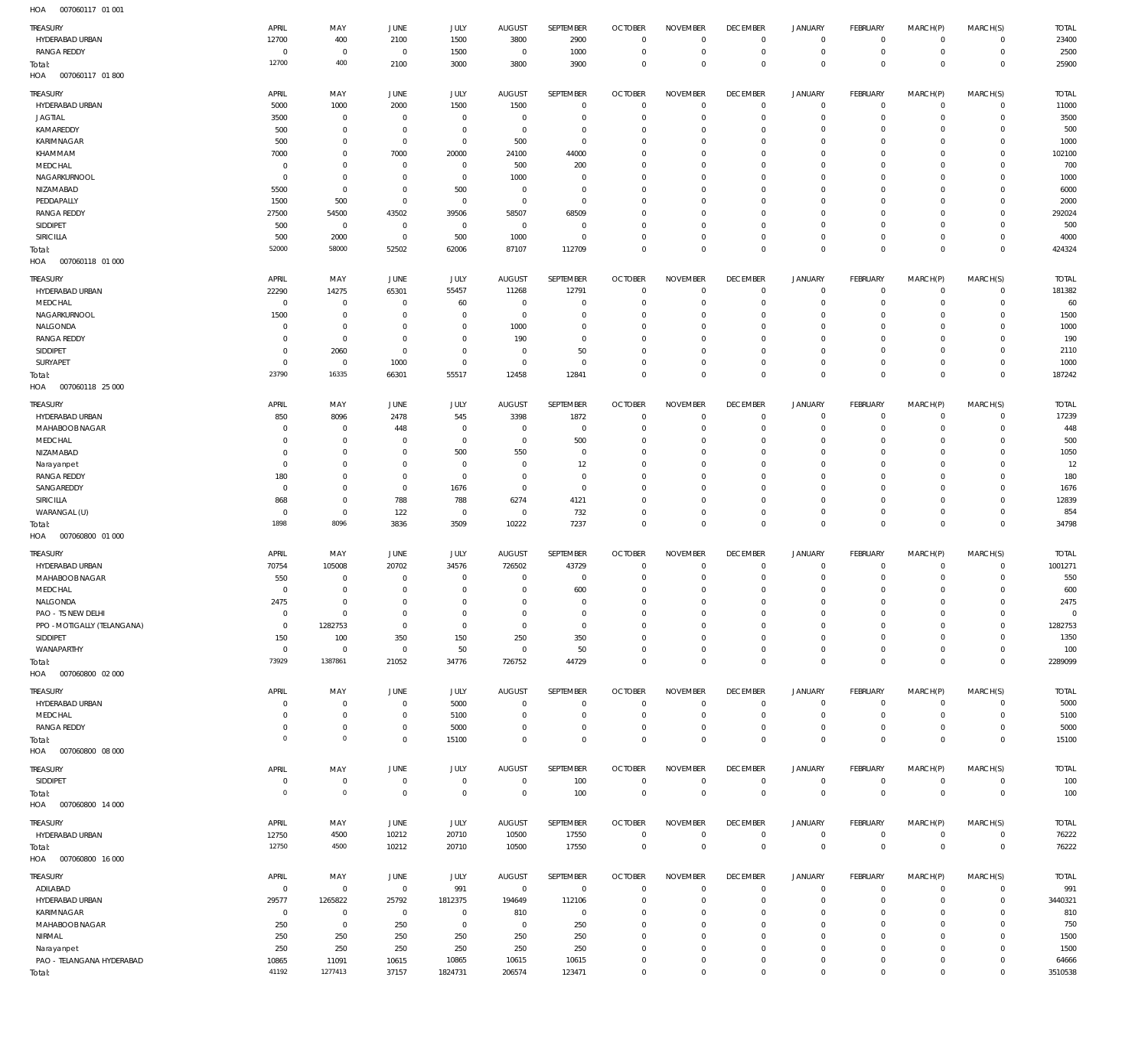| TREASURY                            |                |                  |                |                  |                 |                 |                             |                            |                               |                            |                        |                         |                        |                  |
|-------------------------------------|----------------|------------------|----------------|------------------|-----------------|-----------------|-----------------------------|----------------------------|-------------------------------|----------------------------|------------------------|-------------------------|------------------------|------------------|
|                                     | APRIL          | MAY              | JUNE           | <b>JULY</b>      | <b>AUGUST</b>   | SEPTEMBER       | <b>OCTOBER</b>              | <b>NOVEMBER</b>            | <b>DECEMBER</b>               | <b>JANUARY</b>             | FEBRUARY               | MARCH(P)                | MARCH(S)               | <b>TOTAL</b>     |
| HYDERABAD URBAN                     | 12700          | 400              | 2100           | 1500             | 3800            | 2900            | $\overline{0}$              | $\mathbf 0$                | $\overline{0}$                | $\overline{0}$             | $\circ$                | $\Omega$                | $\circ$                | 23400            |
| <b>RANGA REDDY</b>                  | $^{\circ}$     | $\overline{0}$   | $\overline{0}$ | 1500             | $\circ$         | 1000            | $^{\circ}$                  | $\mathbf 0$                | $\overline{0}$                | $\mathbf 0$                | $\mathbf 0$            | $\mathbf 0$             | $\mathbf 0$            | 2500             |
| Total:                              | 12700          | 400              | 2100           | 3000             | 3800            | 3900            | $\overline{0}$              | $\mathbf 0$                | $\overline{0}$                | $\mathbf{0}$               | $\mathbf 0$            | $\Omega$                | $\mathbf{0}$           | 25900            |
| HOA<br>007060117 01 800             |                |                  |                |                  |                 |                 |                             |                            |                               |                            |                        |                         |                        |                  |
|                                     |                |                  |                |                  |                 |                 |                             |                            |                               |                            |                        |                         |                        |                  |
| TREASURY                            | APRIL          | MAY              | JUNE           | <b>JULY</b>      | <b>AUGUST</b>   | SEPTEMBER       | <b>OCTOBER</b>              | <b>NOVEMBER</b>            | <b>DECEMBER</b>               | <b>JANUARY</b>             | FEBRUARY               | MARCH(P)                | MARCH(S)               | <b>TOTAL</b>     |
| HYDERABAD URBAN                     | 5000           | 1000             | 2000           | 1500             | 1500            | $\mathbf 0$     | $\mathbf 0$                 | $\mathbf 0$                | $\overline{0}$                | $\mathbf 0$                | 0                      | $\Omega$                | $\mathbf 0$            | 11000            |
| <b>JAGTIAL</b>                      | 3500           | $\overline{0}$   | $\Omega$       | $\mathbf 0$      | $^{\circ}$      | $\mathbf 0$     | $^{\circ}$                  | $\mathbf 0$                | $\overline{0}$                | $\mathbf 0$                | $\mathbb O$            | $\Omega$                | $\mathbf 0$            | 3500             |
| KAMAREDDY                           | 500            | $\overline{0}$   | $\Omega$       | $\mathbf 0$      | $^{\circ}$      | $\mathbf 0$     | $^{\circ}$                  | $\mathbf 0$                | $\mathbf 0$                   | 0                          | $\mathbf{0}$           | $\Omega$                | $\Omega$               | 500              |
| KARIMNAGAR                          | 500            | $\overline{0}$   | $\overline{0}$ | $\overline{0}$   | 500             | $\mathbb O$     | $^{\circ}$                  | $\mathbf 0$                | $\overline{0}$                | $\mathbf 0$                | $\mathbf 0$            | $\Omega$                | $\mathbf 0$            | 1000             |
| KHAMMAM                             | 7000           | $\,0\,$          | 7000           | 20000            | 24100           | 44000           | $^{\circ}$                  | $\Omega$                   | $\mathbf 0$                   | 0                          | $\mathbf 0$            | $\Omega$                | $\Omega$               | 102100           |
| MEDCHAL                             | $\mathbf 0$    | $\mathbf 0$      | $\Omega$       | $\mathbf 0$      | 500             | 200             | $^{\circ}$                  | $\mathbf 0$                | $\mathbf 0$                   | $\mathbf 0$                | $\mathbf 0$            | $\Omega$                | $\Omega$               | 700              |
|                                     |                | $\overline{0}$   | $\Omega$       |                  |                 | $\mathbb O$     | $^{\circ}$                  | $\Omega$                   | $\mathbf 0$                   | 0                          | $\mathbf{0}$           |                         | $\Omega$               | 1000             |
| NAGARKURNOOL                        | $\overline{0}$ |                  |                | $\overline{0}$   | 1000            |                 |                             |                            |                               |                            |                        |                         |                        |                  |
| NIZAMABAD                           | 5500           | $\overline{0}$   | $\Omega$       | 500              | $^{\circ}$      | $\mathbb O$     | $^{\circ}$                  | $\mathbf 0$                | $\mathbf 0$                   | 0                          | $\mathbf{0}$           | $\Omega$                | $\Omega$               | 6000             |
| PEDDAPALLY                          | 1500           | 500              | $\Omega$       | $\mathbf 0$      | $^{\circ}$      | $\mathbb O$     | $^{\circ}$                  | $\Omega$                   | $\mathbf 0$                   | 0                          | $\mathbf{0}$           | $\Omega$                | $\Omega$               | 2000             |
| <b>RANGA REDDY</b>                  | 27500          | 54500            | 43502          | 39506            | 58507           | 68509           | $^{\circ}$                  | $\Omega$                   | $\mathbf 0$                   | $\mathbf 0$                | $\mathbf{0}$           | $\Omega$                | $\Omega$               | 292024           |
| SIDDIPET                            | 500            | $\overline{0}$   | $^{\circ}$     | $\mathbf 0$      | $\mathbf 0$     | $\mathbf 0$     | $^{\circ}$                  | $\mathbf 0$                | $\mathbf 0$                   | 0                          | $\mathbf 0$            | $\Omega$                | $\Omega$               | 500              |
| SIRICILLA                           | 500            | 2000             | $\overline{0}$ | 500              | 1000            | $\mathbb O$     | $^{\circ}$                  | $\mathbf 0$                | $\overline{0}$                | $\mathbf 0$                | $\mathbf 0$            | $\Omega$                | $\circ$                | 4000             |
| Total:                              | 52000          | 58000            | 52502          | 62006            | 87107           | 112709          | $\overline{0}$              | $\mathbf 0$                | $\overline{0}$                | $\mathbf 0$                | $\,0\,$                | $\Omega$                | $\Omega$               | 424324           |
| 007060118 01 000<br>HOA             |                |                  |                |                  |                 |                 |                             |                            |                               |                            |                        |                         |                        |                  |
| TREASURY                            | APRIL          | MAY              | JUNE           | JULY             | <b>AUGUST</b>   | SEPTEMBER       | <b>OCTOBER</b>              | <b>NOVEMBER</b>            | <b>DECEMBER</b>               | <b>JANUARY</b>             | FEBRUARY               | MARCH(P)                | MARCH(S)               | <b>TOTAL</b>     |
|                                     |                |                  |                |                  |                 |                 |                             |                            |                               |                            |                        |                         |                        |                  |
| HYDERABAD URBAN                     | 22290          | 14275            | 65301          | 55457            | 11268           | 12791           | $\overline{0}$              | $\mathbf 0$                | $\overline{0}$<br>$\mathbf 0$ | $\mathsf 0$                | $\circ$                | $\Omega$                | $\circ$                | 181382           |
| MEDCHAL                             | $^{\circ}$     | $\overline{0}$   | $\Omega$       | 60               | $\circ$         | $\mathbf 0$     | $^{\circ}$                  | $\mathbf 0$                |                               | $\mathbf 0$                | $^{\circ}$             | $\Omega$                | $\mathbf 0$            | 60               |
| NAGARKURNOOL                        | 1500           | $\overline{0}$   | $\Omega$       | $\overline{0}$   | $\circ$         | $\mathbf 0$     | $^{\circ}$                  | $\mathbf 0$                | $\mathbf 0$                   | $\mathbf 0$                | $\circ$                | $\Omega$                | $\Omega$               | 1500             |
| NALGONDA                            | - 0            | $\overline{0}$   | $\Omega$       | $\mathbf 0$      | 1000            | $\mathbf 0$     | $^{\circ}$                  | $\Omega$                   | $\mathbf 0$                   | 0                          | $^{\circ}$             | $\Omega$                | $\Omega$               | 1000             |
| <b>RANGA REDDY</b>                  | $\overline{0}$ | $\overline{0}$   | $\Omega$       | $\overline{0}$   | 190             | $\mathbf 0$     | $^{\circ}$                  | $\mathbf 0$                | $\mathbf 0$                   | $\mathbf 0$                | $\mathbf 0$            | $\Omega$                | $\Omega$               | 190              |
| SIDDIPET                            | $\mathbf 0$    | 2060             | $\Omega$       | $\mathbf 0$      | $\circ$         | 50              | 0                           | $\mathbf 0$                | $\mathbf 0$                   | 0                          | $^{\circ}$             | $\Omega$                | $\Omega$               | 2110             |
| SURYAPET                            | $\mathbf 0$    | $\overline{0}$   | 1000           | $\mathbf 0$      | $\circ$         | $\mathbf 0$     | $^{\circ}$                  | $\mathbf 0$                | $\mathbf 0$                   | $\mathbf 0$                | $\mathbf 0$            | $\Omega$                | $\circ$                | 1000             |
| Total:                              | 23790          | 16335            | 66301          | 55517            | 12458           | 12841           | $\overline{0}$              | $\mathbf 0$                | $\mathbf 0$                   | $\mathbf 0$                | $\mathbf 0$            | $\Omega$                | $\mathbf{0}$           | 187242           |
| HOA<br>007060118 25 000             |                |                  |                |                  |                 |                 |                             |                            |                               |                            |                        |                         |                        |                  |
|                                     |                |                  |                |                  |                 |                 |                             |                            |                               |                            |                        |                         |                        |                  |
| TREASURY                            | APRIL          | MAY              | JUNE           | <b>JULY</b>      | <b>AUGUST</b>   | SEPTEMBER       | <b>OCTOBER</b>              | <b>NOVEMBER</b>            | <b>DECEMBER</b>               | <b>JANUARY</b>             | <b>FEBRUARY</b>        | MARCH(P)                | MARCH(S)               | <b>TOTAL</b>     |
| HYDERABAD URBAN                     | 850            | 8096             | 2478           | 545              | 3398            | 1872            | $\overline{0}$              | $\mathbf 0$                | $\overline{0}$                | $\overline{0}$             | 0                      | $\Omega$                | $\mathbf 0$            | 17239            |
| MAHABOOB NAGAR                      | - 0            | $^{\circ}$       | 448            | $\overline{0}$   | 0               | $\mathbb O$     | $\overline{0}$              | $\mathbf 0$                | $\overline{0}$                | $\mathbf 0$                | $\mathbf{0}$           | $\Omega$                | $\mathbf 0$            | 448              |
| MEDCHAL                             | $\overline{0}$ | $\overline{0}$   | $\Omega$       | $\mathbf 0$      | $^{\circ}$      | 500             | $^{\circ}$                  | $\mathbf 0$                | $\overline{0}$                | $\mathbf 0$                | $\mathbf 0$            | $\Omega$                | $\circ$                | 500              |
| NIZAMABAD                           | 0              | $\mathbf 0$      | $\Omega$       | 500              | 550             | $\mathbf 0$     | $^{\circ}$                  | $\Omega$                   | $\mathbf 0$                   | 0                          | $\mathbf{0}$           | $\Omega$                | $\Omega$               | 1050             |
| Narayanpet                          | $\overline{0}$ | $\overline{0}$   | $\Omega$       | $\overline{0}$   | $^{\circ}$      | 12              | $^{\circ}$                  | $\mathbf 0$                | $\overline{0}$                | $\mathbf 0$                | $\mathbf 0$            | $\Omega$                | $\Omega$               | 12               |
| <b>RANGA REDDY</b>                  | 180            | $\mathbf 0$      | $\Omega$       | $\mathbf 0$      | 0               | $\mathbf 0$     | $^{\circ}$                  | $\mathbf 0$                | $\mathbf 0$                   | 0                          | $^{\circ}$             | $\Omega$                | $\Omega$               | 180              |
| SANGAREDDY                          | $\overline{0}$ | $\overline{0}$   | $\overline{0}$ | 1676             | $^{\circ}$      | $\mathbf 0$     | $^{\circ}$                  | $\mathbf 0$                | $\mathbf 0$                   | 0                          | $\mathbf 0$            | $\Omega$                | $\Omega$               | 1676             |
| SIRICILLA                           | 868            | $\overline{0}$   | 788            | 788              | 6274            | 4121            | $^{\circ}$                  | $\mathbf 0$                | $\mathbf 0$                   | $\mathbf 0$                | $\mathbf 0$            | $\Omega$                | $\Omega$               | 12839            |
| WARANGAL (U)                        | $\mathbf 0$    | $\overline{0}$   | 122            | $\overline{0}$   | $\mathbf 0$     | 732             | $^{\circ}$                  | $\mathbf 0$                | $\overline{0}$                | $\mathbf 0$                | $\overline{0}$         | $\Omega$                | $\mathbf 0$            | 854              |
| Total:                              | 1898           | 8096             | 3836           | 3509             | 10222           | 7237            | $\overline{0}$              | $\mathbf 0$                | $\overline{0}$                | $\mathbf 0$                | $\mathbf 0$            | $^{\circ}$              | $\mathbf{0}$           | 34798            |
|                                     |                |                  |                |                  |                 |                 |                             |                            |                               |                            |                        |                         |                        |                  |
|                                     |                |                  |                |                  |                 |                 |                             |                            |                               |                            |                        |                         |                        |                  |
| HOA<br>007060800 01 000             |                |                  |                |                  |                 |                 |                             |                            |                               |                            |                        |                         |                        |                  |
| TREASURY                            | APRIL          | MAY              | JUNE           | JULY             | <b>AUGUST</b>   | SEPTEMBER       | <b>OCTOBER</b>              | <b>NOVEMBER</b>            | <b>DECEMBER</b>               | <b>JANUARY</b>             | <b>FEBRUARY</b>        | MARCH(P)                | MARCH(S)               | <b>TOTAL</b>     |
| HYDERABAD URBAN                     | 70754          | 105008           | 20702          | 34576            | 726502          | 43729           | $^{\circ}$                  | $\mathbf 0$                | $\overline{0}$                | $\mathbf 0$                | $^{\circ}$             | $\Omega$                | $\circ$                | 1001271          |
| MAHABOOB NAGAR                      | 550            | $\Omega$         | $\Omega$       | $\overline{0}$   | $\Omega$        | $\mathbf 0$     | $^{\circ}$                  | $\mathbf 0$                | $\overline{0}$                | $\mathbf 0$                | $^{\circ}$             | $\Omega$                | $\Omega$               | 550              |
| MEDCHAL                             | $\Omega$       | $\overline{0}$   | $\Omega$       | $\mathbf 0$      | $\mathbf{0}$    | 600             | $\mathbf 0$                 | $\mathbf 0$                | $\overline{0}$                | $\mathbf 0$                | $\mathbf 0$            | $\Omega$                | $\circ$                | 600              |
| NALGONDA                            | 2475           | $\,0\,$          | $\Omega$       | $\overline{0}$   | $\mathbf{0}$    | $\Omega$        | $\Omega$                    | $\Omega$                   | $\mathbf 0$                   | $\mathsf{O}\xspace$        | $\mathbb O$            | 0                       | $\mathbf 0$            | 2475             |
| PAO - TS NEW DELHI                  | $\overline{0}$ | $\overline{0}$   | $\overline{0}$ | $\mathbf 0$      | $\mathbf 0$     | $\mathbf 0$     | $\mathbf 0$                 | $\Omega$                   | $\mathbf 0$                   | $\mathbf 0$                | $\mathbf 0$            | $\Omega$                | $\Omega$               | $\overline{0}$   |
|                                     |                |                  | $\Omega$       | $\mathbf 0$      | $\mathbf{0}$    | $\mathbf 0$     | $\mathbf{0}$                | $\mathbf 0$                | $\mathbf 0$                   | $\mathbf 0$                | $\mathbf 0$            | $\Omega$                | $\Omega$               |                  |
| PPO - MOTIGALLY (TELANGANA)         | $\overline{0}$ | 1282753          |                |                  |                 |                 | $^{\circ}$                  | $\Omega$                   | $\mathbf 0$                   | $\mathbf 0$                |                        | $\Omega$                | $\Omega$               | 1282753          |
| SIDDIPET                            | 150            | 100              | 350            | 150              | 250             | 350             |                             |                            |                               |                            | $\mathbf 0$            | $\Omega$                |                        | 1350             |
| WANAPARTHY                          | $\mathbf 0$    | $\overline{0}$   | $\overline{0}$ | 50               | $\mathbf{0}$    | 50              | $^{\circ}$                  | $\mathbf 0$                | $\overline{0}$                | $\mathbf 0$                | $\mathbf 0$            |                         | $\circ$                | 100              |
| Total:                              | 73929          | 1387861          | 21052          | 34776            | 726752          | 44729           | $\mathbf 0$                 | $\mathbf 0$                | $\overline{0}$                | $\overline{0}$             | $\,0\,$                | $\overline{0}$          | $\overline{0}$         | 2289099          |
| HOA<br>007060800 02 000             |                |                  |                |                  |                 |                 |                             |                            |                               |                            |                        |                         |                        |                  |
| <b>TREASURY</b>                     | APRIL          | MAY              | JUNE           | JULY             | <b>AUGUST</b>   | SEPTEMBER       | <b>OCTOBER</b>              | <b>NOVEMBER</b>            | <b>DECEMBER</b>               | JANUARY                    | FEBRUARY               | MARCH(P)                | MARCH(S)               | TOTAL            |
| HYDERABAD URBAN                     | $\mathbf 0$    | $\overline{0}$   | $\overline{0}$ | 5000             | $\mathbf 0$     | $\mathbf 0$     | $\mathbf 0$                 | $\mathbf 0$                | $\overline{0}$                | $\overline{0}$             | 0                      | $\Omega$                | $\Omega$               | 5000             |
| MEDCHAL                             | $\mathbf 0$    | $\overline{0}$   | $\overline{0}$ | 5100             | $^{\circ}$      | $\mathbf 0$     | $\overline{0}$              | $\mathbf 0$                | $\mathbf 0$                   | $\mathsf 0$                | $\overline{0}$         | $\circ$                 | $\mathbf 0$            | 5100             |
| <b>RANGA REDDY</b>                  | $\mathbf 0$    | $\overline{0}$   | $\Omega$       | 5000             | $^{\circ}$      | $\mathbf 0$     | $\mathbf 0$                 | $\mathbf 0$                | $\overline{0}$                | $\mathbf 0$                | $\mathbb O$            | $\circ$                 | $\mathbf 0$            | 5000             |
| Total:                              | $^{\circ}$     | $\circ$          | $\overline{0}$ | 15100            | $\mathbf{0}$    | $\mathbf 0$     | $\mathbf 0$                 | $\mathbf 0$                | $\overline{0}$                | $\mathbf 0$                | $\,0\,$                | $^{\circ}$              | $\mathbf 0$            | 15100            |
| HOA<br>007060800 08 000             |                |                  |                |                  |                 |                 |                             |                            |                               |                            |                        |                         |                        |                  |
|                                     |                |                  |                |                  |                 |                 |                             |                            |                               |                            |                        |                         |                        |                  |
| TREASURY                            | APRIL          | MAY              | JUNE           | JULY             | <b>AUGUST</b>   | SEPTEMBER       | <b>OCTOBER</b>              | <b>NOVEMBER</b>            | <b>DECEMBER</b>               | JANUARY                    | FEBRUARY               | MARCH(P)                | MARCH(S)               | <b>TOTAL</b>     |
| SIDDIPET                            | $\overline{0}$ | $\overline{0}$   | $\overline{0}$ | $\overline{0}$   | $\mathbf 0$     | 100             | $\mathbf 0$                 | $\mathbf 0$                | $\overline{0}$                | $\mathsf 0$                | $\overline{0}$         | $\mathbf 0$             | $\circ$                | 100              |
| Total:                              | $\mathbf{0}$   | $\circ$          | $\overline{0}$ | $\overline{0}$   | $\mathbf 0$     | 100             | $\overline{0}$              | $\overline{0}$             | $\overline{0}$                | $\mathbb O$                | $\overline{0}$         | $\overline{0}$          | $\mathbf 0$            | 100              |
| 007060800 14 000<br>HOA             |                |                  |                |                  |                 |                 |                             |                            |                               |                            |                        |                         |                        |                  |
|                                     |                |                  |                |                  |                 |                 |                             |                            |                               |                            |                        |                         |                        |                  |
| TREASURY                            | APRIL          | MAY              | JUNE           | JULY             | AUGUST          | SEPTEMBER       | <b>OCTOBER</b>              | <b>NOVEMBER</b>            | <b>DECEMBER</b>               | <b>JANUARY</b>             | FEBRUARY               | MARCH(P)                | MARCH(S)               | TOTAL            |
| HYDERABAD URBAN                     | 12750          | 4500             | 10212          | 20710            | 10500           | 17550           | $\mathbf 0$                 | $\overline{0}$             | $\overline{0}$                | $\mathsf 0$                | $\overline{0}$         | $\mathbf 0$             | $\mathbf 0$            | 76222            |
| Total:                              | 12750          | 4500             | 10212          | 20710            | 10500           | 17550           | $\overline{0}$              | $\mathbf 0$                | $\mathbf 0$                   | $\mathbf 0$                | $\overline{0}$         | $\mathbf 0$             | $\mathbf 0$            | 76222            |
| 007060800 16 000<br>HOA             |                |                  |                |                  |                 |                 |                             |                            |                               |                            |                        |                         |                        |                  |
| TREASURY                            | APRIL          | MAY              | JUNE           | JULY             | <b>AUGUST</b>   | SEPTEMBER       | <b>OCTOBER</b>              | <b>NOVEMBER</b>            | <b>DECEMBER</b>               | <b>JANUARY</b>             | <b>FEBRUARY</b>        |                         |                        | <b>TOTAL</b>     |
|                                     |                |                  |                |                  |                 | $\mathbf 0$     | $\overline{0}$              | $\mathbf 0$                |                               |                            |                        | MARCH(P)<br>$\mathbf 0$ | MARCH(S)               |                  |
| ADILABAD                            | $\mathbf 0$    | $\overline{0}$   | $\mathbf 0$    | 991              | $\mathbf 0$     |                 |                             | $\mathbf 0$                | $\overline{0}$<br>$\mathbf 0$ | $\mathsf 0$                | $\circ$                | $\Omega$                | $\circ$<br>$\mathbf 0$ | 991              |
| HYDERABAD URBAN                     | 29577          | 1265822          | 25792          | 1812375          | 194649          | 112106          | $\overline{0}$              |                            |                               | $\mathbf 0$                | $\mathbb O$            |                         |                        | 3440321          |
| KARIMNAGAR                          | $\overline{0}$ | $\overline{0}$   | $\overline{0}$ | $\overline{0}$   | 810             | $\mathbf 0$     | $\mathbf{0}$                | $\mathbf 0$                | $\overline{0}$                | $\mathbf 0$                | $\mathbf 0$            | $\Omega$                | $\circ$                | 810              |
| MAHABOOB NAGAR                      | 250            | $\overline{0}$   | 250            | $\overline{0}$   | $\mathbf 0$     | 250             | $^{\circ}$                  | $\Omega$                   | $\mathbf 0$                   | $\mathbf 0$                | $\mathbf 0$            | $\Omega$                | $\Omega$               | 750              |
| NIRMAL                              | 250            | 250              | 250            | 250              | 250             | 250             | $\mathbf{0}$                | $\mathbf 0$                | $\overline{0}$                | $\mathbf 0$                | $\mathbf 0$            | $\Omega$                | $\circ$                | 1500             |
| Narayanpet                          | 250            | 250              | 250            | 250              | 250             | 250             | $^{\circ}$                  | $\mathbf 0$                | $\mathbf 0$                   | $\mathsf{O}\xspace$        | $\mathbf 0$            | $\Omega$                | $\Omega$               | 1500             |
| PAO - TELANGANA HYDERABAD<br>Total: | 10865<br>41192 | 11091<br>1277413 | 10615<br>37157 | 10865<br>1824731 | 10615<br>206574 | 10615<br>123471 | $\mathbf{0}$<br>$\mathbf 0$ | $\mathbf 0$<br>$\mathbf 0$ | $\overline{0}$<br>$\mathbf 0$ | $\mathbf 0$<br>$\mathbf 0$ | $\mathbb O$<br>$\,0\,$ | $\Omega$<br>$\mathbf 0$ | $\circ$<br>$\mathbf 0$ | 64666<br>3510538 |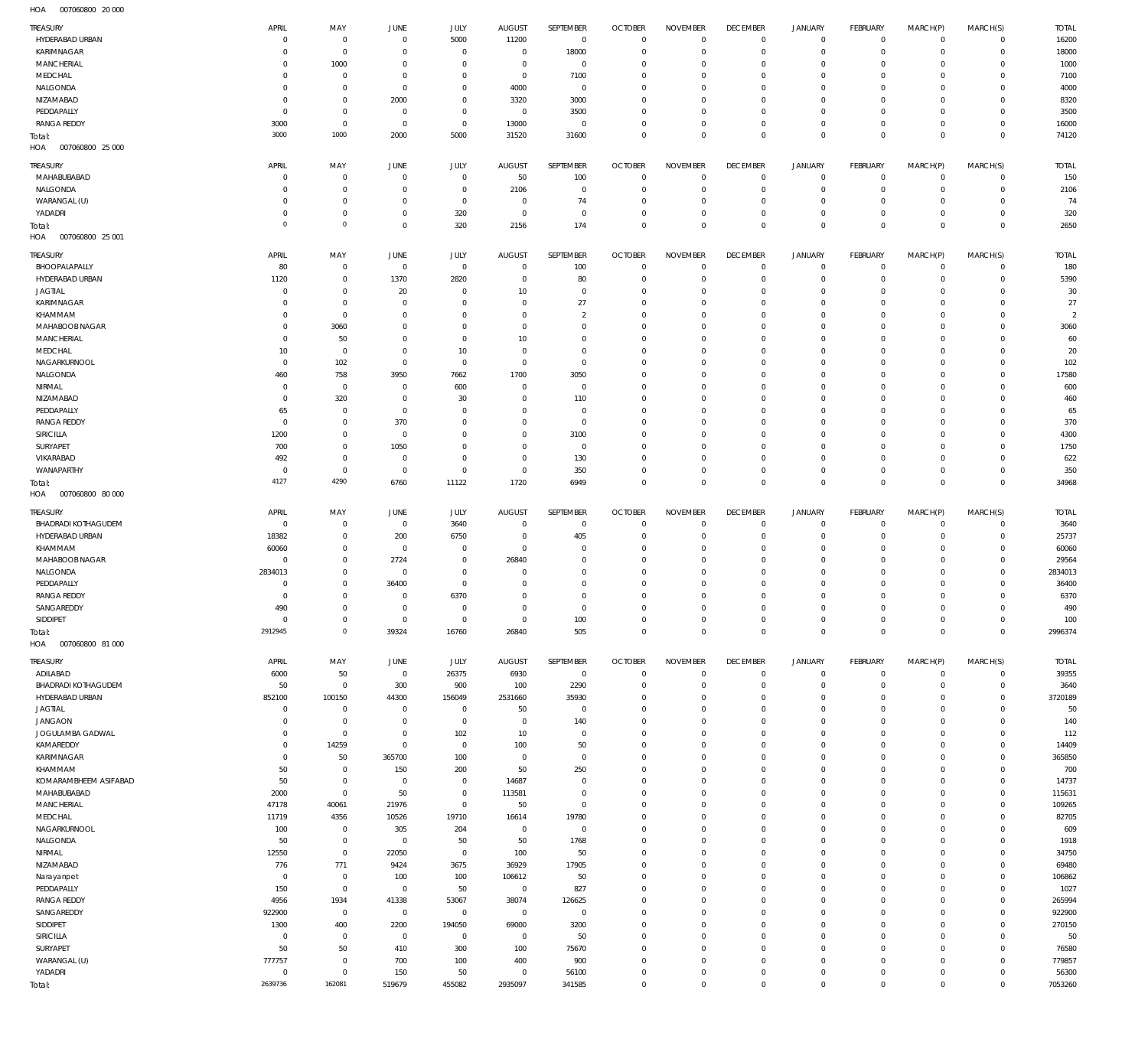007060800 20 000 HOA

| TREASURY                               | APRIL                            | MAY                        | JUNE                      | <b>JULY</b>                | <b>AUGUST</b>              | SEPTEMBER                     | <b>OCTOBER</b>                   | <b>NOVEMBER</b>               | <b>DECEMBER</b>                  | <b>JANUARY</b>           | FEBRUARY                   | MARCH(P)                | MARCH(S)                   | TOTAL                  |
|----------------------------------------|----------------------------------|----------------------------|---------------------------|----------------------------|----------------------------|-------------------------------|----------------------------------|-------------------------------|----------------------------------|--------------------------|----------------------------|-------------------------|----------------------------|------------------------|
| HYDERABAD URBAN                        | $\overline{0}$                   | $\mathbf 0$                | $\circ$                   | 5000                       | 11200                      | $\overline{0}$                | $\overline{0}$                   | $\mathbf 0$                   | $\overline{0}$                   | 0                        | $\circ$                    | $\Omega$                | $\mathbf 0$                | 16200                  |
| KARIMNAGAR                             | $\Omega$                         | $\mathbf 0$                | $\mathbf 0$               | $\mathbb O$                | $\mathbf 0$                | 18000                         | $\overline{0}$                   | $\mathbf 0$                   | $\overline{0}$                   | $\mathbf 0$              | $\circ$                    | $\Omega$                | $\mathbf 0$                | 18000                  |
| MANCHERIAL                             | $\Omega$                         | 1000                       | $^{\circ}$                | $\mathbf 0$                | 0                          | $\overline{0}$                | $\overline{0}$                   | $\mathbf 0$                   | $\overline{0}$                   | $\circ$                  | $\mathbf 0$                | $\Omega$                | $\mathbf 0$                | 1000                   |
| MEDCHAL                                | $\Omega$                         | $\mathbf 0$                | $\mathbf 0$               | $\mathbf 0$                | $\mathbf 0$                | 7100                          | $\overline{0}$                   | $\mathbf 0$                   | $\overline{0}$                   | $\circ$                  | $\mathbf 0$                | $\Omega$                | $\circ$                    | 7100                   |
| NALGONDA<br>NIZAMABAD                  | $\mathbf 0$<br>$\Omega$          | $\mathbf 0$<br>$\mathbf 0$ | $\mathbf 0$<br>2000       | $\mathbf 0$<br>$\mathbf 0$ | 4000<br>3320               | $\overline{0}$<br>3000        | $\overline{0}$<br>$\overline{0}$ | $\Omega$<br>$\mathbf 0$       | $\mathbf 0$<br>$\mathbf 0$       | $^{\circ}$<br>$\circ$    | $\mathbf 0$<br>$\mathbf 0$ | $\Omega$<br>$\Omega$    | $\Omega$<br>$\circ$        | 4000<br>8320           |
| PEDDAPALLY                             | $\overline{0}$                   | $\mathbf 0$                | 0                         | $\mathbb O$                | $\mathbf 0$                | 3500                          | $\overline{0}$                   | $\mathbf 0$                   | $\mathbf{0}$                     | $\circ$                  | $\mathbf 0$                | $\Omega$                | $\mathbf 0$                | 3500                   |
| <b>RANGA REDDY</b>                     | 3000                             | $\mathbf 0$                | $\overline{0}$            | $\mathbf 0$                | 13000                      | $\overline{0}$                | $\overline{0}$                   | $\mathbf 0$                   | $\overline{0}$                   | $\mathbf 0$              | $\mathbf 0$                | $\Omega$                | $\mathbf 0$                | 16000                  |
| Total:                                 | 3000                             | 1000                       | 2000                      | 5000                       | 31520                      | 31600                         | $\overline{0}$                   | $\mathbf 0$                   | $\mathbb O$                      | $\mathbf 0$              | $\overline{0}$             | $\Omega$                | $\mathbf 0$                | 74120                  |
| HOA<br>007060800 25 000                |                                  |                            |                           |                            |                            |                               |                                  |                               |                                  |                          |                            |                         |                            |                        |
| TREASURY                               | APRIL                            | MAY                        | JUNE                      | JULY                       | <b>AUGUST</b>              | SEPTEMBER                     | <b>OCTOBER</b>                   | <b>NOVEMBER</b>               | <b>DECEMBER</b>                  | <b>JANUARY</b>           | FEBRUARY                   | MARCH(P)                | MARCH(S)                   | <b>TOTAL</b>           |
| MAHABUBABAD                            | $\Omega$                         | $\mathbf 0$                | $^{\circ}$                | $^{\circ}$                 | 50                         | 100                           | $\overline{0}$                   | $\mathbf{0}$                  | $\overline{0}$                   | 0                        | $\circ$                    | $\Omega$                | $\circ$                    | 150                    |
| NALGONDA                               | $\Omega$                         | $\mathbf 0$                | $^{\circ}$                | $\mathbf 0$                | 2106                       | $\overline{0}$                | $\overline{0}$                   | $\Omega$                      | $\overline{0}$                   | $\circ$                  | $\mathbf 0$                | $\Omega$                | $\mathbf 0$                | 2106                   |
| WARANGAL (U)<br>YADADRI                | $\Omega$<br>0                    | $\mathbf 0$<br>$\mathbf 0$ | $^{\circ}$<br>$^{\circ}$  | $\mathbf 0$<br>320         | $\mathbf 0$<br>$\mathbf 0$ | 74<br>$\overline{0}$          | $\mathbf 0$<br>$\mathbf 0$       | $\mathbf 0$<br>$\mathbf 0$    | $\overline{0}$<br>$\overline{0}$ | $\circ$<br>0             | $\mathbf 0$<br>$\circ$     | $\Omega$<br>$\Omega$    | $\circ$<br>$\mathbf 0$     | 74<br>320              |
| Total:                                 | $^{\circ}$                       | $\circ$                    | $\mathbf 0$               | 320                        | 2156                       | 174                           | $\overline{0}$                   | $\Omega$                      | $\overline{0}$                   | $\mathbf 0$              | $\overline{0}$             | $\Omega$                | $\overline{0}$             | 2650                   |
| HOA<br>007060800 25 001                |                                  |                            |                           |                            |                            |                               |                                  |                               |                                  |                          |                            |                         |                            |                        |
| TREASURY                               | APRIL                            | MAY                        | JUNE                      | JULY                       | <b>AUGUST</b>              | SEPTEMBER                     | <b>OCTOBER</b>                   | <b>NOVEMBER</b>               | <b>DECEMBER</b>                  | <b>JANUARY</b>           | FEBRUARY                   | MARCH(P)                | MARCH(S)                   | <b>TOTAL</b>           |
| BHOOPALAPALLY                          | 80                               | $\mathbf 0$                | $\mathbf 0$               | $\mathbb O$                | $\mathbf 0$                | 100                           | $\overline{0}$                   | $\mathbf 0$                   | $\overline{0}$                   | 0                        | $\circ$                    | $\Omega$                | $\mathbf 0$                | 180                    |
| HYDERABAD URBAN                        | 1120                             | $\mathbf 0$                | 1370                      | 2820                       | 0                          | 80                            | $\overline{0}$                   | $\mathbf 0$                   | $\overline{0}$                   | $\circ$                  | $\circ$                    | $\Omega$                | $\mathbf 0$                | 5390                   |
| <b>JAGTIAL</b>                         | $\overline{0}$                   | $\mathbf 0$                | 20                        | $\mathbf 0$                | 10                         | $\overline{0}$                | $\overline{0}$                   | $\mathbf 0$                   | $\overline{0}$                   | $\circ$                  | $\mathbf 0$                | $\Omega$                | $\circ$                    | 30                     |
| KARIMNAGAR                             | $\Omega$                         | $\mathbf 0$                | $\circ$                   | $^{\circ}$                 | $\mathbf 0$                | 27                            | $\overline{0}$                   | $\Omega$                      | $\overline{0}$                   | $\circ$                  | $\mathbf 0$                | $\Omega$                | $\circ$                    | 27                     |
| KHAMMAM<br>MAHABOOB NAGAR              | $\Omega$<br>$\Omega$             | $\mathbf 0$<br>3060        | $\mathbf 0$<br>$^{\circ}$ | $\mathbf 0$<br>$\mathbf 0$ | $\mathbf 0$<br>$\mathbf 0$ | $\overline{2}$<br>$\mathbf 0$ | $\overline{0}$<br>$\overline{0}$ | $\mathbf 0$<br>$\Omega$       | $\mathbf{0}$<br>$\mathbf{0}$     | $^{\circ}$<br>$^{\circ}$ | $\mathbf 0$<br>$\Omega$    | $\Omega$<br>$\Omega$    | $\mathbf 0$<br>$\Omega$    | $\overline{2}$<br>3060 |
| MANCHERIAL                             | $\Omega$                         | 50                         | $\mathbf 0$               | $\mathbf 0$                | 10                         | $\mathbf 0$                   | $\overline{0}$                   | $\mathbf 0$                   | $\mathbf{0}$                     | $\circ$                  | $\mathbf 0$                | $\Omega$                | $\circ$                    | 60                     |
| MEDCHAL                                | 10                               | $\mathbf 0$                | $^{\circ}$                | 10                         | $\mathbf 0$                | $\mathbf 0$                   | $\mathbf 0$                      | $\Omega$                      | $\mathbf{0}$                     | $^{\circ}$               | $\Omega$                   | $\Omega$                | $\circ$                    | 20                     |
| NAGARKURNOOL                           | $\overline{0}$                   | 102                        | $\mathbf 0$               | $\mathbf 0$                | $\mathbf{0}$               | $\mathbf 0$                   | $\overline{0}$                   | $\mathbf 0$                   | $\mathbf{0}$                     | $\Omega$                 | $\Omega$                   | $\Omega$                | $\mathbf 0$                | 102                    |
| NALGONDA                               | 460                              | 758                        | 3950                      | 7662                       | 1700                       | 3050                          | $\mathbf 0$                      | $\Omega$                      | $\mathbf{0}$                     | $^{\circ}$               | $\mathbf 0$                |                         | $\Omega$                   | 17580                  |
| NIRMAL                                 | $\overline{0}$                   | $\mathbf 0$                | $^{\circ}$                | 600                        | $\mathbf 0$                | $\overline{0}$                | $\overline{0}$                   | $\mathbf 0$                   | $\mathbf{0}$                     | $\circ$                  | $\mathbf 0$                | $\Omega$                | $\circ$                    | 600                    |
| NIZAMABAD                              | $^{\circ}$                       | 320                        | $^{\circ}$                | 30                         | $\mathbf 0$                | 110                           | $\mathbf 0$                      | $\Omega$                      | $\mathbf{0}$                     | $^{\circ}$               | $\mathbf 0$                | $\Omega$                | $\Omega$                   | 460                    |
| PEDDAPALLY<br><b>RANGA REDDY</b>       | 65<br>$\overline{0}$             | $\mathbf 0$<br>$\mathbf 0$ | $\mathbf 0$<br>370        | $\mathbf 0$<br>$\mathbf 0$ | $\mathbf 0$<br>$\mathbf 0$ | $\mathbf 0$<br>$\mathbf 0$    | $\overline{0}$<br>$\overline{0}$ | $\Omega$<br>$\mathbf 0$       | $\mathbf{0}$<br>$\mathbf{0}$     | $\Omega$<br>$\circ$      | $\Omega$<br>$\mathbf 0$    | $\Omega$<br>$\Omega$    | $\circ$<br>$\Omega$        | 65<br>370              |
| <b>SIRICILLA</b>                       | 1200                             | $\mathbf 0$                | 0                         | $\mathbf 0$                | $\mathbf 0$                | 3100                          | $\overline{0}$                   | $\mathbf 0$                   | $\mathbf{0}$                     | $\Omega$                 | $\Omega$                   | $\Omega$                | $\circ$                    | 4300                   |
| SURYAPET                               | 700                              | $\mathbf 0$                | 1050                      | $\mathbf 0$                | $\mathbf 0$                | $\overline{0}$                | $\overline{0}$                   | $\mathbf 0$                   | $\mathbf{0}$                     | $\circ$                  | $\mathbf 0$                | $\Omega$                | $\mathbf 0$                | 1750                   |
| VIKARABAD                              | 492                              | $\mathbf 0$                | $^{\circ}$                | $\mathbf 0$                | $\mathbf 0$                | 130                           | $\overline{0}$                   | $\Omega$                      | $\mathbf{0}$                     | $\circ$                  | $\circ$                    | $\Omega$                | $\circ$                    | 622                    |
| WANAPARTHY                             | $\overline{0}$                   | $\mathbf 0$                | $\mathbf 0$               | $\mathbb O$                | $\mathbf 0$                | 350                           | $\overline{0}$                   | $\mathbf 0$                   | $\overline{0}$                   | $\mathbf 0$              | $\circ$                    | $\Omega$                | $\mathbf 0$                | 350                    |
| Total:                                 | 4127                             | 4290                       | 6760                      | 11122                      | 1720                       | 6949                          | $\overline{0}$                   | $\mathbf 0$                   | $\overline{0}$                   | $\mathbf 0$              | $\mathbb O$                | $\Omega$                | $\mathbf 0$                | 34968                  |
| HOA<br>007060800 80 000                |                                  |                            |                           |                            |                            |                               |                                  |                               |                                  |                          |                            |                         |                            |                        |
|                                        |                                  |                            |                           |                            |                            |                               |                                  |                               |                                  |                          |                            |                         |                            |                        |
| TREASURY                               | APRIL                            | MAY                        | <b>JUNE</b>               | <b>JULY</b>                | <b>AUGUST</b>              | SEPTEMBER                     | <b>OCTOBER</b>                   | <b>NOVEMBER</b>               | <b>DECEMBER</b>                  | <b>JANUARY</b>           | FEBRUARY                   | MARCH(P)                | MARCH(S)                   | <b>TOTAL</b>           |
| <b>BHADRADI KOTHAGUDEM</b>             | $\overline{0}$                   | $\mathbf 0$                | $\mathbf 0$               | 3640                       | $\mathbf 0$                | $\overline{0}$                | $\overline{0}$                   | $\mathbf 0$                   | $\mathbf 0$                      | $\circ$                  | $\mathbf 0$                | $\Omega$                | $\circ$                    | 3640                   |
| HYDERABAD URBAN                        | 18382                            | $\mathbf 0$                | 200                       | 6750                       | $\mathbf 0$                | 405                           | $\overline{0}$                   | $\mathbf 0$                   | $\overline{0}$                   | $\mathbf 0$              | $\circ$                    | $\Omega$                | $\circ$                    | 25737                  |
| KHAMMAM                                | 60060<br>$\Omega$                | $\mathbf 0$                | $\mathbf 0$               | $\mathbf 0$<br>$\mathbf 0$ | $\mathbf 0$                | $\mathbf 0$<br>$\mathbf 0$    | $\mathbf 0$<br>$\mathbf 0$       | $\mathbf 0$<br>$\Omega$       | $\overline{0}$<br>$\mathbf{0}$   | $\circ$<br>$\circ$       | $\mathbf 0$<br>$\Omega$    | $\Omega$<br>$\Omega$    | $\mathbf 0$<br>$\Omega$    | 60060                  |
| MAHABOOB NAGAR<br>NALGONDA             | 2834013                          | $\mathbf 0$<br>$\mathbf 0$ | 2724<br>$\mathbf 0$       | $^{\circ}$                 | 26840<br>$\mathbf 0$       | $\mathbf 0$                   | $\mathbf 0$                      | $\Omega$                      | $\mathbf{0}$                     | $\circ$                  | $\mathbf 0$                | $\Omega$                | $\mathbf 0$                | 29564<br>2834013       |
| PEDDAPALLY                             | $\Omega$                         | $\mathbf 0$                | 36400                     | $^{\circ}$                 | $\Omega$                   | $\mathbf 0$                   | $\mathbf 0$                      | $\Omega$                      | $\mathbf{0}$                     | $\Omega$                 | $\Omega$                   | $\Omega$                | $\Omega$                   | 36400                  |
| <b>RANGA REDDY</b>                     | $\mathbf{0}$                     | $\mathbf 0$                | $\mathbf{0}$              | 6370                       | $\mathbf 0$                | $\mathbf 0$                   | $\overline{0}$                   | $\Omega$                      | $\overline{0}$                   | $\circ$                  | $\circ$                    | $\Omega$                | $\mathbf 0$                | 6370                   |
| SANGAREDDY                             | 490                              | $\mathbf{0}$               | $\Omega$                  | $\Omega$                   | $\mathsf{O}\xspace$        | $\Omega$                      | $\Omega$                         | $\Omega$                      | $\mathbf 0$                      | $\mathbb O$              | $\mathsf{O}\xspace$        | $\Omega$                | $\mathbb O$                | 490                    |
| SIDDIPET                               | $\mathbf 0$                      | $\mathbf 0$                | $\mathbb O$               | $\mathbb O$                | $\,0\,$                    | 100                           | $\overline{0}$                   | $\mathbf 0$                   | $\overline{0}$                   | $\mathbb O$              | $\circ$                    | $\Omega$                | $\mathbf 0$                | 100                    |
| Total:<br>HOA<br>007060800 81 000      | 2912945                          | $\circ$                    | 39324                     | 16760                      | 26840                      | 505                           | $\overline{0}$                   | $\mathbf 0$                   | $\mathbf 0$                      | $\,0\,$                  | $\overline{0}$             | $\mathbf 0$             | $\mathbf 0$                | 2996374                |
|                                        |                                  |                            |                           |                            |                            |                               |                                  |                               |                                  |                          |                            |                         |                            |                        |
| TREASURY                               | APRIL                            | MAY                        | JUNE                      | JULY                       | <b>AUGUST</b>              | SEPTEMBER                     | <b>OCTOBER</b>                   | <b>NOVEMBER</b>               | <b>DECEMBER</b>                  | <b>JANUARY</b>           | FEBRUARY                   | MARCH(P)<br>$\mathbf 0$ | MARCH(S)                   | <b>TOTAL</b>           |
| ADILABAD<br><b>BHADRADI KOTHAGUDEM</b> | 6000<br>50                       | 50<br>$\mathbf 0$          | $\mathbf 0$<br>300        | 26375<br>900               | 6930<br>100                | $\overline{0}$<br>2290        | $\overline{0}$<br>$\overline{0}$ | $\overline{0}$<br>$\mathbf 0$ | $\overline{0}$<br>$\overline{0}$ | $\overline{0}$<br>0      | $\circ$<br>$\circ$         | $\Omega$                | $\mathbb O$<br>$\mathbb O$ | 39355<br>3640          |
| HYDERABAD URBAN                        | 852100                           | 100150                     | 44300                     | 156049                     | 2531660                    | 35930                         | $\overline{0}$                   | $\mathbf 0$                   | $\overline{0}$                   | 0                        | $\mathsf{O}\xspace$        | $\Omega$                | $\mathbf 0$                | 3720189                |
| <b>JAGTIAL</b>                         | $\overline{0}$                   | $\mathbf 0$                | $\mathbf 0$               | $\mathbb O$                | 50                         | $\overline{0}$                | $\overline{0}$                   | $\mathbf 0$                   | $\overline{0}$                   | 0                        | $\mathbf 0$                | $\Omega$                | $\mathbf 0$                | 50                     |
| JANGAON                                | $\overline{0}$                   | $\mathbf 0$                | $\mathbb O$               | $\mathbf 0$                | $\overline{0}$             | 140                           | $\overline{0}$                   | $\mathbf 0$                   | $\overline{0}$                   | $\circ$                  | $\mathbf 0$                | $\Omega$                | $\mathbf 0$                | 140                    |
| JOGULAMBA GADWAL                       | $\overline{0}$                   | $\mathbf 0$                | $\mathbf 0$               | 102                        | 10                         | $\overline{0}$                | $\overline{0}$                   | $\mathbf 0$                   | $\overline{0}$                   | 0                        | $\mathbf 0$                | $\Omega$<br>$\Omega$    | $\mathbf 0$                | 112                    |
| KAMAREDDY<br>KARIMNAGAR                | $\overline{0}$<br>$\overline{0}$ | 14259                      | $\mathbb O$<br>365700     | $\mathbb O$<br>100         | 100<br>$\mathbf 0$         | 50<br>$\mathbf 0$             | $\overline{0}$<br>$\overline{0}$ | $\mathbf 0$<br>$\mathbf 0$    | $\overline{0}$<br>$\overline{0}$ | $\circ$<br>0             | $\mathbf 0$<br>$\mathbf 0$ | $\Omega$                | $\mathbf 0$<br>$\mathbf 0$ | 14409                  |
| KHAMMAM                                | 50                               | 50<br>$\mathbf 0$          | 150                       | 200                        | 50                         | 250                           | $\overline{0}$                   | $\mathbf 0$                   | $\overline{0}$                   | $\circ$                  | $\mathbf 0$                | $\Omega$                | $\mathbf 0$                | 365850<br>700          |
| KOMARAMBHEEM ASIFABAD                  | 50                               | $\mathbf 0$                | $\mathbf 0$               | $\mathbb O$                | 14687                      | $\mathbf 0$                   | $\overline{0}$                   | $\mathbf 0$                   | $\overline{0}$                   | 0                        | $\mathbf 0$                | $\Omega$                | $\mathbf 0$                | 14737                  |
| MAHABUBABAD                            | 2000                             | $\mathbf 0$                | 50                        | $\mathbf 0$                | 113581                     | $\mathbf 0$                   | $\overline{0}$                   | $\mathbf 0$                   | $\overline{0}$                   | $\circ$                  | $\mathbf 0$                | $\Omega$                | $\mathbf 0$                | 115631                 |
| MANCHERIAL                             | 47178                            | 40061                      | 21976                     | $\mathbf 0$                | 50                         | $\bf 0$                       | $\overline{0}$                   | $\mathbf 0$                   | $\overline{0}$                   | 0                        | $\mathbf 0$                | $\Omega$                | $\mathbf 0$                | 109265                 |
| MEDCHAL                                | 11719                            | 4356                       | 10526                     | 19710                      | 16614                      | 19780                         | $\overline{0}$                   | $\mathbf 0$                   | $\mathbf 0$                      | $\circ$                  | $\mathbf 0$                | $\Omega$                | $\mathbf 0$                | 82705                  |
| NAGARKURNOOL<br>NALGONDA               | 100<br>50                        | $\mathbf 0$<br>$\mathbf 0$ | 305<br>$\mathbb O$        | 204<br>50                  | $\mathbf 0$<br>50          | $\overline{0}$<br>1768        | $\overline{0}$<br>$\overline{0}$ | $\mathbf 0$<br>$\mathbf 0$    | $\overline{0}$<br>$\overline{0}$ | 0<br>$\circ$             | $\mathbf 0$<br>$\mathbf 0$ | $\Omega$<br>$\Omega$    | $\mathbf 0$<br>$\mathbf 0$ | 609<br>1918            |
| NIRMAL                                 | 12550                            | $\mathbf 0$                | 22050                     | $\mathbb O$                | 100                        | 50                            | $\overline{0}$                   | $\mathbf 0$                   | $\overline{0}$                   | $\circ$                  | $\mathbf 0$                | $\Omega$                | $\mathbf 0$                | 34750                  |
| NIZAMABAD                              | 776                              | 771                        | 9424                      | 3675                       | 36929                      | 17905                         | $\overline{0}$                   | $\mathbf 0$                   | $\mathbf 0$                      | $\circ$                  | $\mathbf 0$                | $\Omega$                | $\mathbf 0$                | 69480                  |
| Narayanpet                             | $\overline{0}$                   | $\mathbf 0$                | 100                       | 100                        | 106612                     | 50                            | $\overline{0}$                   | $\mathbf 0$                   | $\overline{0}$                   | 0                        | $\mathbf 0$                | $\Omega$                | $\mathbf 0$                | 106862                 |
| PEDDAPALLY                             | 150                              | $\mathbf 0$                | $\mathbb O$               | 50                         | $\overline{0}$             | 827                           | $\overline{0}$                   | $\mathbf 0$                   | $\overline{0}$                   | 0                        | $\mathbf 0$                | $\Omega$                | $\mathbf 0$                | 1027                   |
| <b>RANGA REDDY</b>                     | 4956                             | 1934                       | 41338                     | 53067                      | 38074                      | 126625                        | $\overline{0}$                   | $\mathbf 0$                   | $\overline{0}$                   | 0                        | $\mathbf 0$                | $\Omega$<br>$\Omega$    | $\mathbf 0$                | 265994                 |
| SANGAREDDY                             | 922900                           | $\mathbf 0$                | $\mathbb O$               | $\mathbf 0$                | $\overline{0}$             | $\overline{0}$                | $\overline{0}$<br>$\overline{0}$ | $\mathbf 0$<br>$\mathbf 0$    | $\overline{0}$                   | $\circ$                  | $\mathbf 0$<br>$\mathbf 0$ | $\Omega$                | $\mathbf 0$<br>$\mathbf 0$ | 922900                 |
| SIDDIPET<br><b>SIRICILLA</b>           | 1300<br>$\overline{0}$           | 400<br>$\mathbf 0$         | 2200<br>$\mathbb O$       | 194050<br>$\mathbf 0$      | 69000<br>$\mathbf 0$       | 3200<br>50                    | $\overline{0}$                   | $\mathbf 0$                   | $\overline{0}$<br>$\overline{0}$ | 0<br>$\circ$             | $\mathbf 0$                | $\Omega$                | $\mathbf 0$                | 270150<br>50           |
| SURYAPET                               | 50                               | 50                         | 410                       | 300                        | 100                        | 75670                         | $\overline{0}$                   | $\mathbf 0$                   | $\overline{0}$                   | $\circ$                  | $\mathbf 0$                | $\Omega$                | $\mathbf 0$                | 76580                  |
| WARANGAL (U)                           | 777757                           | $\mathbf 0$                | 700                       | 100                        | 400                        | 900                           | $\overline{0}$                   | $\mathbf 0$                   | $\overline{0}$                   | $\mathbf 0$              | $\mathbf 0$                | $\Omega$                | $\mathbf 0$                | 779857                 |
| YADADRI<br>Total:                      | $\,0\,$<br>2639736               | $\mathbf 0$<br>162081      | 150<br>519679             | 50<br>455082               | $\mathbf 0$<br>2935097     | 56100<br>341585               | $\overline{0}$<br>$\overline{0}$ | $\bf 0$<br>$\mathbf 0$        | $\overline{0}$<br>$\mathbf 0$    | $\mathbb O$<br>$\,0\,$   | $\circ$<br>$\,0\,$         | $\Omega$<br>$\mathbf 0$ | $\mathbb O$<br>$\mathbf 0$ | 56300<br>7053260       |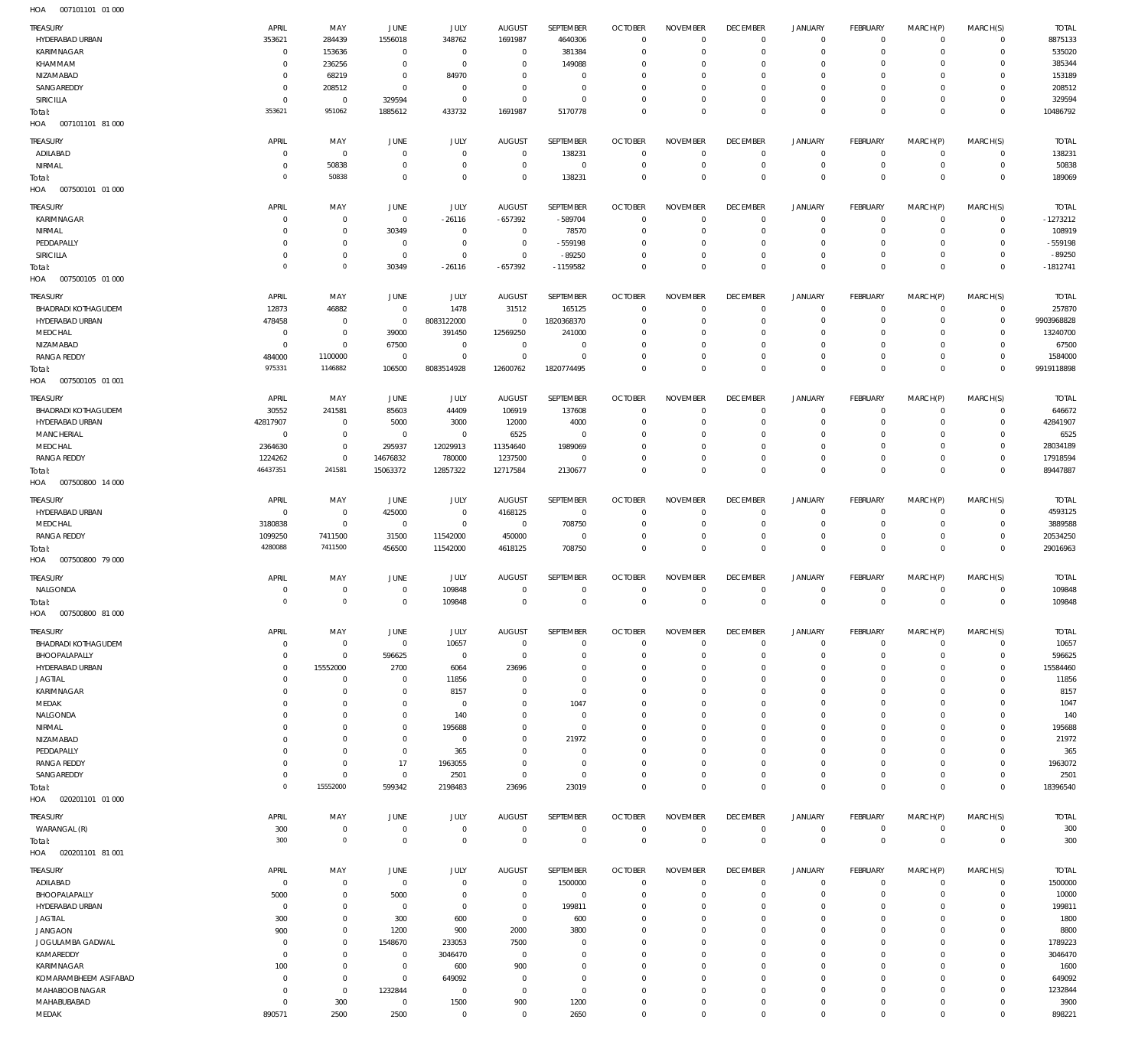| TREASURY                          | APRIL               | MAY                         | JUNE                             | JULY                          | <b>AUGUST</b>                 | SEPTEMBER                     | <b>OCTOBER</b>                 | <b>NOVEMBER</b>                | <b>DECEMBER</b>               | <b>JANUARY</b>             | <b>FEBRUARY</b>          | MARCH(P)                | MARCH(S)                 | <b>TOTAL</b>    |
|-----------------------------------|---------------------|-----------------------------|----------------------------------|-------------------------------|-------------------------------|-------------------------------|--------------------------------|--------------------------------|-------------------------------|----------------------------|--------------------------|-------------------------|--------------------------|-----------------|
| HYDERABAD URBAN                   | 353621              | 284439                      | 1556018                          | 348762                        | 1691987                       | 4640306                       | $\mathbf{0}$                   | $^{\circ}$                     | $^{\circ}$                    | $\mathbf 0$                | $^{\circ}$               | $\mathbf 0$             | $\mathbf 0$              | 8875133         |
| KARIMNAGAR                        | $^{\circ}$          | 153636                      | $\mathbf{0}$                     | $\mathbf 0$                   | $\mathbf 0$                   | 381384                        | $^{\circ}$                     | $\mathbf{0}$                   | $^{\circ}$                    | $\mathbf 0$                | $^{\circ}$               | $\mathbf 0$             | $\mathbf 0$              | 535020          |
| KHAMMAM                           | $^{\circ}$          | 236256                      | $\mathbf{0}$                     | $\mathbf 0$                   | $\overline{0}$                | 149088                        | 0                              | $^{\circ}$                     | 0                             | $\mathbf 0$                | $^{\circ}$               | $\mathbf 0$             | $\mathbf 0$              | 385344          |
| NIZAMABAD                         | $\circ$             | 68219                       | $\mathbf{0}$                     | 84970                         | $^{\circ}$                    | $\overline{0}$                | 0                              | $\mathbf 0$                    | $\mathbf 0$                   | $\mathbf 0$                | $^{\circ}$               | $\mathbf 0$             | $\mathbf 0$              | 153189          |
| SANGAREDDY                        | $^{\circ}$          | 208512                      | $\overline{0}$                   | $\overline{0}$                | $\overline{0}$                | $\mathbf 0$                   | 0                              | $\mathbf 0$                    | $\circ$                       | $\mathbf 0$                | $^{\circ}$               | $\mathbf 0$             | $\mathbf 0$              | 208512          |
| SIRICILLA                         | $\Omega$            | $\overline{0}$              | 329594                           | $\mathbf 0$                   | $^{\circ}$                    | $\overline{0}$                | $\circ$                        | $\mathbf 0$                    | $^{\circ}$                    | $\mathbf 0$                | $^{\circ}$               | $\mathbf 0$             | $\mathbf 0$              | 329594          |
| Total:                            | 353621              | 951062                      | 1885612                          | 433732                        | 1691987                       | 5170778                       | $\Omega$                       | $\mathbb O$                    | $\mathbf 0$                   | $\mathsf 0$                | $\mathbf 0$              | $\mathbf 0$             | $\mathbf 0$              | 10486792        |
| HOA<br>007101101 81 000           |                     |                             |                                  |                               |                               |                               |                                |                                |                               |                            |                          |                         |                          |                 |
| TREASURY                          | APRIL               | MAY                         | JUNE                             | JULY                          | AUGUST                        | SEPTEMBER                     | <b>OCTOBER</b>                 | <b>NOVEMBER</b>                | <b>DECEMBER</b>               | <b>JANUARY</b>             | <b>FEBRUARY</b>          | MARCH(P)                | MARCH(S)                 | <b>TOTAL</b>    |
| ADILABAD                          | $\circ$             | $\mathbf 0$                 | $\mathbf 0$                      | $\mathbf 0$                   | $\mathbf 0$                   | 138231                        | $\overline{0}$                 | $^{\circ}$                     | $^{\circ}$                    | 0                          | $^{\circ}$               | $^{\circ}$              | $\mathbf 0$              | 138231          |
| NIRMAL                            | $\Omega$            | 50838                       | $\mathbf{0}$                     | $\mathbf 0$                   | 0                             | $\mathbb O$                   | $\overline{0}$                 | $\mathbb O$                    | $^{\circ}$                    | $\mathbf 0$                | $\circ$                  | $\mathbf 0$             | $\circ$                  | 50838           |
| Total:                            | $\Omega$            | 50838                       | $\mathbf 0$                      | $\mathbf 0$                   | $\mathbf 0$                   | 138231                        | $^{\circ}$                     | $\mathbb O$                    | $\mathbf{0}$                  | $\mathsf 0$                | $\mathbf 0$              | $\mathbf 0$             | $\mathbf 0$              | 189069          |
| 007500101 01 000<br>HOA           |                     |                             |                                  |                               |                               |                               |                                |                                |                               |                            |                          |                         |                          |                 |
| TREASURY                          | APRIL               | MAY                         | JUNE                             | JULY                          | AUGUST                        | SEPTEMBER                     | <b>OCTOBER</b>                 | <b>NOVEMBER</b>                | <b>DECEMBER</b>               | <b>JANUARY</b>             | <b>FEBRUARY</b>          | MARCH(P)                | MARCH(S)                 | <b>TOTAL</b>    |
| KARIMNAGAR                        | $\Omega$            | $\overline{0}$              | $\overline{0}$                   | $-26116$                      | $-657392$                     | -589704                       | $\mathbf{0}$                   | $^{\circ}$                     | $^{\circ}$                    | $\mathbf 0$                | $^{\circ}$               | $\mathbf 0$             | $\mathbf 0$              | $-1273212$      |
| NIRMAL                            | $\circ$             | $\mathbf 0$                 | 30349                            | $\overline{0}$                | $\overline{0}$                | 78570                         | $^{\circ}$                     | $\mathbf{0}$                   | $^{\circ}$                    | $\mathbf 0$                | $^{\circ}$               | $\mathbf 0$             | $\mathbf 0$              | 108919          |
| PEDDAPALLY                        | $\circ$             | $\mathbf{0}$                | $\overline{0}$                   | $\mathbf 0$                   | $^{\circ}$                    | $-559198$                     | $\circ$                        | $\mathbb O$                    | $^{\circ}$                    | $\mathbf 0$                | $^{\circ}$               | $\mathbf 0$             | $\mathbf 0$              | $-559198$       |
| SIRICILLA                         | $\circ$             | $\mathbf 0$                 | $\overline{0}$                   | $\mathbf 0$                   | $\overline{0}$                | $-89250$                      | $^{\circ}$                     | $\mathbb O$                    | $^{\circ}$                    | $\mathbf 0$                | $\mathbf 0$              | $\mathbf 0$             | $\mathbf 0$              | $-89250$        |
| Total:                            | $\Omega$            | $\circ$                     | 30349                            | $-26116$                      | $-657392$                     | $-1159582$                    | $^{\circ}$                     | $\mathbb O$                    | $\mathbf{0}$                  | $\mathsf 0$                | $\mathbf 0$              | $\mathbf 0$             | $\mathbf 0$              | $-1812741$      |
| HOA<br>007500105 01 000           |                     |                             |                                  |                               |                               |                               |                                |                                |                               |                            |                          |                         |                          |                 |
| TREASURY                          | APRIL               | MAY                         | JUNE                             | JULY                          | AUGUST                        | SEPTEMBER                     | <b>OCTOBER</b>                 | <b>NOVEMBER</b>                | <b>DECEMBER</b>               | <b>JANUARY</b>             | FEBRUARY                 | MARCH(P)                | MARCH(S)                 | <b>TOTAL</b>    |
| <b>BHADRADI KOTHAGUDEM</b>        | 12873               | 46882                       | $\mathbf 0$                      | 1478                          | 31512                         | 165125                        | $\mathbf{0}$                   | $\mathbf{0}$                   | $^{\circ}$                    | $\mathbf 0$                | $^{\circ}$               | $\mathbf 0$             | $\mathbf 0$              | 257870          |
| HYDERABAD URBAN                   | 478458              | $\mathbf 0$                 | $\overline{0}$                   | 8083122000                    | $^{\circ}$                    | 1820368370                    | C                              | $^{\circ}$                     | 0                             | $\mathbf 0$                | $^{\circ}$               | $^{\circ}$              | $\circ$                  | 9903968828      |
| MEDCHAL                           | $^{\circ}$          | $\mathbf 0$                 | 39000                            | 391450                        | 12569250                      | 241000                        | 0                              | $^{\circ}$                     | 0                             | $\mathbf 0$                | $^{\circ}$               | $\mathbf 0$             | $\mathbf 0$              | 13240700        |
| NIZAMABAD                         | $^{\circ}$          | $\mathbf 0$                 | 67500                            | $\mathbf 0$                   | $\overline{0}$                | $\overline{0}$                | 0                              | $\overline{0}$                 | $^{\circ}$                    | $\mathbf 0$                | $^{\circ}$               | $\mathbf 0$             | $\mathbf 0$              | 67500           |
| <b>RANGA REDDY</b>                | 484000              | 1100000                     | $\overline{0}$                   | $\mathbf 0$                   | $\overline{0}$                | $\mathbf 0$                   | 0                              | $\overline{0}$                 | 0                             | $\mathbf 0$                | $\mathbf 0$              | $\mathbf 0$             | $\mathbf 0$              | 1584000         |
| Total:                            | 975331              | 1146882                     | 106500                           | 8083514928                    | 12600762                      | 1820774495                    | $\mathbf 0$                    | $\mathbb O$                    | $\mathbf 0$                   | $\mathsf 0$                | $\mathbf 0$              | $\mathbf 0$             | $\mathbf 0$              | 9919118898      |
| HOA<br>007500105 01 001           |                     |                             |                                  |                               |                               |                               |                                |                                |                               |                            |                          |                         |                          |                 |
| TREASURY                          | APRIL               | MAY                         | JUNE                             | JULY                          | <b>AUGUST</b>                 | SEPTEMBER                     | <b>OCTOBER</b>                 | <b>NOVEMBER</b>                | <b>DECEMBER</b>               | <b>JANUARY</b>             | <b>FEBRUARY</b>          | MARCH(P)                | MARCH(S)                 | <b>TOTAL</b>    |
| <b>BHADRADI KOTHAGUDEM</b>        | 30552               | 241581                      | 85603                            | 44409                         | 106919                        | 137608                        | $^{\circ}$                     | $^{\circ}$                     | $^{\circ}$                    | $\mathbf 0$                | $^{\circ}$               | $^{\circ}$              | $\mathbf 0$              | 646672          |
| HYDERABAD URBAN                   | 42817907            | $\overline{0}$              | 5000                             | 3000                          | 12000                         | 4000                          | $\overline{0}$                 | $\mathbf 0$                    | $^{\circ}$                    | $\mathbf 0$                | $^{\circ}$               | $\mathbf 0$             | $^{\circ}$               | 42841907        |
| MANCHERIAL                        | $^{\circ}$          | $\mathbf 0$                 | $\overline{0}$                   | $\mathbf 0$                   | 6525                          | $\mathbf 0$                   | $\circ$                        | $\mathbf 0$                    | $^{\circ}$                    | $\mathbf 0$                | 0                        | $^{\circ}$              | $^{\circ}$               | 6525            |
| MEDCHAL                           | 2364630             | $\mathbf 0$                 | 295937                           | 12029913                      | 11354640                      | 1989069                       | 0                              | $\mathbf 0$                    | 0                             | $\mathbf 0$                | $^{\circ}$               | $^{\circ}$              | $^{\circ}$               | 28034189        |
| <b>RANGA REDDY</b>                | 1224262             | $\mathbf 0$                 | 14676832                         | 780000                        | 1237500                       | $\overline{0}$                | $^{\circ}$                     | $\mathbf 0$                    | $\mathbf{0}$                  | $\mathbf 0$                | $^{\circ}$               | $\mathbf 0$             | $\mathbf 0$              | 17918594        |
| Total:                            | 46437351            | 241581                      | 15063372                         | 12857322                      | 12717584                      | 2130677                       | $\Omega$                       | $\mathbf 0$                    | $\mathbf 0$                   | $\mathsf 0$                | $\mathbf 0$              | $\mathbf 0$             | $\mathbf 0$              | 89447887        |
| HOA<br>007500800 14 000           |                     |                             |                                  |                               |                               |                               |                                |                                |                               |                            |                          |                         |                          |                 |
| TREASURY                          | APRIL               | MAY                         | JUNE                             | JULY                          | AUGUST                        | SEPTEMBER                     | <b>OCTOBER</b>                 | <b>NOVEMBER</b>                | <b>DECEMBER</b>               | <b>JANUARY</b>             | FEBRUARY                 | MARCH(P)                | MARCH(S)                 | <b>TOTAL</b>    |
| HYDERABAD URBAN                   | $\circ$             | $\mathbf 0$                 | 425000                           | $\mathbf 0$                   | 4168125                       | $\,0\,$                       | $\overline{0}$                 | $^{\circ}$                     | $^{\circ}$                    | 0                          | $^{\circ}$               | 0                       | $\mathbf 0$              | 4593125         |
| MEDCHAL                           | 3180838             | $\mathbf 0$                 | $\overline{0}$                   | $\mathbb O$                   | $\mathbf 0$                   | 708750                        | $\overline{0}$                 | $\mathbf{0}$                   | $^{\circ}$                    | $\mathbf 0$                | $\overline{0}$           | $^{\circ}$              | $\mathbf 0$              | 3889588         |
| <b>RANGA REDDY</b>                | 1099250             | 7411500                     | 31500                            | 11542000                      | 450000                        | $\mathbf 0$                   | $\mathbf 0$                    | $\mathbf 0$                    | $^{\circ}$                    | $\mathbf 0$                | $^{\circ}$               | $\mathbf 0$             | $\mathbf 0$              | 20534250        |
| Total:                            | 4280088             | 7411500                     | 456500                           | 11542000                      | 4618125                       | 708750                        | $^{\circ}$                     | $\mathbf 0$                    | $\mathbf{0}$                  | $\mathsf 0$                | $\mathbf 0$              | $\mathbf 0$             | $\mathbf 0$              | 29016963        |
| HOA<br>007500800 79 000           |                     |                             |                                  |                               |                               |                               |                                |                                |                               |                            |                          |                         |                          |                 |
| TREASURY                          | APRIL               | MAY                         | JUNE                             | JULY                          | <b>AUGUST</b>                 | SEPTEMBER                     | <b>OCTOBER</b>                 | <b>NOVEMBER</b>                | <b>DECEMBER</b>               | <b>JANUARY</b>             | FEBRUARY                 | MARCH(P)                | MARCH(S)                 | <b>TOTAL</b>    |
| NALGONDA                          | $\circ$             | $^{\circ}$                  | $^{\circ}$                       | 109848                        | $\mathbf 0$                   | $\overline{0}$                | $^{\circ}$                     | $^{\circ}$                     | $\overline{0}$                | 0                          | $^{\circ}$               | $^{\circ}$              | $^{\circ}$               | 109848          |
| Total:                            | $\Omega$            | $\circ$                     | $\mathbf 0$                      | 109848                        | $\mathbf 0$                   | $\mathbb O$                   | $\mathbf 0$                    | $\mathbb O$                    | $\mathbf 0$                   | $\mathsf 0$                | $\mathbf 0$              | $\mathbf 0$             | $\mathbf 0$              | 109848          |
| 007500800 81 000<br>HOA           |                     |                             |                                  |                               |                               |                               |                                |                                |                               |                            |                          |                         |                          |                 |
| TREASURY                          | APRIL               | MAY                         | JUNE                             | JULY                          | <b>AUGUST</b>                 | SEPTEMBER                     | <b>OCTOBER</b>                 | <b>NOVEMBER</b>                | <b>DECEMBER</b>               | <b>JANUARY</b>             | FEBRUARY                 | MARCH(P)                | MARCH(S)                 | <b>TOTAL</b>    |
| <b>BHADRADI KOTHAGUDEM</b>        | $\circ$             | $\mathbf 0$                 | $\overline{0}$                   | 10657                         | $\overline{0}$                | $\mathbf 0$                   | $\mathbf{0}$                   | $\mathbf{0}$                   | $\overline{0}$                | 0                          | $^{\circ}$               | 0                       | $^{\circ}$               | 10657           |
| BHOOPALAPALLY                     | $\circ$             | $\mathbf 0$                 | 596625                           | $\overline{0}$                | $^{\circ}$                    | $\overline{0}$                | 0                              | $^{\circ}$                     | 0                             | 0                          | 0                        | $\mathbf 0$             | $\mathbf 0$              | 596625          |
| HYDERABAD URBAN                   | $\circ$             | 15552000                    | 2700                             | 6064                          | 23696                         | $\mathbf 0$                   | C                              | $^{\circ}$                     | 0                             | $\mathbf 0$                | 0                        | 0                       | 0                        | 15584460        |
| <b>JAGTIAL</b>                    | $\Omega$            | $^{\circ}$                  | $\Omega$                         | 11856                         | 0                             | $\overline{0}$                | 0                              | $\overline{0}$                 | 0                             | $\mathbf 0$                | 0                        | 0                       | $\mathbf 0$              | 11856           |
| KARIMNAGAR                        | $\circ$             | $\mathbf{0}$                | $^{\circ}$                       | 8157                          | 0                             | $\overline{0}$                | 0                              | $^{\circ}$                     | 0                             | $\mathbf 0$                | 0                        | 0                       | $^{\circ}$               | 8157            |
| MEDAK                             |                     | $^{\circ}$                  | $\Omega$                         | $\overline{0}$                | 0                             | 1047                          | 0                              | $\overline{0}$                 | 0                             | $\mathbf 0$                | 0                        | $\mathbf 0$             | $^{\circ}$               | 1047            |
| NALGONDA                          | $\Omega$            | $^{\circ}$                  | $^{\circ}$                       | 140                           | $\Omega$                      | $\overline{0}$                | 0                              | $^{\circ}$                     | 0                             | $\mathbf 0$                | 0                        | 0                       | 0                        | 140             |
| NIRMAL                            |                     | $^{\circ}$<br>$\Omega$      | $^{\circ}$<br>$\Omega$           | 195688                        | 0<br>$\Omega$                 | $\mathbb O$                   | 0                              | $\overline{0}$<br>$^{\circ}$   | 0                             | $\mathbf 0$<br>$\mathbf 0$ | 0                        | 0<br>$\mathbf 0$        | $^{\circ}$<br>$^{\circ}$ | 195688<br>21972 |
| NIZAMABAD<br>PEDDAPALLY           | $\Omega$<br>$\circ$ | $\overline{0}$              | $^{\circ}$                       | $\overline{0}$<br>365         | 0                             | 21972<br>$\overline{0}$       | 0<br>0                         | $^{\circ}$                     | 0<br>0                        | $\mathbf 0$                | $^{\circ}$<br>$^{\circ}$ | 0                       | $^{\circ}$               | 365             |
| <b>RANGA REDDY</b>                | $\circ$             | $\mathbf 0$                 | 17                               | 1963055                       | $\Omega$                      | $\overline{0}$                | 0                              | $^{\circ}$                     | 0                             | $\mathbf 0$                | $^{\circ}$               | $\mathbf 0$             | $^{\circ}$               | 1963072         |
| SANGAREDDY                        | $\circ$             | $\mathbf 0$                 | $\overline{0}$                   | 2501                          | - 0                           | $\mathbb O$                   | 0                              | $\overline{0}$                 | $\circ$                       | $\mathbf 0$                | $^{\circ}$               | $\mathbf 0$             | $\mathbf 0$              | 2501            |
| Total:                            | $\Omega$            | 15552000                    | 599342                           | 2198483                       | 23696                         | 23019                         | $^{\circ}$                     | $\mathbb O$                    | $^{\circ}$                    | $\mathsf 0$                | $\mathbf 0$              | $\mathbf 0$             | $\mathbf 0$              | 18396540        |
| 020201101 01 000<br>HOA           |                     |                             |                                  |                               |                               |                               |                                |                                |                               |                            |                          |                         |                          |                 |
|                                   |                     |                             |                                  |                               |                               |                               |                                |                                |                               |                            |                          |                         |                          |                 |
| TREASURY                          | APRIL               | MAY                         | JUNE                             | JULY                          | <b>AUGUST</b>                 | SEPTEMBER                     | <b>OCTOBER</b><br>$\mathbf{0}$ | <b>NOVEMBER</b><br>$\mathbb O$ | <b>DECEMBER</b><br>$^{\circ}$ | <b>JANUARY</b>             | FEBRUARY<br>$^{\circ}$   | MARCH(P)<br>$\mathbf 0$ | MARCH(S)<br>$\mathbf 0$  | <b>TOTAL</b>    |
| WARANGAL (R)                      | 300<br>300          | $\overline{0}$<br>$\circ$   | $\overline{0}$<br>$\overline{0}$ | $\overline{0}$<br>$\mathbf 0$ | $\overline{0}$<br>$\mathbf 0$ | $\overline{0}$<br>$\mathbb O$ | $^{\circ}$                     | $\mathbf{0}$                   | $\overline{0}$                | 0<br>$\mathsf 0$           | $\mathbf 0$              | $\mathbf 0$             | $^{\circ}$               | 300<br>300      |
| Total:<br>020201101 81 001<br>HOA |                     |                             |                                  |                               |                               |                               |                                |                                |                               |                            |                          |                         |                          |                 |
|                                   |                     |                             |                                  |                               |                               |                               |                                |                                |                               |                            |                          |                         |                          |                 |
| TREASURY                          | APRIL               | MAY                         | JUNE                             | <b>JULY</b>                   | <b>AUGUST</b>                 | SEPTEMBER                     | <b>OCTOBER</b>                 | <b>NOVEMBER</b>                | <b>DECEMBER</b>               | <b>JANUARY</b>             | FEBRUARY                 | MARCH(P)                | MARCH(S)                 | <b>TOTAL</b>    |
| ADILABAD                          | $\circ$             | $\mathbf 0$                 | $\overline{0}$                   | $\mathbf 0$                   | $\mathbf 0$                   | 1500000                       | $\mathbf{0}$                   | $\mathbf{0}$                   | $\overline{0}$                | $\mathbf 0$                | $^{\circ}$               | $\mathbf 0$             | $^{\circ}$               | 1500000         |
| BHOOPALAPALLY                     | 5000                | $\overline{0}$              | 5000                             | $\mathbf 0$                   | 0                             | $\mathbf 0$                   | C                              | $^{\circ}$                     | 0                             | 0                          | $^{\circ}$               | 0                       | $^{\circ}$               | 10000           |
| HYDERABAD URBAN                   | $\circ$             | $\mathbf{0}$                | $^{\circ}$                       | $\overline{0}$                | 0                             | 199811                        | 0                              | $^{\circ}$                     | 0                             | $\mathbf 0$                | $^{\circ}$               | 0                       | 0                        | 199811          |
| <b>JAGTIAL</b><br><b>JANGAON</b>  | 300<br>900          | $\mathbf 0$<br>$\mathbf{0}$ | 300<br>1200                      | 600<br>900                    | $\overline{0}$<br>2000        | 600<br>3800                   | 0<br>0                         | $^{\circ}$<br>$^{\circ}$       | 0<br>0                        | $\mathbf 0$<br>$\mathbf 0$ | $^{\circ}$<br>$^{\circ}$ | 0<br>$\mathbf 0$        | 0<br>$^{\circ}$          | 1800<br>8800    |
| JOGULAMBA GADWAL                  | $\circ$             | $\mathbf 0$                 | 1548670                          | 233053                        | 7500                          | $\overline{0}$                | 0                              | $\overline{0}$                 | 0                             | $\mathbf 0$                | $^{\circ}$               | 0                       | $\mathbf 0$              | 1789223         |
| KAMAREDDY                         | $\circ$             | $\mathbf{0}$                | 0                                | 3046470                       | $^{\circ}$                    | $\overline{0}$                | 0                              | $^{\circ}$                     | 0                             | $\mathbf 0$                | $^{\circ}$               | 0                       | 0                        | 3046470         |
| KARIMNAGAR                        | 100                 | $\mathbf 0$                 | $^{\circ}$                       | 600                           | 900                           | $\overline{0}$                | 0                              | $\overline{0}$                 | 0                             | $\mathbf 0$                | 0                        | $\mathbf 0$             | $^{\circ}$               | 1600            |
| KOMARAMBHEEM ASIFABAD             | $\circ$             | $\mathbf 0$                 | $\overline{0}$                   | 649092                        | 0                             | $\overline{0}$                | 0                              | $^{\circ}$                     | 0                             | $\mathbf 0$                | 0                        | 0                       | $^{\circ}$               | 649092          |
| MAHABOOB NAGAR                    | $^{\circ}$          | $\mathbf 0$                 | 1232844                          | $\overline{0}$                | 0                             | $\mathbf 0$                   | 0                              | $\mathbf 0$                    | 0                             | $\mathbf 0$                | 0                        | $\mathbf 0$             | $^{\circ}$               | 1232844         |
| MAHABUBABAD                       | $\circ$             | 300                         | $\overline{0}$                   | 1500                          | 900                           | 1200                          | $\circ$                        | $\overline{0}$                 | $\circ$                       | 0                          | 0                        | $\mathbf 0$             | 0                        | 3900            |
| MEDAK                             | 890571              | 2500                        | 2500                             | $\mathbf 0$                   | $^{\circ}$                    | 2650                          | $\mathbf 0$                    | $\mathbf 0$                    | $\mathbf 0$                   | $\mathsf{O}\xspace$        | $^{\circ}$               | $\mathbf 0$             | $\mathbf 0$              | 898221          |
|                                   |                     |                             |                                  |                               |                               |                               |                                |                                |                               |                            |                          |                         |                          |                 |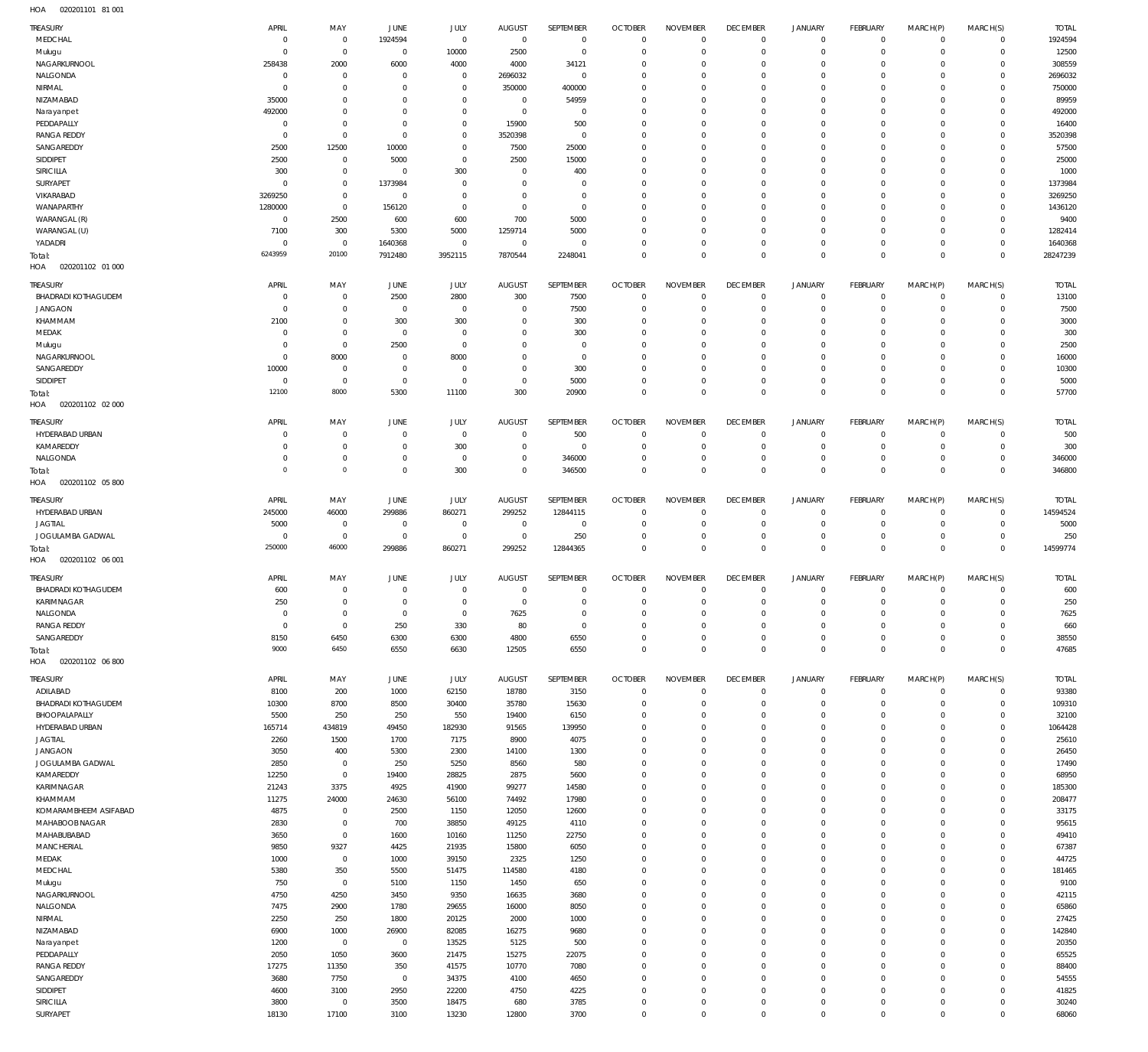020201101 81 001 HOA

| TREASURY                                     | APRIL                | MAY                           | JUNE                 | <b>JULY</b>              | <b>AUGUST</b>            | SEPTEMBER               | <b>OCTOBER</b>                   | <b>NOVEMBER</b>            | <b>DECEMBER</b>                  | <b>JANUARY</b>                             | <b>FEBRUARY</b>             | MARCH(P)                  | MARCH(S)                   | <b>TOTAL</b>      |
|----------------------------------------------|----------------------|-------------------------------|----------------------|--------------------------|--------------------------|-------------------------|----------------------------------|----------------------------|----------------------------------|--------------------------------------------|-----------------------------|---------------------------|----------------------------|-------------------|
| MEDCHAL                                      | C                    | $\,0\,$                       | 1924594              | $\mathbf 0$              | $\overline{0}$           | $\bf 0$                 | $\overline{0}$                   | $\mathbf 0$                | $\overline{0}$                   | $\mathbf 0$                                | $\mathbf{0}$                | $^{\circ}$                | $\mathbf 0$                | 1924594           |
| Mulugu                                       | 0                    | $\,0\,$                       | $^{\circ}$           | 10000                    | 2500                     | $\mathbf 0$             | $\overline{0}$                   | 0                          | $\overline{0}$                   | 0                                          | $\mathbf{0}$                | $\circ$                   | $\mathbf 0$                | 12500             |
| NAGARKURNOOL<br>NALGONDA                     | 258438<br>0          | 2000<br>$\overline{0}$        | 6000<br>0            | 4000<br>$\mathbf 0$      | 4000<br>2696032          | 34121<br>$\mathbf 0$    | $\mathbf 0$<br>$\mathbf 0$       | 0<br>0                     | $^{\circ}$<br>$\mathbf 0$        | 0<br>0                                     | $^{\circ}$<br>$^{\circ}$    | $\Omega$<br>$\Omega$      | $\mathbf 0$<br>$\mathbf 0$ | 308559<br>2696032 |
| NIRMAL                                       | C                    | $\mathbf 0$                   | 0                    | $\mathbf 0$              | 350000                   | 400000                  | $\mathbf 0$                      | 0                          | $^{\circ}$                       | 0                                          | $^{\circ}$                  |                           | $\Omega$                   | 750000            |
| NIZAMABAD                                    | 35000                | $\mathbf 0$                   | 0                    | $\mathbf 0$              | $\mathbf 0$              | 54959                   | $\mathbf 0$                      | $\Omega$                   | $\mathbf 0$                      | 0                                          | $^{\circ}$                  | $\Omega$                  | $\Omega$                   | 89959             |
| Narayanpet                                   | 492000               | $\overline{0}$                | 0                    | $\mathbf 0$              | $\overline{0}$           | 0                       | $\mathbf 0$                      | 0                          | $^{\circ}$                       | 0                                          | $^{\circ}$                  | $\Omega$                  | $\Omega$                   | 492000            |
| PEDDAPALLY                                   | $^{\circ}$           | $\mathbf 0$                   | 0                    | $\mathbf{0}$             | 15900                    | 500                     | $\mathbf 0$                      | 0                          | $\mathbf 0$                      | 0                                          | $^{\circ}$                  | $\Omega$                  | $\Omega$                   | 16400             |
| <b>RANGA REDDY</b>                           | 0                    | $\,0\,$                       | 0                    | $\mathbf 0$              | 3520398                  | 0                       | $\mathbf 0$                      | 0                          | $^{\circ}$                       | 0                                          | $^{\circ}$                  | $\Omega$                  | $\Omega$                   | 3520398           |
| SANGAREDDY                                   | 2500                 | 12500                         | 10000                | $\mathbf 0$              | 7500                     | 25000                   | $\mathbf 0$                      | 0                          | $\mathbf 0$                      | 0                                          | $^{\circ}$                  | $\Omega$                  | $\Omega$                   | 57500             |
| SIDDIPET<br>SIRICILLA                        | 2500<br>300          | $\,0\,$<br>$\mathbf 0$        | 5000<br>0            | $\mathbf 0$<br>300       | 2500<br>$^{\circ}$       | 15000<br>400            | $\mathbf 0$<br>$\mathbf 0$       | 0<br>0                     | $^{\circ}$<br>$\mathbf 0$        | 0<br>0                                     | $^{\circ}$<br>$^{\circ}$    | $\Omega$<br>0             | $\Omega$<br>$\Omega$       | 25000<br>1000     |
| SURYAPET                                     | 0                    | $\mathbf 0$                   | 1373984              | $\mathbf 0$              | 0                        | $\mathbf 0$             | $\mathbf 0$                      | 0                          | $^{\circ}$                       | 0                                          | $^{\circ}$                  | $\Omega$                  | $\Omega$                   | 1373984           |
| VIKARABAD                                    | 3269250              | $\mathbf 0$                   | $\overline{0}$       | $\mathbf 0$              | 0                        | $\mathbf 0$             | $\mathbf 0$                      | 0                          | $\mathbf 0$                      | 0                                          | $^{\circ}$                  | 0                         | $\Omega$                   | 3269250           |
| WANAPARTHY                                   | 1280000              | $\mathbf 0$                   | 156120               | $\mathbf 0$              | $\mathbf 0$              | $\mathbf 0$             | $\mathbf 0$                      | 0                          | $^{\circ}$                       | 0                                          | $^{\circ}$                  | $\Omega$                  | $\Omega$                   | 1436120           |
| WARANGAL (R)                                 | $^{\circ}$           | 2500                          | 600                  | 600                      | 700                      | 5000                    | $\mathbf 0$                      | 0                          | $^{\circ}$                       | 0                                          | $^{\circ}$                  | 0                         | $\mathbf 0$                | 9400              |
| WARANGAL (U)                                 | 7100                 | 300                           | 5300                 | 5000                     | 1259714                  | 5000                    | $\mathbf 0$                      | 0                          | $^{\circ}$                       | 0                                          | $^{\circ}$                  | $\Omega$                  | $\Omega$                   | 1282414           |
| YADADRI                                      | C<br>6243959         | $\,0\,$                       | 1640368              | $\mathbb O$              | $\mathbf 0$              | 0                       | $\mathbf 0$                      | $\mathbf 0$                | $\mathbf 0$                      | 0                                          | $\mathbf{0}$                | 0                         | $\mathbf 0$                | 1640368           |
| Total:<br>020201102 01 000<br>HOA            |                      | 20100                         | 7912480              | 3952115                  | 7870544                  | 2248041                 | $\overline{0}$                   | $\mathbf 0$                | $\overline{0}$                   | $\mathbf 0$                                | $\overline{0}$              | $^{\circ}$                | $\mathbf 0$                | 28247239          |
|                                              |                      |                               |                      |                          |                          |                         |                                  |                            |                                  |                                            |                             |                           |                            |                   |
| TREASURY                                     | APRIL                | MAY                           | JUNE                 | JULY                     | <b>AUGUST</b>            | SEPTEMBER               | <b>OCTOBER</b>                   | <b>NOVEMBER</b>            | <b>DECEMBER</b>                  | <b>JANUARY</b>                             | <b>FEBRUARY</b>             | MARCH(P)                  | MARCH(S)                   | <b>TOTAL</b>      |
| <b>BHADRADI KOTHAGUDEM</b><br><b>JANGAON</b> | C<br>0               | $\mathbf 0$<br>$\overline{0}$ | 2500<br>$^{\circ}$   | 2800<br>$\mathbf 0$      | 300<br>0                 | 7500<br>7500            | $\overline{0}$<br>$\overline{0}$ | $\mathbf 0$<br>$\mathbf 0$ | $\overline{0}$<br>$\overline{0}$ | $\mathbf 0$<br>$\mathbf 0$                 | $^{\circ}$<br>$\mathbf{0}$  | $^{\circ}$<br>$\circ$     | $\mathbf 0$<br>$\mathbf 0$ | 13100<br>7500     |
| KHAMMAM                                      | 2100                 | $\overline{0}$                | 300                  | 300                      | 0                        | 300                     | $\mathbf 0$                      | 0                          | $^{\circ}$                       | 0                                          | $^{\circ}$                  | $\Omega$                  | $\mathbf 0$                | 3000              |
| MEDAK                                        | 0                    | $\mathbf 0$                   | $\overline{0}$       | $\mathbf 0$              | 0                        | 300                     | $\mathbf 0$                      | $\mathbf 0$                | $\mathbf 0$                      | 0                                          | $^{\circ}$                  | $\Omega$                  | $\Omega$                   | 300               |
| Mulugu                                       | 0                    | $\,0\,$                       | 2500                 | $^{\circ}$               | 0                        | $\mathbf 0$             | 0                                | 0                          | $^{\circ}$                       | 0                                          | $^{\circ}$                  | $\Omega$                  | $\mathbf 0$                | 2500              |
| NAGARKURNOOL                                 | $\Omega$             | 8000                          | 0                    | 8000                     | 0                        | $\mathbf 0$             | $\mathbf 0$                      | $\mathbf 0$                | $\mathbf 0$                      | 0                                          | $^{\circ}$                  | $\Omega$                  | $\Omega$                   | 16000             |
| SANGAREDDY                                   | 10000                | $\mathbf 0$                   | 0                    | 0                        | 0                        | 300                     | $\mathbf 0$                      | 0                          | $^{\circ}$                       | 0                                          | $^{\circ}$                  | $\Omega$                  | $\mathbf 0$                | 10300             |
| SIDDIPET                                     | 0                    | $\mathbf 0$                   | $^{\circ}$           | $\mathbf 0$              | $^{\circ}$               | 5000                    | $\mathbf 0$                      | $\mathbf 0$                | $\overline{0}$                   | $\mathbf 0$                                | $\mathbf{0}$                | $^{\circ}$                | $\mathbf 0$                | 5000              |
| Total:<br>HOA<br>020201102 02 000            | 12100                | 8000                          | 5300                 | 11100                    | 300                      | 20900                   | $\overline{0}$                   | $\mathbf 0$                | $\overline{0}$                   | $\mathbf 0$                                | $\,0\,$                     | $\overline{0}$            | $\mathbf 0$                | 57700             |
| TREASURY                                     | APRIL                | MAY                           | JUNE                 | JULY                     | <b>AUGUST</b>            | SEPTEMBER               | <b>OCTOBER</b>                   | <b>NOVEMBER</b>            | <b>DECEMBER</b>                  | <b>JANUARY</b>                             | <b>FEBRUARY</b>             | MARCH(P)                  | MARCH(S)                   | <b>TOTAL</b>      |
| HYDERABAD URBAN                              | C                    | $\overline{0}$                | 0                    | $\mathbf 0$              | $\overline{0}$           | 500                     | $\overline{0}$                   | 0                          | $\overline{0}$                   | $\mathbf 0$                                | $^{\circ}$                  | $\circ$                   | $\circ$                    | 500               |
| KAMAREDDY                                    | 0                    | $\mathbf 0$                   | 0                    | 300                      | 0                        | $\mathbf 0$             | $\overline{0}$                   | 0                          | $\overline{0}$                   | $\mathbf 0$                                | $\mathbf{0}$                | $\circ$                   | $\mathbf 0$                | 300               |
| NALGONDA                                     | $\Omega$<br>$\Omega$ | $\,0\,$<br>$\mathbb O$        | 0<br>$^{\circ}$      | $^{\circ}$<br>300        | $^{\circ}$<br>$^{\circ}$ | 346000<br>346500        | $\overline{0}$<br>$\overline{0}$ | $\mathbf 0$<br>$\mathbf 0$ | $\overline{0}$<br>$\overline{0}$ | $\mathbf 0$<br>$\mathbf 0$                 | $\mathbf 0$<br>$\mathbf 0$  | 0<br>$^{\circ}$           | $\mathbf 0$<br>$\mathbf 0$ | 346000<br>346800  |
| Total:<br>020201102 05 800<br>HOA            |                      |                               |                      |                          |                          |                         |                                  |                            |                                  |                                            |                             |                           |                            |                   |
| TREASURY                                     | APRIL                | MAY                           | JUNE                 | JULY                     | <b>AUGUST</b>            | SEPTEMBER               | <b>OCTOBER</b>                   | <b>NOVEMBER</b>            | <b>DECEMBER</b>                  | JANUARY                                    | <b>FEBRUARY</b>             | MARCH(P)                  | MARCH(S)                   | <b>TOTAL</b>      |
| HYDERABAD URBAN                              | 245000               | 46000                         | 299886               | 860271                   | 299252                   | 12844115                | $\overline{0}$                   | 0                          | $\overline{0}$                   | $\mathbf 0$                                | $^{\circ}$                  | $^{\circ}$                | $\mathbf 0$                | 14594524          |
| <b>JAGTIAL</b>                               | 5000                 | $\mathbf 0$                   | 0                    | $\mathbf 0$              | $^{\circ}$               | $^{\circ}$              | $\overline{0}$                   | $\mathbf 0$                | $\overline{0}$                   | $\mathbf 0$                                | $^{\circ}$                  | $\circ$                   | $\mathbf 0$                | 5000              |
|                                              |                      |                               |                      |                          |                          |                         |                                  |                            |                                  |                                            |                             |                           |                            |                   |
| JOGULAMBA GADWAL                             | $^{\circ}$           | $\,0\,$                       | $^{\circ}$           | $\mathbf 0$              | $\overline{0}$           | 250                     | $\overline{0}$                   | $\mathbf 0$                | $\overline{0}$                   | $\mathbf 0$                                | $\mathbf{0}$                | $^{\circ}$                | $\mathbf 0$                | 250               |
| Total:                                       | 250000               | 46000                         | 299886               | 860271                   | 299252                   | 12844365                | $\overline{0}$                   | $\mathbf 0$                | $\overline{0}$                   | $\overline{0}$                             | $\,0\,$                     | $\mathbf 0$               | $\mathbf 0$                | 14599774          |
| HOA<br>020201102 06 001                      |                      |                               |                      |                          |                          |                         |                                  |                            |                                  |                                            |                             |                           |                            |                   |
| TREASURY                                     | APRIL                | MAY                           | JUNE                 | JULY                     | <b>AUGUST</b>            | SEPTEMBER               | <b>OCTOBER</b>                   | <b>NOVEMBER</b>            | <b>DECEMBER</b>                  | <b>JANUARY</b>                             | <b>FEBRUARY</b>             | MARCH(P)                  | MARCH(S)                   | <b>TOTAL</b>      |
| <b>BHADRADI KOTHAGUDEM</b>                   | 600                  | $\mathbf 0$                   | $\overline{0}$       | $^{\circ}$               | $^{\circ}$               | $\mathbf 0$             | $\overline{0}$                   | $\mathbf 0$                | $\overline{0}$                   | $\mathbf 0$                                | $^{\circ}$                  | $^{\circ}$                | $\mathbf 0$                | 600               |
| KARIMNAGAR                                   | 250                  | $\mathbf 0$<br>$\cap$         | $^{\circ}$<br>$\cap$ | $\mathbf{0}$<br>$\Omega$ | $^{\circ}$               | $\mathbf 0$<br>$\Omega$ | $\overline{0}$<br>$\cap$         | $\mathbf 0$                | $\overline{0}$                   | $\mathbf 0$                                | $\mathbf 0$<br>$\cap$       | $^{\circ}$                | $\mathbf 0$<br>$\cap$      | 250               |
| NALGONDA<br><b>RANGA REDDY</b>               | $\overline{0}$       | $\,0\,$                       | 250                  | 330                      | 7625<br>80               | $\mathsf{O}\xspace$     | $\overline{0}$                   | $\mathbf 0$                | $\overline{0}$                   | 0                                          | $\mathbf{0}$                | 0                         | $\mathbf 0$                | 7625<br>660       |
| SANGAREDDY                                   | 8150                 | 6450                          | 6300                 | 6300                     | 4800                     | 6550                    | $\overline{0}$                   | $\mathbf 0$                | $\overline{0}$                   | $\mathbf 0$                                | $\mathsf 0$                 | $\mathbf 0$               | $\mathbf 0$                | 38550             |
| Total:                                       | 9000                 | 6450                          | 6550                 | 6630                     | 12505                    | 6550                    | $\overline{0}$                   | $\overline{0}$             | $\overline{0}$                   | $\overline{0}$                             | $\mathbb O$                 | $\mathbf 0$               | $\mathbb O$                | 47685             |
| HOA<br>020201102 06 800                      |                      |                               |                      |                          |                          |                         |                                  |                            |                                  |                                            |                             |                           |                            |                   |
| TREASURY                                     | APRIL                | MAY                           | JUNE                 | JULY                     | AUGUST                   | SEPTEMBER               | <b>OCTOBER</b>                   | <b>NOVEMBER</b>            | <b>DECEMBER</b>                  | JANUARY                                    | FEBRUARY                    | MARCH(P)                  | MARCH(S)                   | <b>TOTAL</b>      |
| ADILABAD                                     | 8100                 | 200                           | 1000                 | 62150                    | 18780                    | 3150                    | $\overline{0}$                   | $\overline{0}$             | $\mathbf 0$                      | $\mathsf 0$                                | $\mathbf 0$                 | $\mathbf 0$               | $\mathbf 0$                | 93380             |
| <b>BHADRADI KOTHAGUDEM</b>                   | 10300                | 8700                          | 8500                 | 30400                    | 35780                    | 15630                   | $\overline{0}$                   | $\mathbf 0$                | $\overline{0}$                   | $\mathbf 0$                                | $\mathbb O$                 | $^{\circ}$                | $\mathbf 0$                | 109310            |
| BHOOPALAPALLY                                | 5500                 | 250                           | 250                  | 550                      | 19400                    | 6150                    | $\overline{0}$                   | $\mathbf 0$                | $\overline{0}$                   | $\mathbf 0$                                | $\mathbf{0}$                | $^{\circ}$                | $\mathbf 0$                | 32100             |
| HYDERABAD URBAN                              | 165714               | 434819                        | 49450                | 182930                   | 91565                    | 139950                  | $\overline{0}$                   | $\mathbf 0$                | $\overline{0}$                   | $\mathbf 0$                                | $\mathbf 0$                 | $\mathbf 0$               | $\mathbf 0$                | 1064428           |
| <b>JAGTIAL</b>                               | 2260                 | 1500                          | 1700                 | 7175                     | 8900                     | 4075                    | $\overline{0}$<br>$\overline{0}$ | $\mathbf 0$<br>$\mathbf 0$ | $\overline{0}$<br>$\overline{0}$ | $\mathbf 0$<br>$\mathbf 0$                 | $\mathbf 0$                 | $\Omega$<br>$\Omega$      | $\mathbf 0$                | 25610             |
| <b>JANGAON</b><br>JOGULAMBA GADWAL           | 3050<br>2850         | 400<br>$\mathbb O$            | 5300<br>250          | 2300<br>5250             | 14100<br>8560            | 1300<br>580             | $\mathbf 0$                      | $\mathbf 0$                | $\overline{0}$                   | $\mathbf 0$                                | $\mathbf 0$<br>$\mathbf 0$  | $\mathbf 0$               | $\mathbf 0$<br>$\mathbf 0$ | 26450<br>17490    |
| KAMAREDDY                                    | 12250                | $\,0\,$                       | 19400                | 28825                    | 2875                     | 5600                    | $\overline{0}$                   | $\mathbf 0$                | $\overline{0}$                   | $\mathbf 0$                                | $\mathbf 0$                 | $\Omega$                  | $\mathbf 0$                | 68950             |
| <b>KARIMNAGAR</b>                            | 21243                | 3375                          | 4925                 | 41900                    | 99277                    | 14580                   | $\overline{0}$                   | $\mathbf 0$                | $\overline{0}$                   | $\mathbf 0$                                | $\mathbf 0$                 | $^{\circ}$                | $\mathbf 0$                | 185300            |
| KHAMMAM                                      | 11275                | 24000                         | 24630                | 56100                    | 74492                    | 17980                   | $\mathbf 0$                      | $\mathbf 0$                | $\overline{0}$                   | $\mathbf 0$                                | $\mathbf{0}$                | $\Omega$                  | $\mathbf 0$                | 208477            |
| KOMARAMBHEEM ASIFABAD                        | 4875                 | $\mathbb O$                   | 2500                 | 1150                     | 12050                    | 12600                   | $\overline{0}$                   | $\mathbf 0$                | $\overline{0}$                   | $\mathbf 0$                                | $\mathbf 0$                 | $\mathbf 0$               | $\mathbf 0$                | 33175             |
| MAHABOOB NAGAR                               | 2830                 | $\mathbb O$                   | 700                  | 38850                    | 49125                    | 4110                    | $\mathbf 0$                      | $\mathbf 0$                | $\overline{0}$                   | $\mathbf 0$                                | $\mathbf 0$                 | $\Omega$                  | $\mathbf 0$                | 95615             |
| MAHABUBABAD                                  | 3650                 | $\mathbb O$                   | 1600                 | 10160                    | 11250                    | 22750                   | $\overline{0}$                   | $\mathbf 0$                | $\overline{0}$                   | $\mathbf 0$                                | $\mathbf 0$                 | $^{\circ}$<br>$\Omega$    | $\mathbf 0$                | 49410             |
| MANCHERIAL<br>MEDAK                          | 9850<br>1000         | 9327<br>$\mathbb O$           | 4425<br>1000         | 21935<br>39150           | 15800<br>2325            | 6050<br>1250            | $\mathbf 0$<br>$\overline{0}$    | $\mathbf 0$<br>$\mathbf 0$ | $\overline{0}$<br>$\overline{0}$ | $\mathbf 0$<br>$\mathbf 0$                 | $\mathbf{0}$<br>$\mathbf 0$ | $^{\circ}$                | $\mathbf 0$<br>$\mathbf 0$ | 67387<br>44725    |
| MEDCHAL                                      | 5380                 | 350                           | 5500                 | 51475                    | 114580                   | 4180                    | $\mathbf 0$                      | $\mathbf 0$                | $\overline{0}$                   | $\mathbf 0$                                | $\mathbf{0}$                | $\Omega$                  | $\mathbf 0$                | 181465            |
| Mulugu                                       | 750                  | $\mathbb O$                   | 5100                 | 1150                     | 1450                     | 650                     | $\overline{0}$                   | $\mathbf 0$                | $\overline{0}$                   | $\mathbf 0$                                | $\mathbf 0$                 | $^{\circ}$                | $\mathbf 0$                | 9100              |
| NAGARKURNOOL                                 | 4750                 | 4250                          | 3450                 | 9350                     | 16635                    | 3680                    | $\mathbf 0$                      | $\mathbf 0$                | $\overline{0}$                   | $\mathbf 0$                                | $\mathbf{0}$                | $\Omega$                  | $\mathbf 0$                | 42115             |
| NALGONDA                                     | 7475                 | 2900                          | 1780                 | 29655                    | 16000                    | 8050                    | $\overline{0}$                   | $\mathbf 0$                | $\overline{0}$                   | $\mathbf 0$                                | $\mathbf 0$                 | $^{\circ}$                | $\mathbf 0$                | 65860             |
| NIRMAL                                       | 2250                 | 250                           | 1800                 | 20125                    | 2000                     | 1000                    | $\mathbf 0$                      | $\mathbf 0$                | $\overline{0}$                   | $\mathbf 0$                                | $\mathbf{0}$                | $\mathbf 0$               | $\mathbf 0$                | 27425             |
| NIZAMABAD                                    | 6900                 | 1000                          | 26900                | 82085                    | 16275                    | 9680                    | $\overline{0}$                   | $\mathbf 0$                | $\overline{0}$                   | $\mathbf 0$                                | $\mathbf 0$                 | $\Omega$                  | $\mathbf 0$                | 142840            |
| Narayanpet                                   | 1200                 | $\mathbb O$                   | $\mathbf 0$          | 13525                    | 5125                     | 500                     | $\mathbf 0$<br>$\overline{0}$    | $\mathbf 0$<br>$\mathbf 0$ | $\overline{0}$<br>$\overline{0}$ | 0<br>$\mathbf 0$                           | $\mathbf{0}$                | $\mathbf 0$<br>$\Omega$   | $\mathbf 0$<br>$\mathbf 0$ | 20350             |
| PEDDAPALLY<br><b>RANGA REDDY</b>             | 2050<br>17275        | 1050<br>11350                 | 3600<br>350          | 21475<br>41575           | 15275<br>10770           | 22075<br>7080           | $\overline{0}$                   | $\mathbf 0$                | $\overline{0}$                   | $\mathbf 0$                                | $\mathbf 0$<br>$\mathbf 0$  | $\mathbf 0$               | $\mathbf 0$                | 65525<br>88400    |
| SANGAREDDY                                   | 3680                 | 7750                          | $\mathbf 0$          | 34375                    | 4100                     | 4650                    | $\overline{0}$                   | $\mathbf 0$                | $\overline{0}$                   | $\mathbf 0$                                | $\mathbf 0$                 | $\Omega$                  | $\mathbf 0$                | 54555             |
| SIDDIPET                                     | 4600                 | 3100                          | 2950                 | 22200                    | 4750                     | 4225                    | $\overline{0}$                   | $\mathbf 0$                | $\overline{0}$                   | $\mathbf 0$                                | $\mathbf 0$                 | $\mathbf 0$               | $\mathbf 0$                | 41825             |
| SIRICILLA<br>SURYAPET                        | 3800<br>18130        | $\mathbb O$<br>17100          | 3500<br>3100         | 18475<br>13230           | 680<br>12800             | 3785<br>3700            | $\mathbf 0$<br>$\mathbf{0}$      | $\mathbf 0$<br>$\mathbf 0$ | $\mathbf 0$<br>$\overline{0}$    | $\mathsf{O}\xspace$<br>$\mathsf{O}\xspace$ | $\mathbf 0$<br>$\mathbb O$  | $^{\circ}$<br>$\mathbf 0$ | $\mathbf 0$<br>$\mathbf 0$ | 30240<br>68060    |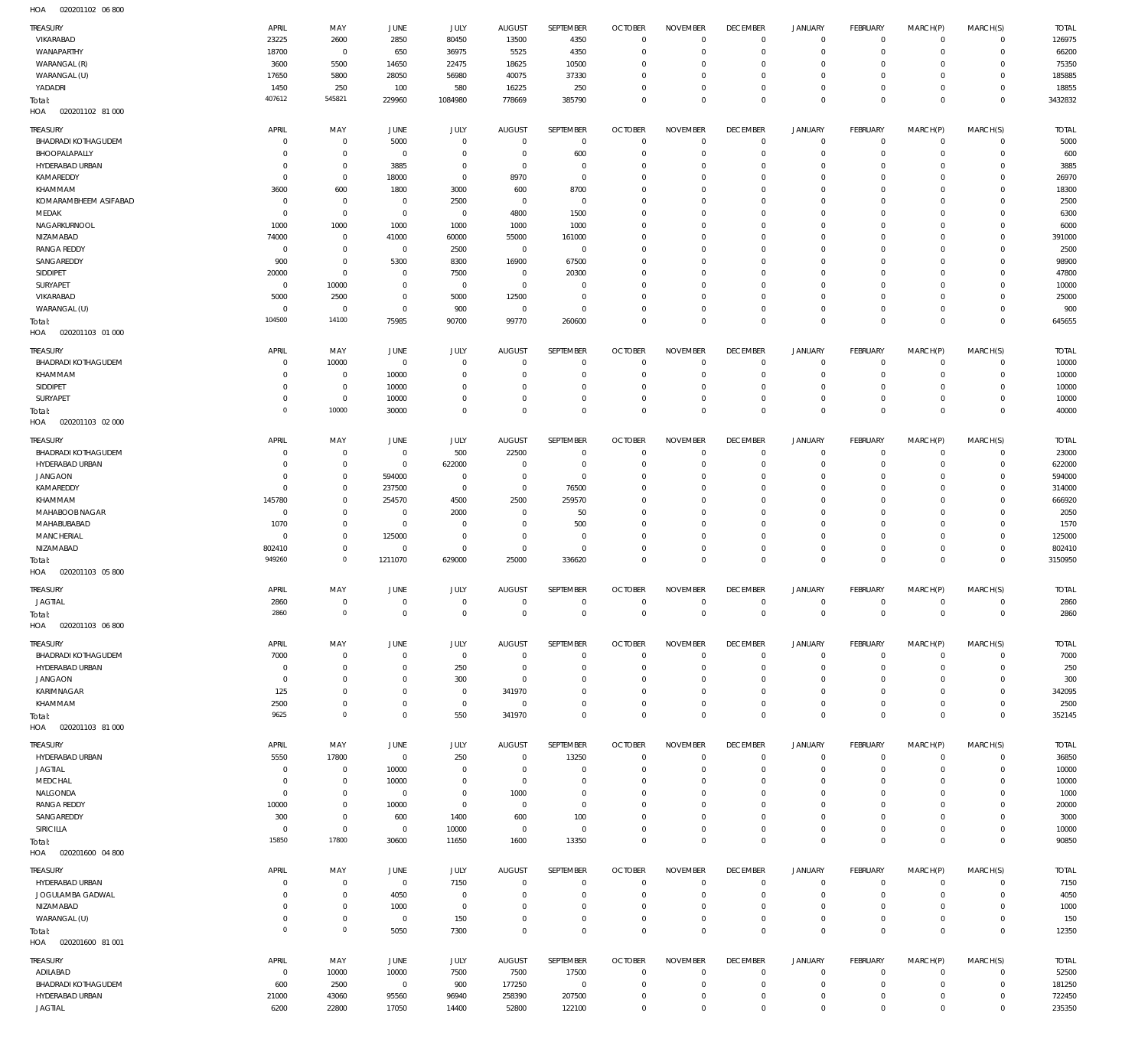020201102 06 800 HOA

| <b>TREASURY</b><br>VIKARABAD           | APRIL<br>23225           | MAY<br>2600                | JUNE<br>2850             | JULY<br>80450              | <b>AUGUST</b><br>13500      | SEPTEMBER<br>4350          | <b>OCTOBER</b><br>$\overline{0}$ | <b>NOVEMBER</b><br>$\mathbf 0$ | <b>DECEMBER</b><br>$\mathbf 0$ | <b>JANUARY</b><br>$\mathbf 0$ | FEBRUARY<br>$\mathbf{0}$       | MARCH(P)<br>$\mathbf 0$    | MARCH(S)<br>$\mathbf{0}$     | <b>TOTAL</b><br>126975 |
|----------------------------------------|--------------------------|----------------------------|--------------------------|----------------------------|-----------------------------|----------------------------|----------------------------------|--------------------------------|--------------------------------|-------------------------------|--------------------------------|----------------------------|------------------------------|------------------------|
| WANAPARTHY                             | 18700                    | $\mathbf 0$                | 650                      | 36975                      | 5525                        | 4350                       | $\mathbf 0$                      | $\mathbf 0$                    | $\mathbf 0$                    | $\mathbf 0$                   | $\mathbf{0}$                   | $\mathbf 0$                | $\mathbf{0}$                 | 66200                  |
| WARANGAL (R)                           | 3600                     | 5500                       | 14650                    | 22475                      | 18625                       | 10500                      | $\mathbf 0$                      | $\mathbf 0$                    | $\mathbf 0$                    | $\mathbf 0$                   | $\mathbf 0$                    | $\Omega$                   | $\mathbf 0$                  | 75350                  |
| WARANGAL (U)                           | 17650                    | 5800                       | 28050                    | 56980                      | 40075                       | 37330                      | $\mathbf 0$                      | $\mathbf 0$                    | $\mathbf 0$                    | $\mathbf 0$                   | $\mathbf{0}$                   | $\mathbf 0$                | $\mathbf{0}$                 | 185885                 |
| YADADRI                                | 1450<br>407612           | 250<br>545821              | 100<br>229960            | 580<br>1084980             | 16225<br>778669             | 250<br>385790              | $\mathbf 0$<br>$\mathbf 0$       | $\mathbf 0$<br>$\mathbf 0$     | $\mathbf 0$<br>$\mathbf 0$     | $\mathbf 0$<br>$\mathbf 0$    | $\mathbf{0}$<br>$\overline{0}$ | $\mathbf 0$<br>$\mathbf 0$ | $\mathbf{0}$<br>$\mathbf 0$  | 18855<br>3432832       |
| Total:<br>020201102 81 000<br>HOA      |                          |                            |                          |                            |                             |                            |                                  |                                |                                |                               |                                |                            |                              |                        |
|                                        |                          |                            |                          |                            |                             |                            |                                  |                                |                                |                               |                                |                            |                              |                        |
| TREASURY<br><b>BHADRADI KOTHAGUDEM</b> | APRIL<br>$^{\circ}$      | MAY<br>$\mathbf 0$         | <b>JUNE</b><br>5000      | <b>JULY</b><br>$\mathbf 0$ | <b>AUGUST</b><br>$^{\circ}$ | SEPTEMBER<br>$\mathbf 0$   | <b>OCTOBER</b><br>$\mathbf 0$    | <b>NOVEMBER</b><br>$\mathbf 0$ | <b>DECEMBER</b><br>$\mathbf 0$ | <b>JANUARY</b><br>$\mathbf 0$ | FEBRUARY<br>$\mathbf{0}$       | MARCH(P)<br>$\mathbf 0$    | MARCH(S)<br>$\mathbf{0}$     | <b>TOTAL</b><br>5000   |
| BHOOPALAPALLY                          | 0                        | $\mathbf 0$                | 0                        | $\mathbf 0$                | $^{\circ}$                  | 600                        | $\mathbf 0$                      | $\mathbf 0$                    | $\mathbf 0$                    | $\mathbf 0$                   | $\mathbf 0$                    | $\mathbf 0$                | $\mathbf 0$                  | 600                    |
| HYDERABAD URBAN                        | $^{\circ}$               | $\mathbf 0$                | 3885                     | $\mathbf 0$                | $^{\circ}$                  | $\mathbf 0$                | $\mathbf 0$                      | $\mathbf 0$                    | $\mathbf 0$                    | $\mathbf 0$                   | $\mathbf 0$                    | $\mathbf 0$                | $\mathbf 0$                  | 3885                   |
| KAMAREDDY                              | $^{\circ}$               | $\mathbf 0$                | 18000                    | $\mathbf 0$                | 8970                        | $\mathbf 0$                | $\mathbf 0$                      | $\mathbf 0$                    | $\mathbf 0$                    | $\mathbf 0$                   | $\mathbf 0$                    | $\Omega$                   | $\mathbf 0$                  | 26970                  |
| KHAMMAM                                | 3600                     | 600                        | 1800                     | 3000                       | 600                         | 8700                       | $\mathbf 0$                      | $\Omega$                       | $\mathbf 0$                    | $\mathbf 0$                   | $\mathbf 0$                    | $\Omega$                   | $\mathbf 0$                  | 18300                  |
| KOMARAMBHEEM ASIFABAD                  | $^{\circ}$               | $\mathbf 0$                | 0                        | 2500                       | $^{\circ}$                  | $\mathbf 0$                | $\mathbf 0$                      | $\mathbf 0$                    | $\mathbf 0$                    | $\mathbf 0$                   | $\mathbf 0$                    | $\Omega$                   | $\mathbf 0$                  | 2500                   |
| MEDAK                                  | $^{\circ}$               | $\mathbf 0$                | $^{\circ}$               | $\mathbf 0$                | 4800                        | 1500                       | $\mathbf 0$                      | $\Omega$                       | $\mathbf 0$                    | $\mathbf 0$                   | $\mathbf 0$                    | $\Omega$                   | $\mathbf 0$                  | 6300                   |
| NAGARKURNOOL                           | 1000                     | 1000                       | 1000                     | 1000                       | 1000                        | 1000                       | $\mathbf 0$                      | $\mathbf 0$                    | $\mathbf 0$                    | $\mathbf 0$                   | $\mathbf 0$                    | $\Omega$                   | $\mathbf 0$                  | 6000                   |
| NIZAMABAD                              | 74000                    | $\mathbf 0$                | 41000                    | 60000                      | 55000                       | 161000                     | $\mathbf 0$                      | $\Omega$                       | $\mathbf 0$                    | $\mathbf 0$                   | $\mathbf 0$                    | $\Omega$                   | $\mathbf 0$                  | 391000                 |
| <b>RANGA REDDY</b>                     | $\mathbf 0$              | $\mathbf 0$                | $^{\circ}$               | 2500                       | $\mathbf{0}$                | $\mathbf{0}$               | $\mathbf 0$                      | $\mathbf 0$                    | $\mathbf 0$                    | $\mathbf 0$                   | $\mathbf 0$                    | $\Omega$                   | $\mathbf 0$                  | 2500                   |
| SANGAREDDY                             | 900                      | $\mathbf 0$                | 5300                     | 8300                       | 16900                       | 67500                      | $\mathbf 0$                      | 0                              | $\mathbf 0$                    | $\mathbf 0$                   | $\mathbf 0$                    | $\Omega$                   | $\mathbf 0$                  | 98900                  |
| SIDDIPET                               | 20000                    | $\mathbf 0$                | $^{\circ}$               | 7500                       | $^{\circ}$                  | 20300                      | $\mathbf 0$                      | $\mathbf 0$                    | $\mathbf 0$                    | $\mathbf 0$                   | $\mathbf 0$                    | $\Omega$                   | $\mathbf 0$                  | 47800                  |
| <b>SURYAPET</b>                        | $^{\circ}$               | 10000                      | $^{\circ}$               | $\mathbf 0$                | $\mathbf{0}$                | $\mathbf 0$<br>$\mathbf 0$ | $\mathbf 0$                      | $\mathbf 0$                    | $\mathbf 0$                    | $\mathbf 0$<br>$\mathbf 0$    | $\mathbf 0$                    | $\Omega$<br>$\Omega$       | $\mathbf 0$<br>$\mathbf 0$   | 10000                  |
| VIKARABAD<br>WARANGAL (U)              | 5000<br>$^{\circ}$       | 2500<br>$^{\circ}$         | $^{\circ}$<br>$^{\circ}$ | 5000<br>900                | 12500<br>$^{\circ}$         | $\mathbf 0$                | $\mathbf 0$<br>$\mathbf 0$       | $\mathbf 0$<br>$\mathbf 0$     | $\mathbf 0$<br>$\mathbf 0$     | $\mathbf 0$                   | $\mathbf 0$<br>$\mathbf 0$     | $\mathbf 0$                | $\mathbf 0$                  | 25000<br>900           |
| Total:                                 | 104500                   | 14100                      | 75985                    | 90700                      | 99770                       | 260600                     | $\mathbf 0$                      | $\mathbf 0$                    | $\mathbf 0$                    | $\mathbf 0$                   | $\overline{0}$                 | $\Omega$                   | $\mathbf 0$                  | 645655                 |
| 020201103 01 000<br>HOA                |                          |                            |                          |                            |                             |                            |                                  |                                |                                |                               |                                |                            |                              |                        |
|                                        |                          |                            |                          |                            |                             |                            |                                  |                                |                                |                               |                                |                            |                              |                        |
| <b>TREASURY</b>                        | APRIL                    | MAY                        | <b>JUNE</b>              | JULY                       | <b>AUGUST</b>               | SEPTEMBER                  | <b>OCTOBER</b>                   | <b>NOVEMBER</b>                | <b>DECEMBER</b>                | <b>JANUARY</b>                | FEBRUARY                       | MARCH(P)                   | MARCH(S)                     | <b>TOTAL</b>           |
| <b>BHADRADI KOTHAGUDEM</b>             | $^{\circ}$               | 10000                      | $^{\circ}$               | $\mathbf 0$                | $^{\circ}$                  | $\mathbf 0$                | $\mathbf 0$                      | $\mathbf 0$                    | $\mathbf 0$                    | $\mathbf 0$                   | $\mathbf{0}$                   | $\mathbf 0$                | $\mathbf{0}$                 | 10000                  |
| KHAMMAM                                | $^{\circ}$               | $\mathbf 0$                | 10000                    | $^{\circ}$                 | $^{\circ}$                  | $\mathbf 0$                | $\mathbf 0$                      | $\mathbf 0$                    | $\mathbf 0$                    | $\mathbf 0$                   | $\mathbf{0}$                   | $\mathbf 0$                | $\mathbf{0}$                 | 10000                  |
| SIDDIPET<br>SURYAPET                   | $^{\circ}$<br>$^{\circ}$ | $\mathbf 0$<br>$\mathbf 0$ | 10000<br>10000           | $^{\circ}$<br>$\mathbf 0$  | $^{\circ}$<br>$^{\circ}$    | $\mathbf 0$<br>$\mathbf 0$ | $\mathbf 0$<br>$\mathbf 0$       | $\mathbf 0$<br>$\mathbf 0$     | $\mathbf 0$<br>$\mathbf 0$     | $\mathbf 0$<br>$\mathbf 0$    | $\mathbf{0}$<br>$\mathbf{0}$   | $\mathbf 0$<br>$\mathbf 0$ | $\mathbf{0}$<br>$\mathbf{0}$ | 10000<br>10000         |
|                                        | $\overline{0}$           | 10000                      | 30000                    | $\mathbf 0$                | $\mathbf 0$                 | $\mathbf 0$                | $\mathbf 0$                      | $\mathbf 0$                    | $\overline{0}$                 | $\mathbf 0$                   | $\overline{0}$                 | $\mathbf 0$                | $\overline{0}$               | 40000                  |
| Total:<br>020201103 02 000<br>HOA      |                          |                            |                          |                            |                             |                            |                                  |                                |                                |                               |                                |                            |                              |                        |
|                                        |                          |                            |                          |                            |                             |                            |                                  |                                |                                |                               |                                |                            |                              |                        |
| TREASURY                               | APRIL                    | MAY                        | <b>JUNE</b>              | <b>JULY</b>                | <b>AUGUST</b>               | SEPTEMBER                  | <b>OCTOBER</b>                   | <b>NOVEMBER</b>                | <b>DECEMBER</b>                | <b>JANUARY</b>                | FEBRUARY                       | MARCH(P)                   | MARCH(S)                     | <b>TOTAL</b>           |
| <b>BHADRADI KOTHAGUDEM</b>             | $^{\circ}$               | $^{\circ}$                 | $^{\circ}$               | 500                        | 22500                       | $\mathbf 0$                | $\mathbf 0$                      | $\mathbf 0$                    | $\mathbf 0$                    | $\mathbf 0$                   | $\mathbf{0}$                   | $\mathbf 0$                | $^{\circ}$                   | 23000                  |
| HYDERABAD URBAN<br><b>JANGAON</b>      | 0<br>0                   | $\mathbf 0$<br>$\mathbf 0$ | $^{\circ}$<br>594000     | 622000<br>$^{\circ}$       | $^{\circ}$<br>$^{\circ}$    | $\mathbf 0$<br>$\mathbf 0$ | $\mathbf 0$<br>$\mathbf 0$       | $\mathbf 0$<br>$\mathbf 0$     | $\mathbf 0$<br>$\mathbf 0$     | $\mathbf 0$<br>$\mathbf 0$    | $\mathbf 0$<br>$\mathbf 0$     | $\mathbf 0$<br>$\Omega$    | $\mathbf 0$<br>$\mathbf 0$   | 622000<br>594000       |
| KAMAREDDY                              | $^{\circ}$               | $\mathbf 0$                | 237500                   | $\mathbf 0$                | $\mathbf{0}$                | 76500                      | $\mathbf 0$                      | $\mathbf 0$                    | $\mathbf 0$                    | $\mathbf 0$                   | $\mathbf 0$                    | $\Omega$                   | $\mathbf 0$                  | 314000                 |
| KHAMMAM                                | 145780                   | $\mathbf 0$                | 254570                   | 4500                       | 2500                        | 259570                     | $\mathbf 0$                      | $\mathbf 0$                    | $\mathbf 0$                    | $\mathbf 0$                   | $\mathbf 0$                    | $\Omega$                   | $\mathbf 0$                  | 666920                 |
| MAHABOOB NAGAR                         | $\mathbf 0$              | $\mathbf 0$                | $^{\circ}$               | 2000                       | $^{\circ}$                  | 50                         | $\mathbf 0$                      | $\mathbf 0$                    | $\mathbf 0$                    | $\mathbf 0$                   | $\mathbf 0$                    | $\mathbf 0$                | $\mathbf 0$                  | 2050                   |
| MAHABUBABAD                            | 1070                     | $\mathbf 0$                | $^{\circ}$               | $^{\circ}$                 | $^{\circ}$                  | 500                        | $\mathbf 0$                      | $\Omega$                       | $\mathbf 0$                    | $\mathbf 0$                   | $\mathbf 0$                    | $\Omega$                   | $\mathbf 0$                  | 1570                   |
| <b>MANCHERIAL</b>                      | $^{\circ}$               | $\mathbf 0$                | 125000                   | $\mathbf 0$                | $\mathbf{0}$                | $\mathbf 0$                | $\mathbf 0$                      | $\mathbf 0$                    | $\mathbf 0$                    | $\mathbf 0$                   | $\mathbf 0$                    | $\mathbf 0$                | $\mathbf 0$                  | 125000                 |
| NIZAMABAD                              | 802410                   | $\mathbf 0$                | $^{\circ}$               | $\mathbf 0$                | $\mathbf{0}$                | $\mathbf 0$                | $\mathbf 0$                      | $\mathbf 0$                    | $\mathbf 0$                    | $\mathbf 0$                   | $\mathbf 0$                    | $\mathbf 0$                | $\mathbf 0$                  | 802410                 |
| Total:                                 | 949260                   | $\mathbb O$                | 1211070                  | 629000                     | 25000                       | 336620                     | $\mathbf 0$                      | $\mathbf 0$                    | $\mathbf 0$                    | $\mathbf 0$                   | $\overline{0}$                 | $\mathbf 0$                | $\mathbf 0$                  | 3150950                |
| HOA<br>020201103 05 800                |                          |                            |                          |                            |                             |                            |                                  |                                |                                |                               |                                |                            |                              |                        |
| <b>TREASURY</b>                        | APRIL                    | MAY                        | <b>JUNE</b>              | JULY                       | <b>AUGUST</b>               | <b>SEPTEMBER</b>           | <b>OCTOBER</b>                   | <b>NOVEMBER</b>                | <b>DECEMBER</b>                | <b>JANUARY</b>                | FEBRUARY                       | MARCH(P)                   | MARCH(S)                     | <b>TOTAL</b>           |
| <b>JAGTIAL</b>                         | 2860                     | $\mathbf 0$                | $\mathbf 0$              | $\mathbf 0$                | $\mathbf 0$                 | $\mathbf 0$                | $\mathbf 0$                      | $\mathbf 0$                    | $\overline{0}$                 | $\mathbf 0$                   | $\mathbf{0}$                   | $\mathbf 0$                | $\overline{0}$               | 2860                   |
| Total:                                 | 286C                     | 0                          | $\overline{0}$           | 0                          | $^{\circ}$                  | $^{\circ}$                 | 0                                | 0                              | 0                              | 0                             | 0                              | $^{\circ}$                 | 0                            | 2860                   |
| HOA<br>020201103 06 800                |                          |                            |                          |                            |                             |                            |                                  |                                |                                |                               |                                |                            |                              |                        |
| TREASURY                               | APRIL                    | MAY                        | JUNE                     | JULY                       | <b>AUGUST</b>               | SEPTEMBER                  | <b>OCTOBER</b>                   | <b>NOVEMBER</b>                | <b>DECEMBER</b>                | JANUARY                       | FEBRUARY                       | MARCH(P)                   | MARCH(S)                     | <b>TOTAL</b>           |
| <b>BHADRADI KOTHAGUDEM</b>             | 7000                     | $\mathbf 0$                | $^{\circ}$               | $\mathbf 0$                | $^{\circ}$                  | $\mathbf 0$                | $\overline{0}$                   | $\mathbf 0$                    | $\mathbf 0$                    | $^{\circ}$                    | $^{\circ}$                     | $\mathbf 0$                | $^{\circ}$                   | 7000                   |
| HYDERABAD URBAN                        | $^{\circ}$               | $\mathbf 0$                | $\mathbf 0$              | 250                        | $^{\circ}$                  | $\mathbf 0$                | $\mathbf 0$                      | $\mathbf 0$                    | $\mathbf 0$                    | $\mathbf 0$                   | $\mathbf 0$                    | $\mathbf 0$                | $^{\circ}$                   | 250                    |
| <b>JANGAON</b>                         | $^{\circ}$               | $\mathbf 0$                | $\mathbf 0$              | 300                        | $^{\circ}$                  | $\mathbf 0$                | 0                                | $\mathbf 0$                    | $\mathbf 0$                    | $\mathbf 0$                   | $\mathbf 0$                    | 0                          | $\mathbf 0$                  | 300                    |
| KARIMNAGAR                             | 125                      | $\mathbf 0$                | $^{\circ}$               | $^{\circ}$                 | 341970                      | $\mathbf 0$                | $\mathbf 0$                      | 0                              | $\mathbf 0$                    | $\mathbf 0$                   | $\mathbf 0$                    | 0                          | $\mathbf 0$                  | 342095                 |
| KHAMMAM                                | 2500                     | $\mathbf 0$                | $^{\circ}$               | $\mathbf 0$                | $\mathbf{0}$                | $\mathbf 0$                | $\mathbf 0$                      | $\mathbf 0$                    | $\mathbf 0$                    | $\mathbf 0$                   | $\mathbf 0$                    | $\mathbf 0$                | $\mathbf 0$                  | 2500                   |
| Total:                                 | 9625                     | $\mathbf 0$                | $^{\circ}$               | 550                        | 341970                      | $\mathbf 0$                | $\mathbf 0$                      | $\mathbf 0$                    | $\mathbf 0$                    | $\mathbf 0$                   | $\overline{0}$                 | $\mathbf 0$                | $\mathbf 0$                  | 352145                 |
| HOA  020201103  81  000                |                          |                            |                          |                            |                             |                            |                                  |                                |                                |                               |                                |                            |                              |                        |
| TREASURY                               | APRIL                    | MAY                        | JUNE                     | <b>JULY</b>                | <b>AUGUST</b>               | SEPTEMBER                  | <b>OCTOBER</b>                   | <b>NOVEMBER</b>                | <b>DECEMBER</b>                | <b>JANUARY</b>                | FEBRUARY                       | MARCH(P)                   | MARCH(S)                     | <b>TOTAL</b>           |
| HYDERABAD URBAN                        | 5550                     | 17800                      | $\overline{0}$           | 250                        | $\mathbf{0}$                | 13250                      | $\overline{0}$                   | $\mathbf 0$                    | $\mathbf 0$                    | $^{\circ}$                    | $\mathbf{0}$                   | $\mathbf 0$                | $^{\circ}$                   | 36850                  |
| JAGTIAL                                | $^{\circ}$               | $\mathbf{0}$               | 10000                    | $\mathbf 0$                | $^{\circ}$                  | $\mathbf 0$                | $\overline{0}$                   | $\mathbf 0$                    | $\mathbf 0$                    | $\mathbf 0$                   | $^{\circ}$                     | $\mathbf 0$                | $\mathbf{0}$                 | 10000                  |
| MEDCHAL                                | $^{\circ}$               | $\mathbf{0}$               | 10000                    | $^{\circ}$                 | $\mathbf{0}$                | $\mathbf 0$                | $\mathbf 0$                      | $\mathbf 0$                    | $\mathbf 0$                    | $\mathbf 0$                   | $\mathbf 0$                    | $\mathbf 0$                | $\mathbf 0$                  | 10000                  |
| NALGONDA                               | $^{\circ}$               | $\mathbf{0}$               | $\overline{0}$           | $\mathbf 0$                | 1000                        | $\mathbf 0$                | $\mathbf 0$                      | $\mathbf 0$                    | $\mathbf 0$                    | $\mathbf 0$                   | $\mathbf 0$                    | $\mathbf 0$                | $\mathbf 0$                  | 1000                   |
| <b>RANGA REDDY</b>                     | 10000                    | $\mathbf 0$                | 10000                    | $\mathbf 0$                | $^{\circ}$                  | $\mathbf 0$                | $\mathbf 0$                      | $\mathbf 0$                    | $\mathbf 0$                    | $\mathbf 0$                   | $\mathbf 0$                    | 0                          | $\mathbf 0$                  | 20000                  |
| SANGAREDDY                             | 300                      | $\mathbf{0}$               | 600                      | 1400                       | 600                         | 100                        | $\mathbf 0$                      | $\mathbf 0$                    | $\mathbf 0$                    | 0                             | $\mathbf 0$                    | $\mathbf 0$                | $\mathbf 0$                  | 3000                   |
| SIRICILLA                              | $^{\circ}$               | $\mathbf 0$                | $\overline{0}$           | 10000                      | $^{\circ}$                  | $\overline{0}$             | $\mathbf 0$                      | $\mathbf 0$                    | $\mathbf 0$                    | $\mathbf 0$                   | $\mathbf{0}$                   | $\mathbf 0$                | $\mathbf{0}$                 | 10000                  |
| Total:                                 | 15850                    | 17800                      | 30600                    | 11650                      | 1600                        | 13350                      | $\mathbf 0$                      | $\mathbf 0$                    | $\mathbf 0$                    | $\mathbf 0$                   | $\overline{0}$                 | $\mathbf 0$                | $\mathbf 0$                  | 90850                  |
| HOA<br>020201600 04 800                |                          |                            |                          |                            |                             |                            |                                  |                                |                                |                               |                                |                            |                              |                        |
| TREASURY                               | APRIL                    | MAY                        | JUNE                     | JULY                       | <b>AUGUST</b>               | SEPTEMBER                  | <b>OCTOBER</b>                   | <b>NOVEMBER</b>                | <b>DECEMBER</b>                | <b>JANUARY</b>                | FEBRUARY                       | MARCH(P)                   | MARCH(S)                     | <b>TOTAL</b>           |
| HYDERABAD URBAN                        | 0                        | $\mathbf 0$                | $\overline{0}$           | 7150                       | $^{\circ}$                  | $\mathbf 0$                | $\mathbf 0$                      | $\mathbf 0$                    | $\mathbf 0$                    | $\mathbf 0$                   | $\mathbf 0$                    | $\mathbf 0$                | $\mathbf 0$                  | 7150                   |
| JOGULAMBA GADWAL                       | 0                        | $\mathbf 0$                | 4050                     | $^{\circ}$                 | $^{\circ}$                  | $\mathbf 0$                | $\mathbf 0$                      | $\mathbf 0$                    | $\mathbf 0$                    | $\mathbf 0$                   | $\mathbf 0$                    | $\mathbf 0$                | $\mathbf 0$                  | 4050                   |
| NIZAMABAD                              | 0                        | $\mathbf{0}$               | 1000                     | $^{\circ}$                 | 0                           | $\mathbf 0$                | $\mathbf 0$                      | $\mathbf 0$                    | $\mathbf 0$                    | $\mathbf 0$                   | $\mathbf 0$                    | 0                          | $\mathbf 0$                  | 1000                   |
| WARANGAL (U)                           | $^{\circ}$               | $\mathbf 0$                | $\overline{0}$           | 150                        | $^{\circ}$                  | $\mathbf 0$                | $\mathbf 0$                      | $\mathbf 0$                    | $\mathbf 0$                    | $\mathbf 0$                   | $\mathbf 0$                    | $\mathbf 0$                | $\mathbf 0$                  | 150                    |
| Total:                                 | $\overline{0}$           | $\mathsf{O}\xspace$        | 5050                     | 7300                       | $\mathbf{0}$                | $\mathbf 0$                | $\mathbf 0$                      | $\mathbf 0$                    | $\mathbf 0$                    | $\mathbf 0$                   | $\overline{0}$                 | $\mathbf 0$                | $\mathbf 0$                  | 12350                  |
| HOA  020201600  81 001                 |                          |                            |                          |                            |                             |                            |                                  |                                |                                |                               |                                |                            |                              |                        |
| TREASURY                               | APRIL                    | MAY                        | JUNE                     | JULY                       | <b>AUGUST</b>               | SEPTEMBER                  | <b>OCTOBER</b>                   | <b>NOVEMBER</b>                | <b>DECEMBER</b>                | <b>JANUARY</b>                | FEBRUARY                       | MARCH(P)                   | MARCH(S)                     | <b>TOTAL</b>           |
| ADILABAD                               | $^{\circ}$               | 10000                      | 10000                    | 7500                       | 7500                        | 17500                      | $\overline{0}$                   | $\mathbf 0$                    | $\mathbf 0$                    | $^{\circ}$                    | $\mathbf{0}$                   | $\mathbf 0$                | $^{\circ}$                   | 52500                  |
| <b>BHADRADI KOTHAGUDEM</b>             | 600                      | 2500                       | $\overline{0}$           | 900                        | 177250                      | $^{\circ}$                 | $\mathbf 0$                      | $\mathbf 0$                    | $\mathbf 0$                    | $\mathbf 0$                   | $^{\circ}$                     | $\mathbf 0$                | $\mathbf{0}$                 | 181250                 |
| HYDERABAD URBAN                        | 21000                    | 43060                      | 95560                    | 96940                      | 258390                      | 207500                     | $\mathbf 0$                      | $\mathbf 0$                    | $\mathbf 0$                    | $\mathbf 0$                   | $^{\circ}$                     | $\mathbf 0$                | $^{\circ}$                   | 722450                 |
| <b>JAGTIAL</b>                         | 6200                     | 22800                      | 17050                    | 14400                      | 52800                       | 122100                     | $\mathbf 0$                      | $\mathbf 0$                    | $\mathbf 0$                    | $\mathbf 0$                   | $\mathbf 0$                    | $\mathbf 0$                | $\mathbf{0}$                 | 235350                 |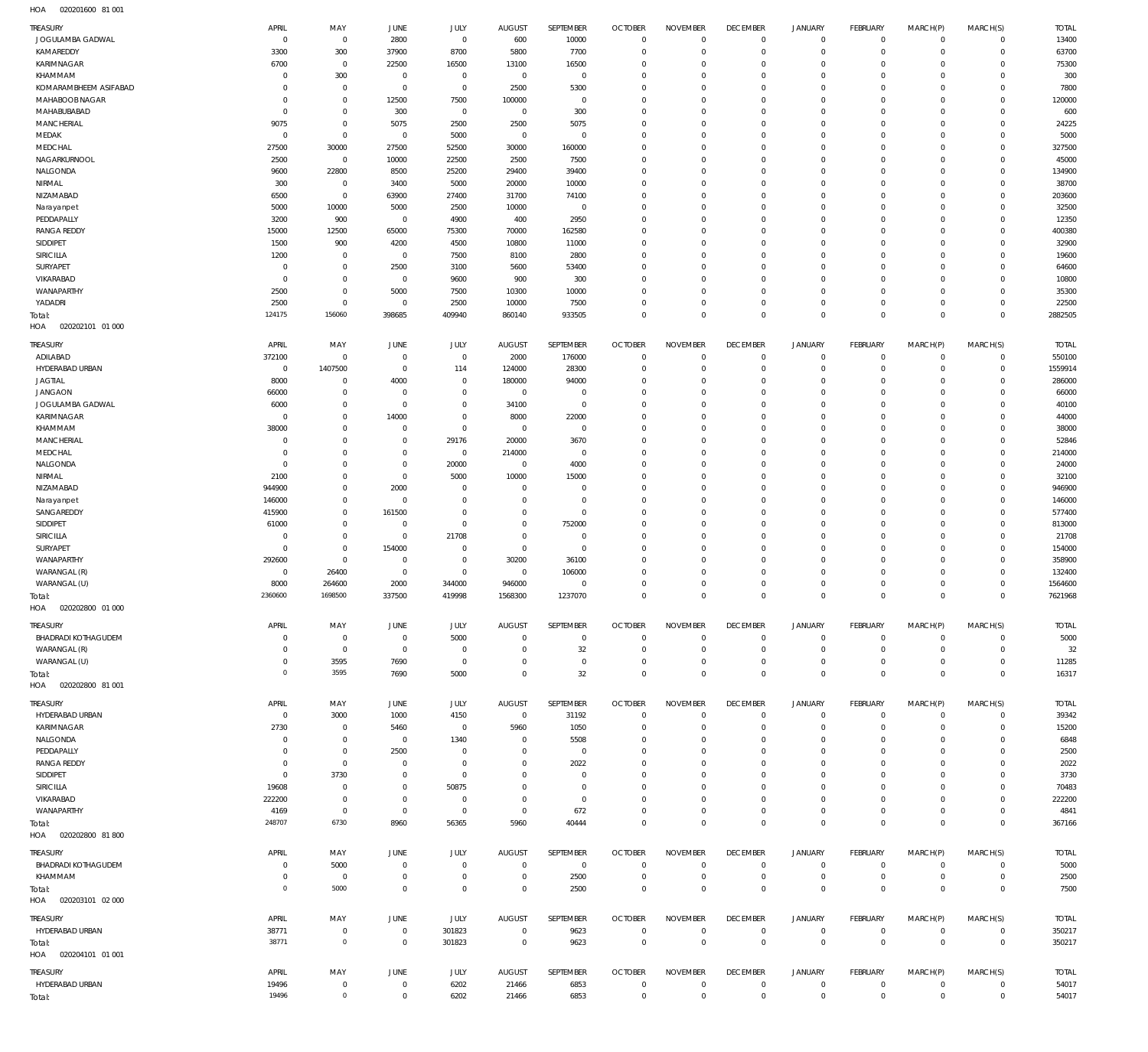020201600 81 001 HOA

| TREASURY                          | APRIL                            | MAY                        | JUNE                     | <b>JULY</b>                | <b>AUGUST</b>           | SEPTEMBER                  | <b>OCTOBER</b>                   | <b>NOVEMBER</b>            | <b>DECEMBER</b>            | <b>JANUARY</b>             | <b>FEBRUARY</b>               | MARCH(P)                | MARCH(S)                     | <b>TOTAL</b>     |
|-----------------------------------|----------------------------------|----------------------------|--------------------------|----------------------------|-------------------------|----------------------------|----------------------------------|----------------------------|----------------------------|----------------------------|-------------------------------|-------------------------|------------------------------|------------------|
| JOGULAMBA GADWAL                  | $\overline{0}$                   | $\mathbf 0$                | 2800                     | $\mathbf 0$                | 600                     | 10000                      | $\overline{0}$                   | $\mathbf 0$                | $\bf 0$                    | $\mathbf 0$                | $\overline{0}$                | $\mathbf 0$             | $\mathbf{0}$                 | 13400            |
| KAMAREDDY<br>KARIMNAGAR           | 3300                             | 300                        | 37900                    | 8700                       | 5800                    | 7700                       | $\overline{0}$                   | $\Omega$<br>$\Omega$       | $\mathbf 0$                | $\mathbf 0$                | $\mathbf 0$                   | $\Omega$                | $\mathbf 0$                  | 63700            |
| KHAMMAM                           | 6700<br>$\Omega$                 | $\mathbf 0$<br>300         | 22500<br>$\overline{0}$  | 16500<br>$^{\circ}$        | 13100<br>$\mathbf 0$    | 16500<br>$\mathbf 0$       | $^{\circ}$<br>$^{\circ}$         | $\Omega$                   | $\mathbf 0$<br>$\mathbf 0$ | $\mathbf 0$<br>$\mathbf 0$ | $\mathbf 0$<br>$\Omega$       | $\Omega$<br>$\Omega$    | $\mathbf 0$<br>$\Omega$      | 75300<br>300     |
| KOMARAMBHEEM ASIFABAD             | $\Omega$                         | $\mathbf 0$                | $^{\circ}$               | $\mathbf 0$                | 2500                    | 5300                       | $^{\circ}$                       | $\Omega$                   | $\Omega$                   | $\Omega$                   | $\Omega$                      | $\Omega$                | $\Omega$                     | 7800             |
| MAHABOOB NAGAR                    | $\Omega$                         | $\mathbf 0$                | 12500                    | 7500                       | 100000                  | $\mathbf 0$                | $^{\circ}$                       | $\Omega$                   | $\mathbf 0$                | $\Omega$                   | $\Omega$                      | $\Omega$                | $\mathbf 0$                  | 120000           |
| MAHABUBABAD                       | $\Omega$                         | $\mathbf 0$                | 300                      | $\mathbf 0$                | $\mathbf 0$             | 300                        | $\Omega$                         | $\Omega$                   | $\Omega$                   | $\Omega$                   | $\Omega$                      | $\Omega$                | $\Omega$                     | 600              |
| MANCHERIAL                        | 9075                             | $\mathbf 0$                | 5075                     | 2500                       | 2500                    | 5075                       | $^{\circ}$                       | $\Omega$                   | $\mathbf 0$                | $\mathbf 0$                | $\Omega$                      | $\Omega$                | $\mathbf 0$                  | 24225            |
| MEDAK                             | $^{\circ}$                       | $\mathbf 0$                | $\overline{0}$           | 5000                       | $^{\circ}$              | $\mathbf 0$                | $\Omega$                         | $\Omega$                   | $\Omega$                   | $\Omega$                   | $\Omega$                      | $\Omega$                | $\Omega$                     | 5000             |
| MEDCHAL                           | 27500                            | 30000                      | 27500                    | 52500                      | 30000                   | 160000                     | $^{\circ}$                       | $\Omega$                   | $\Omega$                   | $\Omega$                   | $\Omega$                      | $\Omega$                | $\mathbf 0$                  | 327500           |
| NAGARKURNOOL                      | 2500                             | $\mathbf 0$                | 10000                    | 22500                      | 2500                    | 7500                       | $\Omega$                         | $\Omega$<br>$\Omega$       | $\Omega$                   | $\Omega$<br>$\Omega$       | $\Omega$<br>$\Omega$          | $\Omega$                | $\Omega$<br>$\Omega$         | 45000            |
| NALGONDA<br>NIRMAL                | 9600<br>300                      | 22800<br>$\mathbf 0$       | 8500<br>3400             | 25200<br>5000              | 29400<br>20000          | 39400<br>10000             | $\Omega$<br>$^{\circ}$           | $\Omega$                   | $\Omega$<br>$\mathbf 0$    | $\Omega$                   | $\Omega$                      | $\Omega$<br>$\Omega$    | $\mathbf 0$                  | 134900<br>38700  |
| NIZAMABAD                         | 6500                             | $\mathbf 0$                | 63900                    | 27400                      | 31700                   | 74100                      | $\Omega$                         | $\Omega$                   | $\Omega$                   | $\Omega$                   | $\Omega$                      | $\Omega$                | $\Omega$                     | 203600           |
| Narayanpet                        | 5000                             | 10000                      | 5000                     | 2500                       | 10000                   | $\mathbf 0$                | $^{\circ}$                       | $\Omega$                   | $\Omega$                   | $\Omega$                   | $\Omega$                      | $\Omega$                | $\mathbf 0$                  | 32500            |
| PEDDAPALLY                        | 3200                             | 900                        | $\overline{0}$           | 4900                       | 400                     | 2950                       | $^{\circ}$                       | $\Omega$                   | $\Omega$                   | $\Omega$                   | $\Omega$                      | $\Omega$                | $\Omega$                     | 12350            |
| <b>RANGA REDDY</b>                | 15000                            | 12500                      | 65000                    | 75300                      | 70000                   | 162580                     | $\Omega$                         | $\Omega$                   | $\Omega$                   | $\Omega$                   | $\Omega$                      | $\Omega$                | $\Omega$                     | 400380           |
| SIDDIPET                          | 1500                             | 900                        | 4200                     | 4500                       | 10800                   | 11000                      | $^{\circ}$                       | $\Omega$                   | $\mathbf 0$                | $\Omega$                   | $\Omega$                      | $\Omega$                | $\Omega$                     | 32900            |
| <b>SIRICILLA</b>                  | 1200                             | $\mathbf{0}$               | $\overline{0}$           | 7500                       | 8100                    | 2800                       | $\Omega$                         | $\Omega$                   | $\Omega$                   | $\Omega$                   | $\Omega$                      | $\Omega$                | $\Omega$                     | 19600            |
| SURYAPET<br>VIKARABAD             | $\overline{0}$<br>$\overline{0}$ | $\mathbf 0$<br>$\mathbf 0$ | 2500<br>$\overline{0}$   | 3100<br>9600               | 5600<br>900             | 53400<br>300               | $^{\circ}$<br>$\Omega$           | $\Omega$<br>$\Omega$       | $\mathbf 0$<br>$\Omega$    | $\mathbf 0$<br>$\Omega$    | $\Omega$<br>$\Omega$          | $\Omega$<br>$\Omega$    | $\mathbf 0$<br>$\Omega$      | 64600<br>10800   |
| WANAPARTHY                        | 2500                             | $\mathbf 0$                | 5000                     | 7500                       | 10300                   | 10000                      | $^{\circ}$                       | $\Omega$                   | $\mathbf 0$                | $\mathbf 0$                | $\Omega$                      | $\Omega$                | $\mathbf 0$                  | 35300            |
| YADADRI                           | 2500                             | $\mathbf 0$                | $\overline{0}$           | 2500                       | 10000                   | 7500                       | $\overline{0}$                   | $\Omega$                   | $\mathbf 0$                | $\mathbf 0$                | $\mathbf 0$                   | $\Omega$                | $\mathbf 0$                  | 22500            |
| Total:                            | 124175                           | 156060                     | 398685                   | 409940                     | 860140                  | 933505                     | $\Omega$                         | $\Omega$                   | $\Omega$                   | $\Omega$                   | $\Omega$                      | $\Omega$                | $\Omega$                     | 2882505          |
| HOA<br>020202101 01 000           |                                  |                            |                          |                            |                         |                            |                                  |                            |                            |                            |                               |                         |                              |                  |
| TREASURY                          | APRIL                            | MAY                        | JUNE                     | JULY                       | <b>AUGUST</b>           | SEPTEMBER                  | <b>OCTOBER</b>                   | <b>NOVEMBER</b>            | <b>DECEMBER</b>            | <b>JANUARY</b>             | <b>FEBRUARY</b>               | MARCH(P)                | MARCH(S)                     | <b>TOTAL</b>     |
| ADILABAD                          | 372100                           | $\overline{0}$             | $\overline{0}$           | $\mathbf 0$                | 2000                    | 176000                     | $\mathbf 0$                      | $\mathbf 0$                | $\mathbf 0$                | $\mathbf 0$                | $\overline{0}$                | $\mathbf 0$             | $\overline{0}$               | 550100           |
| HYDERABAD URBAN                   | $\mathbf 0$                      | 1407500                    | $\overline{0}$           | 114                        | 124000                  | 28300                      | $\overline{0}$                   | $\overline{0}$             | $\mathbf 0$                | $\mathbf 0$                | $\overline{0}$                | $\mathbf 0$             | $\mathbf{0}$                 | 1559914          |
| <b>JAGTIAL</b>                    | 8000                             | $\mathbf 0$                | 4000                     | $\mathbf 0$                | 180000                  | 94000                      | $\overline{0}$                   | $\mathbf 0$                | $\mathbf 0$                | $\mathbf 0$                | $\mathbf 0$                   | $\mathbf 0$             | $\mathbf{0}$                 | 286000           |
| <b>JANGAON</b>                    | 66000                            | $\mathbf 0$                | $\overline{0}$           | $\mathbf 0$                | $\mathbb O$             | $\mathbf 0$                | $\overline{0}$                   | $\mathbf 0$                | $\mathbf 0$                | $\mathbf 0$                | $\mathbf 0$                   | $\Omega$                | $\mathbf{0}$                 | 66000            |
| JOGULAMBA GADWAL<br>KARIMNAGAR    | 6000                             | $\mathbf 0$                | $\overline{0}$           | $\mathbf 0$<br>$\mathbf 0$ | 34100                   | $\mathbb O$                | $\overline{0}$<br>$\overline{0}$ | $\mathbf 0$<br>$\mathbf 0$ | $\mathbf 0$<br>$\mathbf 0$ | $\mathbf 0$<br>$\mathbf 0$ | $\mathbf 0$<br>$\mathbf 0$    | $\Omega$<br>$\Omega$    | $\mathbf{0}$<br>$\mathbf 0$  | 40100            |
| KHAMMAM                           | C<br>38000                       | $\mathbf 0$<br>$\mathbf 0$ | 14000<br>$\overline{0}$  | $\mathbf 0$                | 8000<br>$^{\circ}$      | 22000<br>$\mathbb O$       | $\overline{0}$                   | $\Omega$                   | $\mathbf 0$                | $\mathbf 0$                | $\mathbf 0$                   | $\Omega$                | $\mathbf{0}$                 | 44000<br>38000   |
| MANCHERIAL                        | $\overline{0}$                   | $\mathbf 0$                | $\overline{0}$           | 29176                      | 20000                   | 3670                       | $\overline{0}$                   | $\mathbf 0$                | $\mathbf 0$                | $\mathbf 0$                | $\mathbf 0$                   | $\Omega$                | $\mathbf 0$                  | 52846            |
| MEDCHAL                           | $\overline{0}$                   | $\mathbf 0$                | $\overline{0}$           | $\mathbf 0$                | 214000                  | $\mathbb O$                | $\overline{0}$                   | $\mathbf 0$                | $\mathbf 0$                | $\mathbf 0$                | $\mathbf 0$                   | $\Omega$                | $\Omega$                     | 214000           |
| NALGONDA                          | $\Omega$                         | $\mathbf 0$                | $\overline{0}$           | 20000                      | $\mathbb O$             | 4000                       | $\overline{0}$                   | $\mathbf 0$                | $\mathbf 0$                | $\mathbf 0$                | $\mathbf 0$                   | $\Omega$                | $\mathbf{0}$                 | 24000            |
| NIRMAL                            | 2100                             | $\mathbf 0$                | $\overline{0}$           | 5000                       | 10000                   | 15000                      | $\overline{0}$                   | $\mathbf 0$                | $\mathbf 0$                | $\mathbf 0$                | $\mathbf 0$                   | $\Omega$                | $\mathbf 0$                  | 32100            |
| NIZAMABAD                         | 944900                           | $\mathbf 0$                | 2000                     | $\mathbf 0$                | $\mathbf 0$             | $\mathbf 0$                | $\overline{0}$                   | $\mathbf 0$                | $\mathbf 0$                | $\mathbf 0$                | $\mathbf 0$                   | $\Omega$                | $\mathbf{0}$                 | 946900           |
| Narayanpet                        | 146000                           | $\mathbf 0$                | 0                        | $\mathbf 0$<br>$\mathbf 0$ | $\mathbf 0$<br>$\Omega$ | $\mathbb O$<br>$\mathbf 0$ | $\overline{0}$<br>$\overline{0}$ | $\mathbf 0$<br>$\Omega$    | $\mathbf 0$<br>$\mathbf 0$ | $\mathbf 0$<br>$\mathbf 0$ | $\mathbf 0$<br>$\mathbf 0$    | $\Omega$<br>$\Omega$    | $\mathbf 0$<br>$\mathbf{0}$  | 146000           |
| SANGAREDDY<br>SIDDIPET            | 415900<br>61000                  | $\mathbf 0$<br>$\mathbf 0$ | 161500<br>$\overline{0}$ | $\mathbf 0$                | $\mathbf 0$             | 752000                     | $\overline{0}$                   | $\mathbf 0$                | $\mathbf 0$                | $\mathbf 0$                | $\mathbf 0$                   | $\Omega$                | $\mathbf 0$                  | 577400<br>813000 |
| SIRICILLA                         | $\overline{0}$                   | $\mathbf 0$                | $\mathbf{0}$             | 21708                      | $\mathbf 0$             | $\mathbf 0$                | $\overline{0}$                   | $\mathbf 0$                | $\mathbf 0$                | $\mathbf 0$                | $\Omega$                      | $\Omega$                | $\mathbf 0$                  | 21708            |
| SURYAPET                          | $^{\circ}$                       | $\mathbf 0$                | 154000                   | $\mathbb O$                | $\mathbb O$             | $\mathbb O$                | $\overline{0}$                   | $\mathbf 0$                | $\mathbf 0$                | $\mathbf 0$                | $\mathbf 0$                   | $\Omega$                | $\mathbf{0}$                 | 154000           |
| WANAPARTHY                        | 292600                           | $\mathbf 0$                | 0                        | $\mathbf 0$                | 30200                   | 36100                      | $\overline{0}$                   | $\mathbf 0$                | $\mathbf 0$                | $\mathbf 0$                | $\mathbf 0$                   | $\Omega$                | $\mathbf 0$                  | 358900           |
| WARANGAL (R)                      | $\overline{0}$                   | 26400                      | $\overline{0}$           | $\mathbf 0$                | $\mathbf 0$             | 106000                     | $^{\circ}$                       | $\mathbf 0$                | $\mathbf 0$                | $\mathbf 0$                | $\mathbf 0$                   | $\Omega$                | $\mathbf{0}$                 | 132400           |
| WARANGAL (U)                      | 8000                             | 264600                     | 2000                     | 344000                     | 946000                  | $\mathbf 0$                | $^{\circ}$                       | $\mathbf 0$                | $\mathbf 0$                | $\mathbf 0$                | $\mathbf 0$                   | $\Omega$                | $\mathbf 0$                  | 1564600          |
| Total:<br>HOA<br>020202800 01 000 | 2360600                          | 1698500                    | 337500                   | 419998                     | 1568300                 | 1237070                    | $\mathbf 0$                      | $\mathbf 0$                | $\mathbf 0$                | $\mathbf 0$                | $\overline{0}$                | $\mathbf 0$             | $\overline{0}$               | 7621968          |
|                                   |                                  |                            |                          |                            |                         |                            |                                  |                            |                            |                            |                               |                         |                              |                  |
| TREASURY                          | APRIL                            | MAY                        | JUNE                     | <b>JULY</b>                | <b>AUGUST</b>           | SEPTEMBER                  | <b>OCTOBER</b>                   | <b>NOVEMBER</b>            | <b>DECEMBER</b>            | <b>JANUARY</b>             | <b>FEBRUARY</b>               | MARCH(P)                | MARCH(S)                     | <b>TOTAL</b>     |
| <b>BHADRADI KOTHAGUDEM</b>        | $\Omega$                         | $\mathbf{0}$               | $^{\circ}$               | 5000                       | $\mathbf 0$<br>$\Omega$ | $\mathbf 0$                | $\overline{0}$                   | $\Omega$<br>$\Omega$       | $\mathbf 0$                | $\mathbf 0$<br>$\mathbf 0$ | $\mathbf 0$<br>$\mathbf 0$    | $\mathbf 0$<br>$\Omega$ | $\mathbf{0}$<br>$\mathbf 0$  | 5000             |
| WARANGAL (R)<br>WARANGAL (U)      | $\Omega$<br>$\Omega$             | $\mathbf 0$<br>3595        | $^{\circ}$<br>7690       | $\mathbf 0$<br>$\mathbf 0$ | $\Omega$                | 32<br>$\mathbf 0$          | $^{\circ}$<br>$^{\circ}$         | $^{\circ}$                 | $\mathbf 0$<br>$\mathbf 0$ | $\mathbf 0$                | $\mathbf 0$                   | $\mathbf 0$             | $\mathbf 0$                  | 32<br>11285      |
| Total:                            | $\circ$                          | 3595                       | 7690                     | 5000                       | $\Omega$                | 32                         | $\Omega$                         | $\Omega$                   | $\mathbf 0$                | $\mathbf 0$                | $\mathbf 0$                   | $\Omega$                | $\mathbf 0$                  | 16317            |
| HOA  020202800  81  001           |                                  |                            |                          |                            |                         |                            |                                  |                            |                            |                            |                               |                         |                              |                  |
| TREASURY                          | APRIL                            | MAY                        | JUNE                     | JULY                       | <b>AUGUST</b>           | SEPTEMBER                  | <b>OCTOBER</b>                   | <b>NOVEMBER</b>            | <b>DECEMBER</b>            | <b>JANUARY</b>             | <b>FEBRUARY</b>               | MARCH(P)                | MARCH(S)                     | <b>TOTAL</b>     |
| HYDERABAD URBAN                   | $^{\circ}$                       | 3000                       | 1000                     | 4150                       | $\overline{0}$          | 31192                      | $\overline{0}$                   | $\mathbf 0$                | $\mathbf 0$                | $\overline{0}$             | $\overline{0}$                | $\mathbf 0$             | $\overline{0}$               | 39342            |
| KARIMNAGAR                        | 2730                             | $\mathbf 0$                | 5460                     | $\mathbb O$                | 5960                    | 1050                       | $^{\circ}$                       | $\overline{0}$             | $\mathbf 0$                | $\mathbf 0$                | $\overline{0}$                | $\mathbf 0$             | $\circ$                      | 15200            |
| NALGONDA                          | $\overline{0}$                   | $\mathbf 0$                | $\mathbf 0$              | 1340                       | $\mathbf 0$             | 5508                       | $^{\circ}$                       | $^{\circ}$                 | $\mathbf 0$                | $\mathbf 0$                | $\overline{0}$                | $\Omega$                | $\mathbf{0}$                 | 6848             |
| PEDDAPALLY                        | $\Omega$                         | $\mathbf 0$                | 2500                     | $\mathbf 0$                | $\mathbf 0$             | $\overline{0}$             | $^{\circ}$                       | $\mathbf{0}$               | $\mathbf 0$                | $\mathbf 0$                | $\mathbf 0$                   | $\Omega$                | $\mathbf{0}$                 | 2500             |
| <b>RANGA REDDY</b>                | $\Omega$                         | $\mathbf 0$                | $\overline{0}$           | $\mathbf 0$                | $\Omega$                | 2022                       | $^{\circ}$                       | $\mathbf{0}$               | $\mathbf 0$                | $\Omega$                   | $\mathbf 0$                   | $\Omega$                | $\mathbf 0$                  | 2022             |
| SIDDIPET                          | $\Omega$                         | 3730                       | $\overline{0}$           | $\mathbf 0$                | $\Omega$                | $\mathbf 0$                | $^{\circ}$                       | $\mathbf{0}$               | $\mathbf 0$                | $\mathbf 0$<br>$\Omega$    | $\mathbf 0$                   | $\Omega$                | $\mathbf{0}$                 | 3730             |
| SIRICILLA<br>VIKARABAD            | 19608<br>222200                  | $\mathbf 0$<br>$\mathbf 0$ | $^{\circ}$<br>$^{\circ}$ | 50875<br>$\mathbf 0$       | $\Omega$<br>$\Omega$    | $\mathbf 0$<br>$\mathbf 0$ | $^{\circ}$<br>$\Omega$           | $\mathbf{0}$<br>$\Omega$   | $\mathbf 0$<br>$\Omega$    | $\mathbf 0$                | $\mathbf 0$<br>$\overline{0}$ | $\Omega$<br>$\Omega$    | $\mathbf{0}$<br>$\mathbf{0}$ | 70483<br>222200  |
| WANAPARTHY                        | 4169                             | $\mathbf 0$                | $\overline{0}$           | $\mathbb O$                | $^{\circ}$              | 672                        | $\overline{0}$                   | $\mathbf 0$                | $\mathbf 0$                | $\mathbf 0$                | $\mathbf 0$                   | $\circ$                 | $\mathbf{0}$                 | 4841             |
| Total:                            | 248707                           | 6730                       | 8960                     | 56365                      | 5960                    | 40444                      | $\overline{0}$                   | $\mathbf 0$                | $\mathbf 0$                | $\mathbf 0$                | $\overline{0}$                | $\Omega$                | $\overline{0}$               | 367166           |
| 020202800 81 800<br>HOA           |                                  |                            |                          |                            |                         |                            |                                  |                            |                            |                            |                               |                         |                              |                  |
| TREASURY                          | APRIL                            | MAY                        | JUNE                     | JULY                       | <b>AUGUST</b>           | SEPTEMBER                  | <b>OCTOBER</b>                   | <b>NOVEMBER</b>            | <b>DECEMBER</b>            | <b>JANUARY</b>             | <b>FEBRUARY</b>               | MARCH(P)                | MARCH(S)                     | <b>TOTAL</b>     |
| <b>BHADRADI KOTHAGUDEM</b>        | 0                                | 5000                       | $^{\circ}$               | $^{\circ}$                 | $\mathbf 0$             | $\mathbf 0$                | $\overline{0}$                   | $^{\circ}$                 | $\mathbf 0$                | $\mathbf 0$                | $\overline{0}$                | $\circ$                 | $\mathbf{0}$                 | 5000             |
| KHAMMAM                           | $\Omega$                         | $\mathbf{0}$               | $^{\circ}$               | $\mathbf 0$                | $^{\circ}$              | 2500                       | $\overline{0}$                   | $\overline{0}$             | $\mathbf 0$                | $\mathbf 0$                | $\overline{0}$                | $\mathbf 0$             | $\circ$                      | 2500             |
| Total:                            | $^{\circ}$                       | 5000                       | $\mathbf 0$              | $\mathbf 0$                | $\mathbf 0$             | 2500                       | $\mathbf 0$                      | $\mathbf 0$                | $\mathbf 0$                | $\mathbf 0$                | $\overline{0}$                | $\mathbf 0$             | $\mathbf 0$                  | 7500             |
| HOA<br>020203101 02 000           |                                  |                            |                          |                            |                         |                            |                                  |                            |                            |                            |                               |                         |                              |                  |
| TREASURY                          | APRIL                            | MAY                        | JUNE                     | JULY                       | <b>AUGUST</b>           | SEPTEMBER                  | <b>OCTOBER</b>                   | <b>NOVEMBER</b>            | <b>DECEMBER</b>            | <b>JANUARY</b>             | <b>FEBRUARY</b>               | MARCH(P)                | MARCH(S)                     | <b>TOTAL</b>     |
| HYDERABAD URBAN                   | 38771                            | $\mathbf 0$                | $\mathbf 0$              | 301823                     | $\mathbf 0$             | 9623                       | $\overline{0}$                   | $\mathbf 0$                | $\mathbf 0$                | $\mathbf 0$                | $\overline{0}$                | $\mathbf 0$             | $\overline{0}$               | 350217           |
| Total:                            | 38771                            | $\mathsf{O}\xspace$        | $\mathbf 0$              | 301823                     | $\mathbf 0$             | 9623                       | $\overline{0}$                   | $\mathbf 0$                | $\mathbf 0$                | $\,0\,$                    | $\overline{0}$                | $\mathbf 0$             | $\overline{0}$               | 350217           |
| 020204101 01 001<br>HOA           |                                  |                            |                          |                            |                         |                            |                                  |                            |                            |                            |                               |                         |                              |                  |
| TREASURY                          | APRIL                            | MAY                        | JUNE                     | JULY                       | <b>AUGUST</b>           | SEPTEMBER                  | <b>OCTOBER</b>                   | <b>NOVEMBER</b>            | <b>DECEMBER</b>            | <b>JANUARY</b>             | <b>FEBRUARY</b>               | MARCH(P)                | MARCH(S)                     | <b>TOTAL</b>     |
| HYDERABAD URBAN                   | 19496                            | $\mathbf 0$                | $\mathbf 0$              | 6202                       | 21466                   | 6853                       | $^{\circ}$                       | $^{\circ}$                 | 0                          | 0                          | $^{\circ}$                    | $\circ$                 | $\mathbf{0}$                 | 54017            |
| Total:                            | 19496                            | $\mathsf{O}\xspace$        | $\mathbf 0$              | 6202                       | 21466                   | 6853                       | $\mathbf 0$                      | $\mathbf 0$                | $\mathbf 0$                | $\mathbf 0$                | $\overline{0}$                | $\mathbf 0$             | $\overline{0}$               | 54017            |
|                                   |                                  |                            |                          |                            |                         |                            |                                  |                            |                            |                            |                               |                         |                              |                  |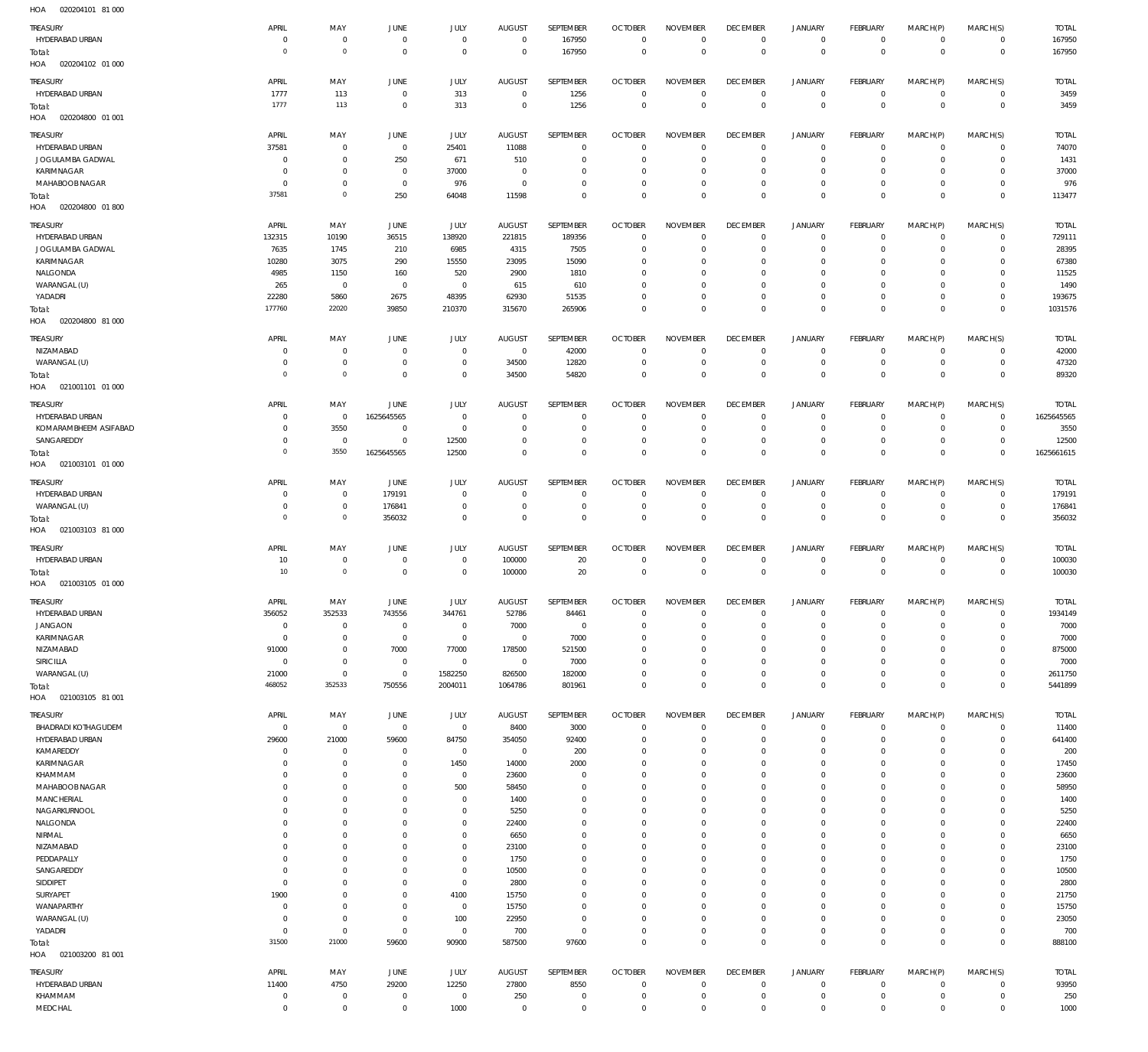020204101 81 000 HOA

| ,,,,,<br><b>ULULUTIUI</b>  |                |                     |                |                     |                |             |                |                 |                 |                |                |              |                |              |
|----------------------------|----------------|---------------------|----------------|---------------------|----------------|-------------|----------------|-----------------|-----------------|----------------|----------------|--------------|----------------|--------------|
| TREASURY                   | APRIL          | MAY                 | <b>JUNE</b>    | JULY                | <b>AUGUST</b>  | SEPTEMBER   | <b>OCTOBER</b> | <b>NOVEMBER</b> | <b>DECEMBER</b> | <b>JANUARY</b> | FEBRUARY       | MARCH(P)     | MARCH(S)       | <b>TOTAL</b> |
| HYDERABAD URBAN            | $\overline{0}$ | $\bf 0$             | $\mathbf 0$    | $\mathbf 0$         | $\mathbf 0$    | 167950      | $\overline{0}$ | $\mathbf 0$     | $\overline{0}$  | $\circ$        | $\overline{0}$ | $\mathbf{0}$ | $\overline{0}$ | 167950       |
| Total:                     | $\mathbf 0$    | $\mathbf 0$         | $\overline{0}$ | $\mathbf 0$         | $\mathbf 0$    | 167950      | $\overline{0}$ | $\overline{0}$  | $\mathbf 0$     | $\mathbf 0$    | $\overline{0}$ | $\mathbf 0$  | $\overline{0}$ | 167950       |
| HOA  020204102  01  000    |                |                     |                |                     |                |             |                |                 |                 |                |                |              |                |              |
|                            |                |                     |                |                     |                |             |                |                 |                 |                |                |              |                |              |
| TREASURY                   | APRIL          | MAY                 | <b>JUNE</b>    | JULY                | <b>AUGUST</b>  | SEPTEMBER   | <b>OCTOBER</b> | <b>NOVEMBER</b> | <b>DECEMBER</b> | <b>JANUARY</b> | FEBRUARY       | MARCH(P)     | MARCH(S)       | <b>TOTAL</b> |
| HYDERABAD URBAN            | 1777           | 113                 | $\overline{0}$ | 313                 | $\overline{0}$ | 1256        | $\overline{0}$ | $\mathbf 0$     | $\overline{0}$  | $\circ$        | $\overline{0}$ | 0            | $\overline{0}$ | 3459         |
| Total:                     | 1777           | 113                 | $\overline{0}$ | 313                 | $\overline{0}$ | 1256        | $\overline{0}$ | $\mathbf 0$     | $\overline{0}$  | $\mathbf 0$    | $\overline{0}$ | $\mathbf 0$  | $\overline{0}$ | 3459         |
| HOA<br>020204800 01 001    |                |                     |                |                     |                |             |                |                 |                 |                |                |              |                |              |
|                            |                |                     |                |                     |                |             |                |                 |                 |                |                |              |                |              |
| TREASURY                   | APRIL          | MAY                 | <b>JUNE</b>    | JULY                | <b>AUGUST</b>  | SEPTEMBER   | <b>OCTOBER</b> | <b>NOVEMBER</b> | <b>DECEMBER</b> | <b>JANUARY</b> | FEBRUARY       | MARCH(P)     | MARCH(S)       | <b>TOTAL</b> |
| HYDERABAD URBAN            | 37581          | 0                   | $\mathbf 0$    | 25401               | 11088          | $\mathbf 0$ | $\overline{0}$ | $\Omega$        | $\overline{0}$  | $\mathbf 0$    | $\overline{0}$ | $\mathbf 0$  | $\mathbf{0}$   | 74070        |
| JOGULAMBA GADWAL           | $\mathbf 0$    | $\mathsf{O}\xspace$ | 250            | 671                 | 510            | $\mathbf 0$ | $\overline{0}$ | $\Omega$        | $\mathbf 0$     | $\mathbf 0$    | $\mathbf{0}$   | $\Omega$     | $\mathbf{0}$   | 1431         |
|                            |                |                     |                |                     |                |             |                |                 |                 |                |                |              |                |              |
| KARIMNAGAR                 | 0              | $\mathsf{O}\xspace$ | $\mathbf 0$    | 37000               | 0              | $\mathbf 0$ | $\mathbf 0$    | $\Omega$        | $\mathbf 0$     | $\mathbf 0$    | $^{\circ}$     | $\Omega$     | $\mathbf 0$    | 37000        |
| MAHABOOB NAGAR             | 0              | $\mathbf 0$         | $\overline{0}$ | 976                 | $\overline{0}$ | $\mathbf 0$ | $\overline{0}$ | $\Omega$        | $\overline{0}$  | $\mathbf 0$    | $\mathbf{0}$   | $\mathbf 0$  | $\mathbf{0}$   | 976          |
| Total:                     | 37581          | $\mathbf 0$         | 250            | 64048               | 11598          | $\mathbf 0$ | $\mathbf 0$    | $\Omega$        | $\mathbf 0$     | $\mathbf 0$    | $\overline{0}$ | $\mathbf 0$  | $\mathbf 0$    | 113477       |
| HOA<br>020204800 01 800    |                |                     |                |                     |                |             |                |                 |                 |                |                |              |                |              |
|                            |                |                     |                |                     |                |             |                |                 |                 |                |                |              |                |              |
| <b>TREASURY</b>            | APRIL          | MAY                 | JUNE           | JULY                | <b>AUGUST</b>  | SEPTEMBER   | <b>OCTOBER</b> | <b>NOVEMBER</b> | <b>DECEMBER</b> | <b>JANUARY</b> | FEBRUARY       | MARCH(P)     | MARCH(S)       | <b>TOTAL</b> |
| HYDERABAD URBAN            | 132315         | 10190               | 36515          | 138920              | 221815         | 189356      | $\overline{0}$ | $\mathbf 0$     | $\overline{0}$  | 0              | $\overline{0}$ | $\circ$      | $\circ$        | 729111       |
| JOGULAMBA GADWAL           | 7635           | 1745                | 210            | 6985                | 4315           | 7505        | $\overline{0}$ | $\mathbf 0$     | $\overline{0}$  | $\mathbf 0$    | $\overline{0}$ | $\mathbf 0$  | $\overline{0}$ | 28395        |
| KARIMNAGAR                 | 10280          | 3075                | 290            | 15550               | 23095          | 15090       | $\overline{0}$ | $\mathbf 0$     | $\mathbf 0$     | 0              | $\mathbf{0}$   | $\Omega$     | $\mathbf{0}$   | 67380        |
| NALGONDA                   | 4985           | 1150                | 160            | 520                 | 2900           | 1810        | $\overline{0}$ | $\mathbf 0$     | $\overline{0}$  | $\circ$        | $^{\circ}$     | $\circ$      | $\mathbf{0}$   | 11525        |
| WARANGAL (U)               | 265            | $\mathbb O$         | $\overline{0}$ | $\mathbf 0$         | 615            | 610         | $\mathbf 0$    | $\mathbf 0$     | $\overline{0}$  | 0              | $\mathbf{0}$   | $\mathbf 0$  | $\mathbf{0}$   | 1490         |
|                            |                |                     |                |                     |                |             |                |                 |                 |                |                |              |                |              |
| YADADRI                    | 22280          | 5860                | 2675           | 48395               | 62930          | 51535       | $\overline{0}$ | $\mathbf 0$     | $\overline{0}$  | $\mathbf 0$    | $\circ$        | $\mathbf 0$  | $\mathbf{0}$   | 193675       |
| Total:                     | 177760         | 22020               | 39850          | 210370              | 315670         | 265906      | $\overline{0}$ | $\mathbf 0$     | $\overline{0}$  | $\mathbf 0$    | $\overline{0}$ | $\mathbf 0$  | $\overline{0}$ | 1031576      |
| HOA<br>020204800 81 000    |                |                     |                |                     |                |             |                |                 |                 |                |                |              |                |              |
|                            |                |                     |                |                     |                |             |                |                 |                 |                |                |              |                |              |
| TREASURY                   | APRIL          | MAY                 | <b>JUNE</b>    | JULY                | <b>AUGUST</b>  | SEPTEMBER   | <b>OCTOBER</b> | <b>NOVEMBER</b> | <b>DECEMBER</b> | <b>JANUARY</b> | FEBRUARY       | MARCH(P)     | MARCH(S)       | <b>TOTAL</b> |
| NIZAMABAD                  | 0              | 0                   | $\mathbf 0$    | $\mathbf 0$         | $\mathbf 0$    | 42000       | $\overline{0}$ | $\mathbf 0$     | $\overline{0}$  | 0              | $^{\circ}$     | $\mathbf 0$  | $\mathbf{0}$   | 42000        |
| WARANGAL (U)               | 0              | $\mathsf{O}\xspace$ | $\overline{0}$ | $\mathbf 0$         | 34500          | 12820       | $\overline{0}$ | $\mathbf 0$     | $\overline{0}$  | $\mathbf 0$    | $\overline{0}$ | $\mathbf 0$  | $\circ$        | 47320        |
| Total:                     | $\mathbf 0$    | $\mathbf 0$         | $\overline{0}$ | $\mathsf{O}\xspace$ | 34500          | 54820       | $\overline{0}$ | $\mathbf 0$     | $\overline{0}$  | $\mathbf 0$    | $\overline{0}$ | $\mathbf 0$  | $\overline{0}$ | 89320        |
| HOA<br>021001101 01 000    |                |                     |                |                     |                |             |                |                 |                 |                |                |              |                |              |
|                            |                |                     |                |                     |                |             |                |                 |                 |                |                |              |                |              |
| TREASURY                   | APRIL          | MAY                 | <b>JUNE</b>    | JULY                | <b>AUGUST</b>  | SEPTEMBER   | <b>OCTOBER</b> | <b>NOVEMBER</b> | <b>DECEMBER</b> | <b>JANUARY</b> | FEBRUARY       | MARCH(P)     | MARCH(S)       | <b>TOTAL</b> |
| HYDERABAD URBAN            | $\mathbf 0$    | 0                   | 1625645565     | $\bf 0$             | $\overline{0}$ | 0           | $\overline{0}$ | $\mathbf 0$     | $\overline{0}$  | 0              | $\overline{0}$ | $\mathbf 0$  | $\overline{0}$ | 1625645565   |
| KOMARAMBHEEM ASIFABAD      | 0              | 3550                | $\mathbf 0$    | 0                   | $\mathbf 0$    | $\mathbf 0$ | $\overline{0}$ | $\mathbf 0$     | $\overline{0}$  | $\mathbf 0$    | $\overline{0}$ | $\mathbf 0$  | $\overline{0}$ | 3550         |
|                            |                |                     |                |                     |                |             |                |                 |                 |                |                |              |                |              |
| SANGAREDDY                 | $\mathbf 0$    | $\mathbf 0$         | $\overline{0}$ | 12500               | $\mathbf 0$    | $\mathbf 0$ | $\overline{0}$ | $\mathbf 0$     | $\overline{0}$  | $\mathbf 0$    | $\overline{0}$ | $\mathbf 0$  | $\overline{0}$ | 12500        |
| Total:                     | $\overline{0}$ | 3550                | 1625645565     | 12500               | $\mathbf 0$    | $\mathbf 0$ | $\overline{0}$ | $\mathbf 0$     | $\overline{0}$  | $\bf 0$        | $\overline{0}$ | $\mathbf 0$  | $\overline{0}$ | 1625661615   |
| HOA<br>021003101 01 000    |                |                     |                |                     |                |             |                |                 |                 |                |                |              |                |              |
|                            |                |                     |                |                     |                |             |                |                 |                 |                |                |              |                |              |
| <b>TREASURY</b>            | APRIL          | MAY                 | JUNE           | JULY                | <b>AUGUST</b>  | SEPTEMBER   | <b>OCTOBER</b> | <b>NOVEMBER</b> | <b>DECEMBER</b> | <b>JANUARY</b> | FEBRUARY       | MARCH(P)     | MARCH(S)       | <b>TOTAL</b> |
| HYDERABAD URBAN            | 0              | 0                   | 179191         | $\mathbf 0$         | $\mathbf 0$    | $\mathbf 0$ | $\overline{0}$ | $\mathbf 0$     | $\overline{0}$  | 0              | $\mathbf 0$    | $\mathbf 0$  | $\circ$        | 179191       |
| WARANGAL (U)               | 0              | $\mathsf{O}\xspace$ | 176841         | $\mathbf 0$         | $\mathbf 0$    | $\mathbf 0$ | $\overline{0}$ | $\mathbf 0$     | $\overline{0}$  | $\mathbf 0$    | $\overline{0}$ | $\mathbf 0$  | $\circ$        | 176841       |
| Total:                     | $\overline{0}$ | $\mathbf 0$         | 356032         | $\mathbf 0$         | $\overline{0}$ | $\mathbf 0$ | $\overline{0}$ | $\mathbf 0$     | $\overline{0}$  | $\overline{0}$ | $\overline{0}$ | $\mathbf 0$  | $\overline{0}$ | 356032       |
| HOA<br>021003103 81 000    |                |                     |                |                     |                |             |                |                 |                 |                |                |              |                |              |
|                            |                |                     |                |                     |                |             |                |                 |                 |                |                |              |                |              |
| <b>TREASURY</b>            | APRIL          | MAY                 | JUNE           | JULY                | <b>AUGUST</b>  | SEPTEMBER   | <b>OCTOBER</b> | <b>NOVEMBER</b> | <b>DECEMBER</b> | <b>JANUARY</b> | FEBRUARY       | MARCH(P)     | MARCH(S)       | <b>TOTAL</b> |
| HYDERABAD URBAN            | 10             | $\bf 0$             | $\overline{0}$ | $\mathsf{O}\xspace$ | 100000         | 20          | $\overline{0}$ | $\mathbf 0$     | $\overline{0}$  | $\circ$        | $\overline{0}$ | $\mathbf 0$  | $\overline{0}$ | 100030       |
| Total:                     | 10             | $\mathbf 0$         | $\overline{0}$ | $\mathsf{O}\xspace$ | 100000         | 20          | $\overline{0}$ | $\overline{0}$  | $\overline{0}$  | $\mathbf 0$    | $\overline{0}$ | $\mathbf 0$  | $\overline{0}$ | 100030       |
|                            |                |                     |                |                     |                |             |                |                 |                 |                |                |              |                |              |
| HOA<br>021003105 01 000    |                |                     |                |                     |                |             |                |                 |                 |                |                |              |                |              |
| <b>TREASURY</b>            | APRIL          | MAY                 | <b>JUNE</b>    | JULY                | <b>AUGUST</b>  | SEPTEMBER   | <b>OCTOBER</b> | <b>NOVEMBER</b> | <b>DECEMBER</b> | <b>JANUARY</b> | FEBRUARY       | MARCH(P)     | MARCH(S)       | <b>TOTAL</b> |
| HYDERABAD URBAN            | 356052         | 352533              | 743556         | 344761              | 52786          | 84461       | $\mathbf 0$    | $\mathbf 0$     | $\mathbf 0$     | 0              | $\mathbf 0$    | $\mathbf 0$  | $\circ$        | 1934149      |
|                            |                |                     |                |                     |                |             | $\mathbf 0$    | $\Omega$        |                 |                | $\mathbf{0}$   | $\Omega$     | $\mathbf 0$    |              |
| <b>JANGAON</b>             | $\mathbf 0$    | $\bf 0$             | $\overline{0}$ | $\bf 0$             | 7000           | $\mathbf 0$ |                |                 | $\mathbf 0$     | $\mathbf 0$    |                |              |                | 7000         |
| KARIMNAGAR                 | $\mathbf 0$    | $\mathsf{O}\xspace$ | $\overline{0}$ | $\mathsf{O}\xspace$ | $\overline{0}$ | 7000        | $\mathbf 0$    | $\mathbf 0$     | $\mathbf 0$     | $\mathbf 0$    | $\mathbf 0$    | $\mathbf 0$  | $\mathbf 0$    | 7000         |
| NIZAMABAD                  | 91000          | $\mathsf{O}\xspace$ | 7000           | 77000               | 178500         | 521500      | $\mathbf 0$    | $\Omega$        | $\mathbf 0$     | $\mathbf 0$    | $\mathbf 0$    | $\Omega$     | $\mathbf 0$    | 875000       |
| SIRICILLA                  | $^{\circ}$     | $\mathsf{O}\xspace$ | $\overline{0}$ | $\mathsf{O}\xspace$ | $\overline{0}$ | 7000        | $\mathbf 0$    | $\mathbf 0$     | $\overline{0}$  | $\mathbf 0$    | $^{\circ}$     | $\Omega$     | $\mathbf{0}$   | 7000         |
| WARANGAL (U)               | 21000          | $\bf 0$             | $\mathbf 0$    | 1582250             | 826500         | 182000      | $\mathbf 0$    | $\mathbf 0$     | $\mathbf 0$     | $\mathbf 0$    | $\circ$        | $\mathbf 0$  | $\mathbf 0$    | 2611750      |
| Total:                     | 468052         | 352533              | 750556         | 2004011             | 1064786        | 801961      | $\overline{0}$ | $\mathbf 0$     | $\overline{0}$  | $\mathbf 0$    | $\overline{0}$ | $\mathbf 0$  | $\overline{0}$ | 5441899      |
| HOA<br>021003105 81 001    |                |                     |                |                     |                |             |                |                 |                 |                |                |              |                |              |
|                            |                |                     |                |                     |                |             |                |                 |                 |                |                |              |                |              |
| TREASURY                   | APRIL          | MAY                 | JUNE           | <b>JULY</b>         | <b>AUGUST</b>  | SEPTEMBER   | <b>OCTOBER</b> | <b>NOVEMBER</b> | <b>DECEMBER</b> | <b>JANUARY</b> | FEBRUARY       | MARCH(P)     | MARCH(S)       | <b>TOTAL</b> |
| <b>BHADRADI KOTHAGUDEM</b> | $\mathbf 0$    | $\bf 0$             | $\overline{0}$ | $\mathsf{O}\xspace$ | 8400           | 3000        | $\overline{0}$ | $\mathbf 0$     | $\overline{0}$  | $\circ$        | $\overline{0}$ | $\mathbf 0$  | $\overline{0}$ | 11400        |
| HYDERABAD URBAN            | 29600          | 21000               | 59600          | 84750               | 354050         | 92400       | $\overline{0}$ | $\mathbf 0$     | $\mathbf 0$     | $\mathbf 0$    | $\circ$        | $\mathbf 0$  | $\circ$        | 641400       |
|                            |                |                     |                |                     |                |             |                |                 |                 |                |                |              |                |              |
| KAMAREDDY                  | 0              | $\bf 0$             | $\mathbf 0$    | $\mathsf{O}\xspace$ | $\overline{0}$ | 200         | $\overline{0}$ | $\mathbf 0$     | $\overline{0}$  | $\mathbf 0$    | $\circ$        | $\mathbf 0$  | $\mathbf{0}$   | 200          |
| KARIMNAGAR                 | 0              | $\bf 0$             | $\mathbf 0$    | 1450                | 14000          | 2000        | $\overline{0}$ | $\mathbf 0$     | $\mathbf 0$     | $\mathbf 0$    | $\circ$        | $\mathbf 0$  | $\mathbf{0}$   | 17450        |
| KHAMMAM                    | 0              | $\mathsf{O}\xspace$ | $\mathbf 0$    | $\mathsf{O}\xspace$ | 23600          | $\mathbf 0$ | $\overline{0}$ | $\mathbf 0$     | $\overline{0}$  | $\mathbf 0$    | $\mathbf{0}$   | $\Omega$     | $\mathbf{0}$   | 23600        |
| MAHABOOB NAGAR             | 0              | $\mathsf{O}\xspace$ | 0              | 500                 | 58450          | $\bf 0$     | $\overline{0}$ | $\mathbf 0$     | $\overline{0}$  | 0              | $\circ$        | $\mathbf 0$  | $\circ$        | 58950        |
| MANCHERIAL                 | $\mathbf 0$    | $\bf 0$             | $\mathbf 0$    | $\bf 0$             | 1400           | $\mathbf 0$ | $\mathbf 0$    | $\mathbf 0$     | $\mathbf 0$     | $\mathbf 0$    | $\mathbf{0}$   | $\Omega$     | $\mathbf{0}$   | 1400         |
| NAGARKURNOOL               | $\mathbf 0$    | $\mathsf{O}\xspace$ | 0              | 0                   | 5250           | $\mathbf 0$ | $\overline{0}$ | $\mathbf 0$     | $\overline{0}$  | $\mathbf 0$    | $\mathbf{0}$   | $\mathbf 0$  | $\mathbf{0}$   | 5250         |
| NALGONDA                   | $\mathbf 0$    | $\bf 0$             | 0              | $\bf 0$             | 22400          | $\mathbf 0$ | $\overline{0}$ | $\mathbf 0$     | $\mathbf 0$     | $\mathbf 0$    | $\mathbf{0}$   | $\mathbf 0$  | $\mathbf{0}$   |              |
|                            |                |                     |                |                     |                |             |                |                 |                 |                |                |              |                | 22400        |
| NIRMAL                     | $\mathbf 0$    | $\bf 0$             | $\mathbf 0$    | $\mathbf 0$         | 6650           | $\mathbf 0$ | $\overline{0}$ | $\mathbf 0$     | $\mathbf 0$     | $\mathbf 0$    | $\mathbf{0}$   | $\mathbf 0$  | $\mathbf{0}$   | 6650         |
| NIZAMABAD                  | $\mathbf 0$    | $\bf 0$             | $\mathbf 0$    | $\mathsf{O}\xspace$ | 23100          | $\mathbf 0$ | $\overline{0}$ | $\mathbf 0$     | $\overline{0}$  | $\mathbf 0$    | $\mathbf{0}$   | $\mathbf 0$  | $\mathbf{0}$   | 23100        |
| PEDDAPALLY                 | $\mathbf 0$    | $\bf 0$             | $\mathbf 0$    | $\mathsf{O}\xspace$ | 1750           | $\mathbf 0$ | $\mathbf 0$    | $\mathbf 0$     | $\mathbf 0$     | $\mathbf 0$    | $\mathbf{0}$   | $\Omega$     | $\mathbf{0}$   | 1750         |
| SANGAREDDY                 | 0              | $\mathsf{O}\xspace$ | $\mathbf 0$    | $\mathsf{O}\xspace$ | 10500          | $\mathbf 0$ | $\overline{0}$ | $\mathbf 0$     | $\overline{0}$  | $\mathbf 0$    | $\mathbf{0}$   | $\mathbf 0$  | $\mathbf{0}$   | 10500        |
| SIDDIPET                   | $\mathbf 0$    | $\bf 0$             | 0              | $\mathsf{O}\xspace$ | 2800           | $\bf 0$     | $\mathbf 0$    | $\mathbf 0$     | $\mathbf 0$     | 0              | $\mathbf{0}$   | $\mathbf 0$  | $\mathbf{0}$   | 2800         |
| SURYAPET                   | 1900           | $\mathsf{O}\xspace$ | $\mathbf 0$    | 4100                | 15750          | $\mathbf 0$ | $\mathbf 0$    | $\mathbf 0$     | $\overline{0}$  | $\mathbf 0$    | $\mathbf{0}$   | $\mathbf 0$  | $\mathbf{0}$   | 21750        |
|                            |                |                     |                |                     |                |             |                |                 |                 |                |                |              |                |              |
| WANAPARTHY                 | 0              | $\mathsf{O}\xspace$ | 0              | $\mathsf{O}\xspace$ | 15750          | $\mathbf 0$ | $\overline{0}$ | $\mathbf 0$     | $\overline{0}$  | $\mathbf 0$    | $\mathbf{0}$   | $\mathbf 0$  | $\mathbf{0}$   | 15750        |
| WARANGAL (U)               | 0              | $\mathsf{O}\xspace$ | $\overline{0}$ | 100                 | 22950          | $\mathbf 0$ | $\overline{0}$ | $\mathbf 0$     | $\overline{0}$  | $\mathbf 0$    | $\mathbf{0}$   | $\mathbf 0$  | $\mathbf{0}$   | 23050        |
| YADADRI                    | $\mathbf 0$    | $\mathbf 0$         | $\overline{0}$ | $\mathsf{O}\xspace$ | 700            | $\bf 0$     | $\overline{0}$ | $\mathbf 0$     | $\overline{0}$  | $\mathbf 0$    | $\overline{0}$ | $\mathbf 0$  | $\circ$        | 700          |
| Total:                     | 31500          | 21000               | 59600          | 90900               | 587500         | 97600       | $\overline{0}$ | $\bf 0$         | $\overline{0}$  | $\mathbf 0$    | $\overline{0}$ | $\mathbf 0$  | $\overline{0}$ | 888100       |
| HOA<br>021003200 81 001    |                |                     |                |                     |                |             |                |                 |                 |                |                |              |                |              |
|                            |                |                     |                |                     |                |             |                |                 |                 |                |                |              |                |              |
| <b>TREASURY</b>            | APRIL          | MAY                 | JUNE           | JULY                | <b>AUGUST</b>  | SEPTEMBER   | <b>OCTOBER</b> | <b>NOVEMBER</b> | <b>DECEMBER</b> | <b>JANUARY</b> | FEBRUARY       | MARCH(P)     | MARCH(S)       | <b>TOTAL</b> |
| HYDERABAD URBAN            | 11400          | 4750                | 29200          | 12250               | 27800          | 8550        | $\overline{0}$ | $\mathbf 0$     | $\overline{0}$  | $\circ$        | $\overline{0}$ | $\mathbf 0$  | $\circ$        | 93950        |
| KHAMMAM                    | 0              | $\bf 0$             | $\mathbf 0$    | $\bf 0$             | 250            | 0           | $\mathbf 0$    | $\mathbf 0$     | $\overline{0}$  | $\mathbf 0$    | $\circ$        | 0            | $\circ$        | 250          |
| MEDCHAL                    | $\mathbf 0$    | $\mathsf{O}\xspace$ | $\bf 0$        | 1000                | $^{\circ}$     | $\bf 0$     | $\mathbf 0$    | $\mathbf 0$     | $\mathbf 0$     | $\mathbf 0$    | $\mathbf 0$    | $\mathbf 0$  | $\mathbf 0$    | 1000         |
|                            |                |                     |                |                     |                |             |                |                 |                 |                |                |              |                |              |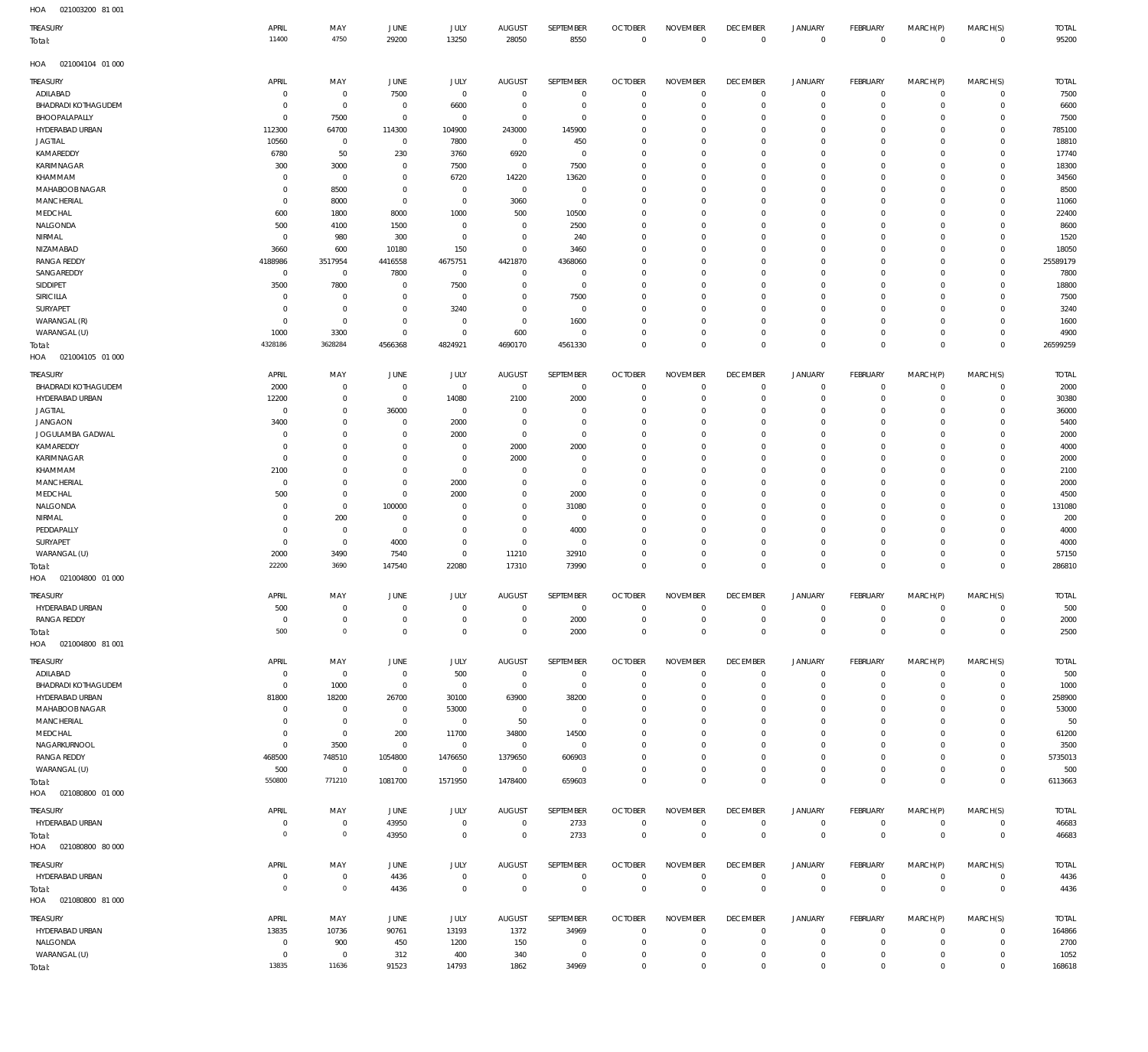| HOA |  |
|-----|--|

| HOA<br>021003200 81 001                |                           |                        |                                  |                            |                            |                         |                               |                      |                                |                            |                                            |                            |                            |                |
|----------------------------------------|---------------------------|------------------------|----------------------------------|----------------------------|----------------------------|-------------------------|-------------------------------|----------------------|--------------------------------|----------------------------|--------------------------------------------|----------------------------|----------------------------|----------------|
| TREASURY                               | APRIL                     | MAY                    | JUNE                             | JULY                       | <b>AUGUST</b>              | SEPTEMBER               | <b>OCTOBER</b>                | <b>NOVEMBER</b>      | <b>DECEMBER</b>                | <b>JANUARY</b>             | FEBRUARY                                   | MARCH(P)                   | MARCH(S)                   | <b>TOTAL</b>   |
| Total:                                 | 11400                     | 4750                   | 29200                            | 13250                      | 28050                      | 8550                    | $\mathbf 0$                   | $\overline{0}$       | $\mathbb O$                    | $\mathbb O$                | $\mathbb O$                                | $\mathbf 0$                | $\mathbf 0$                | 95200          |
|                                        |                           |                        |                                  |                            |                            |                         |                               |                      |                                |                            |                                            |                            |                            |                |
| HOA<br>021004104 01 000                |                           |                        |                                  |                            |                            |                         |                               |                      |                                |                            |                                            |                            |                            |                |
| TREASURY                               | APRIL                     | MAY                    | JUNE                             | <b>JULY</b>                | <b>AUGUST</b>              | SEPTEMBER               | <b>OCTOBER</b>                | <b>NOVEMBER</b>      | <b>DECEMBER</b>                | <b>JANUARY</b>             | <b>FEBRUARY</b>                            | MARCH(P)                   | MARCH(S)                   | <b>TOTAL</b>   |
| ADILABAD                               | $\circ$                   | $\circ$                | 7500                             | $\overline{0}$             | $\Omega$                   | $\overline{0}$          | $\mathbf 0$                   | $\Omega$             | $\overline{0}$                 | $\mathbf 0$                | $\mathbf 0$                                | $\mathbf 0$                | $\mathbf 0$                | 7500           |
| <b>BHADRADI KOTHAGUDEM</b>             | $\Omega$<br>$\Omega$      | $^{\circ}$             | $\overline{0}$                   | 6600                       | $\overline{0}$             | $\overline{0}$          | $\mathbf 0$                   | $\Omega$             | $\overline{0}$                 | $\circ$                    | $\mathbf 0$                                | 0                          | $\mathbf 0$                | 6600           |
| BHOOPALAPALLY<br>HYDERABAD URBAN       | 112300                    | 7500<br>64700          | $\overline{0}$<br>114300         | $\Omega$<br>104900         | $\overline{0}$<br>243000   | $\mathbf{0}$<br>145900  | $\mathbf 0$<br>$\mathbf 0$    | $\Omega$<br>$\Omega$ | $\mathbf 0$<br>$\Omega$        | $\circ$<br>$\Omega$        | $\circ$<br>$\circ$                         | 0<br>$\Omega$              | $\mathbf 0$<br>$\mathbf 0$ | 7500<br>785100 |
| <b>JAGTIAL</b>                         | 10560                     | $\circ$                | $\overline{0}$                   | 7800                       | $\overline{0}$             | 450                     | $\mathbf 0$                   | $\Omega$             | $\mathbf{0}$                   | $\Omega$                   | $\circ$                                    | 0                          | $\mathbf 0$                | 18810          |
| KAMAREDDY                              | 6780                      | 50                     | 230                              | 3760                       | 6920                       | $\Omega$                | $\mathbf 0$                   | $\Omega$             | $\Omega$                       | $\Omega$                   | $\circ$                                    | C                          | $\mathbf 0$                | 17740          |
| KARIMNAGAR                             | 300                       | 3000                   | $\overline{0}$                   | 7500                       | $\overline{0}$             | 7500                    | $\overline{0}$                | $\Omega$             | $\mathbf{0}$                   | $\Omega$                   | $\mathbf 0$                                | O                          | $\mathbf 0$                | 18300          |
| KHAMMAM                                | $\Omega$                  | $^{\circ}$             | $\overline{0}$                   | 6720                       | 14220                      | 13620                   | $\overline{0}$                | $\Omega$             | $\overline{0}$                 | $\Omega$                   | $\circ$                                    | $\Omega$                   | $\mathbf 0$                | 34560          |
| MAHABOOB NAGAR                         | $\Omega$                  | 8500                   | $\overline{0}$                   | $\Omega$                   | $\overline{0}$             | $\mathbf{0}$            | $\mathbf 0$                   | $\Omega$             | $\Omega$                       | $\Omega$                   | $\mathbf 0$                                | C                          | $\mathbf 0$                | 8500           |
| <b>MANCHERIAL</b>                      | $^{\circ}$                | 8000                   | $\overline{0}$                   | $\overline{0}$             | 3060                       | $\mathbf{0}$            | $\overline{0}$                | $\Omega$             | $\overline{0}$                 | $\circ$                    | $\circ$                                    | $\Omega$                   | $\mathbf 0$                | 11060          |
| MEDCHAL                                | 600                       | 1800                   | 8000                             | 1000                       | 500                        | 10500                   | $\mathbf 0$                   | $\Omega$             | $\Omega$                       | $\Omega$                   | $\mathbf 0$                                | C                          | 0                          | 22400          |
| NALGONDA                               | 500                       | 4100                   | 1500                             | $\Omega$                   | $\mathbf{0}$               | 2500                    | $\overline{0}$                | $\Omega$             | $\overline{0}$                 | $\Omega$                   | $\circ$                                    | $\Omega$                   | $\mathbf 0$                | 8600           |
| NIRMAL                                 | $\Omega$                  | 980                    | 300                              | $\Omega$                   | $\mathbf{0}$               | 240                     | $\mathbf 0$                   | $\Omega$             | $\Omega$                       | $\Omega$                   | $\mathbf 0$                                | C                          | $\mathbf 0$                | 1520           |
| NIZAMABAD                              | 3660                      | 600                    | 10180                            | 150                        | $\Omega$                   | 3460                    | $^{\circ}$                    | $\Omega$             | $\mathbf{0}$                   | $\Omega$                   | $\circ$                                    | $\Omega$                   | $\mathbf 0$                | 18050          |
| <b>RANGA REDDY</b>                     | 4188986                   | 3517954                | 4416558                          | 4675751                    | 4421870                    | 4368060                 | $\mathbf 0$                   | $\Omega$             | $\Omega$                       | $\Omega$                   | $\mathbf 0$                                | C                          | $\mathbf 0$                | 25589179       |
| SANGAREDDY                             | $\Omega$                  | $\overline{0}$         | 7800                             | $\Omega$                   | $\Omega$                   | $\Omega$                | $^{\circ}$                    | $\Omega$             | $\mathbf{0}$                   | $\Omega$                   | $\circ$                                    | $\Omega$                   | $\mathbf 0$                | 7800           |
| SIDDIPET                               | 3500                      | 7800                   | $\overline{0}$                   | 7500                       | $\mathbf{0}$               | $\mathbf{0}$            | $\overline{0}$                | $\Omega$             | $\mathbf{0}$                   | $\Omega$                   | $\circ$                                    | C                          | $\mathbf 0$                | 18800          |
| SIRICILLA                              | $\circ$                   | $^{\circ}$             | $^{\circ}$                       | $\Omega$                   | $\Omega$                   | 7500                    | $\mathbf 0$                   | $\Omega$             | $\Omega$                       | $\Omega$                   | $\mathbf 0$                                | C                          | $\mathbf 0$                | 7500           |
| SURYAPET                               | $\Omega$                  | $\overline{0}$         | $\overline{0}$                   | 3240                       | $\mathbf{0}$               | $\mathbf{0}$            | $\overline{0}$                | $\Omega$             | $\mathbf{0}$                   | $\Omega$                   | $\mathbf 0$                                | O                          | $\mathbf 0$                | 3240           |
| WARANGAL (R)                           | $\Omega$                  | $^{\circ}$             | $\overline{0}$                   | $\Omega$                   | $\overline{0}$             | 1600                    | $\mathbf 0$                   | $\Omega$             | $\overline{0}$                 | $\circ$                    | $\circ$                                    | $\Omega$                   | $\mathbf 0$                | 1600           |
| WARANGAL (U)                           | 1000<br>4328186           | 3300<br>3628284        | $\overline{0}$                   | $\overline{0}$             | 600                        | $\overline{0}$          | $\overline{0}$                | 0<br>$\Omega$        | $\overline{0}$                 | $\circ$                    | $\mathsf{O}\xspace$                        | 0                          | $\mathbf 0$                | 4900           |
| Total:<br>HOA<br>021004105 01 000      |                           |                        | 4566368                          | 4824921                    | 4690170                    | 4561330                 | $\mathbf 0$                   |                      | $\mathbb O$                    | $\mathbb O$                | $\mathbb O$                                | $^{\circ}$                 | $\mathbf 0$                | 26599259       |
|                                        |                           |                        |                                  |                            |                            |                         |                               |                      |                                |                            |                                            |                            |                            |                |
| TREASURY                               | APRIL                     | MAY                    | JUNE                             | JULY                       | <b>AUGUST</b>              | SEPTEMBER               | <b>OCTOBER</b>                | <b>NOVEMBER</b>      | <b>DECEMBER</b>                | <b>JANUARY</b>             | <b>FEBRUARY</b>                            | MARCH(P)                   | MARCH(S)                   | <b>TOTAL</b>   |
| <b>BHADRADI KOTHAGUDEM</b>             | 2000                      | $\circ$                | $\overline{0}$                   | $\Omega$                   | $\mathbf 0$                | $\overline{0}$          | $\overline{0}$                | $\Omega$             | $\mathbb O$                    | 0                          | $\mathbf 0$                                | $^{\circ}$                 | $\mathbf 0$                | 2000           |
| HYDERABAD URBAN                        | 12200                     | $\circ$                | $\overline{0}$                   | 14080                      | 2100                       | 2000                    | $\mathbf 0$                   | 0                    | $\overline{0}$                 | 0                          | 0                                          | O                          | $\mathbf 0$                | 30380          |
| <b>JAGTIAL</b>                         | $\circ$                   | $\Omega$               | 36000                            | $\overline{0}$             | $\Omega$                   | $\Omega$                | $\mathbf 0$                   | $\Omega$             | $\overline{0}$                 | $\Omega$                   | $\circ$                                    | O                          | $\mathbf 0$                | 36000          |
| <b>JANGAON</b>                         | 3400                      | $\circ$                | $\overline{0}$                   | 2000                       | $\overline{0}$             | $\Omega$                | $\overline{0}$                | $\Omega$             | $\overline{0}$                 | $\Omega$                   | $\circ$                                    | -0                         | $\mathbf 0$                | 5400           |
| JOGULAMBA GADWAL                       | $\Omega$                  | $\Omega$               | $\overline{0}$                   | 2000                       | $\overline{0}$             | $\mathbf{0}$            | $\mathbf 0$                   | $\Omega$             | $\overline{0}$                 | $\Omega$                   | $\mathbf 0$                                | O                          | $\mathbf 0$                | 2000           |
| KAMAREDDY                              | $\Omega$                  | $\Omega$               | $\overline{0}$<br>$\mathbf{0}$   | $\Omega$                   | 2000                       | 2000                    | $\overline{0}$                | $\Omega$             | $\overline{0}$                 | $\Omega$                   | $\mathbf 0$                                | -0                         | $\mathbf 0$                | 4000           |
| KARIMNAGAR<br>KHAMMAM                  | $\circ$<br>2100           | $\Omega$<br>$\circ$    | $\overline{0}$                   | $\overline{0}$<br>$\Omega$ | 2000<br>$\Omega$           | $\mathbf 0$<br>$\Omega$ | $\mathbf 0$<br>$\overline{0}$ | $\Omega$<br>$\Omega$ | $\overline{0}$<br>$\mathbf{0}$ | $\Omega$<br>$\Omega$       | $\mathbf 0$<br>$\mathbf 0$                 | 0<br>-0                    | $\mathbf 0$<br>$\mathbf 0$ | 2000<br>2100   |
| <b>MANCHERIAL</b>                      | $^{\circ}$                | $\Omega$               | $\mathbf 0$                      | 2000                       | $\overline{0}$             | $\mathbf{0}$            | $\mathbf 0$                   | $\Omega$             | $\overline{0}$                 | $\Omega$                   | $\mathbf 0$                                | 0                          | $\mathbf 0$                | 2000           |
| MEDCHAL                                | 500                       | $\circ$                | $\overline{0}$                   | 2000                       | $\Omega$                   | 2000                    | $\overline{0}$                | $\Omega$             | $\overline{0}$                 | $\Omega$                   | $\circ$                                    | O                          | $\mathbf 0$                | 4500           |
| NALGONDA                               | $\circ$                   | $\circ$                | 100000                           | - 0                        | $\Omega$                   | 31080                   | $\overline{0}$                | $\Omega$             | $\overline{0}$                 | $\Omega$                   | $\mathbf 0$                                | 0                          | $\mathbf 0$                | 131080         |
| NIRMAL                                 | $\circ$                   | 200                    | $\overline{0}$                   | $\Omega$                   | $\overline{0}$             | $\overline{0}$          | $\mathbf 0$                   | $\Omega$             | $\overline{0}$                 | 0                          | 0                                          | O                          | $\mathbf 0$                | 200            |
| PEDDAPALLY                             | $\Omega$                  | $^{\circ}$             | $\overline{0}$                   | $\Omega$                   | $\overline{0}$             | 4000                    | $\mathbf 0$                   | $\Omega$             | $\mathbf{0}$                   | $\Omega$                   | $\mathbf 0$                                | -0                         | $\mathbf 0$                | 4000           |
| SURYAPET                               | $^{\circ}$                | $\overline{0}$         | 4000                             | $\Omega$                   | $\mathbf 0$                | $\overline{0}$          | $\overline{0}$                | -0                   | $\overline{0}$                 | $\circ$                    | 0                                          | 0                          | $\mathbf 0$                | 4000           |
| WARANGAL (U)                           | 2000                      | 3490                   | 7540                             | $^{\circ}$                 | 11210                      | 32910                   | $\mathbf 0$                   | 0                    | $\mathbb O$                    | $\circ$                    | $\mathsf{O}\xspace$                        | $^{\circ}$                 | $\mathbf 0$                | 57150          |
| Total:                                 | 22200                     | 3690                   | 147540                           | 22080                      | 17310                      | 73990                   | $\mathbf 0$                   | $^{\circ}$           | $\mathbb O$                    | $\mathbb O$                | $\,0\,$                                    | $^{\circ}$                 | $\mathbf 0$                | 286810         |
| HOA<br>021004800 01 000                |                           |                        |                                  |                            |                            |                         |                               |                      |                                |                            |                                            |                            |                            |                |
| TREASURY                               | APRIL                     | MAY                    | <b>JUNE</b>                      | JULY                       | <b>AUGUST</b>              | SEPTEMBER               | <b>OCTOBER</b>                | <b>NOVEMBER</b>      | <b>DECEMBER</b>                | <b>JANUARY</b>             | <b>FEBRUARY</b>                            | MARCH(P)                   | MARCH(S)                   | <b>TOTAL</b>   |
| HYDERABAD URBAN                        | 500                       | $\mathbb O$            | $\overline{0}$                   | $\Omega$                   | $\Omega$                   | $\overline{0}$          | $\mathbf 0$                   | $\overline{0}$       | $\overline{0}$                 | 0                          | $\mathsf{O}\xspace$                        | $\circ$                    | $\circ$                    | 500            |
| <b>RANGA REDDY</b>                     | $\overline{0}$            | $\mathbb O$            | $\overline{0}$                   | $\Omega$                   | $\mathbf 0$                | 2000                    | $\overline{0}$                | $\mathbf 0$          | $\mathbb O$                    | 0                          | $\mathsf{O}\xspace$                        | $\circ$                    | $\mathbf 0$                | 2000           |
| Total:                                 | 500                       | $\mathbf 0$            | $\overline{0}$                   | $\Omega$                   | $\overline{0}$             | 2000                    | $\mathbb O$                   | $\mathbf 0$          | $\mathbb O$                    | $\mathbb O$                | $\,0\,$                                    | $\mathbf 0$                | $\mathbf 0$                | 2500           |
| HOA<br>021004800 81 001                |                           |                        |                                  |                            |                            |                         |                               |                      |                                |                            |                                            |                            |                            |                |
|                                        |                           |                        |                                  |                            |                            |                         |                               |                      |                                |                            |                                            |                            |                            |                |
| TREASURY                               | APRIL                     | MAY                    | JUNE                             | <b>JULY</b>                | <b>AUGUST</b>              | SEPTEMBER               | <b>OCTOBER</b>                | <b>NOVEMBER</b>      | <b>DECEMBER</b>                | JANUARY                    | FEBRUARY                                   | MARCH(P)                   | MARCH(S)                   | <b>TOTAL</b>   |
| ADILABAD<br><b>BHADRADI KOTHAGUDEM</b> | $\,0\,$<br>$\overline{0}$ | $\overline{0}$<br>1000 | $\overline{0}$<br>$\overline{0}$ | 500<br>$\mathbf 0$         | $\mathbf 0$<br>$\mathbf 0$ | $\,0\,$<br>$\mathbf 0$  | $\mathbf 0$<br>$\overline{0}$ | $\overline{0}$<br>0  | $\,0\,$<br>$\mathbb O$         | $\mathbf 0$<br>$\mathbf 0$ | $\mathsf{O}\xspace$<br>$\mathsf{O}\xspace$ | $\mathbf 0$<br>$\mathbf 0$ | $\mathbf 0$<br>$\mathbf 0$ | 500<br>1000    |
| HYDERABAD URBAN                        | 81800                     | 18200                  | 26700                            | 30100                      | 63900                      | 38200                   | $\mathbf 0$                   | $\Omega$             | $\mathbb O$                    | $\circ$                    | $\mathsf{O}\xspace$                        | $\mathbf 0$                | $\mathbf 0$                | 258900         |
| MAHABOOB NAGAR                         | $\overline{0}$            | $\mathbf 0$            | $\overline{0}$                   | 53000                      | $\,0\,$                    | $\overline{0}$          | $\mathbf 0$                   | 0                    | $\mathbf 0$                    | $\circ$                    | $\mathsf{O}\xspace$                        | 0                          | $\mathbf 0$                | 53000          |
| MANCHERIAL                             | $^{\circ}$                | $^{\circ}$             | $\overline{0}$                   | $\,0\,$                    | 50                         | $\overline{0}$          | $\mathbf 0$                   | $\mathbf 0$          | $\mathbf 0$                    | 0                          | $\mathbf 0$                                | 0                          | $\mathbf 0$                | 50             |
| MEDCHAL                                | $^{\circ}$                | $\overline{0}$         | 200                              | 11700                      | 34800                      | 14500                   | $\mathbf 0$                   | $\Omega$             | $\mathbf 0$                    | $\circ$                    | $\mathbf 0$                                | $\Omega$                   | $\mathbf 0$                | 61200          |
| NAGARKURNOOL                           | $\mathbf 0$               | 3500                   | $\overline{0}$                   | $\mathbf 0$                | $\overline{0}$             | $\,0\,$                 | $\mathbf 0$                   | $\Omega$             | $\mathbf 0$                    | $\mathbf 0$                | $\mathbf 0$                                | $\mathbf 0$                | $\mathbf 0$                | 3500           |
| <b>RANGA REDDY</b>                     | 468500                    | 748510                 | 1054800                          | 1476650                    | 1379650                    | 606903                  | $\mathbf 0$                   | $\Omega$             | $\mathbf 0$                    | $\mathbf 0$                | $\mathsf{O}\xspace$                        | 0                          | $\mathbf 0$                | 5735013        |
| WARANGAL (U)                           | 500                       | $\overline{0}$         | $\overline{0}$                   | $\mathbf 0$                | $\overline{0}$             | $\overline{0}$          | $\mathbf 0$                   | $\overline{0}$       | $\mathbb O$                    | 0                          | $\mathsf{O}\xspace$                        | $\mathbf 0$                | $\mathbf 0$                | 500            |
| Total:                                 | 550800                    | 771210                 | 1081700                          | 1571950                    | 1478400                    | 659603                  | $\mathbb O$                   | $\mathbf 0$          | $\mathbb O$                    | $\mathbb O$                | $\,0\,$                                    | $\mathbf 0$                | $\mathbf 0$                | 6113663        |
| HOA  021080800  01  000                |                           |                        |                                  |                            |                            |                         |                               |                      |                                |                            |                                            |                            |                            |                |
| TREASURY                               | APRIL                     | MAY                    | JUNE                             | JULY                       | <b>AUGUST</b>              | SEPTEMBER               | <b>OCTOBER</b>                | <b>NOVEMBER</b>      | <b>DECEMBER</b>                | <b>JANUARY</b>             | <b>FEBRUARY</b>                            | MARCH(P)                   | MARCH(S)                   | <b>TOTAL</b>   |
| HYDERABAD URBAN                        | $^{\circ}$                | $\mathbb O$            | 43950                            | $\overline{0}$             | $\overline{0}$             | 2733                    | $\mathbf 0$                   | $\mathbf 0$          | $\mathbb O$                    | $\mathsf{O}\xspace$        | $\mathsf{O}\xspace$                        | $\mathbf 0$                | 0                          | 46683          |
| Total:                                 | $\circ$                   | $\mathbf 0$            | 43950                            | $\mathbf 0$                | $\mathbf 0$                | 2733                    | $\overline{0}$                | $\mathbf 0$          | $\mathbb O$                    | $\mathbb O$                | $\,0\,$                                    | $\mathbf 0$                | $\mathbf 0$                | 46683          |
| HOA  021080800  80  000                |                           |                        |                                  |                            |                            |                         |                               |                      |                                |                            |                                            |                            |                            |                |
|                                        |                           |                        |                                  |                            |                            |                         |                               |                      |                                |                            |                                            |                            |                            |                |
| TREASURY                               | APRIL                     | MAY                    | JUNE                             | <b>JULY</b>                | <b>AUGUST</b>              | SEPTEMBER               | <b>OCTOBER</b>                | <b>NOVEMBER</b>      | <b>DECEMBER</b>                | <b>JANUARY</b>             | FEBRUARY                                   | MARCH(P)                   | MARCH(S)                   | <b>TOTAL</b>   |
| HYDERABAD URBAN                        | $\mathbf 0$               | $\mathbf 0$            | 4436                             | $\overline{0}$             | $\mathbf 0$                | $\overline{0}$          | $\overline{0}$                | $\overline{0}$       | $\mathbb O$                    | $\mathbf 0$                | $\mathsf{O}\xspace$                        | $\mathbf 0$                | $\mathbf 0$                | 4436           |
| Total:                                 | $\overline{0}$            | $\overline{0}$         | 4436                             | $\overline{0}$             | $\,0\,$                    | $\,0\,$                 | $\,0\,$                       | $\overline{0}$       | $\,0\,$                        | $\,0\,$                    | $\,0\,$                                    | $\mathbf 0$                | $\mathbf 0$                | 4436           |
| HOA<br>021080800 81 000                |                           |                        |                                  |                            |                            |                         |                               |                      |                                |                            |                                            |                            |                            |                |
| TREASURY                               | APRIL                     | MAY                    | JUNE                             | JULY                       | <b>AUGUST</b>              | SEPTEMBER               | <b>OCTOBER</b>                | <b>NOVEMBER</b>      | <b>DECEMBER</b>                | JANUARY                    | FEBRUARY                                   | MARCH(P)                   | MARCH(S)                   | <b>TOTAL</b>   |
| HYDERABAD URBAN                        | 13835                     | 10736                  | 90761                            | 13193                      | 1372                       | 34969                   | $\mathbf 0$                   | $\overline{0}$       | $\mathbf 0$                    | $\circ$                    | 0                                          | $\mathbf 0$                | $\mathbf 0$                | 164866         |
| NALGONDA                               | $^{\circ}$                | 900                    | 450                              | 1200                       | 150                        | $\overline{0}$          | $\mathbf 0$                   | $\overline{0}$       | $\mathbf 0$                    | $\circ$                    | $\mathsf{O}\xspace$                        | $\mathbf 0$                | $\mathbf 0$                | 2700           |
| WARANGAL (U)                           | $\mathbf{0}$              | $\overline{0}$         | 312                              | 400                        | 340                        | $\overline{0}$          | $\mathbf 0$                   | $\overline{0}$       | $\,0\,$                        | 0                          | $\mathsf{O}\xspace$                        | 0                          | $\mathbf 0$                | 1052           |
| Total:                                 | 13835                     | 11636                  | 91523                            | 14793                      | 1862                       | 34969                   | $\mathbf 0$                   | $\mathbf 0$          | $\mathbf 0$                    | $\mathbf 0$                | $\mathbb O$                                | $\mathbf 0$                | $\mathbf 0$                | 168618         |
|                                        |                           |                        |                                  |                            |                            |                         |                               |                      |                                |                            |                                            |                            |                            |                |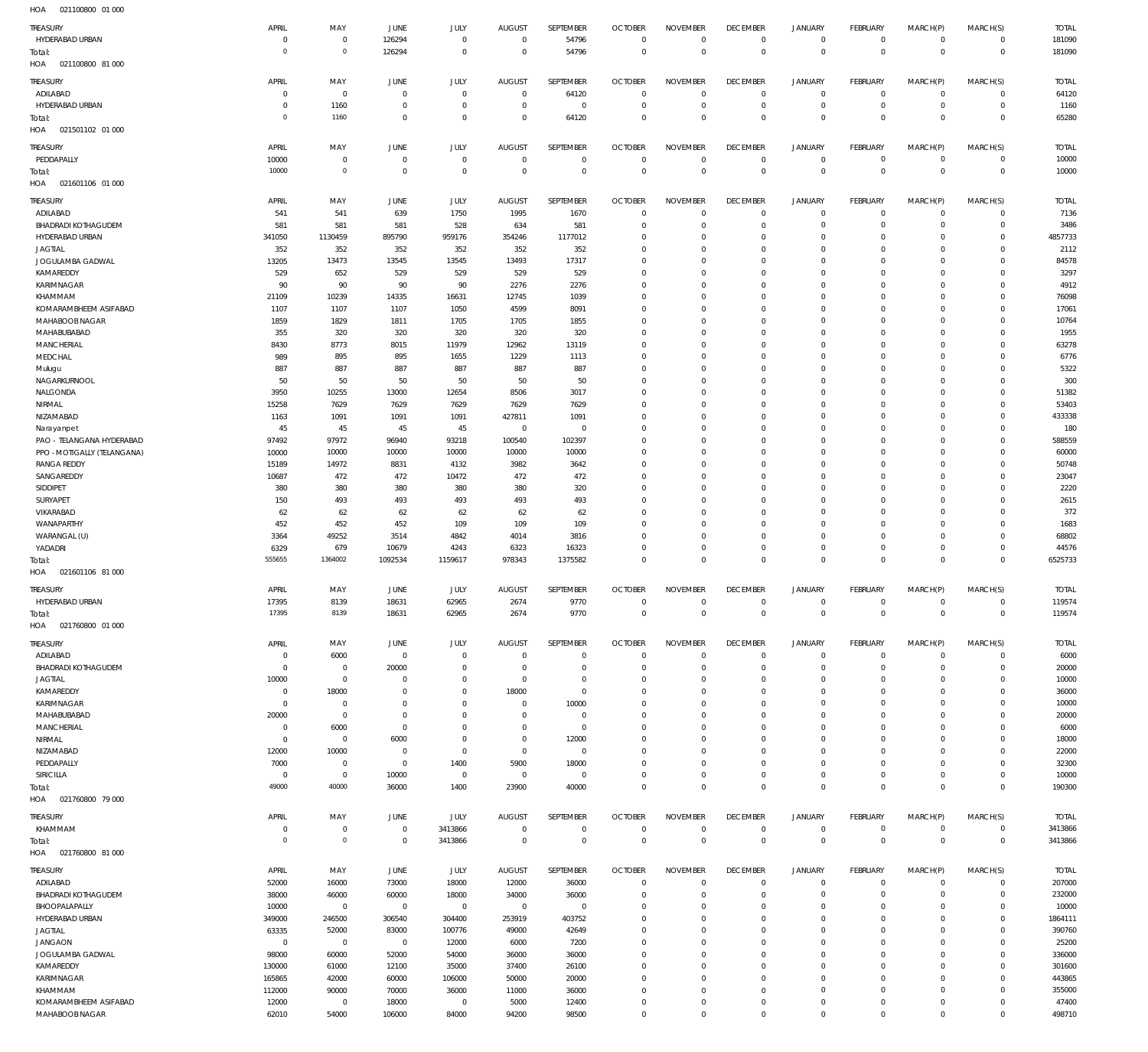| <b>TREASURY</b>                         |                      |                         |                  |                      |                      |                         |                                  |                             |                               |                               |                                  |                         |                         |                      |
|-----------------------------------------|----------------------|-------------------------|------------------|----------------------|----------------------|-------------------------|----------------------------------|-----------------------------|-------------------------------|-------------------------------|----------------------------------|-------------------------|-------------------------|----------------------|
|                                         | APRIL                | MAY                     | JUNE             | JULY                 | <b>AUGUST</b>        | SEPTEMBER               | <b>OCTOBER</b>                   | <b>NOVEMBER</b>             | <b>DECEMBER</b>               | <b>JANUARY</b>                | <b>FEBRUARY</b>                  | MARCH(P)                | MARCH(S)                | <b>TOTAL</b>         |
| HYDERABAD URBAN                         | $\Omega$<br>$\Omega$ | $\mathbf 0$             | 126294           | $\mathbf{0}$         | $\mathbf 0$          | 54796                   | $\overline{0}$                   | $\mathbf 0$                 | $\overline{0}$                | $\mathbf 0$                   | $\mathbf 0$                      | $\mathbf 0$             | $\mathbf 0$             | 181090               |
| Total:                                  |                      | $\mathbf{0}$            | 126294           | $\mathbf{0}$         | $\mathbf 0$          | 54796                   | $\overline{0}$                   | $\mathbf 0$                 | $\overline{0}$                | $\mathbf 0$                   | $\mathbf 0$                      | $\Omega$                | $\mathbf 0$             | 181090               |
| 021100800 81 000<br>HOA                 |                      |                         |                  |                      |                      |                         |                                  |                             |                               |                               |                                  |                         |                         |                      |
| TREASURY                                | APRIL                | MAY                     | JUNE             | JULY                 | <b>AUGUST</b>        | SEPTEMBER               | <b>OCTOBER</b>                   | <b>NOVEMBER</b>             | <b>DECEMBER</b>               | <b>JANUARY</b>                | <b>FEBRUARY</b>                  | MARCH(P)                | MARCH(S)                | <b>TOTAL</b>         |
| ADILABAD                                | $\Omega$             | $\mathbf 0$             | $^{\circ}$       | $\mathbf{0}$         | $\mathbf 0$          | 64120                   | $\overline{0}$                   | $\Omega$                    | $\overline{0}$                | $\mathbf 0$                   | $\circ$                          | $^{\circ}$              | $\mathbf 0$             | 64120                |
| HYDERABAD URBAN                         | - 0                  | 1160                    | $^{\circ}$       | $\mathbf{0}$         | $^{\circ}$           | $\overline{0}$          | $\overline{0}$                   | $\mathbf 0$                 | $\overline{0}$                | $\mathsf{O}\xspace$           | $\mathbf 0$                      | $^{\circ}$              | $\mathbf 0$             | 1160                 |
| Total:                                  | $\Omega$             | 1160                    | $\Omega$         | $\mathbf 0$          | $\Omega$             | 64120                   | $\overline{0}$                   | $\Omega$                    | $\overline{0}$                | $\mathbf 0$                   | $\overline{0}$                   | $\Omega$                | $\mathbf{0}$            | 65280                |
| 021501102 01 000<br>HOA                 |                      |                         |                  |                      |                      |                         |                                  |                             |                               |                               |                                  |                         |                         |                      |
| TREASURY                                | APRIL                | MAY                     | JUNE             | JULY                 | <b>AUGUST</b>        | SEPTEMBER               | <b>OCTOBER</b>                   | <b>NOVEMBER</b>             | <b>DECEMBER</b>               | <b>JANUARY</b>                | <b>FEBRUARY</b>                  | MARCH(P)                | MARCH(S)                | <b>TOTAL</b>         |
| PEDDAPALLY                              | 10000                | $\overline{0}$          | $^{\circ}$       | $^{\circ}$           | $^{\circ}$           | $\mathbf 0$             | $\mathbf 0$                      | $\mathbf 0$                 | $\overline{0}$                | 0                             | $\circ$                          | $^{\circ}$              | $\mathbf 0$             | 10000                |
| Total:                                  | 10000                | $\mathbf 0$             | $\mathbf{0}$     | $\mathbf 0$          | $\mathbf 0$          | $\mathbf 0$             | $\overline{0}$                   | $\mathbf 0$                 | $\overline{0}$                | $\mathbf{0}$                  | $\,0\,$                          | $\mathbf 0$             | $\mathbf 0$             | 10000                |
| HOA<br>021601106 01 000                 |                      |                         |                  |                      |                      |                         |                                  |                             |                               |                               |                                  |                         |                         |                      |
|                                         | APRIL                |                         |                  |                      | <b>AUGUST</b>        | SEPTEMBER               |                                  |                             | <b>DECEMBER</b>               |                               | <b>FEBRUARY</b>                  |                         |                         |                      |
| TREASURY<br>ADILABAD                    | 541                  | MAY<br>541              | JUNE<br>639      | <b>JULY</b><br>1750  | 1995                 | 1670                    | <b>OCTOBER</b><br>$\overline{0}$ | <b>NOVEMBER</b><br>$\Omega$ | $\overline{0}$                | <b>JANUARY</b><br>$\mathbf 0$ | $\mathbf 0$                      | MARCH(P)<br>$^{\circ}$  | MARCH(S)<br>$\mathbf 0$ | <b>TOTAL</b><br>7136 |
| <b>BHADRADI KOTHAGUDEM</b>              | 581                  | 581                     | 581              | 528                  | 634                  | 581                     | $\overline{0}$                   | $\mathbf 0$                 | $\overline{0}$                | 0                             | $\mathbf 0$                      | $\Omega$                | $\circ$                 | 3486                 |
| HYDERABAD URBAN                         | 341050               | 1130459                 | 895790           | 959176               | 354246               | 1177012                 | $\mathbf 0$                      | $\mathbf 0$                 | $\mathbf 0$                   | 0                             | $\mathbf 0$                      | $\Omega$                | $\mathbf 0$             | 4857733              |
| <b>JAGTIAL</b>                          | 352                  | 352                     | 352              | 352                  | 352                  | 352                     | $\mathbf 0$                      | $\Omega$                    | $\mathbf 0$                   | 0                             | $\overline{0}$                   | $\Omega$                | $\Omega$                | 2112                 |
| JOGULAMBA GADWAL                        | 13205                | 13473                   | 13545            | 13545                | 13493                | 17317                   | $\mathbf 0$                      | $\Omega$                    | $\mathbf 0$                   | 0                             | $\overline{0}$                   | $\Omega$                | $\Omega$                | 84578                |
| KAMAREDDY                               | 529                  | 652                     | 529              | 529                  | 529                  | 529                     | $\mathbf 0$                      | $\Omega$                    | $\mathbf 0$                   | 0                             | $\overline{0}$                   | $\Omega$                | $\Omega$                | 3297                 |
| KARIMNAGAR                              | 90                   | 90                      | 90               | 90                   | 2276                 | 2276                    | $\mathbf 0$                      | $\Omega$                    | $\mathbf 0$                   | 0                             | $\mathbf 0$                      | $\Omega$                | $\Omega$                | 4912                 |
| KHAMMAM                                 | 21109                | 10239                   | 14335            | 16631                | 12745                | 1039                    | $\mathbf 0$                      | $\Omega$                    | $\Omega$                      | $\Omega$                      | $\Omega$                         | $\Omega$                | $\Omega$                | 76098                |
| KOMARAMBHEEM ASIFABAD                   | 1107                 | 1107                    | 1107             | 1050                 | 4599                 | 8091                    | $\mathbf 0$                      | $\Omega$                    | $\mathbf 0$                   | 0                             | $\overline{0}$                   | $\Omega$                | $\Omega$                | 17061                |
| <b>MAHABOOB NAGAR</b>                   | 1859                 | 1829                    | 1811             | 1705                 | 1705                 | 1855                    | $\mathbf 0$                      | $\Omega$                    | $\mathbf 0$                   | 0                             | $\overline{0}$                   | $\Omega$                | $\Omega$                | 10764                |
| MAHABUBABAD                             | 355                  | 320                     | 320              | 320                  | 320                  | 320                     | $\mathbf 0$                      | $\Omega$                    | $\mathbf 0$                   | 0                             | $\mathbf 0$                      | $\Omega$                | $\Omega$                | 1955                 |
| MANCHERIAL                              | 8430                 | 8773                    | 8015             | 11979                | 12962                | 13119                   | $\mathbf 0$                      | $\Omega$                    | $\mathbf 0$                   | $\Omega$                      | $\Omega$                         | $\Omega$                | $\Omega$                | 63278                |
| MEDCHAL                                 | 989                  | 895                     | 895              | 1655                 | 1229                 | 1113                    | $\mathbf 0$                      | $\Omega$                    | $\mathbf 0$                   | 0                             | $\overline{0}$                   | $\Omega$                | $\Omega$                | 6776                 |
| Mulugu                                  | 887                  | 887                     | 887              | 887                  | 887                  | 887                     | $\mathbf 0$                      | $\Omega$                    | $\mathbf 0$                   | 0                             | $\overline{0}$                   | $\Omega$                | $\Omega$                | 5322                 |
| NAGARKURNOOL                            | 50                   | 50                      | 50               | 50                   | 50                   | 50                      | $\mathbf 0$                      | $\Omega$                    | $\mathbf 0$                   | 0                             | $\mathbf 0$                      | $\Omega$                | $\Omega$                | 300                  |
| NALGONDA                                | 3950                 | 10255                   | 13000            | 12654                | 8506                 | 3017                    | $\mathbf 0$                      | $\Omega$                    | $\mathbf 0$                   | 0                             | $\overline{0}$                   | $\Omega$                | $\Omega$                | 51382                |
| NIRMAL                                  | 15258                | 7629                    | 7629             | 7629                 | 7629                 | 7629                    | $\mathbf 0$                      | $\Omega$                    | $\mathbf 0$                   | 0                             | $\mathbf 0$                      | $\Omega$                | $\Omega$                | 53403                |
| NIZAMABAD                               | 1163                 | 1091                    | 1091             | 1091                 | 427811               | 1091                    | $\mathbf 0$                      | $\Omega$                    | $\mathbf 0$                   | 0                             | $\overline{0}$                   | $\Omega$                | $\Omega$                | 433338               |
| Narayanpet                              | 45                   | 45                      | 45               | 45                   | $\mathbf 0$          | $\overline{0}$          | $\mathbf 0$                      | $\Omega$                    | $\mathbf 0$                   | 0                             | $\mathbf 0$                      | $\Omega$                | $\Omega$                | 180                  |
| PAO - TELANGANA HYDERABAD               | 97492                | 97972                   | 96940            | 93218                | 100540               | 102397                  | $\mathbf 0$                      | $\Omega$                    | $\mathbf 0$                   | 0                             | $\overline{0}$                   | $\Omega$                | $\Omega$                | 588559               |
| PPO - MOTIGALLY (TELANGANA)             | 10000                | 10000                   | 10000            | 10000                | 10000                | 10000                   | $\mathbf 0$                      | $\Omega$                    | $\mathbf 0$                   | 0                             | $\overline{0}$                   | $\Omega$                | $\Omega$                | 60000                |
| <b>RANGA REDDY</b>                      | 15189                | 14972                   | 8831             | 4132                 | 3982                 | 3642                    | $\mathbf 0$                      | $\Omega$                    | $\mathbf 0$                   | 0                             | $\overline{0}$                   | $\Omega$                | $\Omega$                | 50748                |
| SANGAREDDY                              | 10687                | 472                     | 472              | 10472                | 472                  | 472                     | $\mathbf 0$                      | $\Omega$                    | $\mathbf 0$                   | 0                             | $\mathbf 0$                      | $\Omega$                | $\Omega$                | 23047                |
| SIDDIPET                                | 380                  | 380                     | 380              | 380                  | 380                  | 320                     | $\mathbf 0$                      | $\Omega$                    | $\mathbf 0$                   | 0                             | $\overline{0}$                   | $\Omega$                | $\Omega$                | 2220                 |
| <b>SURYAPET</b>                         | 150                  | 493                     | 493              | 493                  | 493                  | 493                     | $\mathbf 0$                      | $\Omega$<br>$\Omega$        | $\mathbf 0$                   | 0                             | $\overline{0}$                   | $\Omega$                | $\Omega$<br>$\Omega$    | 2615                 |
| VIKARABAD                               | 62                   | 62                      | 62               | 62                   | 62                   | 62                      | $\mathbf 0$<br>$\mathbf 0$       | $\Omega$                    | $\mathbf 0$<br>$\mathbf 0$    | 0<br>0                        | $\overline{0}$<br>$\overline{0}$ | $\Omega$<br>$\Omega$    | $\Omega$                | 372                  |
| WANAPARTHY                              | 452                  | 452                     | 452              | 109<br>4842          | 109<br>4014          | 109<br>3816             | $\mathbf 0$                      | $\Omega$                    | $\overline{0}$                | 0                             | $\mathbf 0$                      | $\Omega$                | $\circ$                 | 1683                 |
| WARANGAL (U)<br>YADADRI                 | 3364<br>6329         | 49252<br>679            | 3514<br>10679    | 4243                 | 6323                 | 16323                   | $\mathbf 0$                      | $\mathbf 0$                 | $\overline{0}$                | $\mathsf{O}\xspace$           | $\mathbf 0$                      | $\Omega$                | $\mathbf 0$             | 68802<br>44576       |
| Total:                                  | 555655               | 1364002                 | 1092534          | 1159617              | 978343               | 1375582                 | $\mathbf 0$                      | $\mathbf 0$                 | $\overline{0}$                | $\mathbf 0$                   | $\mathbf 0$                      | $\mathbf 0$             | $\mathbf 0$             | 6525733              |
| 021601106 81 000<br>HOA                 |                      |                         |                  |                      |                      |                         |                                  |                             |                               |                               |                                  |                         |                         |                      |
|                                         |                      |                         |                  |                      |                      |                         |                                  |                             |                               |                               |                                  |                         |                         |                      |
| TREASURY                                | APRIL                | MAY                     | JUNE             |                      | <b>AUGUST</b>        | SEPTEMBER               | <b>OCTOBER</b>                   | <b>NOVEMBER</b>             | <b>DECEMBER</b>               | <b>JANUARY</b>                | <b>FEBRUARY</b>                  | MARCH(P)                | MARCH(S)                | <b>TOTAL</b>         |
|                                         |                      |                         |                  | JULY                 |                      |                         |                                  |                             |                               |                               |                                  |                         |                         |                      |
| HYDERABAD URBAN                         | 17395                | 8139                    | 18631            | 62965                | 2674                 | 9770                    | $\overline{0}$                   | $\mathbf 0$                 | $\overline{0}$                | $\mathbf 0$                   | $\mathbf 0$                      | $\mathbf 0$             | $\mathbf 0$             | 119574               |
| Total:                                  | 17395                | 8139                    | 18631            | 62965                | 2674                 | 9770                    | $\mathbf 0$                      | $\mathbf 0$                 | $\overline{0}$                | $\,0\,$                       | $\,0\,$                          | $\mathbf 0$             | $\mathbb O$             | 119574               |
| 021760800 01 000<br>HOA                 |                      |                         |                  |                      |                      |                         |                                  |                             |                               |                               |                                  |                         |                         |                      |
| TREASURY                                | APRIL                | MAY                     | JUNE             | JULY                 | <b>AUGUST</b>        | <b>SEPTEMBER</b>        | <b>OCTOBER</b>                   | <b>NOVEMBER</b>             | <b>DECEMBER</b>               | <b>JANUARY</b>                | <b>FEBRUARY</b>                  | MARCH(P)                | MARCH(S)                | <b>TOTAL</b>         |
| ADILABAD                                | $\Omega$             | 6000                    | $\,0\,$          | $\mathbf 0$          | $\mathbf 0$          | $\mathbf 0$             | $\overline{0}$                   | $\mathbf 0$                 | $\overline{0}$                | $\mathbf 0$                   | $\mathbf 0$                      | $\mathbf 0$             | $\mathbf 0$             | 6000                 |
| <b>BHADRADI KOTHAGUDEM</b>              | $\overline{0}$       | $\mathbf 0$             | 20000            | $\mathbf{0}$         | $\mathbf 0$          | $\mathbf 0$             | $\overline{0}$                   | $\Omega$                    | $\mathbf 0$                   | 0                             | $\mathbf 0$                      | $\Omega$                | $\mathbf 0$             | 20000                |
| <b>JAGTIAL</b>                          | 10000                | $\mathbf 0$             | $^{\circ}$       | $\mathbf{0}$         | $\mathbf 0$          | $\mathbf 0$             | $\mathbf 0$                      | $\mathbf 0$                 | $\mathbf 0$                   | 0                             | $\overline{0}$                   | $\Omega$                | $\mathbf 0$             | 10000                |
| KAMAREDDY                               | $\Omega$             | 18000                   | $\overline{0}$   | $\mathbf{0}$         | 18000                | $\mathbf 0$             | $\mathbf 0$                      | $\Omega$                    | $\overline{0}$                | 0                             | $\mathbf 0$                      | $\Omega$                | $\Omega$                | 36000                |
| KARIMNAGAR                              | $\Omega$             | $\mathbf 0$             | $\overline{0}$   | $\mathbf{0}$         | $\mathbf 0$          | 10000                   | $\mathbf 0$                      | $\mathbf 0$                 | $\mathbf 0$                   | 0                             | $\overline{0}$                   | $\Omega$                | $\Omega$                | 10000                |
| MAHABUBABAD                             | 20000                | $\mathbf 0$             | $\Omega$         | $\mathbf{0}$         | $\Omega$             | $\mathbf 0$             | $\mathbf 0$                      | $\Omega$                    | $\mathbf 0$                   | 0                             | $\mathbf 0$                      | $\Omega$                | $\circ$                 | 20000                |
| MANCHERIAL                              | $\Omega$             | 6000                    | $^{\circ}$       | $^{\circ}$           | $\Omega$             | $\mathbf 0$             | $\mathbf 0$                      | $\mathbf 0$                 | $\mathbf 0$                   | 0                             | $\overline{0}$                   | $\Omega$                | $\Omega$                | 6000                 |
| NIRMAL                                  | $\Omega$             | $\mathbf 0$             | 6000             | $\mathbf{0}$         | $\Omega$             | 12000                   | $\mathbf 0$                      | $\Omega$                    | $\mathbf 0$                   | 0                             | $\mathbf 0$                      | $\Omega$                | $\circ$                 | 18000                |
| NIZAMABAD                               | 12000                | 10000                   | $^{\circ}$       | $\mathbf 0$          | $\mathbf 0$          | $\mathbf 0$             | $\mathbf 0$                      | $\Omega$                    | $\mathbf 0$                   | 0                             | $\mathbf 0$                      | $\Omega$                | $\circ$                 | 22000                |
| PEDDAPALLY                              | 7000                 | $\mathbf 0$             | $\mathbb O$      | 1400                 | 5900                 | 18000                   | $\mathbf 0$                      | $\Omega$                    | $\mathbf 0$                   | 0                             | $\mathbf 0$                      | $\Omega$                | $\circ$                 | 32300                |
| SIRICILLA                               | $\overline{0}$       | $\mathbf 0$             | 10000            | $\mathbf 0$          | $\mathbf 0$          | $\mathbf 0$             | $\mathbf 0$                      | $\mathbf 0$                 | $\overline{0}$                | $\mathsf{O}\xspace$           | $\mathbf 0$                      | $^{\circ}$              | $\mathbf 0$             | 10000                |
| Total:                                  | 49000                | 40000                   | 36000            | 1400                 | 23900                | 40000                   | $\mathbf 0$                      | $\mathbf 0$                 | $\overline{0}$                | $\mathbf 0$                   | $\mathbb O$                      | $\Omega$                | $\mathbb O$             | 190300               |
| 021760800 79 000<br>HOA                 |                      |                         |                  |                      |                      |                         |                                  |                             |                               |                               |                                  |                         |                         |                      |
| TREASURY                                | APRIL                | MAY                     | JUNE             | JULY                 | <b>AUGUST</b>        | SEPTEMBER               | <b>OCTOBER</b>                   | <b>NOVEMBER</b>             | <b>DECEMBER</b>               | <b>JANUARY</b>                | <b>FEBRUARY</b>                  | MARCH(P)                | MARCH(S)                | <b>TOTAL</b>         |
| KHAMMAM                                 | $\Omega$             | $\mathbf 0$             | $\mathbf 0$      | 3413866              | $\mathbf 0$          | $\mathbf 0$             | $\overline{0}$                   | $\mathbf 0$                 | $\overline{0}$                | $\mathbf 0$                   | $\mathbf 0$                      | $^{\circ}$              | $\circ$                 | 3413866              |
| Total:<br>HOA  021760800  81  000       | $\Omega$             | $\mathbf 0$             | $\mathbb O$      | 3413866              | $\mathbf 0$          | $\mathbf 0$             | $\overline{0}$                   | $\mathbf 0$                 | $\overline{0}$                | $\mathbf 0$                   | $\mathbf 0$                      | $\mathbf 0$             | $\mathbf 0$             | 3413866              |
|                                         |                      |                         |                  |                      |                      |                         |                                  |                             |                               |                               |                                  |                         |                         |                      |
| <b>TREASURY</b>                         | APRIL                | MAY                     | JUNE             | JULY                 | <b>AUGUST</b>        | SEPTEMBER               | <b>OCTOBER</b><br>$\overline{0}$ | <b>NOVEMBER</b><br>0        | <b>DECEMBER</b>               | JANUARY                       | <b>FEBRUARY</b>                  | MARCH(P)<br>$\circ$     | MARCH(S)<br>$\mathbf 0$ | <b>TOTAL</b>         |
| ADILABAD<br><b>BHADRADI KOTHAGUDEM</b>  | 52000<br>38000       | 16000                   | 73000            | 18000                | 12000                | 36000                   | $\overline{0}$                   | $\mathbf 0$                 | $\mathbf 0$<br>$\overline{0}$ | 0<br>$\mathbf 0$              | 0<br>$\mathbf 0$                 | $^{\circ}$              | $\mathbf 0$             | 207000               |
| BHOOPALAPALLY                           | 10000                | 46000<br>$\mathbf 0$    | 60000<br>$\,0\,$ | 18000<br>$\mathbf 0$ | 34000<br>$\mathbb O$ | 36000<br>$\overline{0}$ | $\mathbf 0$                      | $\mathbf 0$                 | $\overline{0}$                | 0                             | $\mathbf 0$                      | $\Omega$                | $\mathbf 0$             | 232000<br>10000      |
| HYDERABAD URBAN                         | 349000               | 246500                  | 306540           | 304400               | 253919               | 403752                  | $\mathbf 0$                      | $\Omega$                    | $\mathbf 0$                   | 0                             | $\mathbf 0$                      | $\Omega$                | $\Omega$                | 1864111              |
| <b>JAGTIAL</b>                          | 63335                | 52000                   | 83000            | 100776               | 49000                | 42649                   | $\mathbf 0$                      | $\Omega$                    | $\mathbf 0$                   | 0                             | $\mathbf 0$                      | $\Omega$                | $\circ$                 | 390760               |
| <b>JANGAON</b>                          | $\overline{0}$       | $\mathbf 0$             | $\,0\,$          | 12000                | 6000                 | 7200                    | $\mathbf 0$                      | $\Omega$                    | $\mathbf 0$                   | $\mathbf 0$                   | $\mathbf 0$                      | $\Omega$                | $\Omega$                | 25200                |
| JOGULAMBA GADWAL                        | 98000                | 60000                   | 52000            | 54000                | 36000                | 36000                   | $\mathbf 0$                      | $\Omega$                    | $\overline{0}$                | 0                             | $\mathbf 0$                      | $\Omega$                | $\Omega$                | 336000               |
| KAMAREDDY                               | 130000               | 61000                   | 12100            | 35000                | 37400                | 26100                   | $\mathbf 0$                      | $\Omega$                    | $\mathbf 0$                   | 0                             | $\overline{0}$                   | $\Omega$                | $\Omega$                | 301600               |
| KARIMNAGAR                              | 165865               | 42000                   | 60000            | 106000               | 50000                | 20000                   | $\mathbf 0$                      | $\Omega$                    | $\mathbf 0$                   | 0                             | $\mathbf 0$                      | $\Omega$                | $\circ$                 | 443865               |
| KHAMMAM                                 | 112000               | 90000                   | 70000            | 36000                | 11000                | 36000                   | $\mathbf 0$                      | $\mathbf 0$                 | $\mathbf 0$                   | 0                             | $\overline{0}$                   | $\Omega$                | $\Omega$                | 355000               |
| KOMARAMBHEEM ASIFABAD<br>MAHABOOB NAGAR | 12000<br>62010       | $\overline{0}$<br>54000 | 18000<br>106000  | $\mathbf 0$<br>84000 | 5000<br>94200        | 12400<br>98500          | $\mathbf 0$<br>$\mathbf 0$       | $\mathbf 0$<br>$\bf 0$      | $\overline{0}$<br>$\mathbf 0$ | 0<br>$\mathbf 0$              | $\mathbf 0$<br>$\mathbf 0$       | $\Omega$<br>$\mathbf 0$ | $\circ$<br>$\mathbf 0$  | 47400<br>498710      |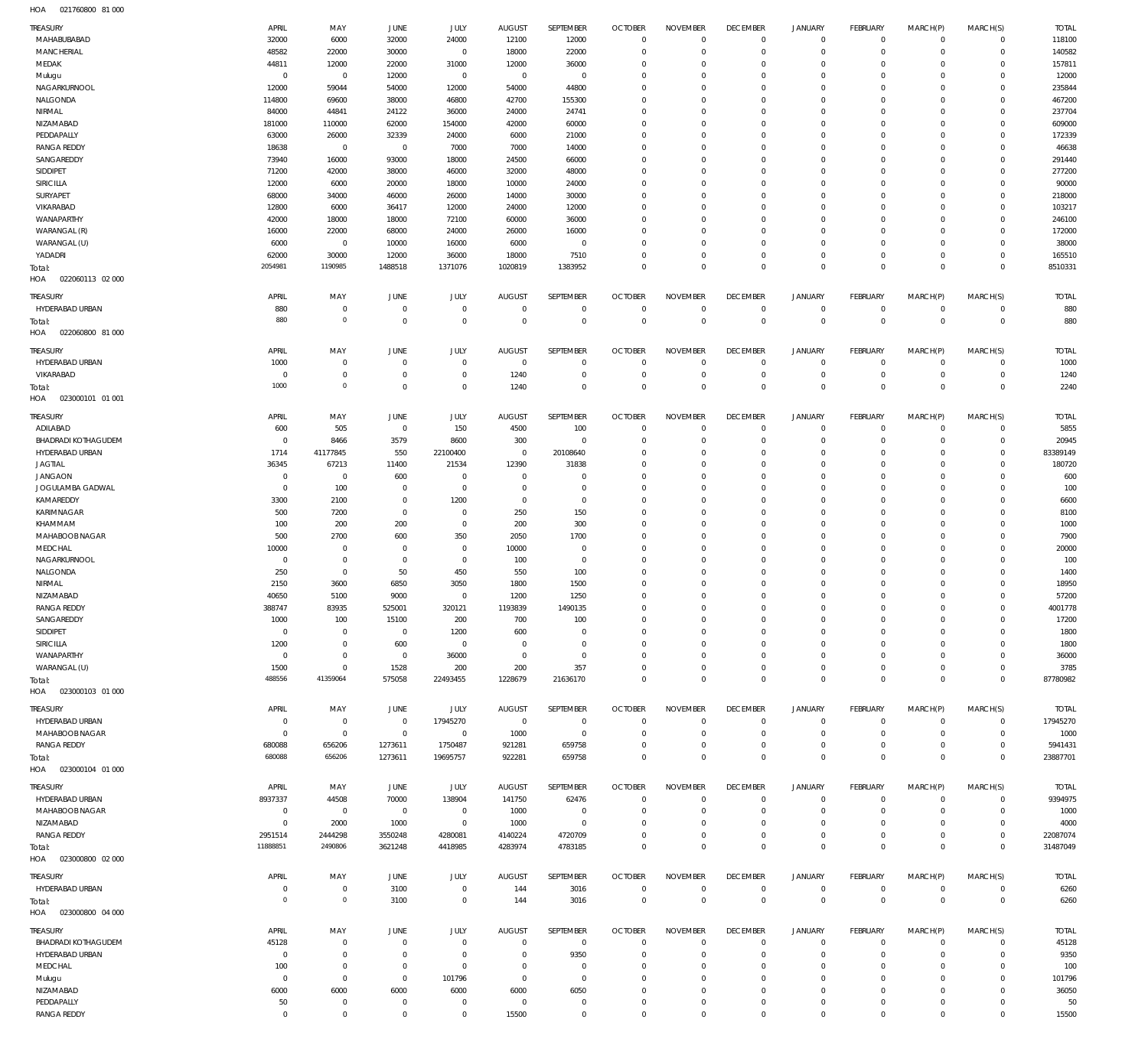021760800 81 000 HOA

| TREASURY                          | APRIL                     | MAY                                | <b>JUNE</b>             | JULY                  | <b>AUGUST</b>   | SEPTEMBER               | <b>OCTOBER</b>                   | <b>NOVEMBER</b>               | <b>DECEMBER</b>               | <b>JANUARY</b>       | <b>FEBRUARY</b>            | MARCH(P)             | MARCH(S)                | <b>TOTAL</b>     |
|-----------------------------------|---------------------------|------------------------------------|-------------------------|-----------------------|-----------------|-------------------------|----------------------------------|-------------------------------|-------------------------------|----------------------|----------------------------|----------------------|-------------------------|------------------|
| MAHABUBABAD                       | 32000                     | 6000                               | 32000                   | 24000                 | 12100           | 12000                   | $\overline{0}$                   | $\mathbf{0}$                  | $\mathbf{0}$                  | $\circ$              | $\mathbf{0}$               | $^{\circ}$           | $\mathbf 0$             | 118100           |
| <b>MANCHERIAL</b>                 | 48582                     | 22000                              | 30000                   | $\mathbf 0$           | 18000           | 22000                   | $\overline{0}$                   | $\Omega$                      | $\mathbf{0}$                  | $\mathbf 0$          | $\mathbf 0$                | $\Omega$             | $\Omega$                | 140582           |
| MEDAK                             | 44811                     | 12000                              | 22000                   | 31000                 | 12000           | 36000                   | $\mathbf 0$                      | $\Omega$                      | $\mathbf 0$                   | $\mathbf 0$          | $\mathbf{0}$               | $\Omega$             | $\Omega$                | 157811           |
| Mulugu                            | $\mathbf 0$               | $\mathbf 0$                        | 12000                   | $\mathbf 0$           | $\overline{0}$  | $\overline{0}$          | $\mathbf 0$                      | $\Omega$                      | $\Omega$                      | $\Omega$             | $\Omega$                   | $\Omega$             | $\Omega$                | 12000            |
| NAGARKURNOOL                      | 12000                     | 59044                              | 54000                   | 12000                 | 54000           | 44800                   | $\mathbf 0$                      | $\Omega$                      | $\Omega$                      | $\Omega$             | $\Omega$                   | $\Omega$             | $\Omega$                | 235844           |
| NALGONDA<br>NIRMAL                | 114800<br>84000           | 69600<br>44841                     | 38000<br>24122          | 46800<br>36000        | 42700<br>24000  | 155300<br>24741         | $\mathbf 0$<br>$\mathbf 0$       | $\Omega$<br>$\Omega$          | $\Omega$<br>$\Omega$          | $\Omega$<br>$\Omega$ | $\Omega$<br>$\Omega$       | $\Omega$<br>$\Omega$ | $\Omega$<br>$\Omega$    | 467200<br>237704 |
| NIZAMABAD                         | 181000                    | 110000                             | 62000                   | 154000                | 42000           | 60000                   | $\mathbf 0$                      | $\Omega$                      | $\mathbf 0$                   | $\Omega$             | $\Omega$                   | $\Omega$             | $\Omega$                | 609000           |
| PEDDAPALLY                        | 63000                     | 26000                              | 32339                   | 24000                 | 6000            | 21000                   | $\mathbf 0$                      | $\Omega$                      | $\Omega$                      | $\Omega$             | $\Omega$                   | $\Omega$             | $\Omega$                | 172339           |
| <b>RANGA REDDY</b>                | 18638                     | $\overline{0}$                     | $\mathbf 0$             | 7000                  | 7000            | 14000                   | $\mathbf 0$                      | $\Omega$                      | $\mathbf 0$                   | $\Omega$             | $^{\circ}$                 | $\Omega$             | $\Omega$                | 46638            |
| SANGAREDDY                        | 73940                     | 16000                              | 93000                   | 18000                 | 24500           | 66000                   | $\Omega$                         | $\Omega$                      | $\Omega$                      | $\Omega$             | $\Omega$                   | $\Omega$             | $\Omega$                | 291440           |
| SIDDIPET                          | 71200                     | 42000                              | 38000                   | 46000                 | 32000           | 48000                   | $\overline{0}$                   | $\Omega$                      | $\mathbf 0$                   | $\Omega$             | $\Omega$                   | $\Omega$             | $\Omega$                | 277200           |
| SIRICILLA                         | 12000                     | 6000                               | 20000                   | 18000                 | 10000           | 24000                   | $\mathbf 0$                      | $\Omega$                      | $\Omega$                      | $\Omega$             | $\Omega$                   | $\Omega$             | $\Omega$                | 90000            |
| SURYAPET                          | 68000                     | 34000                              | 46000                   | 26000                 | 14000           | 30000                   | $\overline{0}$                   | $\Omega$                      | $\mathbf 0$                   | $\Omega$             | $\Omega$                   | $\Omega$             | $\Omega$                | 218000           |
| VIKARABAD                         | 12800                     | 6000                               | 36417                   | 12000                 | 24000           | 12000                   | $\mathbf 0$                      | $\Omega$                      | $\Omega$                      | $\Omega$             | $\Omega$                   | $\Omega$             | $\Omega$                | 103217           |
| WANAPARTHY                        | 42000                     | 18000                              | 18000                   | 72100                 | 60000           | 36000                   | $\overline{0}$                   | $\Omega$                      | $\Omega$                      | $\Omega$             | $\Omega$                   | $\Omega$             | $\Omega$                | 246100           |
| WARANGAL (R)                      | 16000                     | 22000                              | 68000                   | 24000                 | 26000           | 16000                   | $\mathbf 0$                      | $\Omega$                      | $\Omega$                      | $\Omega$             | $\Omega$                   | $\Omega$             | $\Omega$                | 172000           |
| WARANGAL (U)                      | 6000                      | $\overline{0}$                     | 10000                   | 16000                 | 6000            | $\mathbf 0$             | $\mathbf 0$                      | $\Omega$                      | $\mathbf 0$                   | $\Omega$             | $\circ$                    | $\Omega$             | $\Omega$                | 38000            |
| YADADRI                           | 62000                     | 30000                              | 12000                   | 36000                 | 18000           | 7510                    | $\mathbf 0$                      | $\Omega$                      | $\mathbf{0}$<br>$\Omega$      | $\mathbf 0$          | $\mathbf{0}$<br>$\Omega$   | $\Omega$             | $\Omega$                | 165510           |
| Total:<br>HOA<br>022060113 02 000 | 2054981                   | 1190985                            | 1488518                 | 1371076               | 1020819         | 1383952                 | $\Omega$                         | $\Omega$                      |                               | $\Omega$             |                            | $\Omega$             | $\overline{0}$          | 8510331          |
|                                   |                           |                                    |                         |                       |                 |                         |                                  |                               |                               |                      |                            |                      |                         |                  |
| TREASURY                          | APRIL                     | MAY                                | <b>JUNE</b>             | JULY                  | <b>AUGUST</b>   | SEPTEMBER               | <b>OCTOBER</b>                   | <b>NOVEMBER</b>               | <b>DECEMBER</b>               | <b>JANUARY</b>       | <b>FEBRUARY</b>            | MARCH(P)             | MARCH(S)                | <b>TOTAL</b>     |
| HYDERABAD URBAN                   | 880                       | $\mathbb O$                        | $\overline{0}$          | $\bf 0$               | $\overline{0}$  | $\mathbf 0$             | $\overline{0}$                   | $\mathbf 0$                   | $\overline{0}$                | 0                    | $\mathbf 0$                | $^{\circ}$           | $\mathbf 0$             | 880              |
| Total:                            | 880                       | $\mathbb O$                        | $\overline{0}$          | $\mathbf 0$           | $\overline{0}$  | $\overline{0}$          | $\overline{0}$                   | $\overline{0}$                | $\mathbb O$                   | $\mathbb O$          | $\mathbb O$                | $\overline{0}$       | $\mathbb O$             | 880              |
| HOA<br>022060800 81 000           |                           |                                    |                         |                       |                 |                         |                                  |                               |                               |                      |                            |                      |                         |                  |
| TREASURY                          | <b>APRIL</b>              | MAY                                | <b>JUNE</b>             | JULY                  | <b>AUGUST</b>   | SEPTEMBER               | <b>OCTOBER</b>                   | <b>NOVEMBER</b>               | <b>DECEMBER</b>               | <b>JANUARY</b>       | <b>FEBRUARY</b>            | MARCH(P)             | MARCH(S)                | <b>TOTAL</b>     |
| HYDERABAD URBAN                   | 1000                      | $^{\circ}$                         | $\mathbf 0$             | $\mathbf 0$           | $\overline{0}$  | $\mathbf 0$             | $\overline{0}$                   | $^{\circ}$                    | $\mathbf 0$                   | $\circ$              | $\mathbf 0$                | $\Omega$             | $\mathbf 0$             | 1000             |
| VIKARABAD                         | $^{\circ}$                | $\mathbf 0$                        | $\mathbf 0$             | $\mathbf 0$           | 1240            | $\mathbf 0$             | $\overline{0}$                   | $\mathbf 0$                   | $\mathbf 0$                   | $\mathbf 0$          | $\mathbf 0$                | $^{\circ}$           | $\mathbf 0$             | 1240             |
| Total:                            | 1000                      | $\mathbb O$                        | $\mathbf 0$             | $\mathbf 0$           | 1240            | $\mathbf 0$             | $\overline{0}$                   | $\mathbf 0$                   | $\overline{0}$                | $\overline{0}$       | $\mathbf{0}$               | $\Omega$             | $\Omega$                | 2240             |
| HOA<br>023000101 01 001           |                           |                                    |                         |                       |                 |                         |                                  |                               |                               |                      |                            |                      |                         |                  |
| TREASURY                          | APRIL                     | MAY                                | JUNE                    | JULY                  | <b>AUGUST</b>   | SEPTEMBER               | <b>OCTOBER</b>                   | <b>NOVEMBER</b>               | <b>DECEMBER</b>               | <b>JANUARY</b>       | <b>FEBRUARY</b>            | MARCH(P)             | MARCH(S)                | <b>TOTAL</b>     |
| ADILABAD                          | 600                       | 505                                | $\overline{0}$          | 150                   | 4500            | 100                     | $\overline{0}$                   | $\mathbf 0$                   | $\mathbf{0}$                  | $\circ$              | $\mathbf 0$                | $\Omega$             | $\Omega$                | 5855             |
| <b>BHADRADI KOTHAGUDEM</b>        | $^{\circ}$                | 8466                               | 3579                    | 8600                  | 300             | $\overline{0}$          | $\overline{0}$                   | $\mathbf 0$                   | $\mathbf{0}$                  | $\mathbf 0$          | $\mathbf 0$                | $\Omega$             | $\mathbf 0$             | 20945            |
| HYDERABAD URBAN                   | 1714                      | 41177845                           | 550                     | 22100400              | $\overline{0}$  | 20108640                | $\overline{0}$                   | $\mathbf 0$                   | $\mathbf{0}$                  | $\mathbf 0$          | $\mathbf{0}$               | $\Omega$             | $\circ$                 | 83389149         |
| <b>JAGTIAL</b>                    | 36345                     | 67213                              | 11400                   | 21534                 | 12390           | 31838                   | $\overline{0}$                   | $\Omega$                      | $\mathbf{0}$                  | $\circ$              | $\mathbf 0$                | $\Omega$             | $\Omega$                | 180720           |
| <b>JANGAON</b>                    | $\circ$                   | $\overline{0}$                     | 600                     | $\mathbf 0$           | $\overline{0}$  | $\mathbf 0$             | $\overline{0}$                   | $\mathbf 0$                   | $\mathbf 0$                   | $\Omega$             | $\mathbf{0}$               | $\Omega$             | $\Omega$                | 600              |
| JOGULAMBA GADWAL                  | $\circ$                   | 100                                | $\overline{0}$          | $\mathbf 0$           | $\overline{0}$  | $\mathbf 0$             | $\overline{0}$                   | $\Omega$                      | $\mathbf{0}$                  | $\mathbf 0$          | $\mathbf 0$                | $\Omega$             | $\Omega$                | 100              |
| KAMAREDDY                         | 3300                      | 2100                               | $\overline{0}$          | 1200                  | $\overline{0}$  | $\mathbf 0$             | $\overline{0}$                   | $\mathbf 0$                   | $\mathbf 0$                   | $\mathbf 0$          | $\mathbf{0}$               | $\Omega$             | $\Omega$                | 6600             |
| KARIMNAGAR                        | 500                       | 7200                               | $\overline{0}$          | $\mathbf 0$           | 250             | 150                     | $\overline{0}$                   | $\Omega$                      | $\mathbf 0$                   | $\Omega$             | $\mathbf 0$                | $\Omega$             | $\Omega$                | 8100             |
| KHAMMAM                           | 100                       | 200                                | 200                     | $\mathbf 0$           | 200             | 300                     | $\overline{0}$                   | $\mathbf 0$                   | $\mathbf{0}$                  | $\Omega$             | $\mathbf{0}$               | $\Omega$             | $\Omega$                | 1000             |
| MAHABOOB NAGAR                    | 500                       | 2700                               | 600                     | 350                   | 2050            | 1700                    | $\overline{0}$                   | $\Omega$                      | $\mathbf 0$                   | $\mathbf 0$          | $\mathbf{0}$               | $\Omega$             | $\Omega$                | 7900             |
| MEDCHAL                           | 10000                     | $\mathbb O$                        | $\overline{0}$          | $\mathbf 0$           | 10000           | $\overline{0}$          | $\overline{0}$                   | $\mathbf 0$                   | $\mathbf 0$                   | $\Omega$             | $\mathbf{0}$               | $\Omega$             | $\Omega$                | 20000            |
| NAGARKURNOOL                      | $\circ$                   | $\mathbb O$                        | $\overline{0}$          | $\mathbf 0$           | 100             | $\mathbf 0$             | $\overline{0}$                   | $\Omega$                      | $\mathbf 0$                   | $\mathbf 0$          | $\mathbf 0$                | $\Omega$             | $\Omega$                | 100              |
| NALGONDA                          | 250                       | $\mathbf 0$                        | 50                      | 450                   | 550             | 100                     | $\overline{0}$                   | $\Omega$                      | $\mathbf 0$                   | $^{\circ}$           | $\mathbf{0}$               | $\Omega$             | $\Omega$                | 1400             |
| NIRMAL                            | 2150                      | 3600                               | 6850                    | 3050                  | 1800            | 1500                    | $\overline{0}$                   | $\mathbf 0$                   | $\mathbf 0$                   | $\mathbf 0$          | $\mathbf{0}$               | $\Omega$             | $\Omega$                | 18950            |
| NIZAMABAD<br><b>RANGA REDDY</b>   | 40650<br>388747           | 5100<br>83935                      | 9000<br>525001          | $\mathbf 0$<br>320121 | 1200<br>1193839 | 1250<br>1490135         | $\Omega$<br>$\Omega$             | $\Omega$<br>$\Omega$          | $\Omega$<br>$\Omega$          | $\Omega$<br>$\Omega$ | $\Omega$<br>$\mathbf 0$    | $\Omega$<br>$\Omega$ | $\Omega$<br>$\mathbf 0$ | 57200<br>4001778 |
| SANGAREDDY                        | 1000                      | 100                                | 15100                   | 200                   | 700             | 100                     | $\overline{0}$                   | $\mathbf 0$                   | $^{\circ}$                    | $\mathbf 0$          | $\mathbf 0$                | $\Omega$             | $\Omega$                | 17200            |
| SIDDIPET                          | $\circ$                   | $\overline{0}$                     | $\overline{0}$          | 1200                  | 600             | $\mathbf 0$             | $\overline{0}$                   | $\mathbf 0$                   | $\mathbf{0}$                  | $\mathbf 0$          | $\mathbf 0$                | $\Omega$             | $\Omega$                | 1800             |
| SIRICILLA                         | 1200                      | $\mathbb O$                        | 600                     | $\mathbf 0$           | $\overline{0}$  | $\mathbf 0$             | $\mathbf 0$                      | $\mathbf 0$                   | $\mathbf 0$                   | $\mathbf 0$          | $\mathbf 0$                | $\Omega$             | $\Omega$                | 1800             |
| WANAPARTHY                        | $\mathbf 0$               | $\mathbf 0$                        | $\overline{0}$          | 36000                 | $\overline{0}$  | $\mathbf 0$             | $\overline{0}$                   | $\mathbf 0$                   | $\mathbf{0}$                  | $\circ$              | $\mathbf 0$                | $\Omega$             | $\Omega$                | 36000            |
| WARANGAL (U)                      | 1500                      | $\mathbb O$                        | 1528                    | 200                   | 200             | 357                     | $\mathbf 0$                      | $\bf 0$                       | $\mathbf 0$                   | $\mathbf 0$          | $\mathbf 0$                | $\Omega$             | $\Omega$                | 3785             |
| Total:                            | 488556                    | 41359064                           | 575058                  | 22493455              | 1228679         | 21636170                | $\overline{0}$                   | $\mathbf 0$                   | $\overline{0}$                | $\mathbf 0$          | $\mathbb O$                | $\Omega$             | $\overline{0}$          | 87780982         |
| HOA  023000103  01  000           |                           |                                    |                         |                       |                 |                         |                                  |                               |                               |                      |                            |                      |                         |                  |
| TREASURY                          | APRIL                     | MAY                                | JUNE                    | JULY                  | <b>AUGUST</b>   | SEPTEMBER               | <b>OCTOBER</b>                   | <b>NOVEMBER</b>               | <b>DECEMBER</b>               | <b>JANUARY</b>       | <b>FEBRUARY</b>            | MARCH(P)             | MARCH(S)                | <b>TOTAL</b>     |
| HYDERABAD URBAN                   | $\mathbf 0$               | $\mathbf 0$                        | $\overline{0}$          | 17945270              | $\overline{0}$  | $\overline{0}$          | $\overline{0}$                   | $\mathbf 0$                   | $\mathbf 0$                   | $\mathbb O$          | $\mathbf 0$                | $\Omega$             | $\circ$                 | 17945270         |
| MAHABOOB NAGAR                    | $\mathbf 0$               | $\mathbf 0$                        | $\overline{0}$          | $\mathbf 0$           | 1000            | $\overline{0}$          | $\overline{0}$                   | $\mathbf 0$                   | $\mathbf{0}$                  | $\circ$              | $\mathbf 0$                | $\Omega$             | $\mathbf 0$             | 1000             |
| RANGA REDDY                       | 680088                    | 656206                             | 1273611                 | 1750487               | 921281          | 659758                  | $\overline{0}$                   | $\mathbf 0$                   | $\mathbf 0$                   | $\mathbf 0$          | $\mathbf 0$                | $\Omega$             | $\Omega$                | 5941431          |
| Total:                            | 680088                    | 656206                             | 1273611                 | 19695757              | 922281          | 659758                  | $\overline{0}$                   | $\mathbf 0$                   | $\overline{0}$                | $\mathbf 0$          | $\mathbf 0$                | $\Omega$             | $\mathbf 0$             | 23887701         |
| HOA  023000104  01  000           |                           |                                    |                         |                       |                 |                         |                                  |                               |                               |                      |                            |                      |                         |                  |
|                                   |                           |                                    |                         |                       |                 |                         |                                  |                               |                               |                      |                            |                      |                         |                  |
| TREASURY                          | APRIL                     | MAY                                | JUNE                    | <b>JULY</b>           | <b>AUGUST</b>   | SEPTEMBER               | <b>OCTOBER</b>                   | <b>NOVEMBER</b>               | <b>DECEMBER</b>               | <b>JANUARY</b>       | <b>FEBRUARY</b>            | MARCH(P)             | MARCH(S)                | <b>TOTAL</b>     |
| HYDERABAD URBAN<br>MAHABOOB NAGAR | 8937337<br>$\mathbf 0$    | 44508<br>$\overline{0}$            | 70000<br>$\overline{0}$ | 138904<br>$\mathbf 0$ | 141750<br>1000  | 62476<br>$\overline{0}$ | $\overline{0}$<br>$\overline{0}$ | $\mathbf 0$<br>$\mathbf 0$    | $\mathbf 0$<br>$\mathbf{0}$   | 0<br>$\circ$         | $\mathbf 0$<br>$\mathbf 0$ | $\Omega$<br>$\Omega$ | $\Omega$<br>$\circ$     | 9394975<br>1000  |
| NIZAMABAD                         | $\mathbf 0$               | 2000                               | 1000                    | $\mathsf{O}\xspace$   | 1000            | $\overline{0}$          | $\overline{0}$                   | $\mathbf 0$                   | $\mathbf 0$                   | $\circ$              | $\mathbf 0$                | $\Omega$             | $\Omega$                | 4000             |
| <b>RANGA REDDY</b>                | 2951514                   | 2444298                            | 3550248                 | 4280081               | 4140224         | 4720709                 | $\overline{0}$                   | $\mathbf 0$                   | $\mathbf 0$                   | $\mathbf 0$          | $\mathbf 0$                | $\Omega$             | $\circ$                 | 22087074         |
| Total:                            | 11888851                  | 2490806                            | 3621248                 | 4418985               | 4283974         | 4783185                 | $\overline{0}$                   | $\mathbf 0$                   | $\overline{0}$                | $\mathbf 0$          | $\mathbb O$                | $\Omega$             | $\mathbb O$             | 31487049         |
| HOA  023000800  02  000           |                           |                                    |                         |                       |                 |                         |                                  |                               |                               |                      |                            |                      |                         |                  |
|                                   |                           |                                    |                         |                       |                 |                         |                                  |                               |                               |                      |                            |                      |                         |                  |
| TREASURY                          | APRIL                     | MAY                                | <b>JUNE</b>             | JULY                  | <b>AUGUST</b>   | SEPTEMBER               | <b>OCTOBER</b>                   | <b>NOVEMBER</b>               | <b>DECEMBER</b>               | <b>JANUARY</b>       | <b>FEBRUARY</b>            | MARCH(P)             | MARCH(S)                | <b>TOTAL</b>     |
| HYDERABAD URBAN                   | $^{\circ}$<br>$\mathbf 0$ | $\mathbf 0$<br>$\mathsf{O}\xspace$ | 3100                    | $\mathbf 0$           | 144             | 3016                    | $\overline{0}$                   | $\mathbf 0$<br>$\overline{0}$ | $\mathbf 0$                   | $\mathbb O$          | 0<br>$\mathbb O$           | $^{\circ}$           | $\mathbf 0$             | 6260             |
| Total:<br>HOA  023000800  04  000 |                           |                                    | 3100                    | $\bf 0$               | 144             | 3016                    | $\mathbf 0$                      |                               | $\mathbf 0$                   | $\,0\,$              |                            | $\mathbf 0$          | $\,0\,$                 | 6260             |
|                                   |                           |                                    |                         |                       |                 |                         |                                  |                               |                               |                      |                            |                      |                         |                  |
| TREASURY                          | APRIL                     | MAY                                | <b>JUNE</b>             | JULY                  | <b>AUGUST</b>   | SEPTEMBER               | <b>OCTOBER</b>                   | <b>NOVEMBER</b>               | <b>DECEMBER</b>               | <b>JANUARY</b>       | <b>FEBRUARY</b>            | MARCH(P)             | MARCH(S)                | <b>TOTAL</b>     |
| <b>BHADRADI KOTHAGUDEM</b>        | 45128                     | $\mathbb O$                        | $\overline{0}$          | $\mathbf 0$           | $\overline{0}$  | $\overline{0}$          | $\overline{0}$                   | $\mathbf 0$                   | $\mathbf 0$                   | 0                    | $\mathbf 0$                | $\Omega$             | $\Omega$                | 45128            |
| HYDERABAD URBAN                   | $^{\circ}$                | $\mathbf 0$                        | $\mathbf{0}$            | $\mathbf 0$           | $\overline{0}$  | 9350                    | $\overline{0}$                   | $\mathbf 0$                   | $\mathbf{0}$                  | $\circ$              | $\mathbf 0$                | $\Omega$             | $\Omega$                | 9350             |
| MEDCHAL                           | 100                       | $\mathbb O$                        | $\mathbf 0$             | $\mathbf 0$           | $\overline{0}$  | $\mathbf 0$             | $\overline{0}$                   | $\mathbf 0$                   | $\mathbf 0$                   | $\circ$              | $\mathbf 0$                | $\Omega$             | $\Omega$                | 100              |
| Mulugu                            | $\mathbf 0$               | $\mathbf 0$                        | $\mathbf 0$             | 101796                | $\overline{0}$  | $\overline{0}$          | $\overline{0}$                   | $\mathbf 0$                   | $\mathbf 0$                   | $\circ$              | $\mathbf 0$                | $\Omega$             | $\Omega$                | 101796           |
| NIZAMABAD                         | 6000                      | 6000                               | 6000                    | 6000                  | 6000            | 6050                    | $\overline{0}$                   | $\mathbf 0$                   | $\mathbf 0$                   | $\circ$              | $\mathbf 0$                | $\Omega$             | $\mathbf 0$             | 36050            |
| PEDDAPALLY                        | 50                        | $\mathbb O$                        | $\mathbf 0$             | $\mathbf 0$           | $\overline{0}$  | $\mathbf 0$             | $\overline{0}$<br>$\overline{0}$ | $\bf 0$                       | $\mathbf 0$<br>$\overline{0}$ | $\mathbf 0$          | $\mathbf 0$                | $\Omega$             | $\Omega$                | 50               |
| <b>RANGA REDDY</b>                | $\mathbf 0$               | $\mathbf 0$                        | $\mathbf 0$             | $\mathsf{O}\xspace$   | 15500           | $\mathbf 0$             |                                  | $\mathbf 0$                   |                               | $\mathbf 0$          | $\mathbb O$                | $\Omega$             | $\mathbf 0$             | 15500            |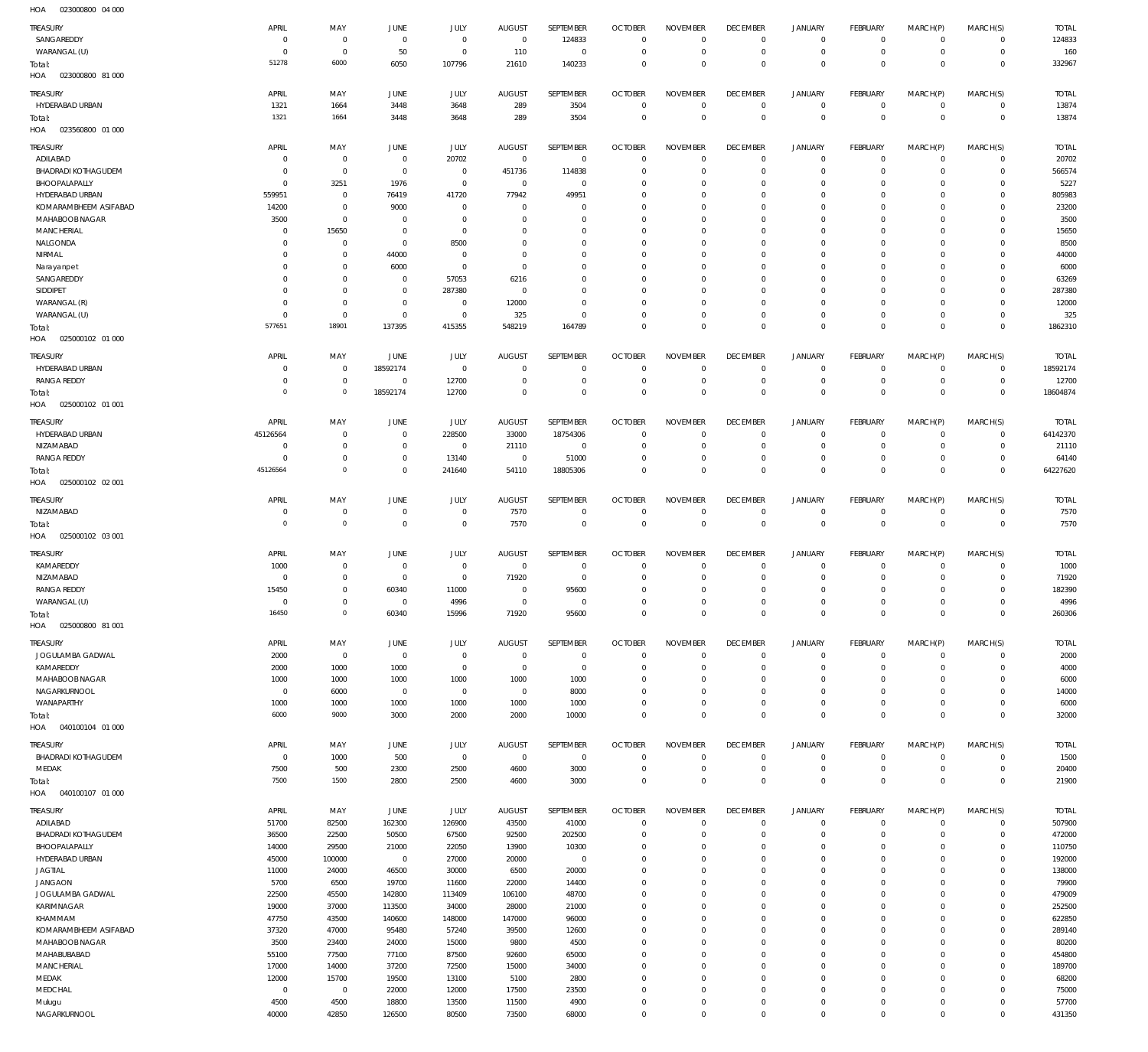023000800 81 000 HOA 023560800 01 000 HOA 025000102 01 000 HOA 025000102 01 001 HOA 025000102 02 001 HOA 025000102 03 001 HOA 025000800 81 001 HOA 040100104 01 000 HOA 040100107 01 000 HOA  $\overline{0}$   $\Omega$   $\Omega$   $\Omega$   $\Omega$   $\Omega$   $\Omega$  $\Omega$   $\Omega$   $\Omega$  $\Omega$   $\Omega$  $\overline{0}$  $\overline{0}$   $\Omega$   $\Omega$   $\Omega$   $\boldsymbol{0}$  $\boldsymbol{0}$   $\Omega$   $\Omega$   $\Omega$  $\Omega$   $\Omega$  SANGAREDDY WARANGAL (U) HYDERABAD URBAN ADILABAD BHADRADI KOTHAGUDEM BHOOPALAPALLY HYDERABAD URBAN KOMARAMBHEEM ASIFABAD MAHABOOB NAGAR MANCHERIAL NALGONDA NIRMAL Narayanpet **SANGAREDDY** SIDDIPET WARANGAL (R) WARANGAL (U) HYDERABAD URBAN RANGA REDDY HYDERABAD URBAN NIZAMABAD RANGA REDDY NIZAMABAD KAMAREDDY NIZAMABAD RANGA REDDY WARANGAL (U) JOGULAMBA GADWAL KAMAREDDY MAHABOOB NAGAR NAGARKURNOOL WANAPARTHY BHADRADI KOTHAGUDEM MEDAK ADILABAD BHADRADI KOTHAGUDEM BHOOPALAPALLY HYDERABAD URBAN JAGTIAL JANGAON JOGULAMBA GADWAL KARIMNAGAR KHAMMAM KOMARAMBHEEM ASIFABAD MAHABOOB NAGAR MAHABUBABAD **MANCHERIAL** MEDAK MEDCHAL Mulugu TREASURY TREASURY TREASURY TREASURY **TREASURY TREASURY** TREASURY **TREASURY TREASURY** TREASURY  $\overline{0}$   $\overline{0}$   $\overline{0}$   $\Omega$   $\Omega$  $\overline{0}$   $\Omega$   $\Omega$  $\overline{0}$   $\Omega$   $\overline{0}$  APRIL APRIL APRIL APRIL APRIL APRIL APRIL APRIL APRIL APRIL  $\Omega$   $\Omega$   $\Omega$   $\Omega$   $\Omega$  MAY MAY MAY MAY MAY MAY MAY MAY MAY MAY  $\sqrt{0}$   $\Omega$   $\Omega$   $\Omega$  JUNE JUNE JUNE JUNE **JUNE** JUNE JUNE JUNE **JUNE** JUNE  $\Omega$  JULY JULY JULY JULY JULY JULY JULY JULY JULY JULY  $\Omega$   $\Omega$   $\Omega$   $\Omega$   $\Omega$  AUGUST AUGUST AUGUST AUGUST **AUGUST** AUGUST AUGUST AUGUST AUGUST AUGUST  $\Omega$   $\Omega$   $\Omega$   $\Omega$   $\Omega$   $\Omega$  SEPTEMBER **SEPTEMBER** SEPTEMBER SEPTEMBER **SEPTEMBER SEPTEMBER** SEPTEMBER **SEPTEMBER SEPTEMBER** SEPTEMBER  $\Omega$   $\Omega$   $\Omega$  $\overline{0}$   $\Omega$   $\Omega$   $\Omega$   $\Omega$  $\Omega$   $\Omega$   $\Omega$   $\Omega$   $\Omega$  $\overline{0}$   $\Omega$   $\Omega$  OCTOBER OCTOBER OCTOBER OCTOBER **OCTOBER OCTOBER** OCTOBER **OCTOBER OCTOBER** OCTOBER  $\Omega$   $\Omega$   $\Omega$   $\Omega$   $\Omega$   $\Omega$   $\Omega$   $\Omega$   $\Omega$   $\Omega$  NOVEMBER NOVEMBER NOVEMBER NOVEMBER NOVEMBER NOVEMBER NOVEMBER NOVEMBER NOVEMBER NOVEMBER  $\Omega$   $\overline{0}$   $\Omega$  $\overline{0}$   $\Omega$   $\Omega$  $\overline{0}$   $\Omega$   $\overline{0}$   $\Omega$  $\overline{0}$   $\Omega$   $\Omega$   $\overline{0}$   $\Omega$  $\overline{0}$   $\overline{0}$  DECEMBER **DECEMBER** DECEMBER DECEMBER **DECEMBER DECEMBER** DECEMBER **DECEMBER DECEMBER** DECEMBER  $\Omega$   $\Omega$   $\Omega$   $\Omega$   $\Omega$   $\Omega$   $\Omega$   $\Omega$   $\Omega$  JANUARY JANUARY JANUARY JANUARY JANUARY **JANUARY** JANUARY JANUARY JANUARY JANUARY  $\Omega$   $\Omega$   $\Omega$  $\overline{0}$   $\Omega$   $\Omega$   $\Omega$   $\Omega$  FEBRUARY **FFBRUARY** FEBRUARY **FFBRUARY FFBRUARY FFBRUARY** FEBRUARY **FFRRUARY FFBRUARY** FEBRUARY  $\Omega$   $\Omega$  $\overline{0}$   $\Omega$   $\Omega$   $\Omega$  $\Omega$  $\overline{0}$   $\Omega$   $\Omega$   $\Omega$  MARCH(P) MARCH(P) MARCH(P) MARCH(P) MARCH(P) MARCH(P) MARCH(P) MARCH(P) MARCH(P) MARCH(P)  $\Omega$   $\Omega$   $\Omega$   $\Omega$   $\Omega$   $\Omega$   $\Omega$   $\Omega$   $\Omega$   $\Omega$   $\Omega$  $\Omega$  MARCH(S) MARCH(S) MARCH(S) MARCH(S) MARCH(S) MARCH(S) MARCH(S) MARCH(S) MARCH(S) MARCH(S) TOTAL TOTAL TOTAL TOTAL TOTAL TOTAL TOTAL TOTAL TOTAL TOTAL Total: Total: Total: Total: Total: Total: Total: Total: Total:

023000800 04 000 HOA

NAGARKURNOOL

 $\Omega$ 

 $\Omega$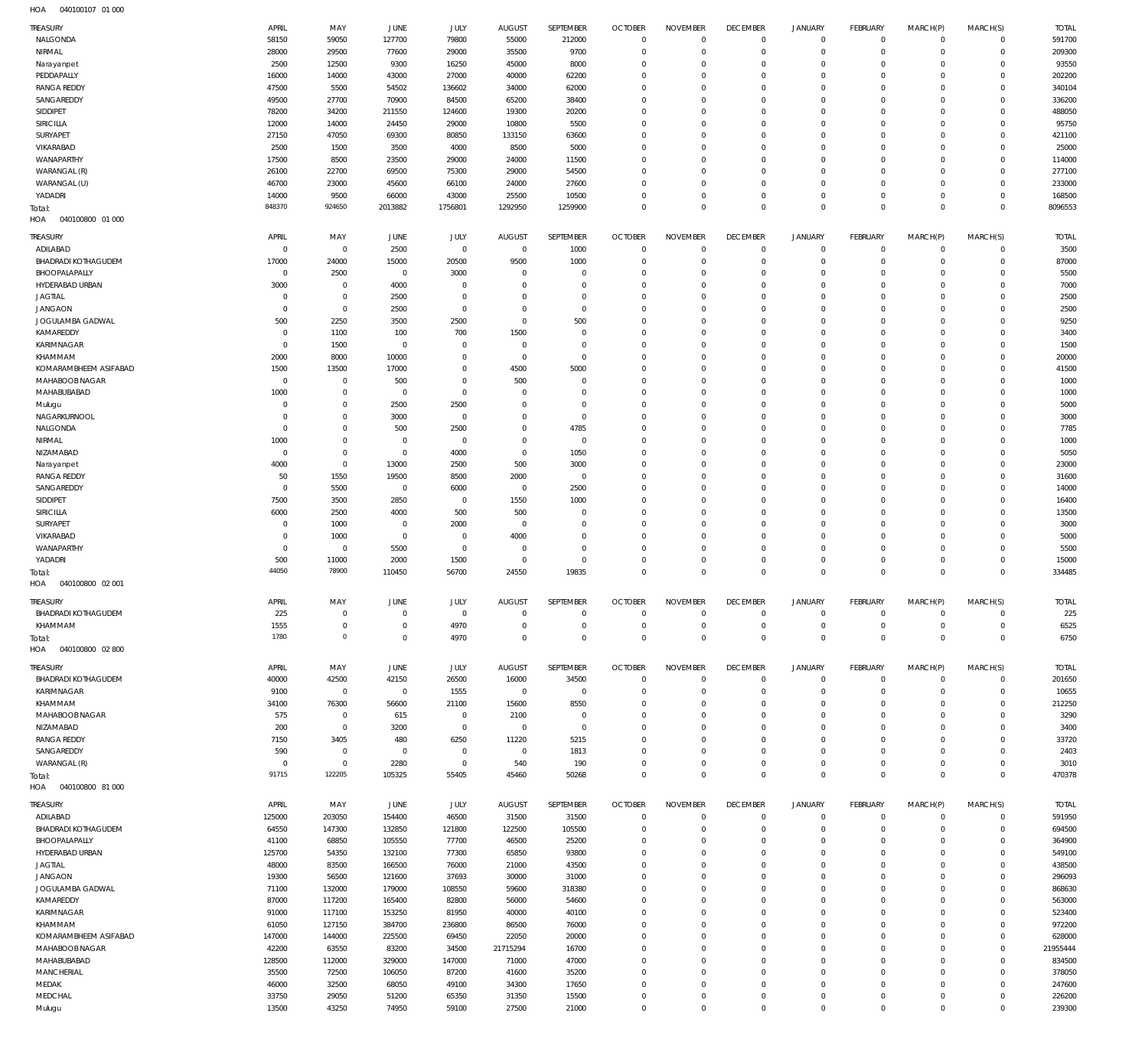| HOA | 040100107 01 000 |  |
|-----|------------------|--|

| TREASURY                   | APRIL          | MAY            | JUNE           | JULY           | <b>AUGUST</b>  | SEPTEMBER      | <b>OCTOBER</b>            | <b>NOVEMBER</b>            | <b>DECEMBER</b>    | <b>JANUARY</b>           | FEBRUARY                                   | MARCH(P)                   | MARCH(S)                           | <b>TOTAL</b>     |
|----------------------------|----------------|----------------|----------------|----------------|----------------|----------------|---------------------------|----------------------------|--------------------|--------------------------|--------------------------------------------|----------------------------|------------------------------------|------------------|
| NALGONDA                   | 58150          | 59050          | 127700         | 79800          | 55000          | 212000         | $\overline{0}$            | $\overline{0}$             | $\mathbf 0$        | $\mathbf 0$              | $\mathsf{O}\xspace$                        | $^{\circ}$                 | $\mathbf 0$                        | 591700           |
| NIRMAL                     | 28000          | 29500          | 77600          | 29000          | 35500          | 9700           | $\mathbf 0$               | $^{\circ}$                 | $\mathbf 0$        | $\mathbf 0$              | $\mathsf{O}\xspace$                        | $^{\circ}$                 | $\mathbf 0$                        | 209300           |
|                            |                |                |                |                |                |                |                           |                            |                    |                          |                                            |                            |                                    |                  |
| Narayanpet                 | 2500           | 12500          | 9300           | 16250          | 45000          | 8000           | $\mathbf 0$               | $\Omega$                   | $\mathbf 0$        | 0                        | $\mathsf{O}\xspace$                        | O                          | $\mathbf 0$                        | 93550            |
| PEDDAPALLY                 | 16000          | 14000          | 43000          | 27000          | 40000          | 62200          | $\mathbf 0$               | $\Omega$                   | $\mathbf 0$        | $\Omega$                 | $\mathbf 0$                                | $\Omega$                   | $\mathbf 0$                        | 202200           |
| <b>RANGA REDDY</b>         | 47500          | 5500           | 54502          | 136602         | 34000          | 62000          | $\mathbf 0$               | $\Omega$                   | $\mathbb O$        | 0                        | $\mathsf{O}\xspace$                        | O                          | $\mathbf 0$                        | 340104           |
| SANGAREDDY                 | 49500          | 27700          | 70900          | 84500          | 65200          | 38400          | $\mathbf 0$               | $\Omega$                   | $\mathbf 0$        | $\Omega$                 | $\mathbf 0$                                | $\Omega$                   | $\mathbf 0$                        | 336200           |
|                            |                |                |                |                |                |                |                           | $\Omega$                   |                    |                          |                                            |                            |                                    |                  |
| SIDDIPET                   | 78200          | 34200          | 211550         | 124600         | 19300          | 20200          | $\mathbf 0$               |                            | $\mathbb O$        | $\Omega$                 | $\mathbf 0$                                | O                          | $\mathbf 0$                        | 488050           |
| SIRICILLA                  | 12000          | 14000          | 24450          | 29000          | 10800          | 5500           | $\mathbf 0$               | $\Omega$                   | $\mathbf 0$        | $\Omega$                 | $\mathbf 0$                                | $\Omega$                   | $\mathbf 0$                        | 95750            |
| SURYAPET                   | 27150          | 47050          | 69300          | 80850          | 133150         | 63600          | $\mathbf 0$               | $\Omega$                   | $\mathbb O$        | $\Omega$                 | $\mathbf 0$                                | O                          | $\mathbf 0$                        | 421100           |
| VIKARABAD                  | 2500           | 1500           | 3500           | 4000           | 8500           | 5000           | $\mathbf 0$               | $\Omega$                   | $\mathbf 0$        | $\Omega$                 | $\mathbf 0$                                | $\Omega$                   | $\mathbf 0$                        | 25000            |
|                            |                |                |                |                |                |                |                           |                            |                    |                          |                                            |                            |                                    |                  |
| WANAPARTHY                 | 17500          | 8500           | 23500          | 29000          | 24000          | 11500          | $\mathbf 0$               | $\Omega$                   | $\mathbb O$        | $\Omega$                 | $\mathbf 0$                                | O                          | $\mathbf 0$                        | 114000           |
| WARANGAL (R)               | 26100          | 22700          | 69500          | 75300          | 29000          | 54500          | $\mathbf 0$               | $\Omega$                   | $\mathbb O$        | $\Omega$                 | $\mathbf 0$                                | $\Omega$                   | $\mathbf 0$                        | 277100           |
| WARANGAL (U)               | 46700          | 23000          | 45600          | 66100          | 24000          | 27600          | $\mathbf 0$               | $\Omega$                   | $\mathbf 0$        | 0                        | $\mathbf 0$                                | O                          | $\mathbf 0$                        | 233000           |
|                            |                |                |                |                |                |                | $\mathbf 0$               |                            |                    |                          |                                            |                            |                                    |                  |
| YADADRI                    | 14000          | 9500           | 66000          | 43000          | 25500          | 10500          |                           | $^{\circ}$                 | $\mathbb O$        | 0                        | $\mathsf{O}\xspace$                        | $^{\circ}$                 | $\mathbf 0$                        | 168500           |
| Total:                     | 848370         | 924650         | 2013882        | 1756801        | 1292950        | 1259900        | $\mathbb O$               | $\Omega$                   | $\mathbb O$        | $\mathbb O$              | $\mathbb O$                                | $\Omega$                   | $\mathbf 0$                        | 8096553          |
| HOA<br>040100800 01 000    |                |                |                |                |                |                |                           |                            |                    |                          |                                            |                            |                                    |                  |
|                            |                |                |                |                |                |                |                           |                            |                    |                          |                                            |                            |                                    |                  |
| TREASURY                   | APRIL          | MAY            | JUNE           | JULY           | <b>AUGUST</b>  | SEPTEMBER      | <b>OCTOBER</b>            | <b>NOVEMBER</b>            | <b>DECEMBER</b>    | <b>JANUARY</b>           | <b>FEBRUARY</b>                            | MARCH(P)                   | MARCH(S)                           | <b>TOTAL</b>     |
| ADILABAD                   | $\Omega$       | $^{\circ}$     | 2500           | $\overline{0}$ | $\overline{0}$ | 1000           | $\mathbf 0$               | $\mathbf 0$                | $\mathbb O$        | $\circ$                  | 0                                          | $\mathbf 0$                | $\mathbf 0$                        | 3500             |
| <b>BHADRADI KOTHAGUDEM</b> | 17000          | 24000          | 15000          | 20500          | 9500           | 1000           | $\mathbf 0$               | $^{\circ}$                 | $\mathbf 0$        | $\circ$                  | $\mathsf{O}\xspace$                        | $^{\circ}$                 | $\mathbf 0$                        | 87000            |
|                            |                |                |                |                |                |                |                           |                            |                    |                          |                                            |                            |                                    |                  |
| BHOOPALAPALLY              | $\Omega$       | 2500           | $^{\circ}$     | 3000           | $\Omega$       | $\Omega$       | $\mathbf 0$               | $\Omega$                   | $\mathbf 0$        | 0                        | $\mathbf 0$                                | $\Omega$                   | $\mathbf 0$                        | 5500             |
| HYDERABAD URBAN            | 3000           | $^{\circ}$     | 4000           | $\Omega$       | $\Omega$       | $\Omega$       | $\mathbf 0$               | $\Omega$                   | $\Omega$           | $\Omega$                 | $\circ$                                    | 0                          | $\mathbf 0$                        | 7000             |
| <b>JAGTIAL</b>             | $^{\circ}$     | $^{\circ}$     | 2500           | $\Omega$       | $\Omega$       | $\Omega$       | $\Omega$                  | $\Omega$                   | $\Omega$           | $\Omega$                 | $\mathbf 0$                                | $\Omega$                   | $\mathbf 0$                        | 2500             |
|                            | $\mathbf{0}$   |                |                | $\Omega$       | $\Omega$       | $\Omega$       | $\mathbf 0$               | $\Omega$                   | $\Omega$           |                          |                                            |                            |                                    |                  |
| <b>JANGAON</b>             |                | $\mathbf 0$    | 2500           |                |                |                |                           |                            |                    | $\Omega$                 | $\circ$                                    | $\Omega$                   | $\mathbf 0$                        | 2500             |
| JOGULAMBA GADWAL           | 500            | 2250           | 3500           | 2500           | $\Omega$       | 500            | $\mathbf 0$               | $\Omega$                   | $\Omega$           | $\Omega$                 | $\mathbf 0$                                | $\Omega$                   | $\mathbf 0$                        | 9250             |
| KAMAREDDY                  | $\Omega$       | 1100           | 100            | 700            | 1500           | $\Omega$       | $\mathbf 0$               | $\Omega$                   | $\Omega$           | $\Omega$                 | $\mathbf 0$                                | O                          | $\mathbf 0$                        | 3400             |
| KARIMNAGAR                 | $\Omega$       | 1500           | $\overline{0}$ | $\Omega$       | $\mathbf{0}$   | $\Omega$       | $\mathbf 0$               | $\Omega$                   | $\overline{0}$     | $\Omega$                 | $\mathbf 0$                                | $\Omega$                   | $\mathbf 0$                        | 1500             |
|                            |                |                |                |                |                |                |                           |                            |                    |                          |                                            |                            |                                    |                  |
| KHAMMAM                    | 2000           | 8000           | 10000          | $\Omega$       | $\mathbf{0}$   | $\Omega$       | $\mathbf 0$               | $\Omega$                   | $\Omega$           | $\Omega$                 | 0                                          | O                          | $\mathbf 0$                        | 20000            |
| KOMARAMBHEEM ASIFABAD      | 1500           | 13500          | 17000          | $\Omega$       | 4500           | 5000           | $\mathbf 0$               | $\Omega$                   | $\mathbf 0$        | $\Omega$                 | $\mathbf 0$                                | $\Omega$                   | $\mathbf 0$                        | 41500            |
| MAHABOOB NAGAR             | $\Omega$       | $^{\circ}$     | 500            | $\Omega$       | 500            | $\Omega$       | $\mathbf 0$               | $\Omega$                   | $\Omega$           | $\Omega$                 | 0                                          | O                          | $\mathbf 0$                        | 1000             |
|                            |                |                |                |                |                |                |                           |                            |                    |                          |                                            |                            |                                    |                  |
| MAHABUBABAD                | 1000           | $\mathbf 0$    | $\overline{0}$ | $\Omega$       | $\Omega$       | $\Omega$       | $\mathbf 0$               | $\Omega$                   | $\overline{0}$     | $\Omega$                 | $\mathbf 0$                                | $\Omega$                   | $\mathbf 0$                        | 1000             |
| Mulugu                     | $\circ$        | $^{\circ}$     | 2500           | 2500           | $\Omega$       | $\Omega$       | $\mathbf 0$               | $\Omega$                   | $\Omega$           | $\Omega$                 | 0                                          | O                          | $\mathbf 0$                        | 5000             |
| NAGARKURNOOL               | $\Omega$       | $\mathbf 0$    | 3000           | $\Omega$       | $\Omega$       | $\Omega$       | $\mathbf 0$               | $\Omega$                   | $\Omega$           | $\Omega$                 | $\mathbf 0$                                | $\Omega$                   | $\mathbf 0$                        | 3000             |
|                            | $^{\circ}$     |                |                | 2500           | $\Omega$       |                | $\mathbf 0$               | $\Omega$                   | $\Omega$           | $\Omega$                 | $\mathbf 0$                                | O                          | $\mathbf 0$                        | 7785             |
| NALGONDA                   |                | $\overline{0}$ | 500            |                |                | 4785           |                           |                            |                    |                          |                                            |                            |                                    |                  |
| NIRMAL                     | 1000           | $\mathbb O$    | $\overline{0}$ | $\Omega$       | $\Omega$       | $\mathbf 0$    | $\mathbf 0$               | $\Omega$                   | $\Omega$           | $\Omega$                 | $\mathbf 0$                                | $\Omega$                   | $\mathbf 0$                        | 1000             |
| NIZAMABAD                  | $^{\circ}$     | $\overline{0}$ | $\overline{0}$ | 4000           | $\mathbf{0}$   | 1050           | $\mathbf 0$               | $\Omega$                   | $\Omega$           | $\Omega$                 | $\circ$                                    | $\Omega$                   | $\mathbf 0$                        | 5050             |
| Narayanpet                 | 4000           | $^{\circ}$     | 13000          | 2500           | 500            | 3000           | $\mathbf 0$               | $\Omega$                   | $\Omega$           | $\Omega$                 | $\mathbf 0$                                | $\Omega$                   | $\mathbf 0$                        | 23000            |
|                            |                |                |                |                |                |                |                           |                            |                    |                          |                                            |                            |                                    |                  |
| <b>RANGA REDDY</b>         | 50             | 1550           | 19500          | 8500           | 2000           | $\mathbf 0$    | $\mathbf 0$               | $\Omega$                   | $\Omega$           | $\Omega$                 | $\mathbf 0$                                | O                          | $\mathbf 0$                        | 31600            |
| SANGAREDDY                 | $\Omega$       | 5500           | $\overline{0}$ | 6000           | $\overline{0}$ | 2500           | $\mathbf 0$               | $\Omega$                   | $\mathbf 0$        | $\Omega$                 | $\mathbf 0$                                | $\Omega$                   | $\mathbf 0$                        | 14000            |
| SIDDIPET                   | 7500           | 3500           | 2850           | $\Omega$       | 1550           | 1000           | $\mathbf 0$               | $\Omega$                   | $\Omega$           | $\Omega$                 | 0                                          | O                          | $\mathbf 0$                        | 16400            |
|                            |                |                |                | 500            |                | $\Omega$       | $\mathbf 0$               | $\Omega$                   | $\mathbb O$        | $\Omega$                 | $\mathbf 0$                                | $\Omega$                   | $\mathbf 0$                        | 13500            |
| <b>SIRICILLA</b>           | 6000           | 2500           | 4000           |                | 500            |                |                           |                            |                    |                          |                                            |                            |                                    |                  |
| SURYAPET                   | $\Omega$       | 1000           | $\overline{0}$ | 2000           | $\Omega$       | $\Omega$       | $\Omega$                  | $\Omega$                   | $\Omega$           | $\Omega$                 | 0                                          | O                          | $\mathbf 0$                        | 3000             |
| VIKARABAD                  | $\Omega$       | 1000           | $\overline{0}$ | $\Omega$       | 4000           | $\Omega$       | $\mathbf 0$               | $\Omega$                   | $\overline{0}$     | $\Omega$                 | $\mathbf 0$                                | $\Omega$                   | $\mathbf 0$                        | 5000             |
| WANAPARTHY                 | $\mathbf{0}$   | $\mathbf 0$    | 5500           | $^{\circ}$     | $\mathbf{0}$   | $\Omega$       | $\mathbf 0$               | $\Omega$                   | $\mathbf 0$        | 0                        | $\mathbf 0$                                | $\Omega$                   | 0                                  | 5500             |
|                            |                |                |                |                |                |                |                           |                            |                    |                          |                                            |                            |                                    |                  |
| YADADRI                    | 500            | 11000          | 2000           | 1500           | $\overline{0}$ | $\Omega$       | $\mathbf 0$               | $\mathbf 0$                | $\mathbb O$        | $\circ$                  | $\mathbf 0$                                | $\mathbf 0$                | $\mathbf 0$                        | 15000            |
| Total:                     | 44050          | 78900          | 110450         | 56700          | 24550          | 19835          | $\mathbf 0$               | $\Omega$                   | $\mathbb O$        | $\mathbb O$              | $\mathbb O$                                | $\mathbf{0}$               | $\mathbf 0$                        | 334485           |
| HOA<br>040100800 02 001    |                |                |                |                |                |                |                           |                            |                    |                          |                                            |                            |                                    |                  |
|                            |                |                |                |                |                |                |                           |                            |                    |                          |                                            |                            |                                    |                  |
| TREASURY                   | APRIL          | MAY            | JUNE           | JULY           | <b>AUGUST</b>  | SEPTEMBER      | <b>OCTOBER</b>            | <b>NOVEMBER</b>            | <b>DECEMBER</b>    | <b>JANUARY</b>           | FEBRUARY                                   | MARCH(P)                   | MARCH(S)                           | <b>TOTAL</b>     |
| <b>BHADRADI KOTHAGUDEM</b> | 225            | 0              | $\mathbf{0}$   | - 0            | $\Omega$       |                | $\Omega$                  |                            | $\Omega$           | $\Omega$                 | $\mathbf 0$                                | - 0                        | $\mathbf 0$                        | 225              |
|                            |                |                |                |                |                |                |                           |                            |                    |                          |                                            |                            |                                    |                  |
| KHAMMAM                    | 1555           | $\mathbb O$    | $\overline{0}$ | 4970           | $\mathbf 0$    | $\Omega$       | $\overline{0}$            | $\mathbf 0$                | $\mathbb O$        | 0                        | $\mathsf{O}\xspace$                        | $\mathbf 0$                | $\mathbf 0$                        | 6525             |
| Total:                     | 1780           | $\mathbf{0}$   | $\overline{0}$ | 4970           | $\Omega$       | $\Omega$       | $\mathbb O$               | $\overline{0}$             | $\mathbb O$        | $\mathbb O$              | $\,0\,$                                    | $\mathbf 0$                | $\mathbf 0$                        | 6750             |
| HOA<br>040100800 02 800    |                |                |                |                |                |                |                           |                            |                    |                          |                                            |                            |                                    |                  |
|                            |                |                |                |                |                |                |                           |                            |                    |                          |                                            |                            |                                    |                  |
| TREASURY                   | APRIL          | MAY            | JUNE           | JULY           | <b>AUGUST</b>  | SEPTEMBER      | <b>OCTOBER</b>            | <b>NOVEMBER</b>            | <b>DECEMBER</b>    | <b>JANUARY</b>           | FEBRUARY                                   | MARCH(P)                   | MARCH(S)                           | <b>TOTAL</b>     |
| <b>BHADRADI KOTHAGUDEM</b> | 40000          | 42500          | 42150          | 26500          | 16000          | 34500          |                           |                            |                    |                          |                                            |                            |                                    |                  |
|                            | 9100           |                |                |                |                |                |                           |                            |                    |                          |                                            |                            |                                    |                  |
| KARIMNAGAR                 |                |                |                |                |                |                | $\mathbf 0$               | $\mathbf 0$                | $\mathbb O$        | $\mathsf{O}\xspace$      | $\mathsf{O}\xspace$                        | $\mathbf 0$                | $\mathbf 0$                        | 201650           |
| KHAMMAM                    |                | $\overline{0}$ | $\overline{0}$ | 1555           | $\overline{0}$ | $\mathbf 0$    | $\mathbf 0$               | $\Omega$                   | $\mathbb O$        | $\mathbf 0$              | $\mathsf{O}\xspace$                        | $\mathbf 0$                | $\mathbf 0$                        | 10655            |
|                            | 34100          | 76300          | 56600          | 21100          | 15600          | 8550           | $\mathbf 0$               | $\Omega$                   | $\mathbb O$        | $\mathbf 0$              | $\mathbf 0$                                | $\Omega$                   | $\mathbf 0$                        | 212250           |
| MAHABOOB NAGAR             | 575            | $\overline{0}$ | 615            | $\mathbf 0$    | 2100           | $\overline{0}$ | $\mathbf 0$               | $\Omega$                   | $\mathbb O$        | $\mathbf 0$              | $\mathbf 0$                                | 0                          | $\mathbf 0$                        | 3290             |
| NIZAMABAD                  | 200            | $\mathbb O$    | 3200           | $\mathbf 0$    | $\overline{0}$ | $\Omega$       | $\mathbf 0$               | $\Omega$                   | $\mathbb O$        | $\Omega$                 | $\mathbf 0$                                | $\Omega$                   | $\mathbf 0$                        | 3400             |
|                            |                |                |                |                |                |                |                           |                            |                    |                          |                                            |                            |                                    |                  |
| <b>RANGA REDDY</b>         | 7150           | 3405           | 480            | 6250           | 11220          | 5215           | $\mathbf 0$               | $\Omega$                   | $\Omega$           | $\Omega$                 | $\mathbf 0$                                | $\Omega$                   | $\mathbf 0$                        | 33720            |
| SANGAREDDY                 | 590            | $\,0\,$        | $\overline{0}$ | $^{\circ}$     | $\overline{0}$ | 1813           | $\mathbf 0$               | $\Omega$                   | $\mathbb O$        | $\mathbf 0$              | $\mathbf 0$                                | $\Omega$                   | $\mathbf 0$                        | 2403             |
| WARANGAL (R)               | $\mathbb O$    | $\mathbb O$    | 2280           | $\mathbf 0$    | 540            | 190            | $\mathbf 0$               | $\mathbf 0$                | $\mathbb O$        | $\circ$                  | $\mathsf{O}\xspace$                        | $\mathbf 0$                | $\mathbf 0$                        | 3010             |
|                            | 91715          | 122205         |                |                |                |                |                           | $\Omega$                   |                    |                          |                                            | $\mathbf{0}$               |                                    |                  |
| Total:                     |                |                | 105325         | 55405          | 45460          | 50268          | $\mathbf 0$               |                            | $\mathbb O$        | $\mathbb O$              | $\mathbb O$                                |                            | $\mathbf 0$                        | 470378           |
| HOA<br>040100800 81 000    |                |                |                |                |                |                |                           |                            |                    |                          |                                            |                            |                                    |                  |
|                            |                |                |                |                |                |                |                           |                            |                    |                          |                                            |                            |                                    |                  |
| Treasury                   | APRIL          | MAY            | JUNE           | JULY           | <b>AUGUST</b>  | SEPTEMBER      | <b>OCTOBER</b>            | <b>NOVEMBER</b>            | <b>DECEMBER</b>    | JANUARY                  | FEBRUARY                                   | MARCH(P)                   | MARCH(S)                           | <b>TOTAL</b>     |
| ADILABAD                   | 125000         | 203050         | 154400         | 46500          | 31500          | 31500          | $\mathbf 0$               | $\mathbf 0$                | $\mathbb O$        | $\mathbf 0$              | $\mathsf{O}\xspace$                        | $\mathbf 0$                | $\mathbf 0$                        | 591950           |
| <b>BHADRADI KOTHAGUDEM</b> | 64550          | 147300         | 132850         | 121800         | 122500         | 105500         | $\overline{0}$            | $^{\circ}$                 | $\mathbb O$        | $\circ$                  | $\mathsf{O}\xspace$                        | $\mathbf 0$                | $\mathbf 0$                        | 694500           |
| BHOOPALAPALLY              | 41100          | 68850          | 105550         | 77700          | 46500          | 25200          | $\mathbf 0$               | $\Omega$                   | $\mathbb O$        | $\mathbf 0$              | $\mathbf 0$                                | $\mathbf 0$                | $\mathbf 0$                        | 364900           |
|                            |                |                |                |                |                |                |                           | $\Omega$                   |                    | $\mathbf 0$              |                                            | $\Omega$                   | $\mathbf 0$                        |                  |
| HYDERABAD URBAN            | 125700         | 54350          | 132100         | 77300          | 65850          | 93800          | $\mathbf 0$               |                            | $\mathbb O$        |                          | $\mathbf 0$                                |                            |                                    | 549100           |
| <b>JAGTIAL</b>             | 48000          | 83500          | 166500         | 76000          | 21000          | 43500          | $\mathbf 0$               | $\Omega$                   | $\mathbb O$        | $\Omega$                 | $\mathbf 0$                                | $\Omega$                   | $\mathbf 0$                        | 438500           |
| <b>JANGAON</b>             | 19300          | 56500          | 121600         | 37693          | 30000          | 31000          | $\mathbf 0$               | $\Omega$                   | $\mathbb O$        | $\mathbf 0$              | $\mathbf 0$                                | $\Omega$                   | $\mathbf 0$                        | 296093           |
|                            |                |                |                |                |                |                | $\mathbf 0$               | $\Omega$                   | $\mathbb O$        | $\mathbf 0$              | $\mathbf 0$                                | $\mathbf 0$                | $\mathbf 0$                        |                  |
| JOGULAMBA GADWAL           | 71100          | 132000         | 179000         | 108550         | 59600          | 318380         |                           |                            |                    |                          |                                            |                            |                                    | 868630           |
| KAMAREDDY                  | 87000          | 117200         | 165400         | 82800          | 56000          | 54600          | $\mathbf 0$               | $\Omega$                   | $\mathbf 0$        | $\Omega$                 | $\mathbf 0$                                | $\Omega$                   | $\mathbf 0$                        | 563000           |
| KARIMNAGAR                 | 91000          | 117100         | 153250         | 81950          | 40000          | 40100          | $\mathbf 0$               | $\Omega$                   | $\mathbf 0$        | $\mathbf 0$              | $\mathbf 0$                                | $\mathbf 0$                | $\mathbf 0$                        | 523400           |
| KHAMMAM                    | 61050          | 127150         | 384700         | 236800         | 86500          | 76000          | $\mathbf 0$               | $\Omega$                   | $\mathbf 0$        | $\mathbf 0$              | $\mathbf 0$                                | $\Omega$                   | $\mathbf 0$                        | 972200           |
|                            |                |                |                |                |                |                |                           |                            |                    |                          |                                            |                            |                                    |                  |
| KOMARAMBHEEM ASIFABAD      | 147000         | 144000         | 225500         | 69450          | 22050          | 20000          | $\mathbf 0$               | $\Omega$                   | $\mathbf 0$        | $\mathbf 0$              | $\mathbf 0$                                | $\mathbf 0$                | $\mathsf{O}$                       | 628000           |
| MAHABOOB NAGAR             | 42200          | 63550          | 83200          | 34500          | 21715294       | 16700          | $\mathbf 0$               | $\Omega$                   | $\mathbf 0$        | $\mathbf 0$              | $\mathbf 0$                                | $\Omega$                   | $\mathbf 0$                        | 21955444         |
| MAHABUBABAD                | 128500         | 112000         | 329000         | 147000         | 71000          | 47000          | $\mathbf 0$               | $\Omega$                   | $\mathbf 0$        | $\Omega$                 | $\mathbf 0$                                | $\Omega$                   | $\mathsf{O}$                       | 834500           |
|                            |                |                |                |                |                |                | $\mathbf 0$               | $\Omega$                   | $\mathbf 0$        | $\mathbf 0$              |                                            | $\Omega$                   | $\mathbf 0$                        |                  |
| <b>MANCHERIAL</b>          | 35500          | 72500          | 106050         | 87200          | 41600          | 35200          |                           |                            |                    |                          | $\mathsf{O}\xspace$                        |                            |                                    | 378050           |
| MEDAK                      | 46000          | 32500          | 68050          | 49100          | 34300          | 17650          | $\mathbf 0$               | $\Omega$                   | $\mathbf 0$        | $\mathbf 0$              | $\mathbf 0$                                | $\mathbf 0$                | $\mathbf 0$                        | 247600           |
| MEDCHAL<br>Mulugu          | 33750<br>13500 | 29050<br>43250 | 51200<br>74950 | 65350<br>59100 | 31350<br>27500 | 15500<br>21000 | $\overline{0}$<br>$\,0\,$ | $\mathbf 0$<br>$\mathbb O$ | $\,0\,$<br>$\,0\,$ | 0<br>$\mathsf{O}\xspace$ | $\mathsf{O}\xspace$<br>$\mathsf{O}\xspace$ | $\mathbf 0$<br>$\mathbf 0$ | $\mathbf 0$<br>$\mathsf{O}\xspace$ | 226200<br>239300 |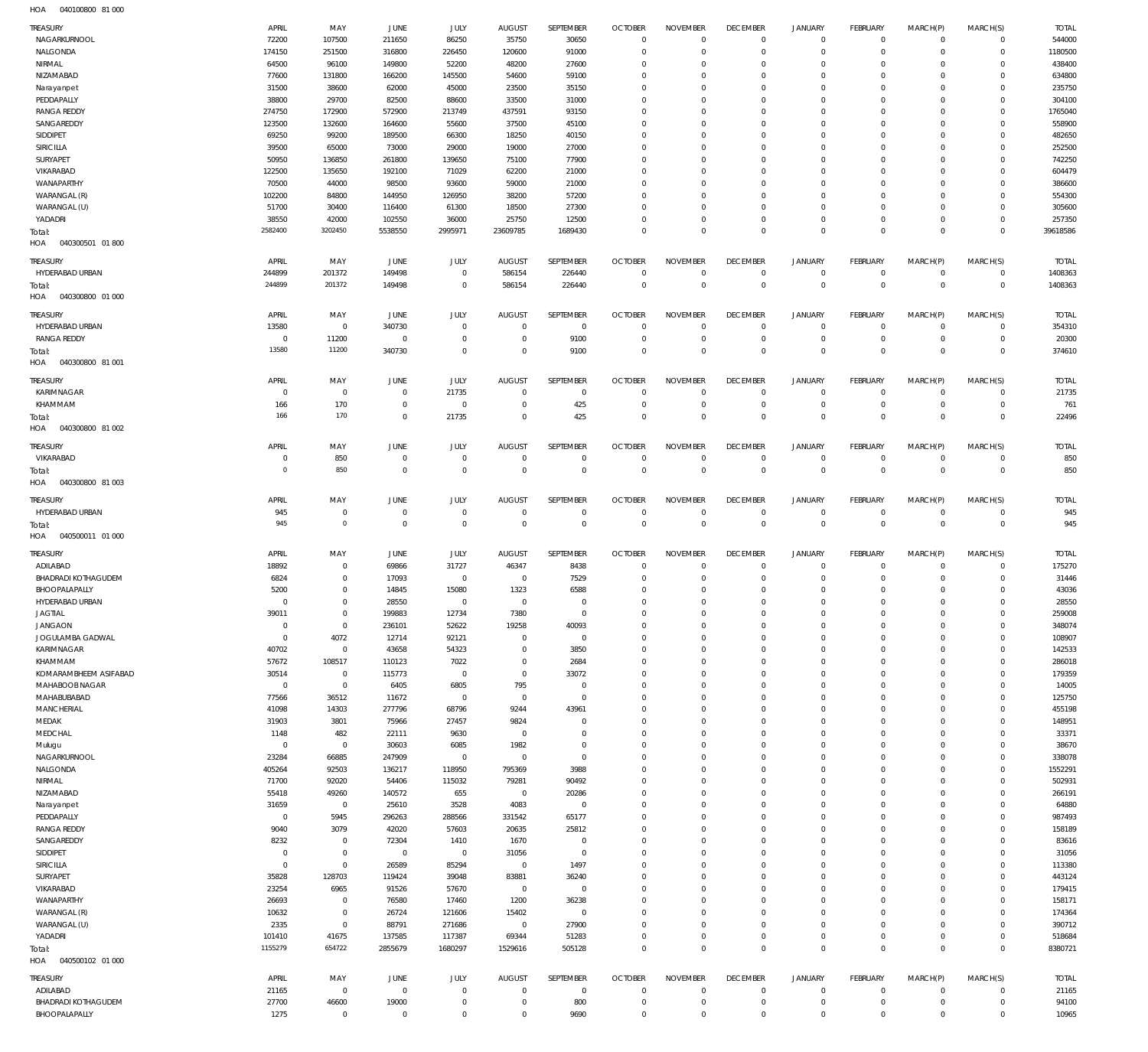040100800 81 000 HOA

| <b>TREASURY</b>                             | APRIL                | MAY                  | JUNE                 | JULY                       | <b>AUGUST</b>                    | SEPTEMBER                   | <b>OCTOBER</b>                | <b>NOVEMBER</b>            | <b>DECEMBER</b>               | <b>JANUARY</b>         | <b>FEBRUARY</b>            |                          | MARCH(S)                           | <b>TOTAL</b>     |
|---------------------------------------------|----------------------|----------------------|----------------------|----------------------------|----------------------------------|-----------------------------|-------------------------------|----------------------------|-------------------------------|------------------------|----------------------------|--------------------------|------------------------------------|------------------|
| NAGARKURNOOL                                | 72200                | 107500               | 211650               | 86250                      | 35750                            | 30650                       | $\mathbb O$                   | $\Omega$                   | $\overline{0}$                | $\mathbf 0$            | $\circ$                    | MARCH(P)<br>$\mathbf{0}$ | $\circ$                            | 544000           |
| NALGONDA                                    | 174150               | 251500               | 316800               | 226450                     | 120600                           | 91000                       | $\overline{0}$                | $\mathbf 0$                | $\overline{0}$                | $\Omega$               | $\mathbf 0$                | $^{\circ}$               | $\mathbf 0$                        | 1180500          |
|                                             |                      |                      |                      |                            |                                  |                             | $\overline{0}$                | $\mathbf 0$                | $^{\circ}$                    |                        | $\mathbf 0$                |                          | 0                                  | 438400           |
| NIRMAL<br>NIZAMABAD                         | 64500                | 96100                | 149800               | 52200                      | 48200                            | 27600                       | $\overline{0}$                | $\mathbf 0$                | $\overline{0}$                | $\circ$<br>$\Omega$    | $\mathbf 0$                | 0<br>$\Omega$            | $\mathbf 0$                        | 634800           |
|                                             | 77600<br>31500       | 131800<br>38600      | 166200<br>62000      | 145500<br>45000            | 54600<br>23500                   | 59100<br>35150              | $\overline{0}$                | 0                          | $^{\circ}$                    | $\circ$                | $\mathbf 0$                | 0                        | 0                                  | 235750           |
| Narayanpet<br>PEDDAPALLY                    |                      |                      |                      |                            |                                  |                             | $\overline{0}$                | $\mathbf 0$                | $\overline{0}$                | $\Omega$               | $\mathbf 0$                | $\Omega$                 | $\mathbf 0$                        |                  |
| <b>RANGA REDDY</b>                          | 38800                | 29700                | 82500                | 88600                      | 33500                            | 31000                       | $\overline{0}$                | $\Omega$                   | $\overline{0}$                |                        |                            |                          | $\mathbf 0$                        | 304100           |
|                                             | 274750               | 172900               | 572900               | 213749                     | 437591                           | 93150                       |                               |                            |                               | $\Omega$               | $\mathbf 0$                | 0                        |                                    | 1765040          |
| SANGAREDDY                                  | 123500               | 132600               | 164600               | 55600                      | 37500                            | 45100                       | $\overline{0}$                | $\mathbf 0$                | $\overline{0}$                | $\Omega$               | $\mathbf 0$                | $\Omega$                 | $\mathbf 0$                        | 558900           |
| SIDDIPET                                    | 69250                | 99200                | 189500               | 66300                      | 18250                            | 40150                       | $\overline{0}$                | $\mathbf 0$                | $\overline{0}$                | $\circ$                | $\mathbf 0$                | 0                        | 0                                  | 482650           |
| SIRICILLA                                   | 39500                | 65000                | 73000                | 29000                      | 19000                            | 27000                       | $\overline{0}$                | $\mathbf 0$                | $\overline{0}$                | $\Omega$               | $\mathbf 0$                | $\Omega$                 | 0                                  | 252500           |
| SURYAPET                                    | 50950                | 136850               | 261800               | 139650                     | 75100                            | 77900                       | $\overline{0}$                | $\Omega$                   | $\overline{0}$                | $\Omega$               | $\mathbf 0$                | 0                        | $\mathbf 0$                        | 742250           |
| VIKARABAD                                   | 122500               | 135650               | 192100               | 71029                      | 62200                            | 21000                       | $\overline{0}$                | $\mathbf 0$                | $\overline{0}$                | $\Omega$               | $\mathbf 0$                | 0                        | 0                                  | 604479           |
| WANAPARTHY                                  | 70500                | 44000                | 98500                | 93600                      | 59000                            | 21000                       | $\overline{0}$                | $\Omega$                   | $\overline{0}$                | $\Omega$               | $\mathbf 0$                | $\Omega$                 | 0                                  | 386600           |
| WARANGAL (R)                                | 102200               | 84800                | 144950               | 126950                     | 38200                            | 57200                       | $\overline{0}$                | $\mathbf 0$                | $\overline{0}$                | $\Omega$               | $\mathbf 0$                | 0                        | 0                                  | 554300           |
| WARANGAL (U)                                | 51700                | 30400                | 116400               | 61300                      | 18500                            | 27300                       | $\overline{0}$                | $\Omega$                   | $\overline{0}$                | $\Omega$               | $\mathbf 0$                | $\Omega$                 | $\mathbf 0$                        | 305600           |
| YADADRI                                     | 38550                | 42000                | 102550               | 36000                      | 25750                            | 12500                       | $\overline{0}$                | $\mathbf 0$                | $\overline{0}$                | $\mathbf 0$            | $\mathbf 0$                | 0                        | $\mathbf 0$                        | 257350           |
| Total:                                      | 2582400              | 3202450              | 5538550              | 2995971                    | 23609785                         | 1689430                     | $\overline{0}$                | $\Omega$                   | $\mathbb O$                   | $\mathbb O$            | $\mathbf 0$                | $\Omega$                 | $\mathbb O$                        | 39618586         |
| HOA<br>040300501 01800                      |                      |                      |                      |                            |                                  |                             |                               |                            |                               |                        |                            |                          |                                    |                  |
| TREASURY                                    | APRIL                | MAY                  | JUNE                 | JULY                       | <b>AUGUST</b>                    | SEPTEMBER                   | <b>OCTOBER</b>                | <b>NOVEMBER</b>            | <b>DECEMBER</b>               | <b>JANUARY</b>         | <b>FEBRUARY</b>            | MARCH(P)                 | MARCH(S)                           | <b>TOTAL</b>     |
| HYDERABAD URBAN                             | 244899               | 201372               | 149498               | $\mathbf 0$                | 586154                           | 226440                      | $\overline{0}$                | $\mathbf 0$                | $^{\circ}$                    | $\circ$                | $\mathbf 0$                | $^{\circ}$               | 0                                  | 1408363          |
|                                             | 244899               | 201372               | 149498               | $\mathbf 0$                |                                  |                             | $\mathbb O$                   | $\mathbf 0$                | $\overline{0}$                | $\mathbf{0}$           | $\mathbb O$                | $\overline{0}$           | $\mathbb O$                        | 1408363          |
| Total:                                      |                      |                      |                      |                            | 586154                           | 226440                      |                               |                            |                               |                        |                            |                          |                                    |                  |
| HOA<br>040300800 01 000                     |                      |                      |                      |                            |                                  |                             |                               |                            |                               |                        |                            |                          |                                    |                  |
| TREASURY                                    | APRIL                | MAY                  | JUNE                 | JULY                       | <b>AUGUST</b>                    | SEPTEMBER                   | <b>OCTOBER</b>                | <b>NOVEMBER</b>            | <b>DECEMBER</b>               | <b>JANUARY</b>         | <b>FEBRUARY</b>            | MARCH(P)                 | MARCH(S)                           | <b>TOTAL</b>     |
| HYDERABAD URBAN                             | 13580                | $\mathbf 0$          | 340730               | $\mathbf 0$                | $\overline{0}$                   | $\overline{0}$              | $\overline{0}$                | $\mathbf 0$                | $^{\circ}$                    | $\mathbf 0$            | $\circ$                    | $^{\circ}$               | $\mathbf 0$                        | 354310           |
| <b>RANGA REDDY</b>                          | 0                    | 11200                | $\mathbf 0$          | $\mathbf 0$                | $\overline{0}$                   | 9100                        | $\overline{0}$                | $^{\circ}$                 | $\overline{0}$                | $\mathbf 0$            | $\mathbf 0$                | $^{\circ}$               | $\mathbf 0$                        | 20300            |
| Total:                                      | 13580                | 11200                | 340730               | $\mathbf 0$                | $\overline{0}$                   | 9100                        | $\mathbb O$                   | $\mathbf 0$                | $\mathbb O$                   | $\mathbb O$            | $\mathbf 0$                | $^{\circ}$               | $\mathbb O$                        | 374610           |
| HOA<br>040300800 81 001                     |                      |                      |                      |                            |                                  |                             |                               |                            |                               |                        |                            |                          |                                    |                  |
|                                             |                      |                      |                      |                            |                                  |                             |                               |                            |                               |                        |                            |                          |                                    |                  |
| TREASURY                                    | APRIL                | MAY                  | <b>JUNE</b>          | JULY                       | <b>AUGUST</b>                    | SEPTEMBER                   | <b>OCTOBER</b>                | <b>NOVEMBER</b>            | <b>DECEMBER</b>               | <b>JANUARY</b>         | <b>FEBRUARY</b>            | MARCH(P)                 | MARCH(S)                           | <b>TOTAL</b>     |
| KARIMNAGAR                                  | 0                    | $\mathbf 0$          | $\overline{0}$       | 21735                      | $\overline{0}$                   | $\overline{0}$              | $\overline{0}$                | $\mathbf 0$                | $^{\circ}$                    | $\mathbf 0$            | $\circ$                    | $^{\circ}$               | $\mathbf 0$                        | 21735            |
| KHAMMAM                                     | 166                  | 170                  | $\mathbf 0$          | $\mathbf 0$                | $\overline{0}$                   | 425                         | $\overline{0}$                | $\overline{0}$             | $\overline{0}$                | $\mathbf 0$            | $\mathbf 0$                | $^{\circ}$               | $\mathsf{O}\xspace$                | 761              |
| Total:                                      | 166                  | 170                  | $\mathbf{0}$         | 21735                      | $\overline{0}$                   | 425                         | $\mathbb O$                   | $\mathbf 0$                | $\overline{0}$                | $\mathbf{0}$           | $\mathbb O$                | $\Omega$                 | $\mathbb O$                        | 22496            |
| HOA<br>040300800 81 002                     |                      |                      |                      |                            |                                  |                             |                               |                            |                               |                        |                            |                          |                                    |                  |
| TREASURY                                    | APRIL                | MAY                  | JUNE                 | JULY                       | <b>AUGUST</b>                    | SEPTEMBER                   | <b>OCTOBER</b>                | <b>NOVEMBER</b>            | <b>DECEMBER</b>               | <b>JANUARY</b>         | <b>FEBRUARY</b>            | MARCH(P)                 | MARCH(S)                           | <b>TOTAL</b>     |
| VIKARABAD                                   | 0                    | 850                  | $\mathbf 0$          | $\mathbf 0$                | $\mathbf 0$                      | $\mathbf 0$                 | $\overline{0}$                | $^{\circ}$                 | $\overline{0}$                | $\mathbf 0$            | $\circ$                    | $^{\circ}$               | $\circ$                            | 850              |
|                                             | $\circ$              | 850                  | $\overline{0}$       | $\mathbf 0$                | $\overline{0}$                   | $\overline{0}$              | $\mathbb O$                   | $\mathbb O$                | $\mathbb O$                   | $\mathbb O$            | $\mathbf 0$                | $\mathbf 0$              | $\mathbb O$                        | 850              |
| Total:                                      |                      |                      |                      |                            |                                  |                             |                               |                            |                               |                        |                            |                          |                                    |                  |
| HOA<br>040300800 81 003                     |                      |                      |                      |                            |                                  |                             |                               |                            |                               |                        |                            |                          |                                    |                  |
| TREASURY                                    | APRIL                | MAY                  | <b>JUNE</b>          | JULY                       | <b>AUGUST</b>                    | SEPTEMBER                   | <b>OCTOBER</b>                | <b>NOVEMBER</b>            | <b>DECEMBER</b>               | <b>JANUARY</b>         | <b>FEBRUARY</b>            | MARCH(P)                 | MARCH(S)                           | <b>TOTAL</b>     |
| HYDERABAD URBAN                             | 945                  | $\mathbf 0$          | $\mathbf 0$          | $\mathbf 0$                | $\mathbf 0$                      | $\mathbf 0$                 | $\overline{0}$                | $\mathbf 0$                | $\overline{0}$                | $\circ$                | $\mathbf 0$                | $^{\circ}$               | 0                                  | 945              |
| Total:                                      | 945                  | $\circ$              | $\overline{0}$       | $\overline{0}$             | $\overline{0}$                   | $\overline{0}$              | $\mathbb O$                   | $\mathbb O$                | $\overline{0}$                | $\mathbf{0}$           | $\mathbb O$                | $\overline{0}$           | $\mathbb O$                        | 945              |
| HOA<br>040500011 01 000                     |                      |                      |                      |                            |                                  |                             |                               |                            |                               |                        |                            |                          |                                    |                  |
|                                             |                      |                      |                      |                            |                                  |                             |                               |                            |                               |                        |                            |                          |                                    |                  |
| TREASURY                                    | APRIL                | MAY                  | <b>JUNE</b>          | JULY                       | <b>AUGUST</b>                    | SEPTEMBER                   | <b>OCTOBER</b>                | <b>NOVEMBER</b>            | <b>DECEMBER</b>               | <b>JANUARY</b>         | <b>FEBRUARY</b>            | MARCH(P)                 | MARCH(S)                           | <b>TOTAL</b>     |
|                                             |                      |                      |                      |                            |                                  |                             |                               |                            |                               |                        |                            |                          |                                    |                  |
| ADILABAD                                    | 18892                | $\mathbf 0$          | 69866                | 31727                      | 46347                            | 8438                        | $\overline{0}$                | $^{\circ}$                 | $^{\circ}$                    | $\mathbf 0$            | $\mathbf 0$                | $^{\circ}$               | $\mathbf 0$                        | 175270           |
| BHADRADI KOTHAGUDEM                         | 6824                 | $\mathbf{0}$         | 17093                | $\mathbf{0}$               | $\overline{0}$                   | 7529                        | $^{\circ}$                    | $^{\circ}$                 | $\overline{0}$                | $\mathbf 0$            | $\circ$                    | $\circ$                  | $\circ$                            | 31446            |
| BHOOPALAPALLY                               | 5200                 | $\mathbf 0$          | 14845                | 15080                      | 1323                             | 6588                        | $\overline{0}$                | 0                          | $^{\circ}$                    | $\circ$                | $\mathbf 0$                | 0                        | 0                                  | 43036            |
| HYDERABAD URBAN                             | $\mathbf{0}$         | $\mathbf 0$          | 28550                | $\mathbf 0$                | $\overline{0}$                   | $\mathbf 0$                 | $\Omega$                      | $\Omega$                   | $\Omega$                      | $\Omega$               | $\Omega$                   | $\Omega$                 | $\Omega$                           | 28550            |
| JAGTIAL                                     | 3901                 | 0                    | 199883               | 12734                      | 7380                             | 0                           |                               |                            |                               |                        |                            |                          |                                    | 259008           |
| <b>JANGAON</b>                              | 0                    | $\mathbf 0$          | 236101               | 52622                      | 19258                            | 40093                       | $\mathbf 0$                   | $^{\circ}$                 | $^{\circ}$                    | $\Omega$               | $\mathbf 0$                | $\mathbf 0$              | 0                                  | 348074           |
| JOGULAMBA GADWAL                            | $\mathbf 0$          | 4072                 | 12714                | 92121                      | $\overline{0}$                   | $\overline{0}$              | $\overline{0}$                | $\mathbf 0$                | $^{\circ}$                    | $\circ$                | $\mathbf 0$                | $^{\circ}$               | $\mathbf 0$                        | 108907           |
| KARIMNAGAR                                  | 40702                | $\mathbb O$          | 43658                | 54323                      | $\mathbf 0$                      | 3850                        | $\mathbf 0$                   | $\mathbf 0$                | $\overline{0}$                | $\Omega$               | $\mathbf 0$                | $\Omega$                 | $\mathbf 0$                        | 142533           |
| KHAMMAM                                     | 57672                | 108517               | 110123               | 7022                       | $\mathbf 0$                      | 2684                        | $\mathbf{0}$                  | $\mathbf 0$                | $\overline{0}$                | $\circ$                | $\mathbf 0$                | 0                        | 0                                  | 286018           |
| KOMARAMBHEEM ASIFABAD                       |                      | $\mathbb O$          |                      | $\mathbf 0$                | $\overline{0}$                   |                             | $\mathbf{0}$                  | $\mathbf 0$                | $\mathbf 0$                   | $\Omega$               | $\mathbf 0$                | $\Omega$                 | $\mathbf 0$                        |                  |
| MAHABOOB NAGAR                              | 30514<br>$\mathbf 0$ | $\mathbb O$          | 115773               |                            |                                  | 33072<br>$\mathbf{0}$       | $\overline{0}$                | $\mathbf 0$                | $\overline{0}$                | $\circ$                | $\mathbf 0$                | 0                        | 0                                  | 179359           |
|                                             |                      |                      | 6405                 | 6805<br>$\mathbf 0$        | 795<br>$\overline{0}$            | $\mathbf 0$                 | $\mathbf{0}$                  | $\mathbf 0$                |                               | $\Omega$               | $\mathbf 0$                | $\Omega$                 | 0                                  | 14005            |
| MAHABUBABAD<br>MANCHERIAL                   | 77566<br>41098       | 36512<br>14303       | 11672<br>277796      | 68796                      | 9244                             | 43961                       | $\overline{0}$                | $\mathbf 0$                | $\mathbf 0$<br>$\mathbf 0$    | $\mathbf 0$            | $\mathbf 0$                | 0                        | 0                                  | 125750<br>455198 |
|                                             |                      |                      |                      |                            |                                  |                             |                               |                            |                               | $\Omega$               |                            | $\Omega$                 |                                    |                  |
| MEDAK                                       | 31903                | 3801                 | 75966                | 27457                      | 9824                             | $\mathbf{0}$<br>$\mathbf 0$ | $\mathbf{0}$<br>$\mathbf{0}$  | $\mathbf 0$<br>$\mathbf 0$ | $\mathbf 0$                   | $\mathbf 0$            | $\mathbf 0$<br>$\mathbf 0$ | 0                        | $\mathbf 0$<br>0                   | 148951           |
| MEDCHAL                                     | 1148<br>$^{\circ}$   | 482                  | 22111                | 9630                       | $\overline{0}$                   | 0                           | $\overline{0}$                | $\mathbf 0$                | $\mathbf 0$                   | $\mathbf 0$            | $\mathbf 0$                | 0                        | 0                                  | 33371            |
| Mulugu                                      |                      | $\mathbf 0$          | 30603                | 6085<br>$\mathbf 0$        | 1982                             | $\mathbf 0$                 | $\mathbf{0}$                  | $\mathbf 0$                | $\mathbf 0$                   | $\mathbf 0$            | $\mathbf 0$                | 0                        | $\mathbf 0$                        | 38670            |
| NAGARKURNOOL                                | 23284                | 66885                | 247909               |                            | $\overline{0}$                   |                             |                               |                            | $\mathbf 0$                   | $\Omega$               |                            |                          |                                    | 338078           |
| NALGONDA                                    | 405264               | 92503                | 136217               | 118950                     | 795369                           | 3988                        | $\overline{0}$                | $\mathbf 0$                | $\mathbf 0$                   |                        | $\mathbf 0$                | 0                        | $\mathbf 0$                        | 1552291          |
| NIRMAL                                      | 71700                | 92020                | 54406                | 115032                     | 79281                            | 90492                       | $\overline{0}$                | $\mathbf 0$                | $\mathbf 0$                   | $\mathbf 0$            | $\mathbf 0$                | 0                        | $\mathbf 0$                        | 502931           |
| NIZAMABAD                                   | 55418                | 49260                | 140572               | 655                        | $\overline{0}$                   | 20286                       | $\mathbf{0}$                  | $\mathbf 0$                | $\overline{0}$                | $\mathbf 0$            | $\mathbf 0$                | 0                        | 0                                  | 266191           |
| Narayanpet                                  | 31659                | $\mathbb O$          | 25610                | 3528                       | 4083                             | $\mathbf{0}$                | $\mathbf{0}$                  | $\Omega$                   | $\mathbf 0$                   | $\Omega$               | $\mathbf 0$                | $\Omega$                 | 0                                  | 64880            |
| PEDDAPALLY                                  | $\mathbf{0}$         | 5945                 | 296263               | 288566                     | 331542                           | 65177                       | $\mathbf{0}$                  | $^{\circ}$                 | $\mathbf 0$                   | $\mathbf 0$            | $\mathbf 0$                | 0                        | 0                                  | 987493           |
| <b>RANGA REDDY</b>                          | 9040                 | 3079                 | 42020                | 57603                      | 20635                            | 25812                       | $\overline{0}$                | $\mathbf 0$                | $\mathbf 0$                   | $\mathbf 0$            | $\mathbf 0$                | $\Omega$                 | $\mathbf 0$                        | 158189           |
| SANGAREDDY                                  | 8232                 | $\mathbf 0$          | 72304                | 1410                       | 1670                             | $^{\circ}$                  | $\mathbf{0}$                  | $^{\circ}$                 | $\overline{0}$                | $\mathbf 0$            | $\mathbf 0$                | 0                        | 0                                  | 83616            |
| SIDDIPET                                    | $^{\circ}$           | $\mathbb O$          | $\mathbf 0$          | $\bf 0$                    | 31056                            | $\mathbf{0}$                | $\overline{0}$                | $\Omega$                   | $\mathbf 0$                   | $\Omega$               | $\mathbf 0$                | 0                        | 0                                  | 31056            |
| SIRICILLA                                   | $^{\circ}$           | $\mathbf 0$          | 26589                | 85294                      | $\overline{0}$                   | 1497                        | $\mathbf{0}$                  | $^{\circ}$                 | $\mathbf 0$                   | $\mathbf 0$            | $\mathbf 0$                | 0                        | $\mathbf 0$                        | 113380           |
| SURYAPET                                    | 35828                | 128703               | 119424               | 39048                      | 83881                            | 36240                       | $\overline{0}$                | $\mathbf 0$                | $\overline{0}$                | $\circ$                | $\mathbf 0$                | 0                        | 0                                  | 443124           |
| VIKARABAD                                   | 23254                | 6965                 | 91526                | 57670                      | $\overline{0}$                   | $\mathbf{0}$                | $\mathbf{0}$                  | $^{\circ}$                 | $\mathbf 0$                   | $\mathbf 0$            | $\mathbf 0$                | 0                        | 0                                  | 179415           |
| WANAPARTHY                                  | 26693                | $\mathbf 0$          | 76580                | 17460                      | 1200                             | 36238                       | $\overline{0}$                | $\mathbf 0$                | $\overline{0}$                | $\circ$                | $\mathbf 0$                | 0                        | 0                                  | 158171           |
| WARANGAL (R)                                | 10632                | $\mathbf 0$          | 26724                | 121606                     | 15402                            | $^{\circ}$                  | $\mathbf{0}$                  | $\mathbf 0$                | $\mathbf 0$                   | $\Omega$               | $\mathbf 0$                | $\Omega$                 | $\mathbf 0$                        | 174364           |
| WARANGAL (U)                                | 2335                 | $\mathbb O$          | 88791                | 271686                     | $\overline{0}$                   | 27900                       | $\overline{0}$                | $\mathbf 0$                | $\overline{0}$                | $\circ$                | $\mathbf 0$                | 0                        | 0                                  | 390712           |
| YADADRI                                     | 101410               | 41675                | 137585               | 117387                     | 69344                            | 51283                       | $\mathbf 0$                   | $\mathbf 0$                | $\mathbf 0$                   | $\mathbf 0$            | $\circ$                    | 0                        | $\mathbf 0$                        | 518684           |
| Total:                                      | 1155279              | 654722               | 2855679              | 1680297                    | 1529616                          | 505128                      | $\mathbb O$                   | $\mathbf 0$                | $\mathbb O$                   | $\mathbb O$            | $\mathbb O$                | $\mathbf 0$              | $\mathbb O$                        | 8380721          |
| HOA<br>040500102 01 000                     |                      |                      |                      |                            |                                  |                             |                               |                            |                               |                        |                            |                          |                                    |                  |
|                                             |                      |                      |                      |                            |                                  |                             |                               |                            |                               |                        |                            |                          |                                    |                  |
| TREASURY                                    | APRIL                | MAY                  | JUNE                 | JULY                       | <b>AUGUST</b>                    | SEPTEMBER                   | <b>OCTOBER</b>                | <b>NOVEMBER</b>            | <b>DECEMBER</b>               | JANUARY                | <b>FEBRUARY</b>            | MARCH(P)                 | MARCH(S)                           | <b>TOTAL</b>     |
| ADILABAD                                    | 21165                | $\overline{0}$       | $\overline{0}$       | $\mathbf 0$                | $\overline{0}$                   | $\overline{0}$              | $\overline{0}$                | $^{\circ}$                 | $^{\circ}$                    | $\mathbf 0$            | $\circ$                    | $^{\circ}$               | 0                                  | 21165            |
| <b>BHADRADI KOTHAGUDEM</b><br>BHOOPALAPALLY | 27700<br>1275        | 46600<br>$\mathbb O$ | 19000<br>$\mathbf 0$ | $\mathbf 0$<br>$\mathbf 0$ | $\overline{0}$<br>$\overline{0}$ | 800<br>9690                 | $\overline{0}$<br>$\mathbf 0$ | $\,0\,$<br>$\mathbf 0$     | $\overline{0}$<br>$\mathbb O$ | $\circ$<br>$\mathbf 0$ | $\mathbf 0$<br>$\mathbb O$ | $^{\circ}$<br>$\Omega$   | $\mathsf{O}\xspace$<br>$\mathbf 0$ | 94100<br>10965   |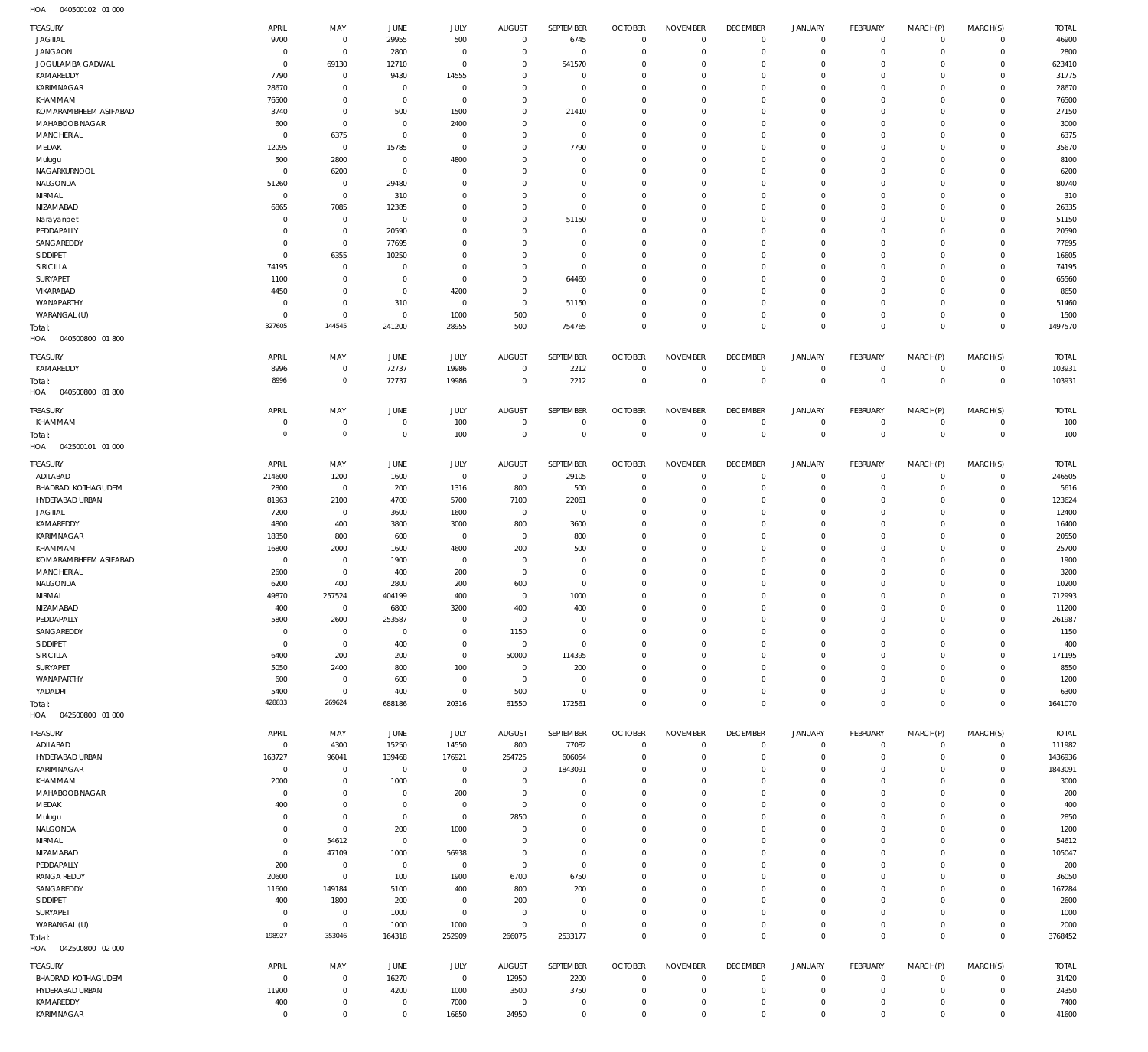| TREASURY                                | APRIL                    | MAY                         | JUNE              | JULY                       | <b>AUGUST</b>            | <b>SEPTEMBER</b>           | <b>OCTOBER</b>             | <b>NOVEMBER</b>            | <b>DECEMBER</b>            | <b>JANUARY</b>             | FEBRUARY                   | MARCH(P)                   | MARCH(S)                   | <b>TOTAL</b>    |
|-----------------------------------------|--------------------------|-----------------------------|-------------------|----------------------------|--------------------------|----------------------------|----------------------------|----------------------------|----------------------------|----------------------------|----------------------------|----------------------------|----------------------------|-----------------|
| <b>JAGTIAL</b>                          | 9700                     | $\mathbf 0$                 | 29955             | 500                        | $\mathbf 0$              | 6745                       | $\overline{0}$             | $\mathbf 0$                | $\mathbf 0$                | $\mathbf 0$                | $\mathbf{0}$               | $\circ$                    | $\mathbf{0}$               | 46900           |
| <b>JANGAON</b>                          | $^{\circ}$               | $\mathbf 0$                 | 2800              | $\mathbf 0$                | $^{\circ}$               | $\mathbf 0$                | $\mathbf 0$                | $\mathbf 0$                | $\mathbf 0$                | $\mathbf 0$                | $\mathbf{0}$               | $\circ$                    | $\mathbf{0}$               | 2800            |
| JOGULAMBA GADWAL                        | $^{\circ}$               | 69130                       | 12710             | $\mathbf 0$                | $^{\circ}$               | 541570                     | $\mathbf 0$                | $\mathbf 0$                | $\mathbf 0$                | $\mathbf 0$                | $\mathbf 0$                | $\mathbf 0$                | $\mathbf 0$                | 623410          |
| KAMAREDDY                               | 7790                     | $\mathbf 0$                 | 9430              | 14555                      | $^{\circ}$               | $\mathbf 0$                | $\mathbf 0$                | $\mathbf 0$                | $\mathbf 0$                | $\mathbf 0$                | $\mathbf 0$                | $\circ$                    | $\mathbf 0$                | 31775           |
| KARIMNAGAR                              | 28670                    | $\mathbf 0$                 | - 0               | $^{\circ}$                 | $^{\circ}$               | $\mathbf 0$                | $\mathbf 0$                | $\mathbf 0$                | $\mathbf 0$                | $\mathbf 0$                | $\mathbf 0$                | $\Omega$                   | $\mathbf 0$                | 28670           |
| KHAMMAM                                 | 76500                    | $\mathbf 0$                 | $^{\circ}$        | $\mathbf 0$                | $^{\circ}$               | $\mathbf 0$                | $\mathbf 0$                | $\mathbf 0$                | $\mathbf 0$                | $\mathbf 0$                | $\mathbf 0$                | $\Omega$                   | $\mathbf 0$                | 76500           |
| KOMARAMBHEEM ASIFABAD<br>MAHABOOB NAGAR | 3740<br>600              | $\mathbf{0}$<br>$\mathbf 0$ | 500<br>$^{\circ}$ | 1500<br>2400               | $^{\circ}$<br>$^{\circ}$ | 21410<br>$\mathbf 0$       | $\mathbf 0$<br>$\mathbf 0$ | $\mathbf 0$<br>$\mathbf 0$ | $\mathbf 0$<br>$\mathbf 0$ | $\mathbf 0$<br>$\mathbf 0$ | $\mathbf 0$<br>$\mathbf 0$ | $\circ$<br>$\Omega$        | $\mathbf 0$<br>$\mathbf 0$ | 27150<br>3000   |
| MANCHERIAL                              | $^{\circ}$               | 6375                        | $^{\circ}$        | $^{\circ}$                 | $^{\circ}$               | $\mathbf 0$                | $\mathbf 0$                | $\mathbf 0$                | $\mathbf 0$                | $\mathbf 0$                | $\mathbf 0$                | $\Omega$                   | $\mathbf 0$                | 6375            |
| MEDAK                                   | 12095                    | $\mathbf 0$                 | 15785             | $^{\circ}$                 | $^{\circ}$               | 7790                       | $\mathbf 0$                | $\mathbf 0$                | $\mathbf 0$                | $\mathbf 0$                | $^{\circ}$                 | $\Omega$                   | $\mathbf 0$                | 35670           |
| Mulugu                                  | 500                      | 2800                        | 0                 | 4800                       | $^{\circ}$               | $\mathbf 0$                | $\mathbf 0$                | $\mathbf 0$                | $\mathbf 0$                | $\mathbf 0$                | $\mathbf 0$                | $\Omega$                   | $\mathbf 0$                | 8100            |
| NAGARKURNOOL                            | $^{\circ}$               | 6200                        | - 0               | $^{\circ}$                 | $^{\circ}$               | $\mathbf 0$                | $\mathbf 0$                | $\mathbf 0$                | $\mathbf 0$                | $\mathbf 0$                | $^{\circ}$                 | $\circ$                    | $\mathbf 0$                | 6200            |
| NALGONDA                                | 51260                    | $\mathbf 0$                 | 29480             | $^{\circ}$                 | $^{\circ}$               | $\mathbf 0$                | $\mathbf 0$                | $\mathbf 0$                | $\mathbf 0$                | $\mathbf 0$                | $^{\circ}$                 | $\Omega$                   | $\mathbf 0$                | 80740           |
| NIRMAL                                  | $^{\circ}$               | $\mathbf{0}$                | 310               | $\mathbf 0$                | $^{\circ}$               | $\mathbf 0$                | $\mathbf 0$                | $\mathbf 0$                | $\mathbf 0$                | $\mathbf 0$                | $^{\circ}$                 | $\mathbf 0$                | $\mathbf 0$                | 310             |
| NIZAMABAD                               | 6865                     | 7085                        | 12385             | $\mathbf 0$                | $^{\circ}$               | $\mathbf 0$                | $\mathbf 0$                | $\mathbf 0$                | $\mathbf 0$                | $\mathbf 0$                | $\mathbf 0$                | $\Omega$                   | $\mathbf 0$                | 26335           |
| Narayanpet                              | $^{\circ}$               | $\mathbf{0}$                | 0                 | $\mathbf 0$                | $\mathbf{0}$             | 51150                      | $\mathbf 0$                | $\mathbf 0$                | $\mathbf 0$                | $\mathbf 0$                | $^{\circ}$                 | $\mathbf 0$                | $\mathbf 0$                | 51150           |
| PEDDAPALLY<br>SANGAREDDY                | $^{\circ}$<br>$^{\circ}$ | $\mathbf{0}$<br>$\mathbf 0$ | 20590<br>77695    | $\mathbf 0$<br>$\mathbf 0$ | $^{\circ}$<br>$^{\circ}$ | $\mathbf 0$<br>$\mathbf 0$ | $\mathbf 0$<br>$\mathbf 0$ | $\mathbf 0$<br>$\mathbf 0$ | $\mathbf 0$<br>$\mathbf 0$ | $\mathbf 0$<br>$\mathbf 0$ | $^{\circ}$<br>$^{\circ}$   | $\Omega$<br>$\Omega$       | $\mathbf 0$<br>$\mathbf 0$ | 20590<br>77695  |
| SIDDIPET                                | $^{\circ}$               | 6355                        | 10250             | $\mathbf 0$                | $^{\circ}$               | $\mathbf 0$                | $\mathbf 0$                | $\mathbf 0$                | $\mathbf 0$                | $\mathbf 0$                | $\mathbf 0$                | $\mathbf 0$                | $\mathbf 0$                | 16605           |
| SIRICILLA                               | 74195                    | $\mathbf 0$                 | $^{\circ}$        | $\mathbf 0$                | $^{\circ}$               | $\mathbf 0$                | $\mathbf 0$                | $\mathbf 0$                | $\mathbf 0$                | $\mathbf 0$                | $^{\circ}$                 | $\Omega$                   | $\mathbf 0$                | 74195           |
| SURYAPET                                | 1100                     | $\mathbf{0}$                | 0                 | $\mathbf 0$                | $^{\circ}$               | 64460                      | $\mathbf 0$                | $\mathbf 0$                | $\mathbf 0$                | $\mathbf 0$                | $^{\circ}$                 | $\Omega$                   | $\mathbf 0$                | 65560           |
| VIKARABAD                               | 4450                     | $\mathbf 0$                 | 0                 | 4200                       | $^{\circ}$               | $\mathbf 0$                | $\mathbf 0$                | $\mathbf 0$                | $\mathbf 0$                | $\mathbf 0$                | $\circ$                    | $\mathbf 0$                | $\mathbf 0$                | 8650            |
| WANAPARTHY                              | $^{\circ}$               | $\mathbf 0$                 | 310               | $\mathbf 0$                | $\mathbf{0}$             | 51150                      | $\mathbf 0$                | $\mathbf 0$                | $\mathbf 0$                | $\mathbf 0$                | $\mathbf{0}$               | $\mathbf 0$                | $\mathbf 0$                | 51460           |
| WARANGAL (U)                            | $^{\circ}$               | $\mathbf 0$                 | $^{\circ}$        | 1000                       | 500                      | $\mathbf 0$                | $\mathbf 0$                | $\mathbf 0$                | $\mathbf 0$                | $\mathbf 0$                | $\mathbf 0$                | $\mathbf 0$                | $\mathbf{0}$               | 1500            |
| Total:                                  | 327605                   | 144545                      | 241200            | 28955                      | 500                      | 754765                     | $\mathbf 0$                | $\mathbf 0$                | $\mathbf 0$                | $\mathbf 0$                | $\overline{0}$             | $\Omega$                   | $\overline{0}$             | 1497570         |
| 040500800 01800<br>HOA                  |                          |                             |                   |                            |                          |                            |                            |                            |                            |                            |                            |                            |                            |                 |
| TREASURY                                | APRIL                    | MAY                         | <b>JUNE</b>       | JULY                       | <b>AUGUST</b>            | SEPTEMBER                  | <b>OCTOBER</b>             | <b>NOVEMBER</b>            | <b>DECEMBER</b>            | JANUARY                    | FEBRUARY                   | MARCH(P)                   | MARCH(S)                   | <b>TOTAL</b>    |
| KAMAREDDY                               | 8996                     | $\mathbf 0$                 | 72737             | 19986                      | $^{\circ}$               | 2212                       | $\mathbf 0$                | $\mathbf 0$                | $\mathbf 0$                | $\mathbf 0$                | $^{\circ}$                 | $\mathbf 0$                | $^{\circ}$                 | 103931          |
| Total:                                  | 8996                     | $\mathbb O$                 | 72737             | 19986                      | $^{\circ}$               | 2212                       | $\overline{0}$             | $\mathbf 0$                | $\overline{0}$             | $\mathbf 0$                | $\overline{0}$             | $\mathbf 0$                | $\mathbf 0$                | 103931          |
| HOA<br>040500800 81800                  |                          |                             |                   |                            |                          |                            |                            |                            |                            |                            |                            |                            |                            |                 |
| TREASURY                                | APRIL                    | MAY                         | <b>JUNE</b>       | <b>JULY</b>                | <b>AUGUST</b>            | SEPTEMBER                  | <b>OCTOBER</b>             | <b>NOVEMBER</b>            | <b>DECEMBER</b>            | <b>JANUARY</b>             | FEBRUARY                   | MARCH(P)                   | MARCH(S)                   | <b>TOTAL</b>    |
| KHAMMAM                                 | $^{\circ}$               | $\mathbf 0$                 | $\circ$           | 100                        | $^{\circ}$               | $\mathbf 0$                | $\overline{0}$             | $\mathbf 0$                | $\mathbf 0$                | $\mathbf 0$                | $\mathbf{0}$               | $\mathbf 0$                | $\mathbf{0}$               | 100             |
| Total:                                  | $\circ$                  | $\mathbb O$                 | $\circ$           | 100                        | $^{\circ}$               | $\mathbf 0$                | $\overline{0}$             | $\mathbf 0$                | $\overline{0}$             | $\mathbf 0$                | $\overline{0}$             | $\mathbf 0$                | $\overline{0}$             | 100             |
| 042500101 01 000<br>HOA                 |                          |                             |                   |                            |                          |                            |                            |                            |                            |                            |                            |                            |                            |                 |
| TREASURY                                | APRIL                    | MAY                         | <b>JUNE</b>       | <b>JULY</b>                | <b>AUGUST</b>            | SEPTEMBER                  | <b>OCTOBER</b>             | <b>NOVEMBER</b>            | <b>DECEMBER</b>            | <b>JANUARY</b>             | FEBRUARY                   | MARCH(P)                   | MARCH(S)                   | <b>TOTAL</b>    |
| ADILABAD                                | 214600                   | 1200                        | 1600              | $\mathbf 0$                | $^{\circ}$               | 29105                      | $\mathbf 0$                | $\mathbf 0$                | $\mathbf 0$                | $\mathbf 0$                | $^{\circ}$                 | $\mathbf 0$                | $\mathbf 0$                | 246505          |
| <b>BHADRADI KOTHAGUDEM</b>              | 2800                     | $^{\circ}$                  | 200               | 1316                       | 800                      | 500                        | $\mathbf 0$                | $\mathbf 0$                | $\mathbf 0$                | $\mathbf 0$                | $^{\circ}$                 | $\mathbf 0$                | $\mathbf 0$                | 5616            |
| HYDERABAD URBAN                         | 81963                    | 2100                        | 4700              | 5700                       | 7100                     | 22061                      | $\mathbf 0$                | $\mathbf 0$                | $\mathbf 0$                | $\mathbf 0$                | $^{\circ}$                 | $\Omega$                   | $\mathbf 0$                | 123624          |
| <b>JAGTIAL</b>                          | 7200                     | $^{\circ}$                  | 3600              | 1600                       | $\mathbf{0}$             | $\mathbf 0$                | $\mathbf 0$                | $\mathbf 0$                | $\mathbf 0$                | $\mathbf 0$                | $\mathbf 0$                | $\mathbf 0$                | $\mathbf 0$                | 12400           |
| KAMAREDDY                               | 4800                     | 400                         | 3800              | 3000                       | 800                      | 3600                       | $\mathbf 0$                | $\Omega$                   | $\mathbf 0$                | $\mathbf 0$                | $\mathbf 0$                | $\Omega$                   | $\mathbf 0$                | 16400           |
| KARIMNAGAR                              | 18350                    | 800                         | 600               | $^{\circ}$                 | $\mathbf{0}$             | 800                        | $\mathbf 0$                | $\mathbf 0$                | $\mathbf 0$                | $\mathbf 0$                | $\mathbf 0$                | $\mathbf 0$                | $\mathbf 0$                | 20550           |
| KHAMMAM<br>KOMARAMBHEEM ASIFABAD        | 16800<br>$^{\circ}$      | 2000<br>$^{\circ}$          | 1600<br>1900      | 4600<br>$^{\circ}$         | 200<br>$^{\circ}$        | 500<br>$\mathbf 0$         | $\mathbf 0$<br>$\mathbf 0$ | 0<br>$\mathbf 0$           | $\mathbf 0$<br>$\mathbf 0$ | $\mathbf 0$<br>$\mathbf 0$ | $\mathbf 0$<br>$\mathbf 0$ | $\Omega$<br>$\mathbf 0$    | $\mathbf 0$<br>$\mathbf 0$ | 25700<br>1900   |
| MANCHERIAL                              | 2600                     | $\mathbf 0$                 | 400               | 200                        | $\mathbf{0}$             | $\mathbf 0$                | $\mathbf 0$                | $\mathbf 0$                | $\mathbf 0$                | $\mathbf 0$                | $\mathbf 0$                | $\Omega$                   | $\mathbf 0$                | 3200            |
| NALGONDA                                | 6200                     | 400                         | 2800              | 200                        | 600                      | $\mathbf 0$                | $\mathbf 0$                | $\mathbf 0$                | $\mathbf 0$                | $\mathbf 0$                | $\mathbf 0$                | $\Omega$                   | $\mathbf 0$                | 10200           |
| NIRMAL                                  | 49870                    | 257524                      | 404199            | 400                        | $\mathbf{0}$             | 1000                       | $\mathbf 0$                | $\mathbf 0$                | $\mathbf 0$                | $\mathbf 0$                | $\mathbf 0$                | $\mathbf 0$                | $\mathbf 0$                | 712993          |
| NIZAMABAD                               | 400                      | $\mathbf 0$                 | 6800              | 3200                       | 400                      | 400                        | $\Omega$                   | $\Omega$                   | $\Omega$                   | $\Omega$                   | $\Omega$                   | $\Omega$                   | $\Omega$                   | 11200           |
| PEDDAPALLY                              | 5800                     | 2600                        | 253587            | $^{\circ}$                 | $\mathbf{0}$             | $\mathbf 0$                | $\mathbf 0$                | $\mathbf 0$                | $\mathbf 0$                | $\mathbf 0$                | $\mathbf 0$                | $\mathbf 0$                | $\mathbf 0$                | 261987          |
| SANGAREDDY                              | $^{\circ}$               | $\mathbf 0$                 | $^{\circ}$        | $^{\circ}$                 | 1150                     | $\mathbf 0$                | $\mathbf 0$                | $\mathbf 0$                | $\mathbf 0$                | $\mathbf 0$                | $\mathbf 0$                | $\mathbf 0$                | $\mathbf 0$                | 1150            |
| SIDDIPET                                | $^{\circ}$               | $\mathbf 0$                 | 400               | $\mathbf 0$                | $\mathbf{0}$             | $\mathbf 0$                | $\mathbf 0$                | $\mathbf 0$                | $\mathbf 0$                | $\mathbf 0$                | $\mathbf 0$                | $\Omega$                   | $\mathbf 0$                | 400             |
| SIRICILLA                               | 6400                     | 200                         | 200               | $\mathbf 0$                | 50000<br>$\mathbf{0}$    | 114395                     | $\mathbf 0$<br>$\mathbf 0$ | $\mathbf 0$<br>$\mathbf 0$ | $\mathbf 0$<br>$\mathbf 0$ | $\mathbf 0$<br>$\mathbf 0$ | $\mathbf 0$<br>$\mathbf 0$ | 0<br>0                     | $\mathbf 0$<br>$\mathbf 0$ | 171195<br>8550  |
| SURYAPET<br>WANAPARTHY                  | 5050<br>600              | 2400<br>$\mathbf 0$         | 800<br>600        | 100<br>$\mathbf 0$         | $\mathbf{0}$             | 200<br>$\mathbf 0$         | $\mathbf 0$                | $\mathbf 0$                | $\mathbf 0$                | $\mathbf 0$                | $\mathbf 0$                | 0                          | $\mathbf 0$                | 1200            |
| YADADRI                                 | 5400                     | $\mathbf 0$                 | 400               | $\mathbf 0$                | 500                      | $\mathbf 0$                | $\mathbf 0$                | $\mathbf 0$                | $\mathbf 0$                | $\mathbf 0$                | $\mathbf 0$                | $\mathbf 0$                | $\mathbf 0$                | 6300            |
| Total:                                  | 428833                   | 269624                      | 688186            | 20316                      | 61550                    | 172561                     | $\mathbf 0$                | $\mathbf 0$                | $\mathbf 0$                | $\mathbf 0$                | $\overline{0}$             | $\mathbf 0$                | $\mathbf 0$                | 1641070         |
| 042500800 01 000<br>HOA                 |                          |                             |                   |                            |                          |                            |                            |                            |                            |                            |                            |                            |                            |                 |
| TREASURY                                | APRIL                    | MAY                         | JUNE              | JULY                       | <b>AUGUST</b>            | SEPTEMBER                  | <b>OCTOBER</b>             | <b>NOVEMBER</b>            | <b>DECEMBER</b>            | <b>JANUARY</b>             | FEBRUARY                   | MARCH(P)                   | MARCH(S)                   | <b>TOTAL</b>    |
| ADILABAD                                | $^{\circ}$               | 4300                        | 15250             | 14550                      | 800                      | 77082                      | $\overline{0}$             | $\mathbf 0$                | $\mathbf 0$                | $\mathbf 0$                | $\circ$                    | $\mathbf 0$                | $\circ$                    | 111982          |
| HYDERABAD URBAN                         | 163727                   | 96041                       | 139468            | 176921                     | 254725                   | 606054                     | $\mathbf 0$                | $\mathbf 0$                | $\mathbf 0$                | $\mathbf 0$                | $\mathbf{0}$               | $\mathbf 0$                | $\mathbf{0}$               | 1436936         |
| KARIMNAGAR                              | $\mathbf 0$              | $\mathbf 0$                 | $\overline{0}$    | $\mathbf 0$                | $\mathbf 0$              | 1843091                    | $\mathbf 0$                | $\mathbf 0$                | $\mathbf 0$                | $\mathbf 0$                | $\mathbf 0$                | $\mathbf 0$                | $\mathbf{0}$               | 1843091         |
| KHAMMAM                                 | 2000                     | $\mathbf 0$                 | 1000              | $\mathbf 0$                | $^{\circ}$               | $\mathbf 0$                | $\mathbf 0$                | $\mathbf 0$                | $\mathbf 0$                | $\mathbf 0$                | $\mathbf 0$                | $\mathbf 0$                | $\mathbf 0$                | 3000            |
| MAHABOOB NAGAR                          | $\mathbf 0$              | $\mathbf 0$                 | $\mathbf 0$       | 200                        | $^{\circ}$               | $\mathbf 0$                | $\mathbf 0$                | $\mathbf 0$                | $\mathbf 0$                | $\mathbf 0$                | $\mathbf 0$                | $\mathbf 0$                | $\mathbf 0$                | 200             |
| MEDAK                                   | 400                      | $\mathbf 0$                 | 0                 | $\mathbf 0$                | $\mathbf{0}$             | $\mathbf 0$                | $\mathbf 0$                | $\mathbf 0$                | $\mathbf 0$                | $\mathbf 0$                | $\mathbf 0$                | 0                          | $\mathbf 0$                | 400             |
| Mulugu                                  | $^{\circ}$               | $\mathbf 0$                 | $^{\circ}$        | $\mathbf 0$                | 2850                     | $\mathbf 0$                | $\mathbf 0$                | $\mathbf 0$                | $\mathbf 0$                | $\mathbf 0$                | $\mathbf 0$                | $\mathbf 0$                | $\mathbf 0$                | 2850            |
| NALGONDA                                | $^{\circ}$               | $\mathbf 0$                 | 200               | 1000                       | $^{\circ}$               | $\mathbf 0$                | $\mathbf 0$                | $\mathbf 0$                | $\mathbf 0$                | $\mathbf 0$                | $\mathbf 0$                | 0                          | $\mathbf 0$                | 1200            |
| NIRMAL<br>NIZAMABAD                     | $^{\circ}$<br>$^{\circ}$ | 54612<br>47109              | 0<br>1000         | $\mathbf 0$<br>56938       | $^{\circ}$<br>$^{\circ}$ | $\mathbf 0$<br>$\mathbf 0$ | $\mathbf 0$<br>$\mathbf 0$ | $\mathbf 0$<br>$\mathbf 0$ | $\mathbf 0$<br>$\mathbf 0$ | $\mathbf 0$<br>$\mathbf 0$ | $\mathbf 0$<br>$\mathbf 0$ | $\mathbf 0$<br>$\mathbf 0$ | $\mathbf 0$<br>$\mathbf 0$ | 54612<br>105047 |
| PEDDAPALLY                              | 200                      | $\mathbf 0$                 | $^{\circ}$        | $\mathbb O$                | $\mathbf{0}$             | $\mathbf 0$                | $\mathbf 0$                | $\mathbf 0$                | $\mathbf 0$                | $\mathbf 0$                | $\mathbf 0$                | $\mathbf 0$                | $\mathbf 0$                | 200             |
| <b>RANGA REDDY</b>                      | 20600                    | $\mathbf 0$                 | 100               | 1900                       | 6700                     | 6750                       | $\mathbf 0$                | $\mathbf 0$                | $\mathbf 0$                | $\mathbf 0$                | $\mathbf 0$                | $\mathbf 0$                | $\mathbf 0$                | 36050           |
| SANGAREDDY                              | 11600                    | 149184                      | 5100              | 400                        | 800                      | 200                        | $\mathbf 0$                | $\mathbf 0$                | $\mathbf 0$                | $\mathbf 0$                | $\mathbf 0$                | $\mathbf 0$                | $\mathbf 0$                | 167284          |
| SIDDIPET                                | 400                      | 1800                        | 200               | $^{\circ}$                 | 200                      | $\mathbf 0$                | $\mathbf 0$                | $\mathbf 0$                | $\mathbf 0$                | $\mathbf 0$                | $\mathbf 0$                | $\mathbf 0$                | $\mathbf 0$                | 2600            |
| SURYAPET                                | $^{\circ}$               | $\mathbf 0$                 | 1000              | $\mathbf 0$                | $^{\circ}$               | $\mathbf 0$                | $\mathbf 0$                | $\mathbf 0$                | $\mathbf 0$                | $\mathbf 0$                | $\mathbf 0$                | $\mathbf 0$                | $\mathbf{0}$               | 1000            |
| WARANGAL (U)                            | $^{\circ}$               | $\mathbf 0$                 | 1000              | 1000                       | $\mathbf 0$              | $\mathbf 0$                | $\mathbf 0$                | $\mathbf 0$                | $\mathbf 0$                | $\mathbf 0$                | $\mathbf{0}$               | $\mathbf 0$                | $\mathbf{0}$               | 2000            |
| Total:                                  | 198927                   | 353046                      | 164318            | 252909                     | 266075                   | 2533177                    | $\mathbf 0$                | $\mathbf 0$                | $\mathbf 0$                | $\mathbf 0$                | $\overline{0}$             | $\mathbf 0$                | $\overline{0}$             | 3768452         |
| 042500800 02 000<br>HOA                 |                          |                             |                   |                            |                          |                            |                            |                            |                            |                            |                            |                            |                            |                 |
| TREASURY                                | APRIL                    | MAY                         | JUNE              | JULY                       | <b>AUGUST</b>            | SEPTEMBER                  | <b>OCTOBER</b>             | <b>NOVEMBER</b>            | <b>DECEMBER</b>            | <b>JANUARY</b>             | FEBRUARY                   | MARCH(P)                   | MARCH(S)                   | <b>TOTAL</b>    |
| <b>BHADRADI KOTHAGUDEM</b>              | $^{\circ}$               | $^{\circ}$                  | 16270             | $\mathbf 0$                | 12950                    | 2200                       | $\mathbf 0$                | $\mathbf 0$                | $\mathbf 0$                | $\mathbf 0$                | $\mathbf 0$                | $\mathbf 0$                | $\mathbf 0$                | 31420           |
| HYDERABAD URBAN                         | 11900                    | $\mathbf 0$                 | 4200              | 1000                       | 3500                     | 3750                       | $\mathbf 0$                | $\mathbf 0$                | $\mathbf 0$                | $\mathbf 0$                | $^{\circ}$                 | $\mathbf 0$                | $\mathbf{0}$               | 24350           |
| KAMAREDDY                               | 400                      | $\mathbb O$                 | $\mathbf 0$       | 7000                       | $\mathbf 0$              | 0                          | 0                          | $\mathbf 0$                | 0                          | $\mathbf 0$                | $\circ$                    | $\mathbf 0$                | $\mathbf 0$                | 7400            |
| KARIMNAGAR                              | $\mathbf 0$              | $\mathsf 0$                 | $\mathbf 0$       | 16650                      | 24950                    | $\mathbf 0$                | $\mathbf 0$                | $\mathbf 0$                | $\mathbf 0$                | $\mathbf 0$                | $\mathbf 0$                | $\mathbf 0$                | $\mathbf 0$                | 41600           |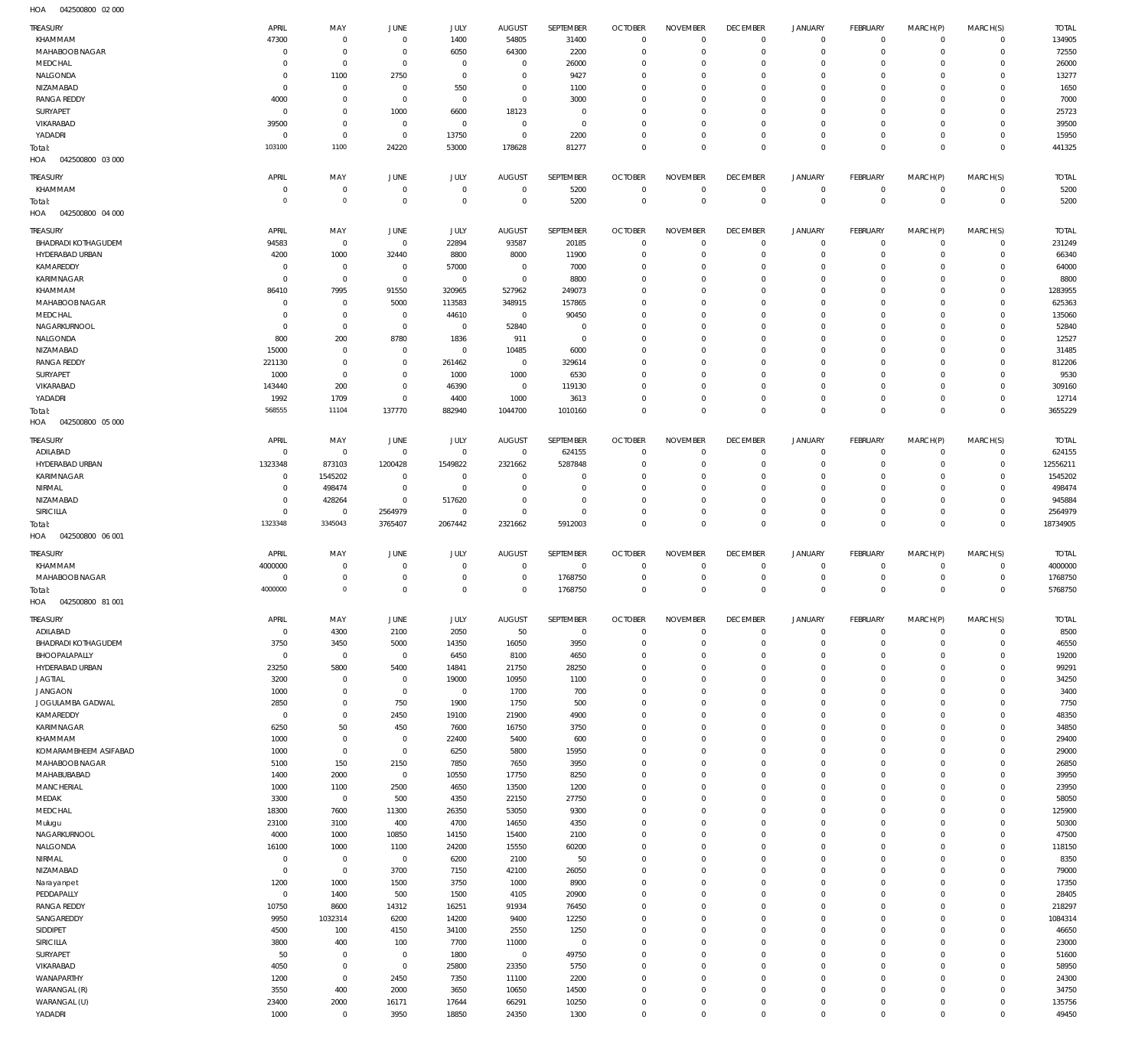042500800 02 000 HOA

| TREASURY                                    | APRIL                      | MAY                        | <b>JUNE</b>                   | JULY                       | <b>AUGUST</b>                    | SEPTEMBER              | <b>OCTOBER</b>                   | <b>NOVEMBER</b>            | <b>DECEMBER</b>                  | <b>JANUARY</b>                | <b>FEBRUARY</b>                | MARCH(P)                | MARCH(S)                           | <b>TOTAL</b>           |
|---------------------------------------------|----------------------------|----------------------------|-------------------------------|----------------------------|----------------------------------|------------------------|----------------------------------|----------------------------|----------------------------------|-------------------------------|--------------------------------|-------------------------|------------------------------------|------------------------|
| KHAMMAM                                     | 47300                      | $\mathbf 0$                | $\mathbf 0$                   | 1400                       | 54805                            | 31400                  | $\overline{0}$                   | $\mathbf 0$                | $^{\circ}$                       | $\circ$                       | $^{\circ}$                     | $^{\circ}$              | $\mathbf 0$                        | 134905                 |
| MAHABOOB NAGAR                              | $^{\circ}$                 | $\mathbf 0$                | $\mathbf 0$                   | 6050                       | 64300                            | 2200                   | $\overline{0}$                   | 0                          | $\mathbf 0$                      | $\mathbf 0$                   | $^{\circ}$                     | $\Omega$                | $\mathbf 0$                        | 72550                  |
| MEDCHAL<br>NALGONDA                         | 0<br>0                     | $\mathbf 0$<br>1100        | $\mathbf 0$<br>2750           | $\mathbf 0$<br>$\mathbf 0$ | $\mathbf 0$<br>$\mathbf 0$       | 26000<br>9427          | $\mathbf 0$<br>$\mathbf 0$       | $\Omega$<br>0              | $\mathbf 0$<br>$\mathbf 0$       | $\mathbf 0$<br>$\mathbf 0$    | $^{\circ}$<br>$^{\circ}$       | $\Omega$                | $\Omega$<br>$\Omega$               | 26000<br>13277         |
| NIZAMABAD                                   | 0                          | $\mathbf 0$                | $\mathbf 0$                   | 550                        | $\mathbf 0$                      | 1100                   | $^{\circ}$                       | $\Omega$                   | $\mathbf 0$                      | $\mathbf 0$                   | $^{\circ}$                     |                         |                                    | 1650                   |
| <b>RANGA REDDY</b>                          | 4000                       | $\mathbf 0$                | $\overline{0}$                | $\mathbf 0$                | $\overline{0}$                   | 3000                   | $\mathbf 0$                      | $\mathbf 0$                | $\mathbf 0$                      | $\mathbf 0$                   | $^{\circ}$                     | $\Omega$                | $\Omega$                           | 7000                   |
| SURYAPET                                    | $^{\circ}$                 | $\mathbf 0$                | 1000                          | 6600                       | 18123                            | $\mathbf 0$            | $^{\circ}$                       | $\Omega$                   | 0                                | $\Omega$                      | $\Omega$                       |                         | $\Omega$                           | 25723                  |
| VIKARABAD<br>YADADRI                        | 39500<br>0                 | $\mathbf 0$<br>$\mathbf 0$ | $\mathbf 0$<br>$\overline{0}$ | $\mathbf 0$<br>13750       | $\overline{0}$<br>$\overline{0}$ | $\mathbf 0$<br>2200    | $\mathbf 0$<br>$\overline{0}$    | 0<br>0                     | $\mathbf 0$<br>$\mathbf 0$       | $\mathbf 0$<br>$\mathbf 0$    | $^{\circ}$<br>$\mathbf{0}$     | $\Omega$<br>$\Omega$    | $\Omega$<br>$\Omega$               | 39500<br>15950         |
| Total:                                      | 103100                     | 1100                       | 24220                         | 53000                      | 178628                           | 81277                  | $\overline{0}$                   | $\mathbf 0$                | $\overline{0}$                   | $\mathbf 0$                   | $\mathbb O$                    | $\Omega$                | $\Omega$                           | 441325                 |
| HOA<br>042500800 03 000                     |                            |                            |                               |                            |                                  |                        |                                  |                            |                                  |                               |                                |                         |                                    |                        |
| TREASURY                                    | APRIL                      | MAY                        | <b>JUNE</b>                   | JULY                       | <b>AUGUST</b>                    | <b>SEPTEMBER</b>       | <b>OCTOBER</b>                   | <b>NOVEMBER</b>            | <b>DECEMBER</b>                  | <b>JANUARY</b>                | <b>FEBRUARY</b>                | MARCH(P)                | MARCH(S)                           | <b>TOTAL</b>           |
| KHAMMAM                                     | $^{\circ}$                 | $\mathbf 0$                | $\mathbf 0$                   | $\mathbf 0$                | $\overline{0}$                   | 5200                   | $\overline{0}$                   | $\mathbf 0$                | $\overline{0}$                   | $^{\circ}$                    | $^{\circ}$                     | $^{\circ}$              | $\mathbf 0$                        | 5200                   |
| Total:<br>042500800 04 000<br>HOA           | $\circ$                    | $\mathbb O$                | $\mathbf{0}$                  | $\mathbf 0$                | $\overline{0}$                   | 5200                   | $\overline{0}$                   | $\mathbf{0}$               | $\mathbb O$                      | $\mathbf 0$                   | $\mathbb O$                    | $\overline{0}$          | $\mathbb O$                        | 5200                   |
|                                             |                            |                            |                               |                            |                                  |                        |                                  |                            |                                  |                               |                                |                         |                                    |                        |
| TREASURY<br><b>BHADRADI KOTHAGUDEM</b>      | APRIL<br>94583             | MAY<br>$\mathbf 0$         | <b>JUNE</b><br>$\mathbf 0$    | JULY<br>22894              | <b>AUGUST</b><br>93587           | SEPTEMBER<br>20185     | <b>OCTOBER</b><br>$^{\circ}$     | <b>NOVEMBER</b><br>0       | <b>DECEMBER</b><br>$\mathbf 0$   | <b>JANUARY</b><br>$\circ$     | <b>FEBRUARY</b><br>$^{\circ}$  | MARCH(P)<br>$\circ$     | MARCH(S)<br>$\mathbf 0$            | <b>TOTAL</b><br>231249 |
| HYDERABAD URBAN                             | 4200                       | 1000                       | 32440                         | 8800                       | 8000                             | 11900                  | $\overline{0}$                   | 0                          | $\overline{0}$                   | $\mathbf 0$                   | $\mathbf{0}$                   | $\Omega$                | $\Omega$                           | 66340                  |
| KAMAREDDY                                   | $^{\circ}$                 | $\mathbf 0$                | $\mathbf 0$                   | 57000                      | $\overline{0}$                   | 7000                   | $\mathbf 0$                      | 0                          | $\mathbf 0$                      | $\mathbf 0$                   | $^{\circ}$                     | $\Omega$                | $\Omega$                           | 64000                  |
| KARIMNAGAR                                  | $^{\circ}$                 | $\mathbf 0$                | $\mathbf{0}$                  | $\mathbf 0$                | $\overline{0}$                   | 8800                   | $\overline{0}$                   | $\Omega$                   | $\mathbf 0$                      | $\mathbf 0$                   | $^{\circ}$                     |                         | $\Omega$                           | 8800                   |
| KHAMMAM<br>MAHABOOB NAGAR                   | 86410<br>0                 | 7995<br>$^{\circ}$         | 91550<br>5000                 | 320965<br>113583           | 527962<br>348915                 | 249073<br>157865       | $\mathbf 0$<br>$\overline{0}$    | 0<br>$\Omega$              | $\mathbf 0$<br>$\Omega$          | $\mathbf 0$<br>$\Omega$       | $^{\circ}$<br>$\Omega$         | $\Omega$                | $\Omega$<br>$\Omega$               | 1283955<br>625363      |
| MEDCHAL                                     | 0                          | $\mathbf 0$                | $\overline{0}$                | 44610                      | $\overline{0}$                   | 90450                  | $\mathbf 0$                      | 0                          | $\mathbf 0$                      | $\mathbf 0$                   | $^{\circ}$                     | $\Omega$                | $\Omega$                           | 135060                 |
| NAGARKURNOOL                                | 0                          | $\mathbf 0$                | $\overline{0}$                | $\mathbf 0$                | 52840                            | $\mathbf 0$            | $^{\circ}$                       | $\Omega$                   | $\mathbf 0$                      | $\mathbf 0$                   | $^{\circ}$                     |                         |                                    | 52840                  |
| NALGONDA                                    | 800                        | 200                        | 8780                          | 1836                       | 911                              | $\mathbf 0$            | $^{\circ}$                       | $\Omega$                   | $\mathbf 0$                      | $\mathbf 0$                   | $^{\circ}$                     | $\Omega$                | $\Omega$                           | 12527                  |
| NIZAMABAD<br><b>RANGA REDDY</b>             | 15000<br>221130            | $^{\circ}$<br>$\mathbf 0$  | $\mathbf 0$<br>$\mathbf 0$    | $\mathbf 0$<br>261462      | 10485<br>$\overline{0}$          | 6000<br>329614         | $\overline{0}$<br>$^{\circ}$     | $\Omega$<br>$\Omega$       | 0<br>$\mathbf 0$                 | $\mathbf 0$<br>0              | $^{\circ}$<br>$^{\circ}$       |                         | $\Omega$<br>$\Omega$               | 31485<br>812206        |
| SURYAPET                                    | 1000                       | $\mathbf 0$                | $\mathbf 0$                   | 1000                       | 1000                             | 6530                   | $^{\circ}$                       | $\Omega$                   | $\mathbf 0$                      | $\mathbf 0$                   | $^{\circ}$                     |                         | $\Omega$                           | 9530                   |
| VIKARABAD                                   | 143440                     | 200                        | $\mathbf 0$                   | 46390                      | $\overline{0}$                   | 119130                 | $^{\circ}$                       | $\Omega$                   | $\mathbf 0$                      | 0                             | $^{\circ}$                     |                         | $\Omega$                           | 309160                 |
| YADADRI                                     | 1992                       | 1709                       | $\mathbf 0$                   | 4400                       | 1000                             | 3613                   | $\overline{0}$                   | 0                          | $\mathbf 0$                      | $\mathbf 0$                   | $\mathbf{0}$                   | $\Omega$                | $\mathbf 0$                        | 12714                  |
| Total:<br>042500800 05 000                  | 568555                     | 11104                      | 137770                        | 882940                     | 1044700                          | 1010160                | $\overline{0}$                   | $\Omega$                   | $\overline{0}$                   | $\mathbf 0$                   | $\overline{0}$                 | $\Omega$                | $\Omega$                           | 3655229                |
| HOA                                         |                            |                            |                               |                            |                                  |                        |                                  |                            |                                  |                               |                                |                         |                                    |                        |
| <b>TREASURY</b>                             | APRIL                      | MAY                        | JUNE                          | JULY                       | <b>AUGUST</b><br>$\overline{0}$  | SEPTEMBER              | <b>OCTOBER</b>                   | <b>NOVEMBER</b>            | <b>DECEMBER</b>                  | <b>JANUARY</b>                | <b>FEBRUARY</b>                | MARCH(P)                | MARCH(S)                           | <b>TOTAL</b>           |
| ADILABAD<br>HYDERABAD URBAN                 | $^{\circ}$<br>1323348      | $\mathbf 0$<br>873103      | $\overline{0}$<br>1200428     | $\mathbf 0$<br>1549822     | 2321662                          | 624155<br>5287848      | $^{\circ}$<br>$\overline{0}$     | $\mathbf 0$<br>0           | $^{\circ}$<br>$\mathbf 0$        | $\circ$<br>$\mathbf 0$        | $^{\circ}$<br>$^{\circ}$       | $^{\circ}$<br>$\Omega$  | $\mathbf 0$<br>$\mathbf 0$         | 624155<br>12556211     |
| <b>KARIMNAGAR</b>                           | $^{\circ}$                 | 1545202                    | $\mathbf 0$                   | $\mathbf 0$                | $\overline{0}$                   | $\mathbf 0$            | $^{\circ}$                       | $\mathbf 0$                | $\overline{0}$                   | $\mathbf 0$                   | $^{\circ}$                     | $\Omega$                | $\Omega$                           | 1545202                |
| NIRMAL                                      | $^{\circ}$                 | 498474                     | $\overline{0}$                | $\mathbf 0$                | $\overline{0}$                   | $\mathbf 0$            | $^{\circ}$                       | 0                          | $\overline{0}$                   | $\mathbf 0$                   | $^{\circ}$                     | $\Omega$                | $\Omega$                           | 498474                 |
| NIZAMABAD                                   | $^{\circ}$                 | 428264                     | $\overline{0}$                | 517620                     | $\overline{0}$                   | $\mathbf 0$            | $^{\circ}$                       | 0                          | $\overline{0}$                   | $\mathbf 0$                   | $^{\circ}$                     | $\Omega$                | $\Omega$                           | 945884                 |
| SIRICILLA<br>Total:                         | $^{\circ}$<br>1323348      | $\mathbf 0$<br>3345043     | 2564979<br>3765407            | $\mathbf 0$<br>2067442     | $\overline{0}$<br>2321662        | $\mathbf 0$<br>5912003 | $\mathbf 0$<br>$\overline{0}$    | 0<br>$\mathbf 0$           | $\mathbf 0$<br>$\overline{0}$    | $\mathbf 0$<br>$\overline{0}$ | $\mathbf{0}$<br>$\overline{0}$ | $\Omega$<br>$\Omega$    | $\mathbf 0$<br>$\mathbb O$         | 2564979<br>18734905    |
| 042500800 06 001<br>HOA                     |                            |                            |                               |                            |                                  |                        |                                  |                            |                                  |                               |                                |                         |                                    |                        |
| <b>TREASURY</b>                             | APRIL                      | MAY                        | <b>JUNE</b>                   | JULY                       | <b>AUGUST</b>                    | SEPTEMBER              | <b>OCTOBER</b>                   | <b>NOVEMBER</b>            | <b>DECEMBER</b>                  | <b>JANUARY</b>                | <b>FEBRUARY</b>                | MARCH(P)                | MARCH(S)                           | <b>TOTAL</b>           |
| KHAMMAM                                     | 4000000                    | $\mathbf 0$                | $\mathbf 0$                   | $\mathbf 0$                | $\mathbf 0$                      | $^{\circ}$             | $^{\circ}$                       | $\mathbf 0$                | $^{\circ}$                       | $\circ$                       | $^{\circ}$                     | $\circ$                 | $\circ$                            | 4000000                |
| MAHABOOB NAGAR                              |                            |                            |                               |                            |                                  |                        | $\mathbf 0$                      | $\mathbf 0$                | $^{\circ}$                       | $\mathbf 0$                   | $^{\circ}$                     | $\Omega$                |                                    | 1768750                |
|                                             | 0                          | $\mathbf 0$                | $\mathbf 0$                   | $\mathbf 0$                | $\mathbf 0$                      | 1768750                |                                  |                            |                                  |                               |                                |                         | $\mathbf 0$                        |                        |
| Total:                                      | 4000000                    | $\mathbf 0$                | $\mathbf 0$                   | $\mathbf 0$                | $\mathbf 0$                      | 1768750                | $\overline{0}$                   | $\mathbf 0$                | $\mathbf{0}$                     | $\mathbf 0$                   | $\overline{0}$                 | $\Omega$                | $^{\circ}$                         | 5768750                |
| HOA<br>042500800 81 001                     |                            |                            |                               |                            |                                  |                        |                                  |                            |                                  |                               |                                |                         |                                    |                        |
| TREASURY                                    | APRIL                      | MAY                        | <b>JUNE</b>                   | <b>JULY</b>                | <b>AUGUST</b>                    | SEPTEMBER              | <b>OCTOBER</b>                   | <b>NOVEMBER</b>            | <b>DECEMBER</b>                  | <b>JANUARY</b>                | <b>FEBRUARY</b>                | MARCH(P)                | MARCH(S)                           | <b>TOTAL</b>           |
| ADILABAD                                    | $\mathbf 0$                | 4300                       | 2100                          | 2050                       | 50                               | $\overline{0}$         | $\overline{0}$                   | $\mathbf 0$                | $\overline{0}$                   | $\circ$                       | $\mathbf{0}$                   | $^{\circ}$              | $\mathbf 0$                        | 8500                   |
| <b>BHADRADI KOTHAGUDEM</b><br>BHOOPALAPALLY | 3750<br>$\mathbf 0$        | 3450<br>$\mathbb O$        | 5000<br>$\mathbf{0}$          | 14350<br>6450              | 16050<br>8100                    | 3950<br>4650           | $\overline{0}$<br>$\overline{0}$ | $\mathbf 0$<br>$\mathbf 0$ | $\mathbb O$<br>$\mathbf{0}$      | $\mathbf 0$<br>$\mathbf 0$    | $\mathbb O$<br>$\mathbf{0}$    | $^{\circ}$<br>$\Omega$  | $\mathsf{O}\xspace$<br>$\mathbf 0$ | 46550<br>19200         |
| HYDERABAD URBAN                             | 23250                      | 5800                       | 5400                          | 14841                      | 21750                            | 28250                  | $\overline{0}$                   | $\mathbf 0$                | $\overline{0}$                   | $\mathbf 0$                   | $\circ$                        | $\Omega$                | $\mathbf 0$                        | 99291                  |
| <b>JAGTIAL</b>                              | 3200                       | $\mathbb O$                | $\mathbf{0}$                  | 19000                      | 10950                            | 1100                   | $\overline{0}$                   | $\mathbf 0$                | $\overline{0}$                   | $\mathbf 0$                   | $\circ$                        | $\Omega$                | $\mathbf 0$                        | 34250                  |
| <b>JANGAON</b>                              | 1000                       | $\mathbf 0$                | $\overline{0}$                | $\mathbf 0$                | 1700                             | 700                    | $\overline{0}$                   | $\mathbf 0$                | $\overline{0}$                   | $\mathbf 0$                   | $\mathbb O$                    | $\Omega$                | $\Omega$                           | 3400                   |
| JOGULAMBA GADWAL                            | 2850                       | $\mathbf 0$                | 750                           | 1900                       | 1750                             | 500                    | $\overline{0}$                   | $\mathbf 0$                | $\overline{0}$                   | $\mathbf 0$                   | $\circ$                        | $\Omega$                | $\mathbf 0$                        | 7750                   |
| KAMAREDDY<br>KARIMNAGAR                     | $\mathbf 0$<br>6250        | $\mathbf 0$<br>50          | 2450<br>450                   | 19100<br>7600              | 21900<br>16750                   | 4900<br>3750           | $\overline{0}$<br>$\overline{0}$ | $\mathbf 0$<br>$\mathbf 0$ | $\overline{0}$<br>$\overline{0}$ | $\mathbf 0$<br>$\mathbf 0$    | $\mathbb O$<br>$\mathbb O$     | $\Omega$<br>$\Omega$    | $\Omega$<br>$\mathbf 0$            | 48350<br>34850         |
| KHAMMAM                                     | 1000                       | $\mathbf 0$                | $\overline{0}$                | 22400                      | 5400                             | 600                    | $\overline{0}$                   | $\mathbf 0$                | $\overline{0}$                   | $\mathbf 0$                   | $\mathbb O$                    | $\Omega$                | $\Omega$                           | 29400                  |
| KOMARAMBHEEM ASIFABAD                       | 1000                       | $\mathbf 0$                | $\mathbf{0}$                  | 6250                       | 5800                             | 15950                  | $\overline{0}$                   | $\mathbf 0$                | $\overline{0}$                   | $\mathbf 0$                   | $\mathbb O$                    | $\Omega$                | $\mathbf 0$                        | 29000                  |
| MAHABOOB NAGAR                              | 5100                       | 150                        | 2150                          | 7850                       | 7650                             | 3950                   | $\overline{0}$                   | $\mathbf 0$                | $\overline{0}$                   | $\mathbf 0$                   | $\circ$                        | $\Omega$                | $\Omega$                           | 26850                  |
| MAHABUBABAD                                 | 1400                       | 2000                       | $\mathbf 0$                   | 10550                      | 17750                            | 8250                   | $\overline{0}$                   | $\mathbf 0$                | $\overline{0}$                   | $\mathbf 0$                   | $\mathbb O$                    | $\Omega$                | $\mathbf 0$                        | 39950                  |
| MANCHERIAL<br>MEDAK                         | 1000<br>3300               | 1100<br>$\mathbf 0$        | 2500<br>500                   | 4650<br>4350               | 13500<br>22150                   | 1200<br>27750          | $\overline{0}$<br>$\overline{0}$ | $\mathbf 0$<br>$\mathbf 0$ | $\overline{0}$<br>$\overline{0}$ | $\mathbf 0$<br>$\mathbf 0$    | $\mathbb O$<br>$\mathbb O$     | $\Omega$<br>$\Omega$    | $\mathbf 0$<br>$\mathbf 0$         | 23950<br>58050         |
| MEDCHAL                                     | 18300                      | 7600                       | 11300                         | 26350                      | 53050                            | 9300                   | $\overline{0}$                   | $\mathbf 0$                | $\overline{0}$                   | $\mathbf 0$                   | $\circ$                        | $\Omega$                | $\mathbf 0$                        | 125900                 |
| Mulugu                                      | 23100                      | 3100                       | 400                           | 4700                       | 14650                            | 4350                   | $\overline{0}$                   | $\mathbf 0$                | $\overline{0}$                   | $\mathbf 0$                   | $\mathbb O$                    | $\Omega$                | $\mathbf 0$                        | 50300                  |
| NAGARKURNOOL                                | 4000                       | 1000                       | 10850                         | 14150                      | 15400                            | 2100                   | $\overline{0}$                   | $\mathbf 0$                | $\overline{0}$                   | $\mathbf 0$                   | $\mathbb O$                    | $\Omega$                | $\mathbf 0$                        | 47500                  |
| NALGONDA                                    | 16100                      | 1000                       | 1100                          | 24200                      | 15550                            | 60200                  | $\overline{0}$                   | $\mathbf 0$                | $\overline{0}$                   | $\mathbf 0$                   | $\circ$                        | $\Omega$                | $\mathbf 0$                        | 118150                 |
| NIRMAL<br>NIZAMABAD                         | $\mathbf 0$<br>$\mathbf 0$ | $\mathbf 0$<br>$\mathbf 0$ | $\overline{0}$<br>3700        | 6200<br>7150               | 2100<br>42100                    | 50<br>26050            | $\overline{0}$<br>$\overline{0}$ | $\mathbf 0$<br>$\mathbf 0$ | $\overline{0}$<br>$\overline{0}$ | $\mathbf 0$<br>$\mathbf 0$    | $\mathbb O$<br>$\circ$         | $\Omega$<br>$\Omega$    | $\mathbf 0$<br>$\mathbf 0$         | 8350<br>79000          |
| Narayanpet                                  | 1200                       | 1000                       | 1500                          | 3750                       | 1000                             | 8900                   | $\overline{0}$                   | $\mathbf 0$                | $\overline{0}$                   | $\mathbf 0$                   | $\mathbb O$                    | $\Omega$                | $\Omega$                           | 17350                  |
| PEDDAPALLY                                  | $\mathbf 0$                | 1400                       | 500                           | 1500                       | 4105                             | 20900                  | $\overline{0}$                   | $\mathbf 0$                | $\overline{0}$                   | $\mathbf 0$                   | $\circ$                        | $\Omega$                | $\mathbf 0$                        | 28405                  |
| <b>RANGA REDDY</b>                          | 10750                      | 8600                       | 14312                         | 16251                      | 91934                            | 76450                  | $\overline{0}$                   | $\mathbf 0$                | $\overline{0}$                   | $\mathbf 0$                   | $\mathbb O$                    | $\Omega$                | $\Omega$                           | 218297                 |
| SANGAREDDY                                  | 9950                       | 1032314                    | 6200                          | 14200                      | 9400                             | 12250                  | $\overline{0}$<br>$\overline{0}$ | $\mathbf 0$<br>$\mathbf 0$ | $\overline{0}$<br>$\overline{0}$ | $\mathbf 0$<br>$\mathbf 0$    | $\mathbb O$                    | $\Omega$<br>$\Omega$    | $\mathbf 0$<br>$\Omega$            | 1084314                |
| SIDDIPET<br>SIRICILLA                       | 4500<br>3800               | 100<br>400                 | 4150<br>100                   | 34100<br>7700              | 2550<br>11000                    | 1250<br>$\overline{0}$ | $\overline{0}$                   | $\mathbf 0$                | $\overline{0}$                   | $\mathbf 0$                   | $\mathbb O$<br>$\mathbb O$     | $\Omega$                | $\mathbf 0$                        | 46650<br>23000         |
| SURYAPET                                    | 50                         | $\mathbf 0$                | $\mathbf{0}$                  | 1800                       | $\overline{0}$                   | 49750                  | $\overline{0}$                   | $\mathbf 0$                | $\overline{0}$                   | $\mathbf 0$                   | $\circ$                        | $\Omega$                | $\Omega$                           | 51600                  |
| VIKARABAD                                   | 4050                       | $\mathbf 0$                | $\mathbf{0}$                  | 25800                      | 23350                            | 5750                   | $\overline{0}$                   | $\mathbf 0$                | $\overline{0}$                   | $\mathbf 0$                   | $\mathbb O$                    | $\Omega$                | $\mathbf 0$                        | 58950                  |
| WANAPARTHY                                  | 1200                       | $\mathbf 0$                | 2450                          | 7350                       | 11100                            | 2200                   | $\overline{0}$                   | $\mathbf 0$                | $\overline{0}$                   | $\mathbf 0$                   | $\mathbb O$                    | $\Omega$                | $\Omega$                           | 24300                  |
| WARANGAL (R)                                | 3550                       | 400                        | 2000                          | 3650                       | 10650                            | 14500                  | $\overline{0}$                   | $\mathbf 0$<br>$\mathbf 0$ | $\overline{0}$                   | $\mathbf 0$<br>$\mathbf 0$    | $\mathbb O$<br>$\mathbf{0}$    | $\Omega$<br>$\mathbf 0$ | $\mathbf 0$<br>$\mathbf 0$         | 34750                  |
| WARANGAL (U)<br>YADADRI                     | 23400<br>1000              | 2000<br>$\mathbf 0$        | 16171<br>3950                 | 17644<br>18850             | 66291<br>24350                   | 10250<br>1300          | $\overline{0}$<br>$\overline{0}$ | $\mathbf 0$                | $\mathbf 0$<br>$\mathbf 0$       | $\mathbb O$                   | $\mathsf 0$                    | $\Omega$                | $\mathsf{O}\xspace$                | 135756<br>49450        |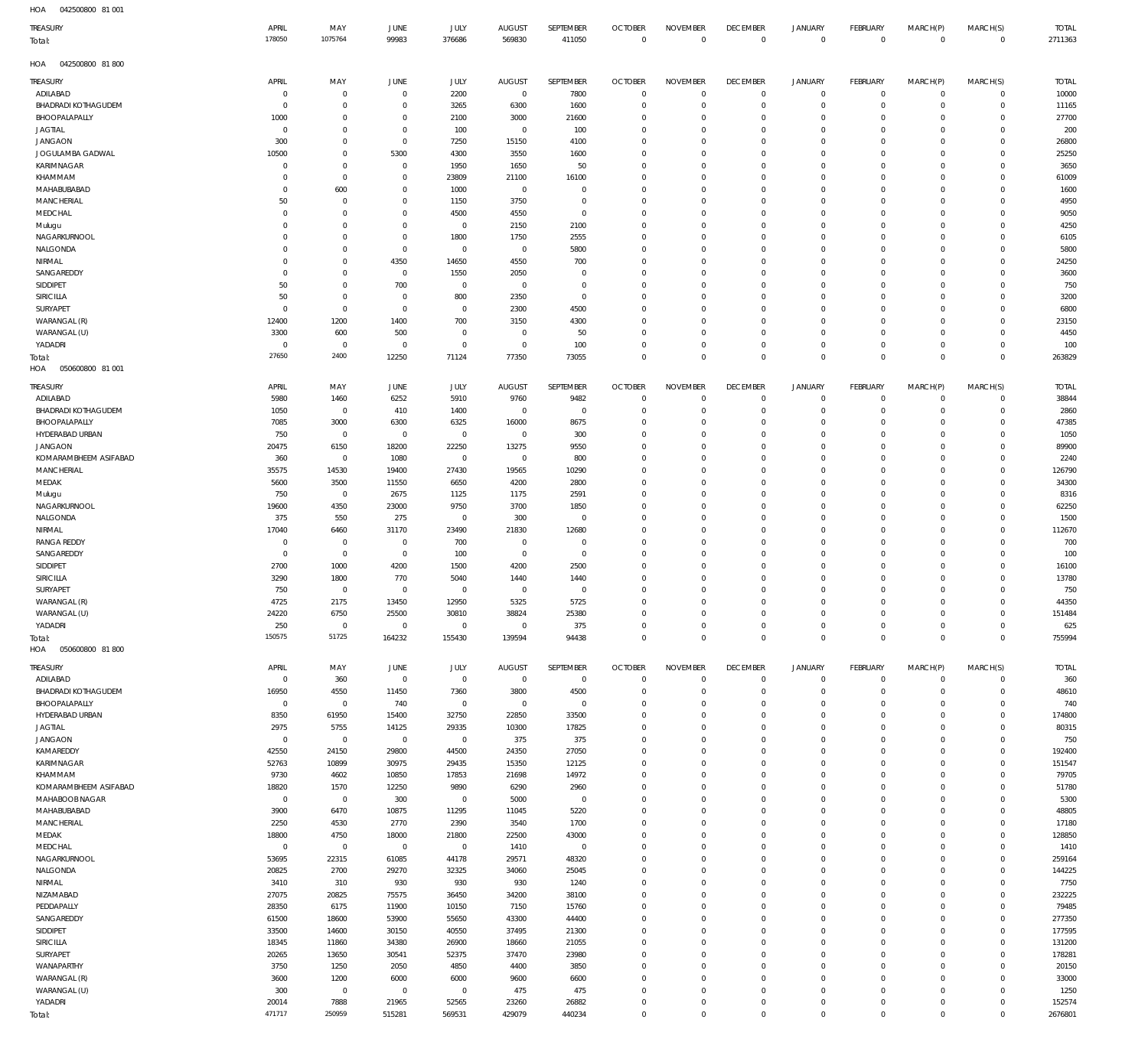042500800 81 001 HOA

| $\cdots$<br><b>DODOCT-O</b><br>.<br>TREASURY | APRIL                   | MAY                        | JUNE                           | <b>JULY</b>            | <b>AUGUST</b>           | SEPTEMBER            | <b>OCTOBER</b>                | <b>NOVEMBER</b>                  | <b>DECEMBER</b>            | <b>JANUARY</b>             | FEBRUARY                   | MARCH(P)                      | MARCH(S)                   | <b>TOTAL</b>     |
|----------------------------------------------|-------------------------|----------------------------|--------------------------------|------------------------|-------------------------|----------------------|-------------------------------|----------------------------------|----------------------------|----------------------------|----------------------------|-------------------------------|----------------------------|------------------|
| Total:                                       | 178050                  | 1075764                    | 99983                          | 376686                 | 569830                  | 411050               | $\overline{0}$                | $\mathbf 0$                      | $\mathbf 0$                | $\mathbf 0$                | $\overline{0}$             | $\overline{0}$                | $\Omega$                   | 2711363          |
| HOA<br>042500800 81800                       |                         |                            |                                |                        |                         |                      |                               |                                  |                            |                            |                            |                               |                            |                  |
| TREASURY                                     | APRIL                   | MAY                        | JUNE                           | <b>JULY</b>            | <b>AUGUST</b>           | SEPTEMBER            | <b>OCTOBER</b>                | <b>NOVEMBER</b>                  | <b>DECEMBER</b>            | <b>JANUARY</b>             | <b>FEBRUARY</b>            | MARCH(P)                      | MARCH(S)                   | <b>TOTAL</b>     |
| ADILABAD                                     | $\overline{0}$          | $\mathbb O$                | $\mathbf 0$                    | 2200                   | $\overline{0}$          | 7800                 | 0                             | $\mathbf 0$                      | $\mathbf 0$                | $\mathbb O$                | $^{\circ}$                 | $\mathbf 0$                   | $\mathbf 0$                | 10000            |
| BHADRADI KOTHAGUDEM                          | 0                       | $\mathbb O$                | $^{\circ}$                     | 3265                   | 6300                    | 1600                 | 0                             | $\mathbf 0$                      | $^{\circ}$                 | $\mathbf 0$                | $\mathbf 0$                | $\mathbf 0$                   | $\mathbf 0$                | 11165            |
| BHOOPALAPALLY                                | 1000                    | $\mathbb O$                | $^{\circ}$                     | 2100                   | 3000                    | 21600                | $\Omega$                      | $\Omega$                         | $\Omega$                   | $\mathbf 0$                | $\Omega$                   | $\Omega$                      | $\Omega$                   | 27700            |
| <b>JAGTIAL</b><br><b>JANGAON</b>             | $\mathbf 0$<br>300      | $\mathbb O$<br>$\mathbb O$ | $\overline{0}$<br>$\mathbf{0}$ | 100<br>7250            | $\mathbf 0$<br>15150    | 100<br>4100          | $\Omega$<br>$\Omega$          | $\overline{0}$<br>$\mathbf 0$    | $\Omega$<br>$\Omega$       | $\mathbf 0$<br>$\mathbf 0$ | $\Omega$<br>$\Omega$       | $\Omega$<br>$\Omega$          | $\Omega$<br>$\Omega$       | 200<br>26800     |
| JOGULAMBA GADWAL                             | 10500                   | $\mathbb O$                | 5300                           | 4300                   | 3550                    | 1600                 | $\Omega$                      | $\Omega$                         | $\Omega$                   | $\mathbf 0$                | $\Omega$                   | $\Omega$                      | $\Omega$                   | 25250            |
| KARIMNAGAR                                   | $^{\circ}$              | $\mathbb O$                | $\mathbf 0$                    | 1950                   | 1650                    | 50                   | $\Omega$                      | $\mathbf 0$                      | $\Omega$                   | $\mathbf 0$                | $\Omega$                   | $\Omega$                      | $\Omega$                   | 3650             |
| KHAMMAM                                      | $\Omega$                | $\mathbb O$                | $^{\circ}$                     | 23809                  | 21100                   | 16100                | $\Omega$                      | $\Omega$                         | $\Omega$                   | $\mathbf 0$                | $\Omega$                   | $\Omega$                      | $\Omega$                   | 61009            |
| MAHABUBABAD                                  | 0                       | 600                        | $^{\circ}$                     | 1000                   | $\overline{0}$          | $\mathbf 0$          | $\Omega$                      | $\overline{0}$                   | $\Omega$                   | $\mathbf 0$                | $\Omega$                   | $\Omega$                      | $\Omega$                   | 1600             |
| MANCHERIAL                                   | 50                      | $\mathbb O$                | $^{\circ}$                     | 1150                   | 3750                    | $\mathbf 0$          | $\Omega$                      | $\Omega$                         | $\Omega$                   | $\mathbf 0$                | $\Omega$                   | $\Omega$                      | $\Omega$                   | 4950             |
| MEDCHAL<br>Mulugu                            | $\mathbf 0$<br>$\Omega$ | $\mathbb O$<br>$\mathbf 0$ | $\mathbf{0}$<br>$^{\circ}$     | 4500<br>$\,0\,$        | 4550<br>2150            | $\mathbf 0$<br>2100  | $\Omega$<br>$\Omega$          | $\Omega$<br>$\mathbf 0$          | $\Omega$<br>$\Omega$       | $\mathbf 0$<br>$\mathbf 0$ | $\Omega$<br>$\Omega$       | $\Omega$<br>$\Omega$          | $\Omega$<br>$\Omega$       | 9050<br>4250     |
| NAGARKURNOOL                                 | $\Omega$                | $\,0\,$                    | $^{\circ}$                     | 1800                   | 1750                    | 2555                 | $\Omega$                      | $\Omega$                         | $\Omega$                   | $\mathbf 0$                | $\Omega$                   | $\Omega$                      | $\Omega$                   | 6105             |
| NALGONDA                                     | $\Omega$                | $\mathbf 0$                | $\mathbf{0}$                   | $\,0\,$                | $\overline{0}$          | 5800                 | $\Omega$                      | $\Omega$                         | $\Omega$                   | $\mathbf 0$                | $\Omega$                   | $\Omega$                      | $\Omega$                   | 5800             |
| NIRMAL                                       | 0                       | $\,0\,$                    | 4350                           | 14650                  | 4550                    | 700                  | $\Omega$                      | $\mathbf 0$                      | $\Omega$                   | $\mathbf 0$                | $\Omega$                   | $\Omega$                      | $\Omega$                   | 24250            |
| SANGAREDDY                                   | $\Omega$                | $\mathbf 0$                | $\mathbf{0}$                   | 1550                   | 2050                    | $\mathbf 0$          | $\Omega$                      | $\Omega$                         | $\Omega$                   | $\mathbf 0$                | $\Omega$                   | $\Omega$                      | $\Omega$                   | 3600             |
| SIDDIPET                                     | 50                      | $\,0\,$                    | 700                            | $\mathbf 0$            | $\mathbf 0$             | $\mathbf 0$          | $\Omega$                      | $\overline{0}$                   | $\Omega$                   | $\mathbf 0$                | $\Omega$                   | $\Omega$                      | $\Omega$                   | 750              |
| SIRICILLA<br>SURYAPET                        | 50<br>$\overline{0}$    | $\,0\,$<br>$\,0\,$         | $\overline{0}$<br>$^{\circ}$   | 800<br>$\,0\,$         | 2350<br>2300            | $\mathbf 0$<br>4500  | $\Omega$<br>$\Omega$          | $\Omega$<br>$\Omega$             | $\Omega$<br>$\Omega$       | $\mathbf 0$<br>$\mathbf 0$ | $\Omega$<br>$\Omega$       | $\Omega$<br>$\Omega$          | $\Omega$<br>$\Omega$       | 3200<br>6800     |
| WARANGAL (R)                                 | 12400                   | 1200                       | 1400                           | 700                    | 3150                    | 4300                 | $\Omega$                      | $\mathbf 0$                      | $\Omega$                   | $\mathbf 0$                | $\Omega$                   | $\Omega$                      | $\Omega$                   | 23150            |
| WARANGAL (U)                                 | 3300                    | 600                        | 500                            | $\mathbf 0$            | $^{\circ}$              | 50                   | $\Omega$                      | $\mathbf 0$                      | $\Omega$                   | $\mathbf 0$                | $\Omega$                   | $\Omega$                      | $\Omega$                   | 4450             |
| YADADRI                                      | $\overline{0}$          | $\,0\,$                    | $\mathbf{0}$                   | $\mathbf 0$            | $\overline{0}$          | 100                  | $\Omega$                      | $\mathbf 0$                      | $\Omega$                   | $\mathbf 0$                | $\Omega$                   | $\Omega$                      | $\Omega$                   | 100              |
| Total:                                       | 27650                   | 2400                       | 12250                          | 71124                  | 77350                   | 73055                | $\Omega$                      | $\mathbf 0$                      | $\Omega$                   | $\,0\,$                    | $\Omega$                   | $\Omega$                      | $\Omega$                   | 263829           |
| HOA<br>050600800 81 001                      |                         |                            |                                |                        |                         |                      |                               |                                  |                            |                            |                            |                               |                            |                  |
| TREASURY                                     | APRIL                   | MAY                        | JUNE                           | JULY                   | <b>AUGUST</b>           | SEPTEMBER            | <b>OCTOBER</b>                | <b>NOVEMBER</b>                  | <b>DECEMBER</b>            | <b>JANUARY</b>             | FEBRUARY                   | MARCH(P)                      | MARCH(S)                   | <b>TOTAL</b>     |
| ADILABAD                                     | 5980                    | 1460                       | 6252                           | 5910                   | 9760                    | 9482                 | $\Omega$                      | $\Omega$                         | $\mathbf 0$                | $\circ$                    | $\Omega$                   | $\Omega$                      | $\mathbf 0$                | 38844            |
| <b>BHADRADI KOTHAGUDEM</b>                   | 1050                    | $\,0\,$                    | 410                            | 1400                   | $\overline{0}$          | $\mathbf 0$          | $\Omega$                      | $\Omega$                         | $\Omega$                   | $\mathbf 0$                | $\Omega$                   | $\Omega$                      | $\Omega$                   | 2860             |
| BHOOPALAPALLY<br>HYDERABAD URBAN             | 7085<br>750             | 3000<br>$\,0\,$            | 6300<br>$\mathbf{0}$           | 6325<br>$\overline{0}$ | 16000<br>$\overline{0}$ | 8675<br>300          | $\Omega$<br>$\Omega$          | $\mathbf 0$<br>$\Omega$          | $\Omega$<br>$\Omega$       | $\mathbf 0$<br>$\circ$     | $\Omega$<br>$\Omega$       | $\Omega$<br>$\Omega$          | $\Omega$<br>$\Omega$       | 47385<br>1050    |
| <b>JANGAON</b>                               | 20475                   | 6150                       | 18200                          | 22250                  | 13275                   | 9550                 | $\Omega$                      | $\Omega$                         | $\Omega$                   | $\mathbf 0$                | $\Omega$                   | $\Omega$                      | $\Omega$                   | 89900            |
| KOMARAMBHEEM ASIFABAD                        | 360                     | $\,0\,$                    | 1080                           | $\mathbf 0$            | $\overline{0}$          | 800                  | $\Omega$                      | $\Omega$                         | $\Omega$                   | $\mathbf 0$                | $\Omega$                   | $\Omega$                      | $\Omega$                   | 2240             |
| MANCHERIAL                                   | 35575                   | 14530                      | 19400                          | 27430                  | 19565                   | 10290                | $\Omega$                      | $\Omega$                         | $\Omega$                   | $\mathbf 0$                | $\Omega$                   | $\Omega$                      | $\Omega$                   | 126790           |
| MEDAK                                        | 5600                    | 3500                       | 11550                          | 6650                   | 4200                    | 2800                 | $\Omega$                      | $\Omega$                         | $\Omega$                   | $\circ$                    | $\Omega$                   | $\Omega$                      | $\Omega$                   | 34300            |
| Mulugu                                       | 750                     | $\mathbf 0$                | 2675                           | 1125                   | 1175                    | 2591                 | $\Omega$                      | $\Omega$                         | $\Omega$                   | $\mathbf 0$                | $\Omega$                   | $\Omega$                      | $\Omega$                   | 8316             |
| NAGARKURNOOL                                 | 19600                   | 4350                       | 23000                          | 9750                   | 3700                    | 1850                 | $\Omega$                      | $\Omega$<br>$\Omega$             | $\Omega$                   | $\mathbf 0$                | $\Omega$                   | $\Omega$<br>$\Omega$          | $\Omega$                   | 62250            |
| NALGONDA<br>NIRMAL                           | 375<br>17040            | 550<br>6460                | 275<br>31170                   | $\,0\,$<br>23490       | 300<br>21830            | $\mathbf 0$<br>12680 | $\Omega$<br>$\Omega$          | $\Omega$                         | $\Omega$<br>$\Omega$       | $\mathbf 0$<br>$\circ$     | $\Omega$<br>$\Omega$       | $\Omega$                      | $\Omega$<br>$\Omega$       | 1500<br>112670   |
| <b>RANGA REDDY</b>                           | $\overline{0}$          | $\mathbf 0$                | $\mathbf 0$                    | 700                    | $\overline{0}$          | $\overline{0}$       | $\Omega$                      | $\overline{0}$                   | $\Omega$                   | $\mathbf 0$                | $\Omega$                   | $\Omega$                      | $\Omega$                   | 700              |
| SANGAREDDY                                   | C                       | $\,0\,$                    | $\,0\,$                        | 100                    | $\overline{0}$          | $\mathbf 0$          | $\Omega$                      | $\Omega$                         | $\Omega$                   | $\mathbf 0$                | $\Omega$                   | $\Omega$                      | $\Omega$                   | 100              |
| SIDDIPET                                     | 2700                    | 1000                       | 4200                           | 1500                   | 4200                    | 2500                 | $\Omega$                      | $^{\circ}$                       | $\Omega$                   | $\mathbf 0$                | $\Omega$                   | $\Omega$                      | $\Omega$                   | 16100            |
| SIRICILLA                                    | 3290                    | 1800                       | 770                            | 5040                   | 1440                    | 1440                 | $\Omega$                      | $\Omega$                         | $\Omega$                   | $\mathbf 0$                | $\Omega$                   | $\Omega$                      | $\Omega$                   | 13780            |
| SURYAPET                                     | 750                     | $^{\circ}$                 | $^{\circ}$                     | $\overline{0}$         | $\Omega$                | $\mathbf 0$          | $\Omega$                      | $\Omega$                         | $\Omega$                   | $\Omega$                   | $\Omega$                   | $\Omega$                      | $\Omega$                   | 750              |
| WARANGAL (R)<br>WARANGAL (U)                 | 4725<br>24220           | 2175<br>6750               | 13450<br>25500                 | 12950<br>30810         | 5325<br>38824           | 5725<br>25380        | $\Omega$<br>$\overline{0}$    | $\overline{0}$<br>$\mathbf 0$    | $\Omega$<br>$\mathbf 0$    | $\circ$<br>$\mathbb O$     | $\Omega$<br>$\mathbf 0$    | $\circ$<br>$\mathbf 0$        | $\Omega$<br>$\circ$        | 44350<br>151484  |
| YADADRI                                      | 250                     | $\,0\,$                    | $\,0\,$                        | $\,0\,$                | $\overline{0}$          | 375                  | $\mathbf 0$                   | $\mathbf 0$                      | $\overline{0}$             | $\mathbb O$                | $\mathbf 0$                | $\mathbf 0$                   | $\mathbf 0$                | 625              |
| Total:                                       | 150575                  | 51725                      | 164232                         | 155430                 | 139594                  | 94438                | $\mathbf 0$                   | $\mathbf 0$                      | $\mathbf 0$                | $\,0\,$                    | $\Omega$                   | $\overline{0}$                | $\mathbf 0$                | 755994           |
| HOA<br>050600800 81800                       |                         |                            |                                |                        |                         |                      |                               |                                  |                            |                            |                            |                               |                            |                  |
| TREASURY                                     | APRIL                   | MAY                        | JUNE                           | JULY                   | <b>AUGUST</b>           | SEPTEMBER            | <b>OCTOBER</b>                | <b>NOVEMBER</b>                  | <b>DECEMBER</b>            | JANUARY                    | FEBRUARY                   | MARCH(P)                      | MARCH(S)                   | <b>TOTAL</b>     |
| ADILABAD                                     | $\mathbb O$             | 360                        | $\mathbb O$                    | $\mathbf 0$            | $\overline{0}$          | $\overline{0}$       | $\overline{0}$                | $\mathbf 0$                      | $\overline{0}$             | $\mathbb O$                | $\mathbf 0$                | $\mathbf 0$                   | $\mathbb O$                | 360              |
| BHADRADI KOTHAGUDEM                          | 16950                   | 4550                       | 11450                          | 7360                   | 3800                    | 4500                 | $^{\circ}$                    | $\mathbf 0$                      | $\mathbf 0$                | $\mathbb O$                | $\Omega$                   | $\mathbf 0$                   | $\mathbf 0$                | 48610            |
| BHOOPALAPALLY                                | $\mathbb O$             | $\mathbb O$                | 740                            | $\mathbb O$            | $\overline{0}$          | $\overline{0}$       | $^{\circ}$                    | $\mathbf 0$                      | $\mathbf 0$                | $\mathbf 0$                | $\mathbf 0$                | $\mathbf 0$                   | $\mathbf 0$                | 740              |
| HYDERABAD URBAN                              | 8350                    | 61950                      | 15400                          | 32750                  | 22850                   | 33500                | $\mathbf 0$                   | $\mathbf 0$                      | $\mathbf 0$                | $\mathbb O$                | $\Omega$                   | $\circ$                       | $\mathbf 0$                | 174800           |
| <b>JAGTIAL</b><br><b>JANGAON</b>             | 2975<br>$\mathbf 0$     | 5755<br>$\mathbb O$        | 14125<br>$\mathbb O$           | 29335<br>$\,0\,$       | 10300<br>375            | 17825<br>375         | $\overline{0}$<br>$\mathbf 0$ | $\mathbf 0$<br>$\mathbf 0$       | $\Omega$<br>$\Omega$       | $\mathbf 0$<br>$\mathbf 0$ | $\Omega$<br>$\Omega$       | $\mathbf 0$<br>$\mathbf 0$    | $\Omega$<br>$\mathbf 0$    | 80315<br>750     |
| KAMAREDDY                                    | 42550                   | 24150                      | 29800                          | 44500                  | 24350                   | 27050                | $\overline{0}$                | $\mathbf 0$                      | $\Omega$                   | $\mathbf 0$                | $\Omega$                   | $\circ$                       | $\Omega$                   | 192400           |
| KARIMNAGAR                                   | 52763                   | 10899                      | 30975                          | 29435                  | 15350                   | 12125                | $\mathbf 0$                   | $\mathbf 0$                      | $\mathbf 0$                | $\mathbb O$                | $\Omega$                   | $\mathbf 0$                   | $\mathbf 0$                | 151547           |
| KHAMMAM                                      | 9730                    | 4602                       | 10850                          | 17853                  | 21698                   | 14972                | $\mathbf 0$                   | $\mathbf 0$                      | $\Omega$                   | $\mathbf 0$                | $\Omega$                   | $\Omega$                      | $\Omega$                   | 79705            |
| KOMARAMBHEEM ASIFABAD                        | 18820                   | 1570                       | 12250                          | 9890                   | 6290                    | 2960                 | $\mathbf 0$                   | $\mathbf 0$                      | $\Omega$                   | $\mathbf 0$                | $\Omega$                   | $\mathbf 0$                   | $\mathbf 0$                | 51780            |
| MAHABOOB NAGAR                               | $\,0\,$                 | $\,0\,$                    | 300                            | $\,0\,$                | 5000                    | $\overline{0}$       | $\overline{0}$                | $\mathbf 0$                      | $\Omega$                   | $\mathbf 0$                | $\Omega$                   | $\mathbf 0$                   | $\Omega$                   | 5300             |
| MAHABUBABAD<br>MANCHERIAL                    | 3900<br>2250            | 6470<br>4530               | 10875<br>2770                  | 11295<br>2390          | 11045<br>3540           | 5220<br>1700         | $\mathbf 0$<br>$\mathbf 0$    | $\mathbf 0$<br>$\mathbf 0$       | $\Omega$<br>$\Omega$       | $\mathbf 0$<br>$\mathbf 0$ | $\Omega$<br>$\Omega$       | $\circ$<br>$\mathbf 0$        | $\mathbf 0$<br>$\Omega$    | 48805<br>17180   |
| MEDAK                                        | 18800                   | 4750                       | 18000                          | 21800                  | 22500                   | 43000                | $\mathbf 0$                   | $\mathbf 0$                      | $\Omega$                   | $\mathbf 0$                | $\Omega$                   | $\mathbf 0$                   | $\mathbf 0$                | 128850           |
| MEDCHAL                                      | $\,0\,$                 | $\,0\,$                    | $\,0\,$                        | $\,0\,$                | 1410                    | $\overline{0}$       | $\overline{0}$                | $\mathbf 0$                      | $\Omega$                   | $\mathbf 0$                | $\Omega$                   | $\circ$                       | $\Omega$                   | 1410             |
| NAGARKURNOOL                                 | 53695                   | 22315                      | 61085                          | 44178                  | 29571                   | 48320                | $\mathbf 0$                   | $\mathbf 0$                      | $\mathbf 0$                | $\mathbb O$                | $\Omega$                   | $\mathbf 0$                   | $\mathbf 0$                | 259164           |
| NALGONDA                                     | 20825                   | 2700                       | 29270                          | 32325                  | 34060                   | 25045                | $\mathbf 0$                   | $\mathbf 0$                      | $\Omega$                   | $\mathbf 0$                | $\Omega$                   | $\Omega$                      | $\Omega$                   | 144225           |
| NIRMAL                                       | 3410                    | 310                        | 930                            | 930                    | 930                     | 1240                 | $\mathbf 0$                   | $\mathbf 0$                      | $\Omega$                   | $\mathbf 0$                | $\Omega$                   | $\mathbf 0$                   | $\mathbf 0$                | 7750             |
| NIZAMABAD                                    | 27075                   | 20825                      | 75575                          | 36450                  | 34200                   | 38100                | $\overline{0}$                | $\mathbf 0$                      | $\Omega$                   | $\mathbf 0$                | $\Omega$                   | $\Omega$                      | $\Omega$                   | 232225           |
| PEDDAPALLY                                   | 28350                   | 6175                       | 11900                          | 10150                  | 7150                    | 15760                | $\mathbf 0$                   | $\mathbf 0$                      | $\Omega$<br>$\Omega$       | $\mathbf 0$                | $\Omega$<br>$\Omega$       | $\circ$                       | $\Omega$<br>$\Omega$       | 79485            |
| SANGAREDDY<br>SIDDIPET                       | 61500<br>33500          | 18600<br>14600             | 53900<br>30150                 | 55650<br>40550         | 43300<br>37495          | 44400<br>21300       | $\mathbf 0$<br>$\mathbf 0$    | $\mathbf 0$<br>$\mathbf 0$       | $\Omega$                   | $\mathbf 0$<br>$\mathbf 0$ | $\Omega$                   | $\mathbf 0$<br>$\mathbf 0$    | $\mathbf 0$                | 277350<br>177595 |
| SIRICILLA                                    | 18345                   | 11860                      | 34380                          | 26900                  | 18660                   | 21055                | $\overline{0}$                | $\mathbf 0$                      | $\Omega$                   | $\mathbf 0$                | $\Omega$                   | $\circ$                       | $\Omega$                   | 131200           |
| SURYAPET                                     | 20265                   | 13650                      | 30541                          | 52375                  | 37470                   | 23980                | $\mathbf 0$                   | $\mathbf 0$                      | $\mathbf 0$                | $\mathbb O$                | $\Omega$                   | $\mathbf 0$                   | $\mathbf 0$                | 178281           |
| WANAPARTHY                                   | 3750                    | 1250                       | 2050                           | 4850                   | 4400                    | 3850                 | $\Omega$                      | $\mathbf 0$                      | $\Omega$                   | $\mathbf 0$                | $\Omega$                   | $\Omega$                      | $\Omega$                   | 20150            |
| WARANGAL (R)                                 | 3600                    | 1200                       | 6000                           | 6000                   | 9600                    | 6600                 | $\mathbf 0$                   | $\mathbf 0$                      | $\Omega$                   | $\mathbf 0$                | $\Omega$                   | $\mathbf 0$                   | $\circ$                    | 33000            |
| WARANGAL (U)                                 | 300                     | $\mathbb O$                | $\mathbf 0$                    | $\mathbb O$            | 475                     | 475                  | $\overline{0}$                | $\mathbf 0$                      | $\mathbf 0$                | $\mathbf 0$                | $\Omega$                   | $\mathbf 0$                   | $\Omega$                   | 1250             |
| YADADRI                                      | 20014<br>471717         | 7888<br>250959             | 21965<br>515281                | 52565<br>569531        | 23260<br>429079         | 26882<br>440234      | $\mathbf 0$<br>$\mathbf 0$    | $\overline{0}$<br>$\overline{0}$ | $\mathbf 0$<br>$\mathbf 0$ | $\mathbb O$<br>$\mathbf 0$ | $\mathbf 0$<br>$\mathbf 0$ | $\mathbf 0$<br>$\overline{0}$ | $\mathbf 0$<br>$\mathbf 0$ | 152574           |
| Total:                                       |                         |                            |                                |                        |                         |                      |                               |                                  |                            |                            |                            |                               |                            | 2676801          |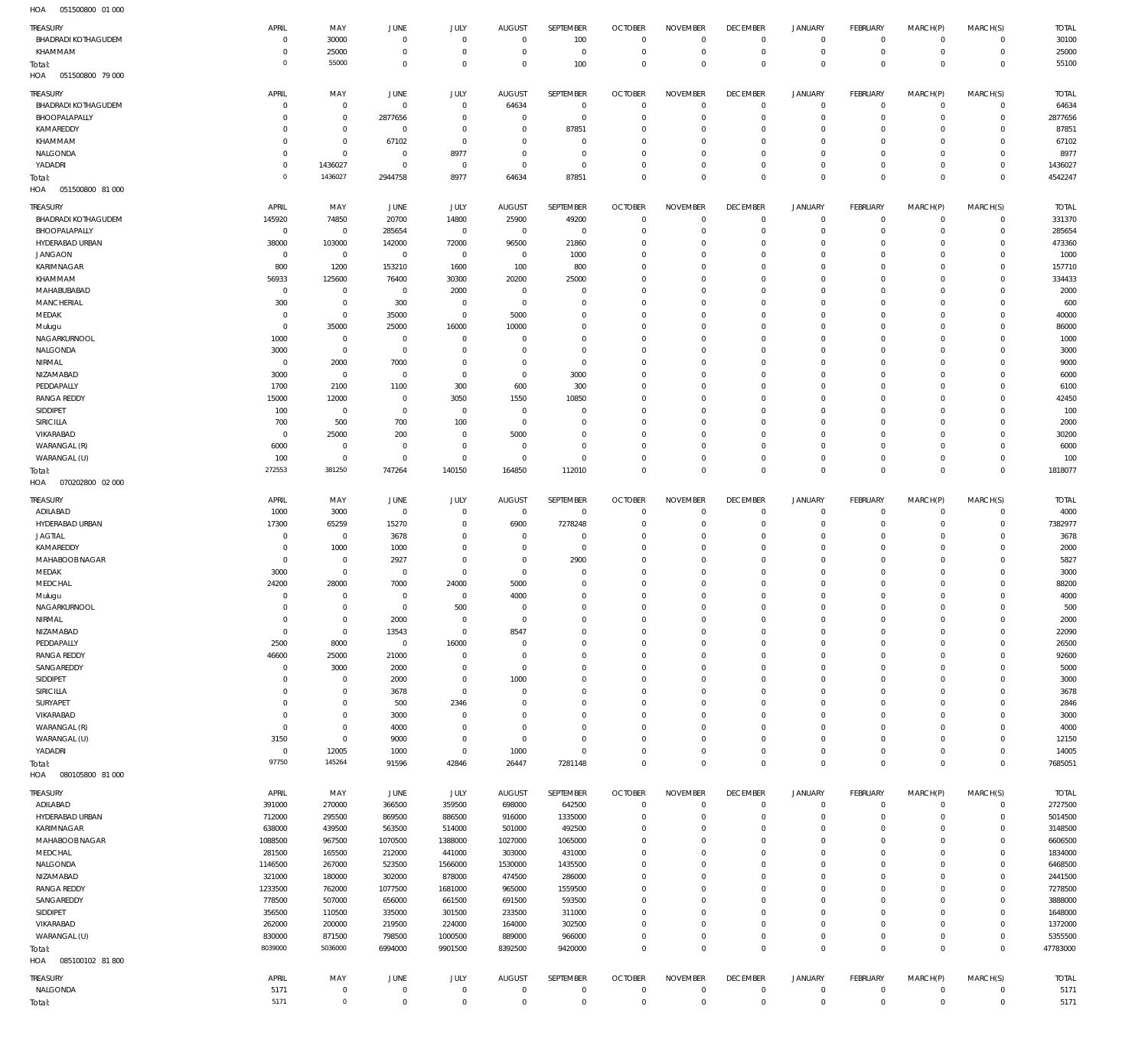| TREASURY                          | APRIL                      | MAY                              | <b>JUNE</b>                    | JULY                          | <b>AUGUST</b>                    | SEPTEMBER                    | <b>OCTOBER</b>             | <b>NOVEMBER</b>                | <b>DECEMBER</b>                  | JANUARY                    | FEBRUARY                  | MARCH(P)                    | MARCH(S)                         | <b>TOTAL</b>         |
|-----------------------------------|----------------------------|----------------------------------|--------------------------------|-------------------------------|----------------------------------|------------------------------|----------------------------|--------------------------------|----------------------------------|----------------------------|---------------------------|-----------------------------|----------------------------------|----------------------|
| <b>BHADRADI KOTHAGUDEM</b>        | $\mathbf 0$<br>$\mathbf 0$ | 30000                            | $\mathbf 0$<br>$\mathbf{0}$    | $\mathbf 0$<br>$\mathbf 0$    | $^{\circ}$<br>$^{\circ}$         | 100<br>$\overline{0}$        | $\Omega$<br>$\overline{0}$ | $\mathbf 0$<br>$\mathbf 0$     | $^{\circ}$<br>$^{\circ}$         | $\mathbf 0$                | $\overline{0}$<br>$\circ$ | $\mathbf 0$<br>$\mathbf 0$  | $\overline{0}$<br>$\overline{0}$ | 30100<br>25000       |
| KHAMMAM<br>Total:                 | $\mathbf 0$                | 25000<br>55000                   | $\mathbf{0}$                   | $\mathbf 0$                   | $\overline{0}$                   | 100                          | $\Omega$                   | $\mathbf 0$                    | $\mathbf{0}$                     | $\mathbf 0$<br>$\mathbf 0$ | $\mathbf 0$               | $\mathbf 0$                 | $\overline{0}$                   | 55100                |
| HOA<br>051500800 79 000           |                            |                                  |                                |                               |                                  |                              |                            |                                |                                  |                            |                           |                             |                                  |                      |
| TREASURY                          | <b>APRIL</b>               | MAY                              | <b>JUNE</b>                    | JULY                          | <b>AUGUST</b>                    | <b>SEPTEMBER</b>             | <b>OCTOBER</b>             | <b>NOVEMBER</b>                | <b>DECEMBER</b>                  | JANUARY                    | FEBRUARY                  | MARCH(P)                    | MARCH(S)                         | <b>TOTAL</b>         |
| <b>BHADRADI KOTHAGUDEM</b>        | $\mathbf 0$                | $\overline{0}$                   | $\mathbf 0$                    | $\mathbf 0$                   | 64634                            | $\overline{0}$               | $\Omega$                   | $^{\circ}$                     | $\mathbb O$                      | 0                          | $^{\circ}$                | $\mathbf 0$                 | $\overline{0}$                   | 64634                |
| BHOOPALAPALLY<br>KAMAREDDY        | $\mathbf 0$<br>$\mathbf 0$ | $\overline{0}$<br>$\overline{0}$ | 2877656<br>$\mathbf 0$         | $\overline{0}$<br>$\mathbf 0$ | $^{\circ}$<br>$\overline{0}$     | $\mathbf{0}$<br>87851        | $\Omega$<br>$\Omega$       | $\Omega$<br>$\mathbf 0$        | $^{\circ}$<br>$\overline{0}$     | $\mathbf 0$<br>$\mathbf 0$ | $^{\circ}$<br>$^{\circ}$  | $\mathbf 0$<br>$\Omega$     | $\mathbf 0$<br>$\mathbf 0$       | 2877656<br>87851     |
| KHAMMAM                           | $\mathbf 0$                | $\mathbf 0$                      | 67102                          | $\mathbf 0$                   | $^{\circ}$                       | $\Omega$                     | $\Omega$                   | $\Omega$                       | $^{\circ}$                       | $\mathbf 0$                | $^{\circ}$                | $\Omega$                    | $\mathbf 0$                      | 67102                |
| NALGONDA                          | $\mathbf 0$                | $\overline{0}$                   | $\mathbf 0$                    | 8977                          | $^{\circ}$                       | $\overline{0}$               | $\Omega$                   | $\mathbf 0$                    | $\overline{0}$                   | $\mathbf 0$                | $\Omega$                  | $\Omega$                    | $\mathbf 0$                      | 8977                 |
| YADADRI                           | $\mathbf 0$                | 1436027                          | $\mathbf 0$                    | $\mathbf 0$                   | $\overline{0}$                   | $\mathbf 0$                  | $\Omega$                   | $\mathbf 0$                    | $\overline{0}$                   | $\mathbf 0$                | $^{\circ}$                | $\mathbf 0$                 | $\mathbf 0$                      | 1436027              |
| Total:<br>HOA<br>051500800 81 000 | $\mathbf 0$                | 1436027                          | 2944758                        | 8977                          | 64634                            | 87851                        | $\Omega$                   | $\overline{0}$                 | $\overline{0}$                   | $\mathbb O$                | $\Omega$                  | $\Omega$                    | $\mathbf 0$                      | 4542247              |
| TREASURY                          | APRIL                      | MAY                              | <b>JUNE</b>                    | JULY                          | <b>AUGUST</b>                    | SEPTEMBER                    | <b>OCTOBER</b>             | <b>NOVEMBER</b>                | <b>DECEMBER</b>                  | JANUARY                    | FEBRUARY                  | MARCH(P)                    | MARCH(S)                         | <b>TOTAL</b>         |
| <b>BHADRADI KOTHAGUDEM</b>        | 145920                     | 74850                            | 20700                          | 14800                         | 25900                            | 49200                        | $\Omega$                   | $\mathbf 0$                    | $^{\circ}$                       | $\mathbf 0$                | $\mathbf 0$               | $\mathbf 0$                 | $\overline{0}$                   | 331370               |
| BHOOPALAPALLY                     | $\overline{0}$             | $\overline{0}$                   | 285654                         | $\overline{0}$                | $\overline{0}$                   | $\overline{0}$               | $\Omega$                   | $\mathbf 0$                    | $^{\circ}$                       | $\mathbf 0$                | $^{\circ}$                | $^{\circ}$                  | $\overline{0}$                   | 285654               |
| HYDERABAD URBAN                   | 38000                      | 103000                           | 142000                         | 72000                         | 96500                            | 21860                        | $\Omega$                   | $\mathbf 0$                    | $^{\circ}$                       | $\mathbf 0$                | $^{\circ}$                | $^{\circ}$                  | $\mathbf 0$                      | 473360               |
| <b>JANGAON</b>                    | $\overline{0}$             | $\overline{0}$                   | $\mathbf 0$                    | $\mathbf 0$                   | - 0                              | 1000                         | $\Omega$                   | $\mathbf 0$                    | $^{\circ}$                       | $\mathbf 0$                | $^{\circ}$                | $\mathbf 0$                 | $\mathbf 0$                      | 1000                 |
| KARIMNAGAR<br>KHAMMAM             | 800<br>56933               | 1200<br>125600                   | 153210<br>76400                | 1600<br>30300                 | 100<br>20200                     | 800<br>25000                 | $\Omega$<br>$\Omega$       | $\mathbf 0$<br>$\mathbf 0$     | $\Omega$<br>$^{\circ}$           | $\mathbf 0$<br>$\mathbf 0$ | $^{\circ}$<br>$^{\circ}$  | $\mathbf 0$<br>$\Omega$     | $\mathbf 0$<br>$\mathbf 0$       | 157710<br>334433     |
| MAHABUBABAD                       | $\overline{0}$             | $\overline{0}$                   | $\overline{0}$                 | 2000                          | $\overline{0}$                   | $\mathbf 0$                  | $\Omega$                   | $\mathbf 0$                    | $\Omega$                         | $\mathbf 0$                | $^{\circ}$                | $\mathbf 0$                 | $\mathbf 0$                      | 2000                 |
| MANCHERIAL                        | 300                        | $\overline{0}$                   | 300                            | $\mathbf 0$                   | $\overline{0}$                   | $\mathbf 0$                  | $\Omega$                   | $\overline{0}$                 | $\Omega$                         | $\mathbf 0$                | $^{\circ}$                | $^{\circ}$                  | $\mathbf 0$                      | 600                  |
| MEDAK                             | $\overline{0}$             | $\overline{0}$                   | 35000                          | $\mathbf 0$                   | 5000                             | $\mathbf 0$                  | $\Omega$                   | $\mathbf 0$                    | $\Omega$                         | $\mathbf 0$                | $^{\circ}$                | $\mathbf 0$                 | $\mathbf 0$                      | 40000                |
| Mulugu                            | $\mathbf 0$                | 35000                            | 25000                          | 16000                         | 10000                            | $\mathbf 0$                  | $\Omega$                   | $\overline{0}$                 | $\Omega$                         | $\mathbf 0$                | $^{\circ}$                | $\Omega$                    | $\mathbf 0$                      | 86000                |
| NAGARKURNOOL                      | 1000                       | $\overline{0}$                   | $\overline{0}$<br>$\mathbf{0}$ | $\mathbf 0$<br>$\Omega$       | $^{\circ}$<br>$\Omega$           | $\mathbf 0$<br>$\Omega$      | $\Omega$<br>$\Omega$       | $\mathbf 0$<br>$\overline{0}$  | $\Omega$<br>$\Omega$             | $\mathbf 0$<br>$\mathbf 0$ | $^{\circ}$                | $\mathbf 0$                 | $\mathbf 0$<br>$\mathbf 0$       | 1000                 |
| NALGONDA<br>NIRMAL                | 3000<br>$\overline{0}$     | $\overline{0}$<br>2000           | 7000                           | $\overline{0}$                | $\Omega$                         | $\overline{0}$               | $\Omega$                   | $\mathbf 0$                    | $\Omega$                         | $\mathbf 0$                | $^{\circ}$<br>$^{\circ}$  | $^{\circ}$<br>$\mathbf 0$   | $\mathbf 0$                      | 3000<br>9000         |
| NIZAMABAD                         | 3000                       | $\overline{0}$                   | $\mathbf{0}$                   | $\mathbf 0$                   | $^{\circ}$                       | 3000                         | $\Omega$                   | $\mathbf 0$                    | $\mathbf 0$                      | $\mathbf 0$                | $^{\circ}$                | $\Omega$                    | $\mathbf 0$                      | 6000                 |
| PEDDAPALLY                        | 1700                       | 2100                             | 1100                           | 300                           | 600                              | 300                          | $\Omega$                   | $\mathbf 0$                    | $\Omega$                         | $\mathbf 0$                | $^{\circ}$                | $\mathbf 0$                 | $\mathbf 0$                      | 6100                 |
| <b>RANGA REDDY</b>                | 15000                      | 12000                            | $\mathbf{0}$                   | 3050                          | 1550                             | 10850                        | $\Omega$                   | $\mathbf 0$                    | $\Omega$                         | $\mathbf 0$                | $^{\circ}$                | $^{\circ}$                  | $\mathbf 0$                      | 42450                |
| SIDDIPET                          | 100                        | $\overline{0}$                   | $\overline{0}$                 | $\mathbf 0$                   | $\overline{0}$                   | $\mathbf{0}$                 | $\Omega$                   | $\overline{0}$                 | $\Omega$                         | $\mathbf 0$                | $^{\circ}$                | $\mathbf 0$                 | $\mathbf 0$                      | 100                  |
| SIRICILLA                         | 700<br>$\overline{0}$      | 500                              | 700                            | 100<br>$\mathbf 0$            | $\overline{0}$                   | $\mathbf{0}$<br>$\mathbf{0}$ | $\Omega$<br>$\Omega$       | $\mathbf 0$<br>$\mathbf 0$     | $\overline{0}$<br>$\Omega$       | $\mathbf 0$<br>$\mathbf 0$ | $^{\circ}$<br>$^{\circ}$  | $\mathbf 0$<br>$\mathbf 0$  | $\mathbf 0$<br>$\mathbf 0$       | 2000<br>30200        |
| VIKARABAD<br>WARANGAL (R)         | 6000                       | 25000<br>$\overline{0}$          | 200<br>$^{\circ}$              | $\mathbf 0$                   | 5000<br>- 0                      | $\mathbf{0}$                 | $\Omega$                   | $\mathbf 0$                    | $^{\circ}$                       | $\mathbf 0$                | $^{\circ}$                | $\mathbf 0$                 | $\mathbf 0$                      | 6000                 |
| WARANGAL (U)                      | 100                        | $\overline{0}$                   | $\mathbf 0$                    | $\mathbf 0$                   | $^{\circ}$                       | $\overline{0}$               | $\Omega$                   | $\overline{0}$                 | $\Omega$                         | $\mathbf 0$                | $\mathbf 0$               | $\mathbf 0$                 | $\mathbf 0$                      | 100                  |
| Total:                            | 272553                     | 381250                           | 747264                         | 140150                        | 164850                           | 112010                       | $\Omega$                   | $\mathbf 0$                    | $\mathbf 0$                      | $\mathbb O$                | $\mathbf 0$               | $\mathbf 0$                 | $\mathbf{0}$                     | 1818077              |
| HOA<br>070202800 02 000           |                            |                                  |                                |                               |                                  |                              |                            |                                |                                  |                            |                           |                             |                                  |                      |
| TREASURY                          | APRIL                      | MAY                              | JUNE                           | JULY                          | <b>AUGUST</b>                    | SEPTEMBER                    | <b>OCTOBER</b>             | <b>NOVEMBER</b>                | <b>DECEMBER</b>                  | JANUARY                    | FEBRUARY                  | MARCH(P)                    | MARCH(S)                         | <b>TOTAL</b>         |
| ADILABAD                          | 1000                       | 3000                             | $\mathbf{0}$                   | $\mathbf 0$                   | $\overline{0}$                   | $\overline{0}$               | $\Omega$                   | $\Omega$                       | $\overline{0}$                   | $\mathbf 0$                | $^{\circ}$                | $^{\circ}$                  | $\mathbf 0$                      | 4000                 |
| HYDERABAD URBAN                   | 17300                      | 65259                            | 15270                          | $\mathbf 0$                   | 6900                             | 7278248                      | $\Omega$                   | $\Omega$                       | $^{\circ}$                       | $\mathbf 0$                | $^{\circ}$                | $\mathbf 0$                 | $\mathbf 0$                      | 7382977              |
| <b>JAGTIAL</b><br>KAMAREDDY       | $\mathbf 0$<br>$\mathbf 0$ | $\overline{0}$<br>1000           | 3678<br>1000                   | $\overline{0}$<br>$\mathbf 0$ | $\overline{0}$<br>$\overline{0}$ | $\Omega$<br>$\overline{0}$   | $\Omega$<br>$\Omega$       | $\overline{0}$<br>$\mathbf 0$  | $\overline{0}$<br>$\overline{0}$ | $\mathbf 0$<br>$\mathbf 0$ | $^{\circ}$<br>$^{\circ}$  | $\Omega$<br>$\Omega$        | $\Omega$<br>$\mathbf 0$          | 3678<br>2000         |
| MAHABOOB NAGAR                    | $\mathbf 0$                | $\overline{0}$                   | 2927                           | $\mathbf 0$                   | $\Omega$                         | 2900                         | $\Omega$                   | $\Omega$                       | $\mathbf{0}$                     | $\mathbf 0$                | $\Omega$                  | $\Omega$                    | $\mathbf 0$                      | 5827                 |
| MEDAK                             | 3000                       | $\overline{0}$                   | $\mathbf 0$                    | $\mathbf 0$                   | $\overline{0}$                   | $^{\circ}$                   | $\Omega$                   | $\overline{0}$                 | $\Omega$                         | $\mathbf 0$                | $^{\circ}$                | $\Omega$                    | $\mathbf 0$                      | 3000                 |
| MEDCHAL                           | 24200                      | 28000                            | 7000                           | 24000                         | 5000                             | $\Omega$                     | $\Omega$                   | $\Omega$                       | $\Omega$                         | $\mathbf 0$                | $\Omega$                  | $\Omega$                    | $\Omega$                         | 88200                |
| Mulugu                            | $\overline{0}$             | $\overline{0}$                   | $\mathbf 0$                    | $\mathbf 0$                   | 4000                             | $\overline{0}$               | $\Omega$                   | $\overline{0}$                 | $\mathbf{0}$                     | $\circ$                    | $\Omega$                  | $\Omega$                    | $\mathbf 0$                      | 4000                 |
| NAGARKURNOOL                      | $\Omega$<br>$\mathbf 0$    | $\mathbf 0$                      | $\mathbf 0$                    | 500<br>$\mathbf 0$            | $\overline{0}$<br>$\mathbf 0$    | $\mathbf 0$<br>$\mathbb O$   | $\Omega$<br>$\Omega$       | $\overline{0}$<br>$\Omega$     | $\Omega$                         | $\Omega$<br>$\mathbf 0$    | $\Omega$<br>$\mathbf 0$   | $\mathsf{O}$<br>$\mathbf 0$ | $\mathbf 0$<br>$\mathbf 0$       | 500                  |
| NIRMAL<br>NIZAMABAD               | $\mathbf 0$                | $\overline{0}$<br>$\overline{0}$ | 2000<br>13543                  | $\mathbf 0$                   | 8547                             | $\mathbb O$                  | $\Omega$                   | $\mathbf 0$                    | $\overline{0}$<br>$\overline{0}$ | $\mathbf 0$                | $\mathbf 0$               | $\mathbf 0$                 | $\mathbf 0$                      | 2000<br>22090        |
| PEDDAPALLY                        | 2500                       | 8000                             | $\overline{0}$                 | 16000                         | $\overline{0}$                   | $^{\circ}$                   | $\Omega$                   | $\overline{0}$                 | $\overline{0}$                   | $\mathbf 0$                | $\mathbf 0$               | $\Omega$                    | $\mathbf 0$                      | 26500                |
| RANGA REDDY                       | 46600                      | 25000                            | 21000                          | $\mathbf 0$                   | $^{\circ}$                       | $\mathbb O$                  | $\Omega$                   | $\mathbf 0$                    | $\overline{0}$                   | $\mathbf 0$                | $\mathbf 0$               | $\mathbf 0$                 | $\mathbf 0$                      | 92600                |
| SANGAREDDY                        | $\mathbf 0$                | 3000                             | 2000                           | $\mathbf 0$                   | $\overline{0}$                   | $\mathbf{0}$                 | $\Omega$                   | $\overline{0}$                 | $\overline{0}$                   | $\mathbf 0$                | $^{\circ}$                | $\Omega$                    | $\mathbf 0$                      | 5000                 |
| SIDDIPET                          | $\mathbf 0$                | $\overline{0}$                   | 2000                           | $\mathbf 0$                   | 1000                             | $\mathbf 0$                  | $\Omega$                   | $\mathbf 0$                    | $\overline{0}$                   | $\mathbf 0$                | $\mathbf 0$               | $\mathbf 0$                 | $\mathbf 0$                      | 3000                 |
| SIRICILLA<br>SURYAPET             | $\mathbf 0$<br>$\mathbf 0$ | $\overline{0}$<br>$\overline{0}$ | 3678<br>500                    | $\mathbf 0$<br>2346           | $\overline{0}$<br>$\overline{0}$ | $\mathbf{0}$<br>$\mathbf 0$  | $\Omega$<br>$\Omega$       | $\overline{0}$<br>$\mathbf 0$  | $\overline{0}$<br>$\overline{0}$ | $\mathbf 0$<br>$\mathbf 0$ | $^{\circ}$<br>$\mathbf 0$ | $\Omega$<br>$\mathbf 0$     | $\mathbf 0$<br>$\mathbf 0$       | 3678<br>2846         |
| VIKARABAD                         | $\mathbf 0$                | $\mathbf 0$                      | 3000                           | $\overline{0}$                | $\Omega$                         | $\mathbf{0}$                 | $\Omega$                   | $\mathbf 0$                    | $\overline{0}$                   | $\mathbf 0$                | $^{\circ}$                | $\Omega$                    | $\mathbf 0$                      | 3000                 |
| WARANGAL (R)                      | $\mathbf 0$                | $\overline{0}$                   | 4000                           | $\mathbf 0$                   | $\overline{0}$                   | $\mathbf 0$                  | $\Omega$                   | $\mathbf 0$                    | $\overline{0}$                   | $\mathbf 0$                | $\mathbf 0$               | $\mathbf 0$                 | $\mathbf 0$                      | 4000                 |
| WARANGAL (U)                      | 3150                       | $\overline{0}$                   | 9000                           | $\mathbf 0$                   | $\mathbf 0$                      | $\mathbf{0}$                 | $\Omega$                   | $\mathbf 0$                    | $\overline{0}$                   | $\mathbf 0$                | $^{\circ}$                | $\Omega$                    | $\mathbf 0$                      | 12150                |
| YADADRI                           | $\mathbf 0$                | 12005                            | 1000                           | $\mathbf 0$                   | 1000                             | $\Omega$                     | $\Omega$                   | $\mathbf 0$                    | $\mathbf 0$                      | $\mathbf 0$                | $\mathbf 0$               | $\mathbf 0$                 | $\mathbf 0$                      | 14005                |
| Total:<br>HOA<br>080105800 81 000 | 97750                      | 145264                           | 91596                          | 42846                         | 26447                            | 7281148                      | $\Omega$                   | $\mathbf 0$                    | $\mathbf 0$                      | $\mathbf 0$                | $\mathbf 0$               | $\mathbf 0$                 | $\mathbf 0$                      | 7685051              |
|                                   |                            |                                  |                                |                               |                                  |                              |                            |                                |                                  |                            |                           |                             |                                  | <b>TOTAL</b>         |
|                                   |                            |                                  |                                |                               |                                  |                              |                            |                                |                                  |                            |                           |                             |                                  |                      |
| TREASURY<br>ADILABAD              | APRIL<br>391000            | MAY<br>270000                    | JUNE<br>366500                 | JULY<br>359500                | <b>AUGUST</b><br>698000          | SEPTEMBER<br>642500          | <b>OCTOBER</b><br>$\Omega$ | <b>NOVEMBER</b><br>$\mathbf 0$ | <b>DECEMBER</b><br>$\,0\,$       | JANUARY<br>$\mathbf 0$     | FEBRUARY<br>$\circ$       | MARCH(P)<br>$\mathbf 0$     | MARCH(S)<br>$\mathsf 0$          | 2727500              |
| HYDERABAD URBAN                   | 712000                     | 295500                           | 869500                         | 886500                        | 916000                           | 1335000                      | $\Omega$                   | $\mathbf 0$                    | $\mathbf 0$                      | $\mathbf 0$                | $\mathbf 0$               | $\mathbf 0$                 | $\overline{0}$                   | 5014500              |
| KARIMNAGAR                        | 638000                     | 439500                           | 563500                         | 514000                        | 501000                           | 492500                       | $\Omega$                   | $\overline{0}$                 | $\circ$                          | $\mathbf 0$                | $^{\circ}$                | $\mathbf 0$                 | $\overline{0}$                   | 3148500              |
| MAHABOOB NAGAR                    | 1088500                    | 967500                           | 1070500                        | 1388000                       | 1027000                          | 1065000                      | $\Omega$                   | $\mathbf 0$                    | $^{\circ}$                       | $\mathbf 0$                | $^{\circ}$                | $\mathbf 0$                 | $\mathbf 0$                      | 6606500              |
| MEDCHAL                           | 281500                     | 165500                           | 212000                         | 441000                        | 303000                           | 431000                       | $\Omega$                   | $\mathbf 0$                    | $\overline{0}$                   | $\mathbf 0$                | $^{\circ}$                | $\mathbf 0$                 | $\mathbf 0$                      | 1834000              |
| NALGONDA                          | 1146500                    | 267000                           | 523500                         | 1566000                       | 1530000                          | 1435500                      | $\Omega$<br>$\Omega$       | $\mathbf 0$                    | $\mathbf 0$<br>$^{\circ}$        | $\mathsf{O}$               | $^{\circ}$<br>$^{\circ}$  | $\mathbf 0$<br>$\mathbf 0$  | $\mathbf 0$<br>$\mathbf 0$       | 6468500              |
| NIZAMABAD<br><b>RANGA REDDY</b>   | 321000<br>1233500          | 180000<br>762000                 | 302000<br>1077500              | 878000<br>1681000             | 474500<br>965000                 | 286000<br>1559500            | $\Omega$                   | $\mathbf 0$<br>$\mathbf 0$     | $^{\circ}$                       | $\mathbf 0$<br>$\mathbf 0$ | $^{\circ}$                | $\mathbf 0$                 | $\mathbf 0$                      | 2441500<br>7278500   |
| SANGAREDDY                        | 778500                     | 507000                           | 656000                         | 661500                        | 691500                           | 593500                       | $\Omega$                   | $\mathbf 0$                    | $^{\circ}$                       | $\mathbf 0$                | $^{\circ}$                | $\mathbf 0$                 | $\mathbf 0$                      | 3888000              |
| SIDDIPET                          | 356500                     | 110500                           | 335000                         | 301500                        | 233500                           | 311000                       | $\Omega$                   | $\mathbf 0$                    | $^{\circ}$                       | $\mathsf{O}$               | $^{\circ}$                | $\mathbf 0$                 | $\mathbf 0$                      | 1648000              |
| VIKARABAD                         | 262000                     | 200000                           | 219500                         | 224000                        | 164000                           | 302500                       | $\Omega$                   | $\mathbf 0$                    | $\overline{0}$                   | $\mathbf 0$                | $^{\circ}$                | $\mathbf 0$                 | $\overline{0}$                   | 1372000              |
| WARANGAL (U)                      | 830000                     | 871500                           | 798500                         | 1000500                       | 889000                           | 966000                       | $\Omega$<br>$\Omega$       | $\overline{0}$                 | $\mathbf 0$                      | $\mathbf 0$                | 0                         | $\mathsf{O}$                | $\overline{0}$                   | 5355500              |
| Total:<br>HOA<br>085100102 81 800 | 8039000                    | 5036000                          | 6994000                        | 9901500                       | 8392500                          | 9420000                      |                            | $\mathbb O$                    | $\mathbf 0$                      | $\mathbf 0$                | $\mathbf 0$               | $\mathbf 0$                 | $\mathbf 0$                      | 47783000             |
|                                   |                            |                                  |                                |                               |                                  |                              |                            |                                |                                  |                            |                           |                             |                                  |                      |
| TREASURY<br>NALGONDA              | APRIL<br>5171              | MAY<br>$\overline{0}$            | JUNE<br>$\mathbf 0$            | JULY<br>$\,0\,$               | <b>AUGUST</b><br>$\overline{0}$  | SEPTEMBER<br>$^{\circ}$      | <b>OCTOBER</b><br>$\Omega$ | <b>NOVEMBER</b><br>$\mathbf 0$ | <b>DECEMBER</b><br>$\,0\,$       | JANUARY<br>0               | FEBRUARY<br>0             | MARCH(P)<br>$\mathbf 0$     | MARCH(S)<br>$\overline{0}$       | <b>TOTAL</b><br>5171 |
| Total:                            | 5171                       | $\overline{0}$                   | $\mathbf 0$                    | $\,0\,$                       | $\overline{0}$                   | $\mathbf 0$                  | $\mathbf 0$                | $\mathbb O$                    | $\,0\,$                          | $\mathbf 0$                | $\mathbf 0$               | $\mathbf 0$                 | $\mathbf 0$                      | 5171                 |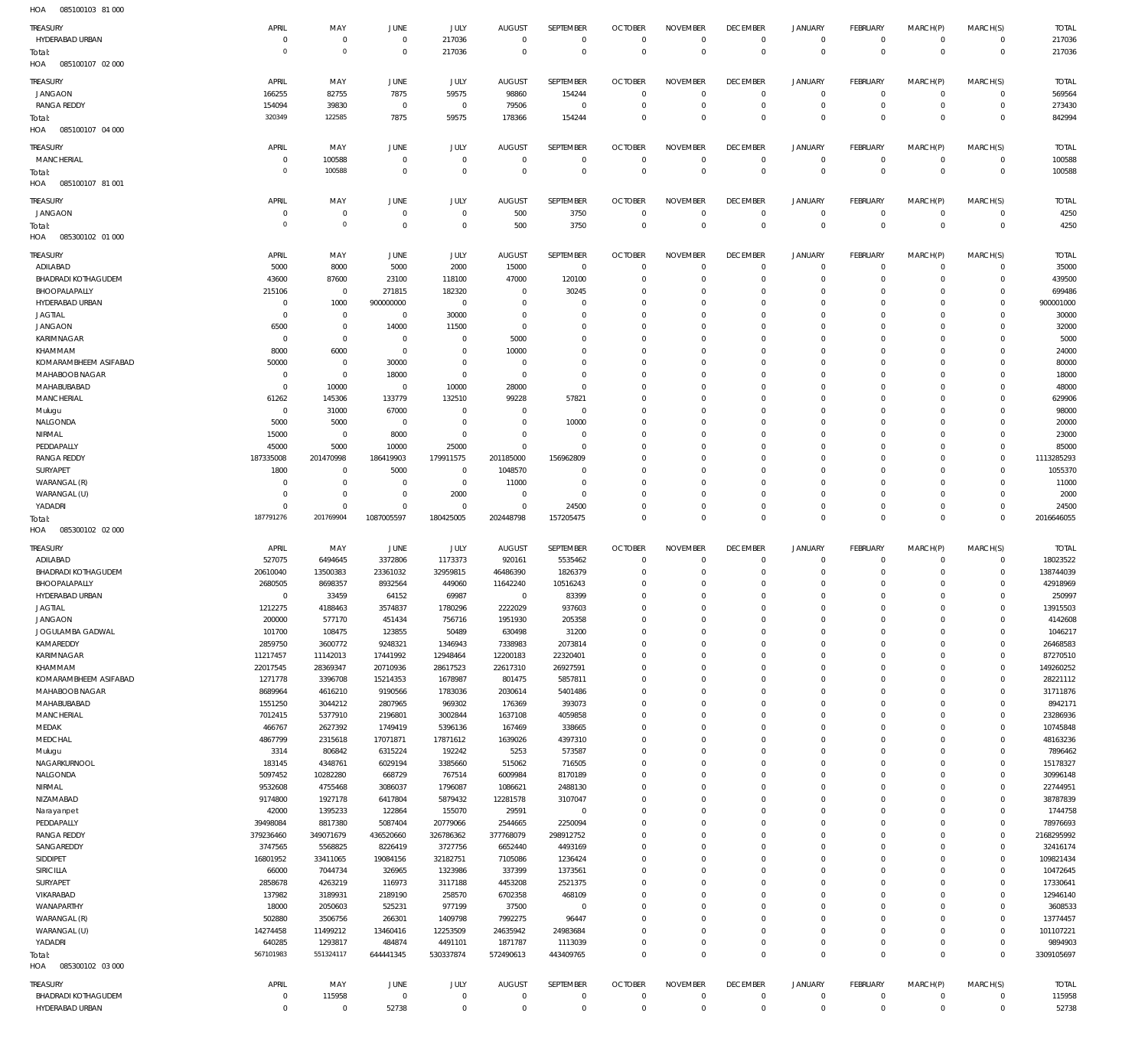| HOA<br>085100103 81 000    |                |                |                |                |                |                |                |                 |                 |                |                 |              |                |              |
|----------------------------|----------------|----------------|----------------|----------------|----------------|----------------|----------------|-----------------|-----------------|----------------|-----------------|--------------|----------------|--------------|
| TREASURY                   | APRIL          | MAY            | JUNE           | JULY           | <b>AUGUST</b>  | SEPTEMBER      | <b>OCTOBER</b> | <b>NOVEMBER</b> | <b>DECEMBER</b> | <b>JANUARY</b> | <b>FEBRUARY</b> | MARCH(P)     | MARCH(S)       | <b>TOTAL</b> |
| HYDERABAD URBAN            | $^{\circ}$     | $\mathbf 0$    | $\,0\,$        | 217036         | $\mathbf 0$    | $^{\circ}$     | $\overline{0}$ | $\mathbf 0$     | $\,0\,$         | $\circ$        | $\overline{0}$  | $\mathbf 0$  | $\circ$        | 217036       |
|                            | $\overline{0}$ | $\mathbf 0$    |                |                |                | $\mathbf 0$    |                | $\mathbf 0$     |                 | $\mathbf 0$    |                 | $\mathbf 0$  |                |              |
| Total:                     |                |                | $\mathbf 0$    | 217036         | $\mathbf 0$    |                | $\mathbf 0$    |                 | $\mathbf 0$     |                | $\overline{0}$  |              | $\overline{0}$ | 217036       |
| 085100107 02 000<br>HOA    |                |                |                |                |                |                |                |                 |                 |                |                 |              |                |              |
| <b>TREASURY</b>            | APRIL          | MAY            | JUNE           | JULY           | <b>AUGUST</b>  | SEPTEMBER      | <b>OCTOBER</b> | <b>NOVEMBER</b> | <b>DECEMBER</b> | <b>JANUARY</b> | <b>FEBRUARY</b> | MARCH(P)     | MARCH(S)       | <b>TOTAL</b> |
| <b>JANGAON</b>             | 166255         | 82755          | 7875           | 59575          | 98860          | 154244         | $\overline{0}$ | $\mathbf 0$     | $\overline{0}$  | $\overline{0}$ | $\overline{0}$  | $^{\circ}$   | $\overline{0}$ | 569564       |
| <b>RANGA REDDY</b>         | 154094         | 39830          | $\,0\,$        | $\overline{0}$ | 79506          | $\overline{0}$ | $\overline{0}$ | $\mathbf 0$     | $\overline{0}$  | $\mathbf 0$    | $\overline{0}$  | $^{\circ}$   | $\overline{0}$ | 273430       |
|                            | 320349         | 122585         |                |                |                |                | $\overline{0}$ | $^{\circ}$      | $\overline{0}$  | $\mathbf 0$    | $\overline{0}$  | $\mathbf 0$  | $\overline{0}$ |              |
| Total:                     |                |                | 7875           | 59575          | 178366         | 154244         |                |                 |                 |                |                 |              |                | 842994       |
| HOA<br>085100107 04 000    |                |                |                |                |                |                |                |                 |                 |                |                 |              |                |              |
| <b>TREASURY</b>            | APRIL          | MAY            | JUNE           | JULY           | <b>AUGUST</b>  | SEPTEMBER      | <b>OCTOBER</b> | <b>NOVEMBER</b> | <b>DECEMBER</b> | <b>JANUARY</b> | <b>FEBRUARY</b> | MARCH(P)     | MARCH(S)       | <b>TOTAL</b> |
| <b>MANCHERIAL</b>          | $^{\circ}$     | 100588         | $\,0\,$        | $^{\circ}$     | $\overline{0}$ | $^{\circ}$     | $\overline{0}$ | $\overline{0}$  | $\overline{0}$  | $\overline{0}$ | $\overline{0}$  | $^{\circ}$   | $\overline{0}$ | 100588       |
|                            | $^{\circ}$     | 100588         | $\mathbf 0$    | $\mathbf 0$    | $\Omega$       | $\mathbf 0$    | $\overline{0}$ | $\mathbf{0}$    | $\mathbf 0$     | $\overline{0}$ | $\overline{0}$  | $\mathbf{0}$ | $\overline{0}$ | 100588       |
| Total:                     |                |                |                |                |                |                |                |                 |                 |                |                 |              |                |              |
| HOA<br>085100107 81 001    |                |                |                |                |                |                |                |                 |                 |                |                 |              |                |              |
| <b>TREASURY</b>            | APRIL          | MAY            | JUNE           | <b>JULY</b>    | <b>AUGUST</b>  | SEPTEMBER      | <b>OCTOBER</b> | <b>NOVEMBER</b> | <b>DECEMBER</b> | <b>JANUARY</b> | <b>FEBRUARY</b> | MARCH(P)     | MARCH(S)       | <b>TOTAL</b> |
| <b>JANGAON</b>             | $^{\circ}$     | $\overline{0}$ | $\,0\,$        | $^{\circ}$     | 500            | 3750           | $\overline{0}$ | $\overline{0}$  | $\overline{0}$  | $\overline{0}$ | $\overline{0}$  | $^{\circ}$   | $\overline{0}$ | 4250         |
| Total:                     | $\mathbf 0$    | $\mathbf 0$    | $\mathbf 0$    | $\overline{0}$ | 500            | 3750           | $\overline{0}$ | $\mathbf{0}$    | $\mathbf 0$     | $\mathbf{0}$   | $\overline{0}$  | $\mathbf{0}$ | $\overline{0}$ | 4250         |
| 085300102 01 000<br>HOA    |                |                |                |                |                |                |                |                 |                 |                |                 |              |                |              |
|                            |                |                |                |                |                |                |                |                 |                 |                |                 |              |                |              |
| TREASURY                   | APRIL          | MAY            | JUNE           | JULY           | <b>AUGUST</b>  | SEPTEMBER      | <b>OCTOBER</b> | <b>NOVEMBER</b> | <b>DECEMBER</b> | <b>JANUARY</b> | <b>FEBRUARY</b> | MARCH(P)     | MARCH(S)       | <b>TOTAL</b> |
| ADILABAD                   | 5000           | 8000           | 5000           | 2000           | 15000          | $\overline{0}$ | $\overline{0}$ | $\mathbf 0$     | $\mathbf 0$     | $\mathbf 0$    | $\overline{0}$  | $^{\circ}$   | $\circ$        | 35000        |
| <b>BHADRADI KOTHAGUDEM</b> | 43600          | 87600          | 23100          | 118100         | 47000          | 120100         | $\overline{0}$ | $\Omega$        | $\overline{0}$  | $^{\circ}$     | $\overline{0}$  | $\Omega$     | $\circ$        | 439500       |
| BHOOPALAPALLY              | 215106         | $\,0\,$        | 271815         | 182320         | $\overline{0}$ | 30245          | $\overline{0}$ | $\Omega$        | $\overline{0}$  | $\mathbf 0$    | $\overline{0}$  | $\Omega$     | $\overline{0}$ | 699486       |
| HYDERABAD URBAN            |                |                |                |                | $\overline{0}$ |                | $\overline{0}$ | O               | $\overline{0}$  |                | $\overline{0}$  | 0            | $\overline{0}$ |              |
|                            | - 0            | 1000           | 900000000      | $\overline{0}$ |                | 0              |                |                 |                 | 0              |                 |              |                | 900001000    |
| <b>JAGTIAL</b>             | $\Omega$       | $\overline{0}$ | $^{\circ}$     | 30000          | $\Omega$       | $\Omega$       | $\overline{0}$ | $\Omega$        | $^{\circ}$      | 0              | $\overline{0}$  | $\Omega$     | $\overline{0}$ | 30000        |
| <b>JANGAON</b>             | 6500           | $\mathbf{0}$   | 14000          | 11500          | $^{\circ}$     | 0              | $\overline{0}$ | O               | $\overline{0}$  | $\mathbf 0$    | $\overline{0}$  | 0            | $\mathbf 0$    | 32000        |
| KARIMNAGAR                 | - 0            | $\mathbf{0}$   | $\overline{0}$ | $^{\circ}$     | 5000           | $\Omega$       | $\Omega$       | $\Omega$        | $^{\circ}$      | 0              | $\overline{0}$  | $\Omega$     | $\Omega$       | 5000         |
| KHAMMAM                    | 8000           | 6000           | $\,0\,$        | $^{\circ}$     | 10000          | 0              | $\overline{0}$ | $\Omega$        | $^{\circ}$      | 0              | $\overline{0}$  | 0            | $\Omega$       | 24000        |
| KOMARAMBHEEM ASIFABAD      | 50000          | $\mathbf{0}$   | 30000          | $\overline{0}$ | $^{\circ}$     | $\Omega$       | $\overline{0}$ | $\Omega$        | $^{\circ}$      | $\mathbf 0$    | $\overline{0}$  | 0            | $\Omega$       | 80000        |
| MAHABOOB NAGAR             | $\Omega$       | $\overline{0}$ | 18000          | $\mathbf{0}$   | $\mathbf 0$    | $\Omega$       | $\overline{0}$ | $\Omega$        | $\overline{0}$  | 0              | $\overline{0}$  | 0            | $\mathbf 0$    | 18000        |
| MAHABUBABAD                | $\Omega$       | 10000          | $^{\circ}$     | 10000          | 28000          | $\Omega$       | $\overline{0}$ | O               | $^{\circ}$      | 0              | $\overline{0}$  | $\Omega$     | $\mathbf 0$    | 48000        |
|                            |                |                |                |                |                |                |                |                 |                 |                |                 |              |                |              |
| <b>MANCHERIAL</b>          | 61262          | 145306         | 133779         | 132510         | 99228          | 57821          | $\overline{0}$ | O               | $\overline{0}$  | 0              | $\overline{0}$  | O            | $^{\circ}$     | 629906       |
| Mulugu                     | $^{\circ}$     | 31000          | 67000          | $^{\circ}$     | $^{\circ}$     | $^{\circ}$     | $\overline{0}$ | $\Omega$        | $^{\circ}$      | 0              | $\overline{0}$  | $\Omega$     | $\Omega$       | 98000        |
| NALGONDA                   | 5000           | 5000           | $\overline{0}$ | $\overline{0}$ | $^{\circ}$     | 10000          | $\overline{0}$ | O               | $\mathbf 0$     | $\mathbf 0$    | $\overline{0}$  | O            | $^{\circ}$     | 20000        |
| NIRMAL                     | 15000          | $\mathbf 0$    | 8000           | $\Omega$       | $\mathbf 0$    | $^{\circ}$     | $\overline{0}$ | $\Omega$        | $^{\circ}$      | 0              | $\overline{0}$  | $\Omega$     | $\circ$        | 23000        |
| PEDDAPALLY                 | 45000          | 5000           | 10000          | 25000          | $\mathbf{0}$   | $\mathbf 0$    | $\overline{0}$ | O               | $\overline{0}$  | $\mathbf 0$    | $\overline{0}$  | 0            | $\overline{0}$ | 85000        |
| <b>RANGA REDDY</b>         | 187335008      | 201470998      | 186419903      | 179911575      | 201185000      | 156962809      | $\Omega$       | $\Omega$        | $^{\circ}$      | $\Omega$       | $\overline{0}$  | 0            | $\overline{0}$ | 1113285293   |
|                            |                |                |                |                |                |                |                | $\Omega$        |                 |                |                 |              |                |              |
| SURYAPET                   | 1800           | 0              | 5000           | $\overline{0}$ | 1048570        | $\overline{0}$ | $\overline{0}$ |                 | $\overline{0}$  | $\mathbf 0$    | $\overline{0}$  | 0            | $\overline{0}$ | 1055370      |
| WARANGAL (R)               | - 0            | $\mathbf{0}$   | $^{\circ}$     | $\mathbf 0$    | 11000          | $\mathbf 0$    | $\Omega$       | O               | $^{\circ}$      | $\mathbf 0$    | $\overline{0}$  | 0            | $\Omega$       | 11000        |
| WARANGAL (U)               | $\Omega$       | $\mathbf{0}$   | $\mathbf 0$    | 2000           | $\overline{0}$ | $^{\circ}$     | $\overline{0}$ | $\Omega$        | $^{\circ}$      | 0              | $\overline{0}$  | $\Omega$     | $\overline{0}$ | 2000         |
| YADADRI                    | $\Omega$       | $\Omega$       | $\Omega$       | $\Omega$       | $\mathbf 0$    | 24500          | $\overline{0}$ | $\mathbf 0$     | $\mathbf 0$     | $\mathbf 0$    | $\overline{0}$  | $\mathbf 0$  | $\overline{0}$ | 24500        |
| Total:                     | 187791276      | 201769904      | 1087005597     | 180425005      | 202448798      | 157205475      | $\overline{0}$ | $\Omega$        | $\mathbf 0$     | $\mathbf 0$    | $\overline{0}$  | $\Omega$     | $\mathbf 0$    | 2016646055   |
|                            |                |                |                |                |                |                |                |                 |                 |                |                 |              |                |              |
| HOA<br>085300102 02 000    |                |                |                |                |                |                |                |                 |                 |                |                 |              |                |              |
|                            |                |                |                |                |                |                |                |                 |                 |                |                 |              |                |              |
| TREASURY                   | APRIL          | MAY            | JUNE           | <b>JULY</b>    | <b>AUGUST</b>  | SEPTEMBER      | <b>OCTOBER</b> | <b>NOVEMBER</b> | <b>DECEMBER</b> | <b>JANUARY</b> | <b>FEBRUARY</b> | MARCH(P)     | MARCH(S)       | <b>TOTAL</b> |
| ADILABAD                   | 527075         | 6494645        | 3372806        | 1173373        | 920161         | 5535462        | $\overline{0}$ | $\mathbf 0$     | $\overline{0}$  | $\overline{0}$ | $\overline{0}$  | 0            | $\overline{0}$ | 18023522     |
| <b>BHADRADI KOTHAGUDEM</b> | 20610040       | 13500383       | 23361032       | 32959815       | 46486390       | 1826379        | $\overline{0}$ | $\mathbf 0$     | $\overline{0}$  | $\mathbf 0$    | $\overline{0}$  | 0            | $\overline{0}$ | 138744039    |
| BHOOPALAPALLY              | 2680505        | 8698357        | 8932564        | 449060         | 11642240       | 10516243       | $\overline{0}$ | 0               | $\overline{0}$  | $\mathbf 0$    | $\overline{0}$  | $\Omega$     | $\overline{0}$ | 42918969     |
| HYDERABAD URBAN            | $\overline{0}$ | 33459          | 64152          | 69987          | $\overline{0}$ | 83399          | $\overline{0}$ | $\mathbf 0$     | $\mathbf 0$     | $\Omega$       | $\overline{0}$  | $\Omega$     | $\Omega$       | 250997       |
|                            |                |                |                |                |                |                |                |                 |                 |                | $\Omega$        | Ω            |                |              |
| <b>JAGTIAL</b>             | 1212275        | 4188463        | 3574837        | 1780296        | 2222029        | 937603         | $\overline{0}$ | 0               | 0               | 0              |                 |              | $\mathbf 0$    | 13915503     |
| <b>JANGAON</b>             | 200000         | 577170         | 451434         | 756716         | 1951930        | 205358         | $\,0\,$        | $\mathbf 0$     | $\overline{0}$  | $\mathbf 0$    | $\mathsf 0$     | $\mathbf 0$  | $\overline{0}$ | 4142608      |
| JOGULAMBA GADWAL           | 101700         | 108475         | 123855         | 50489          | 630498         | 31200          | $\,0\,$        | $\mathbf 0$     | $\,0\,$         | $\mathbf 0$    | $\mathsf 0$     | $\mathbf 0$  | $\overline{0}$ | 1046217      |
| KAMAREDDY                  | 2859750        | 3600772        | 9248321        | 1346943        | 7338983        | 2073814        | $\,0\,$        | $\mathbf 0$     | $\mathbf 0$     | $\mathbf 0$    | $\overline{0}$  | 0            | $\overline{0}$ | 26468583     |
| KARIMNAGAR                 | 11217457       | 11142013       | 17441992       | 12948464       | 12200183       | 22320401       | $\,0\,$        | 0               | $\mathbf 0$     | $\mathbf 0$    | $\overline{0}$  | $\mathbf 0$  | $\overline{0}$ | 87270510     |
| KHAMMAM                    | 22017545       | 28369347       | 20710936       | 28617523       | 22617310       | 26927591       | $\mathbf 0$    | $\mathbf 0$     | $\mathbf 0$     | $\mathbf 0$    | $\overline{0}$  | $\mathbf 0$  | $\overline{0}$ | 149260252    |
| KOMARAMBHEEM ASIFABAD      | 1271778        | 3396708        | 15214353       | 1678987        | 801475         | 5857811        | $\,0\,$        | 0               | $\mathbf 0$     | $\mathbf 0$    | $\overline{0}$  | $\mathbf 0$  | $\overline{0}$ | 28221112     |
| MAHABOOB NAGAR             | 8689964        | 4616210        | 9190566        | 1783036        | 2030614        | 5401486        | $\mathbf 0$    | $\mathbf 0$     | $\mathbf 0$     | $\mathbf 0$    | $\overline{0}$  | $\mathbf 0$  | $\overline{0}$ | 31711876     |
| MAHABUBABAD                |                | 3044212        | 2807965        | 969302         | 176369         | 393073         | $\mathbf 0$    | 0               | $\mathbf 0$     | $\mathbf 0$    | $\overline{0}$  | $\Omega$     | $\overline{0}$ | 8942171      |
|                            | 1551250        |                |                |                |                |                |                | $\mathbf 0$     | $\mathbf 0$     | $\mathbf 0$    | $\overline{0}$  | $\mathbf 0$  |                |              |
| <b>MANCHERIAL</b>          | 7012415        | 5377910        | 2196801        | 3002844        | 1637108        | 4059858        | $\mathbf 0$    |                 |                 |                |                 |              | $\overline{0}$ | 23286936     |
| MEDAK                      | 466767         | 2627392        | 1749419        | 5396136        | 167469         | 338665         | $\mathbf 0$    | 0               | $\mathbf 0$     | $\mathbf 0$    | $\overline{0}$  | $\Omega$     | $\overline{0}$ | 10745848     |
| MEDCHAL                    | 4867799        | 2315618        | 17071871       | 17871612       | 1639026        | 4397310        | $\,0\,$        | $\mathbf 0$     | $\mathbf{0}$    | $\mathbf 0$    | $\overline{0}$  | $\mathbf 0$  | $\overline{0}$ | 48163236     |
| Mulugu                     | 3314           | 806842         | 6315224        | 192242         | 5253           | 573587         | $\overline{0}$ | 0               | $\mathbf{0}$    | $\mathbf 0$    | $\overline{0}$  | $\Omega$     | $\overline{0}$ | 7896462      |
| NAGARKURNOOL               | 183145         | 4348761        | 6029194        | 3385660        | 515062         | 716505         | $\mathbf 0$    | $\mathbf 0$     | $\mathbf{0}$    | $\mathbf 0$    | $\overline{0}$  | 0            | $\overline{0}$ | 15178327     |
| NALGONDA                   | 5097452        | 10282280       | 668729         | 767514         | 6009984        | 8170189        | $\,0\,$        | 0               | $\mathbf 0$     | $\mathbf 0$    | $\overline{0}$  | $\mathbf 0$  | $\overline{0}$ | 30996148     |
| NIRMAL                     | 9532608        | 4755468        | 3086037        | 1796087        | 1086621        | 2488130        | $\mathbf 0$    | 0               | $\mathbf{0}$    | $\mathbf 0$    | $\overline{0}$  | $\mathbf 0$  | $\overline{0}$ | 22744951     |
|                            |                |                |                |                |                |                | $\overline{0}$ | 0               | $\mathbf 0$     | $\mathbf 0$    | $\overline{0}$  | $\mathbf 0$  | $\overline{0}$ |              |
| NIZAMABAD                  | 9174800        | 1927178        | 6417804        | 5879432        | 12281578       | 3107047        | $\mathbf 0$    | $\mathbf 0$     | $\mathbf{0}$    | $\mathbf 0$    | $\overline{0}$  | $\mathbf 0$  | $\overline{0}$ | 38787839     |
| Narayanpet                 | 42000          | 1395233        | 122864         | 155070         | 29591          | $\,0\,$        |                |                 |                 |                |                 |              |                | 1744758      |
| PEDDAPALLY                 | 39498084       | 8817380        | 5087404        | 20779066       | 2544665        | 2250094        | $\,0\,$        | 0               | $\mathbf{0}$    | $\mathbf 0$    | $\overline{0}$  | $\Omega$     | $\overline{0}$ | 78976693     |
| <b>RANGA REDDY</b>         | 379236460      | 349071679      | 436520660      | 326786362      | 377768079      | 298912752      | $\,0\,$        | $\mathbf 0$     | $\mathbf{0}$    | $\mathbf 0$    | $\overline{0}$  | $\mathbf 0$  | $\mathbb O$    | 2168295992   |
| SANGAREDDY                 | 3747565        | 5568825        | 8226419        | 3727756        | 6652440        | 4493169        | $\mathbf 0$    | 0               | $\mathbf{0}$    | $\mathbf 0$    | $\overline{0}$  | $\Omega$     | $\mathbb O$    | 32416174     |
| SIDDIPET                   | 16801952       | 33411065       | 19084156       | 32182751       | 7105086        | 1236424        | $\mathbf 0$    | $\mathbf 0$     | $\mathbf{0}$    | $\mathbf 0$    | $\overline{0}$  | 0            | $\overline{0}$ | 109821434    |
| SIRICILLA                  | 66000          | 7044734        | 326965         | 1323986        | 337399         | 1373561        | $\overline{0}$ | 0               | $\mathbf 0$     | $\mathbf 0$    | $\overline{0}$  | $\Omega$     | $\overline{0}$ | 10472645     |
| SURYAPET                   | 2858678        | 4263219        | 116973         | 3117188        | 4453208        | 2521375        | $\mathbf 0$    | $\mathbf 0$     | $\mathbf 0$     | $\mathbf 0$    | $\overline{0}$  | 0            | $\overline{0}$ | 17330641     |
|                            |                |                |                |                |                |                | $\overline{0}$ | 0               | $\mathbf 0$     | $\mathbf 0$    | $\overline{0}$  | $\mathbf 0$  | $\overline{0}$ |              |
| VIKARABAD                  | 137982         | 3189931        | 2189190        | 258570         | 6702358        | 468109         |                |                 |                 |                |                 |              |                | 12946140     |
| WANAPARTHY                 | 18000          | 2050603        | 525231         | 977199         | 37500          | $\,0\,$        | $\mathbf 0$    | $\mathbf 0$     | $\mathbf 0$     | $\mathbf 0$    | $\overline{0}$  | $\mathbf 0$  | $\overline{0}$ | 3608533      |
| WARANGAL (R)               | 502880         | 3506756        | 266301         | 1409798        | 7992275        | 96447          | $\,0\,$        | 0               | $\mathbf 0$     | $\mathbf 0$    | $\overline{0}$  | $\mathbf 0$  | $\overline{0}$ | 13774457     |
| WARANGAL (U)               | 14274458       | 11499212       | 13460416       | 12253509       | 24635942       | 24983684       | $\overline{0}$ | 0               | $\mathbf 0$     | $\mathbf 0$    | $\overline{0}$  | $\mathbf 0$  | $\overline{0}$ | 101107221    |
| YADADRI                    | 640285         | 1293817        | 484874         | 4491101        | 1871787        | 1113039        | $\mathbf 0$    | $\mathbf 0$     | $\,0\,$         | $\mathbf 0$    | $\mathsf 0$     | 0            | $\overline{0}$ | 9894903      |
| Total:                     | 567101983      | 551324117      | 644441345      | 530337874      | 572490613      | 443409765      | $\,0\,$        | $\mathbf 0$     | $\,0\,$         | $\mathbf 0$    | $\mathbb O$     | $\mathbf 0$  | $\mathbb O$    | 3309105697   |
| HOA<br>085300102 03 000    |                |                |                |                |                |                |                |                 |                 |                |                 |              |                |              |
|                            |                |                |                |                |                |                |                |                 |                 |                |                 |              |                |              |
| TREASURY                   | APRIL          | MAY            | JUNE           | JULY           | <b>AUGUST</b>  | SEPTEMBER      | <b>OCTOBER</b> | <b>NOVEMBER</b> | <b>DECEMBER</b> | <b>JANUARY</b> | <b>FEBRUARY</b> | MARCH(P)     | MARCH(S)       | <b>TOTAL</b> |
| <b>BHADRADI KOTHAGUDEM</b> | $\overline{0}$ | 115958         | $\,0\,$        | $\mathbf 0$    | $\,0\,$        | $\mathbf 0$    | $\,0\,$        | $\mathbf 0$     | $\,0\,$         | $\mathsf 0$    | $\mathsf 0$     | $\mathbf 0$  | $\mathsf 0$    | 115958       |
| HYDERABAD URBAN            | $\mathbf 0$    | $\mathbf 0$    | 52738          | $\mathbf 0$    | $\mathbf 0$    | $\mathbf 0$    | $\mathbf 0$    | $\mathbf 0$     | $\mathbf 0$     | $\overline{0}$ | $\overline{0}$  | $\mathbf 0$  | $\mathsf 0$    | 52738        |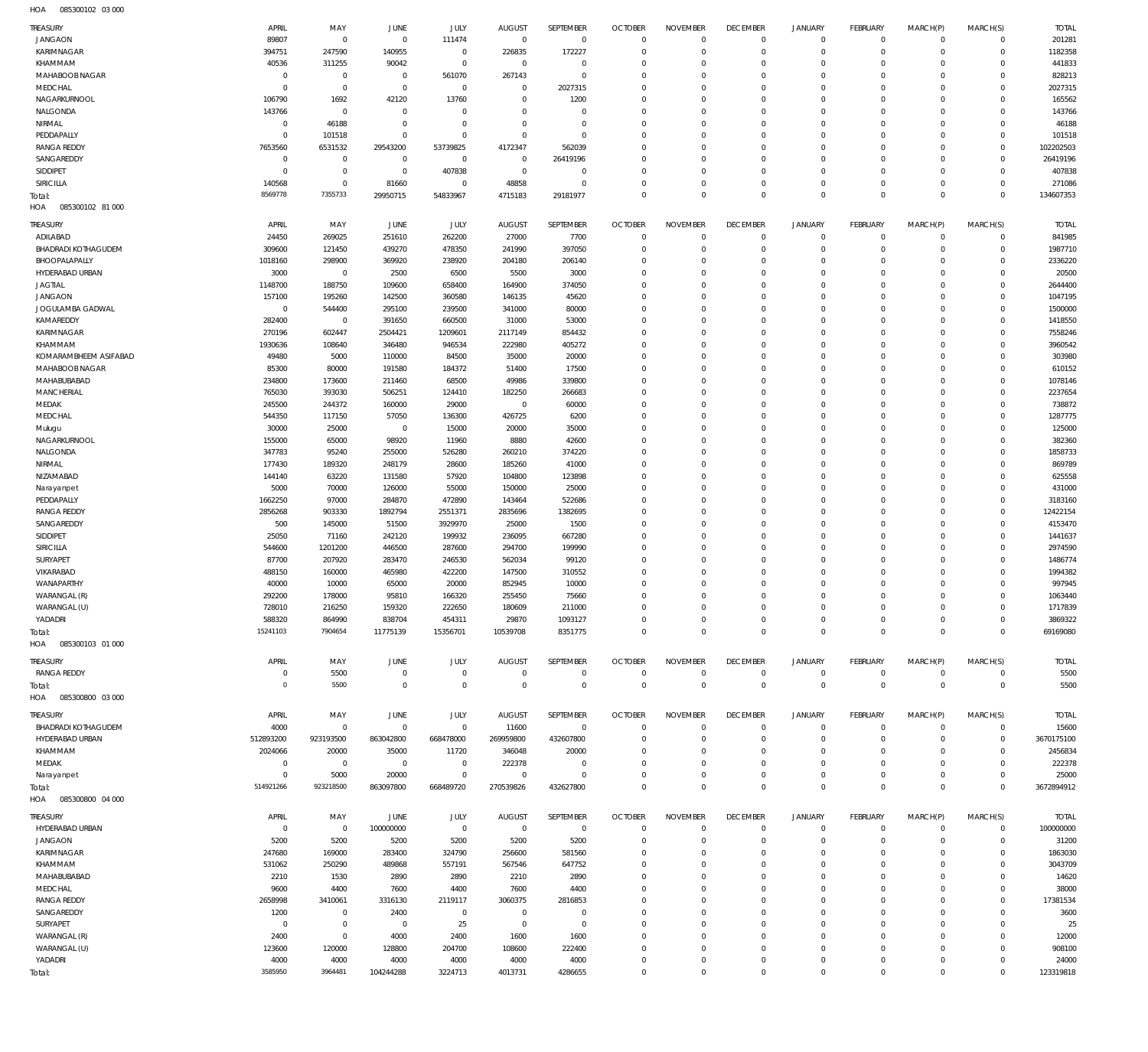085300102 03 000 HOA

| TREASURY                          | APRIL                     | MAY                        | <b>JUNE</b>             | JULY                  | <b>AUGUST</b>                    | SEPTEMBER                  | <b>OCTOBER</b>                   | <b>NOVEMBER</b>             | <b>DECEMBER</b>                | <b>JANUARY</b>                 | <b>FEBRUARY</b>              | MARCH(P)                | MARCH(S)                   | <b>TOTAL</b>           |
|-----------------------------------|---------------------------|----------------------------|-------------------------|-----------------------|----------------------------------|----------------------------|----------------------------------|-----------------------------|--------------------------------|--------------------------------|------------------------------|-------------------------|----------------------------|------------------------|
| <b>JANGAON</b>                    | 89807                     | $\mathbf 0$                | $\mathbf 0$             | 111474                | $\overline{0}$                   | $\overline{0}$             | $\overline{0}$                   | $\mathbf 0$                 | $\overline{0}$                 | $\overline{0}$                 | $\overline{0}$               | $\mathbf{0}$            | $\mathbf 0$                | 201281                 |
| KARIMNAGAR                        | 394751                    | 247590                     | 140955                  | $\mathbb O$           | 226835                           | 172227                     | $\overline{0}$                   | $\mathbf 0$                 | $\overline{0}$                 | $\mathbf 0$                    | $\overline{0}$               | $\mathbf 0$             | $\mathbf 0$                | 1182358                |
| KHAMMAM                           | 40536                     | 311255                     | 90042                   | $\mathbb O$           | $\overline{0}$                   | $\mathbf 0$                | $\mathbf 0$                      | $\Omega$                    | $\mathbf 0$                    | $\mathbf 0$                    | $\overline{0}$               | $\Omega$                | $\mathbf 0$                | 441833                 |
| MAHABOOB NAGAR                    | $\mathbf 0$               | $\mathbf 0$                | $\overline{0}$          | 561070                | 267143                           | $\mathbf 0$                | $\mathbf 0$                      | $\Omega$                    | $\mathbf 0$                    | $\mathbf 0$                    | $\mathbf{0}$                 | $\Omega$                | $\Omega$                   | 828213                 |
| MEDCHAL                           | $\Omega$                  | $\mathbf 0$                | $\mathbf 0$             | $\mathbb O$           | $\mathbf 0$                      | 2027315                    | $\mathbf 0$                      | $\Omega$                    | $\Omega$                       | $\mathbf 0$                    | $\mathbf{0}$                 | $\Omega$                | $\Omega$                   | 2027315                |
| NAGARKURNOOL<br>NALGONDA          | 106790<br>143766          | 1692<br>$\mathbf 0$        | 42120<br>$\circ$        | 13760<br>$\mathbf 0$  | $\mathbf 0$<br>$^{\circ}$        | 1200<br>$\mathbf 0$        | $\mathbf 0$<br>$\mathbf 0$       | $\Omega$<br>$\Omega$        | $\mathbf 0$<br>$\mathbf 0$     | $\mathbf 0$<br>$\mathbf 0$     | $\mathbf{0}$<br>$\mathbf{0}$ | $\Omega$<br>$\Omega$    | $\Omega$<br>$\mathbf 0$    | 165562<br>143766       |
| NIRMAL                            | $\mathbf{0}$              | 46188                      | $\mathbf 0$             | $\mathbf 0$           | $\Omega$                         | $\mathbf 0$                | $\mathbf 0$                      | $\Omega$                    | $\Omega$                       | $\Omega$                       | $\mathbf{0}$                 | $\Omega$                | $\Omega$                   | 46188                  |
| PEDDAPALLY                        | $\Omega$                  | 101518                     | $\circ$                 | $\mathbf 0$           | $\mathbf 0$                      | $\mathbf 0$                | $\mathbf 0$                      | $\Omega$                    | $\mathbf 0$                    | $\mathbf 0$                    | $\mathbf{0}$                 | $\Omega$                | $\mathbf 0$                | 101518                 |
| <b>RANGA REDDY</b>                | 7653560                   | 6531532                    | 29543200                | 53739825              | 4172347                          | 562039                     | $\mathbf 0$                      | $\Omega$                    | $\Omega$                       | $\Omega$                       | $\mathbf{0}$                 | $\Omega$                | $\Omega$                   | 102202503              |
| SANGAREDDY                        | $\overline{0}$            | $\mathbf 0$                | $^{\circ}$              | $\mathbb O$           | $\overline{0}$                   | 26419196                   | $\mathbf 0$                      | $\Omega$                    | $\mathbf 0$                    | 0                              | $\mathbf{0}$                 | $\Omega$                | $\mathbf 0$                | 26419196               |
| SIDDIPET                          | $\overline{0}$            | $\mathbf 0$                | $\overline{0}$          | 407838                | $\overline{0}$                   | $\mathbf 0$                | $\mathbf 0$                      | $\Omega$                    | $\mathbf 0$                    | $\mathbf 0$                    | $\mathbf{0}$                 | $\Omega$                | $\Omega$                   | 407838                 |
| SIRICILLA                         | 140568                    | $\mathbf 0$                | 81660                   | $\mathbb O$           | 48858                            | $\mathbf 0$                | $\mathbf 0$                      | $\Omega$                    | $\mathbf 0$                    | $\mathbf 0$                    | $\mathbf{0}$                 | $\Omega$                | $\mathbf 0$                | 271086                 |
| Total:<br>085300102 81 000<br>HOA | 8569778                   | 7355733                    | 29950715                | 54833967              | 4715183                          | 29181977                   | $\mathbf 0$                      | $\mathbf 0$                 | $\overline{0}$                 | $\overline{0}$                 | $\overline{0}$               | $\Omega$                | $\Omega$                   | 134607353              |
|                                   |                           |                            |                         |                       |                                  |                            |                                  |                             |                                |                                |                              |                         |                            |                        |
| TREASURY<br>ADILABAD              | APRIL<br>24450            | MAY<br>269025              | JUNE<br>251610          | <b>JULY</b><br>262200 | <b>AUGUST</b><br>27000           | SEPTEMBER<br>7700          | <b>OCTOBER</b><br>$\overline{0}$ | <b>NOVEMBER</b><br>$\Omega$ | <b>DECEMBER</b><br>$\mathbf 0$ | <b>JANUARY</b><br>$\mathbf{0}$ | FEBRUARY<br>$\overline{0}$   | MARCH(P)<br>$\mathbf 0$ | MARCH(S)<br>$\mathbf 0$    | <b>TOTAL</b><br>841985 |
| <b>BHADRADI KOTHAGUDEM</b>        | 309600                    | 121450                     | 439270                  | 478350                | 241990                           | 397050                     | $\mathbf 0$                      | $\mathbf 0$                 | $\mathbf 0$                    | $\mathbf 0$                    | $\mathbf{0}$                 | $\Omega$                | $\mathbf 0$                | 1987710                |
| BHOOPALAPALLY                     | 1018160                   | 298900                     | 369920                  | 238920                | 204180                           | 206140                     | $\mathbf 0$                      | $\Omega$                    | $\Omega$                       | $\Omega$                       | $\Omega$                     | $\Omega$                | $\Omega$                   | 2336220                |
| HYDERABAD URBAN                   | 3000                      | $\mathbf 0$                | 2500                    | 6500                  | 5500                             | 3000                       | $\mathbf 0$                      | $\Omega$                    | $\Omega$                       | $\Omega$                       | $\mathbf{0}$                 | $\Omega$                | $\Omega$                   | 20500                  |
| <b>JAGTIAL</b>                    | 1148700                   | 188750                     | 109600                  | 658400                | 164900                           | 374050                     | $\Omega$                         | $\Omega$                    | $\Omega$                       | $\Omega$                       | $\Omega$                     | $\Omega$                | $\Omega$                   | 2644400                |
| <b>JANGAON</b>                    | 157100                    | 195260                     | 142500                  | 360580                | 146135                           | 45620                      | $\Omega$                         | $\Omega$                    | $\Omega$                       | $\Omega$                       | $\Omega$                     | $\Omega$                | $\Omega$                   | 1047195                |
| JOGULAMBA GADWAL                  | $\mathbf{0}$              | 544400                     | 295100                  | 239500                | 341000                           | 80000                      | $\Omega$                         | $\Omega$                    | $\Omega$                       | $\Omega$                       | $\Omega$                     | $\Omega$                | $\Omega$                   | 1500000                |
| KAMAREDDY                         | 282400                    | $\mathbf 0$                | 391650                  | 660500                | 31000                            | 53000                      | $\Omega$                         | $\Omega$                    | $\Omega$                       | $\Omega$                       | $\Omega$                     | $\Omega$                | $\Omega$                   | 1418550                |
| <b>KARIMNAGAR</b><br>KHAMMAM      | 270196<br>1930636         | 602447<br>108640           | 2504421<br>346480       | 1209601<br>946534     | 2117149<br>222980                | 854432<br>405272           | $\Omega$<br>$\Omega$             | $\Omega$<br>$\Omega$        | $\Omega$<br>$\Omega$           | $\Omega$<br>$\Omega$           | $\mathbf 0$<br>$\Omega$      | $\Omega$<br>$\Omega$    | $\Omega$<br>$\Omega$       | 7558246<br>3960542     |
| KOMARAMBHEEM ASIFABAD             | 49480                     | 5000                       | 110000                  | 84500                 | 35000                            | 20000                      | $\mathbf 0$                      | $\Omega$                    | $\Omega$                       | $\Omega$                       | $\mathbf 0$                  | $\Omega$                | $\Omega$                   | 303980                 |
| MAHABOOB NAGAR                    | 85300                     | 80000                      | 191580                  | 184372                | 51400                            | 17500                      | $\Omega$                         | $\Omega$                    | $\Omega$                       | $\Omega$                       | $\Omega$                     | $\Omega$                | $\Omega$                   | 610152                 |
| MAHABUBABAD                       | 234800                    | 173600                     | 211460                  | 68500                 | 49986                            | 339800                     | $\Omega$                         | $\Omega$                    | $\Omega$                       | $\Omega$                       | $\Omega$                     | $\Omega$                | $\Omega$                   | 1078146                |
| <b>MANCHERIAL</b>                 | 765030                    | 393030                     | 506251                  | 124410                | 182250                           | 266683                     | $\mathbf 0$                      | $\Omega$                    | $\Omega$                       | $\Omega$                       | $\Omega$                     | $\Omega$                | $\Omega$                   | 2237654                |
| MEDAK                             | 245500                    | 244372                     | 160000                  | 29000                 | $\overline{0}$                   | 60000                      | $\Omega$                         | $\Omega$                    | $\Omega$                       | $\Omega$                       | $\Omega$                     | $\Omega$                | $\Omega$                   | 738872                 |
| MEDCHAL                           | 544350                    | 117150                     | 57050                   | 136300                | 426725                           | 6200                       | $\mathbf 0$                      | $\Omega$                    | $\Omega$                       | $\Omega$                       | $\mathbf{0}$                 | $\Omega$                | $\Omega$                   | 1287775                |
| Mulugu                            | 30000                     | 25000                      | $\mathbf 0$             | 15000                 | 20000                            | 35000                      | $\Omega$                         | $\Omega$                    | $\Omega$                       | $\Omega$                       | $\Omega$                     | $\Omega$                | $\Omega$                   | 125000                 |
| NAGARKURNOOL                      | 155000                    | 65000                      | 98920                   | 11960                 | 8880                             | 42600                      | $\Omega$                         | $\Omega$                    | $\Omega$                       | $\Omega$                       | $\mathbf{0}$                 | $\Omega$                | $\Omega$                   | 382360                 |
| NALGONDA<br>NIRMAL                | 347783<br>177430          | 95240<br>189320            | 255000<br>248179        | 526280<br>28600       | 260210<br>185260                 | 374220<br>41000            | $\Omega$<br>$\Omega$             | $\Omega$<br>$\Omega$        | $\Omega$<br>$\Omega$           | $\Omega$<br>$\Omega$           | $\Omega$<br>$\Omega$         | $\Omega$<br>$\Omega$    | $\Omega$<br>$\Omega$       | 1858733<br>869789      |
| NIZAMABAD                         | 144140                    | 63220                      | 131580                  | 57920                 | 104800                           | 123898                     | $\Omega$                         | $\Omega$                    | $\Omega$                       | $\Omega$                       | $\Omega$                     | $\Omega$                | $\Omega$                   | 625558                 |
| Narayanpet                        | 5000                      | 70000                      | 126000                  | 55000                 | 150000                           | 25000                      | $\Omega$                         | $\Omega$                    | $\Omega$                       | $\Omega$                       | $\Omega$                     | $\Omega$                | $\Omega$                   | 431000                 |
| PEDDAPALLY                        | 1662250                   | 97000                      | 284870                  | 472890                | 143464                           | 522686                     | $\mathbf 0$                      | $\Omega$                    | $\Omega$                       | $\Omega$                       | $\mathbf 0$                  | $\Omega$                | $\Omega$                   | 3183160                |
| <b>RANGA REDDY</b>                | 2856268                   | 903330                     | 1892794                 | 2551371               | 2835696                          | 1382695                    | $\Omega$                         | $\Omega$                    | $\Omega$                       | $\Omega$                       | $\Omega$                     | $\Omega$                | $\Omega$                   | 12422154               |
| SANGAREDDY                        | 500                       | 145000                     | 51500                   | 3929970               | 25000                            | 1500                       | $\Omega$                         | $\Omega$                    | $\Omega$                       | $\Omega$                       | $\Omega$                     | $\Omega$                | $\Omega$                   | 4153470                |
| SIDDIPET                          | 25050                     | 71160                      | 242120                  | 199932                | 236095                           | 667280                     | $\mathbf 0$                      | $\Omega$                    | $\Omega$                       | $\Omega$                       | $\Omega$                     | $\Omega$                | $\Omega$                   | 1441637                |
| <b>SIRICILLA</b>                  | 544600                    | 1201200                    | 446500                  | 287600                | 294700                           | 199990                     | $\Omega$                         | $\Omega$                    | $\Omega$                       | $\Omega$                       | $\Omega$                     | $\Omega$                | $\Omega$                   | 2974590                |
| SURYAPET<br>VIKARABAD             | 87700<br>488150           | 207920<br>160000           | 283470<br>465980        | 246530<br>422200      | 562034<br>147500                 | 99120<br>310552            | $\mathbf 0$<br>$\Omega$          | $\Omega$<br>$\Omega$        | $\Omega$<br>$\Omega$           | $\Omega$<br>$\Omega$           | $\mathbf{0}$<br>$\Omega$     | $\Omega$<br>$\Omega$    | $\Omega$<br>$\Omega$       | 1486774<br>1994382     |
| WANAPARTHY                        | 40000                     | 10000                      | 65000                   | 20000                 | 852945                           | 10000                      | $\Omega$                         | $\Omega$                    | $\Omega$                       | $\Omega$                       | $\Omega$                     | $\Omega$                | $\Omega$                   | 997945                 |
| WARANGAL (R)                      | 292200                    | 178000                     | 95810                   | 166320                | 255450                           | 75660                      | $\Omega$                         | $\Omega$                    | $\Omega$                       | $\Omega$                       | $\Omega$                     | $\Omega$                | $\Omega$                   | 1063440                |
| WARANGAL (U)                      | 728010                    | 216250                     | 159320                  | 222650                | 180609                           | 211000                     | $\Omega$                         | $\Omega$                    | $\Omega$                       | $\Omega$                       | $\Omega$                     | $\Omega$                | $\Omega$                   | 1717839                |
| YADADRI                           | 588320                    | 864990                     | 838704                  | 454311                | 29870                            | 1093127                    | $\mathbf 0$                      | $\mathbf 0$                 | $\mathbf 0$                    | $\mathbf 0$                    | $\mathbf{0}$                 | $\mathbf 0$             | $\mathbf 0$                | 3869322                |
| Total:                            | 15241103                  | 7904654                    | 11775139                | 15356701              | 10539708                         | 8351775                    | $\mathbf 0$                      | $\mathbf 0$                 | $\mathbf 0$                    | $\mathbf 0$                    | $\overline{0}$               | $\Omega$                | $\Omega$                   | 69169080               |
| 085300103 01 000<br>HOA           |                           |                            |                         |                       |                                  |                            |                                  |                             |                                |                                |                              |                         |                            |                        |
| TREASURY                          | APRIL                     | MAY                        | JUNE                    | JULY                  | <b>AUGUST</b>                    | SEPTEMBER                  | <b>OCTOBER</b>                   | <b>NOVEMBER</b>             | <b>DECEMBER</b>                | <b>JANUARY</b>                 | <b>FEBRUARY</b>              | MARCH(P)                | MARCH(S)                   | <b>TOTAL</b>           |
| <b>RANGA REDDY</b>                | $\overline{0}$            | 5500                       | $\overline{0}$          | $\mathbb O$           | $\overline{0}$                   | $\mathbb O$                | $\overline{0}$                   | $\mathbf 0$                 | $\overline{0}$                 | $\circ$                        | $\overline{0}$               | $\circ$                 | $\overline{0}$             | 5500                   |
| Total:                            | $\overline{0}$            | 5500                       | $\mathbf 0$             | $\mathbf 0$           | $\overline{0}$                   | $\mathbf 0$                | $\overline{0}$                   | $\mathbf 0$                 | $\overline{0}$                 | $\mathbf 0$                    | $\overline{0}$               | $\mathbf 0$             | $\overline{0}$             | 5500                   |
| 085300800 03 000<br>HOA           |                           |                            |                         |                       |                                  |                            |                                  |                             |                                |                                |                              |                         |                            |                        |
| TREASURY                          | APRIL                     | MAY                        | JUNE                    | <b>JULY</b>           | <b>AUGUST</b>                    | SEPTEMBER                  | <b>OCTOBER</b>                   | <b>NOVEMBER</b>             | <b>DECEMBER</b>                | <b>JANUARY</b>                 | <b>FEBRUARY</b>              | MARCH(P)                | MARCH(S)                   | <b>TOTAL</b>           |
| <b>BHADRADI KOTHAGUDEM</b>        | 4000                      | $\mathbf 0$                | $\mathbf 0$             | $\mathbf 0$           | 11600                            | $\mathbf 0$                | $\overline{0}$                   | $\Omega$                    | $\mathbf 0$                    | $\mathbf 0$                    | $\overline{0}$               | $\mathbf 0$             | $\mathbf 0$                | 15600                  |
| HYDERABAD URBAN                   | 512893200                 | 923193500                  | 863042800               | 668478000             | 269959800                        | 432607800                  | $\mathbf 0$<br>$\mathbf 0$       | $\Omega$<br>$\Omega$        | $\Omega$<br>$\Omega$           | $\mathbf 0$<br>0               | $\mathbf{0}$<br>$^{\circ}$   | $\Omega$<br>$\Omega$    | $\mathbf 0$<br>$\mathbf 0$ | 3670175100             |
| KHAMMAM<br>MEDAK                  | 2024066<br>$\overline{0}$ | 20000<br>$\mathbf 0$       | 35000<br>$\overline{0}$ | 11720<br>$\circ$      | 346048<br>222378                 | 20000<br>$\mathbf 0$       | $\mathbf 0$                      | $\Omega$                    | $\mathbf 0$                    | $\mathbf 0$                    | $\mathbf 0$                  | $\Omega$                | $\Omega$                   | 2456834<br>222378      |
| Narayanpet                        | $\Omega$                  | 5000                       | 20000                   | $\mathbf 0$           | $\mathbf 0$                      | $\Omega$                   | $\Omega$                         | $\Omega$                    | $\mathbf 0$                    | $\mathbf 0$                    | $\mathbf{0}$                 | $\Omega$                | $\mathbf 0$                | 25000                  |
| Total:                            | 514921266                 | 923218500                  | 863097800               | 668489720             | 270539826                        | 432627800                  | $\mathbf 0$                      | $\mathbf 0$                 | $\overline{0}$                 | $\mathbf 0$                    | $\overline{0}$               | $\Omega$                | $\overline{0}$             | 3672894912             |
| HOA  085300800  04  000           |                           |                            |                         |                       |                                  |                            |                                  |                             |                                |                                |                              |                         |                            |                        |
| TREASURY                          | APRIL                     | MAY                        | <b>JUNE</b>             | JULY                  | AUGUST                           | SEPTEMBER                  | <b>OCTOBER</b>                   | <b>NOVEMBER</b>             | <b>DECEMBER</b>                | <b>JANUARY</b>                 | FEBRUARY                     | MARCH(P)                | MARCH(S)                   | <b>TOTAL</b>           |
| HYDERABAD URBAN                   | $\mathbf 0$               | $\,0\,$                    | 100000000               | $\mathbb O$           | $\overline{0}$                   | $\overline{0}$             | $\overline{0}$                   | $\Omega$                    | $\mathbf 0$                    | $\mathbf 0$                    | $\overline{0}$               | $\mathbf 0$             | $\mathbf 0$                | 100000000              |
| <b>JANGAON</b>                    | 5200                      | 5200                       | 5200                    | 5200                  | 5200                             | 5200                       | $\overline{0}$                   | $\mathbf 0$                 | $\mathbf 0$                    | $\mathbf 0$                    | $\circ$                      | $\mathbf 0$             | $\mathbf 0$                | 31200                  |
| KARIMNAGAR                        | 247680                    | 169000                     | 283400                  | 324790                | 256600                           | 581560                     | $\mathbf 0$                      | $\Omega$                    | $\mathbf 0$                    | 0                              | $\mathbf{0}$                 | $\Omega$                | $\mathbf 0$                | 1863030                |
| KHAMMAM                           | 531062                    | 250290                     | 489868                  | 557191                | 567546                           | 647752                     | $\mathbf 0$                      | $\Omega$                    | $\mathbf 0$                    | 0                              | $\mathbf{0}$                 | $\Omega$                | $\Omega$                   | 3043709                |
| MAHABUBABAD                       | 2210                      | 1530                       | 2890                    | 2890                  | 2210                             | 2890                       | $\mathbf 0$                      | $\Omega$                    | $\mathbf 0$                    | 0                              | $\mathbf{0}$                 | $\Omega$                | $\mathbf 0$                | 14620                  |
| MEDCHAL                           | 9600                      | 4400                       | 7600                    | 4400                  | 7600                             | 4400                       | $\mathbf 0$                      | $\Omega$                    | $\Omega$                       | $\Omega$                       | $\mathbf 0$                  | $\Omega$                | $\Omega$                   | 38000                  |
| <b>RANGA REDDY</b>                | 2658998                   | 3410061                    | 3316130                 | 2119117               | 3060375                          | 2816853                    | $\mathbf 0$                      | $\Omega$<br>$\Omega$        | $\mathbf 0$<br>$\Omega$        | 0                              | $\mathbf{0}$                 | $\Omega$                | $\mathbf 0$<br>$\Omega$    | 17381534               |
| SANGAREDDY<br>SURYAPET            | 1200<br>$\overline{0}$    | $\mathbf 0$<br>$\mathbf 0$ | 2400<br>$\overline{0}$  | $\mathbb O$<br>25     | $\overline{0}$<br>$\overline{0}$ | $\mathbf 0$<br>$\mathbf 0$ | $\mathbf 0$<br>$\mathbf 0$       | $\Omega$                    | $\mathbf 0$                    | $\Omega$<br>0                  | $\mathbf 0$<br>$\mathbf{0}$  | $\Omega$<br>$\Omega$    | $\mathbf 0$                | 3600<br>25             |
| WARANGAL (R)                      | 2400                      | $\mathbf 0$                | 4000                    | 2400                  | 1600                             | 1600                       | $\mathbf 0$                      | $\mathbf 0$                 | $\mathbf 0$                    | 0                              | $\mathbf 0$                  | $\Omega$                | $\Omega$                   | 12000                  |
| WARANGAL (U)                      | 123600                    | 120000                     | 128800                  | 204700                | 108600                           | 222400                     | $\Omega$                         | $\Omega$                    | $\mathbf 0$                    | 0                              | $\mathbf{0}$                 | $\Omega$                | $\mathbf 0$                | 908100                 |
|                                   |                           |                            |                         |                       |                                  |                            |                                  |                             |                                |                                |                              |                         |                            |                        |
| YADADRI                           | 4000                      | 4000                       | 4000                    | 4000                  | 4000                             | 4000                       | $\mathbf 0$                      | $\mathbf 0$                 | $\mathbf 0$                    | 0                              | $\circ$                      | 0                       | $\mathbf 0$                | 24000                  |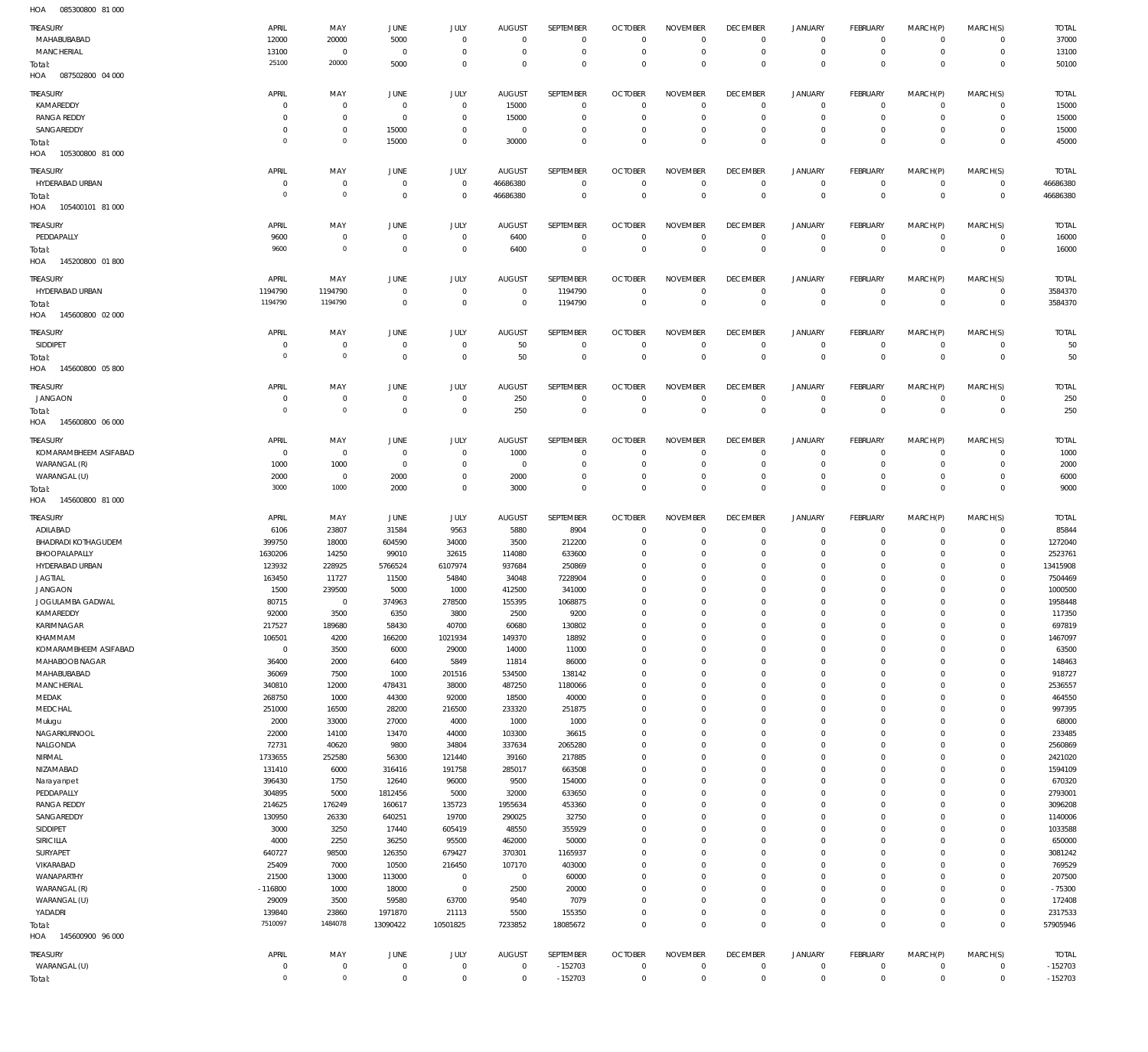085300800 81 000 HOA

| $\cdots$                   |                               |                           |                        |                                |                            |                        |                               |                            |                        |                            |                                  |                        |                               |                        |
|----------------------------|-------------------------------|---------------------------|------------------------|--------------------------------|----------------------------|------------------------|-------------------------------|----------------------------|------------------------|----------------------------|----------------------------------|------------------------|-------------------------------|------------------------|
| TREASURY                   | APRIL                         | MAY                       | JUNE                   | JULY                           | <b>AUGUST</b>              | SEPTEMBER              | <b>OCTOBER</b>                | <b>NOVEMBER</b>            | <b>DECEMBER</b>        | <b>JANUARY</b>             | <b>FEBRUARY</b>                  | MARCH(P)               | MARCH(S)                      | <b>TOTAL</b>           |
| MAHABUBABAD                | 12000                         | 20000                     | 5000                   | $\mathbf 0$                    | $\Omega$                   | $\mathbf 0$            | $\Omega$                      | $\Omega$                   | $\mathbf 0$            | $\mathbf 0$                | $\mathbf{0}$                     | $\mathbf 0$            | $\mathbf 0$                   | 37000                  |
| <b>MANCHERIAL</b>          | 13100                         | $\overline{0}$            | $\overline{0}$         | $^{\circ}$                     | $\Omega$                   | $\mathbb O$            | 0                             | $\overline{0}$             | $\mathbf 0$            | $\mathbf 0$                | $\circ$                          | $\mathbf 0$            | $\mathbf 0$                   | 13100                  |
| Total:                     | 25100                         | 20000                     | 5000                   | $\mathbf 0$                    | $\Omega$                   | $\mathbf 0$            | $\mathbf 0$                   | $\Omega$                   | $\mathbf 0$            | $\mathbf 0$                | $\Omega$                         | $\Omega$               | $\mathbf 0$                   | 50100                  |
| HOA<br>087502800 04 000    |                               |                           |                        |                                |                            |                        |                               |                            |                        |                            |                                  |                        |                               |                        |
| TREASURY                   | APRIL                         | MAY                       | JUNE                   | JULY                           | <b>AUGUST</b>              | SEPTEMBER              | <b>OCTOBER</b>                | <b>NOVEMBER</b>            | <b>DECEMBER</b>        | <b>JANUARY</b>             | FEBRUARY                         | MARCH(P)               | MARCH(S)                      | <b>TOTAL</b>           |
| KAMAREDDY                  | $\Omega$                      | $\overline{0}$            | $\mathbf 0$            | $\,0\,$                        | 15000                      | $\mathbf 0$            | $\circ$                       | $\mathbf 0$                | $\mathbf 0$            | $\mathbf 0$                | $\mathbf{0}$                     | $\mathbf 0$            | $\mathbf 0$                   | 15000                  |
| <b>RANGA REDDY</b>         | $\Omega$                      | $\mathbf 0$               | $\overline{0}$         | $\mathbf 0$                    | 15000                      | $\mathbf 0$            | $^{\circ}$                    | $^{\circ}$                 | $\mathbf 0$            | $\mathbf 0$                | $\overline{0}$                   | $\mathbf 0$            | $\mathbf 0$                   | 15000                  |
| SANGAREDDY                 | $\Omega$                      | $\overline{0}$            | 15000                  | $\overline{0}$                 | $\mathbf 0$                | $\mathbf 0$            | $^{\circ}$                    | $\mathbf 0$                | $\mathbf 0$            | $\mathbf 0$                | $\circ$                          | $\mathbf 0$            | $\mathbf 0$                   | 15000                  |
|                            | $\Omega$                      | $\mathbf 0$               | 15000                  | $\mathbf 0$                    | 30000                      | $\mathbf 0$            | $\Omega$                      | $\mathbf 0$                | $\mathbf 0$            | $\mathbf 0$                | $\overline{0}$                   | $\Omega$               | $\overline{0}$                | 45000                  |
| Total:<br>105300800 81 000 |                               |                           |                        |                                |                            |                        |                               |                            |                        |                            |                                  |                        |                               |                        |
| HOA                        |                               |                           |                        |                                |                            |                        |                               |                            |                        |                            |                                  |                        |                               |                        |
| TREASURY                   | APRIL                         | MAY                       | <b>JUNE</b>            | JULY                           | <b>AUGUST</b>              | SEPTEMBER              | <b>OCTOBER</b>                | <b>NOVEMBER</b>            | <b>DECEMBER</b>        | <b>JANUARY</b>             | FEBRUARY                         | MARCH(P)               | MARCH(S)                      | <b>TOTAL</b>           |
| HYDERABAD URBAN            | $\Omega$                      | $\overline{0}$            | $\overline{0}$         | $\mathbf 0$                    | 46686380                   | $\mathbf 0$            | $\mathbf 0$                   | $\overline{0}$             | $\mathbf 0$            | $\mathbf 0$                | $\mathbf{0}$                     | $^{\circ}$             | $\overline{0}$                | 46686380               |
| Total:                     | $\Omega$                      | $\mathbf 0$               | $\circ$                | $\mathbf 0$                    | 46686380                   | $\mathbb O$            | $\mathbf 0$                   | $\mathbf 0$                | $\mathbf 0$            | $\mathbf 0$                | $\overline{0}$                   | $\mathbf 0$            | $\overline{0}$                | 46686380               |
| HOA  105400101  81 000     |                               |                           |                        |                                |                            |                        |                               |                            |                        |                            |                                  |                        |                               |                        |
| TREASURY                   | APRIL                         | MAY                       | JUNE                   | JULY                           | <b>AUGUST</b>              | SEPTEMBER              | <b>OCTOBER</b>                | <b>NOVEMBER</b>            | <b>DECEMBER</b>        | <b>JANUARY</b>             | FEBRUARY                         | MARCH(P)               | MARCH(S)                      | <b>TOTAL</b>           |
| PEDDAPALLY                 | 9600                          | $\overline{0}$            | $\overline{0}$         | $\mathbf 0$                    | 6400                       | $\mathbf 0$            | 0                             | $^{\circ}$                 | $\mathbf 0$            | $\mathbf 0$                | $\overline{0}$                   | $\mathbf 0$            | $\mathbf 0$                   | 16000                  |
|                            | 9600                          | $\mathbf 0$               | $\mathsf{O}\xspace$    | $\mathsf{O}\xspace$            | 6400                       | $\mathbf 0$            | $\overline{0}$                | $\mathbf 0$                | $\overline{0}$         | $\bf 0$                    | $\overline{0}$                   | $\mathbf 0$            | $\mathbf 0$                   | 16000                  |
| Total:<br>145200800 01800  |                               |                           |                        |                                |                            |                        |                               |                            |                        |                            |                                  |                        |                               |                        |
| HOA                        |                               |                           |                        |                                |                            |                        |                               |                            |                        |                            |                                  |                        |                               |                        |
| TREASURY                   | APRIL                         | MAY                       | <b>JUNE</b>            | JULY                           | <b>AUGUST</b>              | SEPTEMBER              | <b>OCTOBER</b>                | <b>NOVEMBER</b>            | <b>DECEMBER</b>        | <b>JANUARY</b>             | FEBRUARY                         | MARCH(P)               | MARCH(S)                      | <b>TOTAL</b>           |
| HYDERABAD URBAN            | 1194790                       | 1194790                   | $\mathbf 0$            | $\overline{0}$                 | $^{\circ}$                 | 1194790                | $\overline{0}$                | $\overline{0}$             | $\overline{0}$         | $\mathbf 0$                | $\overline{0}$                   | $\mathbf{0}$           | $\mathbf 0$                   | 3584370                |
| Total:                     | 1194790                       | 1194790                   | $\mathbf 0$            | $\mathbf 0$                    | $^{\circ}$                 | 1194790                | $\circ$                       | $\overline{0}$             | $\mathbf 0$            | $\overline{0}$             | $\overline{0}$                   | $\mathbf 0$            | $\mathbf 0$                   | 3584370                |
| HOA<br>145600800 02 000    |                               |                           |                        |                                |                            |                        |                               |                            |                        |                            |                                  |                        |                               |                        |
| TREASURY                   | APRIL                         | MAY                       | JUNE                   | JULY                           | <b>AUGUST</b>              | SEPTEMBER              | <b>OCTOBER</b>                | <b>NOVEMBER</b>            | <b>DECEMBER</b>        | <b>JANUARY</b>             | FEBRUARY                         | MARCH(P)               | MARCH(S)                      | <b>TOTAL</b>           |
| <b>SIDDIPET</b>            | $\Omega$                      | $\overline{0}$            | $\overline{0}$         | $\mathbf 0$                    | 50                         | $\mathbf 0$            | $\circ$                       | $\mathbf 0$                | $\overline{0}$         | $\mathbf 0$                | $\overline{0}$                   | $^{\circ}$             | $\overline{0}$                | 50                     |
|                            | $^{\circ}$                    | $\mathbf 0$               | $\mathbf 0$            | $\mathbf 0$                    | 50                         | $\mathbf 0$            | $\overline{0}$                | $\mathbf 0$                | $\overline{0}$         | $\bf 0$                    | $\overline{0}$                   | $\mathbf 0$            | $\mathbf 0$                   | 50                     |
| Total:<br>145600800 05800  |                               |                           |                        |                                |                            |                        |                               |                            |                        |                            |                                  |                        |                               |                        |
| HOA                        |                               |                           |                        |                                |                            |                        |                               |                            |                        |                            |                                  |                        |                               |                        |
| TREASURY                   | APRIL                         | MAY                       | <b>JUNE</b>            | JULY                           | <b>AUGUST</b>              | SEPTEMBER              | <b>OCTOBER</b>                | <b>NOVEMBER</b>            | <b>DECEMBER</b>        | <b>JANUARY</b>             | FEBRUARY                         | MARCH(P)               | MARCH(S)                      | <b>TOTAL</b>           |
| <b>JANGAON</b>             | $\Omega$                      | $\overline{0}$            | $\overline{0}$         | $\mathbf 0$                    | 250                        | $\mathbf 0$            | $^{\circ}$                    | $^{\circ}$                 | $\mathbf 0$            | $\mathbf 0$                | $^{\circ}$                       | $\mathbf 0$            | $\mathbf 0$                   | 250                    |
| Total:                     | $^{\circ}$                    | $\mathbf 0$               | $\mathbf 0$            | $\mathbf 0$                    | 250                        | $\mathbb O$            | $\overline{0}$                | $\mathbf 0$                | $\mathbf 0$            | $\bf 0$                    | $\overline{0}$                   | $\mathbf 0$            | $\overline{0}$                | 250                    |
| HOA 145600800 06 000       |                               |                           |                        |                                |                            |                        |                               |                            |                        |                            |                                  |                        |                               |                        |
| TREASURY                   | APRIL                         | MAY                       | JUNE                   | JULY                           | <b>AUGUST</b>              | SEPTEMBER              | <b>OCTOBER</b>                | <b>NOVEMBER</b>            | <b>DECEMBER</b>        | <b>JANUARY</b>             | FEBRUARY                         | MARCH(P)               | MARCH(S)                      | <b>TOTAL</b>           |
| KOMARAMBHEEM ASIFABAD      | $\overline{0}$                | $\mathbf 0$               | $\overline{0}$         | $\overline{0}$                 | 1000                       | $\mathbf 0$            | $^{\circ}$                    | $^{\circ}$                 | $\mathbf 0$            | $\mathbf 0$                | $\overline{0}$                   | $\Omega$               | $\mathbf 0$                   | 1000                   |
|                            | 1000                          |                           | $\overline{0}$         | $\mathbf 0$                    | $\overline{0}$             | $\mathbf 0$            | $^{\circ}$                    | $^{\circ}$                 | $\mathbf 0$            | $\mathbf 0$                | $\mathbf{0}$                     | $\mathbf 0$            | $\mathbf 0$                   |                        |
| WARANGAL (R)               | 2000                          | 1000<br>$\overline{0}$    | 2000                   | $\overline{0}$                 | 2000                       | $\mathbf 0$            | $^{\circ}$                    | $\mathbf 0$                | $\mathbf 0$            | $\mathbf 0$                | $\overline{0}$                   | $\mathbf 0$            | $\mathbf 0$                   | 2000<br>6000           |
| WARANGAL (U)               | 3000                          | 1000                      |                        | $\mathbf 0$                    | 3000                       | $\mathbf 0$            | $\circ$                       | $\mathbf 0$                | $\mathbf 0$            | $\mathbf 0$                | $\overline{0}$                   | $\mathbf 0$            | $\overline{0}$                |                        |
| Total:                     |                               |                           | 2000                   |                                |                            |                        |                               |                            |                        |                            |                                  |                        |                               | 9000                   |
|                            |                               |                           |                        |                                |                            |                        |                               |                            |                        |                            |                                  |                        |                               |                        |
| HOA<br>145600800 81 000    |                               |                           |                        |                                |                            |                        |                               |                            |                        |                            |                                  |                        |                               |                        |
| TREASURY                   | APRIL                         | MAY                       | JUNE                   | JULY                           | <b>AUGUST</b>              | SEPTEMBER              | <b>OCTOBER</b>                | <b>NOVEMBER</b>            | <b>DECEMBER</b>        | <b>JANUARY</b>             | FEBRUARY                         | MARCH(P)               | MARCH(S)                      | <b>TOTAL</b>           |
| ADILABAD                   | 6106                          | 23807                     | 31584                  | 9563                           | 5880                       | 8904                   | $^{\circ}$                    | $\Omega$                   | $\mathbf 0$            | $^{\circ}$                 | $^{\circ}$                       | $\Omega$               | $\mathbf 0$                   | 85844                  |
| <b>BHADRADI KOTHAGUDEM</b> | 399750                        | 18000                     | 604590                 | 34000                          | 3500                       | 212200                 | $^{\circ}$                    | $\Omega$                   | $\mathbf 0$            | $\mathbf 0$                | $^{\circ}$                       | $\Omega$               | $\mathbf 0$                   | 1272040                |
| BHOOPALAPALLY              | 1630206                       | 14250                     | 99010                  | 32615                          | 114080                     | 633600                 | $\Omega$                      | $\Omega$                   | $\Omega$               | $\mathbf 0$                | $\mathbf 0$                      | $\Omega$               | $\mathbf 0$                   | 2523761                |
| HYDERABAD URBAN            | 123932                        | 228925                    | 5766524                | 6107974                        | 937684                     | 250869                 | $\Omega$                      | $\Omega$                   | $\mathbf 0$            | $\mathbf 0$                | $\Omega$                         | $\Omega$               | $\mathbf 0$                   | 13415908               |
| <b>JAGTIAL</b>             | 163450                        | 11727                     | 11500                  | 54840                          | 34048                      | 7228904                | $\Omega$                      | $\Omega$                   | $\Omega$               | $\Omega$                   | $\Omega$                         | $\Omega$               | $\Omega$                      | 7504469                |
| <b>JANGAON</b>             | 1500                          | 239500                    | 5000                   | 1000                           | 412500                     | 341000                 | $\Omega$                      | $\Omega$                   | $\Omega$               | $\Omega$                   | $\Omega$                         | $\Omega$               | $\mathbf 0$                   | 1000500                |
| JOGULAMBA GADWAL           | 80715                         | $\Omega$                  | 374963                 | 278500                         | 155395                     | 1068875                | $\Omega$                      | $\Omega$                   | $\Omega$               | $\Omega$                   | $\Omega$                         | $\Omega$               | $\Omega$                      | 1958448                |
| KAMAREDDY                  | 92000                         | 3500                      | 6350                   | 3800                           | 2500                       | 9200                   | $^{\circ}$                    | $^{\circ}$                 | $\mathbf 0$            | 0                          | $^{\circ}$                       | $\mathbf 0$            | $\mathbf 0$                   | 117350                 |
| <b>KARIMNAGAR</b>          | 217527                        | 189680                    | 58430                  | 40700                          | 60680                      | 130802                 | $\circ$                       | $\Omega$                   | $\mathbf 0$            | $\mathbf 0$                | $\mathbf 0$                      | $\Omega$               | $\mathbf 0$                   | 697819                 |
| KHAMMAM                    | 106501                        | 4200                      | 166200                 | 1021934                        | 149370                     | 18892                  | $^{\circ}$                    | $\Omega$                   | $\mathbf 0$            | $\mathbf 0$                | $\mathbf 0$                      | $\Omega$               | $\mathbf 0$                   | 1467097                |
| KOMARAMBHEEM ASIFABAD      | $\overline{0}$                | 3500                      | 6000                   | 29000                          | 14000                      | 11000                  | $\circ$                       | $\Omega$                   | $\mathbf 0$            | $\mathbf 0$                | $\mathbf 0$                      | $\Omega$               | $\mathbf 0$                   | 63500                  |
| MAHABOOB NAGAR             | 36400                         | 2000                      | 6400                   | 5849                           | 11814                      | 86000                  | $\Omega$                      | $\Omega$                   | $\mathbf 0$            | $\Omega$                   | $\Omega$                         | $\Omega$               | $\Omega$                      | 148463                 |
| MAHABUBABAD                | 36069                         | 7500                      | 1000                   | 201516                         | 534500                     | 138142                 | $\Omega$                      | $\Omega$                   | $\Omega$               | $\Omega$                   | $\mathbf 0$                      | $\Omega$               | $\mathbf 0$                   | 918727                 |
| <b>MANCHERIAL</b>          | 340810                        | 12000                     | 478431                 | 38000                          | 487250                     | 1180066                | $^{\circ}$                    | $\Omega$                   | $\mathbf 0$            | $\Omega$                   | $\Omega$                         | $\Omega$               | $\Omega$                      | 2536557                |
| MEDAK                      | 268750                        | 1000                      | 44300                  | 92000                          | 18500                      | 40000                  | $^{\circ}$                    | $\Omega$                   | $\Omega$               | $\mathbf 0$                | $\mathbf 0$                      | $\Omega$               | $\Omega$                      | 464550                 |
| MEDCHAL                    | 251000                        | 16500                     | 28200                  | 216500                         | 233320                     | 251875                 | $^{\circ}$                    | $\Omega$                   | $\mathbf 0$            | $\Omega$                   | $\Omega$                         | $\Omega$               | $\Omega$                      | 997395                 |
| Mulugu                     | 2000                          | 33000                     | 27000                  | 4000                           | 1000                       | 1000                   | $\Omega$                      | $\Omega$                   | $\Omega$               | $\Omega$                   | $\mathbf 0$                      | $\Omega$               | $\mathbf 0$                   | 68000                  |
| NAGARKURNOOL               | 22000                         | 14100                     | 13470                  | 44000                          | 103300                     | 36615                  | $^{\circ}$                    | $\Omega$                   | $\mathbf 0$            | $\mathbf 0$                | $\mathbf 0$                      | $\Omega$               | $\mathbf 0$                   | 233485                 |
| NALGONDA                   | 72731                         | 40620                     | 9800                   | 34804                          | 337634                     | 2065280                | $\Omega$                      | $\Omega$                   | $\Omega$               | $\Omega$                   | $\mathbf 0$                      | $\Omega$               | $\Omega$                      | 2560869                |
| NIRMAL                     | 1733655                       | 252580                    | 56300                  | 121440                         | 39160                      | 217885                 | $^{\circ}$                    | $\Omega$                   | $\mathbf 0$            | $\mathbf 0$                | $\mathbf 0$                      | $\Omega$               | $\mathbf 0$                   | 2421020                |
| NIZAMABAD                  | 131410                        | 6000                      | 316416                 | 191758                         | 285017                     | 663508                 | $\Omega$                      | $\Omega$                   | $\Omega$               | $\Omega$                   | $\Omega$                         | $\Omega$               | $\Omega$                      | 1594109                |
| Narayanpet                 | 396430                        | 1750                      | 12640                  | 96000                          | 9500                       | 154000                 | $^{\circ}$                    | $\Omega$                   | $\mathbf 0$            | $\mathbf 0$                | $\mathbf 0$                      | $\Omega$               | $\mathbf 0$                   | 670320                 |
| PEDDAPALLY                 | 304895                        | 5000                      | 1812456                | 5000                           | 32000                      | 633650                 | $\Omega$                      | $\Omega$                   | $\mathbf 0$            | $\mathbf 0$                | $\mathbf 0$                      | $\Omega$               | $\Omega$                      | 2793001                |
| <b>RANGA REDDY</b>         | 214625                        | 176249                    | 160617                 | 135723                         | 1955634                    | 453360                 | $^{\circ}$                    | $\Omega$                   | $\Omega$               | $\Omega$                   | $\mathbf 0$                      | $\Omega$               | $\mathbf 0$                   | 3096208                |
| SANGAREDDY                 | 130950                        | 26330                     | 640251                 | 19700                          | 290025                     | 32750                  | $\circ$                       | $\Omega$                   | $\mathbf 0$            | $\mathbf 0$                | $\mathbf 0$                      | $\Omega$               | $\mathbf 0$                   | 1140006                |
| SIDDIPET                   | 3000                          | 3250                      | 17440                  | 605419                         | 48550                      | 355929                 | $^{\circ}$                    | $\Omega$                   | $\Omega$               | $\Omega$                   | $\Omega$                         | $\Omega$               | $\Omega$                      | 1033588                |
| SIRICILLA                  | 4000                          | 2250                      | 36250                  | 95500                          | 462000                     | 50000                  | $^{\circ}$                    | $\Omega$                   | $\mathbf 0$            | $\mathbf 0$                | $\mathbf 0$                      | $\Omega$               | $\mathbf 0$                   | 650000                 |
| SURYAPET                   | 640727                        | 98500                     | 126350                 | 679427                         | 370301                     | 1165937                | $\Omega$                      | $\Omega$                   | $\Omega$               | $\Omega$                   | $\Omega$                         | $\Omega$               | $\Omega$                      | 3081242                |
| VIKARABAD                  | 25409                         | 7000                      | 10500                  | 216450                         | 107170                     | 403000                 | $\circ$                       | $\Omega$                   | $\Omega$               | $\Omega$                   | $\mathbf 0$                      | $\Omega$               | $\mathbf 0$                   | 769529                 |
| WANAPARTHY                 | 21500                         | 13000                     | 113000                 | $\,0\,$                        | $\mathbf 0$                | 60000                  | $^{\circ}$                    | $\Omega$                   | $\mathbf 0$            | $\Omega$                   | $\Omega$                         | $\Omega$               | $\Omega$                      | 207500                 |
| WARANGAL (R)               | $-116800$                     | 1000                      | 18000                  | $\mathbb O$                    | 2500                       | 20000                  | $^{\circ}$                    | $\Omega$                   | $\mathbf 0$            | $\mathbf 0$                | $\mathbf 0$                      | $\Omega$               | $\mathbf 0$                   | $-75300$               |
| WARANGAL (U)               | 29009                         | 3500                      | 59580                  | 63700                          | 9540                       | 7079                   | $^{\circ}$                    | $\Omega$                   | $\mathbf 0$            | $\mathbf 0$                | $\mathbf 0$                      | $\Omega$               | $\mathbf 0$                   | 172408                 |
| YADADRI                    | 139840                        | 23860                     | 1971870                | 21113                          | 5500                       | 155350                 | $\circ$                       | $\Omega$                   | $\mathbf 0$            | $\mathbf 0$                | $\mathbf{0}$                     | $\Omega$               | $\mathbf 0$                   | 2317533                |
| Total:                     | 7510097                       | 1484078                   | 13090422               | 10501825                       | 7233852                    | 18085672               | $\Omega$                      | $\Omega$                   | $\mathbf 0$            | $\mathbf 0$                | $\Omega$                         | $\Omega$               | $\Omega$                      | 57905946               |
| HOA<br>145600900 96 000    |                               |                           |                        |                                |                            |                        |                               |                            |                        |                            |                                  |                        |                               |                        |
|                            |                               |                           |                        |                                |                            |                        |                               |                            |                        |                            |                                  |                        |                               |                        |
| TREASURY                   | APRIL                         | MAY                       | JUNE                   | JULY                           | <b>AUGUST</b>              | SEPTEMBER              | <b>OCTOBER</b>                | <b>NOVEMBER</b>            | <b>DECEMBER</b>        | <b>JANUARY</b>             | FEBRUARY                         | MARCH(P)               | MARCH(S)                      | <b>TOTAL</b>           |
| WARANGAL (U)<br>Total:     | $\overline{0}$<br>$\mathbf 0$ | $\overline{0}$<br>$\,0\,$ | $\,0\,$<br>$\mathbf 0$ | $\,0\,$<br>$\mathsf{O}\xspace$ | $\mathbf 0$<br>$\mathbf 0$ | $-152703$<br>$-152703$ | $\overline{0}$<br>$\mathbf 0$ | $\mathbb O$<br>$\mathbb O$ | $\mathbf 0$<br>$\bf 0$ | $\mathbb O$<br>$\mathbf 0$ | $\overline{0}$<br>$\overline{0}$ | $\circ$<br>$\mathbf 0$ | $\overline{0}$<br>$\mathbf 0$ | $-152703$<br>$-152703$ |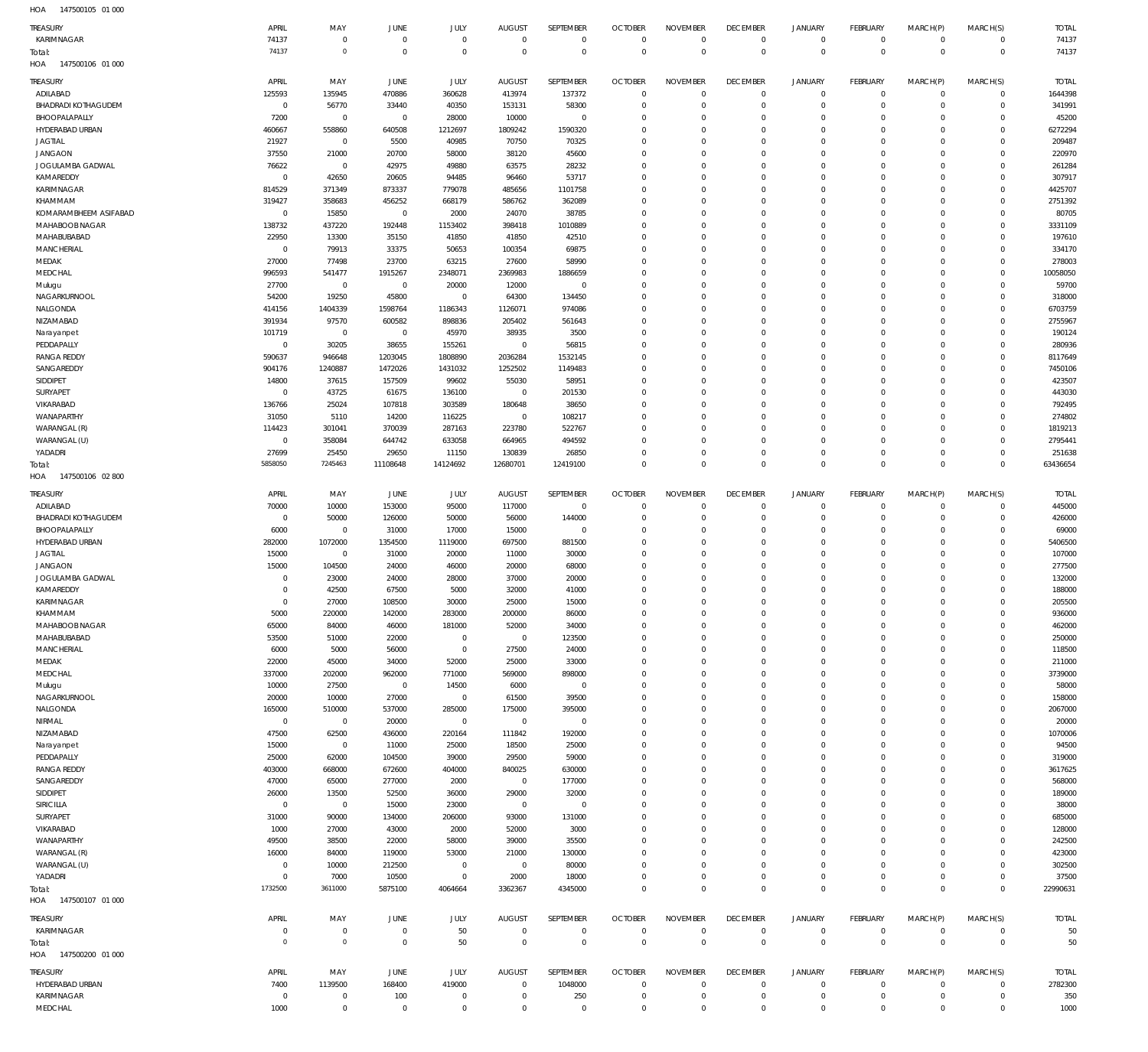| <b>TREASURY</b>                             | APRIL                            | MAY                      | <b>JUNE</b>               | JULY                         | <b>AUGUST</b>                   | SEPTEMBER                 | <b>OCTOBER</b>                   | <b>NOVEMBER</b>                | <b>DECEMBER</b>                   | <b>JANUARY</b>                | <b>FEBRUARY</b>                   | MARCH(P)                   | MARCH(S)                   | <b>TOTAL</b>      |
|---------------------------------------------|----------------------------------|--------------------------|---------------------------|------------------------------|---------------------------------|---------------------------|----------------------------------|--------------------------------|-----------------------------------|-------------------------------|-----------------------------------|----------------------------|----------------------------|-------------------|
| KARIMNAGAR                                  | 74137                            | 0                        | $\mathbf 0$               | $\mathbf 0$                  | $\overline{0}$                  | $\overline{0}$            | $\overline{0}$                   | $\mathbf 0$                    | $\overline{0}$                    | $\circ$                       | $\overline{0}$                    | $\mathbf 0$                | $\overline{0}$             | 74137             |
| Total:                                      | 74137                            | $\,0\,$                  | $\overline{0}$            | $\overline{0}$               | $\overline{0}$                  | $\overline{0}$            | $\overline{0}$                   | $\overline{0}$                 | $\overline{0}$                    | $\overline{0}$                | $\overline{0}$                    | $\mathbf 0$                | $\mathbf 0$                | 74137             |
| HOA<br>147500106 01 000                     |                                  |                          |                           |                              |                                 |                           |                                  |                                |                                   |                               |                                   |                            |                            |                   |
| TREASURY<br>ADILABAD                        | APRIL<br>125593                  | MAY<br>135945            | JUNE<br>470886            | JULY<br>360628               | <b>AUGUST</b>                   | <b>SEPTEMBER</b>          | <b>OCTOBER</b><br>$\overline{0}$ | <b>NOVEMBER</b><br>$\mathbf 0$ | <b>DECEMBER</b><br>$\mathbf 0$    | <b>JANUARY</b><br>$\mathbf 0$ | <b>FEBRUARY</b><br>$\mathbf 0$    | MARCH(P)<br>$\mathbf 0$    | MARCH(S)<br>$\mathbf 0$    | <b>TOTAL</b>      |
| <b>BHADRADI KOTHAGUDEM</b>                  | $\overline{0}$                   | 56770                    | 33440                     | 40350                        | 413974<br>153131                | 137372<br>58300           | $\overline{0}$                   | 0                              | $\mathbf 0$                       | $\mathbf 0$                   | $\circ$                           | $\mathbf 0$                | $\mathbf 0$                | 1644398<br>341991 |
| BHOOPALAPALLY                               | 7200                             | $\mathbf 0$              | $\mathbf{0}$              | 28000                        | 10000                           | $\overline{0}$            | $\mathbf 0$                      | 0                              | $\mathbf 0$                       | $\mathbf 0$                   | $\mathbf 0$                       | $\Omega$                   | $\mathbf 0$                | 45200             |
| HYDERABAD URBAN                             | 460667                           | 558860                   | 640508                    | 1212697                      | 1809242                         | 1590320                   | $^{\circ}$                       | $\Omega$                       | $\mathbf 0$                       | $\mathbf 0$                   | $\mathbf 0$                       | $\Omega$                   | $\mathbf 0$                | 6272294           |
| <b>JAGTIAL</b>                              | 21927<br>37550                   | $\overline{0}$           | 5500                      | 40985                        | 70750                           | 70325                     | $\circ$                          | $\Omega$                       | $\mathbf 0$                       | $\mathbf 0$                   | $\mathbf 0$                       | $\Omega$<br>$\Omega$       | $\Omega$                   | 209487            |
| <b>JANGAON</b><br>JOGULAMBA GADWAL          | 76622                            | 21000<br>$\mathbf{0}$    | 20700<br>42975            | 58000<br>49880               | 38120<br>63575                  | 45600<br>28232            | $\mathbf 0$<br>$\circ$           | $\mathbf 0$<br>$\Omega$        | $\mathbf 0$<br>$\mathbf 0$        | $\mathbf 0$<br>$\mathbf 0$    | $\mathbf 0$<br>$\mathbf 0$        | $\Omega$                   | $\mathbf 0$<br>$\Omega$    | 220970<br>261284  |
| KAMAREDDY                                   | $\overline{0}$                   | 42650                    | 20605                     | 94485                        | 96460                           | 53717                     | $\mathbf 0$                      | $\Omega$                       | $\mathbf 0$                       | $\mathbf 0$                   | $\mathbf 0$                       | $\Omega$                   | $\mathbf 0$                | 307917            |
| KARIMNAGAR                                  | 814529                           | 371349                   | 873337                    | 779078                       | 485656                          | 1101758                   | $\circ$                          | $\Omega$                       | $\mathbf 0$                       | $\mathbf 0$                   | $\mathbf 0$                       | $\Omega$                   | $\mathbf 0$                | 4425707           |
| KHAMMAM                                     | 319427                           | 358683                   | 456252                    | 668179                       | 586762                          | 362089                    | $\circ$                          | $\Omega$                       | $\mathbf 0$                       | $\mathbf 0$                   | $\Omega$                          | $\Omega$                   | $\mathbf 0$                | 2751392           |
| KOMARAMBHEEM ASIFABAD<br>MAHABOOB NAGAR     | $\overline{0}$<br>138732         | 15850<br>437220          | $\overline{0}$<br>192448  | 2000<br>1153402              | 24070<br>398418                 | 38785<br>1010889          | $\mathbf 0$<br>$\circ$           | $\Omega$<br>$\Omega$           | $\mathbf 0$<br>$\mathbf 0$        | $\mathbf 0$<br>$\mathbf 0$    | $\mathbf 0$<br>$\mathbf 0$        | $\Omega$<br>$\Omega$       | $\mathbf 0$<br>$\mathbf 0$ | 80705<br>3331109  |
| MAHABUBABAD                                 | 22950                            | 13300                    | 35150                     | 41850                        | 41850                           | 42510                     | $\circ$                          | $\Omega$                       | $\mathbf 0$                       | $\mathbf 0$                   | $\mathbf 0$                       | $\Omega$                   | $\Omega$                   | 197610            |
| <b>MANCHERIAL</b>                           | $\mathbf{0}$                     | 79913                    | 33375                     | 50653                        | 100354                          | 69875                     | $\mathbf 0$                      | $\mathbf 0$                    | $\mathbf 0$                       | $\mathbf 0$                   | $\mathbf 0$                       | $\Omega$                   | $\mathbf 0$                | 334170            |
| MEDAK                                       | 27000                            | 77498                    | 23700                     | 63215                        | 27600                           | 58990                     | 0                                | $\Omega$                       | $\mathbf 0$                       | $\mathbf 0$                   | $\mathbf 0$                       | $\Omega$                   | $\Omega$                   | 278003            |
| MEDCHAL                                     | 996593                           | 541477<br>$\overline{0}$ | 1915267<br>$\overline{0}$ | 2348071                      | 2369983                         | 1886659<br>$\overline{0}$ | $^{\circ}$<br>$\circ$            | $\Omega$<br>$\Omega$           | $\mathbf 0$<br>$\mathbf 0$        | $\mathbf 0$<br>$\mathbf 0$    | $\mathbf 0$<br>$\mathbf 0$        | $\Omega$<br>$\Omega$       | $\mathbf 0$<br>$\mathbf 0$ | 10058050<br>59700 |
| Mulugu<br>NAGARKURNOOL                      | 27700<br>54200                   | 19250                    | 45800                     | 20000<br>$\mathbf{0}$        | 12000<br>64300                  | 134450                    | $^{\circ}$                       | $\Omega$                       | $\mathbf 0$                       | $\mathbf 0$                   | $\Omega$                          | $\Omega$                   | $\mathbf 0$                | 318000            |
| NALGONDA                                    | 414156                           | 1404339                  | 1598764                   | 1186343                      | 1126071                         | 974086                    | $^{\circ}$                       | $\Omega$                       | $\mathbf 0$                       | $\mathbf 0$                   | $\mathbf 0$                       | $\Omega$                   | $\mathbf 0$                | 6703759           |
| NIZAMABAD                                   | 391934                           | 97570                    | 600582                    | 898836                       | 205402                          | 561643                    | $^{\circ}$                       | $\Omega$                       | $\mathbf 0$                       | $\mathbf 0$                   | $\Omega$                          | $\Omega$                   | $\mathbf 0$                | 2755967           |
| Narayanpet                                  | 101719                           | $\mathbf{0}$             | $\overline{0}$            | 45970                        | 38935                           | 3500                      | $\circ$                          | $\Omega$                       | $\mathbf 0$                       | $\mathbf 0$                   | $\mathbf 0$                       | $\Omega$                   | $\Omega$                   | 190124            |
| PEDDAPALLY<br><b>RANGA REDDY</b>            | $\overline{0}$<br>590637         | 30205<br>946648          | 38655<br>1203045          | 155261<br>1808890            | $\overline{0}$<br>2036284       | 56815<br>1532145          | $\mathbf 0$<br>$\circ$           | 0<br>$\Omega$                  | $\mathbf 0$<br>$\mathbf 0$        | $\mathbf 0$<br>$\mathbf 0$    | $\mathbf 0$<br>$\mathbf 0$        | $\Omega$<br>$\Omega$       | $\mathbf 0$<br>$\Omega$    | 280936<br>8117649 |
| SANGAREDDY                                  | 904176                           | 1240887                  | 1472026                   | 1431032                      | 1252502                         | 1149483                   | $\mathbf 0$                      | $\Omega$                       | $\mathbf 0$                       | $\mathbf 0$                   | $\mathbf 0$                       | $\Omega$                   | $\mathbf 0$                | 7450106           |
| SIDDIPET                                    | 14800                            | 37615                    | 157509                    | 99602                        | 55030                           | 58951                     | $\circ$                          | $\Omega$                       | $\mathbf 0$                       | $\mathbf 0$                   | $\mathbf 0$                       | $\Omega$                   | $\Omega$                   | 423507            |
| SURYAPET                                    | $\overline{0}$                   | 43725                    | 61675                     | 136100                       | $\overline{0}$                  | 201530                    | $^{\circ}$                       | $\Omega$                       | $\mathbf 0$                       | $\mathbf 0$                   | $\Omega$                          | $\Omega$                   | $\mathbf 0$                | 443030            |
| VIKARABAD                                   | 136766                           | 25024                    | 107818                    | 303589                       | 180648                          | 38650                     | $\circ$                          | $\Omega$                       | $\mathbf 0$                       | $\mathbf 0$                   | $\mathbf 0$                       | $\Omega$                   | $\mathbf 0$                | 792495            |
| WANAPARTHY<br>WARANGAL (R)                  | 31050<br>114423                  | 5110<br>301041           | 14200<br>370039           | 116225<br>287163             | $\overline{0}$<br>223780        | 108217<br>522767          | $^{\circ}$<br>$^{\circ}$         | $\Omega$<br>$\Omega$           | $\mathbf 0$<br>$\mathbf 0$        | $\mathbf 0$<br>$\mathbf 0$    | $\Omega$<br>$\mathbf 0$           | $\Omega$<br>$\Omega$       | $\mathbf 0$<br>$\mathbf 0$ | 274802<br>1819213 |
| WARANGAL (U)                                | $\mathbb O$                      | 358084                   | 644742                    | 633058                       | 664965                          | 494592                    | $^{\circ}$                       | $\mathbf 0$                    | $\mathbf 0$                       | $\mathbf 0$                   | $\mathbf 0$                       | $\Omega$                   | $\mathbf 0$                | 2795441           |
| YADADRI                                     | 27699                            | 25450                    | 29650                     | 11150                        | 130839                          | 26850                     | $\circ$                          | $\mathbf 0$                    | $\mathbf 0$                       | $\mathbf 0$                   | $\mathbf 0$                       | $\Omega$                   | $\mathbf 0$                | 251638            |
| Total:                                      | 5858050                          | 7245463                  | 11108648                  | 14124692                     | 12680701                        | 12419100                  | $\overline{0}$                   | $\mathbf 0$                    | $\overline{0}$                    | $\mathbf 0$                   | $\overline{0}$                    | $\Omega$                   | $\mathbf 0$                | 63436654          |
| HOA<br>147500106 02 800                     |                                  |                          |                           |                              |                                 |                           |                                  |                                |                                   |                               |                                   |                            |                            |                   |
| TREASURY                                    | APRIL                            | MAY                      | JUNE                      | JULY                         | <b>AUGUST</b>                   | SEPTEMBER                 | <b>OCTOBER</b>                   | <b>NOVEMBER</b>                | <b>DECEMBER</b>                   | <b>JANUARY</b>                | <b>FEBRUARY</b>                   | MARCH(P)                   | MARCH(S)                   | <b>TOTAL</b>      |
| ADILABAD                                    | 70000                            | 10000                    | 153000                    | 95000                        | 117000                          | $\overline{0}$            | $\overline{0}$                   | $\mathbf 0$                    | $\mathbf 0$                       | $\mathbf 0$                   | $\mathbf 0$                       | $\mathbf 0$                | $\mathbf 0$                | 445000            |
| <b>BHADRADI KOTHAGUDEM</b><br>BHOOPALAPALLY | $\overline{0}$<br>6000           | 50000<br>$\mathbf{0}$    | 126000<br>31000           | 50000<br>17000               | 56000<br>15000                  | 144000<br>$^{\circ}$      | $\circ$<br>$^{\circ}$            | $\mathbf 0$<br>$\mathbf 0$     | $\mathbf 0$<br>$\mathbf 0$        | $\mathbf 0$<br>$\mathbf 0$    | $\overline{0}$<br>$\mathbf 0$     | $\mathbf 0$<br>$\mathbf 0$ | $\mathbf 0$<br>$\mathbf 0$ | 426000<br>69000   |
| HYDERABAD URBAN                             | 282000                           | 1072000                  | 1354500                   | 1119000                      | 697500                          | 881500                    | $\circ$                          | $\Omega$                       | $\mathbf 0$                       | $\mathbf 0$                   | $\circ$                           | $\Omega$                   | $\mathbf 0$                | 5406500           |
| <b>JAGTIAL</b>                              | 15000                            | $\overline{0}$           | 31000                     | 20000                        | 11000                           | 30000                     | $\overline{0}$                   | $\mathbf 0$                    | $\mathbf 0$                       | $\mathbf 0$                   | $\mathbf 0$                       | $\Omega$                   | $\mathbf 0$                | 107000            |
| <b>JANGAON</b>                              | 15000                            | 104500                   | 24000                     | 46000                        | 20000                           | 68000                     | $\circ$                          | $\mathbf 0$                    | $\mathbf 0$                       | $\mathbf 0$                   | $\circ$                           | $\Omega$                   | $\mathbf 0$                | 277500            |
| JOGULAMBA GADWAL                            | $\overline{0}$                   | 23000                    | 24000                     | 28000                        | 37000                           | 20000                     | $^{\circ}$                       | $\mathbf 0$                    | $\mathbf 0$                       | $\mathbf 0$                   | $\mathbf 0$                       | $\Omega$                   | $\mathbf 0$                | 132000            |
| KAMAREDDY<br>KARIMNAGAR                     | $\overline{0}$<br>$\overline{0}$ | 42500<br>27000           | 67500<br>108500           | 5000<br>30000                | 32000<br>25000                  | 41000<br>15000            | $\circ$<br>$\mathbf 0$           | $\Omega$<br>$\Omega$           | $\mathbf 0$<br>$\Omega$           | $\mathbf 0$<br>$\Omega$       | $\mathbf 0$<br>$\Omega$           | $\Omega$<br>$\Omega$       | $\mathbf 0$<br>$\Omega$    | 188000<br>205500  |
| KHAMMAM                                     | 5000                             |                          |                           |                              |                                 |                           | - 0                              |                                | 0                                 | $\Omega$                      | $\Omega$                          |                            |                            | 936000            |
| MAHABOOB NAGAR                              |                                  | 220000                   | 142000                    | 283000                       | 200000                          | 86000                     |                                  |                                | $\mathbf 0$                       | $\mathbf 0$                   |                                   |                            | O                          |                   |
|                                             | 65000                            | 84000                    | 46000                     | 181000                       | 52000                           | 34000                     | $\overline{0}$                   | $\mathbf 0$                    | $\mathbf 0$                       |                               | $\mathbf 0$                       | $\mathbf 0$                | $\mathbf 0$                | 462000            |
| MAHABUBABAD                                 | 53500                            | 51000                    | 22000                     | $\overline{0}$               | $\overline{0}$                  | 123500                    | $\overline{0}$                   | $\mathbf 0$                    |                                   | $\mathbf 0$                   | $\mathbf 0$                       | $\mathbf 0$                | $\mathbf 0$                | 250000            |
| <b>MANCHERIAL</b>                           | 6000                             | 5000                     | 56000                     | $\overline{0}$               | 27500                           | 24000                     | $\mathbf 0$                      | $\mathbf 0$                    | $\mathbf 0$                       | $\mathbf 0$                   | $\mathbf 0$                       | $\Omega$                   | $\mathbf 0$                | 118500            |
| MEDAK                                       | 22000                            | 45000                    | 34000                     | 52000                        | 25000                           | 33000                     | $\circ$<br>$\mathbf 0$           | $\mathbf 0$<br>$\mathbf 0$     | $\mathbf 0$<br>$\mathbf 0$        | $\mathbf 0$<br>$\mathbf 0$    | $\circ$<br>$\mathbf 0$            | $\Omega$<br>$\Omega$       | $\mathbf 0$<br>$\mathbf 0$ | 211000            |
| MEDCHAL<br>Mulugu                           | 337000<br>10000                  | 202000<br>27500          | 962000<br>$\overline{0}$  | 771000<br>14500              | 569000<br>6000                  | 898000<br>$\overline{0}$  | $\circ$                          | $\mathbf 0$                    | $\mathbf 0$                       | $\mathbf 0$                   | $\circ$                           | $\Omega$                   | $\mathbf 0$                | 3739000<br>58000  |
| NAGARKURNOOL                                | 20000                            | 10000                    | 27000                     | $\mathbf 0$                  | 61500                           | 39500                     | $\circ$                          | $\mathbf 0$                    | $\mathbf 0$                       | $\mathbf 0$                   | $\circ$                           | $\Omega$                   | $\mathbf 0$                | 158000            |
| NALGONDA                                    | 165000                           | 510000                   | 537000                    | 285000                       | 175000                          | 395000                    | $\circ$                          | $\mathbf 0$                    | $\mathbf 0$                       | $\mathbf 0$                   | $\mathbf 0$                       | $\Omega$                   | $\mathbf 0$                | 2067000           |
| NIRMAL                                      | $\overline{0}$                   | $\overline{0}$           | 20000                     | $\mathbf{0}$                 | $\mathbf 0$                     | $^{\circ}$                | $\mathbf 0$                      | $\mathbf 0$                    | $\mathbf 0$                       | $\mathbf 0$                   | $\mathbf 0$                       | $\mathbf 0$<br>$\Omega$    | $\mathbf 0$                | 20000             |
| NIZAMABAD<br>Narayanpet                     | 47500<br>15000                   | 62500<br>$\overline{0}$  | 436000<br>11000           | 220164<br>25000              | 111842<br>18500                 | 192000<br>25000           | $\circ$<br>$\mathbf 0$           | $\mathbf 0$<br>$\mathbf 0$     | $\mathbf 0$<br>$\mathbf 0$        | $\mathbf 0$<br>$\mathbf 0$    | $\circ$<br>$\mathbf 0$            | $\Omega$                   | $\mathbf 0$<br>$\mathbf 0$ | 1070006<br>94500  |
| PEDDAPALLY                                  | 25000                            | 62000                    | 104500                    | 39000                        | 29500                           | 59000                     | $\circ$                          | $\mathbf 0$                    | $\mathbf 0$                       | $\mathbf 0$                   | $\circ$                           | $\Omega$                   | $\mathbf 0$                | 319000            |
| <b>RANGA REDDY</b>                          | 403000                           | 668000                   | 672600                    | 404000                       | 840025                          | 630000                    | $\mathbf 0$                      | $\mathbf 0$                    | $\mathbf 0$                       | $\mathbf 0$                   | $\mathbf 0$                       | $\Omega$                   | $\mathbf 0$                | 3617625           |
| SANGAREDDY                                  | 47000                            | 65000                    | 277000                    | 2000                         | $\overline{0}$                  | 177000                    | $\mathbf 0$                      | $\mathbf 0$                    | $\mathbf 0$                       | $\mathbf 0$                   | $\circ$                           | $\Omega$                   | $\mathbf 0$                | 568000            |
| SIDDIPET<br>SIRICILLA                       | 26000<br>$\overline{0}$          | 13500<br>$\overline{0}$  | 52500<br>15000            | 36000<br>23000               | 29000<br>$\overline{0}$         | 32000<br>$\overline{0}$   | $\circ$<br>$\overline{0}$        | $\mathbf 0$<br>$\Omega$        | $\mathbf 0$<br>$\mathbf 0$        | $\mathbf 0$<br>$\mathbf 0$    | $\circ$<br>$\mathbf 0$            | $\Omega$<br>$\Omega$       | $\mathbf 0$<br>$\mathbf 0$ | 189000<br>38000   |
| SURYAPET                                    | 31000                            | 90000                    | 134000                    | 206000                       | 93000                           | 131000                    | $\mathbf 0$                      | $\mathbf 0$                    | $\mathbf 0$                       | $\mathbf 0$                   | $\mathbf 0$                       | $\mathbf 0$                | $\mathbf 0$                | 685000            |
| VIKARABAD                                   | 1000                             | 27000                    | 43000                     | 2000                         | 52000                           | 3000                      | $\circ$                          | $\mathbf 0$                    | $\mathbf 0$                       | $\mathbf 0$                   | $\circ$                           | $\Omega$                   | $\mathbf 0$                | 128000            |
| WANAPARTHY                                  | 49500                            | 38500                    | 22000                     | 58000                        | 39000                           | 35500                     | $\mathbf 0$                      | $\mathbf 0$                    | $\mathbf 0$                       | $\mathbf 0$                   | $\mathbf 0$                       | $\Omega$                   | $\mathbf 0$                | 242500            |
| WARANGAL (R)                                | 16000                            | 84000                    | 119000                    | 53000                        | 21000                           | 130000                    | $\circ$                          | $\mathbf 0$                    | $\mathbf 0$                       | $\mathbf 0$                   | $\circ$                           | $\Omega$                   | $\mathbf 0$                | 423000            |
| WARANGAL (U)<br>YADADRI                     | $\mathbf{0}$<br>$\mathbf{0}$     | 10000<br>7000            | 212500<br>10500           | $\mathbf{0}$<br>$\mathbf{0}$ | $\overline{0}$<br>2000          | 80000<br>18000            | $\mathbf 0$<br>$\overline{0}$    | $\mathbf 0$<br>$\mathbf 0$     | $\mathbf 0$<br>$\mathbf 0$        | $\mathbf 0$<br>$\mathbf 0$    | $\mathbf 0$<br>$\overline{0}$     | $\Omega$<br>$\mathbf 0$    | $\mathbf 0$<br>$\mathbf 0$ | 302500<br>37500   |
| Total:                                      | 1732500                          | 3611000                  | 5875100                   | 4064664                      | 3362367                         | 4345000                   | $\overline{0}$                   | $\mathbf 0$                    | $\overline{0}$                    | $\mathbf 0$                   | $\overline{0}$                    | $\mathbf 0$                | $\mathbf 0$                | 22990631          |
| HOA<br>147500107 01 000                     |                                  |                          |                           |                              |                                 |                           |                                  |                                |                                   |                               |                                   |                            |                            |                   |
| <b>TREASURY</b>                             | APRIL                            | MAY                      | <b>JUNE</b>               | JULY                         | <b>AUGUST</b>                   | SEPTEMBER                 | <b>OCTOBER</b>                   | <b>NOVEMBER</b>                | <b>DECEMBER</b>                   | <b>JANUARY</b>                | FEBRUARY                          | MARCH(P)                   | MARCH(S)                   | <b>TOTAL</b>      |
| KARIMNAGAR                                  | $\overline{0}$                   | $\mathbf 0$              | $\overline{0}$            | 50                           | $\overline{0}$                  | $\mathbf 0$               | $\overline{0}$                   | $\mathbf 0$                    | $\overline{0}$                    | $\mathbf 0$                   | $\overline{0}$                    | $\mathbf 0$                | $\mathbf 0$                | 50                |
| Total:                                      | $\overline{0}$                   | $\mathbf 0$              | $\overline{0}$            | 50                           | $\overline{0}$                  | $\overline{0}$            | $\overline{0}$                   | $\overline{0}$                 | $\overline{0}$                    | $\overline{0}$                | $\overline{0}$                    | $\mathbf 0$                | $\mathbf{0}$               | 50                |
| HOA  147500200  01 000                      |                                  |                          |                           |                              |                                 |                           |                                  |                                |                                   |                               |                                   |                            |                            |                   |
| <b>TREASURY</b>                             | APRIL                            | MAY                      | <b>JUNE</b>               | JULY                         | <b>AUGUST</b><br>$\overline{0}$ | SEPTEMBER                 | <b>OCTOBER</b><br>$\overline{0}$ | <b>NOVEMBER</b><br>$\mathbf 0$ | <b>DECEMBER</b><br>$\overline{0}$ | <b>JANUARY</b><br>$\mathbf 0$ | <b>FEBRUARY</b><br>$\overline{0}$ | MARCH(P)<br>$\mathbf 0$    | MARCH(S)<br>$\overline{0}$ | <b>TOTAL</b>      |
| HYDERABAD URBAN<br>KARIMNAGAR               | 7400<br>$\overline{0}$           | 1139500<br>$^{\circ}$    | 168400<br>100             | 419000<br>$^{\circ}$         | $\overline{0}$                  | 1048000<br>250            | $\overline{0}$                   | $\mathbf 0$                    | $\overline{0}$                    | $\mathbf 0$                   | $\overline{0}$                    | $\mathbf 0$                | $\mathbf 0$                | 2782300<br>350    |
| MEDCHAL                                     | 1000                             | $\overline{0}$           | $\overline{0}$            | $\mathbf 0$                  | $\overline{0}$                  | $\overline{0}$            | $\overline{0}$                   | $\mathbf 0$                    | $\overline{0}$                    | $\mathbf 0$                   | $\circ$                           | $\mathbf 0$                | $\mathbf 0$                | 1000              |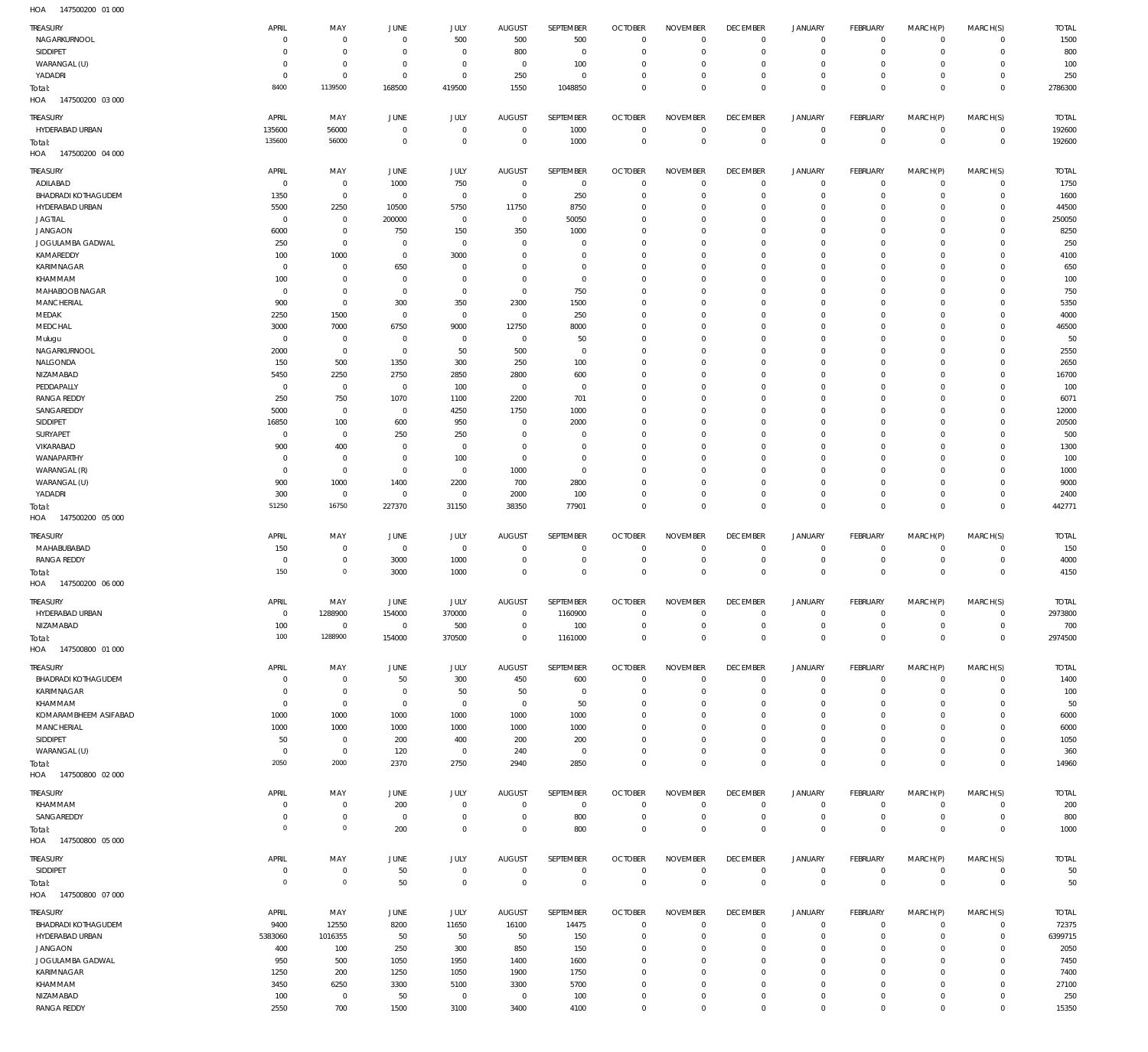| TREASURY<br>NAGARKURNOOL           | APRIL<br>$\Omega$      | MAY<br>$\mathbf 0$         | JUNE<br>$\mathbf 0$        | JULY<br>500                | <b>AUGUST</b><br>500          | SEPTEMBER<br>500           | <b>OCTOBER</b><br>$\overline{0}$ | <b>NOVEMBER</b><br>$\Omega$ | <b>DECEMBER</b><br>$\mathbf 0$   | <b>JANUARY</b><br>$\circ$  | FEBRUARY<br>$\overline{0}$       | MARCH(P)<br>$\mathbf 0$     | MARCH(S)<br>$\overline{0}$     | <b>TOTAL</b><br>1500 |
|------------------------------------|------------------------|----------------------------|----------------------------|----------------------------|-------------------------------|----------------------------|----------------------------------|-----------------------------|----------------------------------|----------------------------|----------------------------------|-----------------------------|--------------------------------|----------------------|
| SIDDIPET                           | $\Omega$               | $\mathbf 0$                | $\mathbf 0$                | $\mathbf 0$                | 800                           | $\mathbf 0$                | $\mathbf 0$                      | $\Omega$                    | $\mathbf 0$                      | $\mathbf 0$                | $\overline{0}$                   | $\mathbf 0$                 | $\mathbf 0$                    | 800                  |
| WARANGAL (U)<br>YADADRI            | $\Omega$<br>$^{\circ}$ | $\mathbf 0$<br>$\mathbf 0$ | $\mathbf 0$<br>$\mathbf 0$ | $\mathbf 0$<br>$\mathbf 0$ | $\overline{0}$<br>250         | 100<br>$\mathbf 0$         | $\mathbf 0$<br>$\mathbf 0$       | $\Omega$<br>$\mathbf 0$     | $\mathbf 0$<br>$\mathbf 0$       | $\mathbf 0$<br>$\mathbf 0$ | $\mathbf{0}$<br>$\mathbf{0}$     | $\Omega$<br>$\mathbf 0$     | $\mathbf 0$<br>$\mathbf 0$     | 100<br>250           |
| Total:                             | 8400                   | 1139500                    | 168500                     | 419500                     | 1550                          | 1048850                    | $\mathbf 0$                      | $\Omega$                    | $\mathbf 0$                      | $\mathbf 0$                | $\overline{0}$                   | $\Omega$                    | $\mathbf{0}$                   | 2786300              |
| HOA<br>147500200 03 000            |                        |                            |                            |                            |                               |                            |                                  |                             |                                  |                            |                                  |                             |                                |                      |
| TREASURY                           | APRIL                  | MAY                        | JUNE                       | <b>JULY</b>                | <b>AUGUST</b>                 | SEPTEMBER                  | <b>OCTOBER</b>                   | <b>NOVEMBER</b>             | <b>DECEMBER</b>                  | <b>JANUARY</b>             | FEBRUARY                         | MARCH(P)                    | MARCH(S)                       | <b>TOTAL</b>         |
| HYDERABAD URBAN                    | 135600<br>135600       | 56000<br>56000             | $\circ$<br>$\mathbf 0$     | $\mathbf 0$<br>$\mathbb O$ | $\overline{0}$<br>$\mathbf 0$ | 1000                       | $\overline{0}$<br>$\overline{0}$ | $\mathbf 0$<br>$\mathbf 0$  | $\overline{0}$<br>$\overline{0}$ | $\circ$<br>$\mathbf 0$     | $\overline{0}$<br>$\overline{0}$ | 0<br>$\overline{0}$         | $\overline{0}$<br>$\mathbf 0$  | 192600               |
| Total:<br>HOA<br>147500200 04 000  |                        |                            |                            |                            |                               | 1000                       |                                  |                             |                                  |                            |                                  |                             |                                | 192600               |
| TREASURY                           | APRIL                  | MAY                        | <b>JUNE</b>                | JULY                       | <b>AUGUST</b>                 | SEPTEMBER                  | <b>OCTOBER</b>                   | <b>NOVEMBER</b>             | <b>DECEMBER</b>                  | <b>JANUARY</b>             | FEBRUARY                         | MARCH(P)                    | MARCH(S)                       | <b>TOTAL</b>         |
| ADILABAD                           | 0                      | $\mathbf 0$                | 1000                       | 750                        | $\overline{0}$                | $^{\circ}$                 | $\overline{0}$                   | $\Omega$                    | $\mathbf 0$                      | $\circ$                    | $\overline{0}$                   | $\mathbf 0$                 | $\mathbf 0$                    | 1750                 |
| <b>BHADRADI KOTHAGUDEM</b>         | 1350                   | $\mathbf 0$                | $\mathbf 0$                | $\mathbf 0$                | $\mathbf 0$                   | 250                        | $\mathbf 0$                      | $\Omega$                    | $\mathbf 0$                      | $\mathbf 0$                | $\mathbf{0}$                     | $\mathbf 0$                 | $\mathbf 0$                    | 1600                 |
| HYDERABAD URBAN<br><b>JAGTIAL</b>  | 5500<br>$^{\circ}$     | 2250<br>0                  | 10500<br>200000            | 5750<br>$\mathbf 0$        | 11750<br>$\mathbf 0$          | 8750<br>50050              | $\mathbf 0$<br>$\mathbf 0$       | $\Omega$<br>$\Omega$        | $\mathbf 0$<br>$\mathbf 0$       | $\mathbf 0$<br>$\mathbf 0$ | $\mathbf{0}$<br>$\mathbf{0}$     | $\Omega$<br>$\Omega$        | $\mathbf 0$<br>$\mathbf 0$     | 44500<br>250050      |
| <b>JANGAON</b>                     | 6000                   | $\mathbf 0$                | 750                        | 150                        | 350                           | 1000                       | $\mathbf 0$                      | $\Omega$                    | $\mathbf 0$                      | $\mathbf 0$                | $\mathbf 0$                      | $\Omega$                    | $\mathbf 0$                    | 8250                 |
| JOGULAMBA GADWAL                   | 250                    | $\mathbf 0$                | $\mathbf 0$                | $\mathbf 0$                | $\mathbf 0$                   | $\mathbf 0$                | $\mathbf 0$                      | $\Omega$                    | $\mathbf 0$                      | $\mathbf 0$                | $\mathbf{0}$                     | $\Omega$                    | $\mathbf 0$                    | 250                  |
| KAMAREDDY<br>KARIMNAGAR            | 100<br>$^{\circ}$      | 1000<br>$\mathbf 0$        | $\mathbf 0$<br>650         | 3000<br>$^{\circ}$         | $\mathbf 0$<br>$\Omega$       | $\mathbf 0$<br>$\mathbf 0$ | $\mathbf 0$<br>$\mathbf 0$       | $\Omega$<br>$\Omega$        | $\mathbf 0$<br>$\mathbf 0$       | $\mathbf 0$<br>$\mathbf 0$ | $\mathbf 0$<br>$\mathbf{0}$      | $\Omega$<br>$\Omega$        | $\mathbf 0$<br>$\mathbf 0$     | 4100<br>650          |
| KHAMMAM                            | 100                    | 0                          | $\mathbf 0$                | $\mathbf 0$                | $\mathbf 0$                   | $\mathbf 0$                | $\mathbf 0$                      | $\Omega$                    | $\mathbf 0$                      | 0                          | $\mathbf{0}$                     | $\Omega$                    | $\mathbf 0$                    | 100                  |
| MAHABOOB NAGAR                     | $\overline{0}$         | $\mathbf 0$                | $\mathbf 0$                | $\mathbf 0$                | $\mathbf 0$                   | 750                        | $\mathbf 0$                      | $\Omega$                    | $\mathbf 0$                      | $\Omega$                   | $\mathbf 0$                      | $\Omega$                    | $\mathbf 0$                    | 750                  |
| MANCHERIAL<br>MEDAK                | 900<br>2250            | $\mathbf 0$<br>1500        | 300<br>$^{\circ}$          | 350<br>$\mathbf 0$         | 2300<br>$\mathbf 0$           | 1500<br>250                | $\mathbf 0$<br>$\mathbf 0$       | $\Omega$<br>$\Omega$        | $\mathbf 0$<br>$\mathbf 0$       | $\mathbf 0$<br>$\mathbf 0$ | $\mathbf{0}$<br>$\mathbf{0}$     | $\Omega$<br>$\Omega$        | $\mathbf 0$<br>$\mathbf 0$     | 5350<br>4000         |
| MEDCHAL                            | 3000                   | 7000                       | 6750                       | 9000                       | 12750                         | 8000                       | $\mathbf 0$                      | $\Omega$                    | $\mathbf 0$                      | $\mathbf 0$                | $\mathbf{0}$                     | $\Omega$                    | $\mathbf 0$                    | 46500                |
| Mulugu                             | $\overline{0}$         | $\mathbf 0$                | $\mathbf 0$                | $\mathbf 0$                | $\mathbf 0$                   | 50                         | $\mathbf 0$                      | $\Omega$                    | $\mathbf 0$                      | $\mathbf 0$                | $\mathbf{0}$                     | $\Omega$                    | $\mathbf 0$                    | 50                   |
| NAGARKURNOOL<br>NALGONDA           | 2000<br>150            | $\mathbf 0$<br>500         | $\mathbf 0$<br>1350        | 50<br>300                  | 500<br>250                    | $\mathbf 0$<br>100         | $\mathbf 0$<br>$\mathbf 0$       | $\Omega$<br>$\Omega$        | $\mathbf 0$<br>$\mathbf 0$       | $\mathbf 0$<br>$\mathbf 0$ | $\mathbf 0$<br>$\mathbf{0}$      | $\Omega$<br>$\Omega$        | $\mathbf 0$<br>$\mathbf 0$     | 2550<br>2650         |
| NIZAMABAD                          | 5450                   | 2250                       | 2750                       | 2850                       | 2800                          | 600                        | $\mathbf 0$                      | $\Omega$                    | $\mathbf 0$                      | 0                          | $^{\circ}$                       | $\Omega$                    | $\mathbf 0$                    | 16700                |
| PEDDAPALLY                         | $\overline{0}$         | $\mathbf 0$                | $\mathbf 0$                | 100                        | $\mathbf 0$                   | $\mathbf 0$                | $\mathbf 0$<br>$\mathbf 0$       | $\Omega$<br>$\Omega$        | $\mathbf 0$<br>$\mathbf 0$       | $\mathbf 0$<br>$\mathbf 0$ | $\mathbf{0}$<br>$\mathbf 0$      | $\Omega$<br>$\Omega$        | $\mathbf 0$<br>$\mathbf 0$     | 100<br>6071          |
| <b>RANGA REDDY</b><br>SANGAREDDY   | 250<br>5000            | 750<br>$\mathbf 0$         | 1070<br>$\overline{0}$     | 1100<br>4250               | 2200<br>1750                  | 701<br>1000                | $\mathbf 0$                      | $\Omega$                    | $\mathbf 0$                      | $\mathbf 0$                | $\mathbf{0}$                     | $\Omega$                    | $\mathbf 0$                    | 12000                |
| SIDDIPET                           | 16850                  | 100                        | 600                        | 950                        | $\mathbf 0$                   | 2000                       | $\mathbf 0$                      | $\Omega$                    | $\mathbf 0$                      | 0                          | $\mathbf 0$                      | $\Omega$                    | $\mathbf 0$                    | 20500                |
| SURYAPET<br>VIKARABAD              | $\overline{0}$<br>900  | $\mathbf 0$<br>400         | 250<br>$^{\circ}$          | 250<br>$\mathbf 0$         | $^{\circ}$<br>$\mathbf 0$     | $\mathbf 0$<br>$\mathbf 0$ | $\mathbf 0$<br>$\mathbf 0$       | $\Omega$<br>$\Omega$        | $\mathbf 0$<br>$\mathbf 0$       | $\Omega$<br>$\mathbf 0$    | $\mathbf 0$<br>$\mathbf{0}$      | $\Omega$<br>$\Omega$        | $\mathbf 0$<br>$\mathbf 0$     | 500<br>1300          |
| WANAPARTHY                         | 0                      | 0                          | $\mathbf 0$                | 100                        | $\mathbf 0$                   | $\mathbf 0$                | 0                                | $\Omega$                    | $\mathbf 0$                      | $\mathbf 0$                | $\mathbf 0$                      | $\Omega$                    | $\mathbf 0$                    | 100                  |
| WARANGAL (R)                       | $\circ$                | $\mathbf 0$                | $\mathbf 0$                | $\mathbf 0$                | 1000                          | $\mathbf 0$                | $\mathbf 0$                      | $\Omega$                    | $\mathbf 0$                      | $\mathbf 0$                | $\mathbf{0}$                     | $\Omega$                    | $\mathbf 0$                    | 1000                 |
| WARANGAL (U)<br>YADADRI            | 900<br>300             | 1000<br>$\mathbf 0$        | 1400<br>0                  | 2200<br>$\mathbf 0$        | 700<br>2000                   | 2800<br>100                | $\mathbf 0$<br>$\mathbf 0$       | $\Omega$<br>$\Omega$        | $\mathbf 0$<br>$\mathbf 0$       | $\mathbf 0$<br>$\mathbf 0$ | $\mathbf{0}$<br>$\mathbf{0}$     | $\Omega$<br>$\mathbf 0$     | $\mathbf 0$<br>$\mathbf 0$     | 9000<br>2400         |
| Total:                             | 51250                  | 16750                      | 227370                     | 31150                      | 38350                         | 77901                      | $\mathbf 0$                      | $\mathbf 0$                 | $\mathbf 0$                      | $\overline{0}$             | $\overline{0}$                   | $\mathbf 0$                 | $\overline{0}$                 | 442771               |
| HOA<br>147500200 05 000            |                        |                            |                            |                            |                               |                            |                                  |                             |                                  |                            |                                  |                             |                                |                      |
|                                    |                        |                            |                            |                            |                               |                            |                                  |                             |                                  |                            |                                  |                             |                                |                      |
| TREASURY                           | APRIL                  | MAY                        | JUNE                       | <b>JULY</b>                | <b>AUGUST</b>                 | SEPTEMBER                  | <b>OCTOBER</b>                   | <b>NOVEMBER</b>             | <b>DECEMBER</b>                  | <b>JANUARY</b>             | FEBRUARY                         | MARCH(P)                    | MARCH(S)                       | <b>TOTAL</b>         |
| MAHABUBABAD                        | 150                    | $\mathbf 0$                | $\mathbf 0$                | $\mathbb O$                | $^{\circ}$                    | 0                          | $\overline{0}$                   | $\mathbf 0$                 | $\mathbf 0$                      | $\circ$                    | $\overline{0}$                   | $\mathbf 0$                 | $\mathbf 0$                    | 150                  |
| <b>RANGA REDDY</b>                 | $\mathbf 0$<br>150     | $\mathbf 0$<br>$\mathbf 0$ | 3000                       | 1000                       | $\overline{0}$<br>$\mathbf 0$ | $\bf 0$<br>$\mathbb O$     | $\mathbf 0$<br>$\overline{0}$    | 0<br>$\mathbf 0$            | $\overline{0}$<br>$\overline{0}$ | $\mathbf 0$<br>$\mathbf 0$ | $\overline{0}$                   | 0<br>$\mathbf 0$            | $\overline{0}$<br>$\mathbf{0}$ | 4000                 |
| Total:<br>HOA<br>147500200 06 000  |                        |                            | 3000                       | 1000                       |                               |                            |                                  |                             |                                  |                            | $\overline{0}$                   |                             |                                | 4150                 |
| TREASURY                           | APRIL                  | MAY                        | <b>JUNE</b>                | <b>JULY</b>                | <b>AUGUST</b>                 | SEPTEMBER                  | <b>OCTOBER</b>                   | <b>NOVEMBER</b>             | <b>DECEMBER</b>                  | <b>JANUARY</b>             | FEBRUARY                         | MARCH(P)                    | MARCH(S)                       | <b>TOTAL</b>         |
| HYDERABAD URBAN                    |                        | 1288900                    | 154000                     | 310000                     | 0                             | 1160900                    |                                  |                             |                                  |                            |                                  |                             |                                | 2973800              |
| NIZAMABAD                          | 100                    | $\mathbf 0$                | $\mathbb O$                | 500                        | $\mathbf 0$                   | 100                        | $\mathbf 0$                      | $\mathbf 0$                 | $\mathbf 0$                      | $\mathbf 0$                | $\circ$                          | $\mathbf 0$                 | $\overline{0}$                 | 700                  |
| Total:<br>HOA 147500800 01 000     | 100                    | 1288900                    | 154000                     | 370500                     | $\mathbf 0$                   | 1161000                    | $\mathbf{0}$                     | $\mathbf 0$                 | $\mathbf 0$                      | $\mathbb O$                | $\overline{0}$                   | $\overline{0}$              | $\overline{0}$                 | 2974500              |
| TREASURY                           | APRIL                  | MAY                        | <b>JUNE</b>                | JULY                       | <b>AUGUST</b>                 | SEPTEMBER                  | <b>OCTOBER</b>                   | <b>NOVEMBER</b>             | <b>DECEMBER</b>                  | JANUARY                    | FEBRUARY                         | MARCH(P)                    | MARCH(S)                       | <b>TOTAL</b>         |
| <b>BHADRADI KOTHAGUDEM</b>         | $\mathbf 0$            | $\mathbf 0$                | 50                         | 300                        | 450                           | 600                        | $\overline{0}$                   | $\mathbf 0$                 | $\mathbf 0$                      | $\circ$                    | $\overline{0}$                   | 0                           | $\mathbf 0$                    | 1400                 |
| KARIMNAGAR                         | 0                      | $\mathbf 0$                | $\,0\,$                    | 50                         | 50                            | $\,0\,$                    | $\overline{0}$                   | $\mathbf 0$                 | $\mathbf 0$                      | 0                          | $\overline{0}$                   | $\mathbf 0$                 | $\mathbf 0$                    | 100                  |
| KHAMMAM<br>KOMARAMBHEEM ASIFABAD   | $^{\circ}$<br>1000     | $\mathbf 0$<br>1000        | $\,0\,$<br>1000            | $\mathbb O$<br>1000        | $\overline{0}$<br>1000        | 50<br>1000                 | $\mathbf 0$<br>0                 | $\mathbf 0$<br>$\mathbf 0$  | $\mathbf 0$<br>$\mathbf 0$       | 0<br>0                     | $\circ$<br>$\mathbf{0}$          | 0<br>0                      | $\mathbf 0$<br>$\mathbf 0$     | 50<br>6000           |
| <b>MANCHERIAL</b>                  | 1000                   | 1000                       | 1000                       | 1000                       | 1000                          | 1000                       | $\mathbf 0$                      | $\mathbf 0$                 | $\mathbf 0$                      | 0                          | $\mathbf{0}$                     | 0                           | $\mathbf 0$                    | 6000                 |
| SIDDIPET                           | 50                     | $\mathbf 0$                | 200                        | 400                        | 200                           | 200                        | $\mathbf 0$                      | $\mathbf 0$                 | $\mathbf 0$                      | $\mathbf 0$                | $\mathbf{0}$                     | 0                           | $\mathbf 0$                    | 1050                 |
| WARANGAL (U)<br>Total:             | $\mathbf 0$<br>2050    | $\mathbf 0$<br>2000        | 120<br>2370                | $\mathbb O$<br>2750        | 240<br>2940                   | $\overline{0}$<br>2850     | $\mathbf 0$<br>$\mathbf 0$       | $\mathbf 0$<br>$\mathbf 0$  | $\mathbf 0$<br>$\overline{0}$    | $\mathbf 0$<br>$\mathbf 0$ | $\overline{0}$<br>$\overline{0}$ | $\mathbf 0$<br>$\mathbf 0$  | $\overline{0}$<br>$\mathbf{0}$ | 360<br>14960         |
| HOA 147500800 02 000               |                        |                            |                            |                            |                               |                            |                                  |                             |                                  |                            |                                  |                             |                                |                      |
| TREASURY                           | APRIL                  | MAY                        | <b>JUNE</b>                | <b>JULY</b>                | AUGUST                        | SEPTEMBER                  | <b>OCTOBER</b>                   | <b>NOVEMBER</b>             | <b>DECEMBER</b>                  | <b>JANUARY</b>             | FEBRUARY                         | MARCH(P)                    | MARCH(S)                       | <b>TOTAL</b>         |
| KHAMMAM                            | 0                      | $\mathbf 0$                | 200                        | $^{\circ}$                 | $^{\circ}$                    | $^{\circ}$                 | $\overline{0}$                   | $\Omega$                    | $\mathbf 0$                      | $\circ$                    | $\circ$                          | $\mathbf 0$                 | $\mathbf 0$                    | 200                  |
| SANGAREDDY<br>Total:               | 0<br>$\overline{0}$    | $\mathbf 0$<br>$\circ$     | $\overline{0}$<br>200      | $\mathbb O$<br>$\mathbf 0$ | $\mathbf 0$<br>$^{\circ}$     | 800<br>800                 | $\overline{0}$<br>$\mathbf 0$    | $\mathbf 0$<br>$\mathbf 0$  | $\mathbf 0$<br>$\mathbf 0$       | $\mathbf 0$<br>$\mathbf 0$ | $\overline{0}$<br>$\overline{0}$ | $\mathbf{0}$<br>$\mathbf 0$ | $\overline{0}$<br>$\mathbf 0$  | 800<br>1000          |
| HOA  147500800  05  000            |                        |                            |                            |                            |                               |                            |                                  |                             |                                  |                            |                                  |                             |                                |                      |
| TREASURY                           | APRIL                  | MAY                        | JUNE                       | JULY                       | <b>AUGUST</b>                 | SEPTEMBER                  | <b>OCTOBER</b>                   | <b>NOVEMBER</b>             | <b>DECEMBER</b>                  | <b>JANUARY</b>             | FEBRUARY                         | MARCH(P)                    | MARCH(S)                       | <b>TOTAL</b>         |
| SIDDIPET                           | 0                      | $\mathbf 0$                | 50                         | $\mathbb O$                | $\mathbf 0$                   | $\mathbb O$                | $\overline{0}$                   | $\mathbf 0$                 | $\overline{0}$                   | $\circ$                    | $\overline{0}$                   | $\mathbf 0$                 | $\overline{0}$                 | 50                   |
| Total:<br>HOA<br>147500800 07 000  | $\overline{0}$         | $\mathbf 0$                | 50                         | $\mathbf 0$                | $\overline{0}$                | $\mathsf 0$                | $\mathbf 0$                      | $\mathbf 0$                 | $\overline{0}$                   | $\mathbf 0$                | $\overline{0}$                   | $\overline{0}$              | $\mathbf 0$                    | 50                   |
| TREASURY                           | APRIL                  | MAY                        | <b>JUNE</b>                | JULY                       | <b>AUGUST</b>                 | SEPTEMBER                  | <b>OCTOBER</b>                   | <b>NOVEMBER</b>             | <b>DECEMBER</b>                  | <b>JANUARY</b>             | FEBRUARY                         | MARCH(P)                    | MARCH(S)                       | <b>TOTAL</b>         |
| <b>BHADRADI KOTHAGUDEM</b>         | 9400                   | 12550                      | 8200                       | 11650                      | 16100                         | 14475                      | $\overline{0}$                   | $\Omega$                    | $\mathbf 0$                      | $\circ$                    | $\overline{0}$                   | $\mathbf 0$                 | $\overline{0}$                 | 72375                |
| HYDERABAD URBAN                    | 5383060                | 1016355                    | 50                         | 50                         | 50                            | 150                        | $\mathbf 0$                      | $\mathbf 0$                 | $\mathbf 0$                      | $\mathbf 0$                | $\mathbf{0}$                     | $\mathbf 0$                 | $\overline{0}$                 | 6399715              |
| <b>JANGAON</b><br>JOGULAMBA GADWAL | 400<br>950             | 100<br>500                 | 250<br>1050                | 300<br>1950                | 850<br>1400                   | 150<br>1600                | $\mathbf 0$<br>$\mathbf 0$       | $\Omega$<br>$\mathbf 0$     | $\mathbf 0$<br>$\mathbf 0$       | $\mathbf 0$<br>$\mathbf 0$ | $\mathbf{0}$<br>$\mathbf{0}$     | $\Omega$<br>$\mathbf 0$     | $\mathbf 0$<br>$\mathbf 0$     | 2050<br>7450         |
| KARIMNAGAR                         | 1250                   | 200                        | 1250                       | 1050                       | 1900                          | 1750                       | $\mathbf 0$                      | $\Omega$                    | $\mathbf 0$                      | $\mathbf 0$                | $\mathbf 0$                      | $\Omega$                    | $\mathbf 0$                    | 7400                 |
| KHAMMAM                            | 3450                   | 6250                       | 3300                       | 5100                       | 3300                          | 5700                       | $\mathbf 0$                      | $\mathbf 0$                 | $\mathbf 0$                      | $\mathbf 0$                | $\mathbf{0}$                     | $\mathbf 0$                 | $\mathbf 0$                    | 27100                |
| NIZAMABAD<br><b>RANGA REDDY</b>    | 100<br>2550            | 0<br>700                   | 50<br>1500                 | $\mathbf 0$<br>3100        | $\overline{0}$<br>3400        | 100<br>4100                | 0<br>$\mathbf 0$                 | $\mathbf 0$<br>$\mathbf 0$  | $\mathbf 0$<br>$\mathbf 0$       | 0<br>$\mathbf 0$           | $\circ$<br>$\mathbf{0}$          | 0<br>$\mathbf 0$            | $\mathbf 0$<br>$\mathbf 0$     | 250<br>15350         |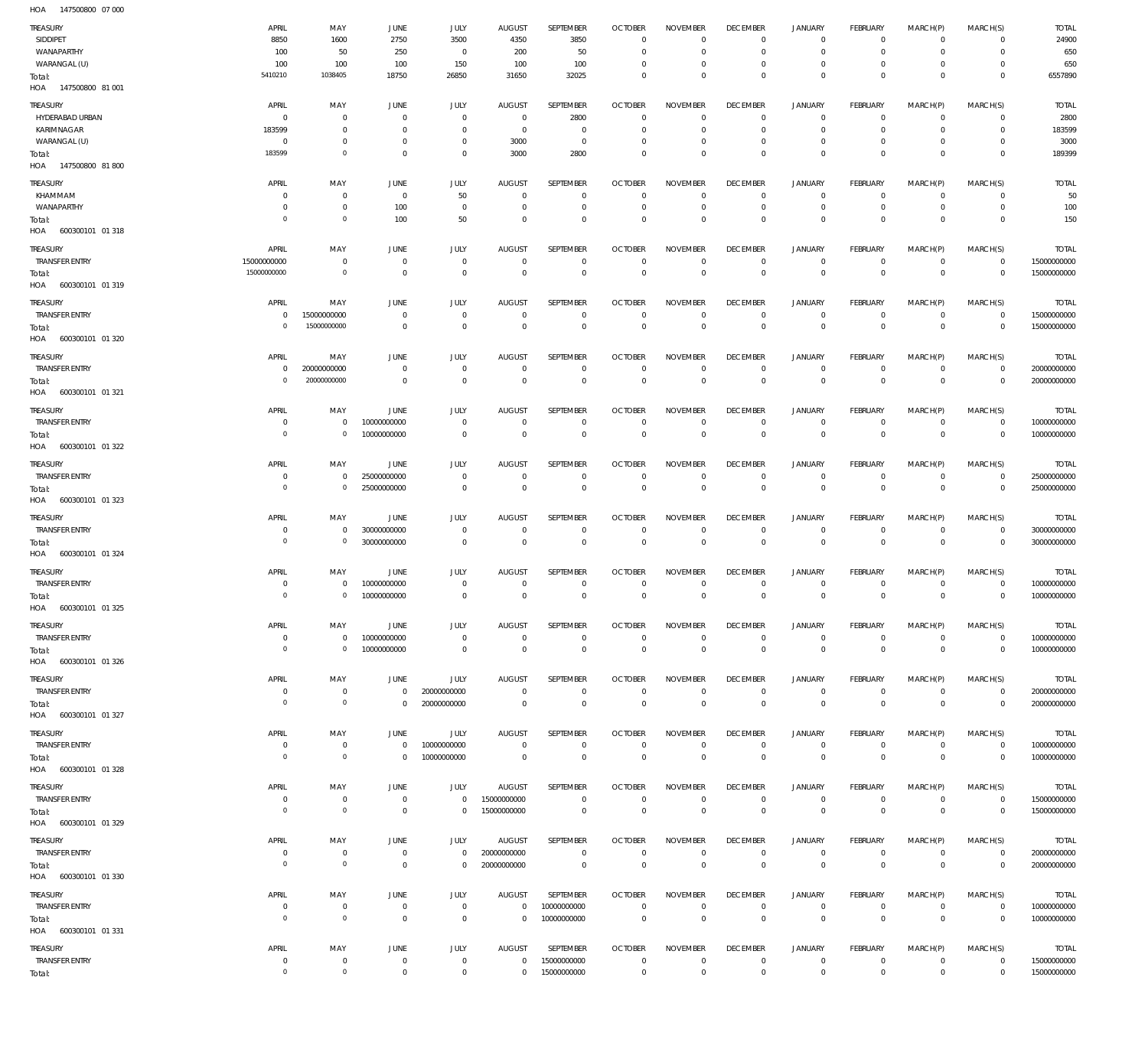147500800 07 000 HOA

| TREASURY<br>SIDDIPET<br>WANAPARTHY<br>WARANGAL (U)<br>Total:<br>HOA 147500800 81001        | APRIL<br>8850<br>100<br>100<br>5410210                  | MAY<br>1600<br>50<br>100<br>1038405                                     | JUNE<br>2750<br>250<br>100<br>18750                                                 | JULY<br>3500<br>$^{\circ}$<br>150<br>26850                       | <b>AUGUST</b><br>4350<br>200<br>100<br>31650                        | SEPTEMBER<br>3850<br>50<br>100<br>32025                              | <b>OCTOBER</b><br>$\overline{0}$<br>$\overline{0}$<br>$\mathbf 0$<br>$\overline{0}$ | <b>NOVEMBER</b><br>$\mathbf 0$<br>$\mathbf 0$<br>$\mathbf 0$<br>$\mathbf 0$ | <b>DECEMBER</b><br>$\mathbf 0$<br>$\overline{0}$<br>$^{\circ}$<br>$\overline{0}$        | JANUARY<br>$\circ$<br>$^{\circ}$<br>$\circ$<br>$\mathbf 0$             | <b>FEBRUARY</b><br>$^{\circ}$<br>$\mathbf{0}$<br>$^{\circ}$<br>$\overline{0}$   | MARCH(P)<br>$\Omega$<br>$\Omega$<br>$\Omega$<br>$\Omega$ | MARCH(S)<br>$\Omega$<br>$\Omega$<br>$\Omega$<br>$\Omega$             | <b>TOTAL</b><br>24900<br>650<br>650<br>6557890   |
|--------------------------------------------------------------------------------------------|---------------------------------------------------------|-------------------------------------------------------------------------|-------------------------------------------------------------------------------------|------------------------------------------------------------------|---------------------------------------------------------------------|----------------------------------------------------------------------|-------------------------------------------------------------------------------------|-----------------------------------------------------------------------------|-----------------------------------------------------------------------------------------|------------------------------------------------------------------------|---------------------------------------------------------------------------------|----------------------------------------------------------|----------------------------------------------------------------------|--------------------------------------------------|
| TREASURY<br>HYDERABAD URBAN<br>KARIMNAGAR<br>WARANGAL (U)<br>Total:<br>HOA 147500800 81800 | APRIL<br>$\mathbf 0$<br>183599<br>$\mathbf 0$<br>183599 | MAY<br>$\mathbf 0$<br>$\mathbf 0$<br>$\mathbf 0$<br>$\mathsf{O}\xspace$ | <b>JUNE</b><br>$\overline{0}$<br>$\overline{0}$<br>$\overline{0}$<br>$\overline{0}$ | JULY<br>$\mathbf 0$<br>$\mathbf 0$<br>$\mathbf 0$<br>$\mathbf 0$ | <b>AUGUST</b><br>$\overline{0}$<br>$\overline{0}$<br>3000<br>3000   | <b>SEPTEMBER</b><br>2800<br>$\overline{0}$<br>$\overline{0}$<br>2800 | <b>OCTOBER</b><br>$\overline{0}$<br>$\overline{0}$<br>$\mathbf 0$<br>$\overline{0}$ | <b>NOVEMBER</b><br>$\mathbf 0$<br>$\mathbf 0$<br>$\mathbf 0$<br>$\mathbf 0$ | <b>DECEMBER</b><br>$\overline{0}$<br>$\overline{0}$<br>$\overline{0}$<br>$\overline{0}$ | <b>JANUARY</b><br>$^{\circ}$<br>$\mathbf{0}$<br>$\circ$<br>$\mathbf 0$ | <b>FEBRUARY</b><br>$^{\circ}$<br>$\mathbf{0}$<br>$\mathbf{0}$<br>$\overline{0}$ | MARCH(P)<br>$\Omega$<br>$\Omega$<br>$\Omega$<br>$\Omega$ | MARCH(S)<br>$\mathbf 0$<br>$\mathbf 0$<br>$\mathbf 0$<br>$\mathbf 0$ | <b>TOTAL</b><br>2800<br>183599<br>3000<br>189399 |
| TREASURY<br>KHAMMAM<br>WANAPARTHY<br>Total:<br>HOA 600300101 01 318                        | APRIL<br>0<br>0<br>$\circ$                              | MAY<br>$\mathbf 0$<br>$\mathbf 0$<br>$\mathsf{O}\xspace$                | <b>JUNE</b><br>$\overline{0}$<br>100<br>100                                         | <b>JULY</b><br>50<br>$\mathbf 0$<br>50                           | <b>AUGUST</b><br>$\overline{0}$<br>$\overline{0}$<br>$\overline{0}$ | SEPTEMBER<br>$\overline{0}$<br>$\mathbf 0$<br>$\mathbf 0$            | <b>OCTOBER</b><br>$\mathbf 0$<br>$\mathbf 0$<br>$\mathbf 0$                         | <b>NOVEMBER</b><br>$\mathbf 0$<br>$\mathbf 0$<br>$\mathbf 0$                | <b>DECEMBER</b><br>$^{\circ}$<br>$\overline{0}$<br>$\overline{0}$                       | <b>JANUARY</b><br>$\circ$<br>$\mathbf{0}$<br>$\mathbf 0$               | <b>FEBRUARY</b><br>$^{\circ}$<br>$\mathbf{0}$<br>$\overline{0}$                 | MARCH(P)<br>$\mathbf 0$<br>$\Omega$<br>$\Omega$          | MARCH(S)<br>$\mathbf 0$<br>$\mathbf 0$<br>$\mathbf{0}$               | <b>TOTAL</b><br>50<br>100<br>150                 |
| TREASURY<br><b>TRANSFER ENTRY</b><br>Total:<br>HOA 600300101 01 319                        | APRIL<br>15000000000<br>15000000000                     | MAY<br>$\mathbf 0$<br>$\mathbf 0$                                       | <b>JUNE</b><br>$\overline{0}$<br>$\overline{0}$                                     | JULY<br>$\mathbf 0$<br>$\,0\,$                                   | <b>AUGUST</b><br>$\overline{0}$<br>$\overline{0}$                   | SEPTEMBER<br>$\overline{0}$<br>$\overline{0}$                        | <b>OCTOBER</b><br>$\mathbb O$<br>$\mathbb O$                                        | <b>NOVEMBER</b><br>$\mathbf{0}$<br>$\overline{0}$                           | <b>DECEMBER</b><br>$\overline{0}$<br>$\,0\,$                                            | <b>JANUARY</b><br>$^{\circ}$<br>$\,0\,$                                | <b>FEBRUARY</b><br>$\mathbf{0}$<br>$\overline{0}$                               | MARCH(P)<br>$\mathbf 0$<br>$\mathbf{0}$                  | MARCH(S)<br>$\mathbf 0$<br>$\overline{0}$                            | <b>TOTAL</b><br>15000000000<br>15000000000       |
| TREASURY<br><b>TRANSFER ENTRY</b><br>Total:<br>HOA 600300101 01 320                        | APRIL<br>$\mathbf 0$<br>$\circ$                         | MAY<br>15000000000<br>15000000000                                       | <b>JUNE</b><br>$\overline{0}$<br>$\overline{0}$                                     | <b>JULY</b><br>$\mathbf 0$<br>$\mathbf 0$                        | <b>AUGUST</b><br>$\overline{0}$<br>$\overline{0}$                   | SEPTEMBER<br>$\mathbf 0$<br>$\overline{0}$                           | <b>OCTOBER</b><br>$\mathbf{0}$<br>$\mathbb O$                                       | <b>NOVEMBER</b><br>$\mathbf 0$<br>$\mathbb O$                               | <b>DECEMBER</b><br>$\overline{0}$<br>$\,0\,$                                            | <b>JANUARY</b><br>$\circ$<br>$\,0\,$                                   | <b>FEBRUARY</b><br>$\mathbf{0}$<br>$\overline{0}$                               | MARCH(P)<br>$\mathbf 0$<br>$\mathbf{0}$                  | MARCH(S)<br>$\mathbf 0$<br>$\overline{0}$                            | <b>TOTAL</b><br>15000000000<br>15000000000       |
| TREASURY<br><b>TRANSFER ENTRY</b><br>Total:<br>HOA 600300101 01 321                        | APRIL<br>$\mathbf 0$<br>$\overline{0}$                  | MAY<br>20000000000<br>20000000000                                       | <b>JUNE</b><br>$\overline{0}$<br>$\overline{0}$                                     | JULY<br>$\mathbf 0$<br>$\overline{0}$                            | <b>AUGUST</b><br>$\overline{0}$<br>$\overline{0}$                   | <b>SEPTEMBER</b><br>$\overline{0}$<br>$\overline{0}$                 | <b>OCTOBER</b><br>$\overline{0}$<br>$\mathbb O$                                     | <b>NOVEMBER</b><br>$\mathbf 0$<br>$\overline{0}$                            | <b>DECEMBER</b><br>$\overline{0}$<br>$\,0\,$                                            | <b>JANUARY</b><br>$^{\circ}$<br>$\,0\,$                                | <b>FEBRUARY</b><br>$^{\circ}$<br>$\mathbb O$                                    | MARCH(P)<br>$\mathbf 0$<br>$\mathbf{0}$                  | MARCH(S)<br>$\mathbf 0$<br>$\overline{0}$                            | <b>TOTAL</b><br>20000000000<br>20000000000       |
| <b>TREASURY</b><br><b>TRANSFER ENTRY</b><br>Total:<br>HOA 600300101 01 322                 | APRIL<br>$\mathbf 0$<br>$\overline{0}$                  | MAY<br>$\mathbf 0$<br>$\mathbf 0$                                       | <b>JUNE</b><br>10000000000<br>10000000000                                           | <b>JULY</b><br>$\mathbf 0$<br>$\mathbf 0$                        | <b>AUGUST</b><br>$\overline{0}$<br>$\overline{0}$                   | SEPTEMBER<br>$\mathbf 0$<br>$\overline{0}$                           | <b>OCTOBER</b><br>$\mathbf{0}$<br>$\mathbb O$                                       | <b>NOVEMBER</b><br>$\mathbf 0$<br>$\overline{0}$                            | <b>DECEMBER</b><br>$\mathbf 0$<br>$\,0\,$                                               | <b>JANUARY</b><br>$\circ$<br>$\,0\,$                                   | <b>FEBRUARY</b><br>$^{\circ}$<br>$\mathbb O$                                    | MARCH(P)<br>$\mathbf 0$<br>$\mathbf 0$                   | MARCH(S)<br>$\mathbf 0$<br>$\mathbf 0$                               | <b>TOTAL</b><br>10000000000<br>10000000000       |
| TREASURY<br><b>TRANSFER ENTRY</b><br>Total:<br>HOA 600300101 01 323                        | APRIL<br>$\mathbf 0$<br>$\overline{0}$                  | MAY<br>$\mathbf 0$<br>$\mathsf{O}\xspace$                               | <b>JUNE</b><br>25000000000<br>25000000000                                           | JULY<br>$\mathbf 0$<br>$\mathbf 0$                               | <b>AUGUST</b><br>$\overline{0}$<br>$\overline{0}$                   | SEPTEMBER<br>$^{\circ}$<br>$\overline{0}$                            | <b>OCTOBER</b><br>$\overline{0}$<br>$\mathbb O$                                     | <b>NOVEMBER</b><br>$\mathbf 0$<br>$\mathbb O$                               | <b>DECEMBER</b><br>$\overline{0}$<br>$\,0\,$                                            | <b>JANUARY</b><br>$^{\circ}$<br>$\,0\,$                                | <b>FEBRUARY</b><br>$^{\circ}$<br>$\mathbb O$                                    | MARCH(P)<br>$\mathbf 0$<br>$\mathbf 0$                   | MARCH(S)<br>$\mathbf 0$<br>$\overline{0}$                            | <b>TOTAL</b><br>25000000000<br>25000000000       |
| TREASURY<br><b>TRANSFER ENTRY</b><br>Total:<br>HOA<br>600300101 01 324                     | APRIL<br>$\overline{0}$<br>$\overline{0}$               | MAY<br>$\mathbf 0$<br>$\mathsf{O}\xspace$                               | JUNE<br>30000000000<br>30000000000                                                  | JULY<br>$\mathbf 0$<br>$\mathbf 0$                               | <b>AUGUST</b><br>$\overline{0}$<br>$\overline{0}$                   | SEPTEMBER<br>$\overline{0}$<br>$\overline{0}$                        | <b>OCTOBER</b><br>$\overline{0}$<br>$\mathbb O$                                     | <b>NOVEMBER</b><br>$\mathbf 0$<br>$\mathbf 0$                               | <b>DECEMBER</b><br>$\overline{0}$<br>$\mathbf 0$                                        | <b>JANUARY</b><br>$\circ$<br>$\,0\,$                                   | FEBRUARY<br>$\mathbf{0}$<br>$\mathbb O$                                         | MARCH(P)<br>$\mathbf 0$<br>$\mathbf 0$                   | MARCH(S)<br>$\mathbf 0$<br>$\mathbf 0$                               | <b>TOTAL</b><br>30000000000<br>30000000000       |
| TREASURY<br><b>TRANSFER ENTRY</b><br>Total:<br>HOA 600300101 01 325                        | APRIL<br>$\mathbf 0$<br>$\overline{0}$                  | MAY<br>$\mathbf 0$<br>$\mathsf{O}\xspace$                               | JUNE<br>10000000000<br>10000000000                                                  | JULY<br>$\mathbf 0$<br>$\mathbf 0$                               | <b>AUGUST</b><br>$\overline{0}$<br>$\overline{0}$                   | SEPTEMBER<br>$\mathbf 0$<br>$\overline{0}$                           | <b>OCTOBER</b><br>$\mathbf 0$<br>$\mathbb O$                                        | <b>NOVEMBER</b><br>$^{\circ}$<br>$\overline{0}$                             | <b>DECEMBER</b><br>$^{\circ}$<br>$\,0\,$                                                | <b>JANUARY</b><br>$^{\circ}$<br>$\mathbf 0$                            | <b>FEBRUARY</b><br>$^{\circ}$<br>$\mathbb O$                                    | MARCH(P)<br>$\mathbf 0$<br>$\Omega$                      | MARCH(S)<br>$\mathbf 0$<br>$\overline{0}$                            | <b>TOTAL</b><br>10000000000<br>10000000000       |
| TREASURY<br><b>TRANSFER ENTRY</b><br>Total:<br>HOA 600300101 01 326                        | APRIL<br>$\overline{0}$<br>$\overline{0}$               | MAY<br>$\mathbf 0$<br>$\overline{0}$                                    | JUNE<br>10000000000<br>10000000000                                                  | JULY<br>$\mathbf 0$<br>$\,0\,$                                   | <b>AUGUST</b><br>$\overline{0}$<br>$\overline{0}$                   | SEPTEMBER<br>$\overline{0}$<br>$\overline{0}$                        | <b>OCTOBER</b><br>$\overline{0}$<br>$\mathbb O$                                     | <b>NOVEMBER</b><br>$\mathbf 0$<br>$\mathbb O$                               | <b>DECEMBER</b><br>$\,0\,$<br>$\,0\,$                                                   | <b>JANUARY</b><br>$\mathbb O$<br>$\,0\,$                               | <b>FEBRUARY</b><br>$\mathbf 0$<br>$\overline{0}$                                | MARCH(P)<br>$\mathbf 0$<br>$\mathbf 0$                   | MARCH(S)<br>$\mathbf 0$<br>$\mathbf 0$                               | <b>TOTAL</b><br>10000000000<br>10000000000       |
| TREASURY<br><b>TRANSFER ENTRY</b><br>Total:<br>HOA 600300101 01 327                        | APRIL<br>$\mathbf 0$<br>$\overline{0}$                  | MAY<br>$\mathbf 0$<br>$\overline{0}$                                    | JUNE<br>$\overline{0}$<br>$\overline{0}$                                            | JULY<br>20000000000<br>20000000000                               | <b>AUGUST</b><br>$\overline{0}$<br>$\overline{0}$                   | SEPTEMBER<br>$\overline{0}$<br>$\overline{0}$                        | <b>OCTOBER</b><br>$\overline{0}$<br>$\mathbb O$                                     | <b>NOVEMBER</b><br>$\mathbf 0$<br>$\mathbf 0$                               | <b>DECEMBER</b><br>$\,0\,$<br>$\mathbb O$                                               | <b>JANUARY</b><br>0<br>$\,0\,$                                         | <b>FEBRUARY</b><br>$\circ$<br>$\,0\,$                                           | MARCH(P)<br>$\mathbf 0$<br>$\mathbf 0$                   | MARCH(S)<br>$\mathbf 0$<br>$\overline{0}$                            | <b>TOTAL</b><br>20000000000<br>20000000000       |
| TREASURY<br><b>TRANSFER ENTRY</b><br>Total:<br>HOA 600300101 01 328                        | APRIL<br>$\overline{0}$<br>$\overline{0}$               | MAY<br>$\mathbf 0$<br>$\overline{0}$                                    | <b>JUNE</b><br>$\mathbf 0$<br>$\overline{0}$                                        | JULY<br>10000000000<br>10000000000                               | AUGUST<br>$\overline{0}$<br>$\overline{0}$                          | SEPTEMBER<br>$\overline{0}$<br>$\overline{0}$                        | <b>OCTOBER</b><br>$\mathbb O$<br>$\mathbb O$                                        | <b>NOVEMBER</b><br>$\mathbf 0$<br>$\mathbb O$                               | <b>DECEMBER</b><br>$\,0\,$<br>$\,0\,$                                                   | <b>JANUARY</b><br>$\mathbb O$<br>$\,0\,$                               | FEBRUARY<br>$\mathbf 0$<br>$\overline{0}$                                       | MARCH(P)<br>$\mathbf 0$<br>$\mathbf 0$                   | MARCH(S)<br>$\mathbf 0$<br>$\overline{0}$                            | <b>TOTAL</b><br>10000000000<br>10000000000       |
| TREASURY<br><b>TRANSFER ENTRY</b><br>Total:<br>HOA 600300101 01 329                        | APRIL<br>$\mathbf 0$<br>$\overline{0}$                  | MAY<br>$\mathbf 0$<br>$\overline{0}$                                    | <b>JUNE</b><br>$\overline{0}$<br>$\overline{0}$                                     | JULY<br>$\mathsf 0$<br>$\mathbf 0$                               | <b>AUGUST</b><br>15000000000<br>15000000000                         | SEPTEMBER<br>$\overline{0}$<br>$\overline{0}$                        | <b>OCTOBER</b><br>$\mathbf 0$<br>$\mathbb O$                                        | <b>NOVEMBER</b><br>$\mathbf 0$<br>$\mathbb O$                               | <b>DECEMBER</b><br>$\,0\,$<br>$\,0\,$                                                   | <b>JANUARY</b><br>$\mathbf 0$<br>$\,0\,$                               | <b>FEBRUARY</b><br>$\mathbf 0$<br>$\overline{0}$                                | MARCH(P)<br>$\mathbf 0$<br>$\overline{0}$                | MARCH(S)<br>$\mathbf 0$<br>$\mathbb O$                               | <b>TOTAL</b><br>15000000000<br>15000000000       |
| TREASURY<br>TRANSFER ENTRY<br>Total:<br>HOA 600300101 01 330                               | APRIL<br>$\overline{0}$<br>$\overline{0}$               | MAY<br>$\bf 0$<br>$\overline{0}$                                        | JUNE<br>$\overline{0}$<br>$\overline{0}$                                            | JULY<br>$\mathbf 0$<br>$\mathbf 0$                               | <b>AUGUST</b><br>20000000000<br>20000000000                         | SEPTEMBER<br>$\overline{0}$<br>$\overline{0}$                        | <b>OCTOBER</b><br>$\mathbf 0$<br>$\mathbf 0$                                        | <b>NOVEMBER</b><br>$\mathbf 0$<br>$\mathbf 0$                               | <b>DECEMBER</b><br>$\,0\,$<br>$\,0\,$                                                   | JANUARY<br>$\mathbb O$<br>$\,0\,$                                      | <b>FEBRUARY</b><br>0<br>$\overline{0}$                                          | MARCH(P)<br>$\mathbf 0$<br>$\mathbf 0$                   | MARCH(S)<br>$\mathbf 0$<br>$\mathbf 0$                               | <b>TOTAL</b><br>20000000000<br>20000000000       |
| TREASURY<br><b>TRANSFER ENTRY</b><br>Total:<br>HOA 600300101 01 331                        | APRIL<br>$\mathbf 0$<br>$\overline{0}$                  | MAY<br>$\mathbf 0$<br>$\overline{0}$                                    | JUNE<br>$\overline{0}$<br>$\overline{0}$                                            | JULY<br>$\,0\,$<br>$\,0\,$                                       | <b>AUGUST</b><br>$\overline{0}$<br>$\overline{0}$                   | SEPTEMBER<br>10000000000<br>10000000000                              | <b>OCTOBER</b><br>$\mathbb O$<br>$\mathbb O$                                        | <b>NOVEMBER</b><br>$\mathbf 0$<br>$\mathbb O$                               | <b>DECEMBER</b><br>$\overline{0}$<br>$\,0\,$                                            | <b>JANUARY</b><br>$\mathbb O$<br>$\,0\,$                               | <b>FEBRUARY</b><br>$\mathbf{0}$<br>$\mathbb O$                                  | MARCH(P)<br>$\mathbf 0$<br>$\mathbf 0$                   | MARCH(S)<br>$\mathbf 0$<br>$\overline{0}$                            | <b>TOTAL</b><br>10000000000<br>10000000000       |
| TREASURY<br><b>TRANSFER ENTRY</b><br>Total:                                                | APRIL<br>$\mathbf 0$<br>$\mathbb O$                     | MAY<br>$\mathbf 0$<br>$\overline{0}$                                    | JUNE<br>$\overline{0}$<br>$\overline{0}$                                            | JULY<br>$\,0\,$<br>$\mathbf 0$                                   | AUGUST<br>$\overline{0}$<br>$\mathbf 0$                             | SEPTEMBER<br>15000000000<br>15000000000                              | <b>OCTOBER</b><br>$\overline{0}$<br>$\mathbf 0$                                     | <b>NOVEMBER</b><br>$\mathbf 0$<br>$\overline{0}$                            | <b>DECEMBER</b><br>$\,0\,$<br>$\,0\,$                                                   | <b>JANUARY</b><br>0<br>$\,0\,$                                         | FEBRUARY<br>0<br>$\mathbb O$                                                    | MARCH(P)<br>$\circ$<br>$\mathbf 0$                       | MARCH(S)<br>$\mathbf 0$<br>$\overline{0}$                            | <b>TOTAL</b><br>15000000000<br>15000000000       |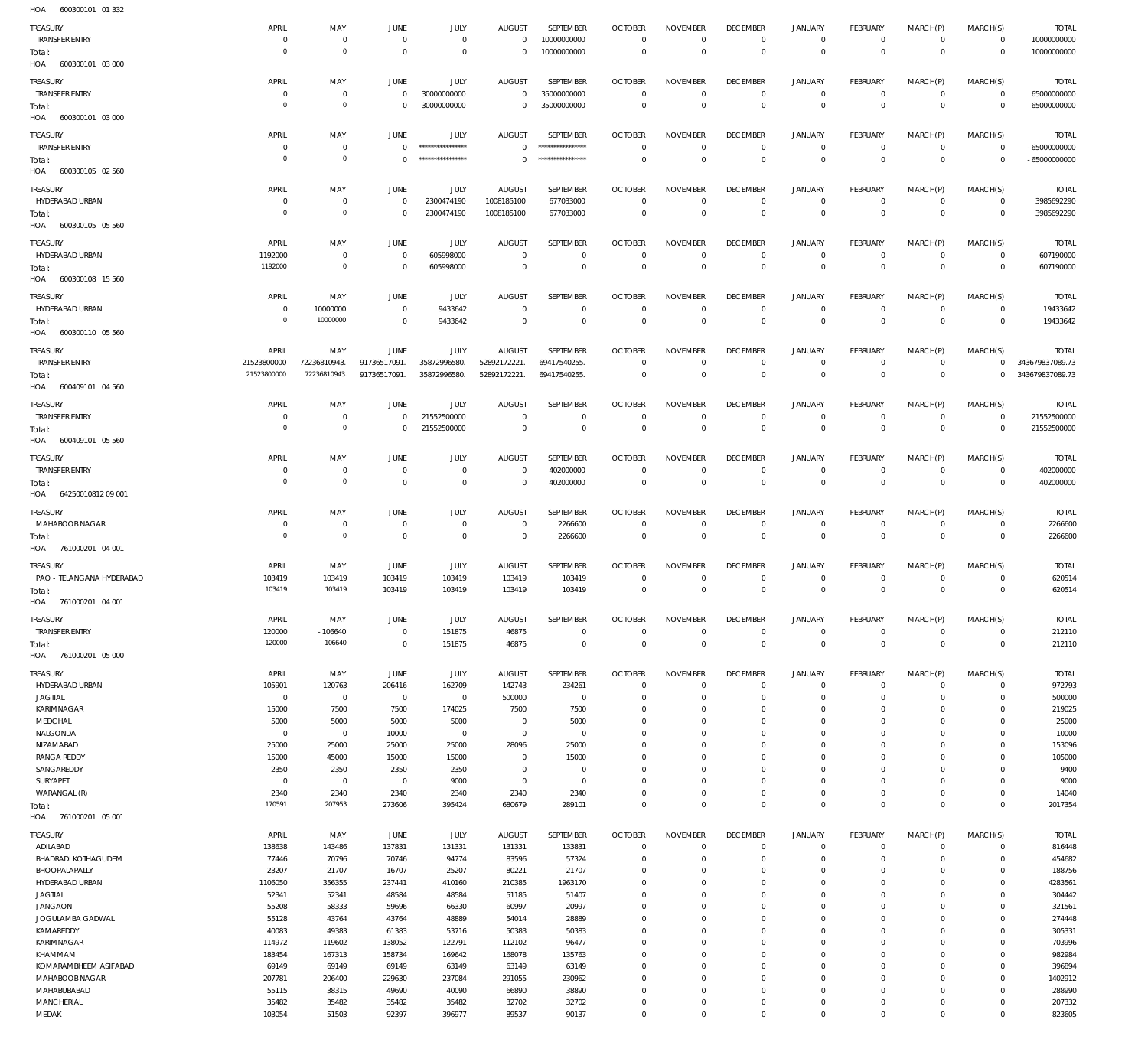600300101 01 332 HOA

| TREASURY                          | APRIL                     | MAY                   | <b>JUNE</b>         | JULY              | <b>AUGUST</b>         | SEPTEMBER        | <b>OCTOBER</b>            | <b>NOVEMBER</b> | <b>DECEMBER</b>               | <b>JANUARY</b>                | <b>FEBRUARY</b>            | MARCH(P)                | MARCH(S)       | <b>TOTAL</b>    |
|-----------------------------------|---------------------------|-----------------------|---------------------|-------------------|-----------------------|------------------|---------------------------|-----------------|-------------------------------|-------------------------------|----------------------------|-------------------------|----------------|-----------------|
| <b>TRANSFER ENTRY</b>             | $\circ$                   | $\overline{0}$        | $\mathbf 0$         | $\overline{0}$    | $\mathbf 0$           | 10000000000      | $\mathbf 0$               | $\mathbf 0$     | $\overline{0}$                | $\overline{0}$                | $\overline{0}$             | $\mathbf 0$             | $\circ$        | 10000000000     |
| Total:                            | $\Omega$                  | $\circ$               | $\mathbf 0$         | $\overline{0}$    | $\overline{0}$        | 10000000000      | $\Omega$                  | $\mathbf 0$     | $\overline{0}$                | $\overline{0}$                | $\overline{0}$             | $\mathbf 0$             | $\overline{0}$ | 10000000000     |
| HOA 600300101 03 000              |                           |                       |                     |                   |                       |                  |                           |                 |                               |                               |                            |                         |                |                 |
|                                   | APRIL                     |                       |                     | <b>JULY</b>       |                       | SEPTEMBER        | <b>OCTOBER</b>            | <b>NOVEMBER</b> | <b>DECEMBER</b>               |                               | <b>FEBRUARY</b>            |                         | MARCH(S)       | <b>TOTAL</b>    |
| TREASURY<br><b>TRANSFER ENTRY</b> | $^{\circ}$                | MAY<br>$\overline{0}$ | JUNE<br>$\mathbf 0$ | 30000000000       | AUGUST<br>$\mathbf 0$ | 35000000000      | $\overline{0}$            | $\mathbf 0$     | $\overline{0}$                | <b>JANUARY</b><br>$\mathbf 0$ | $\mathbf{0}$               | MARCH(P)<br>$\mathbf 0$ | $\mathbf 0$    | 65000000000     |
|                                   | $\mathbf 0$               | $\circ$               | $\mathbf 0$         | 30000000000       | $\overline{0}$        | 35000000000      | $\overline{0}$            | $\Omega$        | $\overline{0}$                | $\overline{0}$                | $\overline{0}$             | $\mathbf 0$             | $\mathbf 0$    | 65000000000     |
| Total:                            |                           |                       |                     |                   |                       |                  |                           |                 |                               |                               |                            |                         |                |                 |
| HOA 600300101 03 000              |                           |                       |                     |                   |                       |                  |                           |                 |                               |                               |                            |                         |                |                 |
| TREASURY                          | APRIL                     | MAY                   | JUNE                | JULY              | <b>AUGUST</b>         | SEPTEMBER        | <b>OCTOBER</b>            | <b>NOVEMBER</b> | <b>DECEMBER</b>               | <b>JANUARY</b>                | <b>FEBRUARY</b>            | MARCH(P)                | MARCH(S)       | <b>TOTAL</b>    |
| TRANSFER ENTRY                    | $\circ$                   | $\overline{0}$        | $\Omega$            | ***************** | $\Omega$              | **************** | $\Omega$                  | $^{\circ}$      | $\overline{0}$                | $^{\circ}$                    | $^{\circ}$                 | $\mathbf 0$             | $\mathbf 0$    | $-65000000000$  |
| Total:                            | $\mathbf 0$               | $\circ$               | $\Omega$            | ****************  | $\mathbb O$           | **************** | $\overline{0}$            | $\mathbf 0$     | $\overline{0}$                | $\overline{0}$                | $\overline{0}$             | $\mathbf 0$             | $\overline{0}$ | $-65000000000$  |
| HOA 600300105 02 560              |                           |                       |                     |                   |                       |                  |                           |                 |                               |                               |                            |                         |                |                 |
|                                   |                           |                       |                     |                   |                       |                  |                           |                 |                               |                               |                            |                         |                |                 |
| TREASURY                          | APRIL                     | MAY                   | <b>JUNE</b>         | JULY              | AUGUST                | SEPTEMBER        | <b>OCTOBER</b>            | <b>NOVEMBER</b> | <b>DECEMBER</b>               | JANUARY                       | <b>FEBRUARY</b>            | MARCH(P)                | MARCH(S)       | <b>TOTAL</b>    |
| HYDERABAD URBAN                   | $^{\circ}$<br>$\mathbf 0$ | 0<br>$\circ$          | $\overline{0}$      | 2300474190        | 1008185100            | 677033000        | $\overline{0}$            | $\overline{0}$  | $\mathbf{0}$                  | $\mathbf 0$                   | $\mathbf{0}$               | $\mathbf 0$             | $\mathbf 0$    | 3985692290      |
| Total:                            |                           |                       | $\overline{0}$      | 2300474190        | 1008185100            | 677033000        | $\overline{0}$            | $\mathbf{0}$    | $\overline{0}$                | $\overline{0}$                | $\overline{0}$             | $\mathbf 0$             | $\overline{0}$ | 3985692290      |
| HOA 600300105 05 560              |                           |                       |                     |                   |                       |                  |                           |                 |                               |                               |                            |                         |                |                 |
| TREASURY                          | APRIL                     | MAY                   | JUNE                | <b>JULY</b>       | AUGUST                | SEPTEMBER        | <b>OCTOBER</b>            | <b>NOVEMBER</b> | <b>DECEMBER</b>               | <b>JANUARY</b>                | <b>FEBRUARY</b>            | MARCH(P)                | MARCH(S)       | <b>TOTAL</b>    |
| HYDERABAD URBAN                   | 1192000                   | $\overline{0}$        | $\overline{0}$      | 605998000         | $^{\circ}$            | $\overline{0}$   | $^{\circ}$                | $^{\circ}$      | $^{\circ}$                    | $^{\circ}$                    | $\overline{0}$             | 0                       | $\mathbf 0$    | 607190000       |
| Total:                            | 1192000                   | $\circ$               | $\mathbf 0$         | 605998000         | $\Omega$              | $\mathbf 0$      | $\Omega$                  | $\mathbf{0}$    | $\overline{0}$                | $\overline{0}$                | $\overline{0}$             | $\mathbf 0$             | $\mathbb O$    | 607190000       |
| HOA<br>600300108 15 560           |                           |                       |                     |                   |                       |                  |                           |                 |                               |                               |                            |                         |                |                 |
|                                   |                           |                       |                     |                   |                       |                  |                           |                 |                               |                               |                            |                         |                |                 |
| Treasury                          | APRIL                     | MAY                   | JUNE                | JULY              | <b>AUGUST</b>         | SEPTEMBER        | <b>OCTOBER</b>            | <b>NOVEMBER</b> | <b>DECEMBER</b>               | <b>JANUARY</b>                | FEBRUARY                   | MARCH(P)                | MARCH(S)       | <b>TOTAL</b>    |
| HYDERABAD URBAN                   | $\circ$                   | 10000000              | $\overline{0}$      | 9433642           | $^{\circ}$            | $^{\circ}$       | $\overline{0}$            | $\mathbf{0}$    | $\overline{0}$                | $^{\circ}$                    | $\mathbf{0}$               | $\mathbf 0$             | $\mathbf 0$    | 19433642        |
| Total:                            | $\mathbf 0$               | 10000000              | $\mathbf 0$         | 9433642           | $\Omega$              | $\mathbf 0$      | $\overline{0}$            | $^{\circ}$      | $\overline{0}$                | $\overline{0}$                | $\overline{0}$             | $\mathbf 0$             | $\overline{0}$ | 19433642        |
| HOA 600300110 05 560              |                           |                       |                     |                   |                       |                  |                           |                 |                               |                               |                            |                         |                |                 |
| TREASURY                          | APRIL                     | MAY                   | <b>JUNE</b>         | <b>JULY</b>       | AUGUST                | SEPTEMBER        | <b>OCTOBER</b>            | <b>NOVEMBER</b> | <b>DECEMBER</b>               | <b>JANUARY</b>                | <b>FEBRUARY</b>            | MARCH(P)                | MARCH(S)       | <b>TOTAL</b>    |
| <b>TRANSFER ENTRY</b>             | 21523800000               | 72236810943.          | 91736517091.        | 35872996580.      | 52892172221           | 69417540255.     | $\overline{0}$            | $^{\circ}$      | $\overline{0}$                | $^{\circ}$                    | $^{\circ}$                 | 0                       | $\mathbf 0$    | 343679837089.73 |
|                                   | 21523800000               | 72236810943.          | 91736517091.        | 35872996580.      | 52892172221           | 69417540255.     | $\mathbf 0$               | $\mathbf{0}$    | $\overline{0}$                | $\overline{0}$                | $\overline{0}$             | $\mathbf 0$             | $\mathbf 0$    | 343679837089.73 |
| Total:<br>HOA 600409101 04 560    |                           |                       |                     |                   |                       |                  |                           |                 |                               |                               |                            |                         |                |                 |
|                                   |                           |                       |                     |                   |                       |                  |                           |                 |                               |                               |                            |                         |                |                 |
| TREASURY                          | APRIL                     | MAY                   | <b>JUNE</b>         | <b>JULY</b>       | <b>AUGUST</b>         | SEPTEMBER        | <b>OCTOBER</b>            | <b>NOVEMBER</b> | <b>DECEMBER</b>               | JANUARY                       | <b>FEBRUARY</b>            | MARCH(P)                | MARCH(S)       | <b>TOTAL</b>    |
| TRANSFER ENTRY                    | $\mathbf 0$               | 0                     | $\mathbf 0$         | 21552500000       | $\Omega$              | $\overline{0}$   | $^{\circ}$                | $\mathbf 0$     | $\mathbf{0}$                  | $^{\circ}$                    | $^{\circ}$                 | 0                       | $\mathbf 0$    | 21552500000     |
| Total:                            | $\circ$                   | $\circ$               | $\mathbf 0$         | 21552500000       | $\Omega$              | $\mathbf 0$      | $\overline{0}$            | $\mathbf 0$     | $\overline{0}$                | $\overline{0}$                | $\overline{0}$             | $\mathbf 0$             | $\overline{0}$ | 21552500000     |
| HOA 600409101 05 560              |                           |                       |                     |                   |                       |                  |                           |                 |                               |                               |                            |                         |                |                 |
|                                   |                           |                       |                     |                   |                       |                  |                           |                 |                               |                               |                            |                         |                |                 |
| TREASURY                          | APRIL                     | MAY                   | <b>JUNE</b>         | JULY              | AUGUST                | SEPTEMBER        | <b>OCTOBER</b>            | <b>NOVEMBER</b> | <b>DECEMBER</b>               | <b>JANUARY</b>                | <b>FEBRUARY</b>            | MARCH(P)                | MARCH(S)       | <b>TOTAL</b>    |
| <b>TRANSFER ENTRY</b>             | $\circ$                   | 0                     | $\overline{0}$      | $\overline{0}$    | $\overline{0}$        | 402000000        | $^{\circ}$                | $^{\circ}$      | $\overline{0}$                | $^{\circ}$                    | $\overline{0}$             | 0                       | $\mathbf 0$    | 402000000       |
| Total:                            | $\Omega$                  | $\Omega$              | $\mathbf 0$         | $\overline{0}$    | $^{\circ}$            | 402000000        | $\overline{0}$            | $\mathbf 0$     | $\overline{0}$                | $\overline{0}$                | $\overline{0}$             | $\mathbf 0$             | $\overline{0}$ | 402000000       |
| HOA 6425001081209001              |                           |                       |                     |                   |                       |                  |                           |                 |                               |                               |                            |                         |                |                 |
| TREASURY                          | APRIL                     | MAY                   | JUNE                | JULY              | <b>AUGUST</b>         | SEPTEMBER        | <b>OCTOBER</b>            | <b>NOVEMBER</b> | <b>DECEMBER</b>               | <b>JANUARY</b>                | FEBRUARY                   | MARCH(P)                | MARCH(S)       | <b>TOTAL</b>    |
| MAHABOOB NAGAR                    | $^{\circ}$                | $\overline{0}$        | $\overline{0}$      | $\circ$           | $^{\circ}$            | 2266600          | $\overline{0}$            | $^{\circ}$      | $\overline{0}$                | $^{\circ}$                    | $\mathbf{0}$               | $\mathbf 0$             | $\mathbf 0$    | 2266600         |
| Total:                            | $\mathbf 0$               | $\circ$               | $\mathbf 0$         | $\overline{0}$    | $\mathbf 0$           | 2266600          | $\overline{0}$            | $^{\circ}$      | $\overline{0}$                | $\overline{0}$                | $\overline{0}$             | $\mathbf 0$             | $\overline{0}$ | 2266600         |
| HOA 761000201 04 001              |                           |                       |                     |                   |                       |                  |                           |                 |                               |                               |                            |                         |                |                 |
|                                   |                           |                       |                     |                   |                       |                  |                           |                 |                               |                               |                            |                         |                |                 |
| TREASURY                          | APRIL                     | MAY                   | JUNE                | JULY              | <b>AUGUST</b>         | SEPTEMBER        | <b>OCTOBER</b>            | <b>NOVEMBER</b> | <b>DECEMBER</b>               | <b>JANUARY</b>                | <b>FEBRUARY</b>            | MARCH(P)                | MARCH(S)       | <b>TOTAL</b>    |
| PAO - TELANGANA HYDERABAD         | 103419                    | 103419                | 103419              | 103419            | 103419                | 103419           | $^{\circ}$                | $\mathbf 0$     | $^{\circ}$                    | $^{\circ}$                    | $^{\circ}$                 | 0                       | $\mathbf 0$    | 620514          |
| Total:                            | 103419                    | 103419                | 103419              | 103419            | 103419                | 103419           | $\overline{0}$            | $\mathbf{0}$    | $\mathbf{0}$                  | $\mathbf 0$                   | $\overline{0}$             | $\mathbf 0$             | $\mathbf 0$    | 620514          |
| HOA 761000201 04 001              |                           |                       |                     |                   |                       |                  |                           |                 |                               |                               |                            |                         |                |                 |
| <b>TREASURY</b>                   | APRIL                     | MAY                   | JUNE                | JULY              | <b>AUGUST</b>         | SEPTEMBER        | <b>OCTOBER</b>            | <b>NOVEMBER</b> | <b>DECEMBER</b>               | <b>JANUARY</b>                | FEBRUARY                   | MARCH(P)                | MARCH(S)       | <b>TOTAL</b>    |
| <b>TRANSFER ENTRY</b>             | 120000                    | $-106640$             | $\mathbf 0$         | 151875            | 46875                 | $\mathbf 0$      | $\overline{0}$            | $^{\circ}$      | $\mathbf 0$                   | $\mathbf 0$                   | $\circ$                    | $\mathbf 0$             | $\mathbf 0$    | 212110          |
|                                   | 120000                    | $-106640$             | $\mathbf 0$         | 151875            | 46875                 | $\mathbf 0$      | $\,0\,$                   | $\mathbf{0}$    | $\overline{0}$                | $\overline{0}$                | $\overline{0}$             | $\mathbf 0$             | $\mathbf 0$    | 212110          |
| Total:<br>HOA 761000201 05 000    |                           |                       |                     |                   |                       |                  |                           |                 |                               |                               |                            |                         |                |                 |
|                                   |                           |                       |                     |                   |                       |                  |                           |                 |                               |                               |                            |                         |                |                 |
| TREASURY                          | APRIL                     | MAY                   | JUNE                | JULY              | <b>AUGUST</b>         | SEPTEMBER        | <b>OCTOBER</b>            | <b>NOVEMBER</b> | <b>DECEMBER</b>               | <b>JANUARY</b>                | FEBRUARY                   | MARCH(P)                | MARCH(S)       | <b>TOTAL</b>    |
| HYDERABAD URBAN                   | 105901                    | 120763                | 206416              | 162709            | 142743                | 234261           | $\overline{0}$            | $\mathbf 0$     | $\mathbf 0$                   | $\circ$                       | $\circ$                    | $\mathbf 0$             | $\mathbf 0$    | 972793          |
| <b>JAGTIAL</b>                    | $\,0\,$                   | $\mathbf 0$           | $\mathbf 0$         | $\overline{0}$    | 500000                | $\mathbf 0$      | $\overline{0}$            | $\mathbf 0$     | $\mathbf 0$                   | $\mathbf 0$                   | $\mathbf{0}$               | $\mathbf 0$             | $\mathbf 0$    | 500000          |
| KARIMNAGAR                        | 15000                     | 7500                  | 7500                | 174025            | 7500                  | 7500             | $^{\circ}$                | $\mathbf 0$     | $^{\circ}$                    | 0                             | $\mathbf 0$                | $\mathbf 0$             | $\mathbf 0$    | 219025          |
| MEDCHAL                           | 5000                      | 5000                  | 5000                | 5000              | $\mathbf 0$           | 5000             | $\overline{0}$            | 0               | $\mathbf 0$                   | 0                             | $^{\circ}$                 | $\mathbf 0$             | $\mathbf 0$    | 25000           |
| NALGONDA                          | $^{\circ}$                | $\mathbf 0$           | 10000               | $\overline{0}$    | $\mathbf 0$           | $\overline{0}$   | $\overline{0}$            | 0               | $\mathbf 0$                   | 0                             | $\mathbf 0$                | $\Omega$                | $\mathbf 0$    | 10000           |
| NIZAMABAD                         | 25000                     | 25000                 | 25000               | 25000             | 28096                 | 25000            | $\overline{0}$            | 0               | $\mathbf 0$                   | 0                             | $\mathbf 0$                | $\mathbf 0$             | $\mathbf 0$    | 153096          |
| <b>RANGA REDDY</b>                | 15000                     | 45000                 | 15000               | 15000             | $^{\circ}$            | 15000            | $\overline{0}$            | 0               | $\mathbf 0$                   | 0                             | $^{\circ}$                 | $\Omega$                | $\mathbf 0$    | 105000          |
| SANGAREDDY                        | 2350                      | 2350                  | 2350                | 2350              | $\mathbf 0$           | $^{\circ}$       | $\overline{0}$            | 0               | $\mathbf 0$                   | 0                             | $\Omega$                   | $\Omega$                | $\mathbf 0$    | 9400            |
| SURYAPET                          | $^{\circ}$                | $\overline{0}$        | $\mathbf 0$         | 9000              | $\mathbf 0$           | $^{\circ}$       | $^{\circ}$                | 0               | $\mathbf 0$                   | 0                             | $\mathbf 0$                | $\mathbf 0$             | $\mathbf 0$    | 9000            |
| WARANGAL (R)                      |                           | 2340                  | 2340                | 2340              | 2340                  | 2340             | $\overline{0}$            | 0               | $\mathbf 0$                   | $\mathbf 0$                   | $\mathbf 0$                | $\mathbf 0$             | $\mathbf 0$    | 14040           |
|                                   | 2340                      |                       |                     |                   |                       | 289101           | $\,0\,$                   | $\mathbf 0$     | $\overline{0}$                | $\overline{0}$                | $\overline{0}$             | $\mathbf 0$             | $\mathbf 0$    | 2017354         |
| Total:                            | 170591                    | 207953                | 273606              | 395424            | 680679                |                  |                           |                 |                               |                               |                            |                         |                |                 |
| HOA 761000201 05 001              |                           |                       |                     |                   |                       |                  |                           |                 |                               |                               |                            |                         |                |                 |
|                                   |                           |                       |                     |                   |                       |                  |                           |                 |                               |                               |                            |                         |                |                 |
| Treasury                          | APRIL                     | MAY                   | JUNE                | JULY              | <b>AUGUST</b>         | SEPTEMBER        | <b>OCTOBER</b>            | <b>NOVEMBER</b> | <b>DECEMBER</b>               | <b>JANUARY</b>                | FEBRUARY                   | MARCH(P)                | MARCH(S)       | <b>TOTAL</b>    |
| ADILABAD                          | 138638                    | 143486                | 137831              | 131331            | 131331                | 133831           | $\overline{0}$            | $\mathbf 0$     | $\mathbf 0$                   | $\mathbf 0$                   | $\mathbf{0}$               | $\mathbf 0$             | $\mathbf 0$    | 816448          |
| <b>BHADRADI KOTHAGUDEM</b>        | 77446                     | 70796                 | 70746               | 94774             | 83596                 | 57324            | $\overline{0}$            | $\mathbf 0$     | $\overline{0}$                | $\mathbf 0$                   | $\mathbf{0}$               | $\mathbf 0$             | 0              | 454682          |
| BHOOPALAPALLY                     | 23207                     | 21707                 | 16707               | 25207             | 80221                 | 21707            | $\overline{0}$            | 0               | $^{\circ}$                    | 0                             | $^{\circ}$                 | 0                       | $\mathbf 0$    | 188756          |
| HYDERABAD URBAN                   | 1106050                   | 356355                | 237441              | 410160            | 210385                | 1963170          | $\overline{0}$            | 0               | $^{\circ}$                    | 0                             | $\mathbf 0$                | 0                       | $\mathbf 0$    | 4283561         |
| JAGTIAL                           | 52341                     | 52341                 | 48584               | 48584             | 51185                 | 51407            | $\overline{0}$            | 0               | $\mathbf{0}$                  | 0                             | $^{\circ}$                 | 0                       | $\mathbf 0$    | 304442          |
| <b>JANGAON</b>                    | 55208                     | 58333                 | 59696               | 66330             | 60997                 | 20997            | $\overline{0}$            | 0               | $\mathbf 0$                   | 0                             | $\mathbf 0$                | 0                       | $^{\circ}$     | 321561          |
| JOGULAMBA GADWAL                  | 55128                     | 43764                 | 43764               | 48889             | 54014                 | 28889            | $\overline{0}$            | 0               | $\mathbf{0}$                  | 0                             | $\mathbf 0$                | 0                       | $\mathbf 0$    | 274448          |
| KAMAREDDY                         | 40083                     | 49383                 | 61383               | 53716             | 50383                 | 50383            | $\overline{0}$            | 0               | $\overline{0}$                | 0                             | $^{\circ}$                 | 0                       | $^{\circ}$     | 305331          |
| KARIMNAGAR                        | 114972                    | 119602                | 138052              | 122791            | 112102                | 96477            | $\overline{0}$            | 0               | $\mathbf 0$                   | 0                             | $\mathbf 0$                | $\Omega$                | $\mathbf 0$    | 703996          |
| KHAMMAM                           | 183454                    | 167313                | 158734              | 169642            | 168078                | 135763           | $\overline{0}$            | 0               | $\mathbf{0}$                  | 0                             | $\mathbf 0$                | 0                       | 0              | 982984          |
| KOMARAMBHEEM ASIFABAD             | 69149                     | 69149                 | 69149               | 63149             | 63149                 | 63149            | $\overline{0}$            | 0               | $\mathbf 0$                   | 0                             | $^{\circ}$                 | 0                       | $\mathbf 0$    | 396894          |
| MAHABOOB NAGAR                    | 207781                    | 206400                | 229630              | 237084            | 291055                | 230962           | $\overline{0}$            | 0               | $\mathbf 0$                   | 0                             | $\mathbf 0$                | $\Omega$                | $\mathbf 0$    | 1402912         |
| MAHABUBABAD                       | 55115                     | 38315                 | 49690               | 40090             | 66890                 | 38890            | $\overline{0}$            | 0               | $\mathbf 0$                   | 0                             | $\mathbf 0$                | $\mathbf 0$             | $\mathbf 0$    | 288990          |
| MANCHERIAL                        | 35482<br>103054           | 35482                 | 35482<br>92397      | 35482<br>396977   | 32702                 | 32702            | $\overline{0}$<br>$\,0\,$ | 0               | $\mathbf 0$<br>$\overline{0}$ | 0<br>$\mathbf 0$              | $\mathbf 0$<br>$\mathbf 0$ | 0                       | 0              | 207332          |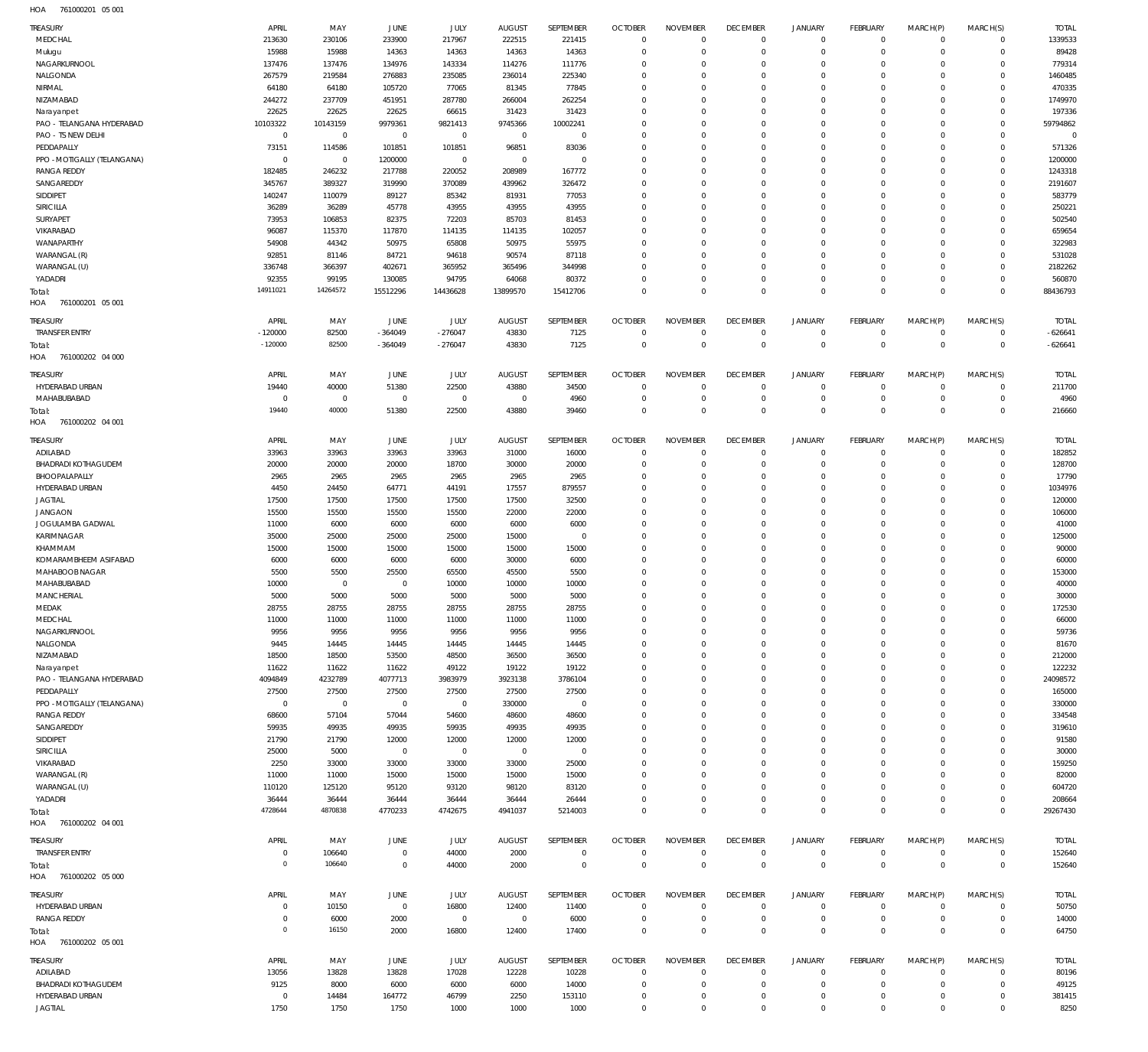| <b>HOA</b> | 761000201 05 001 |  |
|------------|------------------|--|

| <b>TREASURY</b>                           | APRIL                | MAY                  | JUNE                 | JULY                 | <b>AUGUST</b>          | SEPTEMBER               | <b>OCTOBER</b>             | <b>NOVEMBER</b>      | <b>DECEMBER</b>            | JANUARY                      | <b>FEBRUARY</b>            | MARCH(P)               | MARCH(S)                   | <b>TOTAL</b>           |
|-------------------------------------------|----------------------|----------------------|----------------------|----------------------|------------------------|-------------------------|----------------------------|----------------------|----------------------------|------------------------------|----------------------------|------------------------|----------------------------|------------------------|
| MEDCHAL                                   | 213630               | 230106               | 233900               | 217967               | 222515                 | 221415                  | $\mathbf 0$                | $\mathbf 0$          | $\mathbf 0$                | $^{\circ}$                   | $\mathbf 0$                | $\mathbf 0$            | $\mathbf 0$                | 1339533                |
| Mulugu                                    | 15988                | 15988                | 14363                | 14363                | 14363                  | 14363                   | $\mathbf 0$                | $\Omega$             | $\mathbf 0$                | $\mathbf 0$                  | $\mathbf 0$                | $\Omega$               | $\mathbf 0$                | 89428                  |
| NAGARKURNOOL                              | 137476               | 137476               | 134976               | 143334               | 114276                 | 111776                  | $\mathbf 0$                | $\Omega$             | $\mathbf 0$                | 0                            | $\mathbf 0$                | $\Omega$               | $\mathbf 0$                | 779314                 |
| NALGONDA                                  | 267579               | 219584               | 276883               | 235085               | 236014                 | 225340                  | $\mathbf 0$                | $\Omega$             | $\mathbf 0$                | 0                            | $\mathbf 0$                | $\Omega$               | $\Omega$                   | 1460485                |
| NIRMAL                                    | 64180                | 64180                | 105720               | 77065                | 81345                  | 77845                   | $\mathbf 0$                | $\Omega$             | $\Omega$                   | $\Omega$                     | $\mathbf 0$                | $\Omega$               | $\mathbf 0$                | 470335                 |
| NIZAMABAD                                 | 244272<br>22625      | 237709<br>22625      | 451951<br>22625      | 287780<br>66615      | 266004<br>31423        | 262254<br>31423         | $\mathbf 0$<br>$\mathbf 0$ | $\Omega$<br>$\Omega$ | $\mathbf 0$<br>$\Omega$    | 0<br>$\Omega$                | $\mathbf 0$<br>$\Omega$    | $\Omega$               | $\mathbf 0$<br>$\Omega$    | 1749970<br>197336      |
| Narayanpet<br>PAO - TELANGANA HYDERABAD   | 10103322             | 10143159             | 9979361              | 9821413              | 9745366                | 10002241                | $\mathbf 0$                | $\Omega$             | $\mathbf 0$                | 0                            | $\mathbf 0$                | $\Omega$               | $\mathbf 0$                | 59794862               |
| PAO - TS NEW DELHI                        | $\,0\,$              | $\,0\,$              | $\,0\,$              | $\overline{0}$       | $\overline{0}$         | $\overline{0}$          | $\mathbf 0$                | $\Omega$             | $\Omega$                   | $\Omega$                     | $^{\circ}$                 |                        | $\Omega$                   | $\overline{0}$         |
| PEDDAPALLY                                | 73151                | 114586               | 101851               | 101851               | 96851                  | 83036                   | $\mathbf 0$                | $\Omega$             | $\Omega$                   | $\Omega$                     | $\mathbf 0$                | $\Omega$               | $\mathbf 0$                | 571326                 |
| PPO - MOTIGALLY (TELANGANA)               | $\mathbf 0$          | $\,0\,$              | 1200000              | $\overline{0}$       | $\mathbf 0$            | $^{\circ}$              | $\mathbf 0$                | $\Omega$             | $\Omega$                   | $\Omega$                     | $\mathbf 0$                | $\Omega$               | $\mathbf 0$                | 1200000                |
| <b>RANGA REDDY</b>                        | 182485               | 246232               | 217788               | 220052               | 208989                 | 167772                  | $\mathbf 0$                | $\Omega$             | $\Omega$                   | $\Omega$                     | $\mathbf 0$                |                        | $\Omega$                   | 1243318                |
| SANGAREDDY                                | 345767               | 389327               | 319990               | 370089               | 439962                 | 326472                  | $\mathbf 0$                | $\Omega$             | $\Omega$                   | $\Omega$                     | $\mathbf 0$                | $\Omega$               | $\Omega$                   | 2191607                |
| SIDDIPET                                  | 140247               | 110079               | 89127                | 85342                | 81931                  | 77053                   | $\mathbf 0$                | $\Omega$             | $\mathbf 0$                | $\Omega$                     | $\mathbf 0$                |                        | $\mathbf 0$                | 583779                 |
| SIRICILLA                                 | 36289                | 36289                | 45778                | 43955                | 43955                  | 43955                   | $\mathbf 0$                | $\Omega$             | $\Omega$                   | $\Omega$                     | $\Omega$                   |                        | $\Omega$                   | 250221                 |
| SURYAPET                                  | 73953                | 106853               | 82375                | 72203                | 85703                  | 81453                   | $\mathbf 0$<br>$\mathbf 0$ | $\Omega$             | $\mathbf 0$<br>$\Omega$    | 0                            | $\mathbf 0$                | $\Omega$               | $\mathbf 0$<br>$\Omega$    | 502540                 |
| VIKARABAD<br>WANAPARTHY                   | 96087<br>54908       | 115370<br>44342      | 117870<br>50975      | 114135<br>65808      | 114135<br>50975        | 102057<br>55975         | $\mathbf 0$                | $\Omega$<br>$\Omega$ | $\Omega$                   | $\Omega$<br>$\Omega$         | $^{\circ}$<br>$\mathbf 0$  | $\Omega$               | $\Omega$                   | 659654<br>322983       |
| WARANGAL (R)                              | 92851                | 81146                | 84721                | 94618                | 90574                  | 87118                   | $\mathbf 0$                | $\Omega$             | $\Omega$                   | $\Omega$                     | $^{\circ}$                 | $\Omega$               | $\mathbf 0$                | 531028                 |
| WARANGAL (U)                              | 336748               | 366397               | 402671               | 365952               | 365496                 | 344998                  | $\mathbf 0$                | $\Omega$             | $\mathbf 0$                | $\Omega$                     | $\mathbf 0$                | $\Omega$               | $\mathbf 0$                | 2182262                |
| YADADRI                                   | 92355                | 99195                | 130085               | 94795                | 64068                  | 80372                   | $\mathbf 0$                | 0                    | $\mathbf 0$                | 0                            | $\mathbf 0$                | 0                      | $\mathbf 0$                | 560870                 |
| rotal:                                    | 14911021             | 14264572             | 15512296             | 14436628             | 13899570               | 15412706                | $\mathbf 0$                | $\Omega$             | $\mathbf 0$                | $\Omega$                     | $\mathbf 0$                | $\Omega$               | $\Omega$                   | 88436793               |
| HOA<br>761000201 05 001                   |                      |                      |                      |                      |                        |                         |                            |                      |                            |                              |                            |                        |                            |                        |
| <b>TREASURY</b>                           | APRIL                | MAY                  | JUNE                 | JULY                 | <b>AUGUST</b>          | SEPTEMBER               | <b>OCTOBER</b>             | <b>NOVEMBER</b>      | <b>DECEMBER</b>            | <b>JANUARY</b>               | <b>FEBRUARY</b>            | MARCH(P)               | MARCH(S)                   | <b>TOTAL</b>           |
| <b>TRANSFER ENTRY</b>                     | $-120000$            | 82500                | $-364049$            | $-276047$            | 43830                  | 7125                    | $\mathbf 0$                | $\overline{0}$       | $\mathbf 0$                | $\mathbf 0$                  | $\circ$                    | $\Omega$               | $\mathbf 0$                | $-626641$              |
| Total:                                    | $-120000$            | 82500                | $-364049$            | $-276047$            | 43830                  | 7125                    | $\mathbf 0$                | $\mathbf 0$          | $\,0\,$                    | $\mathbf 0$                  | $\mathbf 0$                | $\mathbf 0$            | $\mathbf 0$                | $-626641$              |
| HOA<br>761000202 04 000                   |                      |                      |                      |                      |                        |                         |                            |                      |                            |                              |                            |                        |                            |                        |
| <b>TREASURY</b>                           | APRIL                | MAY                  | JUNE                 | JULY                 | <b>AUGUST</b>          | SEPTEMBER               | <b>OCTOBER</b>             | <b>NOVEMBER</b>      | <b>DECEMBER</b>            | <b>JANUARY</b>               | <b>FEBRUARY</b>            | MARCH(P)               | MARCH(S)                   | <b>TOTAL</b>           |
| HYDERABAD URBAN                           | 19440                | 40000                | 51380                | 22500                | 43880                  | 34500                   | $\mathbf 0$                | C                    | $\mathbf 0$                | $^{\circ}$                   | $^{\circ}$                 | 0                      | $\mathbf 0$                | 211700                 |
| MAHABUBABAD                               | $\mathbf 0$          | $^{\circ}$           | $\mathbf 0$          | $\overline{0}$       | $\mathbf 0$            | 4960                    | $\mathbf 0$                | $\mathbf 0$          | $\mathbf 0$                | $^{\circ}$                   | $\mathbf 0$                | $^{\circ}$             | $\mathbf 0$                | 4960                   |
| Total:                                    | 19440                | 40000                | 51380                | 22500                | 43880                  | 39460                   | $\mathbf 0$                | $\mathbf 0$          | $\mathbf 0$                | $\mathbf 0$                  | $\mathbf 0$                | $\Omega$               | $\mathbf{0}$               | 216660                 |
| HOA<br>761000202 04 001                   |                      |                      |                      |                      |                        |                         |                            |                      |                            |                              |                            |                        |                            |                        |
|                                           | APRIL                |                      | JUNE                 | JULY                 |                        | SEPTEMBER               | <b>OCTOBER</b>             | <b>NOVEMBER</b>      | <b>DECEMBER</b>            |                              | <b>FEBRUARY</b>            |                        |                            |                        |
| <b>TREASURY</b><br>ADILABAD               | 33963                | MAY<br>33963         | 33963                | 33963                | <b>AUGUST</b><br>31000 | 16000                   | $\mathbf 0$                | $\mathbf 0$          | $\mathbf 0$                | <b>JANUARY</b><br>$^{\circ}$ | $\mathbf 0$                | MARCH(P)<br>$^{\circ}$ | MARCH(S)<br>$\mathbf 0$    | <b>TOTAL</b><br>182852 |
| <b>BHADRADI KOTHAGUDEM</b>                | 20000                | 20000                | 20000                | 18700                | 30000                  | 20000                   | $\mathbf 0$                | $\Omega$             | $\mathbf 0$                | $^{\circ}$                   | $\mathbf 0$                | 0                      | $\mathbf 0$                | 128700                 |
| BHOOPALAPALLY                             | 2965                 | 2965                 | 2965                 | 2965                 | 2965                   | 2965                    | $\mathbf 0$                | 0                    | $\mathbf 0$                | 0                            | $\mathbf 0$                | $\Omega$               | $\mathbf 0$                | 17790                  |
| HYDERABAD URBAN                           | 4450                 | 24450                | 64771                | 44191                | 17557                  | 879557                  | $\mathbf 0$                | $\Omega$             | $\mathbf 0$                | 0                            | $\mathbf 0$                | $\Omega$               | $\mathbf 0$                | 1034976                |
| <b>JAGTIAL</b>                            | 17500                | 17500                | 17500                | 17500                | 17500                  | 32500                   | $\mathbf 0$                | $\Omega$             | $\mathbf 0$                | $\circ$                      | $\mathbf 0$                | $\Omega$               | $\mathbf 0$                | 120000                 |
| <b>JANGAON</b>                            | 15500                | 15500                | 15500                | 15500                | 22000                  | 22000                   | $\mathbf 0$                | $\Omega$             | $\mathbf 0$                | 0                            | $\mathbf 0$                | $\Omega$               | $\mathbf 0$                | 106000                 |
| JOGULAMBA GADWAL                          | 11000                | 6000                 | 6000                 | 6000                 | 6000                   | 6000                    | $\mathbf 0$                | $\Omega$             | $\mathbf 0$                | $\Omega$                     | $\mathbf 0$                | $\Omega$               | $\Omega$                   | 41000                  |
| KARIMNAGAR                                | 35000                | 25000                | 25000                | 25000                | 15000                  | $\overline{0}$          | $\mathbf 0$                | $\Omega$             | $\mathbf 0$                | 0                            | $\mathbf 0$                | $\Omega$               | $\mathbf 0$                | 125000                 |
| KHAMMAM                                   | 15000                | 15000                | 15000                | 15000                | 15000                  | 15000                   | $\mathbf 0$                | $\Omega$             | $\mathbf 0$                | $\Omega$                     | $\mathbf 0$                | $\Omega$               | $\Omega$                   | 90000                  |
| KOMARAMBHEEM ASIFABAD                     | 6000                 | 6000                 | 6000                 | 6000                 | 30000                  | 6000                    | $\mathbf 0$                | $\Omega$             | $\Omega$                   | $\Omega$                     | $\mathbf 0$                | $\Omega$               | $\mathbf 0$                | 60000                  |
| MAHABOOB NAGAR<br>MAHABUBABAD             | 5500<br>10000        | 5500<br>$^{\circ}$   | 25500<br>$\mathbf 0$ | 65500<br>10000       | 45500<br>10000         | 5500<br>10000           | $\mathbf 0$<br>$\mathbf 0$ | $\Omega$<br>$\Omega$ | $\mathbf 0$<br>$\Omega$    | $\Omega$<br>$\Omega$         | $\mathbf 0$<br>$\mathbf 0$ | $\Omega$<br>$\Omega$   | $\mathbf 0$<br>$\Omega$    | 153000<br>40000        |
| MANCHERIAL                                | 5000                 | 5000                 | 5000                 | 5000                 | 5000                   | 5000                    | $\mathbf 0$                | $\Omega$             | $\Omega$                   | $\Omega$                     | $\Omega$                   | $\Omega$               | $\Omega$                   | 30000                  |
| MEDAK                                     | 28755                | 28755                | 28755                | 28755                | 28755                  | 28755                   | $\Omega$                   | $\Omega$             | $\Omega$                   | $\Omega$                     | $\Omega$                   | $\Omega$               | $\Omega$                   | 172530                 |
| MEDCHAL                                   | 11000                | 11000                | 11000                | 11000                | 11000                  | 11000                   | $\mathbf 0$                | $\mathbf{0}$         | $\mathbf 0$                | $\mathbf 0$                  | $\mathbf 0$                | $\Omega$               | $\mathbf 0$                | 66000                  |
| NAGARKURNOOL                              | 9956                 | 9956                 | 9956                 | 9956                 | 9956                   | 9956                    | $\mathbf 0$                | 0                    | $\mathbf 0$                | 0                            | $\mathbf 0$                | $\Omega$               | $\mathbf 0$                | 59736                  |
| NALGONDA                                  | 9445                 | 14445                | 14445                | 14445                | 14445                  | 14445                   | $\mathbf 0$                | $\Omega$             | $\mathbf 0$                | $\Omega$                     | $\mathbf 0$                | $\Omega$               | $\Omega$                   | 81670                  |
| NIZAMABAD                                 | 18500                | 18500                | 53500                | 48500                | 36500                  | 36500                   | $\mathbf 0$                | $\Omega$             | $\mathbf 0$                | $\circ$                      | $\mathbf 0$                | $\Omega$               | $\mathbf 0$                | 212000                 |
| Narayanpet                                | 11622                | 11622                | 11622                | 49122                | 19122                  | 19122                   | $\mathbf 0$                | 0                    | $\mathbf 0$                | 0                            | $\mathbf 0$                | $\Omega$               | $\mathbf 0$                | 122232                 |
| PAO - TELANGANA HYDERABAD                 | 4094849              | 4232789              | 4077713              | 3983979              | 3923138                | 3786104                 | $\mathbf 0$                | $\Omega$             | $\Omega$                   | $\Omega$                     | $\mathbf 0$                | $\Omega$               | $\mathbf 0$                | 24098572               |
| PEDDAPALLY<br>PPO - MOTIGALLY (TELANGANA) | 27500<br>$\mathbf 0$ | 27500<br>$\mathbf 0$ | 27500<br>$\,0\,$     | 27500<br>$\mathbf 0$ | 27500<br>330000        | 27500<br>$\overline{0}$ | $\mathbf 0$<br>$\mathbf 0$ | $\Omega$<br>$\Omega$ | $\mathbf 0$<br>$\mathbf 0$ | $\mathbf 0$<br>0             | $\mathbf 0$<br>$\mathbf 0$ | $\Omega$<br>$\Omega$   | $\mathbf 0$<br>$\mathbf 0$ | 165000<br>330000       |
| <b>RANGA REDDY</b>                        | 68600                | 57104                | 57044                | 54600                | 48600                  | 48600                   | $\mathbf 0$                | $\Omega$             | $\mathbf 0$                | $\Omega$                     | $\mathbf 0$                | $\Omega$               | $\mathbf 0$                | 334548                 |
| SANGAREDDY                                | 59935                | 49935                | 49935                | 59935                | 49935                  | 49935                   | $\mathbf 0$                | $\Omega$             | $\mathbf 0$                | 0                            | $\mathbf 0$                | $\Omega$               | $\mathbf 0$                | 319610                 |
| SIDDIPET                                  | 21790                | 21790                | 12000                | 12000                | 12000                  | 12000                   | $\mathbf 0$                | $\Omega$             | $\mathbf 0$                | $\Omega$                     | $\mathbf 0$                | $\Omega$               | $\Omega$                   | 91580                  |
| SIRICILLA                                 | 25000                | 5000                 | $\mathbf 0$          | $\mathbf 0$          | $\mathbf 0$            | $\mathbf 0$             | $\mathbf 0$                | $\Omega$             | $\mathbf 0$                | $\circ$                      | $\mathbf 0$                | $\Omega$               | $\mathbf 0$                | 30000                  |
| VIKARABAD                                 | 2250                 | 33000                | 33000                | 33000                | 33000                  | 25000                   | $\mathbf 0$                | $\Omega$             | $\mathbf 0$                | 0                            | $\mathbf 0$                | $\Omega$               | $\mathbf 0$                | 159250                 |
| WARANGAL (R)                              | 11000                | 11000                | 15000                | 15000                | 15000                  | 15000                   | $\mathbf 0$                | $\Omega$             | $\Omega$                   | $\Omega$                     | $\mathbf 0$                | $\Omega$               | $\mathbf 0$                | 82000                  |
| WARANGAL (U)                              | 110120               | 125120               | 95120                | 93120                | 98120                  | 83120                   | $\mathbf 0$                | 0                    | $\mathbf 0$                | $\mathbf 0$                  | $\mathbf 0$                | $\Omega$               | $\mathbf 0$                | 604720                 |
| YADADRI                                   | 36444                | 36444                | 36444                | 36444                | 36444                  | 26444                   | $\mathbf 0$                | 0                    | $\mathbf 0$                | $\mathbf 0$                  | $\mathbf 0$                | $\Omega$               | $\mathbf 0$                | 208664                 |
| Total:                                    | 4728644              | 4870838              | 4770233              | 4742675              | 4941037                | 5214003                 | $\mathbf 0$                | $\Omega$             | $\mathbf 0$                | $\mathbf 0$                  | $\mathbf 0$                | $\Omega$               | $\mathbf 0$                | 29267430               |
| 761000202 04 001<br>HOA                   |                      |                      |                      |                      |                        |                         |                            |                      |                            |                              |                            |                        |                            |                        |
| <b>TREASURY</b>                           | APRIL                | MAY                  | JUNE                 | JULY                 | <b>AUGUST</b>          | SEPTEMBER               | <b>OCTOBER</b>             | <b>NOVEMBER</b>      | <b>DECEMBER</b>            | <b>JANUARY</b>               | <b>FEBRUARY</b>            | MARCH(P)               | MARCH(S)                   | <b>TOTAL</b>           |
| <b>TRANSFER ENTRY</b>                     | $\overline{0}$       | 106640               | $\,0\,$              | 44000                | 2000                   | $^{\circ}$              | $\mathbf 0$                | $\mathbf 0$          | $\mathbf 0$                | $^{\circ}$                   | $\mathbf 0$                | $\circ$                | $\mathbf 0$                | 152640                 |
| Total:                                    | $\circ$              | 106640               | $\,0\,$              | 44000                | 2000                   | $\mathbf 0$             | $\mathbb O$                | $\mathbf 0$          | $\mathbf 0$                | $\mathbf 0$                  | $\,0\,$                    | $\overline{0}$         | $\mathbf 0$                | 152640                 |
| HOA 761000202 05 000                      |                      |                      |                      |                      |                        |                         |                            |                      |                            |                              |                            |                        |                            |                        |
| <b>TREASURY</b>                           | APRIL                | MAY                  | JUNE                 | JULY                 | <b>AUGUST</b>          | SEPTEMBER               | <b>OCTOBER</b>             | <b>NOVEMBER</b>      | <b>DECEMBER</b>            | <b>JANUARY</b>               | <b>FEBRUARY</b>            | MARCH(P)               | MARCH(S)                   | <b>TOTAL</b>           |
| HYDERABAD URBAN                           | $\mathbf 0$          | 10150                | $\,0\,$              | 16800                | 12400                  | 11400                   | $\mathbf 0$                | $\mathbf 0$          | $\mathbf 0$                | $\circ$                      | $\circ$                    | $\mathbf 0$            | $\mathbf 0$                | 50750                  |
| <b>RANGA REDDY</b>                        | $\mathbf 0$          | 6000                 | 2000                 | $\mathbf 0$          | $\overline{0}$         | 6000                    | $\mathbf 0$                | $\mathbf 0$          | $\mathbf 0$                | $\mathbf 0$                  | $\mathbf 0$                | $\mathbf 0$            | $\mathbf 0$                | 14000                  |
| Total:                                    | $\mathbf 0$          | 16150                | 2000                 | 16800                | 12400                  | 17400                   | $\mathbf 0$                | $\mathbf 0$          | $\mathbf 0$                | $\mathbf 0$                  | $\mathbf 0$                | $\Omega$               | $\mathbf 0$                | 64750                  |
| HOA<br>761000202 05 001                   |                      |                      |                      |                      |                        |                         |                            |                      |                            |                              |                            |                        |                            |                        |
| <b>TREASURY</b>                           | APRIL                | MAY                  | JUNE                 | JULY                 | <b>AUGUST</b>          | SEPTEMBER               | <b>OCTOBER</b>             | <b>NOVEMBER</b>      | <b>DECEMBER</b>            | JANUARY                      | <b>FEBRUARY</b>            | MARCH(P)               | MARCH(S)                   | <b>TOTAL</b>           |
| ADILABAD                                  | 13056                | 13828                | 13828                | 17028                | 12228                  | 10228                   | $\mathbf 0$                | $^{\circ}$           | $\mathbf 0$                | $^{\circ}$                   | $\mathbf 0$                | $\mathbf 0$            | $\mathbf 0$                | 80196                  |
| BHADRADI KOTHAGUDEM                       | 9125                 | 8000                 | 6000                 | 6000                 | 6000                   | 14000                   | $\mathbf 0$                | $^{\circ}$           | $\mathbf 0$                | $\mathbf 0$                  | $\mathbf 0$                | 0                      | $\mathbf 0$                | 49125                  |
| HYDERABAD URBAN                           | $\mathbf 0$          | 14484                | 164772               | 46799                | 2250                   | 153110                  | $\mathbf 0$                | 0                    | $\mathbf 0$                | 0                            | $\mathbf 0$                | 0                      | $\mathbf 0$                | 381415                 |
| <b>JAGTIAL</b>                            | 1750                 | 1750                 | 1750                 | 1000                 | 1000                   | 1000                    | $\mathbf 0$                | $\mathbf 0$          | $\mathbf 0$                | $\mathbf 0$                  | $\mathbf 0$                | $\mathbf 0$            | $\mathbf 0$                | 8250                   |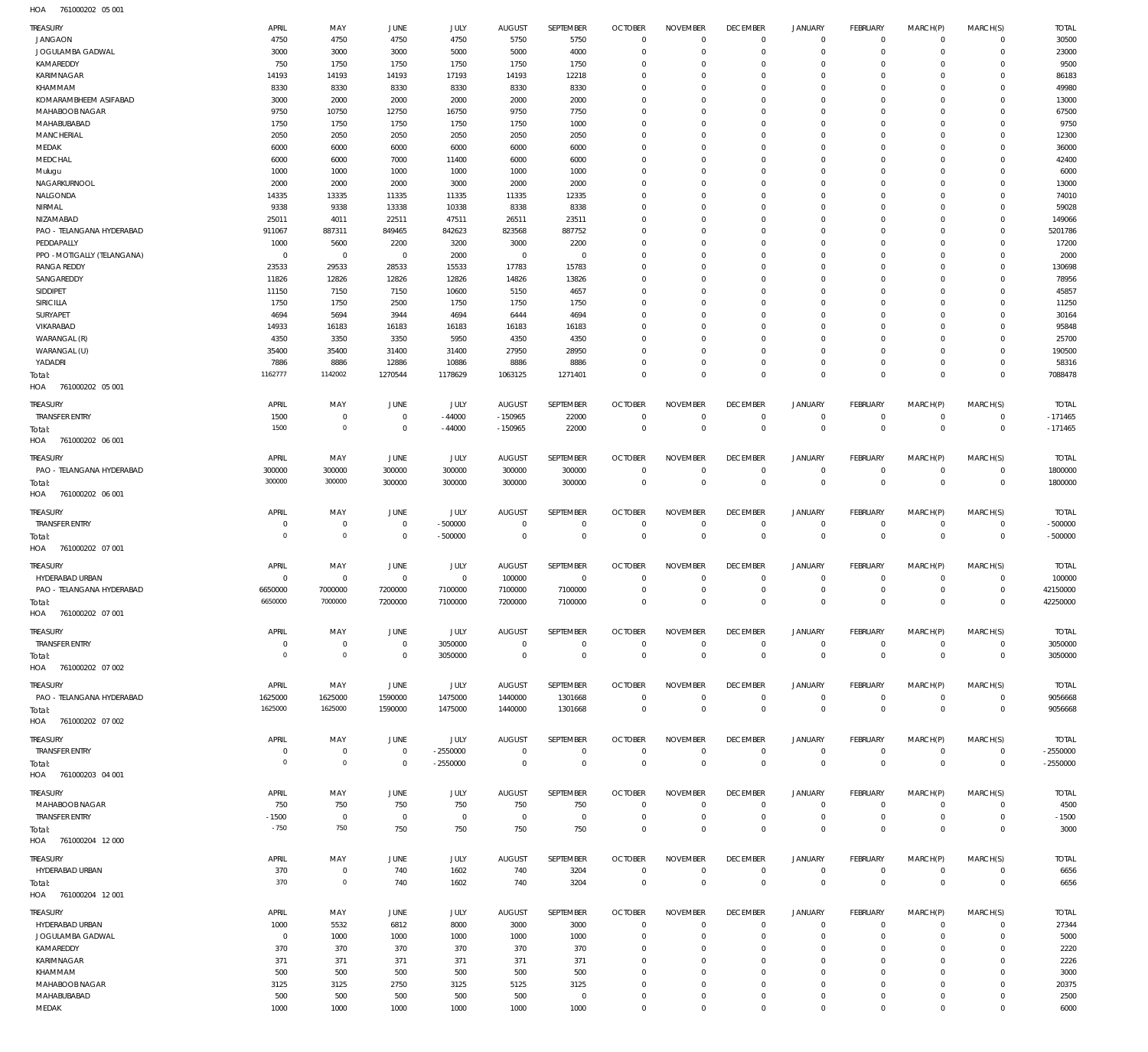761000202 05 001 HOA

| TREASURY                                | APRIL                        | MAY                           | JUNE               | JULY                 | <b>AUGUST</b>          | SEPTEMBER              | <b>OCTOBER</b>                   | <b>NOVEMBER</b>            | <b>DECEMBER</b>             | <b>JANUARY</b>                   | <b>FEBRUARY</b>                  | MARCH(P)                   | MARCH(S)                         | <b>TOTAL</b>           |
|-----------------------------------------|------------------------------|-------------------------------|--------------------|----------------------|------------------------|------------------------|----------------------------------|----------------------------|-----------------------------|----------------------------------|----------------------------------|----------------------------|----------------------------------|------------------------|
| <b>JANGAON</b>                          | 4750                         | 4750                          | 4750               | 4750                 | 5750                   | 5750                   | $\overline{0}$                   | $\Omega$                   | $\mathbf{0}$                | $\overline{0}$                   | $\overline{0}$                   | $\mathbf 0$                | $\mathbf 0$                      | 30500                  |
| JOGULAMBA GADWAL                        | 3000                         | 3000                          | 3000               | 5000                 | 5000                   | 4000                   | $\overline{0}$                   | $\Omega$                   | $\mathbf{0}$                | $\mathbf 0$                      | $\overline{0}$                   | $\Omega$                   | $\mathbf 0$                      | 23000                  |
| KAMAREDDY                               | 750                          | 1750                          | 1750               | 1750                 | 1750                   | 1750                   | $\overline{0}$                   | $\Omega$                   | $\Omega$                    | $\mathbf 0$                      | $\overline{0}$                   | 0                          | $\Omega$                         | 9500                   |
| KARIMNAGAR                              | 14193                        | 14193                         | 14193              | 17193                | 14193                  | 12218                  | $\overline{0}$                   | $\Omega$                   | $\mathbf 0$                 | 0                                | $\Omega$                         | 0                          | $\Omega$                         | 86183                  |
| KHAMMAM                                 | 8330                         | 8330                          | 8330               | 8330                 | 8330                   | 8330                   | $\overline{0}$                   | $\Omega$                   | $\Omega$                    | $\Omega$                         | $\Omega$                         | 0                          | $\Omega$                         | 49980                  |
| KOMARAMBHEEM ASIFABAD                   | 3000                         | 2000                          | 2000               | 2000                 | 2000                   | 2000                   | $\overline{0}$<br>$\Omega$       | O<br>$\Omega$              | $\mathbf 0$<br>$\Omega$     | $\Omega$<br>$\Omega$             | $\Omega$<br>$\Omega$             | 0                          | $\Omega$<br>$\Omega$             | 13000                  |
| MAHABOOB NAGAR<br>MAHABUBABAD           | 9750<br>1750                 | 10750<br>1750                 | 12750<br>1750      | 16750<br>1750        | 9750<br>1750           | 7750<br>1000           | $\overline{0}$                   | $\Omega$                   | $\Omega$                    | $\Omega$                         | $\overline{0}$                   | 0<br>0                     | $\Omega$                         | 67500<br>9750          |
| <b>MANCHERIAL</b>                       | 2050                         | 2050                          | 2050               | 2050                 | 2050                   | 2050                   | $\Omega$                         | $\Omega$                   | $\Omega$                    | $\Omega$                         | $\Omega$                         | 0                          | $\Omega$                         | 12300                  |
| MEDAK                                   | 6000                         | 6000                          | 6000               | 6000                 | 6000                   | 6000                   | $\overline{0}$                   | $\Omega$                   | $\Omega$                    | $\Omega$                         | $\Omega$                         | 0                          | $\Omega$                         | 36000                  |
| MEDCHAL                                 | 6000                         | 6000                          | 7000               | 11400                | 6000                   | 6000                   | $\Omega$                         | O                          | $\Omega$                    | $\Omega$                         | $\mathbf 0$                      | 0                          | $\Omega$                         | 42400                  |
| Mulugu                                  | 1000                         | 1000                          | 1000               | 1000                 | 1000                   | 1000                   | $\Omega$                         | $\Omega$                   | $\Omega$                    | $\Omega$                         | $\Omega$                         | 0                          | $\Omega$                         | 6000                   |
| NAGARKURNOOL                            | 2000                         | 2000                          | 2000               | 3000                 | 2000                   | 2000                   | $\overline{0}$                   | $\Omega$                   | $\Omega$                    | $\Omega$                         | $\mathbf 0$                      | 0                          | $\Omega$                         | 13000                  |
| NALGONDA                                | 14335                        | 13335                         | 11335              | 11335                | 11335                  | 12335                  | $\overline{0}$                   | $\Omega$                   | $\Omega$                    | $\Omega$                         | $\Omega$                         | 0                          | $\Omega$                         | 74010                  |
| NIRMAL                                  | 9338                         | 9338                          | 13338              | 10338                | 8338                   | 8338                   | $\Omega$                         | $\Omega$                   | $\Omega$                    | $\Omega$                         | $\Omega$                         | 0                          | $\Omega$                         | 59028                  |
| NIZAMABAD                               | 25011                        | 4011                          | 22511              | 47511                | 26511                  | 23511                  | $\overline{0}$                   | $\Omega$                   | $\mathbf 0$                 | $\Omega$                         | $\mathbf 0$                      | 0                          | $\Omega$                         | 149066                 |
| PAO - TELANGANA HYDERABAD<br>PEDDAPALLY | 911067<br>1000               | 887311<br>5600                | 849465<br>2200     | 842623<br>3200       | 823568<br>3000         | 887752<br>2200         | $\Omega$<br>$\overline{0}$       | $\Omega$<br>$\Omega$       | $\Omega$<br>$\Omega$        | $\Omega$<br>$\Omega$             | $\Omega$<br>$\overline{0}$       | 0<br>0                     | $\Omega$<br>$\Omega$             | 5201786<br>17200       |
| PPO - MOTIGALLY (TELANGANA)             | $\overline{0}$               | $^{\circ}$                    | $\overline{0}$     | 2000                 | $\,0\,$                | $\overline{0}$         | $\Omega$                         | O                          | $\Omega$                    | $\Omega$                         | $\Omega$                         | 0                          | $\Omega$                         | 2000                   |
| <b>RANGA REDDY</b>                      | 23533                        | 29533                         | 28533              | 15533                | 17783                  | 15783                  | $\overline{0}$                   | $\Omega$                   | $\Omega$                    | $\Omega$                         | $\Omega$                         | 0                          | $\Omega$                         | 130698                 |
| SANGAREDDY                              | 11826                        | 12826                         | 12826              | 12826                | 14826                  | 13826                  | $\overline{0}$                   | O                          | $\Omega$                    | $\Omega$                         | $\Omega$                         | 0                          | $\Omega$                         | 78956                  |
| SIDDIPET                                | 11150                        | 7150                          | 7150               | 10600                | 5150                   | 4657                   | $\Omega$                         | $\Omega$                   | $\Omega$                    | $\Omega$                         | $\Omega$                         | 0                          | $\Omega$                         | 45857                  |
| SIRICILLA                               | 1750                         | 1750                          | 2500               | 1750                 | 1750                   | 1750                   | $\Omega$                         | O                          | $\Omega$                    | $\Omega$                         | $\Omega$                         | 0                          | $\Omega$                         | 11250                  |
| SURYAPET                                | 4694                         | 5694                          | 3944               | 4694                 | 6444                   | 4694                   | $\overline{0}$                   | $\Omega$                   | $\Omega$                    | $\Omega$                         | $\Omega$                         | 0                          | $\Omega$                         | 30164                  |
| VIKARABAD                               | 14933                        | 16183                         | 16183              | 16183                | 16183                  | 16183                  | $\Omega$                         | $\Omega$                   | $\Omega$                    | $\Omega$                         | $\Omega$                         | 0                          | $\Omega$                         | 95848                  |
| WARANGAL (R)                            | 4350                         | 3350                          | 3350               | 5950                 | 4350                   | 4350                   | $\overline{0}$                   | O                          | $\mathbf 0$                 | $\Omega$                         | $\Omega$                         | 0                          | $\Omega$                         | 25700                  |
| WARANGAL (U)                            | 35400                        | 35400                         | 31400              | 31400                | 27950                  | 28950                  | $\Omega$                         | $\Omega$                   | $\Omega$                    | $\Omega$                         | $\Omega$                         | 0                          | $\Omega$                         | 190500                 |
| YADADRI                                 | 7886<br>1162777              | 8886<br>1142002               | 12886<br>1270544   | 10886<br>1178629     | 8886<br>1063125        | 8886<br>1271401        | $\overline{0}$<br>$\Omega$       | $\Omega$<br>$\Omega$       | $\mathbf 0$<br>$\Omega$     | $\mathbf 0$<br>0                 | $\overline{0}$<br>$\overline{0}$ | $\Omega$<br>$\Omega$       | $\overline{0}$<br>$\mathbf 0$    | 58316<br>7088478       |
| Total:<br>761000202 05 001<br>HOA       |                              |                               |                    |                      |                        |                        |                                  |                            |                             |                                  |                                  |                            |                                  |                        |
|                                         |                              |                               |                    |                      |                        |                        |                                  |                            |                             |                                  |                                  |                            |                                  |                        |
| Treasury                                | APRIL                        | MAY                           | JUNE               | <b>JULY</b>          | <b>AUGUST</b>          | SEPTEMBER              | <b>OCTOBER</b>                   | <b>NOVEMBER</b>            | <b>DECEMBER</b>             | <b>JANUARY</b>                   | <b>FEBRUARY</b>                  | MARCH(P)                   | MARCH(S)                         | <b>TOTAL</b>           |
| <b>TRANSFER ENTRY</b>                   | 1500<br>1500                 | $\overline{0}$<br>$\mathbb O$ | $\,0\,$<br>$\,0\,$ | $-44000$<br>$-44000$ | $-150965$<br>$-150965$ | 22000<br>22000         | $\overline{0}$<br>$\overline{0}$ | $\mathbf 0$<br>$\mathbf 0$ | $\overline{0}$<br>$\,0\,$   | $\overline{0}$<br>$\mathbf 0$    | $\overline{0}$<br>$\mathbb O$    | $^{\circ}$<br>$\mathbf 0$  | $\overline{0}$<br>$\overline{0}$ | $-171465$<br>$-171465$ |
| Total:<br>761000202 06 001<br>HOA       |                              |                               |                    |                      |                        |                        |                                  |                            |                             |                                  |                                  |                            |                                  |                        |
|                                         |                              |                               |                    |                      |                        |                        |                                  |                            |                             |                                  |                                  |                            |                                  |                        |
| <b>TREASURY</b>                         | APRIL                        | MAY                           | JUNE               | <b>JULY</b>          | <b>AUGUST</b>          | SEPTEMBER              | <b>OCTOBER</b>                   | <b>NOVEMBER</b>            | <b>DECEMBER</b>             | <b>JANUARY</b>                   | <b>FEBRUARY</b>                  | MARCH(P)                   | MARCH(S)                         | <b>TOTAL</b>           |
| PAO - TELANGANA HYDERABAD               | 300000<br>300000             | 300000<br>300000              | 300000             | 300000               | 300000                 | 300000                 | $\overline{0}$                   | $^{\circ}$<br>$\mathbf 0$  | $\mathbf 0$<br>$\,0\,$      | $\overline{0}$<br>$\overline{0}$ | $\overline{0}$                   | $\mathbf 0$<br>$\mathbf 0$ | $\overline{0}$                   | 1800000                |
| Total:<br>761000202 06 001<br>HOA       |                              |                               | 300000             | 300000               | 300000                 | 300000                 | $\mathbf 0$                      |                            |                             |                                  | $\overline{0}$                   |                            | $\overline{0}$                   | 1800000                |
|                                         |                              |                               |                    |                      |                        |                        |                                  |                            |                             |                                  |                                  |                            |                                  |                        |
| <b>TREASURY</b>                         | APRIL                        | MAY                           | JUNE               | JULY                 | <b>AUGUST</b>          | SEPTEMBER              | <b>OCTOBER</b>                   | <b>NOVEMBER</b>            | <b>DECEMBER</b>             | <b>JANUARY</b>                   | <b>FEBRUARY</b>                  | MARCH(P)                   | MARCH(S)                         | <b>TOTAL</b>           |
| <b>TRANSFER ENTRY</b>                   | $^{\circ}$<br>$\overline{0}$ | $\overline{0}$                | $\,0\,$            | $-500000$            | $\Omega$               | $\mathbf 0$            | $\overline{0}$                   | $\overline{0}$             | $\overline{0}$              | $\mathbf 0$                      | $\overline{0}$                   | $^{\circ}$                 | $\overline{0}$                   | -500000                |
| Total:<br>761000202 07 001              |                              | $\mathbb O$                   | $\mathbf 0$        | $-500000$            | $\overline{0}$         | $\mathbf 0$            | $\,0\,$                          | $\mathbf 0$                | $\,0\,$                     | $\mathbf 0$                      | $\mathbb O$                      | $\mathbf 0$                | $\mathbb O$                      | $-500000$              |
| HOA                                     |                              |                               |                    |                      |                        |                        |                                  |                            |                             |                                  |                                  |                            |                                  |                        |
| Treasury                                | APRIL                        | MAY                           | JUNE               | JULY                 | <b>AUGUST</b>          | SEPTEMBER              | <b>OCTOBER</b>                   | <b>NOVEMBER</b>            | <b>DECEMBER</b>             | <b>JANUARY</b>                   | <b>FEBRUARY</b>                  | MARCH(P)                   | MARCH(S)                         | <b>TOTAL</b>           |
| HYDERABAD URBAN                         | $^{\circ}$                   | $\overline{0}$                | $\overline{0}$     | $^{\circ}$           | 100000                 | $\overline{0}$         | $\overline{0}$                   | 0                          | $\mathbf 0$                 | $\overline{0}$                   | $\overline{0}$                   | $\Omega$                   | $\overline{0}$                   | 100000                 |
| PAO - TELANGANA HYDERABAD               | 6650000<br>6650000           | 7000000<br>7000000            | 7200000            | 7100000              | 7100000                | 7100000                | $\overline{0}$<br>$\Omega$       | $\mathbf 0$                | $\overline{0}$<br>$\Omega$  | $\mathbf 0$                      | $\overline{0}$<br>$\Omega$       | $\Omega$                   | $\mathbf 0$<br>$\Omega$          | 42150000               |
| Total:<br>HOA 761000202 07 001          |                              |                               | 7200000            | 7100000              | 7200000                | 7100000                |                                  | $\Omega$                   |                             | $\mathbf 0$                      |                                  | $\Omega$                   |                                  | 42250000               |
|                                         |                              |                               |                    |                      |                        |                        |                                  |                            |                             |                                  |                                  |                            |                                  |                        |
| <b>TREASURY</b>                         | APRIL                        | MAY                           | JUNE               | JULY                 | <b>AUGUST</b>          | SEPTEMBER              | <b>OCTOBER</b>                   | <b>NOVEMBER</b>            | <b>DECEMBER</b>             | <b>JANUARY</b>                   | <b>FEBRUARY</b>                  | MARCH(P)                   | MARCH(S)                         | <b>TOTAL</b>           |
| <b>TRANSFER ENTRY</b>                   | $\overline{0}$               | $\,0\,$                       | $\,0\,$            | 3050000              | $\mathbf 0$            | $\,0\,$                | $\,0\,$                          | $\,0\,$                    | $\,0\,$                     | $\mathsf 0$                      | $\mathsf 0$                      | $\overline{0}$             | $\overline{0}$                   | 3050000                |
| Total:                                  | $\overline{0}$               | $\mathbb O$                   | $\,0\,$            | 3050000              | $\mathbf 0$            | $\mathbf 0$            | $\,0\,$                          | $\mathbf 0$                | $\,0\,$                     | $\mathbf 0$                      | $\mathbb O$                      | $\mathbf 0$                | $\mathbb O$                      | 3050000                |
| HOA 761000202 07 002                    |                              |                               |                    |                      |                        |                        |                                  |                            |                             |                                  |                                  |                            |                                  |                        |
| <b>TREASURY</b>                         | APRIL                        | MAY                           | JUNE               | JULY                 | <b>AUGUST</b>          | SEPTEMBER              | <b>OCTOBER</b>                   | <b>NOVEMBER</b>            | <b>DECEMBER</b>             |                                  |                                  |                            |                                  | <b>TOTAL</b>           |
| PAO - TELANGANA HYDERABAD               | 1625000                      |                               |                    |                      |                        |                        |                                  |                            |                             | <b>JANUARY</b>                   | <b>FEBRUARY</b>                  | MARCH(P)                   | MARCH(S)                         |                        |
| Total:                                  |                              | 1625000                       | 1590000            | 1475000              | 1440000                | 1301668                | $\overline{0}$                   | $\mathbf 0$                | $\,0\,$                     | $\overline{0}$                   | $\overline{0}$                   | $\mathbf 0$                | $\overline{0}$                   | 9056668                |
|                                         | 1625000                      | 1625000                       | 1590000            | 1475000              | 1440000                | 1301668                | $\mathbf 0$                      | $\mathbf 0$                | $\,0\,$                     | $\overline{0}$                   | $\mathbb O$                      | $\mathbf 0$                | $\overline{0}$                   | 9056668                |
| HOA 761000202 07 002                    |                              |                               |                    |                      |                        |                        |                                  |                            |                             |                                  |                                  |                            |                                  |                        |
| <b>TREASURY</b>                         | APRIL                        | MAY                           | JUNE               | JULY                 | <b>AUGUST</b>          | SEPTEMBER              | <b>OCTOBER</b>                   | <b>NOVEMBER</b>            | <b>DECEMBER</b>             | <b>JANUARY</b>                   | <b>FEBRUARY</b>                  | MARCH(P)                   | MARCH(S)                         | <b>TOTAL</b>           |
| <b>TRANSFER ENTRY</b>                   | $^{\circ}$                   | $\overline{0}$                | $\,0\,$            | $-2550000$           | $\overline{0}$         | $\,0\,$                | $\mathbf 0$                      | $\mathbf 0$                | $\,0\,$                     | $\overline{0}$                   | $\mathsf 0$                      | $\mathbf 0$                | $\circ$                          | $-2550000$             |
| Total:                                  | $\overline{0}$               | $\,0\,$                       | $\,0\,$            | $-2550000$           | $\mathbf 0$            | $\mathbf{0}$           | $\mathbb O$                      | $\mathbf{0}$               | $\mathbb O$                 | $\mathbf 0$                      | $\mathbb O$                      | $\mathbf{0}$               | $\mathbf 0$                      | $-2550000$             |
| HOA 761000203 04 001                    |                              |                               |                    |                      |                        |                        |                                  |                            |                             |                                  |                                  |                            |                                  |                        |
| <b>TREASURY</b>                         | APRIL                        | MAY                           | <b>JUNE</b>        | <b>JULY</b>          | <b>AUGUST</b>          | SEPTEMBER              | <b>OCTOBER</b>                   | <b>NOVEMBER</b>            | <b>DECEMBER</b>             | <b>JANUARY</b>                   | <b>FEBRUARY</b>                  | MARCH(P)                   | MARCH(S)                         | <b>TOTAL</b>           |
| MAHABOOB NAGAR                          | 750                          | 750                           | 750                | 750                  | 750                    | 750                    | $\mathbf 0$                      | $^{\circ}$                 | $\mathbf 0$                 | $\circ$                          | $\circ$                          | $\Omega$                   | $\circ$                          | 4500                   |
| <b>TRANSFER ENTRY</b>                   | $-1500$                      | $\,0\,$                       | $\,0\,$            | $\,0\,$              | $\mathbf 0$            | $\mathbf 0$            | $\mathbf 0$                      | $^{\circ}$                 | $\,0\,$                     | $\mathbf 0$                      | $\overline{0}$                   | $\mathbf 0$                | $\overline{0}$                   | $-1500$                |
| Total:                                  | $-750$                       | 750                           | 750                | 750                  | 750                    | 750                    | $\mathbf 0$                      | $\Omega$                   | $\mathbf{0}$                | $\mathbf{0}$                     | $\overline{0}$                   | $\Omega$                   | $\mathbf{0}$                     | 3000                   |
| HOA 761000204 12 000                    |                              |                               |                    |                      |                        |                        |                                  |                            |                             |                                  |                                  |                            |                                  |                        |
| TREASURY                                | APRIL                        | MAY                           | <b>JUNE</b>        | JULY                 | <b>AUGUST</b>          | SEPTEMBER              | <b>OCTOBER</b>                   | <b>NOVEMBER</b>            | <b>DECEMBER</b>             | <b>JANUARY</b>                   | FEBRUARY                         | MARCH(P)                   | MARCH(S)                         | <b>TOTAL</b>           |
| HYDERABAD URBAN                         | 370                          | $\overline{0}$                | 740                | 1602                 | 740                    | 3204                   | $\overline{0}$                   | $\mathbf 0$                | $\overline{0}$              | $\overline{0}$                   | $\mathsf 0$                      | $\mathbf 0$                | $\overline{0}$                   | 6656                   |
| Total:                                  | 370                          | $\mathbb O$                   | 740                | 1602                 | 740                    | 3204                   | $\,0\,$                          | $\,0\,$                    | $\,0\,$                     | $\mathbf 0$                      | $\mathbf 0$                      | $\mathbf 0$                | $\mathbf 0$                      | 6656                   |
| HOA 761000204 12 001                    |                              |                               |                    |                      |                        |                        |                                  |                            |                             |                                  |                                  |                            |                                  |                        |
| TREASURY                                | APRIL                        | MAY                           | <b>JUNE</b>        | JULY                 | <b>AUGUST</b>          | SEPTEMBER              | <b>OCTOBER</b>                   | <b>NOVEMBER</b>            | <b>DECEMBER</b>             | <b>JANUARY</b>                   | <b>FEBRUARY</b>                  | MARCH(P)                   | MARCH(S)                         | <b>TOTAL</b>           |
| HYDERABAD URBAN                         | 1000                         | 5532                          | 6812               | 8000                 | 3000                   | 3000                   | $\mathbf 0$                      | $\mathbf{0}$               | $^{\circ}$                  | $\circ$                          | $\overline{0}$                   | $\Omega$                   | $\circ$                          | 27344                  |
| JOGULAMBA GADWAL                        | $^{\circ}$                   | 1000                          | 1000               | 1000                 | 1000                   | 1000                   | $\overline{0}$                   | $\mathbf 0$                | $^{\circ}$                  | $\mathbf 0$                      | $\overline{0}$                   | $\Omega$                   | $\mathbf 0$                      | 5000                   |
| KAMAREDDY                               | 370                          | 370                           | 370                | 370                  | 370                    | 370                    | $^{\circ}$                       | $\Omega$                   | $\Omega$                    | $\mathbf 0$                      | $\overline{0}$                   | $\Omega$                   | $\Omega$                         | 2220                   |
| KARIMNAGAR                              | 371                          | 371                           | 371                | 371                  | 371                    | 371                    | $^{\circ}$                       | $\Omega$                   | $^{\circ}$                  | $\mathbf 0$                      | $\circ$                          | $\Omega$                   | $\Omega$                         | 2226                   |
| KHAMMAM                                 | 500                          | 500                           | 500                | 500                  | 500                    | 500                    | $\overline{0}$                   | O                          | $\Omega$                    | $\Omega$                         | $\mathbf 0$                      | 0                          | $\Omega$                         | 3000                   |
| MAHABOOB NAGAR                          | 3125                         | 3125                          | 2750               | 3125                 | 5125                   | 3125                   | $^{\circ}$                       | $\Omega$                   | $^{\circ}$                  | 0                                | $\circ$                          | $\Omega$<br>$\Omega$       | $\Omega$                         | 20375                  |
| MAHABUBABAD<br>MEDAK                    | 500<br>1000                  | 500<br>1000                   | 500<br>1000        | 500<br>1000          | 500<br>1000            | $\overline{0}$<br>1000 | $\overline{0}$<br>$\mathbf{0}$   | $\mathbf 0$<br>$\mathbf 0$ | $\mathbf 0$<br>$\mathbf{0}$ | $\mathbf 0$<br>$\mathbf 0$       | $\overline{0}$<br>$\overline{0}$ | $\Omega$                   | $^{\circ}$<br>$\mathbf 0$        | 2500<br>6000           |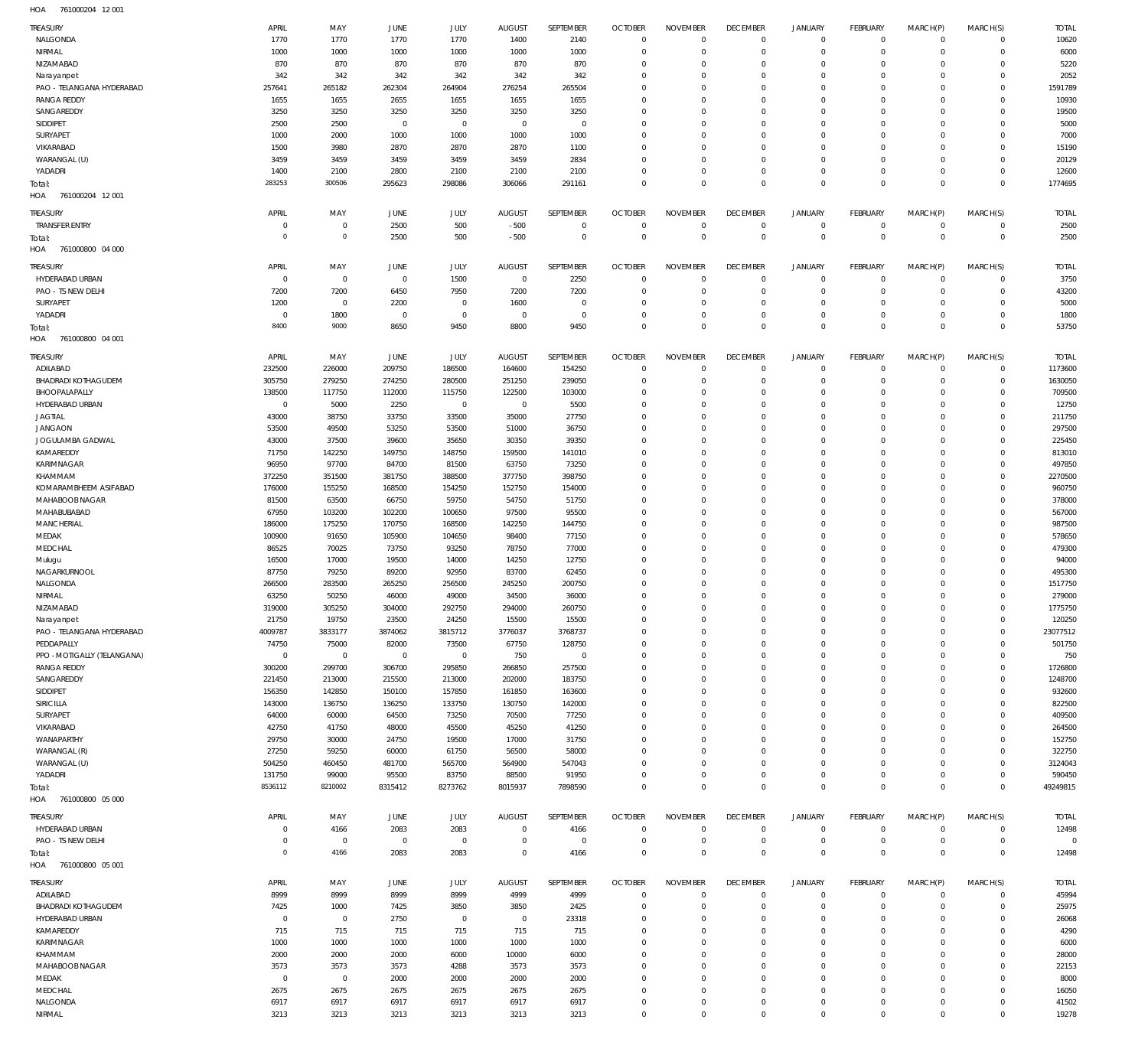761000204 12 001 HOA

| TREASURY                    | APRIL          | MAY                 | JUNE           | JULY         | <b>AUGUST</b>  | SEPTEMBER        | <b>OCTOBER</b>             | <b>NOVEMBER</b>            | <b>DECEMBER</b>                  | <b>JANUARY</b>             | <b>FEBRUARY</b>            | MARCH(P)         | MARCH(S)                   | <b>TOTAL</b>   |
|-----------------------------|----------------|---------------------|----------------|--------------|----------------|------------------|----------------------------|----------------------------|----------------------------------|----------------------------|----------------------------|------------------|----------------------------|----------------|
| NALGONDA                    | 1770           | 1770                | 1770           | 1770         | 1400           | 2140             | $\overline{0}$             | $\overline{0}$             | $\overline{0}$                   | $\overline{0}$             | $\overline{0}$             | $\mathbf 0$      | $\overline{0}$             | 10620          |
| NIRMAL                      | 1000           | 1000                | 1000           | 1000         | 1000           | 1000             | $\overline{0}$             | $\mathbf 0$                | $\overline{0}$                   | $\mathbf 0$                | $\mathbf 0$                | $\mathbf 0$      | $\mathbf 0$                | 6000           |
| NIZAMABAD                   | 870            |                     |                |              |                | 870              | $\overline{0}$             | $\Omega$                   | $\overline{0}$                   | $\mathbf 0$                | $\mathbf 0$                | $\Omega$         | $\mathbf 0$                |                |
|                             |                | 870                 | 870            | 870          | 870            |                  |                            |                            |                                  |                            |                            |                  |                            | 5220           |
| Narayanpet                  | 342            | 342                 | 342            | 342          | 342            | 342              | $\overline{0}$             | $\Omega$                   | $\mathbf 0$                      | $\mathbf 0$                | $\mathbf 0$                | $\Omega$         | $\mathbf 0$                | 2052           |
| PAO - TELANGANA HYDERABAD   | 257641         | 265182              | 262304         | 264904       | 276254         | 265504           | $\overline{0}$             | $\Omega$                   | $\mathbf 0$                      | $\mathbf 0$                | $\mathbf 0$                | $\Omega$         | $\Omega$                   | 1591789        |
| <b>RANGA REDDY</b>          | 1655           | 1655                | 2655           | 1655         | 1655           | 1655             | $\overline{0}$             | $\Omega$                   | $\mathbf 0$                      | $\mathbf 0$                | $\mathbf 0$                | $\Omega$         | $\Omega$                   | 10930          |
| SANGAREDDY                  | 3250           | 3250                | 3250           | 3250         | 3250           | 3250             | $\overline{0}$             | $\Omega$                   | $\mathbf 0$                      | 0                          | $\mathbf 0$                | $\Omega$         | $\mathbf 0$                | 19500          |
|                             | 2500           |                     |                | $\mathbf{0}$ | $\overline{0}$ | $\overline{0}$   | $\overline{0}$             | $\Omega$                   | $\Omega$                         | $\Omega$                   | $\mathbf 0$                | $\Omega$         | $\Omega$                   |                |
| SIDDIPET                    |                | 2500                | $\overline{0}$ |              |                |                  |                            |                            |                                  |                            |                            |                  |                            | 5000           |
| SURYAPET                    | 1000           | 2000                | 1000           | 1000         | 1000           | 1000             | $\overline{0}$             | $\Omega$                   | $\mathbf 0$                      | 0                          | $\mathbf 0$                | $\Omega$         | $\mathbf 0$                | 7000           |
| VIKARABAD                   | 1500           | 3980                | 2870           | 2870         | 2870           | 1100             | $\overline{0}$             | $\Omega$                   | $\Omega$                         | $\Omega$                   | $\mathbf 0$                | $\Omega$         | $\Omega$                   | 15190          |
| WARANGAL (U)                | 3459           | 3459                | 3459           | 3459         | 3459           | 2834             | $\overline{0}$             | $\Omega$                   | $\mathbf 0$                      | 0                          | $\mathbf 0$                | $\Omega$         | $\mathbf 0$                | 20129          |
| YADADRI                     | 1400           | 2100                | 2800           | 2100         | 2100           | 2100             | $\overline{0}$             | $\Omega$                   | $\mathbf 0$                      | $\mathbf 0$                | $\mathbf 0$                | $\Omega$         | $\Omega$                   | 12600          |
|                             | 283253         | 300506              |                |              |                |                  | $\Omega$                   | $\Omega$                   | $\Omega$                         | $\Omega$                   | $\Omega$                   | $\Omega$         | $\Omega$                   |                |
| Total:                      |                |                     | 295623         | 298086       | 306066         | 291161           |                            |                            |                                  |                            |                            |                  |                            | 1774695        |
| 761000204 12 001<br>HOA     |                |                     |                |              |                |                  |                            |                            |                                  |                            |                            |                  |                            |                |
|                             |                |                     |                |              |                |                  |                            |                            |                                  |                            |                            |                  |                            |                |
| TREASURY                    | <b>APRIL</b>   | MAY                 | JUNE           | JULY         | <b>AUGUST</b>  | SEPTEMBER        | <b>OCTOBER</b>             | <b>NOVEMBER</b>            | <b>DECEMBER</b>                  | <b>JANUARY</b>             | <b>FEBRUARY</b>            | MARCH(P)         | MARCH(S)                   | <b>TOTAL</b>   |
| <b>TRANSFER ENTRY</b>       | $\mathbf 0$    | 0                   | 2500           | 500          | $-500$         | $\mathbf 0$      | $\mathbf 0$                | $^{\circ}$                 | $\overline{0}$                   | $\mathbf 0$                | $\mathbf 0$                | 0                | $\mathbf 0$                | 2500           |
| Total:                      | $\overline{0}$ | $\mathsf{O}\xspace$ | 2500           | 500          | $-500$         | $\mathbf 0$      | $\overline{0}$             | $\overline{0}$             | $\overline{0}$                   | $\overline{0}$             | $\overline{0}$             | $\mathbf{0}$     | $\overline{0}$             | 2500           |
| HOA<br>761000800 04 000     |                |                     |                |              |                |                  |                            |                            |                                  |                            |                            |                  |                            |                |
|                             |                |                     |                |              |                |                  |                            |                            |                                  |                            |                            |                  |                            |                |
| TREASURY                    | APRIL          | MAY                 | JUNE           | JULY         | <b>AUGUST</b>  | SEPTEMBER        | <b>OCTOBER</b>             | <b>NOVEMBER</b>            | <b>DECEMBER</b>                  | <b>JANUARY</b>             | <b>FEBRUARY</b>            | MARCH(P)         | MARCH(S)                   | <b>TOTAL</b>   |
| HYDERABAD URBAN             | $\overline{0}$ | $\overline{0}$      | $\overline{0}$ | 1500         | $\overline{0}$ | 2250             | $\overline{0}$             | $^{\circ}$                 | $\overline{0}$                   | $\circ$                    | $\overline{0}$             | 0                | $\mathbf 0$                | 3750           |
|                             |                |                     |                |              |                |                  | $\overline{0}$             | $\mathbf 0$                | $\overline{0}$                   | $\mathbf 0$                |                            |                  |                            |                |
| PAO - TS NEW DELHI          | 7200           | 7200                | 6450           | 7950         | 7200           | 7200             |                            |                            |                                  |                            | $\mathbf 0$                | 0                | $\overline{0}$             | 43200          |
| SURYAPET                    | 1200           | $\mathbf 0$         | 2200           | $\mathbf 0$  | 1600           | $\overline{0}$   | $\overline{0}$             | $\mathbf 0$                | $\overline{0}$                   | $\mathbf 0$                | $\mathbf 0$                | 0                | $\mathbf 0$                | 5000           |
| YADADRI                     | $\overline{0}$ | 1800                | $\overline{0}$ | $\mathbf 0$  | $\overline{0}$ | $\mathbf 0$      | $\overline{0}$             | $\Omega$                   | $\overline{0}$                   | $\mathbf 0$                | $\mathbf 0$                | $\Omega$         | $\mathbf 0$                | 1800           |
| Total:                      | 8400           | 9000                | 8650           | 9450         | 8800           | 9450             | $\Omega$                   | $\Omega$                   | $\overline{0}$                   | $\mathbf 0$                | $\Omega$                   | $\Omega$         | $\Omega$                   | 53750          |
| 761000800 04 001<br>HOA     |                |                     |                |              |                |                  |                            |                            |                                  |                            |                            |                  |                            |                |
|                             |                |                     |                |              |                |                  |                            |                            |                                  |                            |                            |                  |                            |                |
| TREASURY                    | <b>APRIL</b>   | MAY                 | JUNE           | JULY         | <b>AUGUST</b>  | <b>SEPTEMBER</b> | <b>OCTOBER</b>             | <b>NOVEMBER</b>            | <b>DECEMBER</b>                  | <b>JANUARY</b>             | FEBRUARY                   | MARCH(P)         | MARCH(S)                   | <b>TOTAL</b>   |
| ADILABAD                    | 232500         | 226000              | 209750         | 186500       | 164600         | 154250           | $\overline{0}$             | $\mathbf 0$                | $\overline{0}$                   | $\mathbf 0$                | $\mathbf 0$                | 0                | $\mathbf 0$                | 1173600        |
|                             |                |                     |                |              |                |                  |                            |                            |                                  |                            |                            |                  |                            |                |
| <b>BHADRADI KOTHAGUDEM</b>  | 305750         | 279250              | 274250         | 280500       | 251250         | 239050           | $\overline{0}$             | $\Omega$                   | $\Omega$                         | $\mathbf 0$                | $\mathbf 0$                | $\Omega$         | $\mathbf 0$                | 1630050        |
| BHOOPALAPALLY               | 138500         | 117750              | 112000         | 115750       | 122500         | 103000           | $\mathbf 0$                | $\Omega$                   | $\mathbf 0$                      | 0                          | $\mathbf 0$                | $\Omega$         | $\Omega$                   | 709500         |
| HYDERABAD URBAN             | $\mathbf 0$    | 5000                | 2250           | $\mathbf 0$  | $\overline{0}$ | 5500             | $\mathbf 0$                | $\Omega$                   | $\Omega$                         | $\Omega$                   | $\Omega$                   | $\Omega$         | $\Omega$                   | 12750          |
| <b>JAGTIAL</b>              | 43000          | 38750               | 33750          | 33500        | 35000          | 27750            | $\mathbf 0$                | $\Omega$                   | $\mathbf 0$                      | 0                          | $\mathbf 0$                | $\Omega$         | $\Omega$                   | 211750         |
| <b>JANGAON</b>              | 53500          | 49500               | 53250          | 53500        | 51000          | 36750            | $\Omega$                   | $\Omega$                   | $\Omega$                         | $\Omega$                   | $\Omega$                   | $\Omega$         | $\Omega$                   | 297500         |
|                             |                |                     |                |              |                |                  |                            |                            |                                  |                            |                            |                  |                            |                |
| JOGULAMBA GADWAL            | 43000          | 37500               | 39600          | 35650        | 30350          | 39350            | $\mathbf 0$                | $\Omega$                   | $\Omega$                         | $\Omega$                   | $\mathbf 0$                | $\Omega$         | $\Omega$                   | 225450         |
| KAMAREDDY                   | 71750          | 142250              | 149750         | 148750       | 159500         | 141010           | $\Omega$                   | $\Omega$                   | $\Omega$                         | $\Omega$                   | $\Omega$                   | $\Omega$         | $\Omega$                   | 813010         |
| KARIMNAGAR                  | 96950          | 97700               | 84700          | 81500        | 63750          | 73250            | $\Omega$                   | $\Omega$                   | $\Omega$                         | $\Omega$                   | $\mathbf 0$                | $\Omega$         | $\Omega$                   | 497850         |
| KHAMMAM                     | 372250         | 351500              | 381750         | 388500       | 377750         | 398750           | $\mathbf 0$                | $\Omega$                   | $\Omega$                         | $\Omega$                   | $\mathbf 0$                | $\Omega$         | $\Omega$                   | 2270500        |
| KOMARAMBHEEM ASIFABAD       |                |                     |                |              |                |                  | $\Omega$                   | $\Omega$                   | $\Omega$                         | $\Omega$                   | $\Omega$                   | $\Omega$         | $\Omega$                   |                |
|                             | 176000         | 155250              | 168500         | 154250       | 152750         | 154000           |                            |                            |                                  |                            |                            |                  |                            | 960750         |
| MAHABOOB NAGAR              | 81500          | 63500               | 66750          | 59750        | 54750          | 51750            | $\mathbf 0$                | $\Omega$                   | $\Omega$                         | $\Omega$                   | $\mathbf 0$                | $\Omega$         | $\Omega$                   | 378000         |
| MAHABUBABAD                 | 67950          | 103200              | 102200         | 100650       | 97500          | 95500            | $\Omega$                   | $\Omega$                   | $\Omega$                         | $\Omega$                   | $\Omega$                   | $\Omega$         | $\Omega$                   | 567000         |
| MANCHERIAL                  | 186000         | 175250              | 170750         | 168500       | 142250         | 144750           | $\mathbf 0$                | $\Omega$                   | $\Omega$                         | $\Omega$                   | $\mathbf 0$                | $\Omega$         | $\Omega$                   | 987500         |
| MEDAK                       | 100900         | 91650               | 105900         | 104650       | 98400          | 77150            | $\mathbf 0$                | $\Omega$                   | $\Omega$                         | $\Omega$                   | $\mathbf 0$                | $\Omega$         | $\Omega$                   | 578650         |
|                             |                |                     |                |              |                |                  |                            |                            |                                  |                            |                            |                  |                            |                |
| MEDCHAL                     | 86525          | 70025               | 73750          | 93250        | 78750          | 77000            | $\mathbf 0$                | $\Omega$                   | $\Omega$                         | $\Omega$                   | $\Omega$                   | $\Omega$         | $\Omega$                   | 479300         |
| Mulugu                      | 16500          | 17000               | 19500          | 14000        | 14250          | 12750            | $\mathbf 0$                | $\Omega$                   | $\mathbf 0$                      | $\Omega$                   | $\mathbf 0$                | $\Omega$         | $\Omega$                   | 94000          |
| NAGARKURNOOL                | 87750          | 79250               | 89200          | 92950        | 83700          | 62450            | $\Omega$                   | $\Omega$                   | $\Omega$                         | $\Omega$                   | $\Omega$                   | $\Omega$         | $\Omega$                   | 495300         |
| NALGONDA                    | 266500         | 283500              | 265250         | 256500       | 245250         | 200750           | $\mathbf 0$                | $\Omega$                   | $\Omega$                         | $\Omega$                   | $\mathbf 0$                | $\Omega$         | $\Omega$                   | 1517750        |
| NIRMAL                      | 63250          | 50250               | 46000          | 49000        | 34500          | 36000            | $\Omega$                   | $\Omega$                   | $\Omega$                         | $\Omega$                   | $\Omega$                   | $\Omega$         | $\Omega$                   | 279000         |
|                             |                |                     |                |              |                |                  |                            |                            |                                  |                            |                            |                  |                            |                |
| NIZAMARAD                   | 319000         | 305250              | 304000         | 292750       | 294000         | 260750           | $\Omega$                   | $\Omega$                   | $\Omega$                         | $\Omega$                   | $\Omega$                   | $\Omega$         | $\Omega$                   | 1775750        |
| Narayanpet                  | 21750          | 19750               | 23500          | 24250        | 15500          | 15500            | $\mathbf 0$                | $\Omega$                   | $\mathbf 0$                      | 0                          | $\mathbf 0$                | $\Omega$         | 0                          | 120250         |
| PAO - TELANGANA HYDERABAD   | 4009787        | 3833177             | 3874062        | 3815712      | 3776037        | 3768737          | $\mathbf 0$                | $\Omega$                   | $\mathbf 0$                      | $\mathbf 0$                | $\mathbf 0$                | $\Omega$         | $\Omega$                   | 23077512       |
| PEDDAPALLY                  | 74750          | 75000               | 82000          | 73500        | 67750          | 128750           | $\mathbf 0$                | $\Omega$                   | $\mathbf 0$                      | $\mathbf 0$                | $\mathbf 0$                | $\Omega$         | $\Omega$                   | 501750         |
|                             | $\mathbf 0$    | $\overline{0}$      | $\overline{0}$ | $\mathbf 0$  |                | $\overline{0}$   | $\mathbf 0$                | $\Omega$                   | $\Omega$                         | $\Omega$                   | $\Omega$                   | $\Omega$         | $\Omega$                   |                |
| PPO - MOTIGALLY (TELANGANA) |                |                     |                |              | 750            |                  |                            |                            |                                  |                            |                            |                  |                            | 750            |
| <b>RANGA REDDY</b>          | 300200         | 299700              | 306700         | 295850       | 266850         | 257500           | $\mathbf 0$                | $\Omega$                   | $\Omega$                         | $\Omega$                   | $\mathbf 0$                | $\Omega$         | $\Omega$                   | 1726800        |
| SANGAREDDY                  | 221450         | 213000              | 215500         | 213000       | 202000         | 183750           | $\mathbf 0$                | $\Omega$                   | $\Omega$                         | $\Omega$                   | $\Omega$                   | $\Omega$         | $\Omega$                   | 1248700        |
| SIDDIPET                    | 156350         | 142850              | 150100         | 157850       | 161850         | 163600           | $\mathbf 0$                | $\Omega$                   | $\Omega$                         | $\Omega$                   | $\mathbf 0$                | $\Omega$         | $\Omega$                   | 932600         |
| SIRICILLA                   | 143000         | 136750              | 136250         | 133750       | 130750         | 142000           | $\mathbf 0$                | $\Omega$                   | $\mathbf 0$                      | 0                          | $\mathbf 0$                | $\Omega$         | $\Omega$                   | 822500         |
|                             |                |                     |                |              |                |                  |                            |                            |                                  |                            |                            |                  |                            |                |
| SURYAPET                    | 64000          | 60000               | 64500          | 73250        | 70500          | 77250            | $\mathbf 0$                | $\Omega$                   | $\Omega$                         | $\Omega$                   | $\Omega$                   | $\Omega$         | $\Omega$                   | 409500         |
| VIKARABAD                   | 42750          | 41750               | 48000          | 45500        | 45250          | 41250            | $\mathbf 0$                | $\Omega$                   | $\mathbf 0$                      | 0                          | $\mathbf 0$                | $\Omega$         | $\Omega$                   | 264500         |
| WANAPARTHY                  | 29750          | 30000               | 24750          | 19500        | 17000          | 31750            | $\mathbf 0$                | $\Omega$                   | $\Omega$                         | $\Omega$                   | $\Omega$                   | $\Omega$         | $\Omega$                   | 152750         |
| WARANGAL (R)                | 27250          | 59250               | 60000          | 61750        | 56500          | 58000            | $\mathbf 0$                | $\Omega$                   | $\Omega$                         | $\Omega$                   | $\mathbf 0$                | $\Omega$         | $\Omega$                   | 322750         |
| WARANGAL (U)                | 504250         | 460450              | 481700         | 565700       | 564900         | 547043           | $\mathbf 0$                | $\Omega$                   | $\Omega$                         | $\mathbf 0$                | $\mathbf 0$                | $\Omega$         | $\Omega$                   | 3124043        |
| YADADRI                     | 131750         | 99000               | 95500          | 83750        | 88500          | 91950            | $\mathbf 0$                | $\Omega$                   | $\overline{0}$                   | $\mathbf 0$                | $\mathbf 0$                | $\Omega$         | $\Omega$                   | 590450         |
|                             |                |                     |                |              |                |                  |                            |                            |                                  |                            |                            |                  |                            |                |
| Total:                      | 8536112        | 8210002             | 8315412        | 8273762      | 8015937        | 7898590          | $\overline{0}$             | $\Omega$                   | $\overline{0}$                   | $\mathbf 0$                | $\overline{0}$             | $\Omega$         | $\mathbf{0}$               | 49249815       |
| HOA 761000800 05 000        |                |                     |                |              |                |                  |                            |                            |                                  |                            |                            |                  |                            |                |
|                             |                |                     |                |              |                |                  |                            |                            |                                  |                            |                            |                  |                            |                |
| TREASURY                    | APRIL          | MAY                 | JUNE           | JULY         | <b>AUGUST</b>  | SEPTEMBER        | <b>OCTOBER</b>             | <b>NOVEMBER</b>            | <b>DECEMBER</b>                  | <b>JANUARY</b>             | FEBRUARY                   | MARCH(P)         | MARCH(S)                   | <b>TOTAL</b>   |
| HYDERABAD URBAN             | $\mathbf 0$    | 4166                | 2083           | 2083         | $\overline{0}$ | 4166             | $\overline{0}$             | $\mathbf 0$                | $\overline{0}$                   | $\circ$                    | $\overline{0}$             | 0                | $\mathbf 0$                | 12498          |
| PAO - TS NEW DELHI          | $\mathbf 0$    | $\mathbf 0$         | $\overline{0}$ | $\mathbf 0$  | $\overline{0}$ | $\overline{0}$   | $\overline{0}$             | $\mathbf 0$                | $\overline{0}$                   | $\circ$                    | $\overline{0}$             | $\mathbf 0$      | $\mathsf 0$                | $\circ$        |
|                             | $\mathbf 0$    | 4166                | 2083           | 2083         | $\overline{0}$ | 4166             | $\overline{0}$             | $\mathbf 0$                | $\overline{0}$                   | $\mathbf 0$                | $\overline{0}$             | $\Omega$         | $\overline{0}$             | 12498          |
| Total:                      |                |                     |                |              |                |                  |                            |                            |                                  |                            |                            |                  |                            |                |
| 761000800 05 001<br>HOA     |                |                     |                |              |                |                  |                            |                            |                                  |                            |                            |                  |                            |                |
| TREASURY                    | <b>APRIL</b>   | MAY                 | JUNE           | JULY         | <b>AUGUST</b>  | SEPTEMBER        | <b>OCTOBER</b>             | <b>NOVEMBER</b>            | <b>DECEMBER</b>                  | <b>JANUARY</b>             | <b>FEBRUARY</b>            | MARCH(P)         | MARCH(S)                   | <b>TOTAL</b>   |
|                             |                |                     |                |              |                |                  |                            |                            |                                  |                            |                            |                  |                            |                |
| ADILABAD                    | 8999           | 8999                | 8999           | 8999         | 4999           | 4999             | $\overline{0}$             | $\mathbf 0$                | $\overline{0}$                   | $\overline{0}$             | $\mathbf 0$                | $\mathbf 0$      | $\mathbf 0$                | 45994          |
| <b>BHADRADI KOTHAGUDEM</b>  | 7425           | 1000                | 7425           | 3850         | 3850           | 2425             | $\overline{0}$             | $\Omega$                   | $\mathbf 0$                      | $\mathbf 0$                | $\mathbf 0$                | $\Omega$         | $\mathbf 0$                | 25975          |
| HYDERABAD URBAN             | $\overline{0}$ | $\mathbf 0$         | 2750           | $\mathbf 0$  | $\overline{0}$ | 23318            | $\overline{0}$             | $\Omega$                   | $\Omega$                         | $\Omega$                   | $\mathbf 0$                | $\Omega$         | $\Omega$                   | 26068          |
| KAMAREDDY                   | 715            | 715                 | 715            | 715          | 715            | 715              | $\mathbf 0$                | $\Omega$                   | $\mathbf 0$                      | $\mathbf 0$                | $\mathbf 0$                | $\Omega$         | $\Omega$                   | 4290           |
|                             |                |                     |                |              |                |                  |                            |                            |                                  |                            |                            |                  |                            |                |
| KARIMNAGAR                  | 1000           | 1000                | 1000           | 1000         | 1000           | 1000             | $\mathbf 0$                | $\Omega$                   | $\Omega$                         | $\Omega$                   | $\Omega$                   | $\Omega$         | $\Omega$                   | 6000           |
| KHAMMAM                     | 2000           | 2000                | 2000           | 6000         | 10000          | 6000             | $\mathbf 0$                | $\Omega$                   | $\Omega$                         | 0                          | $\mathbf 0$                | $\Omega$         | $\Omega$                   | 28000          |
| MAHABOOB NAGAR              | 3573           | 3573                | 3573           | 4288         | 3573           | 3573             | $\mathbf 0$                | $\Omega$                   | $\Omega$                         | $\Omega$                   | $\Omega$                   | $\Omega$         | $\Omega$                   | 22153          |
| MEDAK                       | $\overline{0}$ | $\mathbf 0$         | 2000           | 2000         | 2000           | 2000             | $\mathbf 0$                | $\Omega$                   | $\Omega$                         | $\Omega$                   | $\Omega$                   | $\Omega$         | $\Omega$                   | 8000           |
| MEDCHAL                     | 2675           | 2675                | 2675           | 2675         |                | 2675             | $\mathbf 0$                | $\Omega$                   | $\mathbf 0$                      | $\mathbf 0$                | $\mathbf 0$                | $\Omega$         | $\Omega$                   | 16050          |
|                             |                |                     |                |              | 2675           |                  |                            |                            |                                  |                            |                            |                  |                            |                |
|                             |                |                     |                |              |                |                  |                            |                            |                                  |                            |                            |                  |                            |                |
| NALGONDA<br>NIRMAL          | 6917<br>3213   | 6917<br>3213        | 6917<br>3213   | 6917<br>3213 | 6917<br>3213   | 6917<br>3213     | $\mathbf 0$<br>$\mathbf 0$ | $\mathbf 0$<br>$\mathbf 0$ | $\overline{0}$<br>$\overline{0}$ | $\mathbf 0$<br>$\mathbf 0$ | $\mathbf 0$<br>$\mathbf 0$ | 0<br>$\mathbf 0$ | $\mathbf 0$<br>$\mathbf 0$ | 41502<br>19278 |